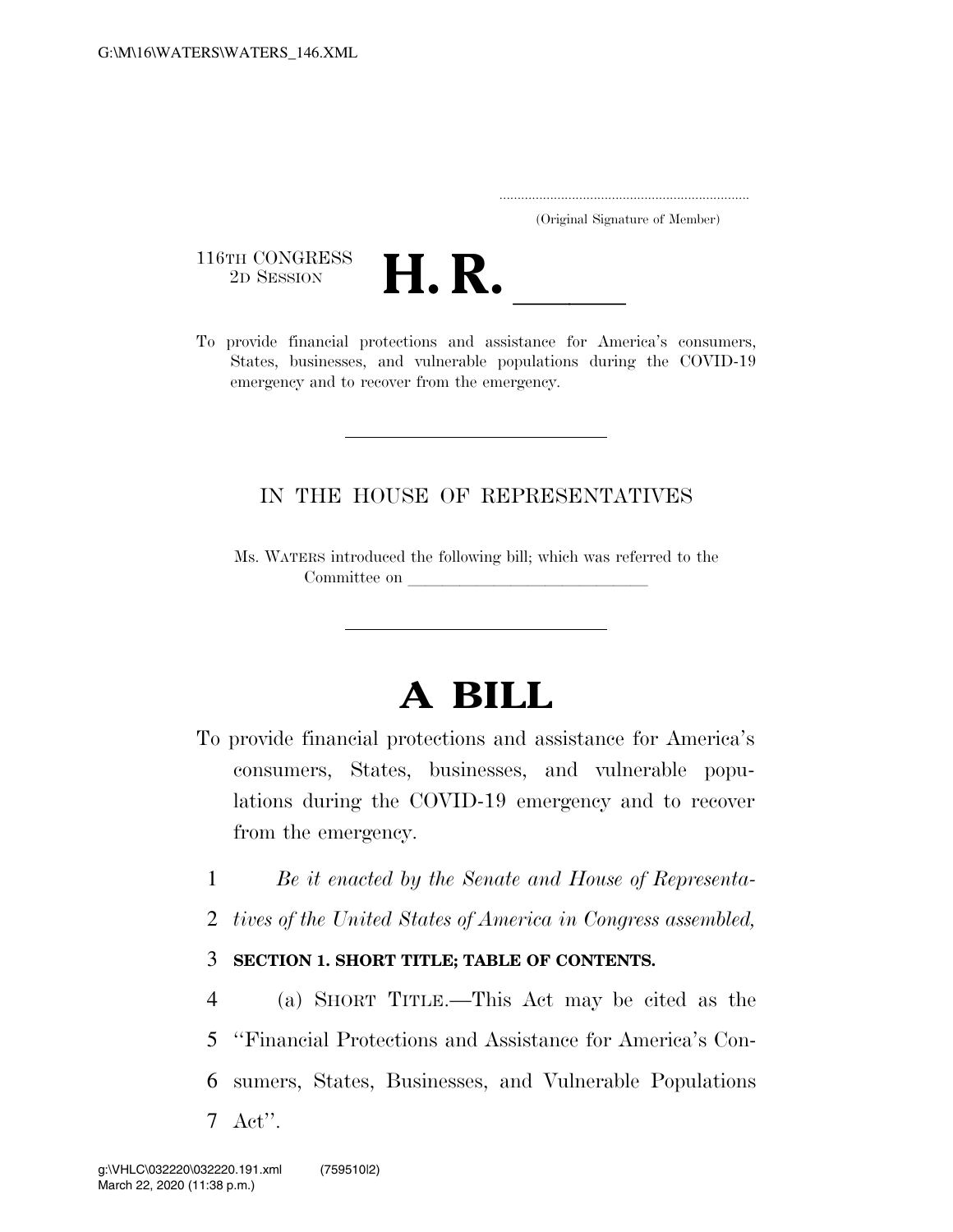..................................................................... (Original Signature of Member)

116TH CONGRESS<br>2D SESSION



116TH CONGRESS<br>
2D SESSION<br>
To provide financial protections and assistance for America's consumers, States, businesses, and vulnerable populations during the COVID-19 emergency and to recover from the emergency.

### IN THE HOUSE OF REPRESENTATIVES

Ms. WATERS introduced the following bill; which was referred to the Committee on

# **A BILL**

- To provide financial protections and assistance for America's consumers, States, businesses, and vulnerable populations during the COVID-19 emergency and to recover from the emergency.
	- 1 *Be it enacted by the Senate and House of Representa-*
	- 2 *tives of the United States of America in Congress assembled,*

### 3 **SECTION 1. SHORT TITLE; TABLE OF CONTENTS.**

 (a) SHORT TITLE.—This Act may be cited as the ''Financial Protections and Assistance for America's Con- sumers, States, Businesses, and Vulnerable Populations 7 Act''.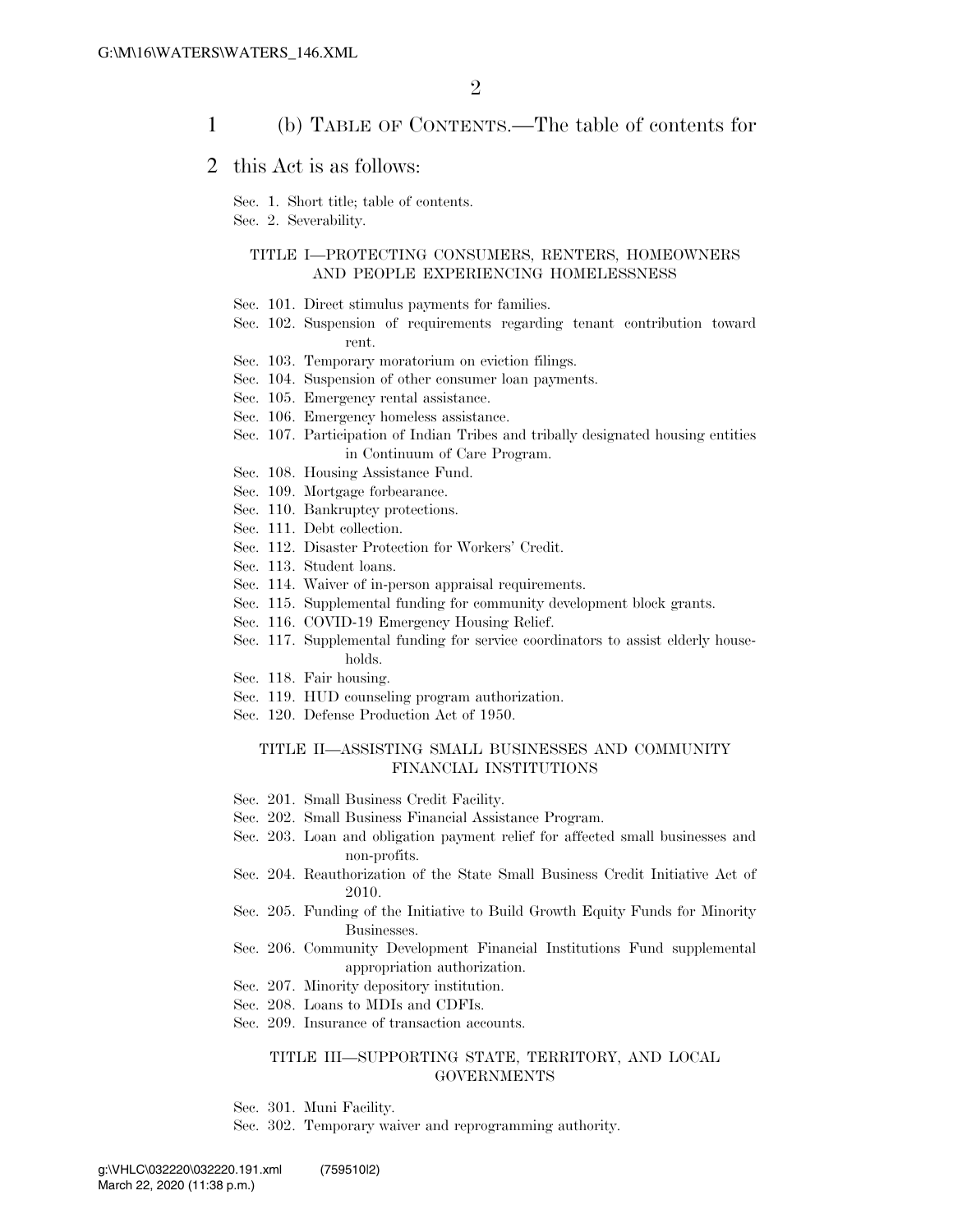#### 1 (b) TABLE OF CONTENTS.—The table of contents for

#### 2 this Act is as follows:

Sec. 1. Short title; table of contents.

Sec. 2. Severability.

#### TITLE I—PROTECTING CONSUMERS, RENTERS, HOMEOWNERS AND PEOPLE EXPERIENCING HOMELESSNESS

- Sec. 101. Direct stimulus payments for families.
- Sec. 102. Suspension of requirements regarding tenant contribution toward rent.
- Sec. 103. Temporary moratorium on eviction filings.
- Sec. 104. Suspension of other consumer loan payments.
- Sec. 105. Emergency rental assistance.
- Sec. 106. Emergency homeless assistance.
- Sec. 107. Participation of Indian Tribes and tribally designated housing entities in Continuum of Care Program.
- Sec. 108. Housing Assistance Fund.
- Sec. 109. Mortgage forbearance.
- Sec. 110. Bankruptcy protections.
- Sec. 111. Debt collection.
- Sec. 112. Disaster Protection for Workers' Credit.
- Sec. 113. Student loans.
- Sec. 114. Waiver of in-person appraisal requirements.
- Sec. 115. Supplemental funding for community development block grants.
- Sec. 116. COVID-19 Emergency Housing Relief.
- Sec. 117. Supplemental funding for service coordinators to assist elderly households.
- Sec. 118. Fair housing.
- Sec. 119. HUD counseling program authorization.
- Sec. 120. Defense Production Act of 1950.

#### TITLE II—ASSISTING SMALL BUSINESSES AND COMMUNITY FINANCIAL INSTITUTIONS

- Sec. 201. Small Business Credit Facility.
- Sec. 202. Small Business Financial Assistance Program.
- Sec. 203. Loan and obligation payment relief for affected small businesses and non-profits.
- Sec. 204. Reauthorization of the State Small Business Credit Initiative Act of 2010.
- Sec. 205. Funding of the Initiative to Build Growth Equity Funds for Minority Businesses.
- Sec. 206. Community Development Financial Institutions Fund supplemental appropriation authorization.
- Sec. 207. Minority depository institution.
- Sec. 208. Loans to MDIs and CDFIs.
- Sec. 209. Insurance of transaction accounts.

#### TITLE III—SUPPORTING STATE, TERRITORY, AND LOCAL **GOVERNMENTS**

- Sec. 301. Muni Facility.
- Sec. 302. Temporary waiver and reprogramming authority.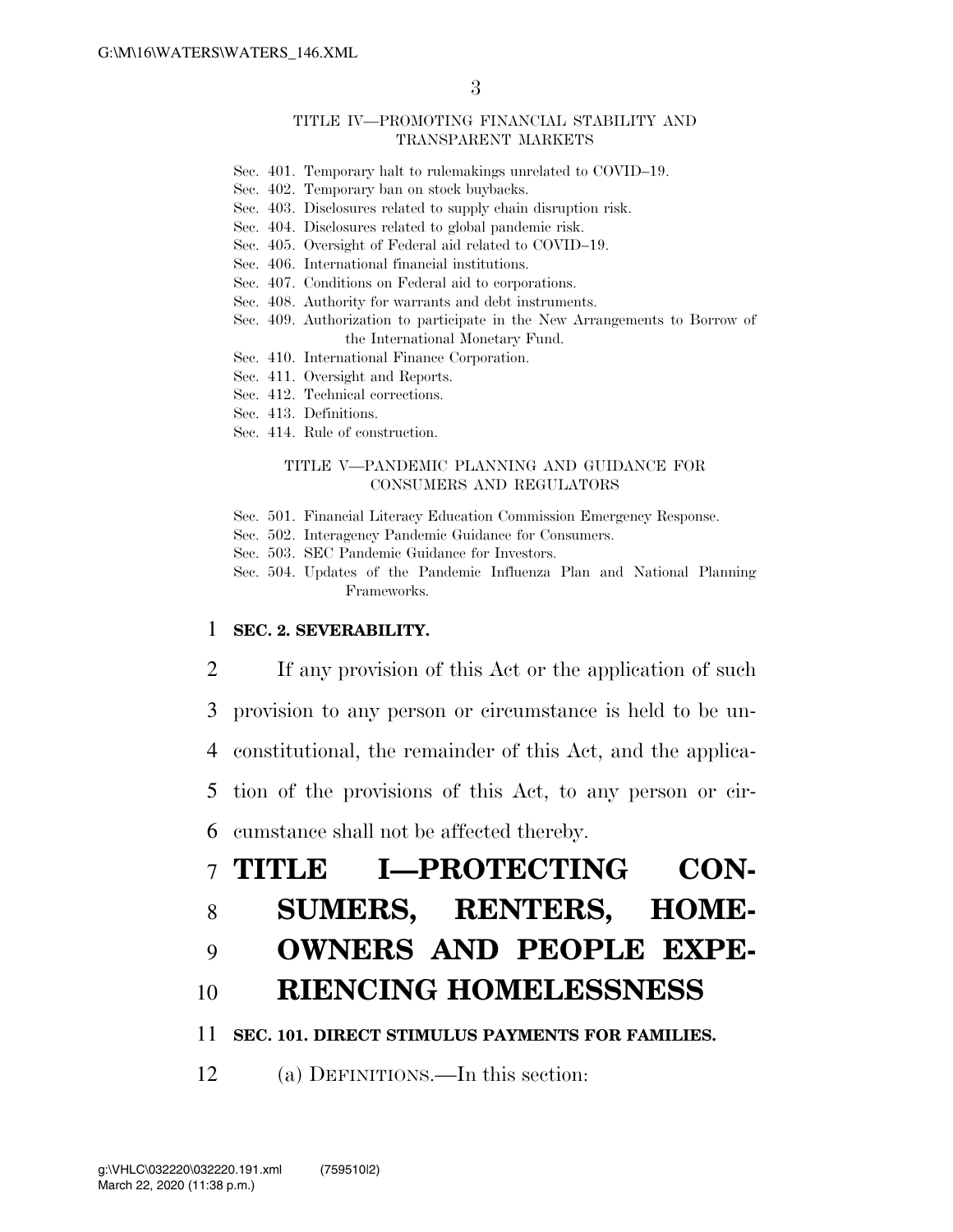#### TITLE IV—PROMOTING FINANCIAL STABILITY AND TRANSPARENT MARKETS

- Sec. 401. Temporary halt to rulemakings unrelated to COVID–19.
- Sec. 402. Temporary ban on stock buybacks.
- Sec. 403. Disclosures related to supply chain disruption risk.
- Sec. 404. Disclosures related to global pandemic risk.
- Sec. 405. Oversight of Federal aid related to COVID–19.
- Sec. 406. International financial institutions.
- Sec. 407. Conditions on Federal aid to corporations.
- Sec. 408. Authority for warrants and debt instruments.
- Sec. 409. Authorization to participate in the New Arrangements to Borrow of the International Monetary Fund.
- Sec. 410. International Finance Corporation.
- Sec. 411. Oversight and Reports.
- Sec. 412. Technical corrections.
- Sec. 413. Definitions.
- Sec. 414. Rule of construction.

#### TITLE V—PANDEMIC PLANNING AND GUIDANCE FOR CONSUMERS AND REGULATORS

- Sec. 501. Financial Literacy Education Commission Emergency Response.
- Sec. 502. Interagency Pandemic Guidance for Consumers.
- Sec. 503. SEC Pandemic Guidance for Investors.
- Sec. 504. Updates of the Pandemic Influenza Plan and National Planning Frameworks.

#### 1 **SEC. 2. SEVERABILITY.**

- 2 If any provision of this Act or the application of such
- 3 provision to any person or circumstance is held to be un-
- 4 constitutional, the remainder of this Act, and the applica-
- 5 tion of the provisions of this Act, to any person or cir-
- 6 cumstance shall not be affected thereby.

# 7 **TITLE I—PROTECTING CON-**

## 8 **SUMERS, RENTERS, HOME-**

9 **OWNERS AND PEOPLE EXPE-**

### 10 **RIENCING HOMELESSNESS**

#### 11 **SEC. 101. DIRECT STIMULUS PAYMENTS FOR FAMILIES.**

12 (a) DEFINITIONS.—In this section: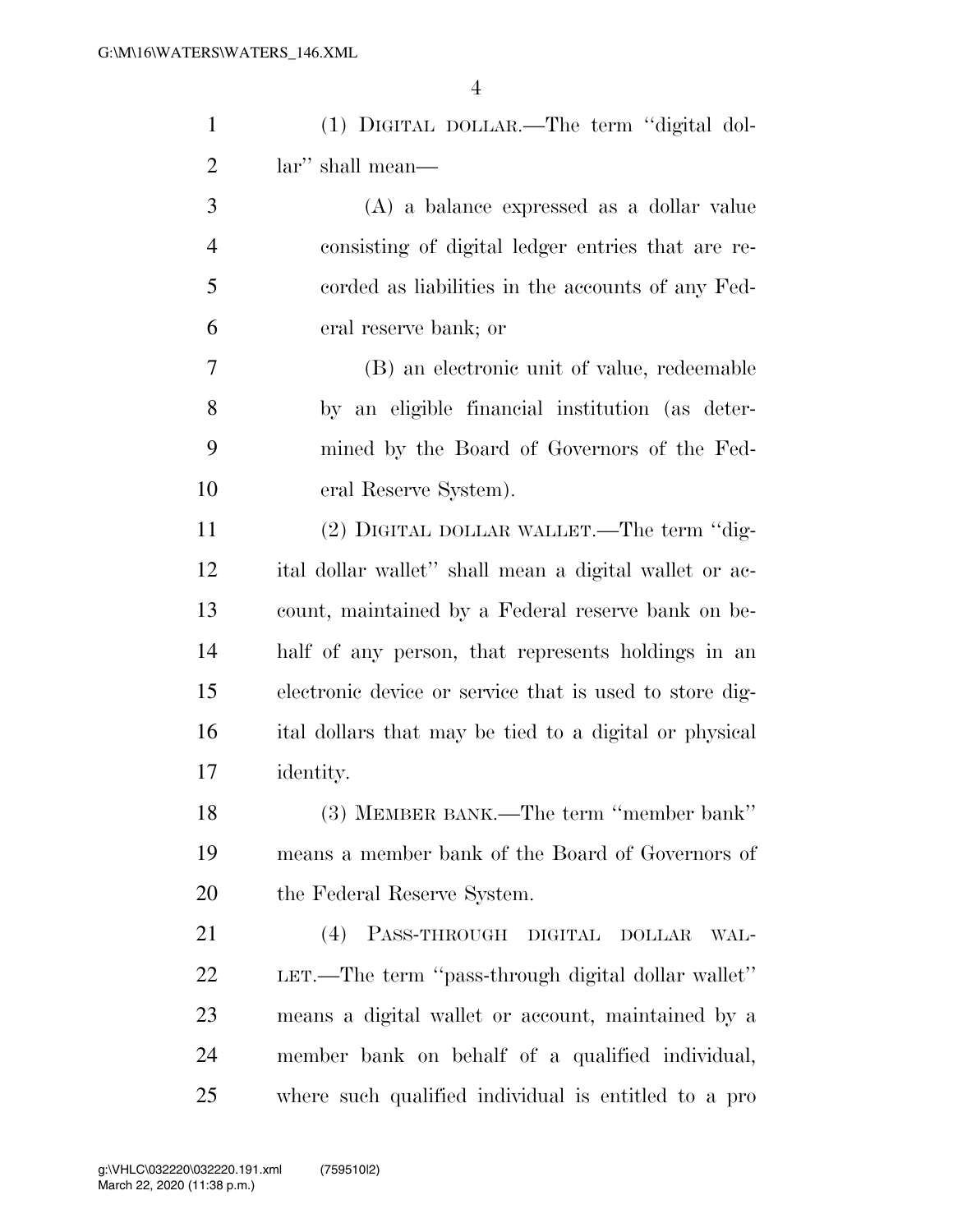| $\mathbf{1}$   | (1) DIGITAL DOLLAR.—The term "digital dol-              |
|----------------|---------------------------------------------------------|
| $\overline{2}$ | lar" shall mean—                                        |
| 3              | (A) a balance expressed as a dollar value               |
| $\overline{4}$ | consisting of digital ledger entries that are re-       |
| 5              | corded as liabilities in the accounts of any Fed-       |
| 6              | eral reserve bank; or                                   |
| $\overline{7}$ | (B) an electronic unit of value, redeemable             |
| $8\,$          | by an eligible financial institution (as deter-         |
| 9              | mined by the Board of Governors of the Fed-             |
| 10             | eral Reserve System).                                   |
| 11             | (2) DIGITAL DOLLAR WALLET.—The term "dig-               |
| 12             | ital dollar wallet" shall mean a digital wallet or ac-  |
| 13             | count, maintained by a Federal reserve bank on be-      |
| 14             | half of any person, that represents holdings in an      |
| 15             | electronic device or service that is used to store dig- |
| 16             | ital dollars that may be tied to a digital or physical  |
| 17             | identity.                                               |
| 18             | (3) MEMBER BANK.—The term "member bank"                 |
| 19             | means a member bank of the Board of Governors of        |
| <b>20</b>      | the Federal Reserve System.                             |
| 21             | PASS-THROUGH DIGITAL<br>(4)<br><b>DOLLAR</b><br>WAL-    |
| <u>22</u>      | LET.—The term "pass-through digital dollar wallet"      |
| 23             | means a digital wallet or account, maintained by a      |
| 24             | member bank on behalf of a qualified individual,        |
| 25             | where such qualified individual is entitled to a pro    |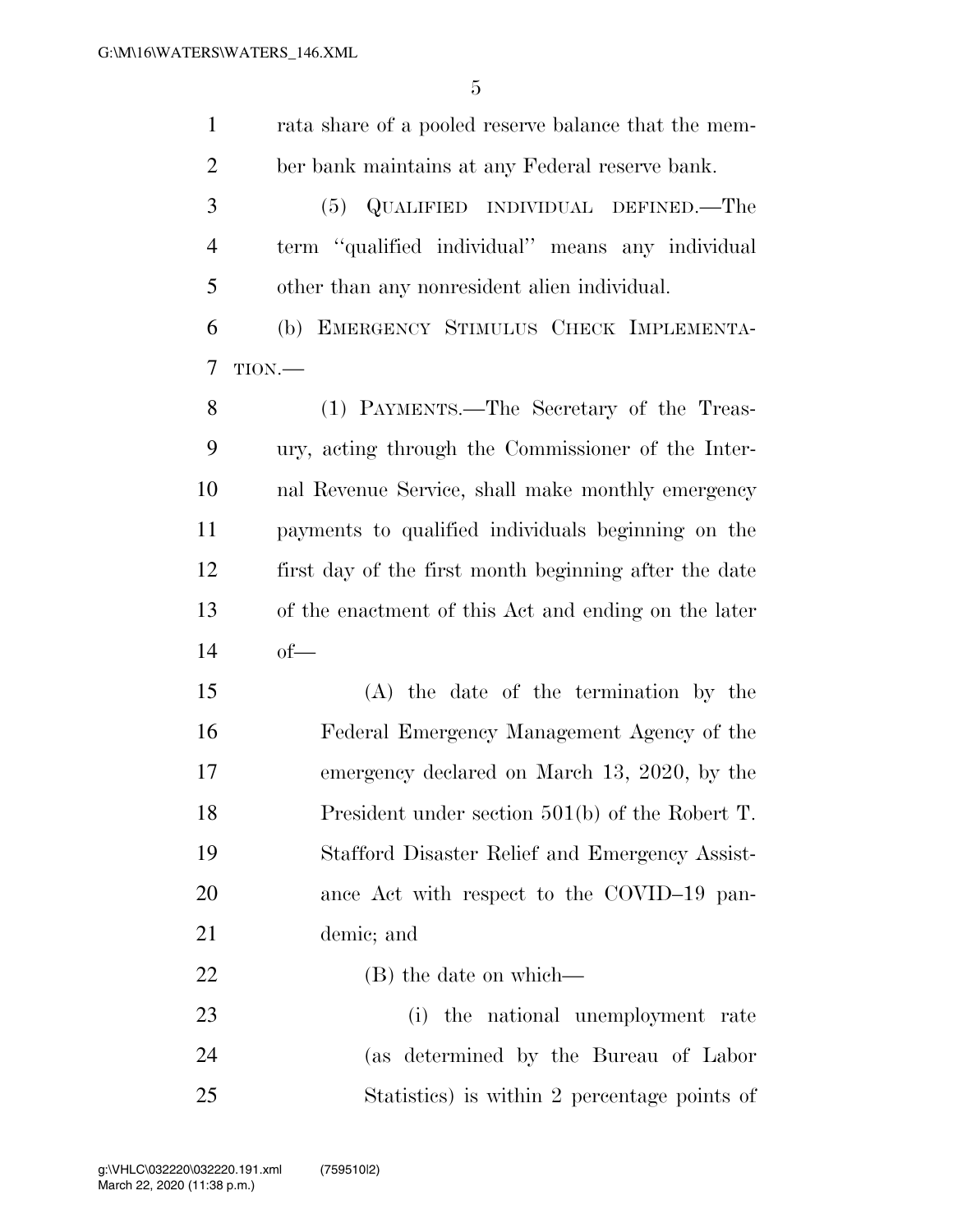| $\mathbf{1}$   | rata share of a pooled reserve balance that the mem-  |
|----------------|-------------------------------------------------------|
| $\overline{2}$ | ber bank maintains at any Federal reserve bank.       |
| 3              | QUALIFIED INDIVIDUAL DEFINED.—The<br>(5)              |
| $\overline{4}$ | term "qualified individual" means any individual      |
| 5              | other than any nonresident alien individual.          |
| 6              | (b) EMERGENCY STIMULUS CHECK IMPLEMENTA-              |
| 7              | TION.                                                 |
| 8              | (1) PAYMENTS.—The Secretary of the Treas-             |
| 9              | ury, acting through the Commissioner of the Inter-    |
| 10             | nal Revenue Service, shall make monthly emergency     |
| 11             | payments to qualified individuals beginning on the    |
| 12             | first day of the first month beginning after the date |
| 13             | of the enactment of this Act and ending on the later  |
| 14             | $of$ —                                                |
| 15             | (A) the date of the termination by the                |
| 16             | Federal Emergency Management Agency of the            |
| 17             | emergency declared on March 13, 2020, by the          |
| 18             | President under section $501(b)$ of the Robert T.     |
| 19             | Stafford Disaster Relief and Emergency Assist-        |
| 20             | ance Act with respect to the COVID-19 pan-            |
| 21             | demic; and                                            |
| 22             | (B) the date on which—                                |
| 23             | (i) the national unemployment rate                    |
| 24             | (as determined by the Bureau of Labor                 |
| 25             | Statistics) is within 2 percentage points of          |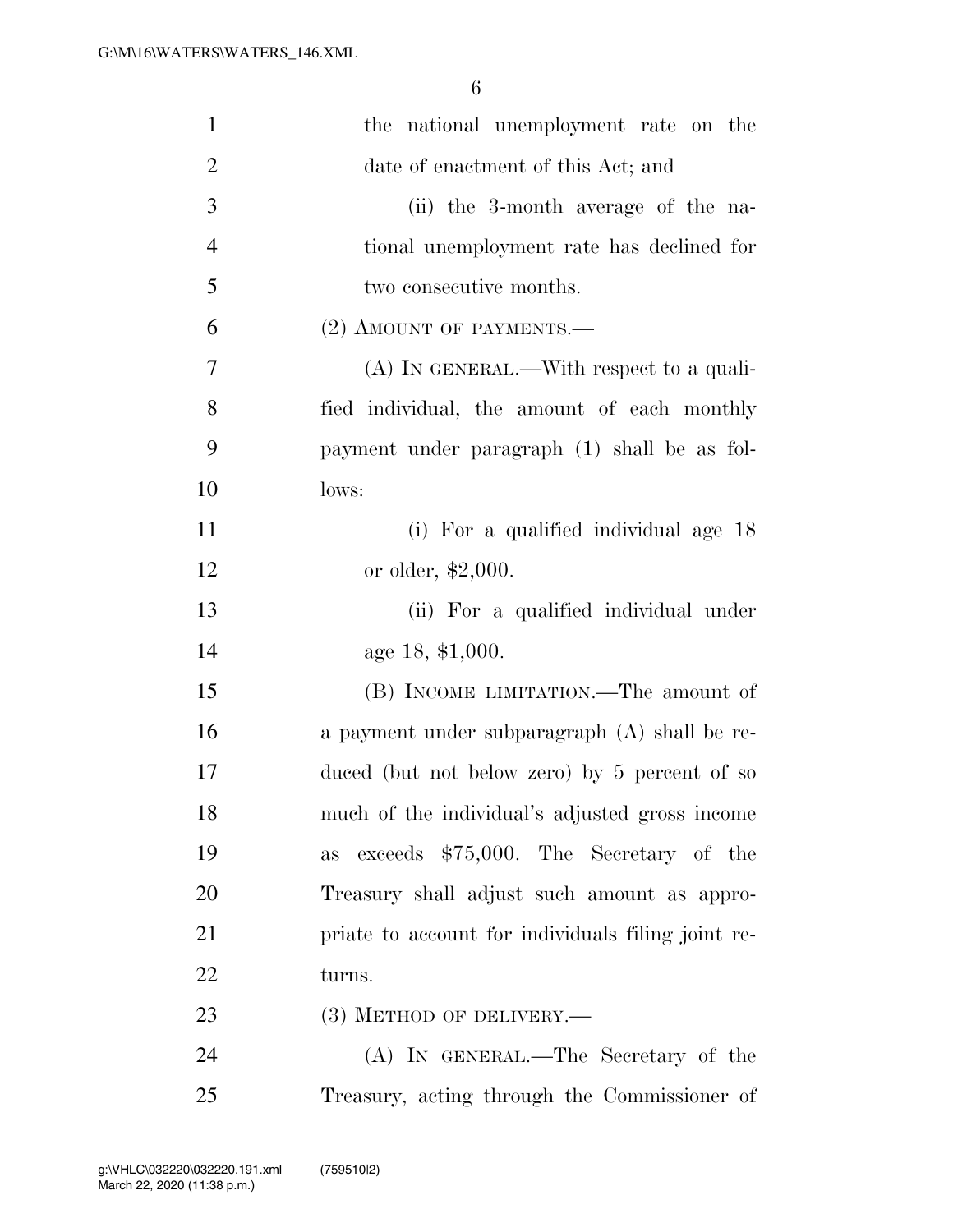| $\mathbf{1}$   | the national unemployment rate on the              |
|----------------|----------------------------------------------------|
| $\overline{2}$ | date of enactment of this Act; and                 |
| 3              | (ii) the 3-month average of the na-                |
| $\overline{4}$ | tional unemployment rate has declined for          |
| 5              | two consecutive months.                            |
| 6              | $(2)$ AMOUNT OF PAYMENTS.—                         |
| 7              | $(A)$ In GENERAL.—With respect to a quali-         |
| 8              | fied individual, the amount of each monthly        |
| 9              | payment under paragraph (1) shall be as fol-       |
| 10             | lows:                                              |
| 11             | (i) For a qualified individual age 18              |
| 12             | or older, $$2,000$ .                               |
| 13             | (ii) For a qualified individual under              |
| 14             | age 18, \$1,000.                                   |
| 15             | (B) INCOME LIMITATION.—The amount of               |
| 16             | a payment under subparagraph (A) shall be re-      |
| 17             | duced (but not below zero) by 5 percent of so      |
| 18             | much of the individual's adjusted gross income     |
| 19             | exceeds \$75,000. The Secretary of the<br>as       |
| 20             | Treasury shall adjust such amount as appro-        |
| 21             | priate to account for individuals filing joint re- |
| 22             | turns.                                             |
| 23             | $(3)$ METHOD OF DELIVERY.—                         |
| 24             | (A) IN GENERAL.—The Secretary of the               |
| 25             | Treasury, acting through the Commissioner of       |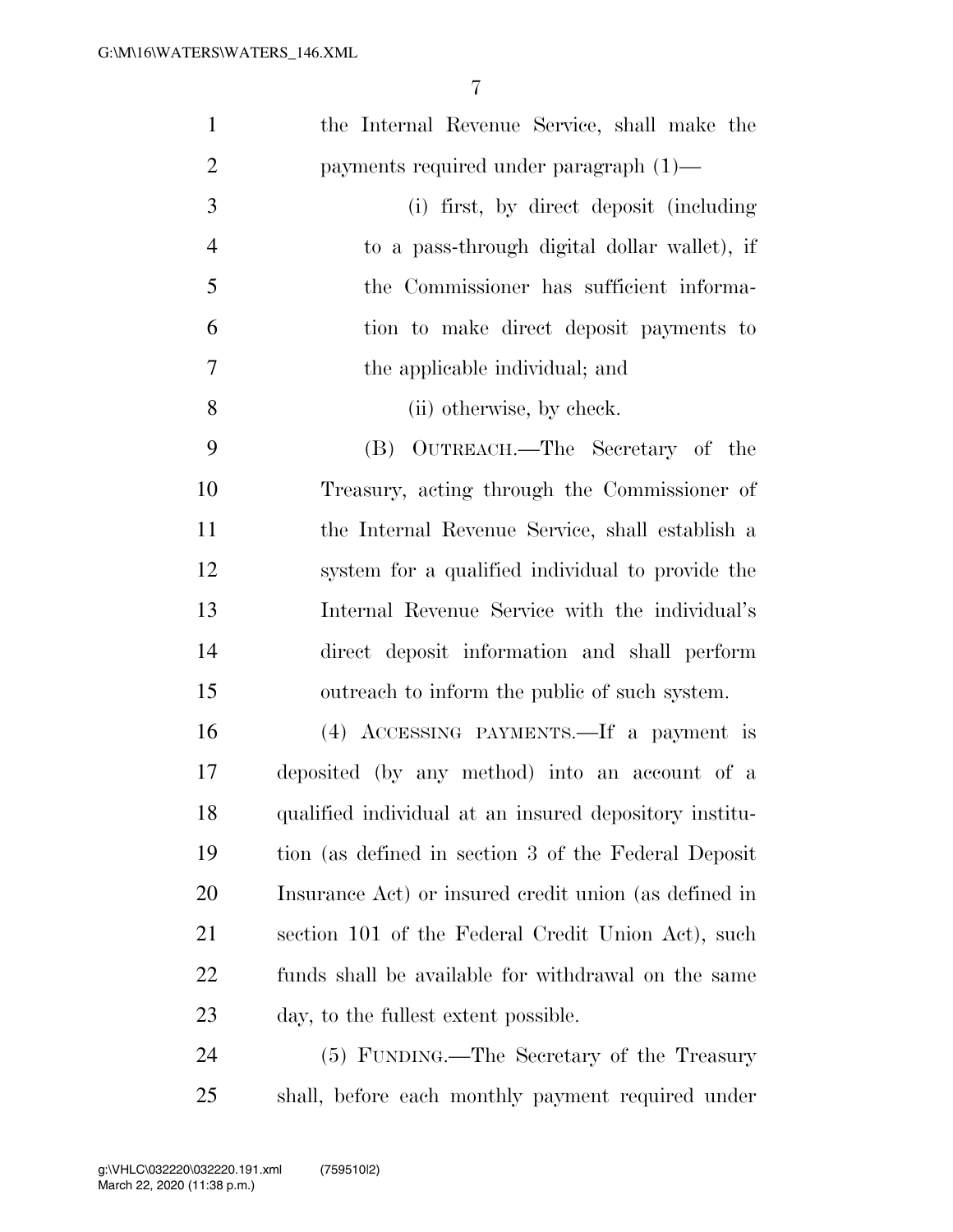| $\mathbf{1}$   | the Internal Revenue Service, shall make the           |
|----------------|--------------------------------------------------------|
| $\overline{2}$ | payments required under paragraph $(1)$ —              |
| 3              | (i) first, by direct deposit (including                |
| $\overline{4}$ | to a pass-through digital dollar wallet), if           |
| 5              | the Commissioner has sufficient informa-               |
| 6              | tion to make direct deposit payments to                |
| $\tau$         | the applicable individual; and                         |
| 8              | (ii) otherwise, by check.                              |
| 9              | OUTREACH.—The Secretary of the<br>(B)                  |
| 10             | Treasury, acting through the Commissioner of           |
| 11             | the Internal Revenue Service, shall establish a        |
| 12             | system for a qualified individual to provide the       |
| 13             | Internal Revenue Service with the individual's         |
| 14             | direct deposit information and shall perform           |
| 15             | outreach to inform the public of such system.          |
| 16             | (4) ACCESSING PAYMENTS.—If a payment is                |
| 17             | deposited (by any method) into an account of a         |
| 18             | qualified individual at an insured depository institu- |
| 19             | tion (as defined in section 3 of the Federal Deposit   |
| 20             | Insurance Act) or insured credit union (as defined in  |
| 21             | section 101 of the Federal Credit Union Act), such     |
| 22             | funds shall be available for withdrawal on the same    |
| 23             | day, to the fullest extent possible.                   |
| 24             | (5) FUNDING.—The Secretary of the Treasury             |
| 25             | shall, before each monthly payment required under      |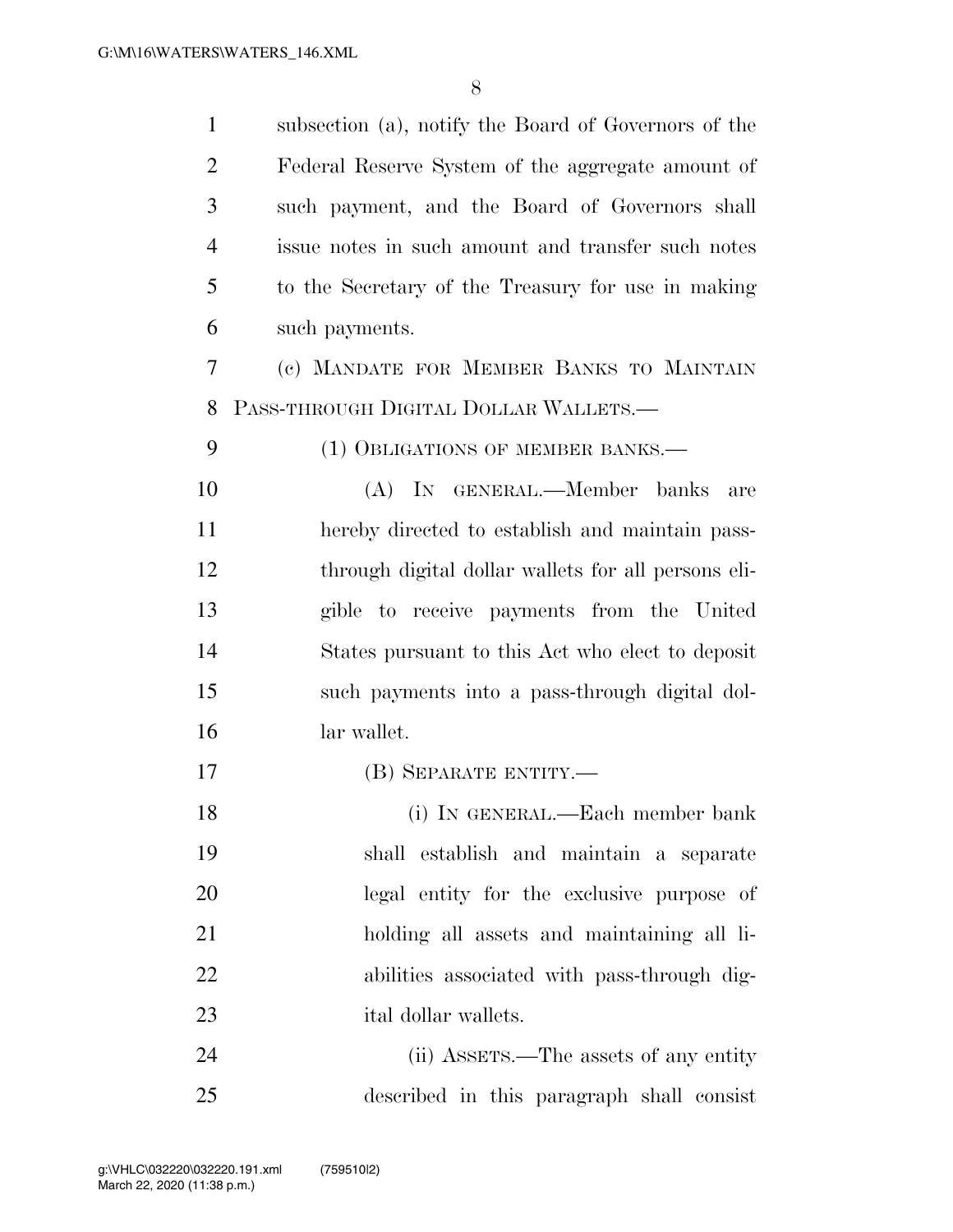| $\mathbf{1}$   | subsection (a), notify the Board of Governors of the |
|----------------|------------------------------------------------------|
| $\overline{2}$ | Federal Reserve System of the aggregate amount of    |
| 3              | such payment, and the Board of Governors shall       |
| $\overline{4}$ | issue notes in such amount and transfer such notes   |
| 5              | to the Secretary of the Treasury for use in making   |
| 6              | such payments.                                       |
| 7              | (c) MANDATE FOR MEMBER BANKS TO MAINTAIN             |
| 8              | PASS-THROUGH DIGITAL DOLLAR WALLETS.-                |
| 9              | (1) OBLIGATIONS OF MEMBER BANKS.—                    |
| 10             | (A) IN GENERAL.—Member banks<br>are                  |
| 11             | hereby directed to establish and maintain pass-      |
| 12             | through digital dollar wallets for all persons eli-  |
| 13             | gible to receive payments from the United            |
| 14             | States pursuant to this Act who elect to deposit     |
| 15             | such payments into a pass-through digital dol-       |
| 16             | lar wallet.                                          |
| 17             | (B) SEPARATE ENTITY.—                                |
| 18             | (i) IN GENERAL.—Each member bank                     |
| 19             | shall establish and maintain a separate              |
| 20             | legal entity for the exclusive purpose of            |
| 21             | holding all assets and maintaining all li-           |
| 22             | abilities associated with pass-through dig-          |
| 23             | ital dollar wallets.                                 |
| 24             | (ii) ASSETS.—The assets of any entity                |
| 25             | described in this paragraph shall consist            |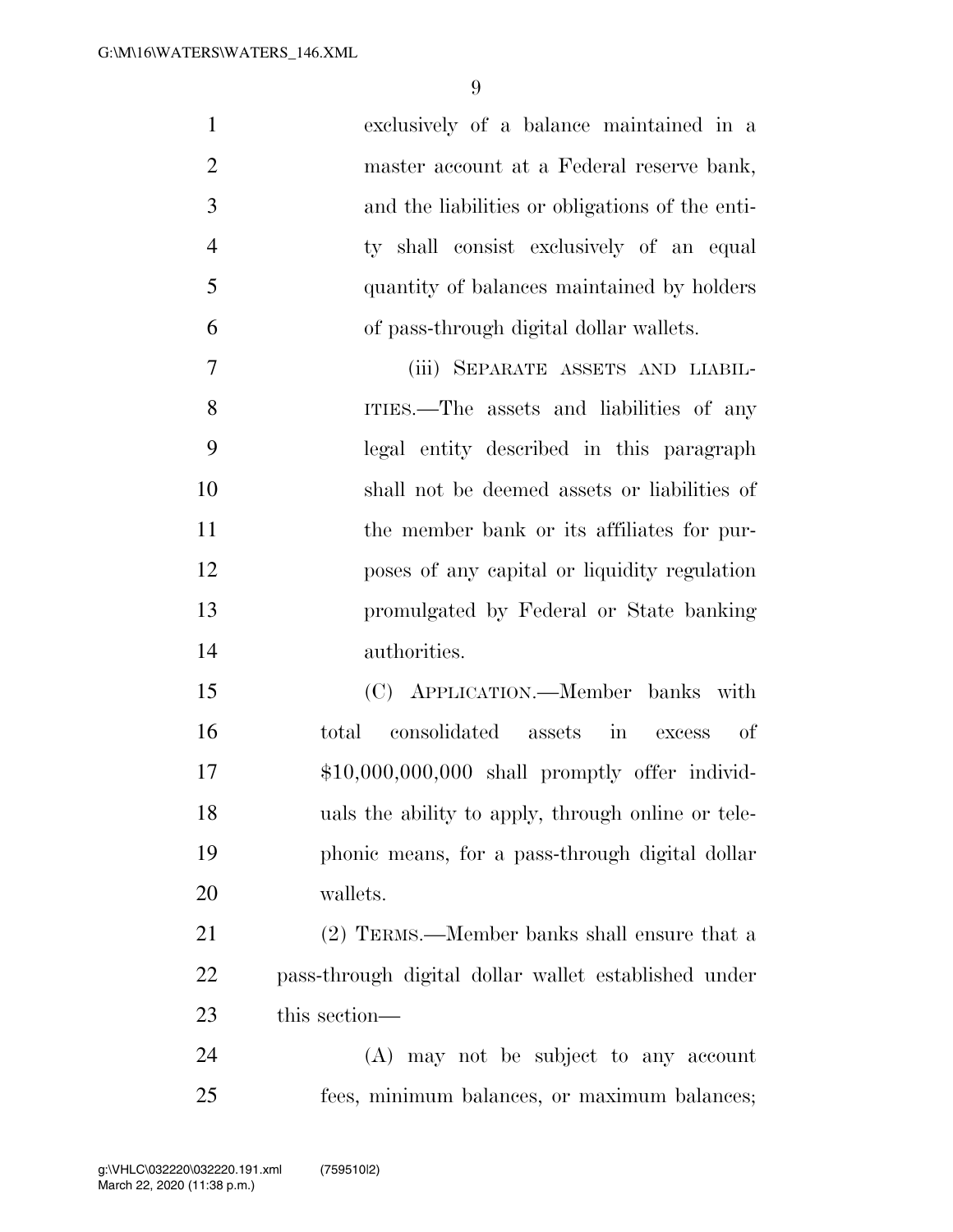| $\mathbf{1}$   | exclusively of a balance maintained in a             |
|----------------|------------------------------------------------------|
| $\overline{2}$ | master account at a Federal reserve bank,            |
| 3              | and the liabilities or obligations of the enti-      |
| $\overline{4}$ | ty shall consist exclusively of an equal             |
| 5              | quantity of balances maintained by holders           |
| 6              | of pass-through digital dollar wallets.              |
| 7              | (iii) SEPARATE ASSETS AND LIABIL-                    |
| 8              | ITIES.—The assets and liabilities of any             |
| 9              | legal entity described in this paragraph             |
| 10             | shall not be deemed assets or liabilities of         |
| 11             | the member bank or its affiliates for pur-           |
| 12             | poses of any capital or liquidity regulation         |
| 13             | promulgated by Federal or State banking              |
| 14             | authorities.                                         |
| 15             | (C) APPLICATION.—Member banks with                   |
| 16             | consolidated assets in<br>total<br>-of<br>excess     |
| 17             | $$10,000,000,000$ shall promptly offer individ-      |
| 18             | uals the ability to apply, through online or tele-   |
| 19             | phonic means, for a pass-through digital dollar      |
| <b>20</b>      | wallets.                                             |
| 21             | (2) TERMS.—Member banks shall ensure that a          |
| 22             | pass-through digital dollar wallet established under |
| 23             | this section—                                        |

 (A) may not be subject to any account fees, minimum balances, or maximum balances;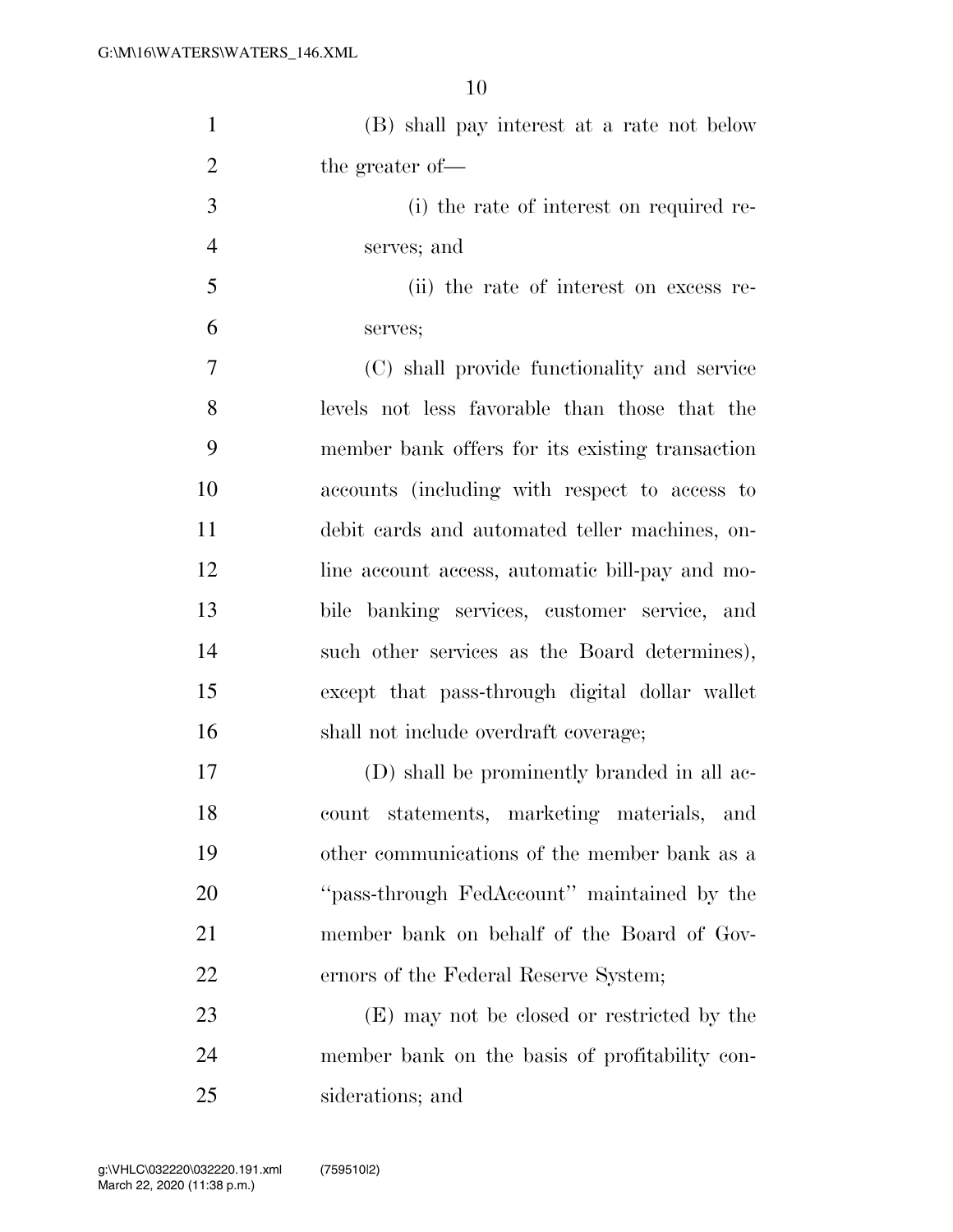| $\mathbf{1}$   | (B) shall pay interest at a rate not below      |
|----------------|-------------------------------------------------|
| $\overline{2}$ | the greater of-                                 |
| 3              | (i) the rate of interest on required re-        |
| $\overline{4}$ | serves; and                                     |
| 5              | (ii) the rate of interest on excess re-         |
| 6              | serves;                                         |
| $\overline{7}$ | (C) shall provide functionality and service     |
| 8              | levels not less favorable than those that the   |
| 9              | member bank offers for its existing transaction |
| 10             | accounts (including with respect to access to   |
| 11             | debit cards and automated teller machines, on-  |
| 12             | line account access, automatic bill-pay and mo- |
| 13             | bile banking services, customer service, and    |
| 14             | such other services as the Board determines),   |
| 15             | except that pass-through digital dollar wallet  |
| 16             | shall not include overdraft coverage;           |
| 17             | (D) shall be prominently branded in all ac-     |
| 18             | statements, marketing materials, and<br>count   |
| 19             | other communications of the member bank as a    |
| <b>20</b>      | "pass-through FedAccount" maintained by the     |
| 21             | member bank on behalf of the Board of Gov-      |
| 22             | ernors of the Federal Reserve System;           |
| 23             | (E) may not be closed or restricted by the      |
| 24             | member bank on the basis of profitability con-  |
|                |                                                 |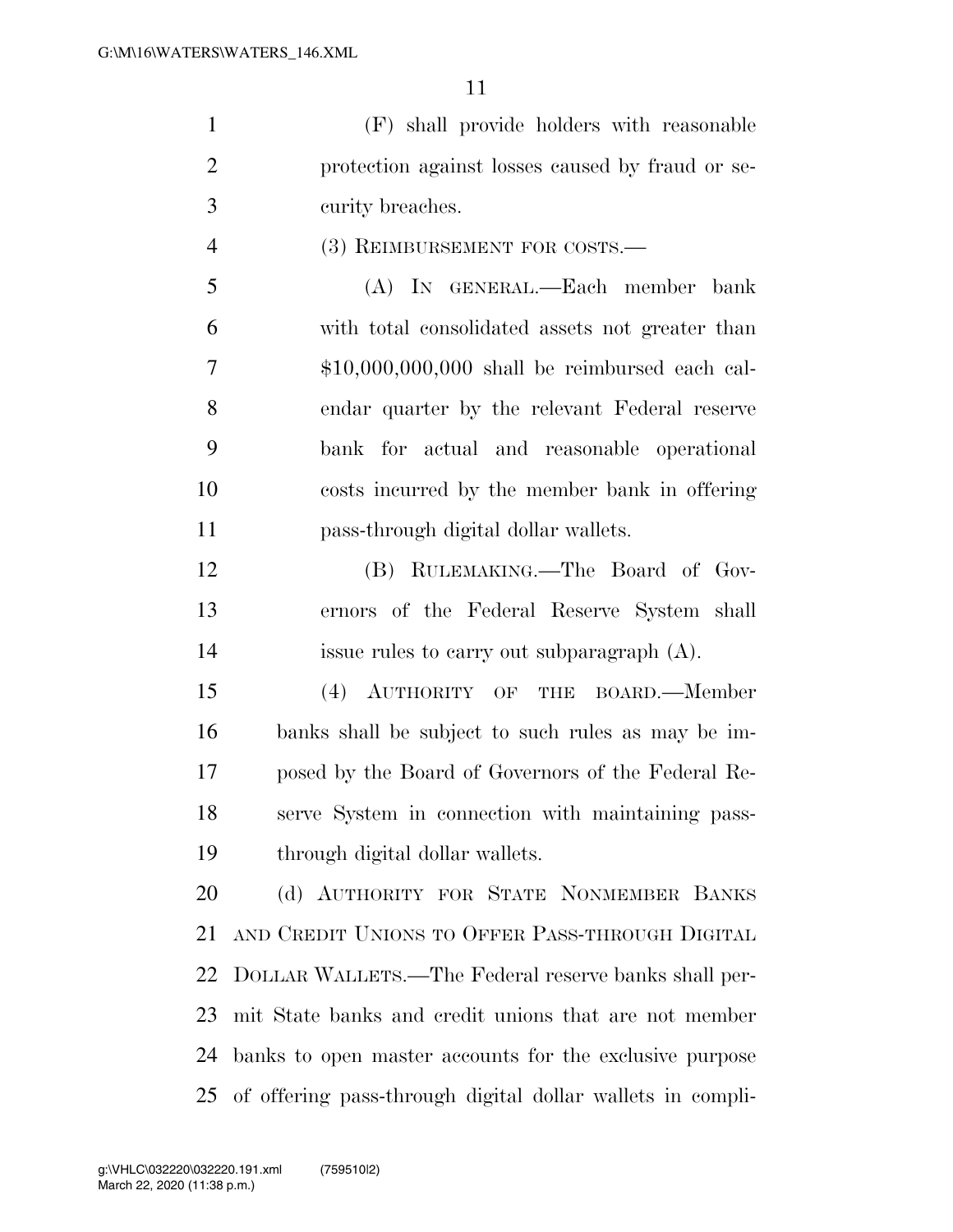(F) shall provide holders with reasonable protection against losses caused by fraud or se-curity breaches.

4 (3) REIMBURSEMENT FOR COSTS.—

 (A) IN GENERAL.—Each member bank with total consolidated assets not greater than \$10,000,000,000 shall be reimbursed each cal- endar quarter by the relevant Federal reserve bank for actual and reasonable operational costs incurred by the member bank in offering pass-through digital dollar wallets.

 (B) RULEMAKING.—The Board of Gov- ernors of the Federal Reserve System shall issue rules to carry out subparagraph (A).

 (4) AUTHORITY OF THE BOARD.—Member banks shall be subject to such rules as may be im- posed by the Board of Governors of the Federal Re- serve System in connection with maintaining pass-through digital dollar wallets.

 (d) AUTHORITY FOR STATE NONMEMBER BANKS AND CREDIT UNIONS TO OFFER PASS-THROUGH DIGITAL DOLLAR WALLETS.—The Federal reserve banks shall per- mit State banks and credit unions that are not member banks to open master accounts for the exclusive purpose of offering pass-through digital dollar wallets in compli-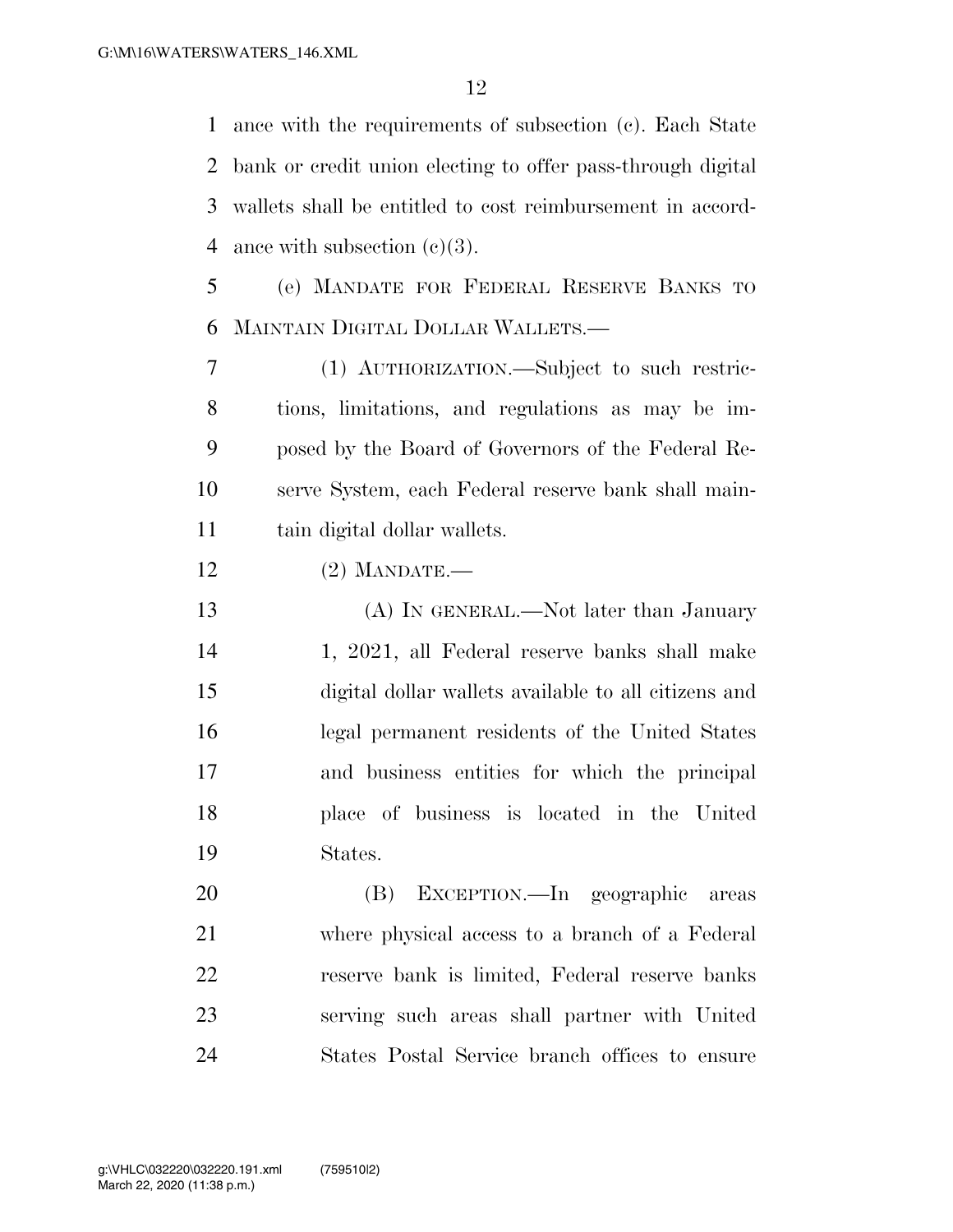ance with the requirements of subsection (c). Each State bank or credit union electing to offer pass-through digital wallets shall be entitled to cost reimbursement in accord-4 ance with subsection  $(c)(3)$ .

 (e) MANDATE FOR FEDERAL RESERVE BANKS TO MAINTAIN DIGITAL DOLLAR WALLETS.—

 (1) AUTHORIZATION.—Subject to such restric- tions, limitations, and regulations as may be im- posed by the Board of Governors of the Federal Re- serve System, each Federal reserve bank shall main-tain digital dollar wallets.

(2) MANDATE.—

 (A) IN GENERAL.—Not later than January 1, 2021, all Federal reserve banks shall make digital dollar wallets available to all citizens and legal permanent residents of the United States and business entities for which the principal place of business is located in the United States.

 (B) EXCEPTION.—In geographic areas where physical access to a branch of a Federal reserve bank is limited, Federal reserve banks serving such areas shall partner with United States Postal Service branch offices to ensure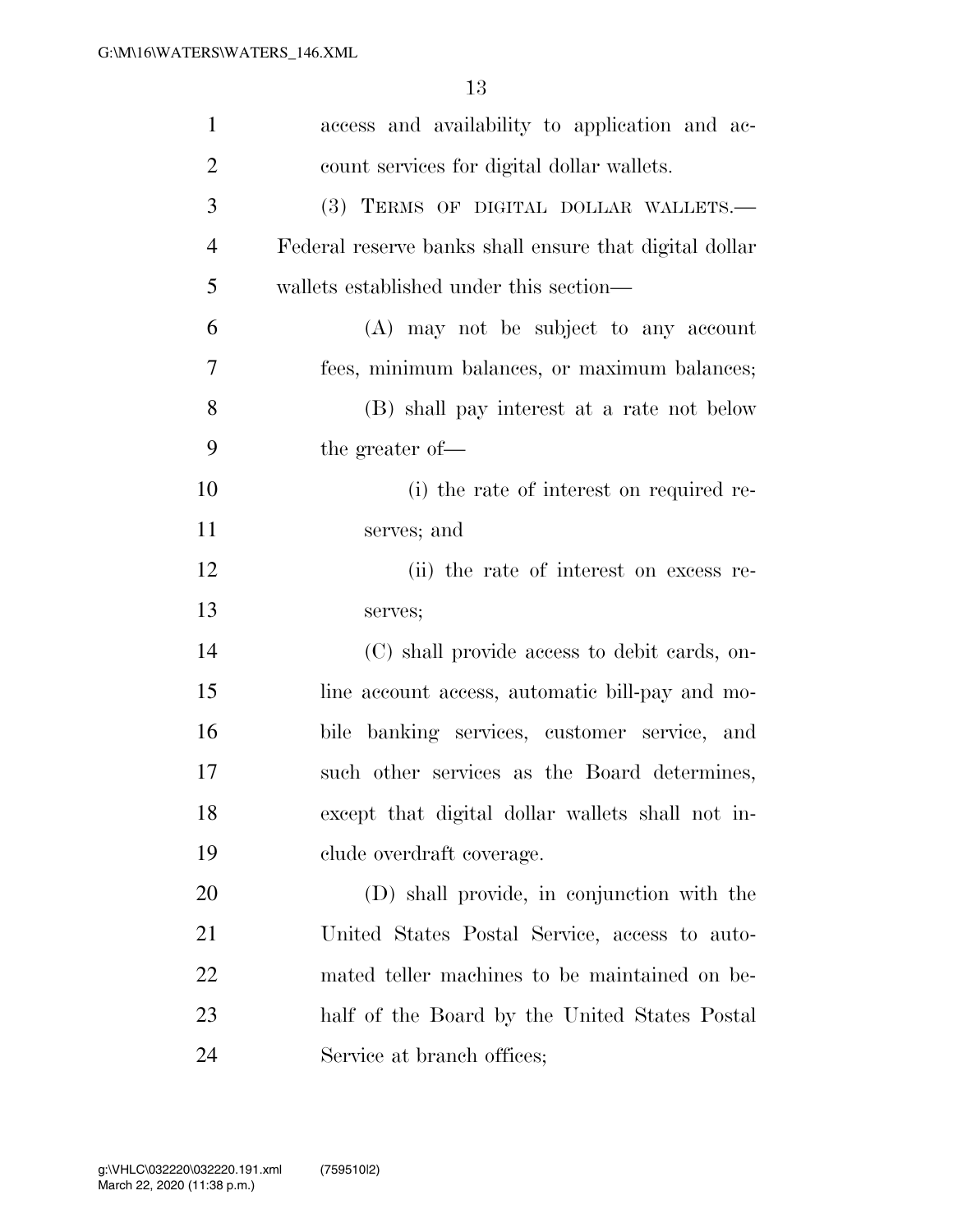| $\mathbf{1}$   | access and availability to application and ac-         |
|----------------|--------------------------------------------------------|
| $\overline{2}$ | count services for digital dollar wallets.             |
| 3              | (3) TERMS OF DIGITAL DOLLAR WALLETS.-                  |
| $\overline{4}$ | Federal reserve banks shall ensure that digital dollar |
| 5              | wallets established under this section—                |
| 6              | (A) may not be subject to any account                  |
| 7              | fees, minimum balances, or maximum balances;           |
| 8              | (B) shall pay interest at a rate not below             |
| 9              | the greater of-                                        |
| 10             | (i) the rate of interest on required re-               |
| 11             | serves; and                                            |
| 12             | (ii) the rate of interest on excess re-                |
| 13             | serves;                                                |
| 14             | (C) shall provide access to debit cards, on-           |
| 15             | line account access, automatic bill-pay and mo-        |
| 16             | bile banking services, customer service, and           |
| 17             | such other services as the Board determines,           |
| 18             | except that digital dollar wallets shall not in-       |
| 19             | clude overdraft coverage.                              |
| <b>20</b>      | (D) shall provide, in conjunction with the             |
| 21             | United States Postal Service, access to auto-          |
| 22             | mated teller machines to be maintained on be-          |
| 23             | half of the Board by the United States Postal          |
| 24             | Service at branch offices;                             |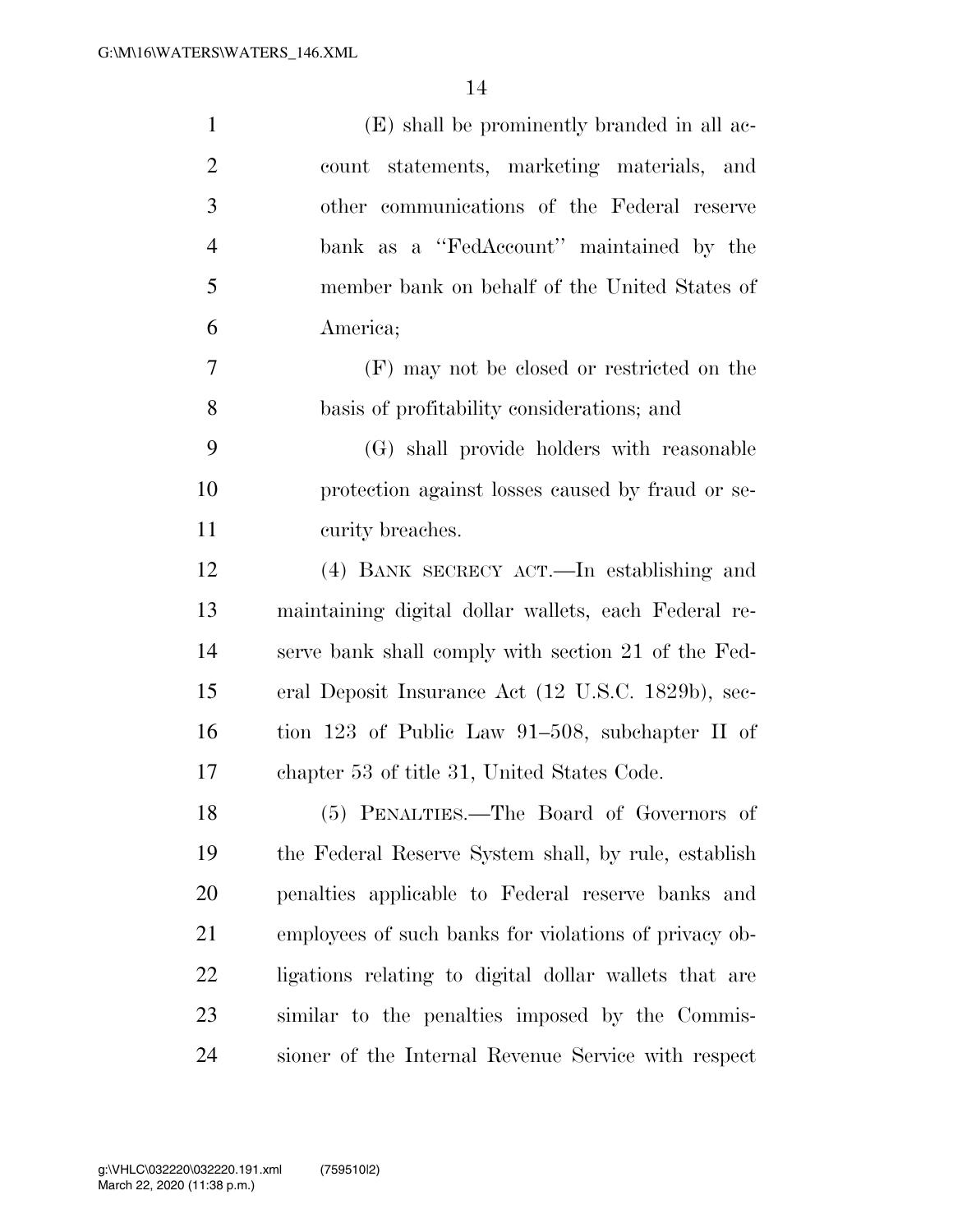| $\mathbf{1}$   | (E) shall be prominently branded in all ac-           |
|----------------|-------------------------------------------------------|
| $\overline{2}$ | count statements, marketing materials, and            |
| 3              | other communications of the Federal reserve           |
| $\overline{4}$ | bank as a "FedAccount" maintained by the              |
| 5              | member bank on behalf of the United States of         |
| 6              | America;                                              |
| 7              | (F) may not be closed or restricted on the            |
| 8              | basis of profitability considerations; and            |
| 9              | (G) shall provide holders with reasonable             |
| 10             | protection against losses caused by fraud or se-      |
| 11             | curity breaches.                                      |
| 12             | (4) BANK SECRECY ACT.—In establishing and             |
| 13             | maintaining digital dollar wallets, each Federal re-  |
| 14             | serve bank shall comply with section 21 of the Fed-   |
| 15             | eral Deposit Insurance Act (12 U.S.C. 1829b), sec-    |
| 16             | tion 123 of Public Law 91–508, subchapter II of       |
| 17             | chapter 53 of title 31, United States Code.           |
| 18             | (5) PENALTIES.—The Board of Governors of              |
| 19             | the Federal Reserve System shall, by rule, establish  |
| <b>20</b>      | penalties applicable to Federal reserve banks and     |
| 21             | employees of such banks for violations of privacy ob- |
| <u>22</u>      | ligations relating to digital dollar wallets that are |
| 23             | similar to the penalties imposed by the Commis-       |
| 24             | sioner of the Internal Revenue Service with respect   |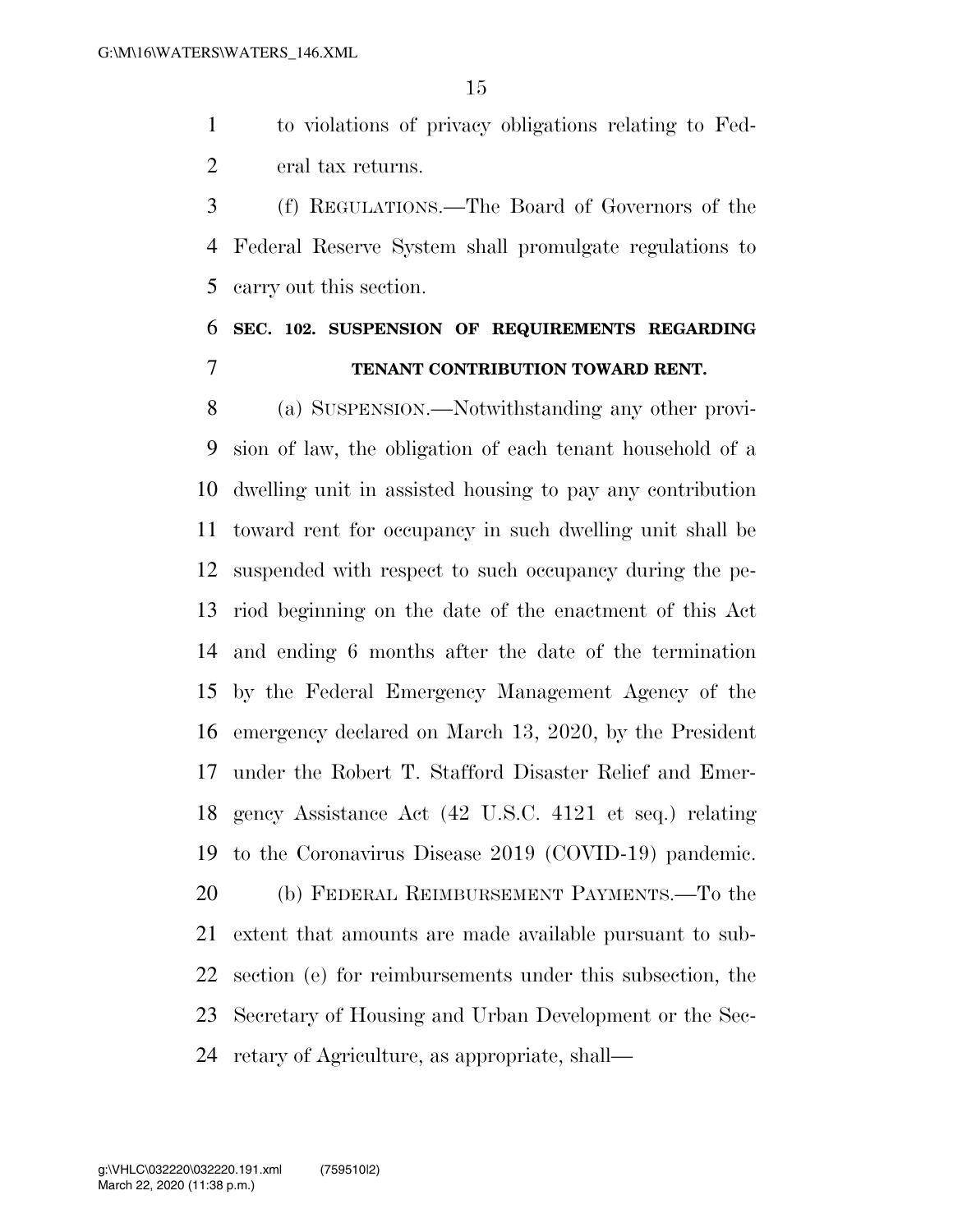to violations of privacy obligations relating to Fed-eral tax returns.

 (f) REGULATIONS.—The Board of Governors of the Federal Reserve System shall promulgate regulations to carry out this section.

# **SEC. 102. SUSPENSION OF REQUIREMENTS REGARDING TENANT CONTRIBUTION TOWARD RENT.**

 (a) SUSPENSION.—Notwithstanding any other provi- sion of law, the obligation of each tenant household of a dwelling unit in assisted housing to pay any contribution toward rent for occupancy in such dwelling unit shall be suspended with respect to such occupancy during the pe- riod beginning on the date of the enactment of this Act and ending 6 months after the date of the termination by the Federal Emergency Management Agency of the emergency declared on March 13, 2020, by the President under the Robert T. Stafford Disaster Relief and Emer- gency Assistance Act (42 U.S.C. 4121 et seq.) relating to the Coronavirus Disease 2019 (COVID-19) pandemic. (b) FEDERAL REIMBURSEMENT PAYMENTS.—To the extent that amounts are made available pursuant to sub- section (e) for reimbursements under this subsection, the Secretary of Housing and Urban Development or the Sec-retary of Agriculture, as appropriate, shall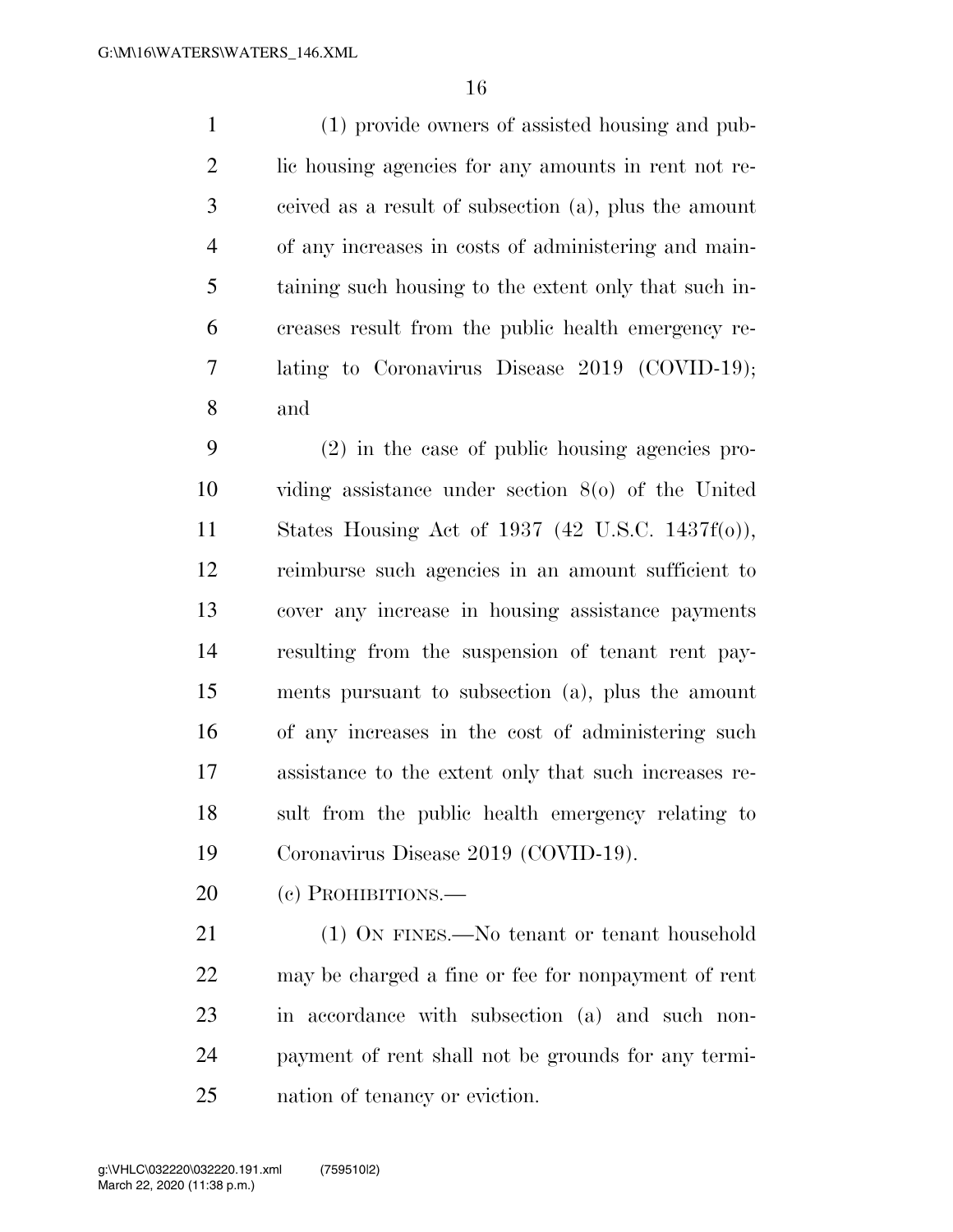(1) provide owners of assisted housing and pub- lic housing agencies for any amounts in rent not re- ceived as a result of subsection (a), plus the amount of any increases in costs of administering and main- taining such housing to the extent only that such in- creases result from the public health emergency re- lating to Coronavirus Disease 2019 (COVID-19); and

 (2) in the case of public housing agencies pro- viding assistance under section 8(o) of the United States Housing Act of 1937 (42 U.S.C. 1437f(o)), reimburse such agencies in an amount sufficient to cover any increase in housing assistance payments resulting from the suspension of tenant rent pay- ments pursuant to subsection (a), plus the amount of any increases in the cost of administering such assistance to the extent only that such increases re- sult from the public health emergency relating to Coronavirus Disease 2019 (COVID-19).

20 (c) PROHIBITIONS.—

21 (1) ON FINES.—No tenant or tenant household may be charged a fine or fee for nonpayment of rent in accordance with subsection (a) and such non- payment of rent shall not be grounds for any termi-nation of tenancy or eviction.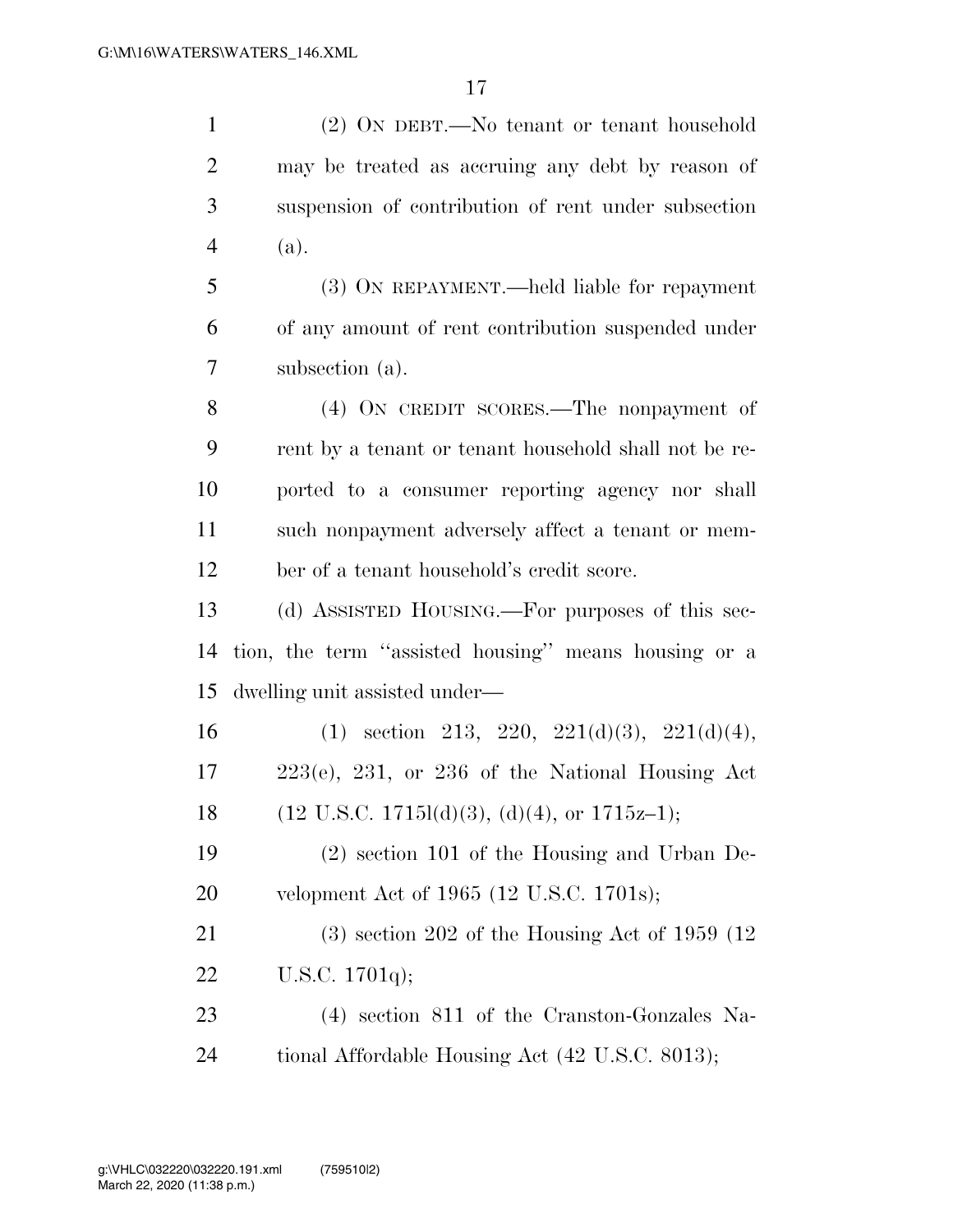(2) ON DEBT.—No tenant or tenant household may be treated as accruing any debt by reason of suspension of contribution of rent under subsection (a).

 (3) ON REPAYMENT.—held liable for repayment of any amount of rent contribution suspended under subsection (a).

 (4) ON CREDIT SCORES.—The nonpayment of rent by a tenant or tenant household shall not be re- ported to a consumer reporting agency nor shall such nonpayment adversely affect a tenant or mem-ber of a tenant household's credit score.

 (d) ASSISTED HOUSING.—For purposes of this sec- tion, the term ''assisted housing'' means housing or a dwelling unit assisted under—

16 (1) section 213, 220, 221(d)(3), 221(d)(4), 223(e), 231, or 236 of the National Housing Act 18 (12 U.S.C. 1715l(d)(3), (d)(4), or 1715z–1);

 (2) section 101 of the Housing and Urban De-velopment Act of 1965 (12 U.S.C. 1701s);

 (3) section 202 of the Housing Act of 1959 (12 U.S.C. 1701q);

 (4) section 811 of the Cranston-Gonzales Na-24 tional Affordable Housing Act (42 U.S.C. 8013);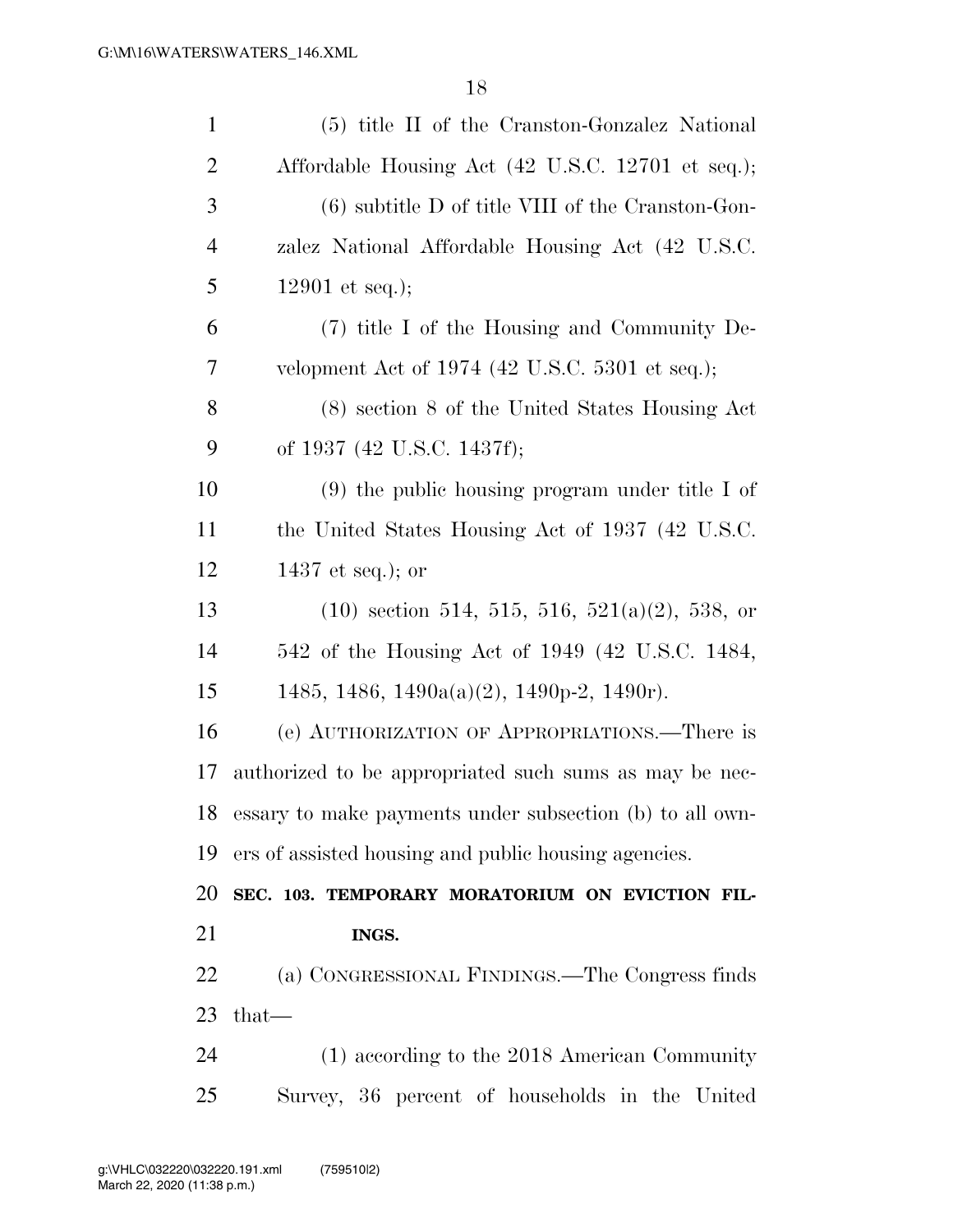| $\mathbf{1}$                   | (5) title II of the Cranston-Gonzalez National           |
|--------------------------------|----------------------------------------------------------|
| $\overline{2}$                 | Affordable Housing Act (42 U.S.C. 12701 et seq.);        |
| 3                              | $(6)$ subtitle D of title VIII of the Cranston-Gon-      |
| $\overline{4}$                 | zalez National Affordable Housing Act (42 U.S.C.         |
| 5                              | 12901 et seq.);                                          |
| 6                              | (7) title I of the Housing and Community De-             |
| 7                              | velopment Act of 1974 (42 U.S.C. 5301 et seq.);          |
| 8                              | (8) section 8 of the United States Housing Act           |
| 9                              | of 1937 (42 U.S.C. 1437f);                               |
| 10                             | $(9)$ the public housing program under title I of        |
| 11                             | the United States Housing Act of 1937 (42 U.S.C.         |
| 12                             | 1437 et seq.); or                                        |
| 13                             | $(10)$ section 514, 515, 516, 521(a)(2), 538, or         |
| 14                             | 542 of the Housing Act of 1949 (42 U.S.C. 1484,          |
|                                | 1485, 1486, 1490a(a)(2), 1490p-2, 1490r).                |
| 15                             |                                                          |
|                                | (e) AUTHORIZATION OF APPROPRIATIONS.—There is            |
| 16<br>17                       | authorized to be appropriated such sums as may be nec-   |
|                                | essary to make payments under subsection (b) to all own- |
|                                | ers of assisted housing and public housing agencies.     |
|                                | SEC. 103. TEMPORARY MORATORIUM ON EVICTION FIL-          |
|                                | INGS.                                                    |
| $18\,$<br>19<br>20<br>21<br>22 | (a) CONGRESSIONAL FINDINGS.—The Congress finds           |
| 23                             | $that-$                                                  |
| 24                             | $(1)$ according to the 2018 American Community           |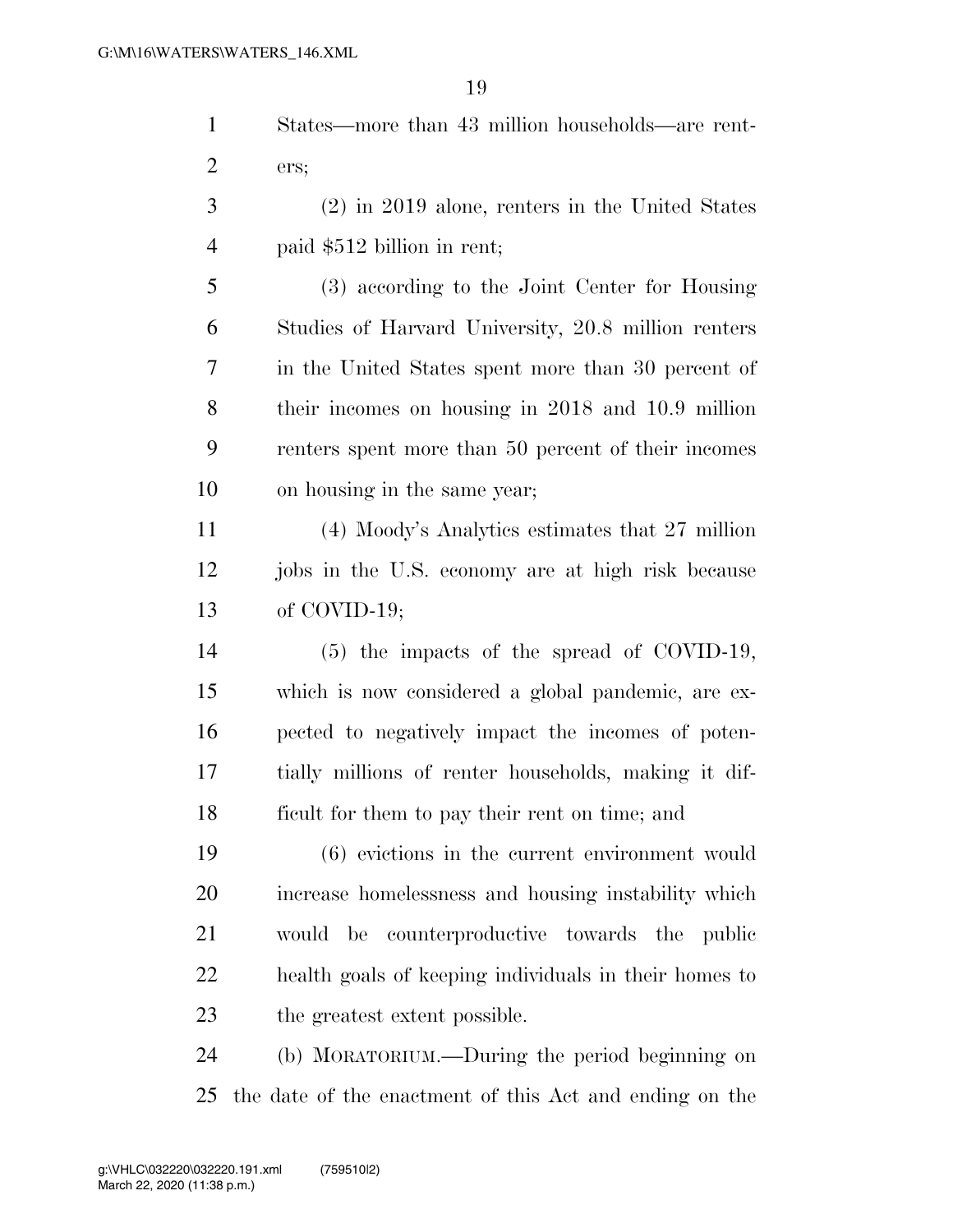States—more than 43 million households—are rent-ers;

 (2) in 2019 alone, renters in the United States paid \$512 billion in rent;

 (3) according to the Joint Center for Housing Studies of Harvard University, 20.8 million renters in the United States spent more than 30 percent of their incomes on housing in 2018 and 10.9 million renters spent more than 50 percent of their incomes on housing in the same year;

 (4) Moody's Analytics estimates that 27 million jobs in the U.S. economy are at high risk because of COVID-19;

 (5) the impacts of the spread of COVID-19, which is now considered a global pandemic, are ex- pected to negatively impact the incomes of poten- tially millions of renter households, making it dif-ficult for them to pay their rent on time; and

 (6) evictions in the current environment would increase homelessness and housing instability which would be counterproductive towards the public health goals of keeping individuals in their homes to the greatest extent possible.

 (b) MORATORIUM.—During the period beginning on the date of the enactment of this Act and ending on the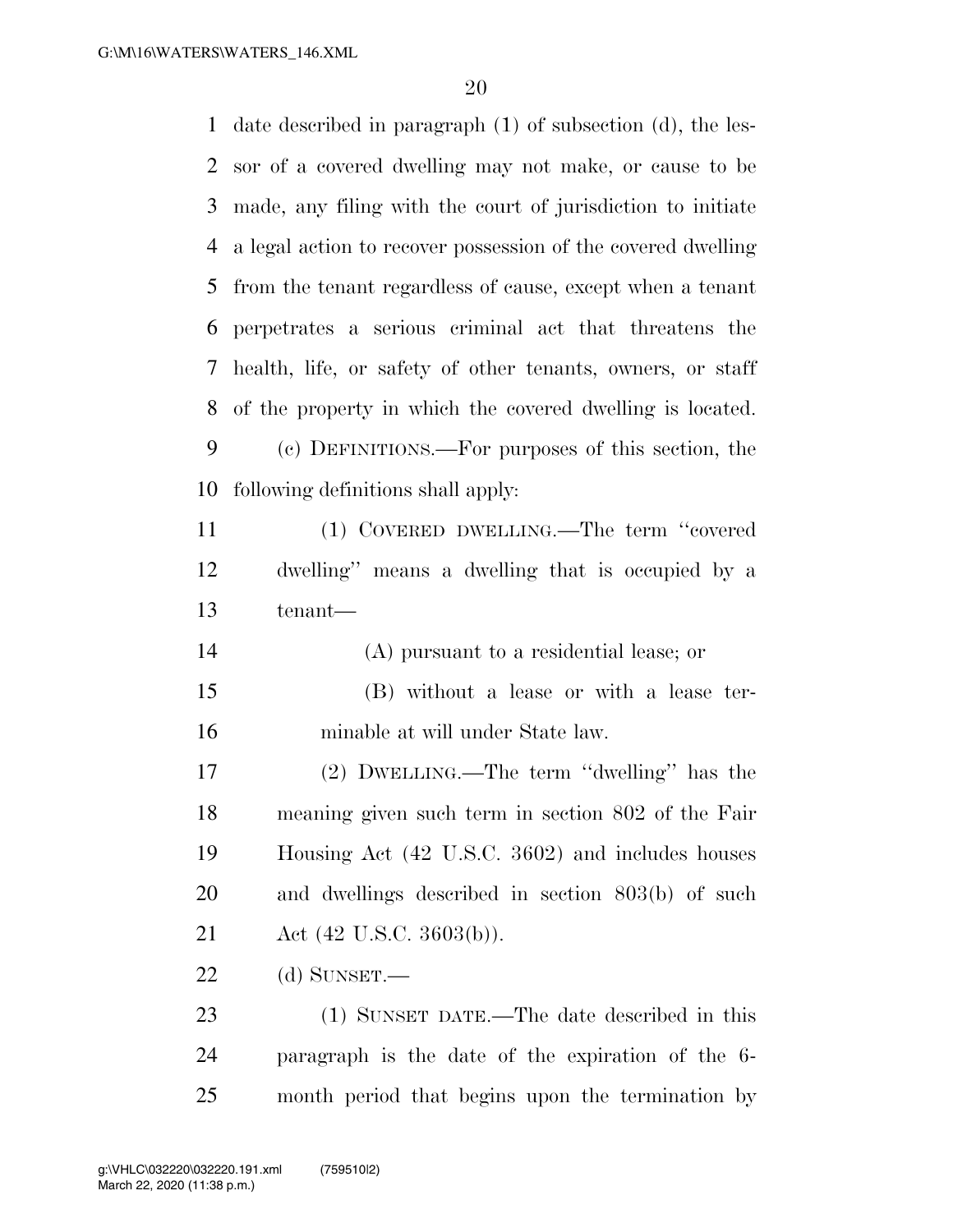date described in paragraph (1) of subsection (d), the les- sor of a covered dwelling may not make, or cause to be made, any filing with the court of jurisdiction to initiate a legal action to recover possession of the covered dwelling from the tenant regardless of cause, except when a tenant perpetrates a serious criminal act that threatens the health, life, or safety of other tenants, owners, or staff of the property in which the covered dwelling is located. (c) DEFINITIONS.—For purposes of this section, the following definitions shall apply: (1) COVERED DWELLING.—The term ''covered dwelling'' means a dwelling that is occupied by a tenant— (A) pursuant to a residential lease; or (B) without a lease or with a lease ter- minable at will under State law. (2) DWELLING.—The term ''dwelling'' has the meaning given such term in section 802 of the Fair Housing Act (42 U.S.C. 3602) and includes houses and dwellings described in section 803(b) of such Act (42 U.S.C. 3603(b)). (d) SUNSET.— (1) SUNSET DATE.—The date described in this paragraph is the date of the expiration of the 6- month period that begins upon the termination by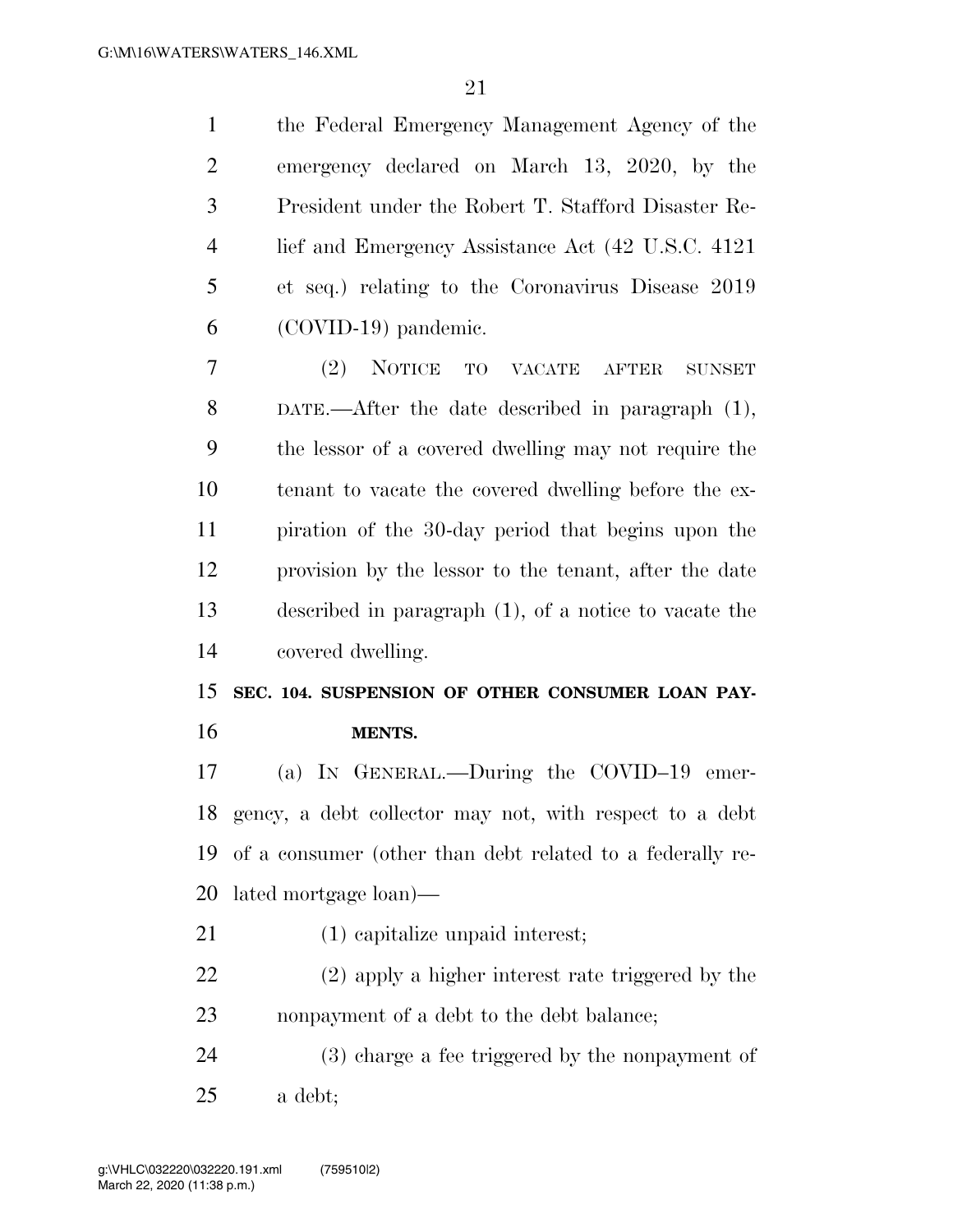the Federal Emergency Management Agency of the emergency declared on March 13, 2020, by the President under the Robert T. Stafford Disaster Re- lief and Emergency Assistance Act (42 U.S.C. 4121 et seq.) relating to the Coronavirus Disease 2019 (COVID-19) pandemic.

 (2) NOTICE TO VACATE AFTER SUNSET DATE.—After the date described in paragraph (1), the lessor of a covered dwelling may not require the tenant to vacate the covered dwelling before the ex- piration of the 30-day period that begins upon the provision by the lessor to the tenant, after the date described in paragraph (1), of a notice to vacate the covered dwelling.

 **SEC. 104. SUSPENSION OF OTHER CONSUMER LOAN PAY-MENTS.** 

 (a) IN GENERAL.—During the COVID–19 emer- gency, a debt collector may not, with respect to a debt of a consumer (other than debt related to a federally re-lated mortgage loan)—

(1) capitalize unpaid interest;

 (2) apply a higher interest rate triggered by the 23 nonpayment of a debt to the debt balance;

 (3) charge a fee triggered by the nonpayment of a debt;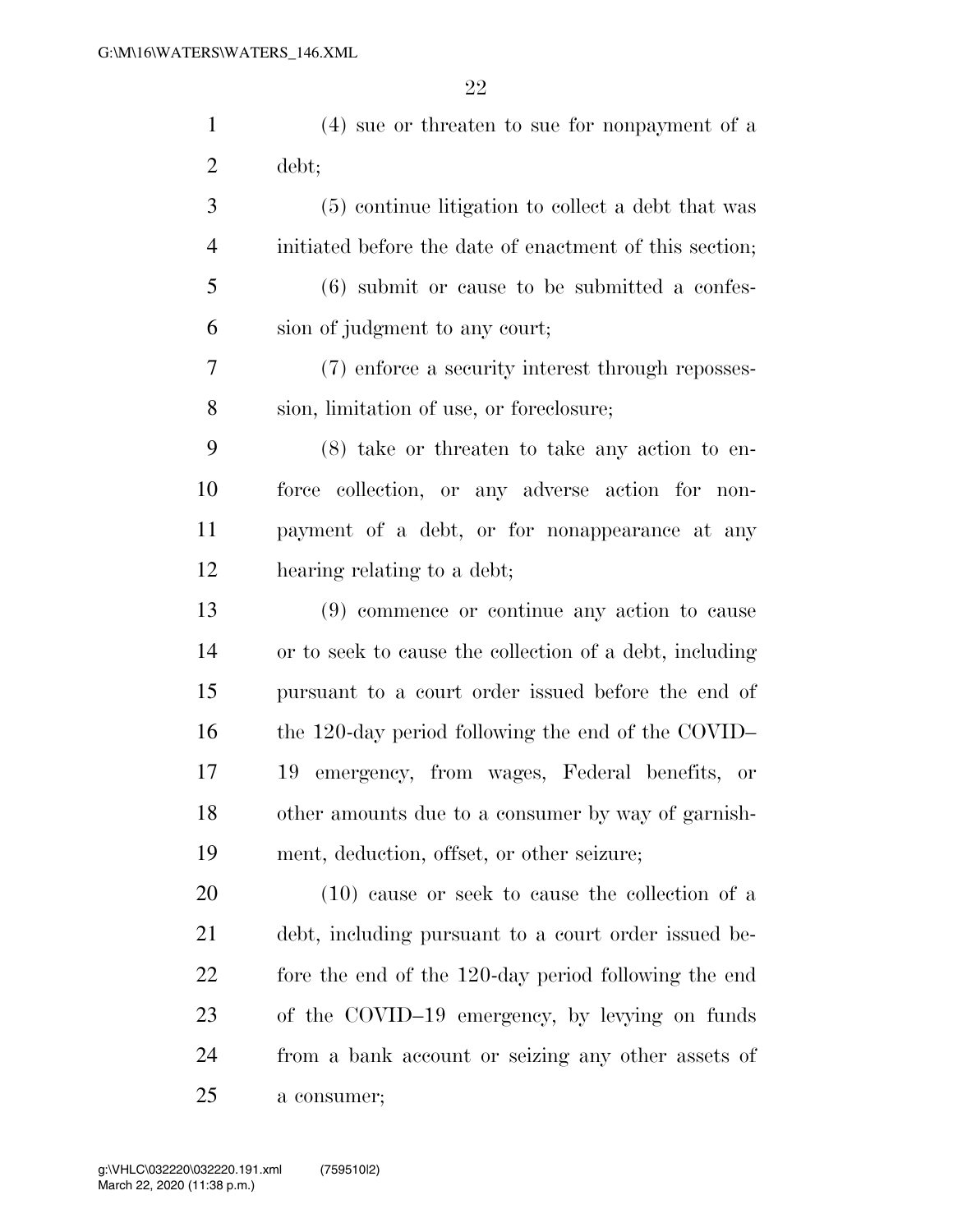| $\mathbf{1}$   | $(4)$ sue or threaten to sue for nonpayment of a        |
|----------------|---------------------------------------------------------|
| $\overline{c}$ | debt;                                                   |
| 3              | (5) continue litigation to collect a debt that was      |
| $\overline{4}$ | initiated before the date of enactment of this section; |
| 5              | $(6)$ submit or cause to be submitted a confes-         |
| 6              | sion of judgment to any court;                          |
| 7              | (7) enforce a security interest through reposses-       |
| 8              | sion, limitation of use, or foreclosure;                |
| 9              | $(8)$ take or threaten to take any action to en-        |
| 10             | force collection, or any adverse action for non-        |
| 11             | payment of a debt, or for nonappearance at any          |
| 12             | hearing relating to a debt;                             |
| 13             | $(9)$ commence or continue any action to cause          |
| 14             | or to seek to cause the collection of a debt, including |
| 15             | pursuant to a court order issued before the end of      |
| 16             | the 120-day period following the end of the COVID-      |
| 17             | emergency, from wages, Federal benefits, or<br>19       |
| 18             | other amounts due to a consumer by way of garnish-      |
| 19             | ment, deduction, offset, or other seizure;              |
| 20             | $(10)$ cause or seek to cause the collection of a       |
| 21             | debt, including pursuant to a court order issued be-    |
| 22             | fore the end of the 120-day period following the end    |
| 23             | of the COVID-19 emergency, by levying on funds          |

from a bank account or seizing any other assets of

a consumer;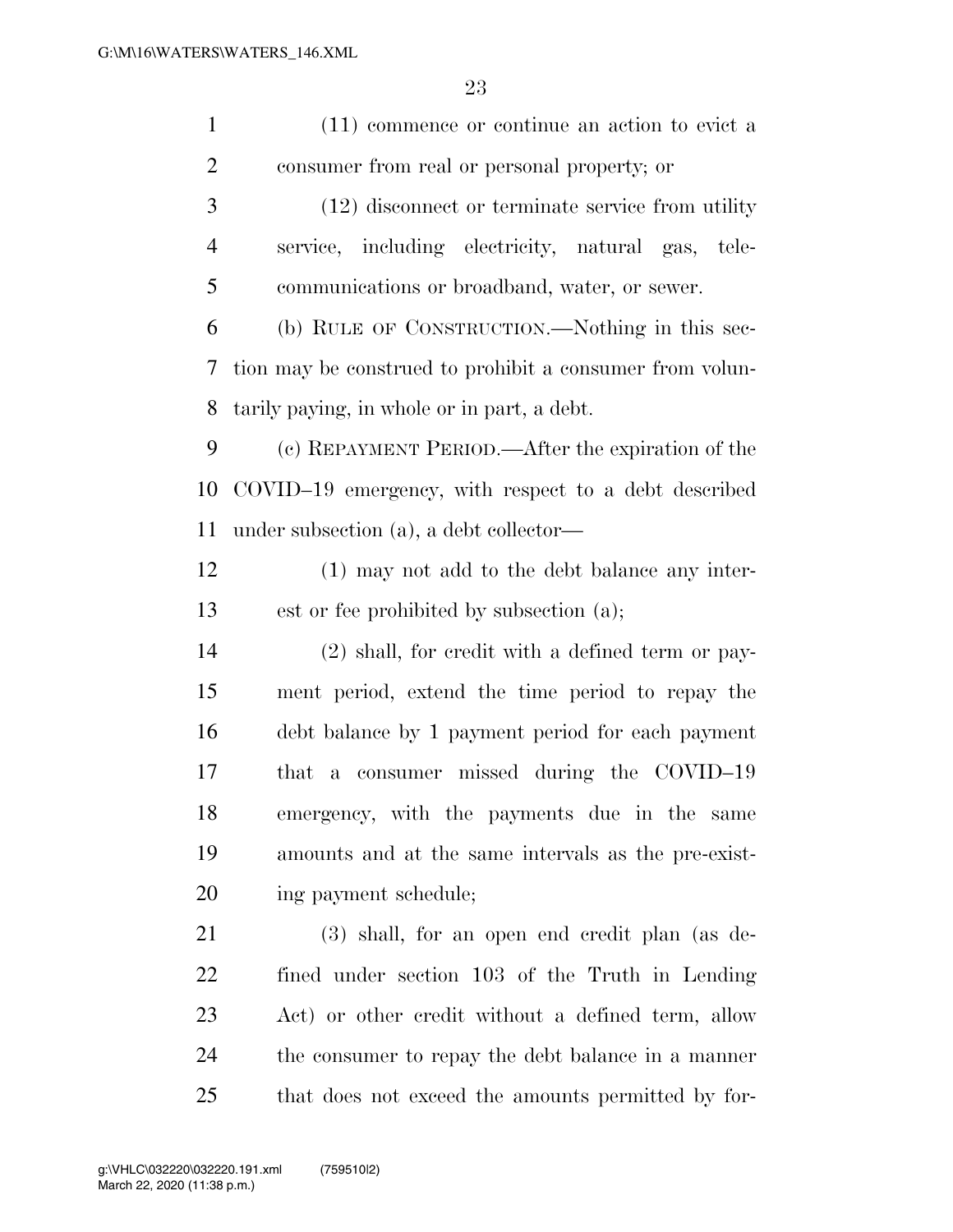| $\mathbf{1}$   | (11) commence or continue an action to evict a           |
|----------------|----------------------------------------------------------|
| $\overline{2}$ | consumer from real or personal property; or              |
| 3              | $(12)$ disconnect or terminate service from utility      |
| $\overline{4}$ | service, including electricity, natural gas, tele-       |
| 5              | communications or broadband, water, or sewer.            |
| 6              | (b) RULE OF CONSTRUCTION.—Nothing in this sec-           |
| 7              | tion may be construed to prohibit a consumer from volun- |
| 8              | tarily paying, in whole or in part, a debt.              |
| 9              | (c) REPAYMENT PERIOD.—After the expiration of the        |
| 10             | COVID-19 emergency, with respect to a debt described     |
| 11             | under subsection (a), a debt collector—                  |
| 12             | (1) may not add to the debt balance any inter-           |
| 13             | est or fee prohibited by subsection (a);                 |
| 14             | (2) shall, for credit with a defined term or pay-        |
| 15             | ment period, extend the time period to repay the         |
| 16             | debt balance by 1 payment period for each payment        |
| 17             | that a consumer missed during the COVID-19               |
| 18             | emergency, with the payments due in the same             |
| 19             | amounts and at the same intervals as the pre-exist-      |
| 20             | ing payment schedule;                                    |
| 21             | $(3)$ shall, for an open end credit plan (as de-         |
| 22             | fined under section 103 of the Truth in Lending          |
| 23             | Act) or other credit without a defined term, allow       |
| 24             | the consumer to repay the debt balance in a manner       |
| 25             | that does not exceed the amounts permitted by for-       |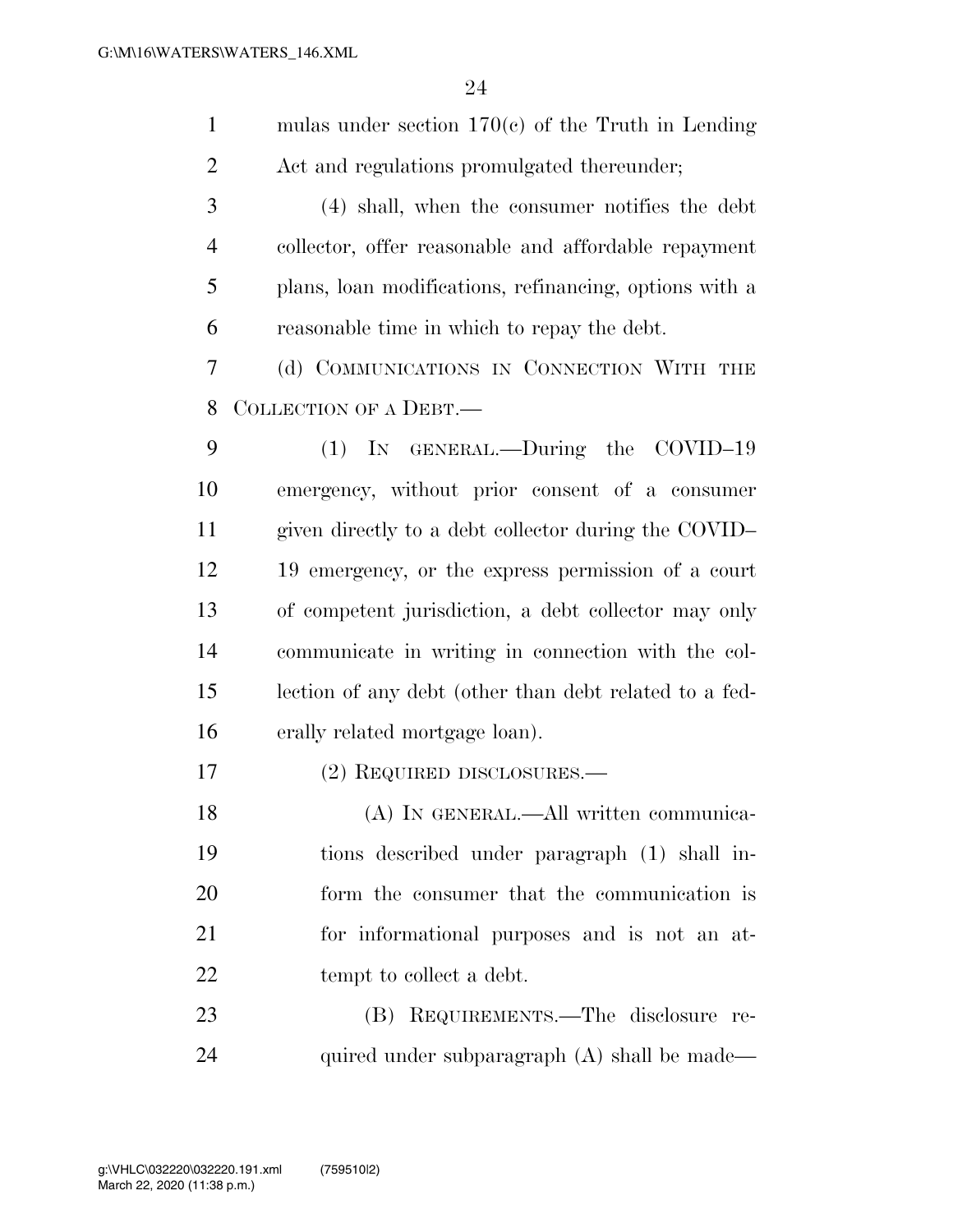| $\mathbf{1}$   | mulas under section $170(c)$ of the Truth in Lending   |
|----------------|--------------------------------------------------------|
| $\overline{2}$ | Act and regulations promulgated thereunder;            |
| 3              | (4) shall, when the consumer notifies the debt         |
| $\overline{4}$ | collector, offer reasonable and affordable repayment   |
| 5              | plans, loan modifications, refinancing, options with a |
| 6              | reasonable time in which to repay the debt.            |
| 7              | (d) COMMUNICATIONS IN CONNECTION WITH THE              |
| 8              | COLLECTION OF A DEBT.—                                 |
| 9              | (1) IN GENERAL.—During the COVID-19                    |
| 10             | emergency, without prior consent of a consumer         |
| 11             | given directly to a debt collector during the COVID-   |
| 12             | 19 emergency, or the express permission of a court     |
| 13             | of competent jurisdiction, a debt collector may only   |
| 14             | communicate in writing in connection with the col-     |
| 15             | lection of any debt (other than debt related to a fed- |
| 16             | erally related mortgage loan).                         |
| 17             | (2) REQUIRED DISCLOSURES.—                             |
| 18             | (A) IN GENERAL.—All written communica-                 |
| 19             | tions described under paragraph (1) shall in-          |
| 20             | form the consumer that the communication is            |
| 21             | for informational purposes and is not an at-           |
| 22             | tempt to collect a debt.                               |
| 23             | (B) REQUIREMENTS.—The disclosure re-                   |
| 24             | quired under subparagraph (A) shall be made—           |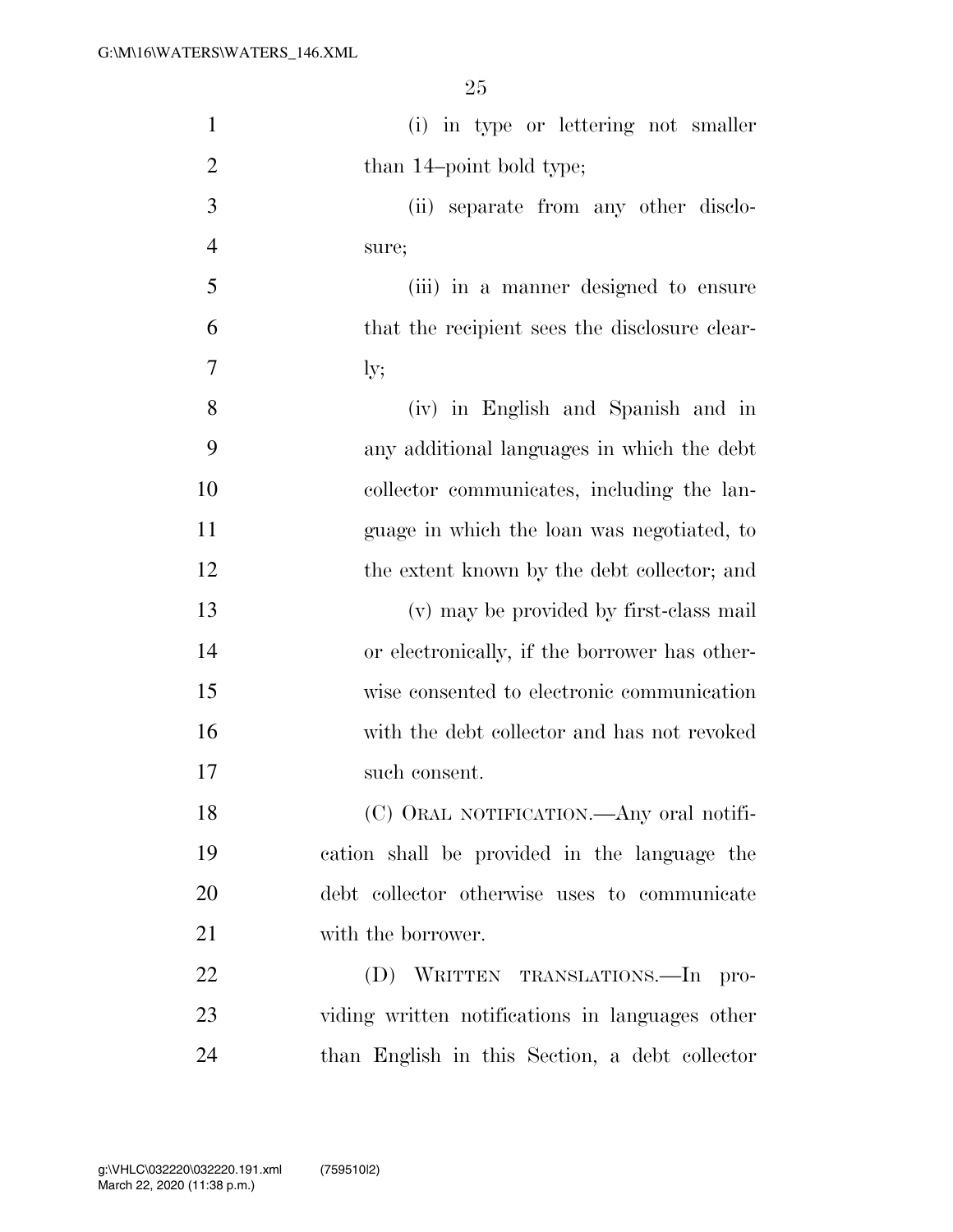| $\mathbf{1}$   | (i) in type or lettering not smaller            |
|----------------|-------------------------------------------------|
| $\overline{2}$ | than 14-point bold type;                        |
| 3              | (ii) separate from any other disclo-            |
| $\overline{4}$ | sure;                                           |
| 5              | (iii) in a manner designed to ensure            |
| 6              | that the recipient sees the disclosure clear-   |
| 7              | $\rm{ly;}$                                      |
| 8              | (iv) in English and Spanish and in              |
| 9              | any additional languages in which the debt      |
| 10             | collector communicates, including the lan-      |
| 11             | guage in which the loan was negotiated, to      |
| 12             | the extent known by the debt collector; and     |
| 13             | (v) may be provided by first-class mail         |
| 14             | or electronically, if the borrower has other-   |
| 15             | wise consented to electronic communication      |
| 16             | with the debt collector and has not revoked     |
| 17             | such consent.                                   |
| 18             | (C) ORAL NOTIFICATION. Any oral notifi-         |
| 19             | cation shall be provided in the language the    |
| 20             | debt collector otherwise uses to communicate    |
| 21             | with the borrower.                              |
| 22             | (D) WRITTEN TRANSLATIONS.—In pro-               |
| 23             | viding written notifications in languages other |
| 24             | than English in this Section, a debt collector  |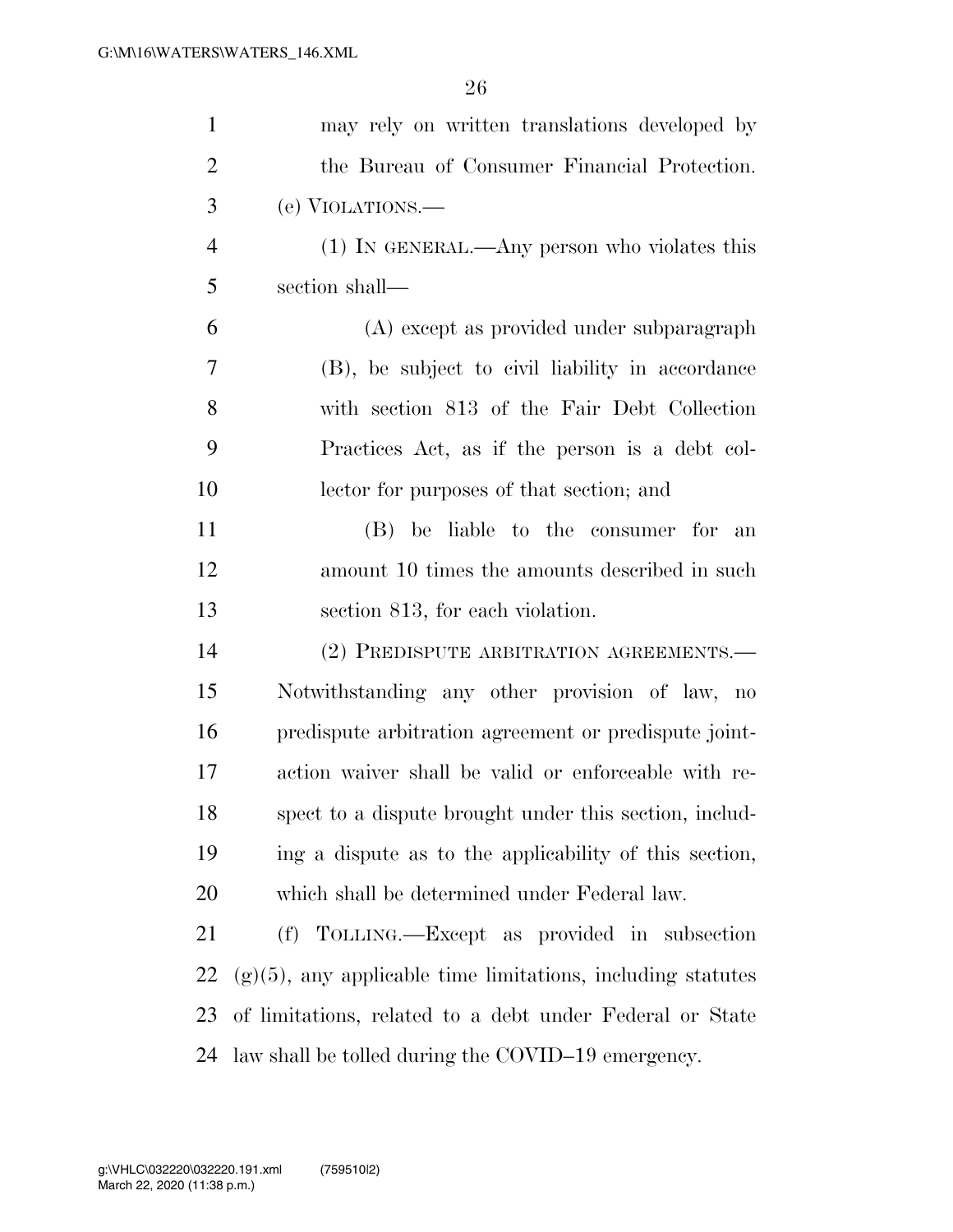| $\mathbf{1}$   | may rely on written translations developed by                  |
|----------------|----------------------------------------------------------------|
| $\overline{2}$ | the Bureau of Consumer Financial Protection.                   |
| 3              | (e) VIOLATIONS.—                                               |
| $\overline{4}$ | $(1)$ In GENERAL.—Any person who violates this                 |
| 5              | section shall-                                                 |
| 6              | (A) except as provided under subparagraph                      |
| 7              | (B), be subject to civil liability in accordance               |
| 8              | with section 813 of the Fair Debt Collection                   |
| 9              | Practices Act, as if the person is a debt col-                 |
| 10             | lector for purposes of that section; and                       |
| 11             | (B) be liable to the consumer for an                           |
| 12             | amount 10 times the amounts described in such                  |
| 13             | section 813, for each violation.                               |
| 14             | (2) PREDISPUTE ARBITRATION AGREEMENTS.-                        |
| 15             | Notwithstanding any other provision of law, no                 |
| 16             | predispute arbitration agreement or predispute joint-          |
| 17             |                                                                |
|                | action waiver shall be valid or enforceable with re-           |
| 18             | spect to a dispute brought under this section, includ-         |
| 19             | ing a dispute as to the applicability of this section,         |
| 20             | which shall be determined under Federal law.                   |
| 21             | (f) TOLLING.—Except as provided in subsection                  |
| 22             | $(g)(5)$ , any applicable time limitations, including statutes |
| 23             | of limitations, related to a debt under Federal or State       |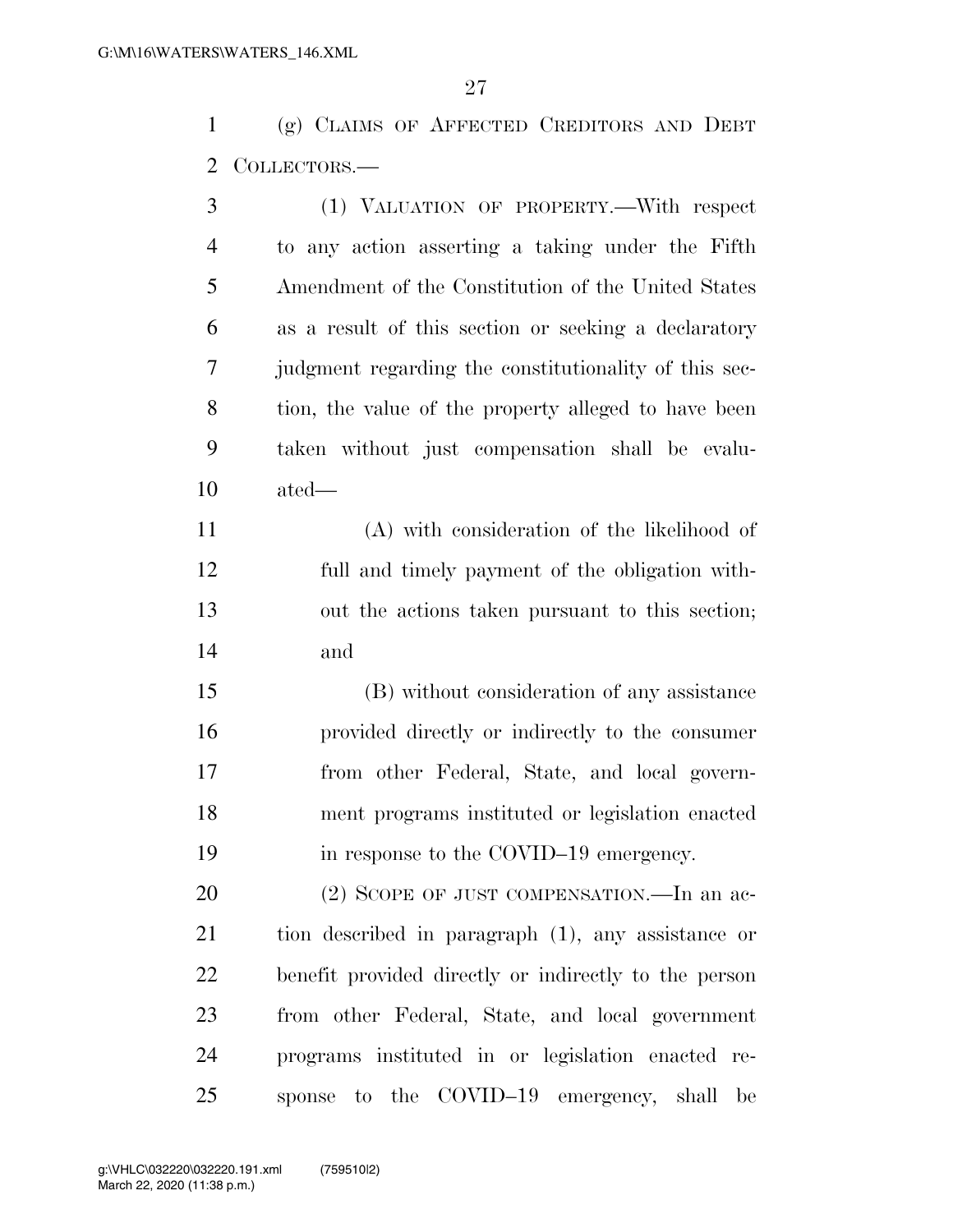(g) CLAIMS OF AFFECTED CREDITORS AND DEBT COLLECTORS.—

| 3              | (1) VALUATION OF PROPERTY.—With respect               |
|----------------|-------------------------------------------------------|
| $\overline{4}$ | to any action asserting a taking under the Fifth      |
| 5              | Amendment of the Constitution of the United States    |
| 6              | as a result of this section or seeking a declaratory  |
| 7              | judgment regarding the constitutionality of this sec- |
| 8              | tion, the value of the property alleged to have been  |
| 9              | taken without just compensation shall be evalu-       |
| 10             | ated-                                                 |
| 11             | (A) with consideration of the likelihood of           |
| 12             | full and timely payment of the obligation with-       |
| 13             | out the actions taken pursuant to this section;       |
| 14             | and                                                   |
| 15             | (B) without consideration of any assistance           |
| 16             | provided directly or indirectly to the consumer       |
| 17             | from other Federal, State, and local govern-          |
| 18             | ment programs instituted or legislation enacted       |
| 19             | in response to the COVID-19 emergency.                |
| 20             | (2) SCOPE OF JUST COMPENSATION.—In an ac-             |
| 21             | tion described in paragraph (1), any assistance or    |
| 22             | benefit provided directly or indirectly to the person |
| 23             | from other Federal, State, and local government       |
| 24             | programs instituted in or legislation enacted re-     |
| 25             | sponse to the COVID-19 emergency, shall be            |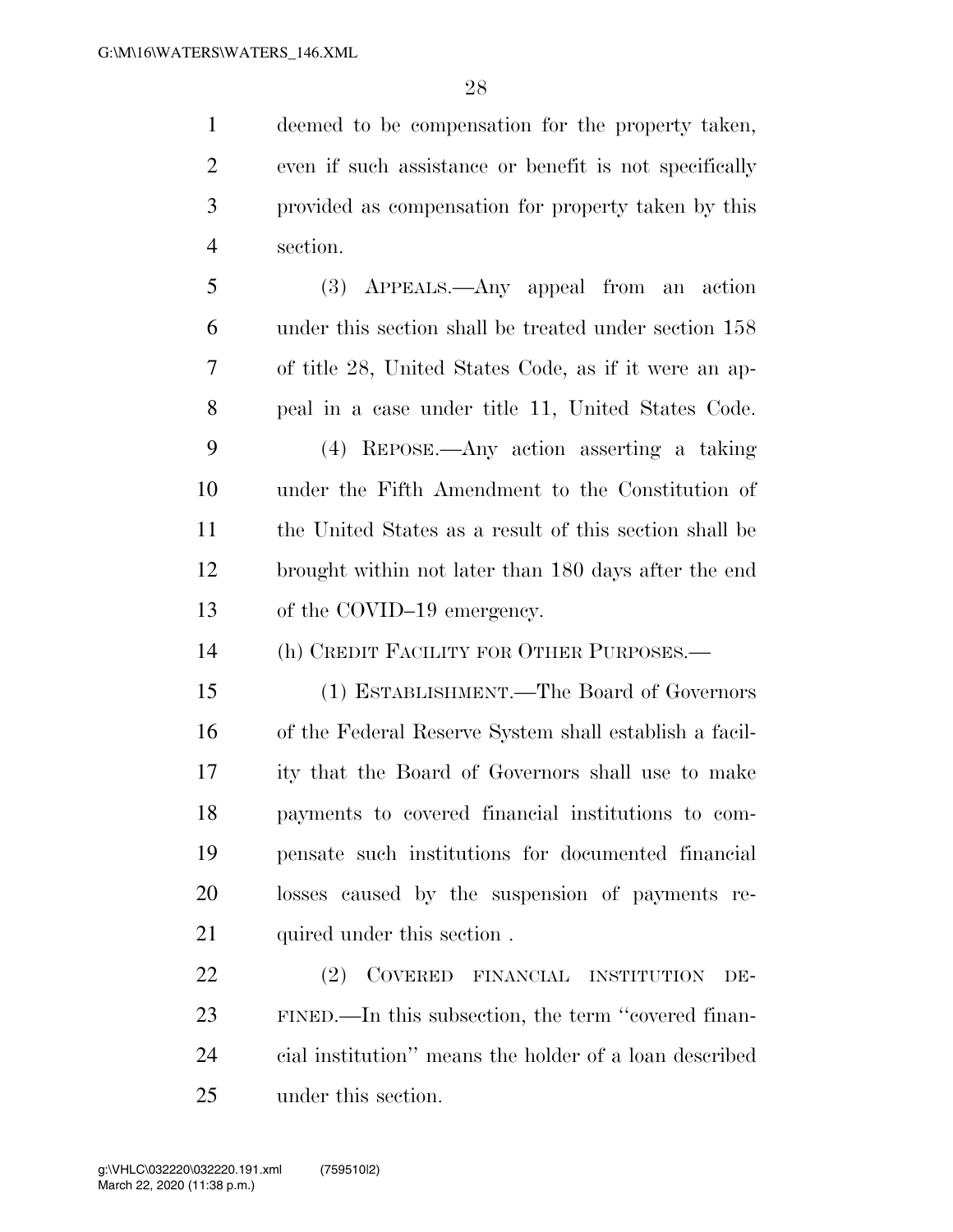deemed to be compensation for the property taken, even if such assistance or benefit is not specifically provided as compensation for property taken by this section.

 (3) APPEALS.—Any appeal from an action under this section shall be treated under section 158 of title 28, United States Code, as if it were an ap- peal in a case under title 11, United States Code. (4) REPOSE.—Any action asserting a taking

 under the Fifth Amendment to the Constitution of the United States as a result of this section shall be brought within not later than 180 days after the end 13 of the COVID–19 emergency.

(h) CREDIT FACILITY FOR OTHER PURPOSES.—

 (1) ESTABLISHMENT.—The Board of Governors of the Federal Reserve System shall establish a facil- ity that the Board of Governors shall use to make payments to covered financial institutions to com- pensate such institutions for documented financial losses caused by the suspension of payments re-21 quired under this section.

 (2) COVERED FINANCIAL INSTITUTION DE- FINED.—In this subsection, the term ''covered finan- cial institution'' means the holder of a loan described under this section.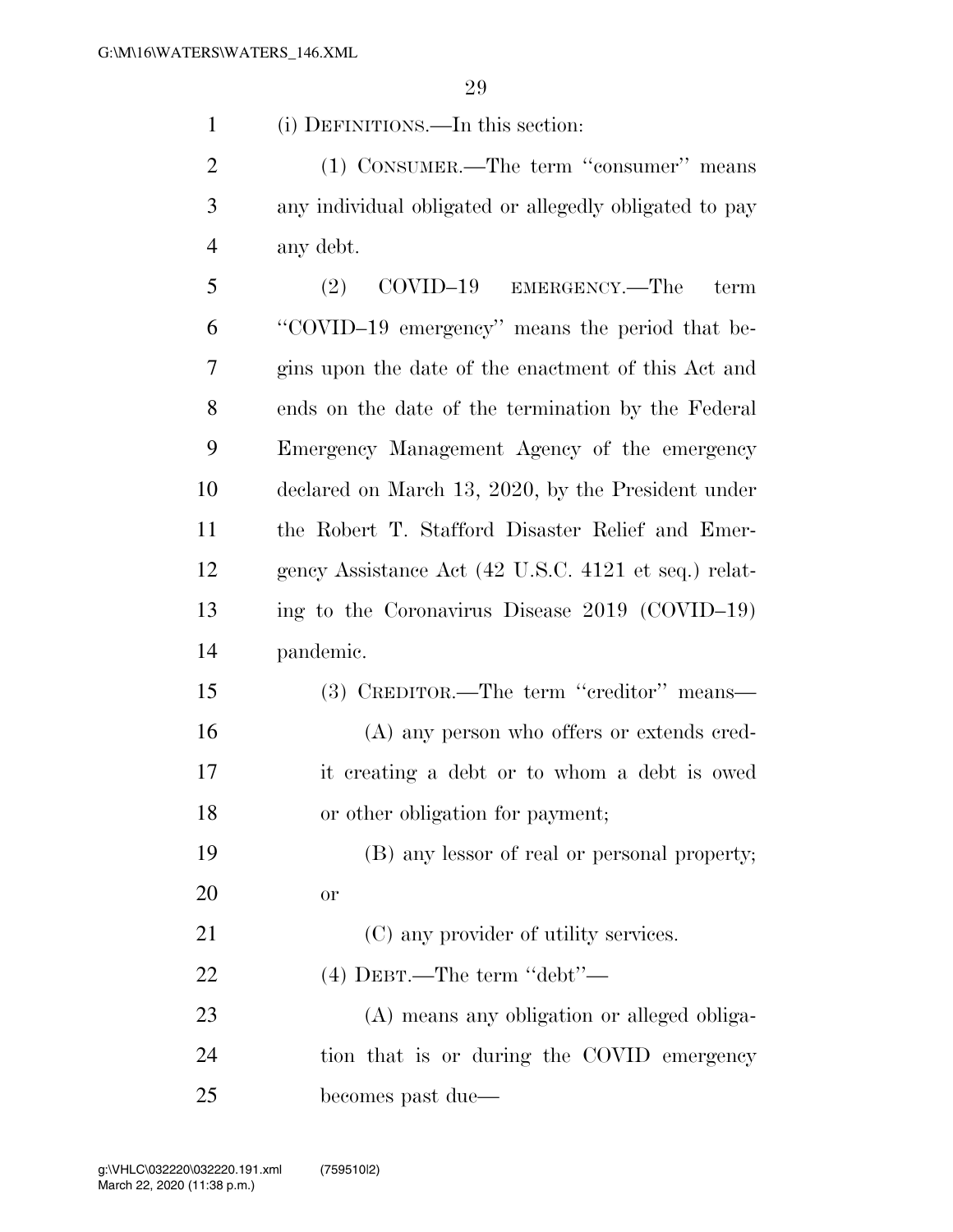(i) DEFINITIONS.—In this section:

2 (1) CONSUMER.—The term "consumer" means any individual obligated or allegedly obligated to pay any debt.

 (2) COVID–19 EMERGENCY.—The term ''COVID–19 emergency'' means the period that be- gins upon the date of the enactment of this Act and ends on the date of the termination by the Federal Emergency Management Agency of the emergency declared on March 13, 2020, by the President under the Robert T. Stafford Disaster Relief and Emer- gency Assistance Act (42 U.S.C. 4121 et seq.) relat- ing to the Coronavirus Disease 2019 (COVID–19) pandemic.

 (3) CREDITOR.—The term ''creditor'' means— (A) any person who offers or extends cred- it creating a debt or to whom a debt is owed or other obligation for payment;

 (B) any lessor of real or personal property; or

21 (C) any provider of utility services.

(4) DEBT.—The term ''debt''—

 (A) means any obligation or alleged obliga- tion that is or during the COVID emergency becomes past due—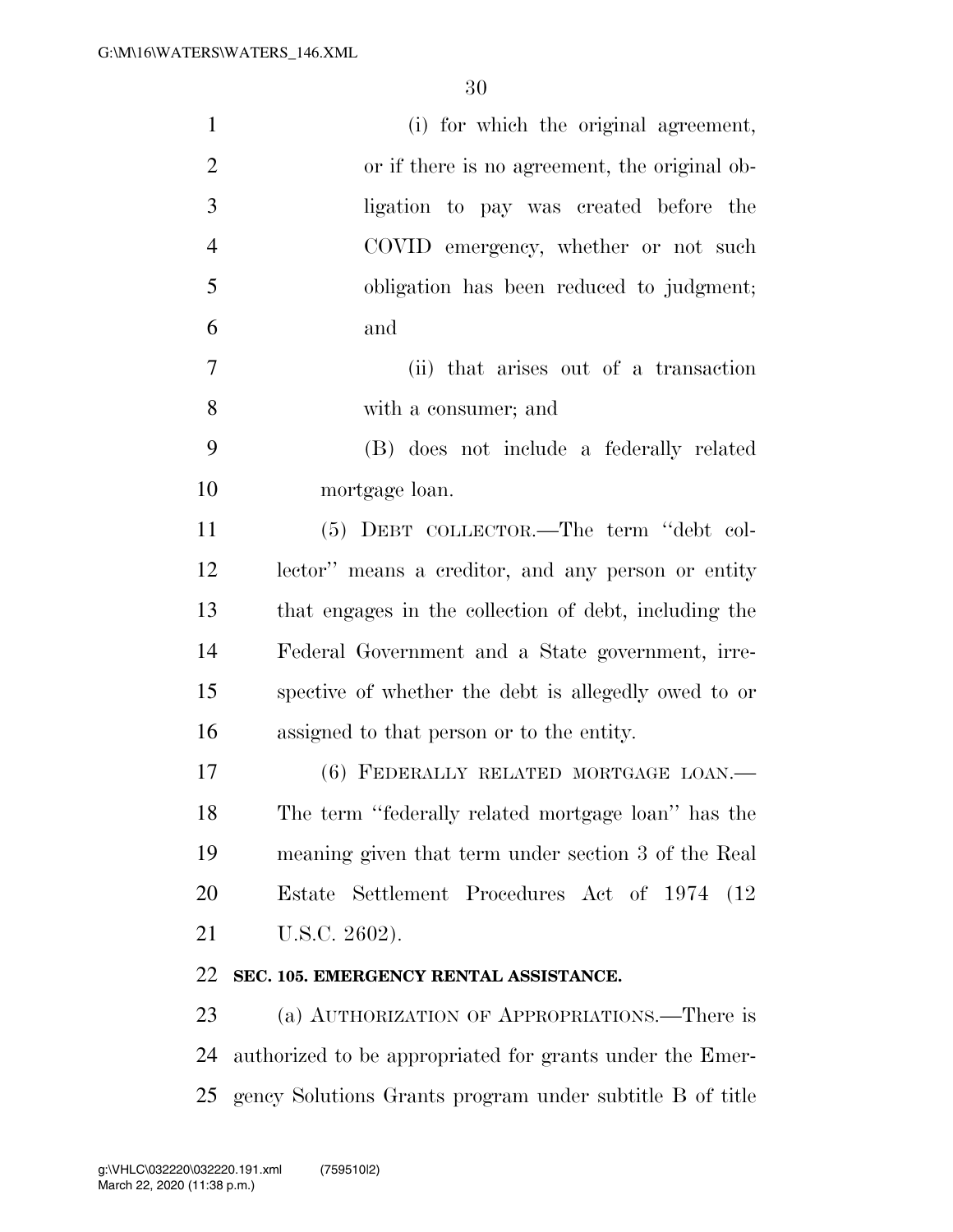| $\mathbf{1}$   | (i) for which the original agreement,                    |
|----------------|----------------------------------------------------------|
| $\overline{2}$ | or if there is no agreement, the original ob-            |
| 3              | ligation to pay was created before the                   |
| $\overline{4}$ | COVID emergency, whether or not such                     |
| 5              | obligation has been reduced to judgment;                 |
| 6              | and                                                      |
| 7              | (ii) that arises out of a transaction                    |
| 8              | with a consumer; and                                     |
| 9              | (B) does not include a federally related                 |
| 10             | mortgage loan.                                           |
| 11             | (5) DEBT COLLECTOR.—The term "debt col-                  |
| 12             | lector" means a creditor, and any person or entity       |
| 13             | that engages in the collection of debt, including the    |
| 14             | Federal Government and a State government, irre-         |
| 15             | spective of whether the debt is allegedly owed to or     |
| 16             | assigned to that person or to the entity.                |
| 17             | (6) FEDERALLY RELATED MORTGAGE LOAN.-                    |
| 18             | The term "federally related mortgage loan" has the       |
| 19             | meaning given that term under section 3 of the Real      |
| 20             | Estate Settlement Procedures Act of 1974 (12)            |
| 21             | U.S.C. 2602).                                            |
| 22             | SEC. 105. EMERGENCY RENTAL ASSISTANCE.                   |
| 23             | (a) AUTHORIZATION OF APPROPRIATIONS.—There is            |
| 24             | authorized to be appropriated for grants under the Emer- |
| 25             | gency Solutions Grants program under subtitle B of title |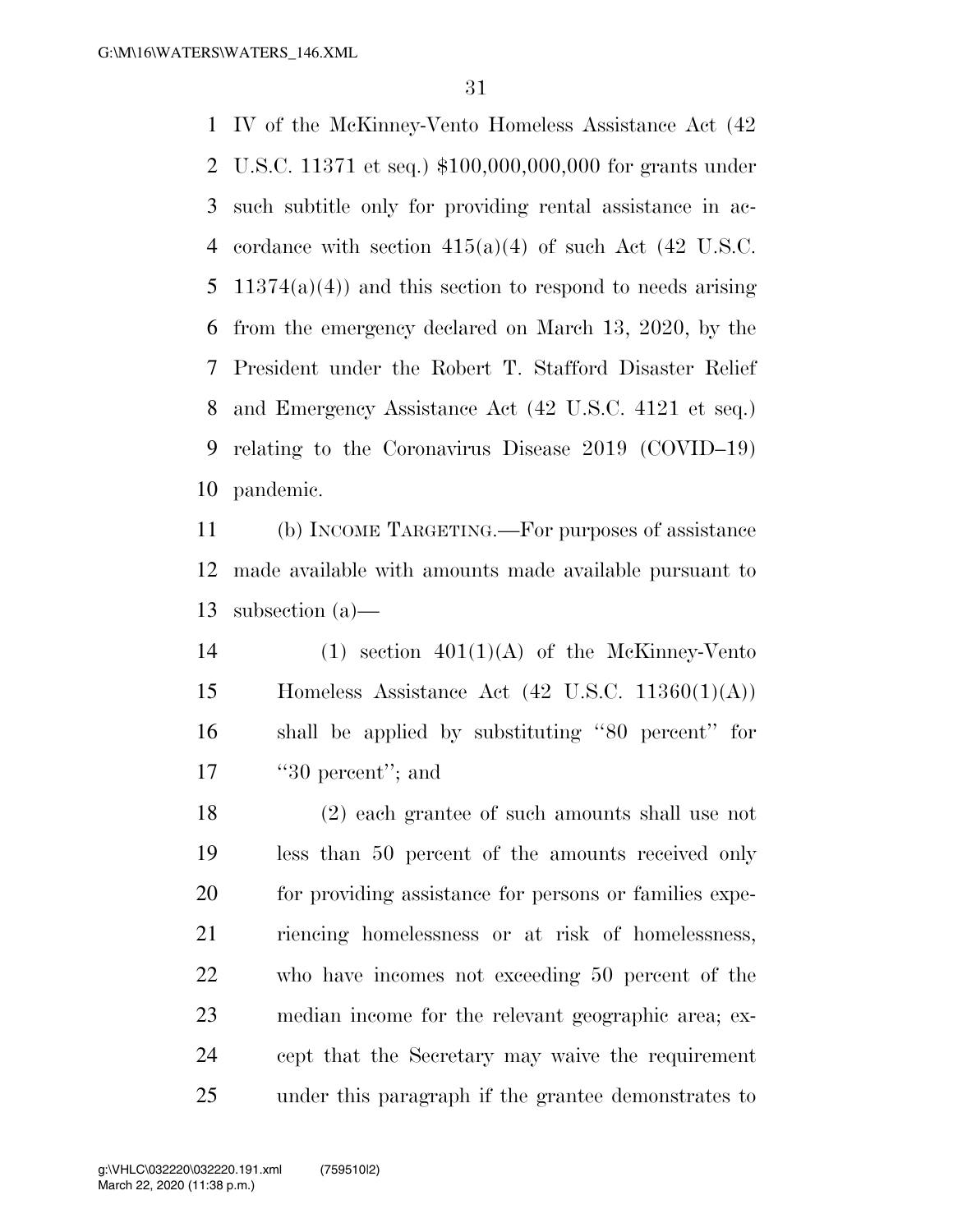IV of the McKinney-Vento Homeless Assistance Act (42 U.S.C. 11371 et seq.) \$100,000,000,000 for grants under such subtitle only for providing rental assistance in ac-4 cordance with section  $415(a)(4)$  of such Act  $(42 \text{ U.S.C.})$ 5 11374(a)(4)) and this section to respond to needs arising from the emergency declared on March 13, 2020, by the President under the Robert T. Stafford Disaster Relief and Emergency Assistance Act (42 U.S.C. 4121 et seq.) relating to the Coronavirus Disease 2019 (COVID–19) pandemic.

 (b) INCOME TARGETING.—For purposes of assistance made available with amounts made available pursuant to subsection (a)—

14 (1) section  $401(1)(A)$  of the McKinney-Vento 15 Homeless Assistance Act  $(42 \text{ U.S.C. } 11360(1)(\text{A}))$  shall be applied by substituting ''80 percent'' for 17 ''30 percent''; and

 (2) each grantee of such amounts shall use not less than 50 percent of the amounts received only for providing assistance for persons or families expe- riencing homelessness or at risk of homelessness, who have incomes not exceeding 50 percent of the median income for the relevant geographic area; ex- cept that the Secretary may waive the requirement under this paragraph if the grantee demonstrates to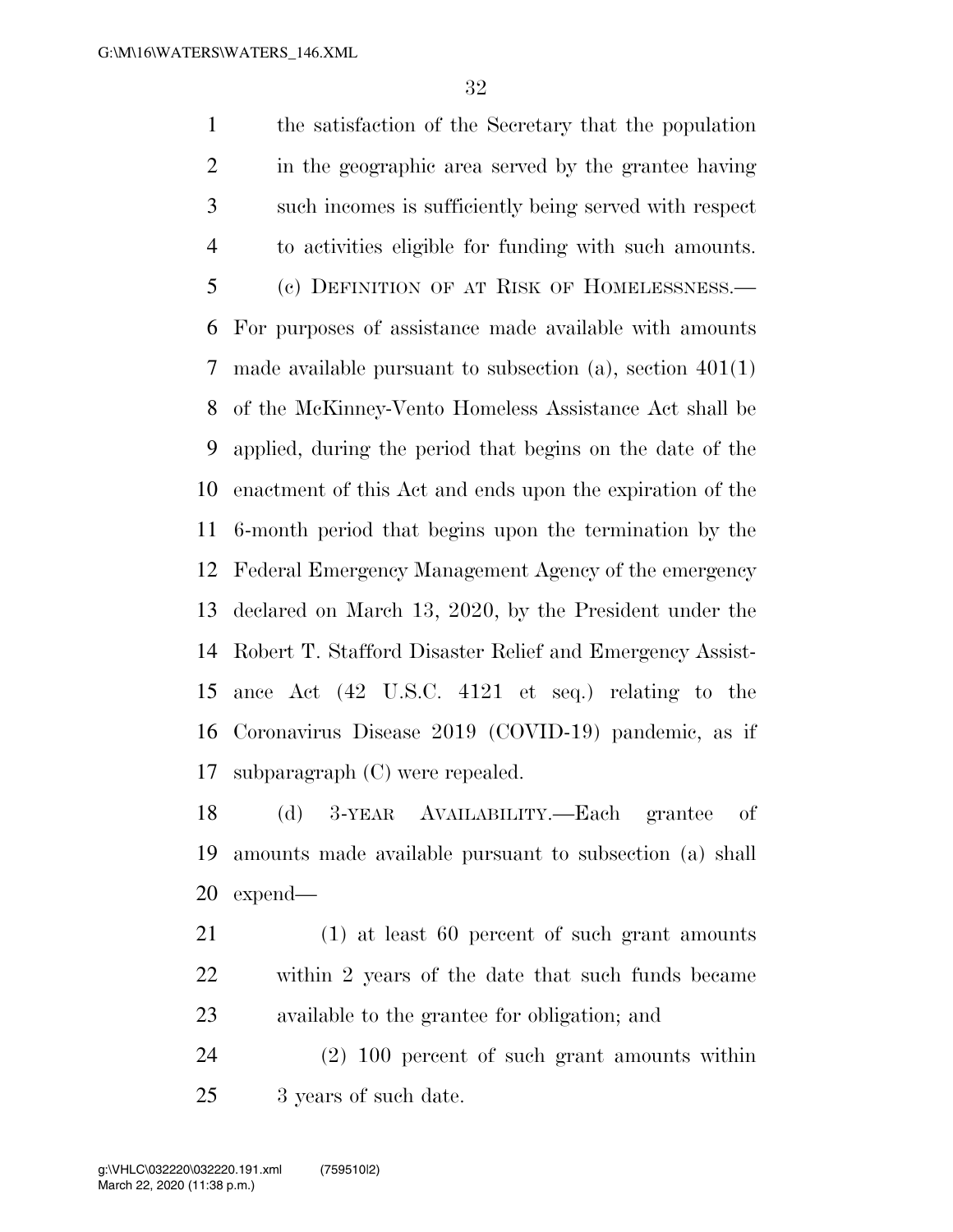the satisfaction of the Secretary that the population in the geographic area served by the grantee having such incomes is sufficiently being served with respect to activities eligible for funding with such amounts. (c) DEFINITION OF AT RISK OF HOMELESSNESS.— For purposes of assistance made available with amounts made available pursuant to subsection (a), section 401(1) of the McKinney-Vento Homeless Assistance Act shall be applied, during the period that begins on the date of the enactment of this Act and ends upon the expiration of the 6-month period that begins upon the termination by the Federal Emergency Management Agency of the emergency declared on March 13, 2020, by the President under the Robert T. Stafford Disaster Relief and Emergency Assist- ance Act (42 U.S.C. 4121 et seq.) relating to the Coronavirus Disease 2019 (COVID-19) pandemic, as if subparagraph (C) were repealed.

 (d) 3-YEAR AVAILABILITY.—Each grantee of amounts made available pursuant to subsection (a) shall expend—

 (1) at least 60 percent of such grant amounts within 2 years of the date that such funds became available to the grantee for obligation; and

 (2) 100 percent of such grant amounts within 25 3 years of such date.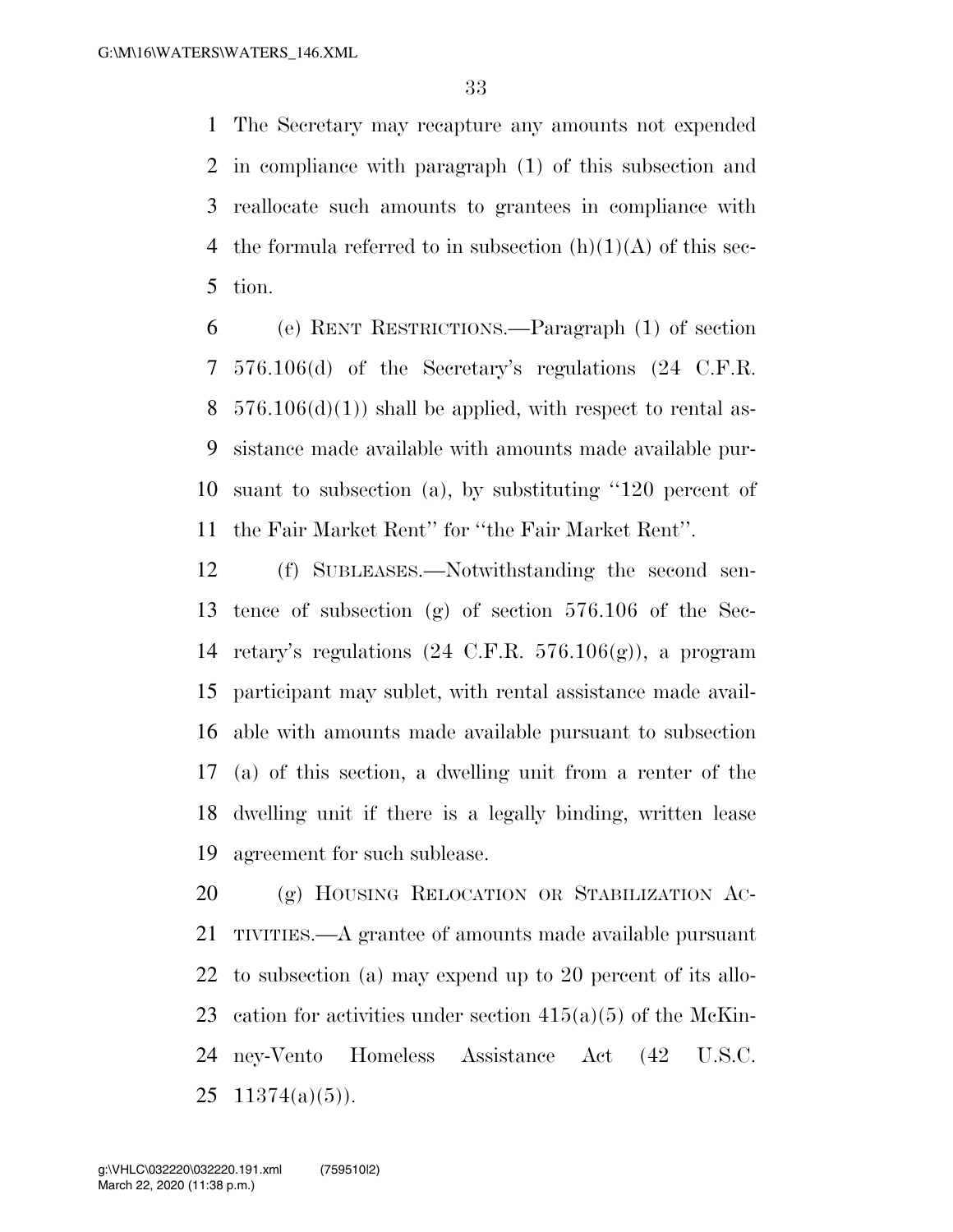The Secretary may recapture any amounts not expended in compliance with paragraph (1) of this subsection and reallocate such amounts to grantees in compliance with 4 the formula referred to in subsection  $(h)(1)(A)$  of this sec-tion.

 (e) RENT RESTRICTIONS.—Paragraph (1) of section 576.106(d) of the Secretary's regulations (24 C.F.R.  $576.106(d)(1)$  shall be applied, with respect to rental as- sistance made available with amounts made available pur- suant to subsection (a), by substituting ''120 percent of the Fair Market Rent'' for ''the Fair Market Rent''.

 (f) SUBLEASES.—Notwithstanding the second sen- tence of subsection (g) of section 576.106 of the Sec-14 retary's regulations  $(24 \text{ C.F.R. } 576.106(g))$ , a program participant may sublet, with rental assistance made avail- able with amounts made available pursuant to subsection (a) of this section, a dwelling unit from a renter of the dwelling unit if there is a legally binding, written lease agreement for such sublease.

 (g) HOUSING RELOCATION OR STABILIZATION AC- TIVITIES.—A grantee of amounts made available pursuant to subsection (a) may expend up to 20 percent of its allo-23 cation for activities under section  $415(a)(5)$  of the McKin- ney-Vento Homeless Assistance Act (42 U.S.C.  $11374(a)(5)$ ).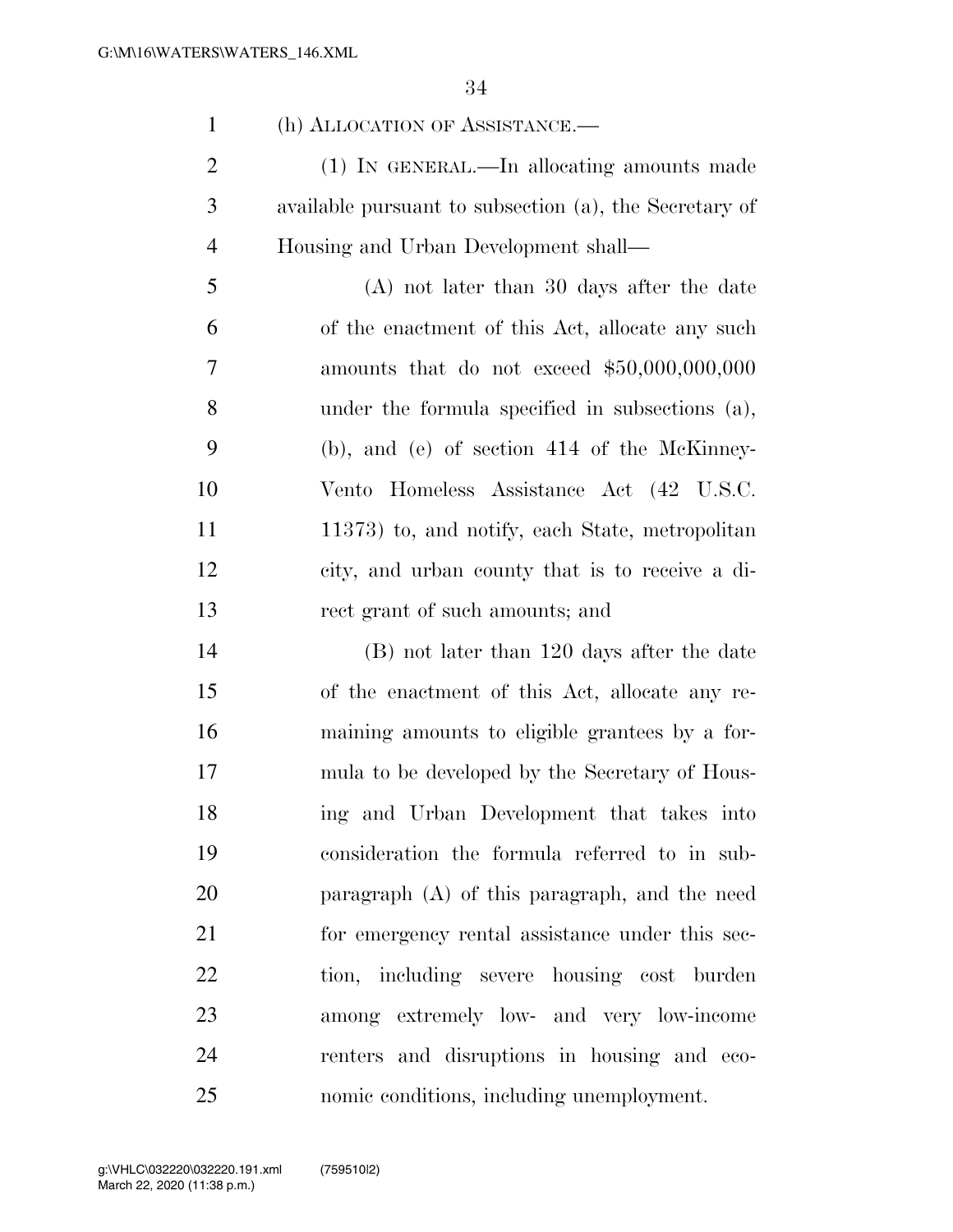(h) ALLOCATION OF ASSISTANCE.— (1) IN GENERAL.—In allocating amounts made available pursuant to subsection (a), the Secretary of Housing and Urban Development shall— (A) not later than 30 days after the date of the enactment of this Act, allocate any such amounts that do not exceed \$50,000,000,000 under the formula specified in subsections (a), (b), and (e) of section 414 of the McKinney- Vento Homeless Assistance Act (42 U.S.C. 11 11373) to, and notify, each State, metropolitan city, and urban county that is to receive a di- rect grant of such amounts; and (B) not later than 120 days after the date of the enactment of this Act, allocate any re- maining amounts to eligible grantees by a for- mula to be developed by the Secretary of Hous- ing and Urban Development that takes into consideration the formula referred to in sub- paragraph (A) of this paragraph, and the need for emergency rental assistance under this sec-

tion, including severe housing cost burden

among extremely low- and very low-income

renters and disruptions in housing and eco-

nomic conditions, including unemployment.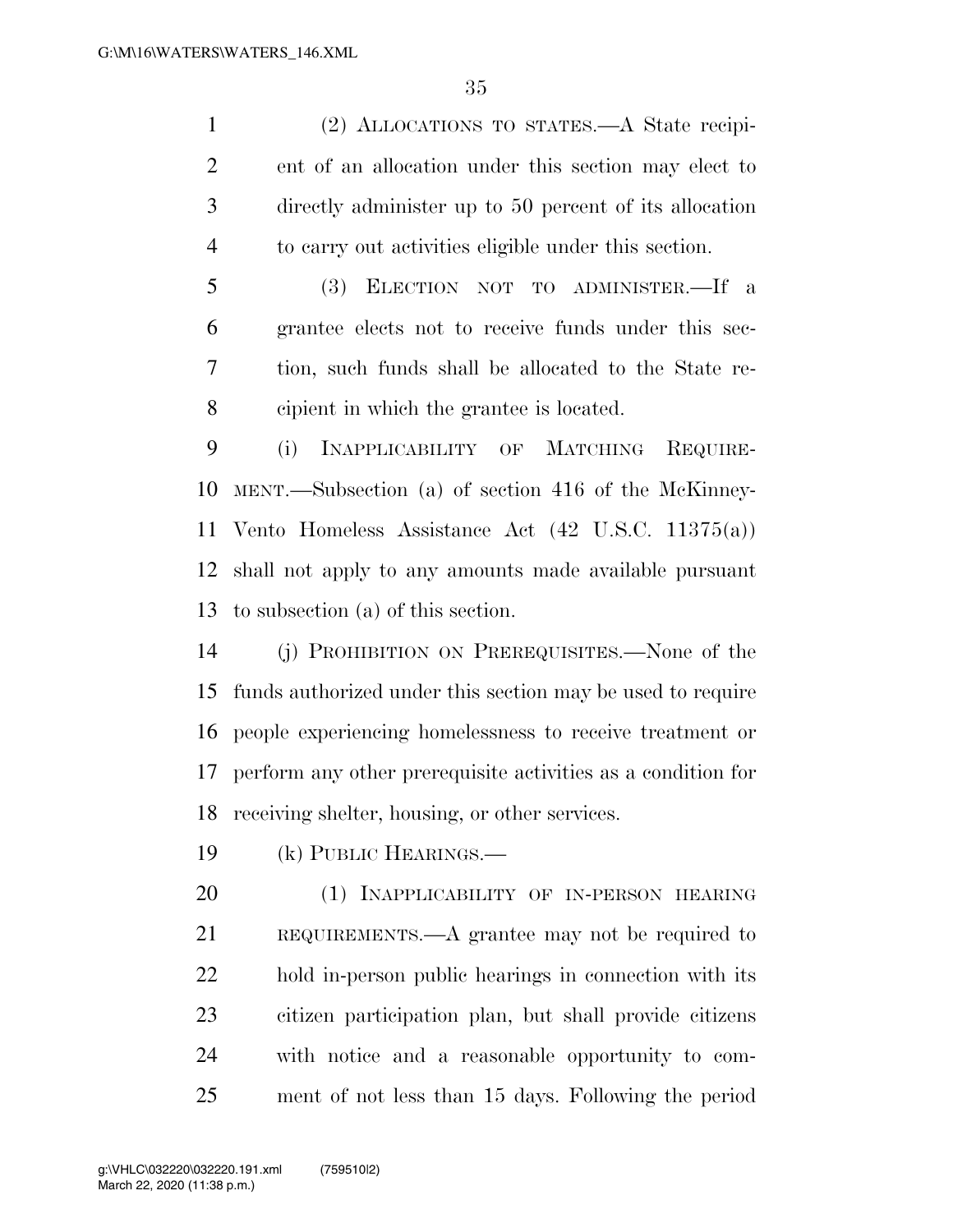(2) ALLOCATIONS TO STATES.—A State recipi- ent of an allocation under this section may elect to directly administer up to 50 percent of its allocation to carry out activities eligible under this section.

 (3) ELECTION NOT TO ADMINISTER.—If a grantee elects not to receive funds under this sec- tion, such funds shall be allocated to the State re-cipient in which the grantee is located.

 (i) INAPPLICABILITY OF MATCHING REQUIRE- MENT.—Subsection (a) of section 416 of the McKinney- Vento Homeless Assistance Act (42 U.S.C. 11375(a)) shall not apply to any amounts made available pursuant to subsection (a) of this section.

 (j) PROHIBITION ON PREREQUISITES.—None of the funds authorized under this section may be used to require people experiencing homelessness to receive treatment or perform any other prerequisite activities as a condition for receiving shelter, housing, or other services.

(k) PUBLIC HEARINGS.—

 (1) INAPPLICABILITY OF IN-PERSON HEARING REQUIREMENTS.—A grantee may not be required to hold in-person public hearings in connection with its citizen participation plan, but shall provide citizens with notice and a reasonable opportunity to com-ment of not less than 15 days. Following the period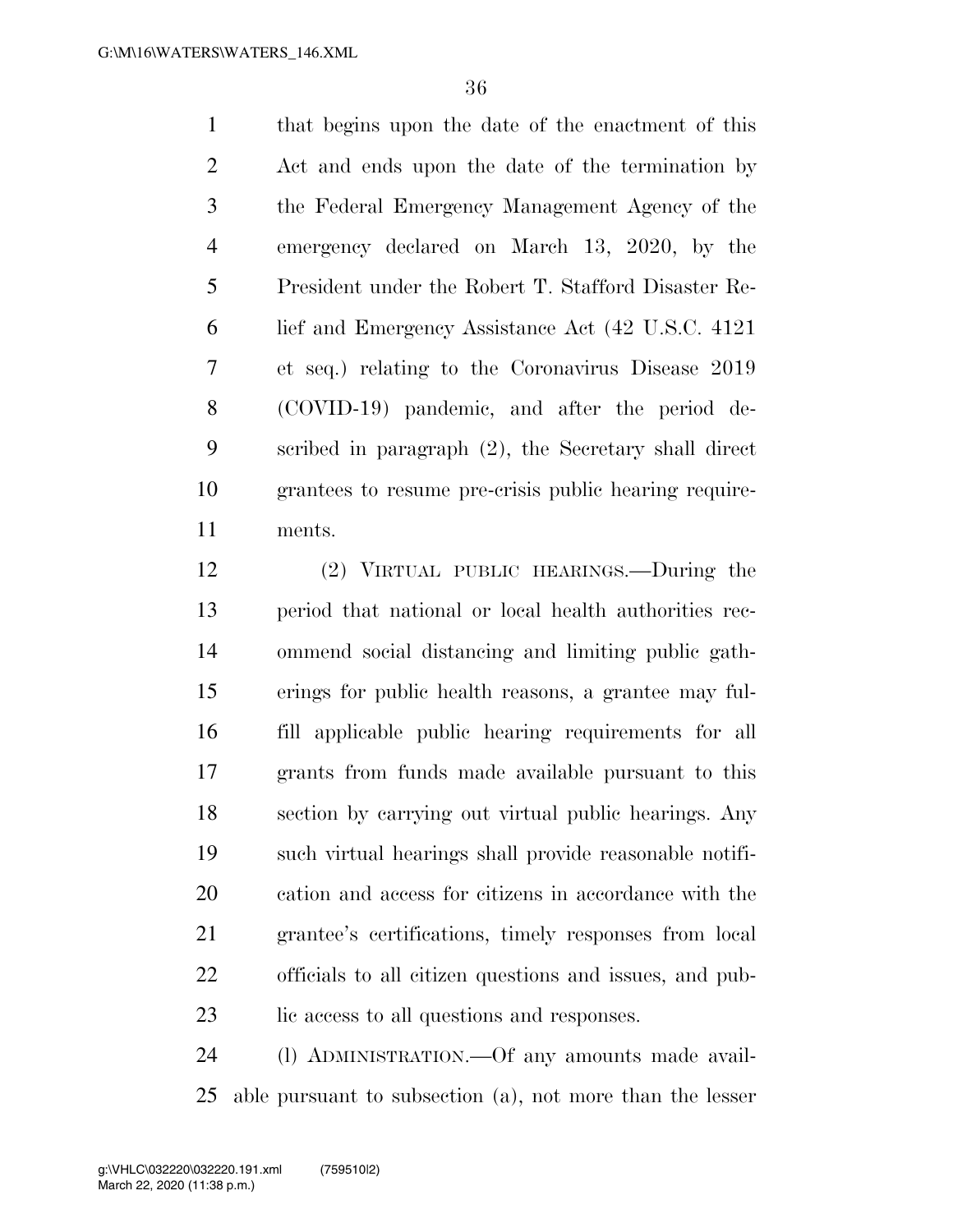that begins upon the date of the enactment of this Act and ends upon the date of the termination by the Federal Emergency Management Agency of the emergency declared on March 13, 2020, by the President under the Robert T. Stafford Disaster Re- lief and Emergency Assistance Act (42 U.S.C. 4121 et seq.) relating to the Coronavirus Disease 2019 (COVID-19) pandemic, and after the period de- scribed in paragraph (2), the Secretary shall direct grantees to resume pre-crisis public hearing require-ments.

 (2) VIRTUAL PUBLIC HEARINGS.—During the period that national or local health authorities rec- ommend social distancing and limiting public gath- erings for public health reasons, a grantee may ful- fill applicable public hearing requirements for all grants from funds made available pursuant to this section by carrying out virtual public hearings. Any such virtual hearings shall provide reasonable notifi- cation and access for citizens in accordance with the grantee's certifications, timely responses from local officials to all citizen questions and issues, and pub-23 lic access to all questions and responses.

 (l) ADMINISTRATION.—Of any amounts made avail-able pursuant to subsection (a), not more than the lesser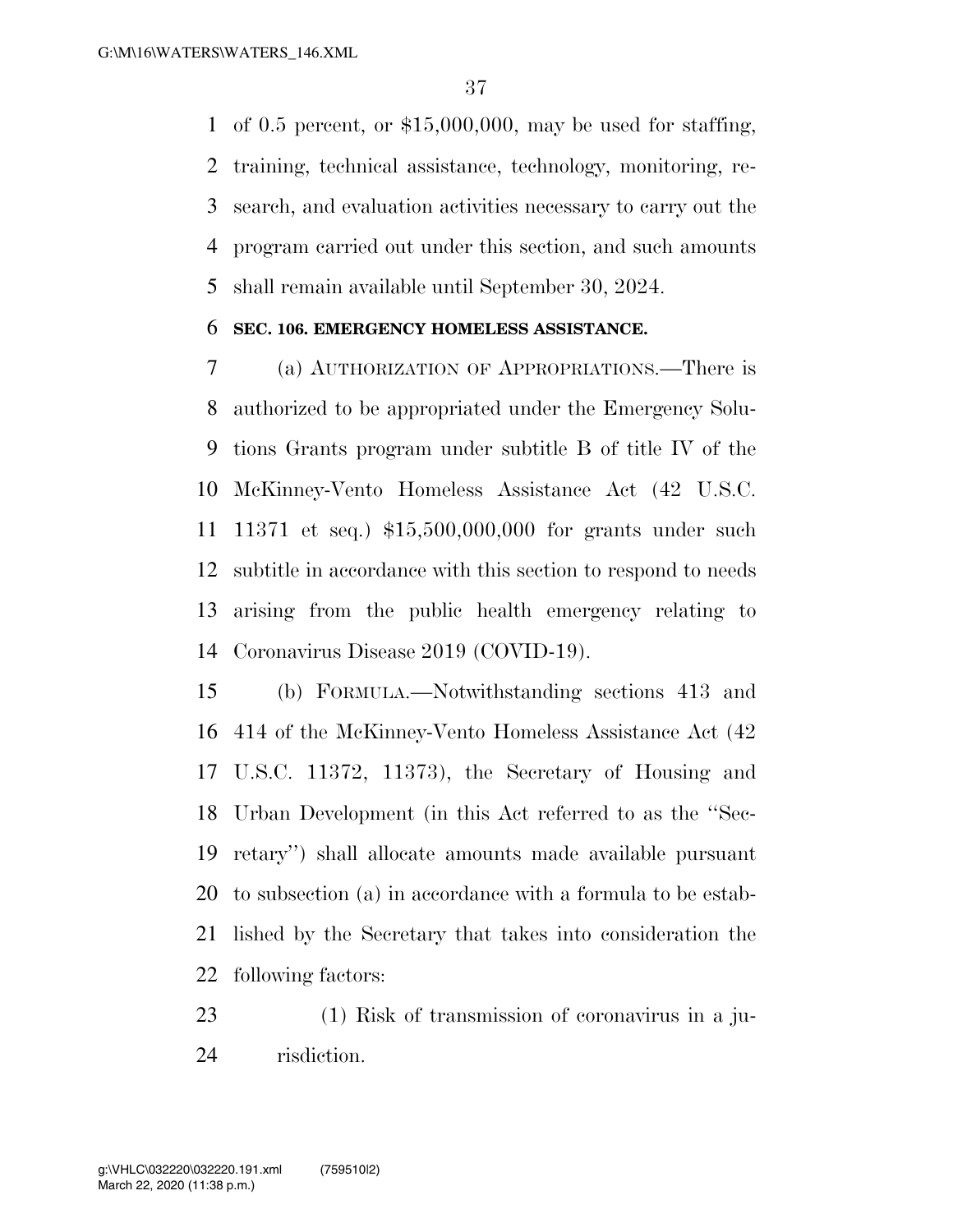of 0.5 percent, or \$15,000,000, may be used for staffing, training, technical assistance, technology, monitoring, re- search, and evaluation activities necessary to carry out the program carried out under this section, and such amounts shall remain available until September 30, 2024.

## **SEC. 106. EMERGENCY HOMELESS ASSISTANCE.**

 (a) AUTHORIZATION OF APPROPRIATIONS.—There is authorized to be appropriated under the Emergency Solu- tions Grants program under subtitle B of title IV of the McKinney-Vento Homeless Assistance Act (42 U.S.C. 11371 et seq.) \$15,500,000,000 for grants under such subtitle in accordance with this section to respond to needs arising from the public health emergency relating to Coronavirus Disease 2019 (COVID-19).

 (b) FORMULA.—Notwithstanding sections 413 and 414 of the McKinney-Vento Homeless Assistance Act (42 U.S.C. 11372, 11373), the Secretary of Housing and Urban Development (in this Act referred to as the ''Sec- retary'') shall allocate amounts made available pursuant to subsection (a) in accordance with a formula to be estab- lished by the Secretary that takes into consideration the following factors:

 (1) Risk of transmission of coronavirus in a ju-risdiction.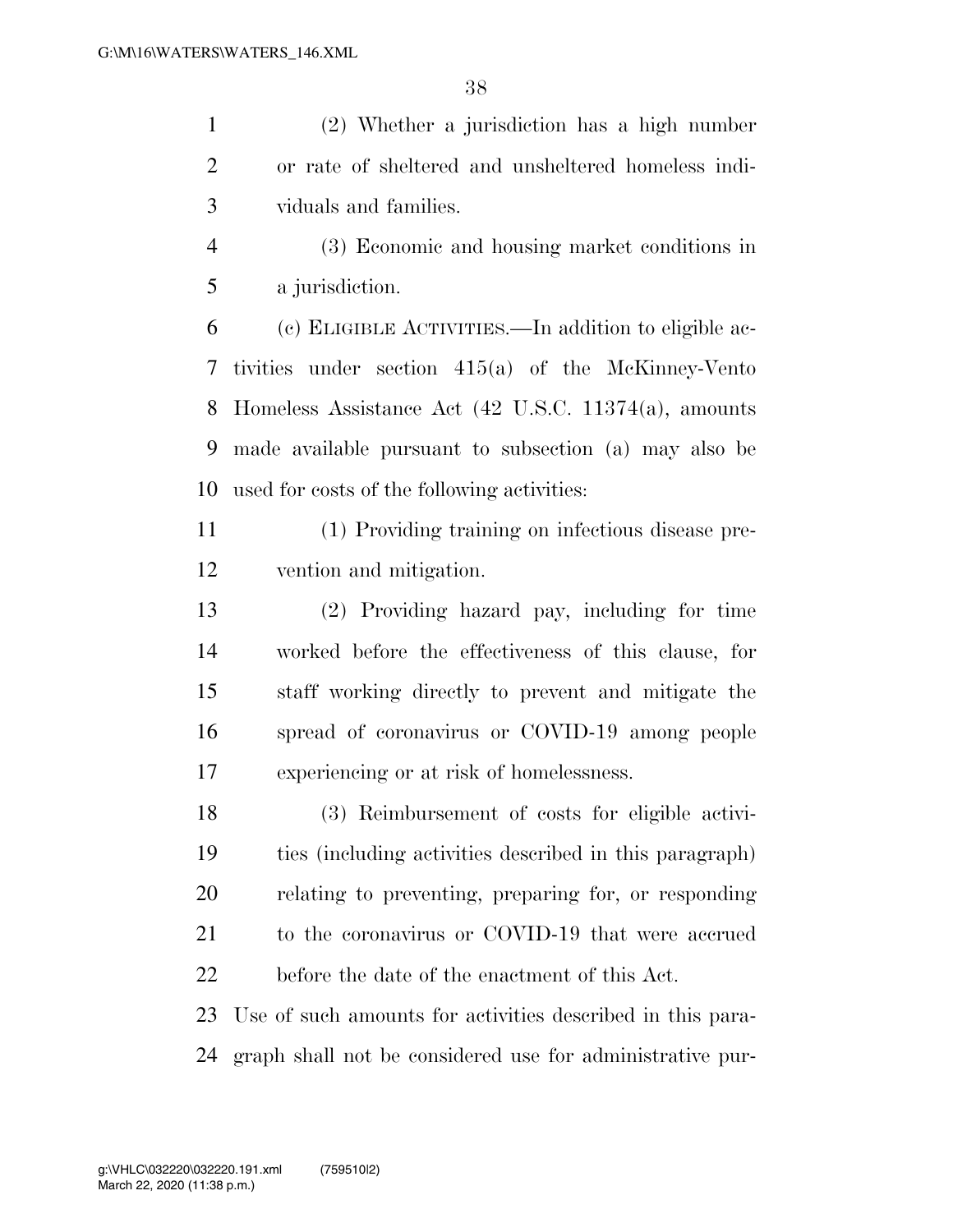(2) Whether a jurisdiction has a high number or rate of sheltered and unsheltered homeless indi-viduals and families.

 (3) Economic and housing market conditions in a jurisdiction.

 (c) ELIGIBLE ACTIVITIES.—In addition to eligible ac- tivities under section 415(a) of the McKinney-Vento Homeless Assistance Act (42 U.S.C. 11374(a), amounts made available pursuant to subsection (a) may also be used for costs of the following activities:

- (1) Providing training on infectious disease pre-vention and mitigation.
- (2) Providing hazard pay, including for time worked before the effectiveness of this clause, for staff working directly to prevent and mitigate the spread of coronavirus or COVID-19 among people experiencing or at risk of homelessness.

 (3) Reimbursement of costs for eligible activi- ties (including activities described in this paragraph) relating to preventing, preparing for, or responding 21 to the coronavirus or COVID-19 that were accrued before the date of the enactment of this Act.

 Use of such amounts for activities described in this para-graph shall not be considered use for administrative pur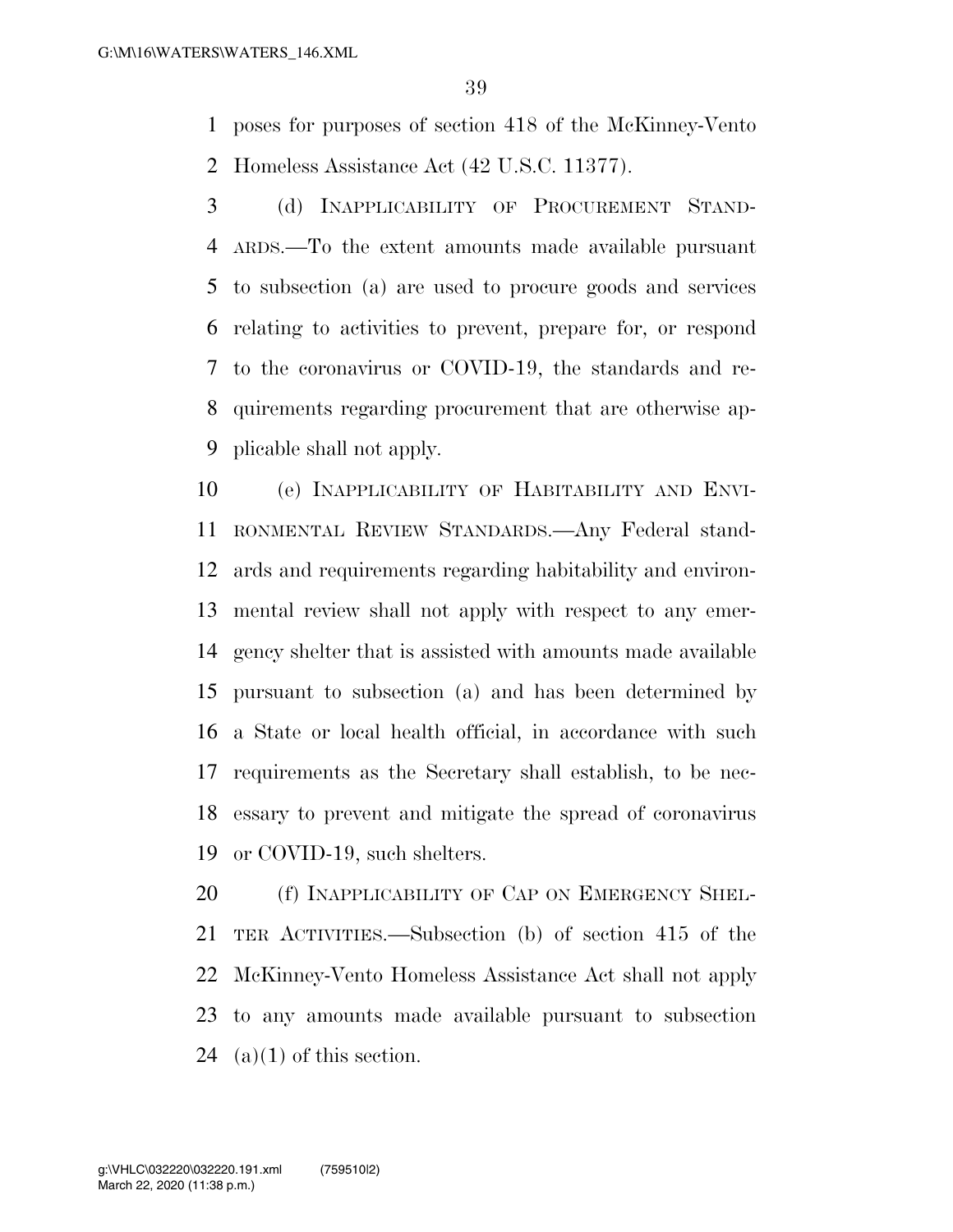poses for purposes of section 418 of the McKinney-Vento Homeless Assistance Act (42 U.S.C. 11377).

 (d) INAPPLICABILITY OF PROCUREMENT STAND- ARDS.—To the extent amounts made available pursuant to subsection (a) are used to procure goods and services relating to activities to prevent, prepare for, or respond to the coronavirus or COVID-19, the standards and re- quirements regarding procurement that are otherwise ap-plicable shall not apply.

 (e) INAPPLICABILITY OF HABITABILITY AND ENVI- RONMENTAL REVIEW STANDARDS.—Any Federal stand- ards and requirements regarding habitability and environ- mental review shall not apply with respect to any emer- gency shelter that is assisted with amounts made available pursuant to subsection (a) and has been determined by a State or local health official, in accordance with such requirements as the Secretary shall establish, to be nec- essary to prevent and mitigate the spread of coronavirus or COVID-19, such shelters.

20 (f) INAPPLICABILITY OF CAP ON EMERGENCY SHEL- TER ACTIVITIES.—Subsection (b) of section 415 of the McKinney-Vento Homeless Assistance Act shall not apply to any amounts made available pursuant to subsection 24 (a)(1) of this section.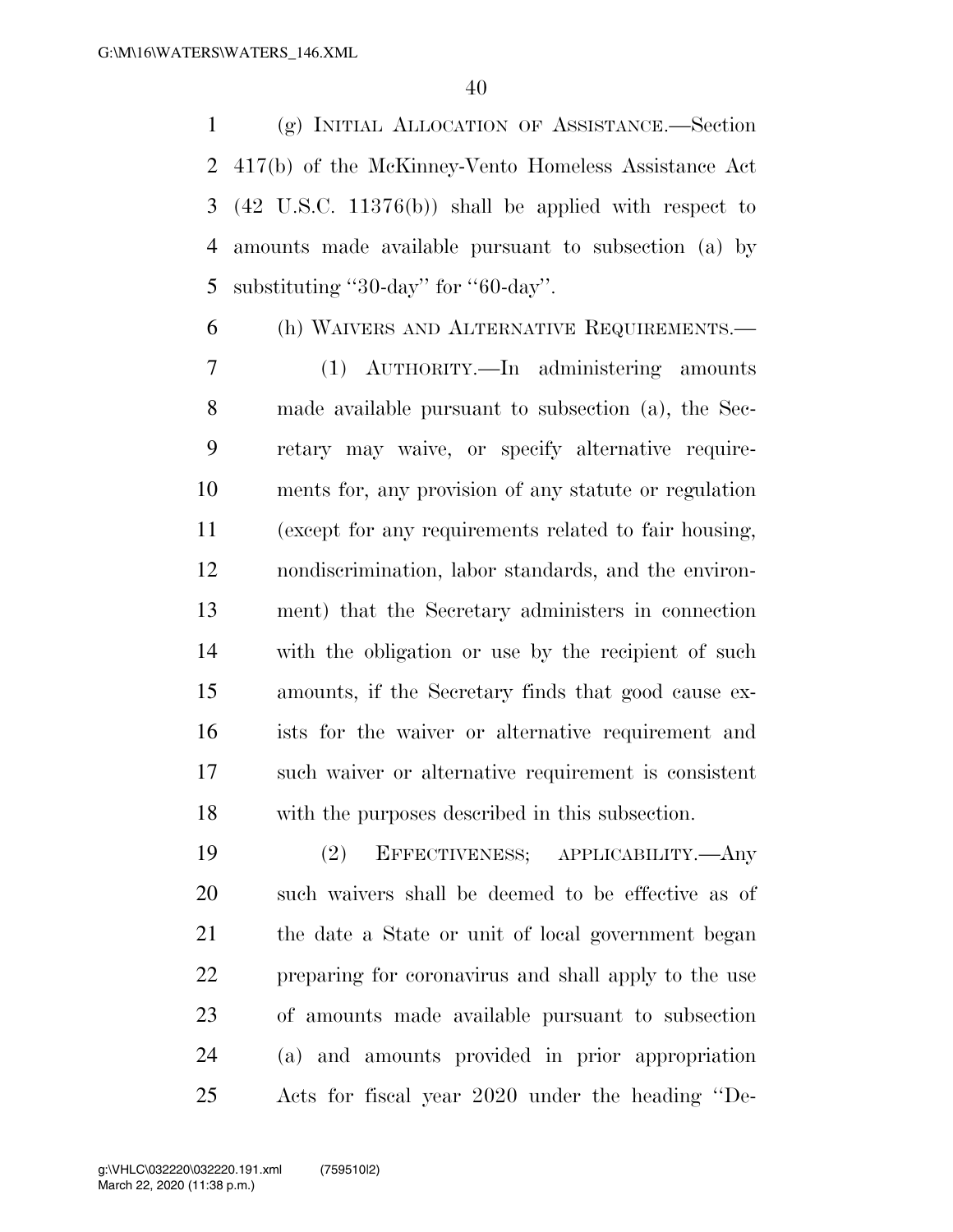(g) INITIAL ALLOCATION OF ASSISTANCE.—Section 417(b) of the McKinney-Vento Homeless Assistance Act (42 U.S.C. 11376(b)) shall be applied with respect to amounts made available pursuant to subsection (a) by 5 substituting "30-day" for "-day".

(h) WAIVERS AND ALTERNATIVE REQUIREMENTS.—

 (1) AUTHORITY.—In administering amounts made available pursuant to subsection (a), the Sec- retary may waive, or specify alternative require- ments for, any provision of any statute or regulation (except for any requirements related to fair housing, nondiscrimination, labor standards, and the environ- ment) that the Secretary administers in connection with the obligation or use by the recipient of such amounts, if the Secretary finds that good cause ex- ists for the waiver or alternative requirement and such waiver or alternative requirement is consistent with the purposes described in this subsection.

 (2) EFFECTIVENESS; APPLICABILITY.—Any such waivers shall be deemed to be effective as of the date a State or unit of local government began preparing for coronavirus and shall apply to the use of amounts made available pursuant to subsection (a) and amounts provided in prior appropriation Acts for fiscal year 2020 under the heading ''De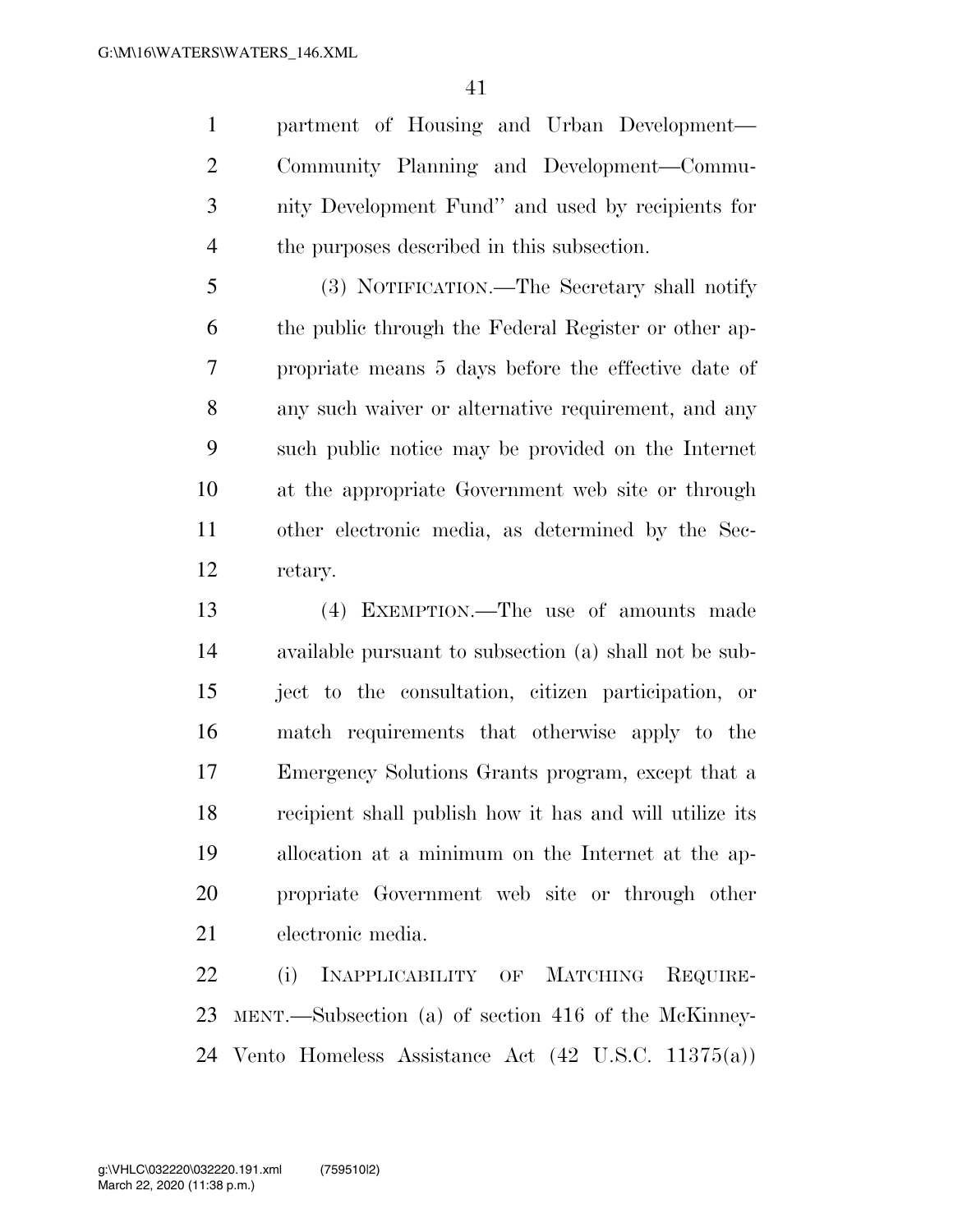partment of Housing and Urban Development— Community Planning and Development—Commu- nity Development Fund'' and used by recipients for the purposes described in this subsection.

 (3) NOTIFICATION.—The Secretary shall notify the public through the Federal Register or other ap- propriate means 5 days before the effective date of any such waiver or alternative requirement, and any such public notice may be provided on the Internet at the appropriate Government web site or through other electronic media, as determined by the Sec-retary.

 (4) EXEMPTION.—The use of amounts made available pursuant to subsection (a) shall not be sub- ject to the consultation, citizen participation, or match requirements that otherwise apply to the Emergency Solutions Grants program, except that a recipient shall publish how it has and will utilize its allocation at a minimum on the Internet at the ap- propriate Government web site or through other electronic media.

22 (i) INAPPLICABILITY OF MATCHING REQUIRE- MENT.—Subsection (a) of section 416 of the McKinney-Vento Homeless Assistance Act (42 U.S.C. 11375(a))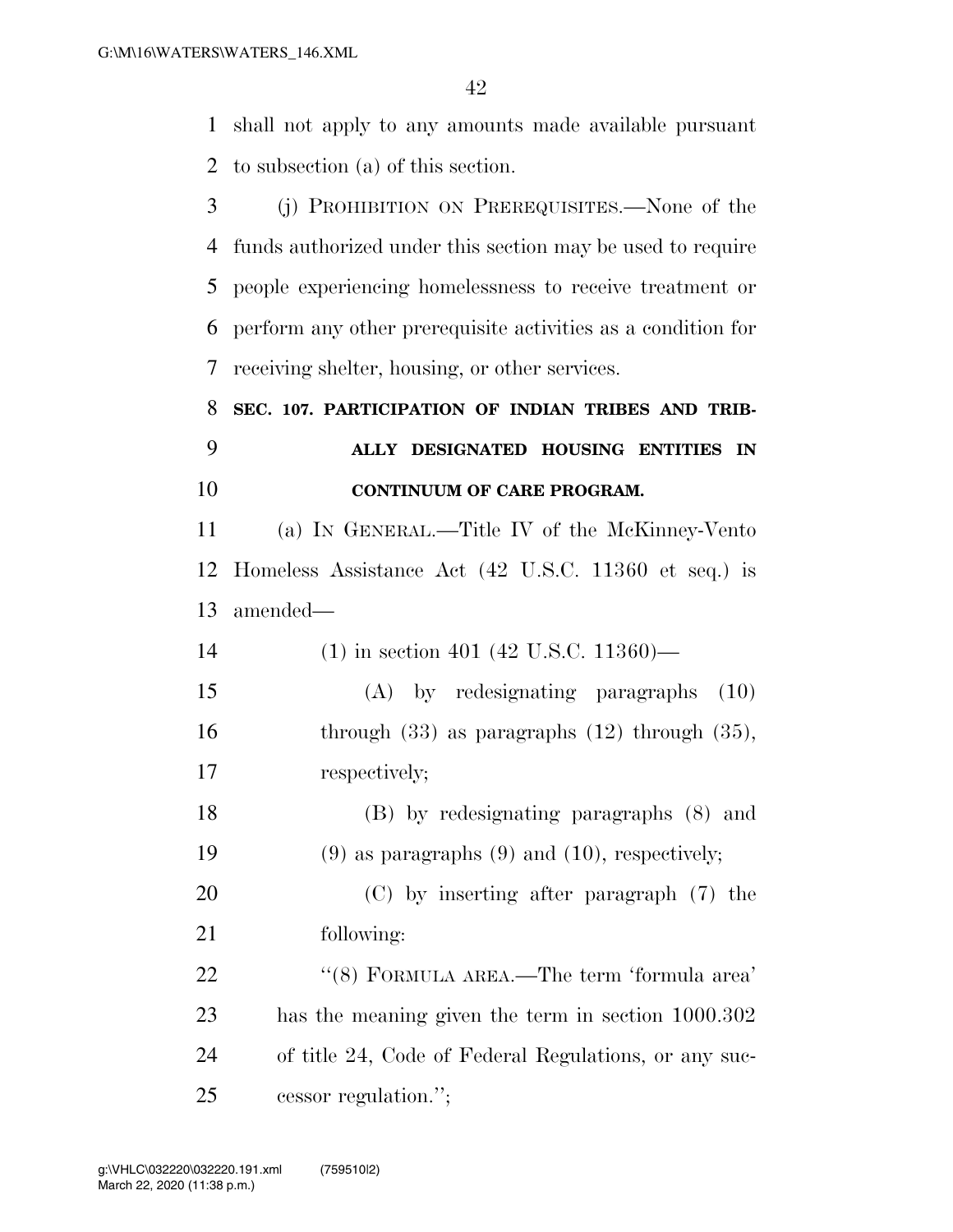shall not apply to any amounts made available pursuant to subsection (a) of this section.

 (j) PROHIBITION ON PREREQUISITES.—None of the funds authorized under this section may be used to require people experiencing homelessness to receive treatment or perform any other prerequisite activities as a condition for receiving shelter, housing, or other services.

## **SEC. 107. PARTICIPATION OF INDIAN TRIBES AND TRIB- ALLY DESIGNATED HOUSING ENTITIES IN CONTINUUM OF CARE PROGRAM.**

 (a) IN GENERAL.—Title IV of the McKinney-Vento Homeless Assistance Act (42 U.S.C. 11360 et seq.) is amended—

| 14 |  |  | $(1)$ in section 401 (42 U.S.C. 11360)— |  |
|----|--|--|-----------------------------------------|--|
|----|--|--|-----------------------------------------|--|

 (A) by redesignating paragraphs (10) 16 through (33) as paragraphs (12) through (35), respectively;

 (B) by redesignating paragraphs (8) and (9) as paragraphs (9) and (10), respectively;

 (C) by inserting after paragraph (7) the following:

22 ''(8) FORMULA AREA.—The term 'formula area' has the meaning given the term in section 1000.302 of title 24, Code of Federal Regulations, or any suc-cessor regulation.'';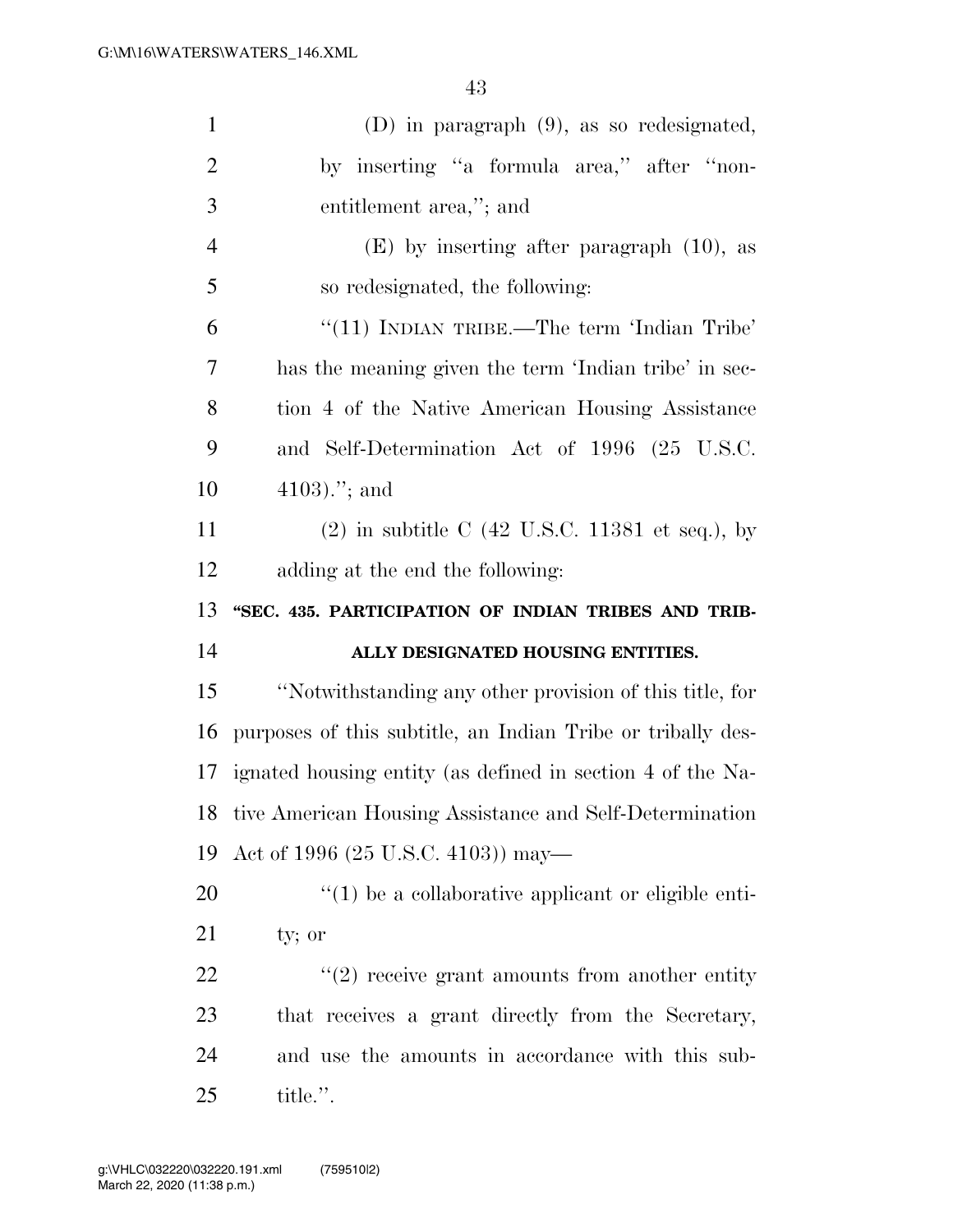| $\mathbf{1}$   | $(D)$ in paragraph $(9)$ , as so redesignated,                                |
|----------------|-------------------------------------------------------------------------------|
| $\overline{2}$ | by inserting "a formula area," after "non-                                    |
| 3              | entitlement area,"; and                                                       |
| $\overline{4}$ | $(E)$ by inserting after paragraph $(10)$ , as                                |
| 5              | so redesignated, the following:                                               |
| 6              | "(11) INDIAN TRIBE.—The term 'Indian Tribe'                                   |
| 7              | has the meaning given the term 'Indian tribe' in sec-                         |
| 8              | tion 4 of the Native American Housing Assistance                              |
| 9              | and Self-Determination Act of 1996 (25 U.S.C.                                 |
| 10             | $4103$ ."; and                                                                |
| 11             | $(2)$ in subtitle C $(42 \text{ U.S.C. } 11381 \text{ et seq.}), \text{ by }$ |
| 12             | adding at the end the following:                                              |
|                |                                                                               |
| 13             | "SEC. 435. PARTICIPATION OF INDIAN TRIBES AND TRIB-                           |
| 14             | ALLY DESIGNATED HOUSING ENTITIES.                                             |
| 15             | "Notwithstanding any other provision of this title, for                       |
| 16             | purposes of this subtitle, an Indian Tribe or tribally des-                   |
| 17             | ignated housing entity (as defined in section 4 of the Na-                    |
| 18             | tive American Housing Assistance and Self-Determination                       |
|                | Act of 1996 (25 U.S.C. 4103)) may—                                            |
| 19<br>20       | $\lq(1)$ be a collaborative applicant or eligible enti-                       |
| 21             | ty; or                                                                        |
| 22             | $\lq(2)$ receive grant amounts from another entity                            |
| 23             | that receives a grant directly from the Secretary,                            |
| 24             | and use the amounts in accordance with this sub-                              |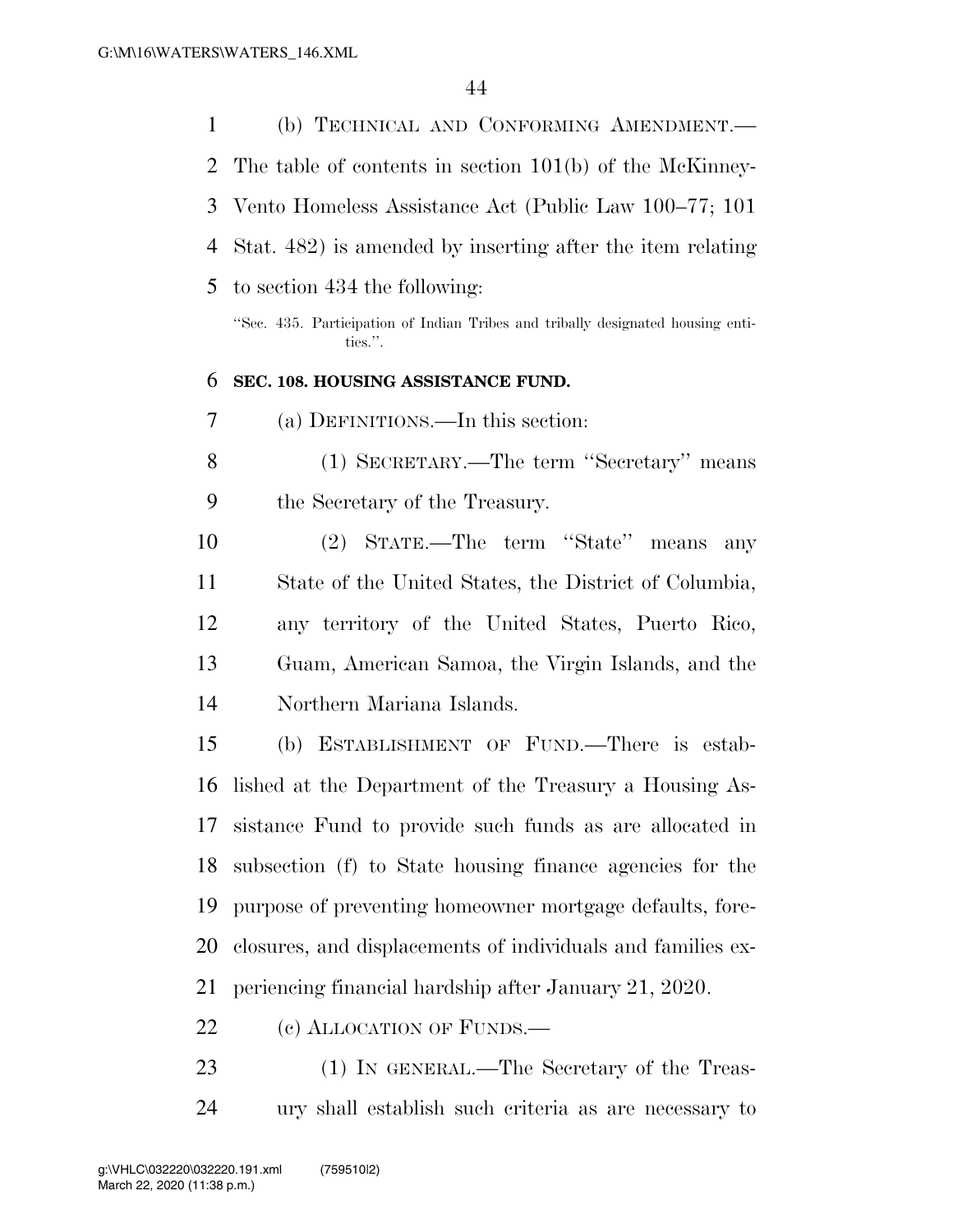|                | $\pm\pm$                                                                                   |
|----------------|--------------------------------------------------------------------------------------------|
| $\mathbf 1$    | (b) TECHNICAL AND CONFORMING AMENDMENT.                                                    |
| $\overline{2}$ | The table of contents in section $101(b)$ of the McKinney-                                 |
| 3              | Vento Homeless Assistance Act (Public Law 100–77; 101                                      |
| $\overline{4}$ | Stat. 482) is amended by inserting after the item relating                                 |
| 5              | to section 434 the following:                                                              |
|                | "Sec. 435. Participation of Indian Tribes and tribally designated housing enti-<br>ties.". |
| 6              | SEC. 108. HOUSING ASSISTANCE FUND.                                                         |
| 7              | (a) DEFINITIONS.—In this section:                                                          |
| 8              | (1) SECRETARY.—The term "Secretary" means                                                  |
| 9              | the Secretary of the Treasury.                                                             |
| 10             | (2) STATE.—The term "State" means<br>any                                                   |
| 11             | State of the United States, the District of Columbia,                                      |
| 12             | any territory of the United States, Puerto Rico,                                           |
| 13             | Guam, American Samoa, the Virgin Islands, and the                                          |
| 14             | Northern Mariana Islands.                                                                  |
| 15             | ESTABLISHMENT OF FUND.—There is estab-<br>(b)                                              |
|                | 16 lished at the Department of the Treasury a Housing As-                                  |
| 17             | sistance Fund to provide such funds as are allocated in                                    |
| 18             | subsection (f) to State housing finance agencies for the                                   |
| 19             | purpose of preventing homeowner mortgage defaults, fore-                                   |
| 20             | closures, and displacements of individuals and families ex-                                |
| 21             | periencing financial hardship after January 21, 2020.                                      |
| 22             | (c) ALLOCATION OF FUNDS.                                                                   |

 (1) IN GENERAL.—The Secretary of the Treas-ury shall establish such criteria as are necessary to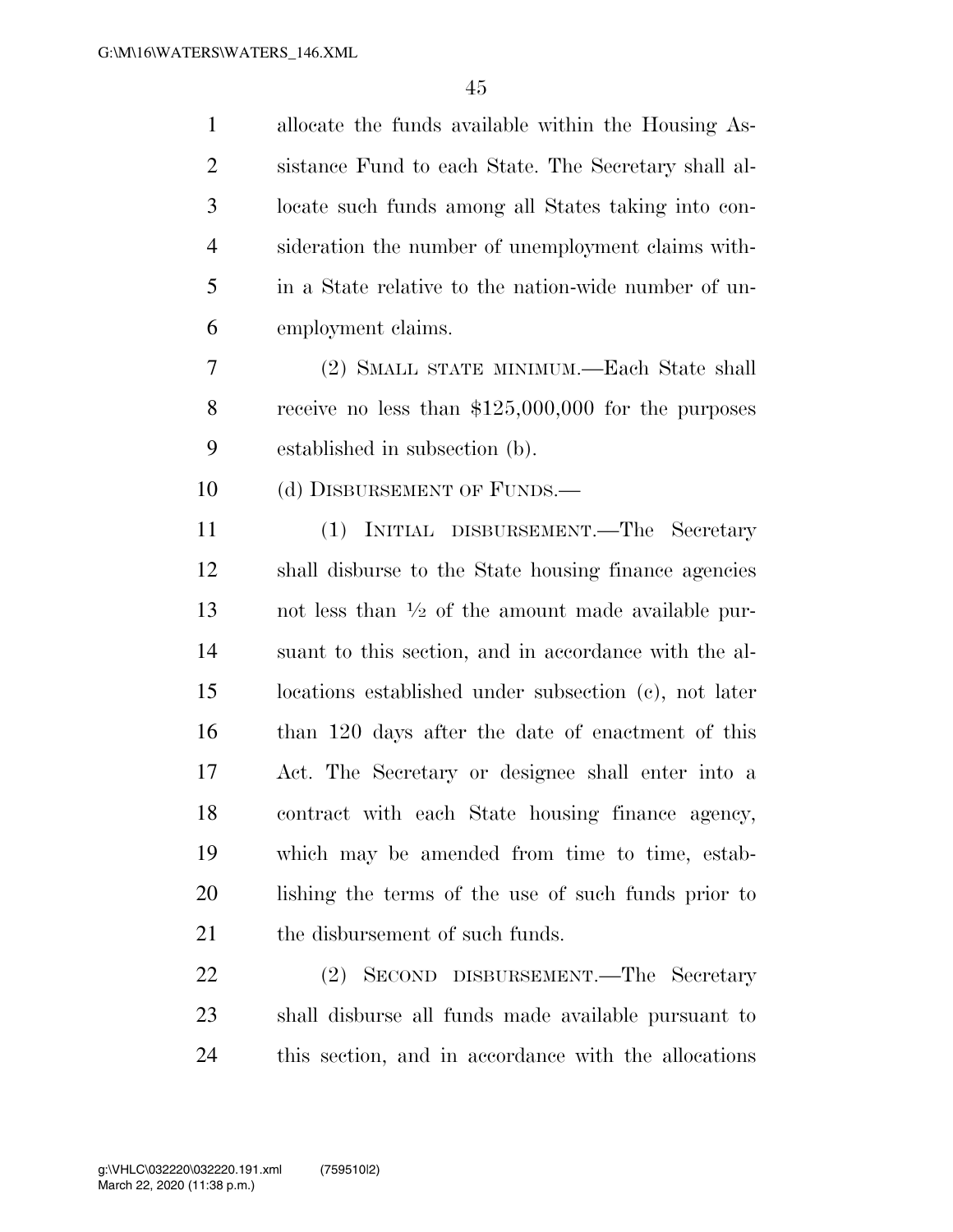allocate the funds available within the Housing As- sistance Fund to each State. The Secretary shall al- locate such funds among all States taking into con- sideration the number of unemployment claims with- in a State relative to the nation-wide number of un-employment claims.

 (2) SMALL STATE MINIMUM.—Each State shall receive no less than \$125,000,000 for the purposes established in subsection (b).

10 (d) DISBURSEMENT OF FUNDS.—

 (1) INITIAL DISBURSEMENT.—The Secretary shall disburse to the State housing finance agencies 13 and less than  $\frac{1}{2}$  of the amount made available pur- suant to this section, and in accordance with the al- locations established under subsection (c), not later than 120 days after the date of enactment of this Act. The Secretary or designee shall enter into a contract with each State housing finance agency, which may be amended from time to time, estab- lishing the terms of the use of such funds prior to 21 the disbursement of such funds.

 (2) SECOND DISBURSEMENT.—The Secretary shall disburse all funds made available pursuant to this section, and in accordance with the allocations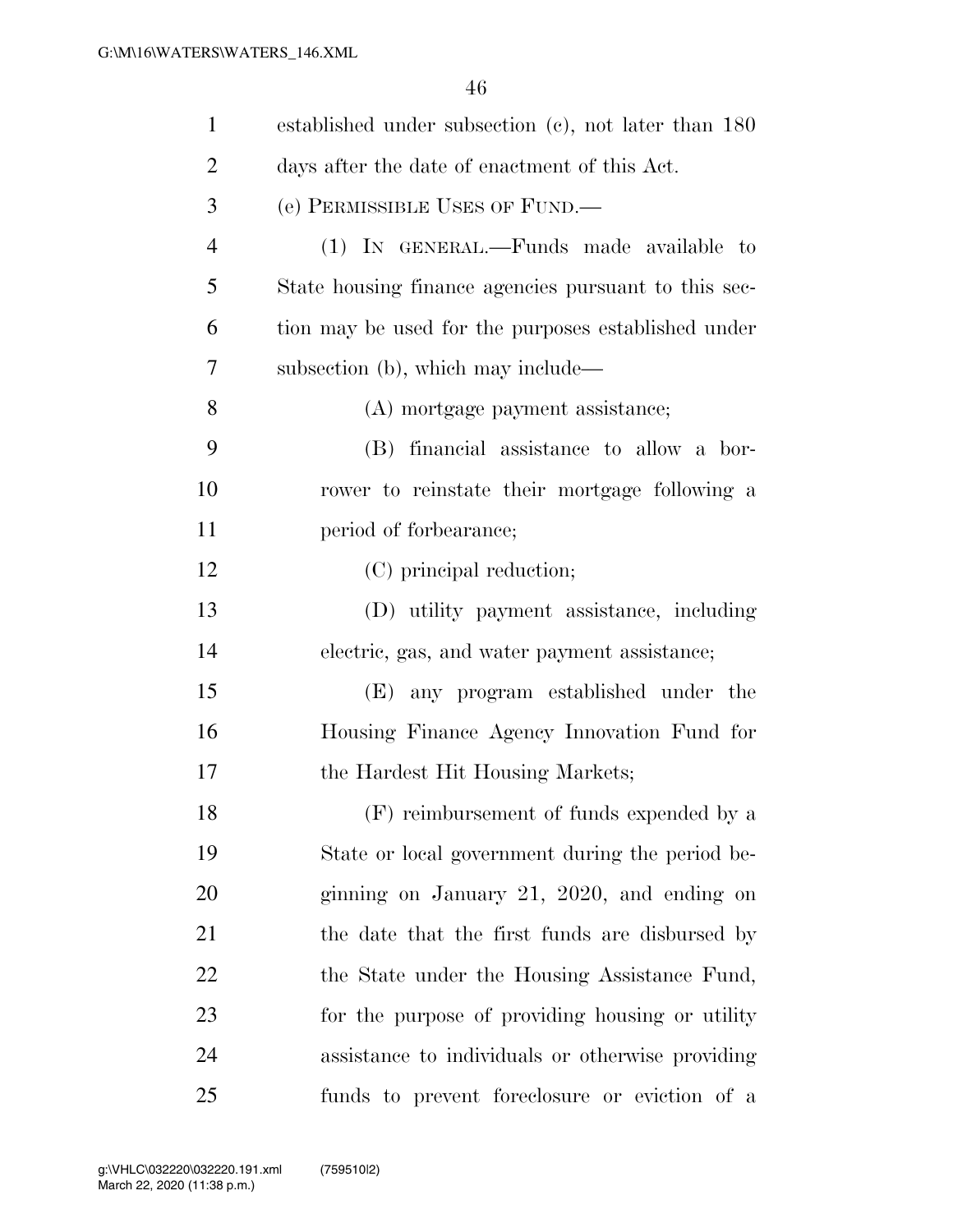| $\mathbf{1}$   | established under subsection $(c)$ , not later than 180 |
|----------------|---------------------------------------------------------|
| $\overline{2}$ | days after the date of enactment of this Act.           |
| 3              | (e) PERMISSIBLE USES OF FUND.—                          |
| $\overline{4}$ | (1) IN GENERAL.—Funds made available to                 |
| 5              | State housing finance agencies pursuant to this sec-    |
| 6              | tion may be used for the purposes established under     |
| 7              | subsection (b), which may include—                      |
| 8              | (A) mortgage payment assistance;                        |
| 9              | (B) financial assistance to allow a bor-                |
| 10             | rower to reinstate their mortgage following a           |
| 11             | period of forbearance;                                  |
| 12             | (C) principal reduction;                                |
| 13             | (D) utility payment assistance, including               |
| 14             | electric, gas, and water payment assistance;            |
| 15             | (E) any program established under the                   |
| 16             | Housing Finance Agency Innovation Fund for              |
| 17             | the Hardest Hit Housing Markets;                        |
| 18             | (F) reimbursement of funds expended by a                |
| 19             | State or local government during the period be-         |
| 20             | ginning on January 21, 2020, and ending on              |
| 21             | the date that the first funds are disbursed by          |
| 22             | the State under the Housing Assistance Fund,            |
| 23             | for the purpose of providing housing or utility         |
| 24             | assistance to individuals or otherwise providing        |
| 25             | funds to prevent foreclosure or eviction of a           |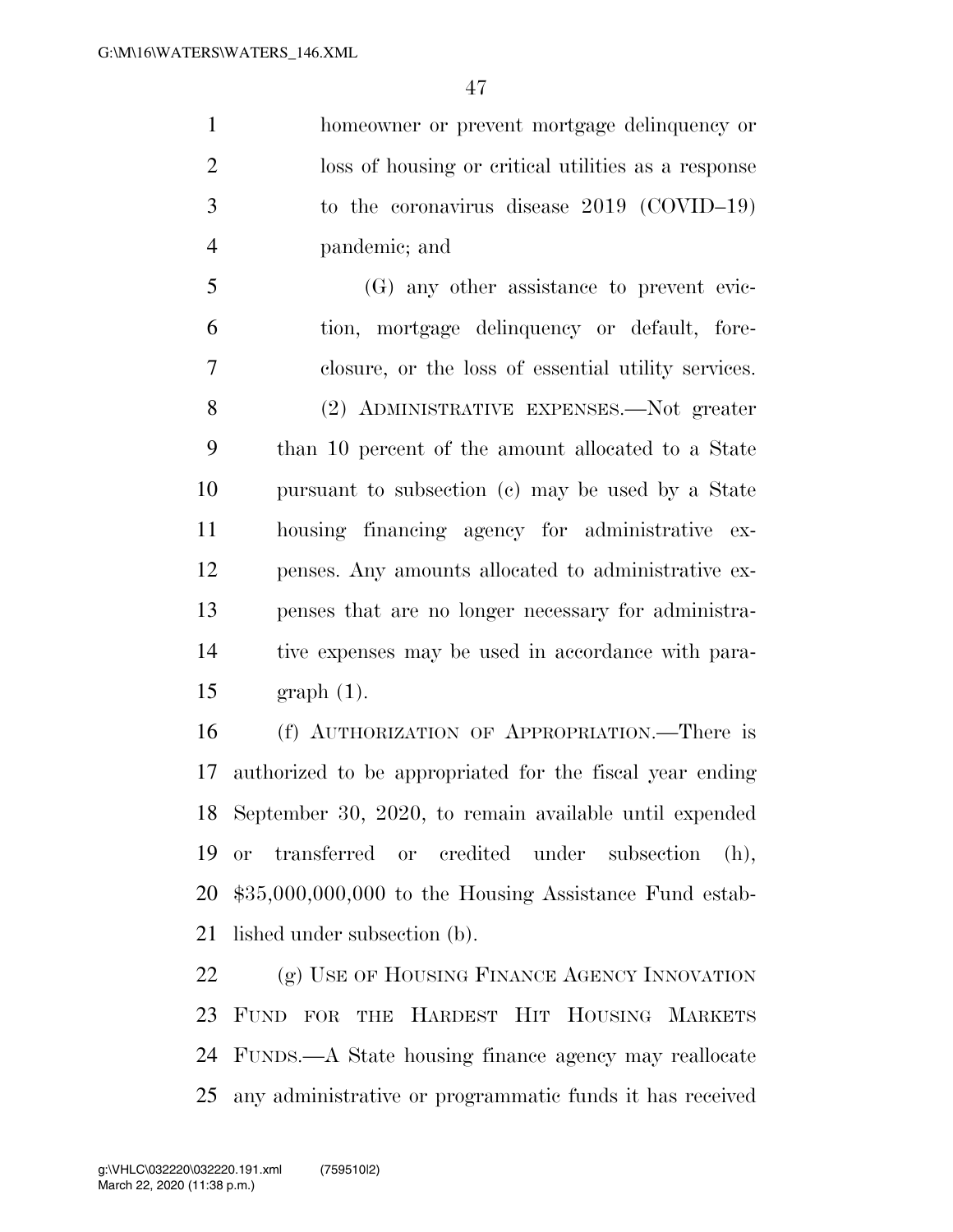homeowner or prevent mortgage delinquency or loss of housing or critical utilities as a response to the coronavirus disease 2019 (COVID–19) pandemic; and

 (G) any other assistance to prevent evic- tion, mortgage delinquency or default, fore- closure, or the loss of essential utility services. (2) ADMINISTRATIVE EXPENSES.—Not greater than 10 percent of the amount allocated to a State pursuant to subsection (c) may be used by a State housing financing agency for administrative ex- penses. Any amounts allocated to administrative ex- penses that are no longer necessary for administra- tive expenses may be used in accordance with para-graph (1).

 (f) AUTHORIZATION OF APPROPRIATION.—There is authorized to be appropriated for the fiscal year ending September 30, 2020, to remain available until expended or transferred or credited under subsection (h), \$35,000,000,000 to the Housing Assistance Fund estab-lished under subsection (b).

22 (g) USE OF HOUSING FINANCE AGENCY INNOVATION FUND FOR THE HARDEST HIT HOUSING MARKETS FUNDS.—A State housing finance agency may reallocate any administrative or programmatic funds it has received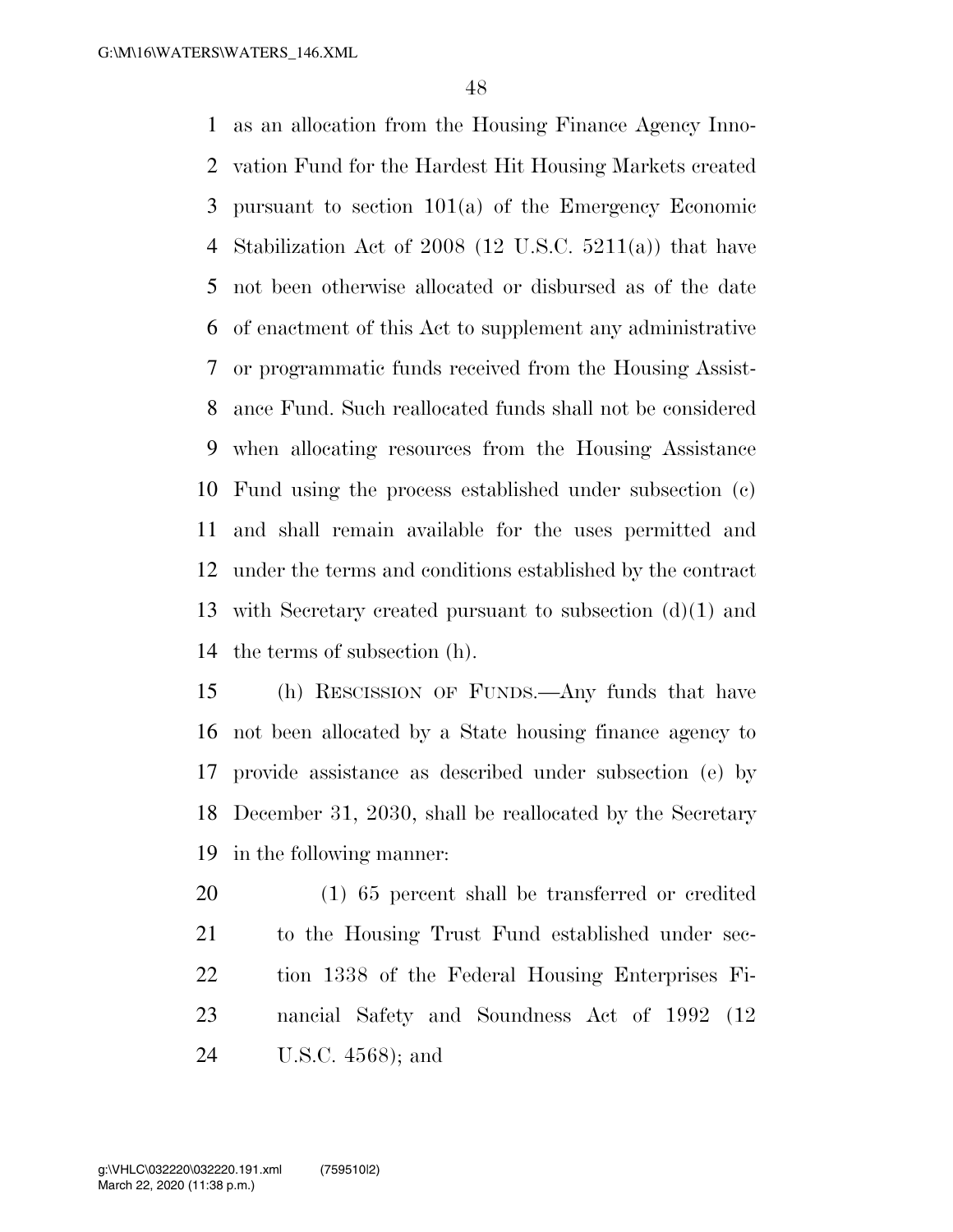as an allocation from the Housing Finance Agency Inno- vation Fund for the Hardest Hit Housing Markets created pursuant to section 101(a) of the Emergency Economic Stabilization Act of 2008 (12 U.S.C. 5211(a)) that have not been otherwise allocated or disbursed as of the date of enactment of this Act to supplement any administrative or programmatic funds received from the Housing Assist- ance Fund. Such reallocated funds shall not be considered when allocating resources from the Housing Assistance Fund using the process established under subsection (c) and shall remain available for the uses permitted and under the terms and conditions established by the contract with Secretary created pursuant to subsection (d)(1) and the terms of subsection (h).

 (h) RESCISSION OF FUNDS.—Any funds that have not been allocated by a State housing finance agency to provide assistance as described under subsection (e) by December 31, 2030, shall be reallocated by the Secretary in the following manner:

 (1) 65 percent shall be transferred or credited to the Housing Trust Fund established under sec- tion 1338 of the Federal Housing Enterprises Fi- nancial Safety and Soundness Act of 1992 (12 U.S.C. 4568); and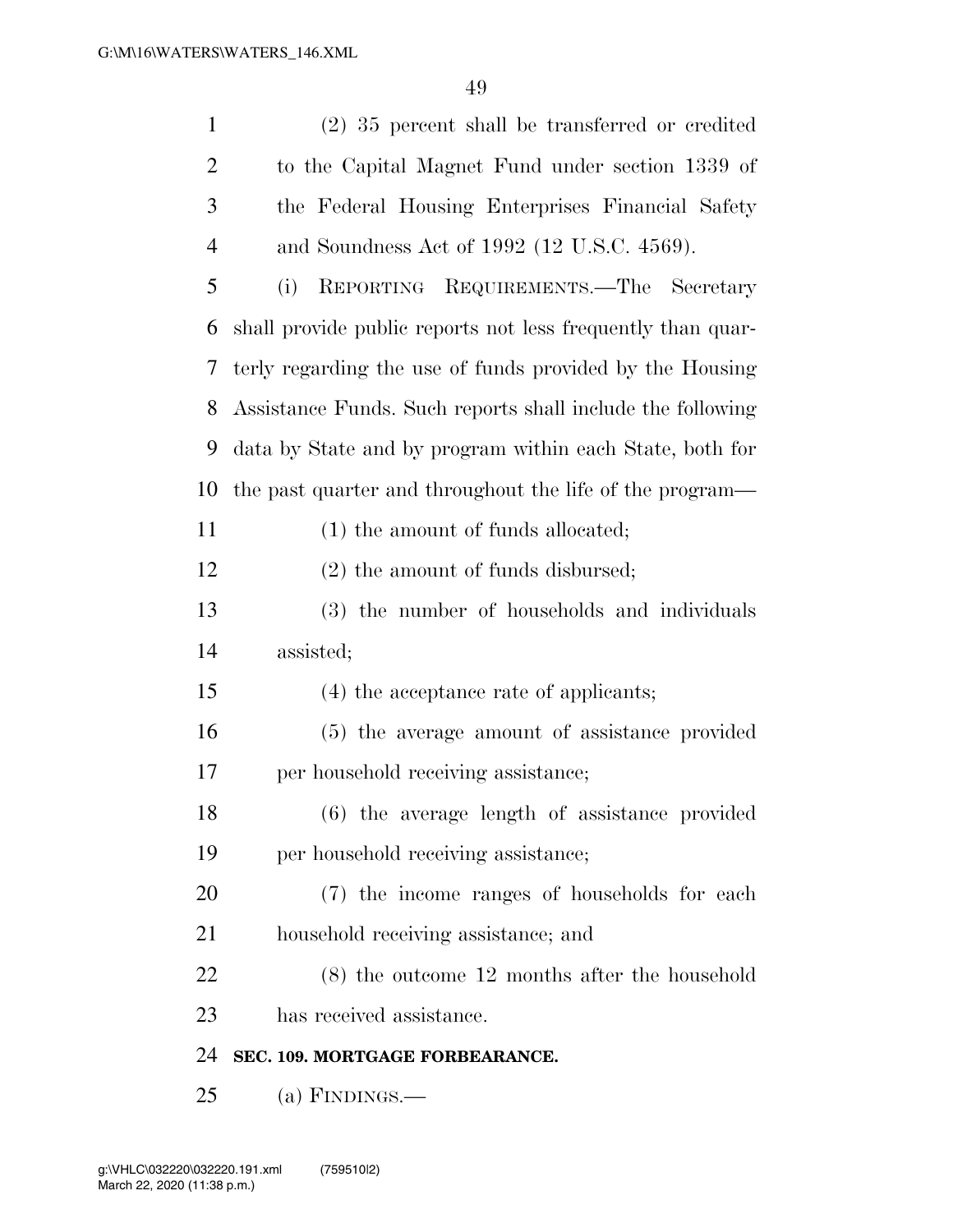| $\mathbf{1}$   | $(2)$ 35 percent shall be transferred or credited           |
|----------------|-------------------------------------------------------------|
| $\overline{2}$ | to the Capital Magnet Fund under section 1339 of            |
| 3              | the Federal Housing Enterprises Financial Safety            |
| $\overline{4}$ | and Soundness Act of 1992 (12 U.S.C. 4569).                 |
| 5              | REPORTING REQUIREMENTS.—The Secretary<br>(i)                |
| 6              | shall provide public reports not less frequently than quar- |
| 7              | terly regarding the use of funds provided by the Housing    |
| 8              | Assistance Funds. Such reports shall include the following  |
| 9              | data by State and by program within each State, both for    |
| 10             | the past quarter and throughout the life of the program—    |
| 11             | $(1)$ the amount of funds allocated;                        |
| 12             | $(2)$ the amount of funds disbursed;                        |
| 13             | (3) the number of households and individuals                |
| 14             | assisted;                                                   |
| 15             | (4) the acceptance rate of applicants;                      |
| 16             | (5) the average amount of assistance provided               |
| 17             | per household receiving assistance;                         |
| 18             | (6) the average length of assistance provided               |
| 19             | per household receiving assistance;                         |
| 20             | (7) the income ranges of households for each                |
| 21             | household receiving assistance; and                         |
| 22             | $(8)$ the outcome 12 months after the household             |
| 23             | has received assistance.                                    |
| 24             | SEC. 109. MORTGAGE FORBEARANCE.                             |
| 25             | (a) FINDINGS.—                                              |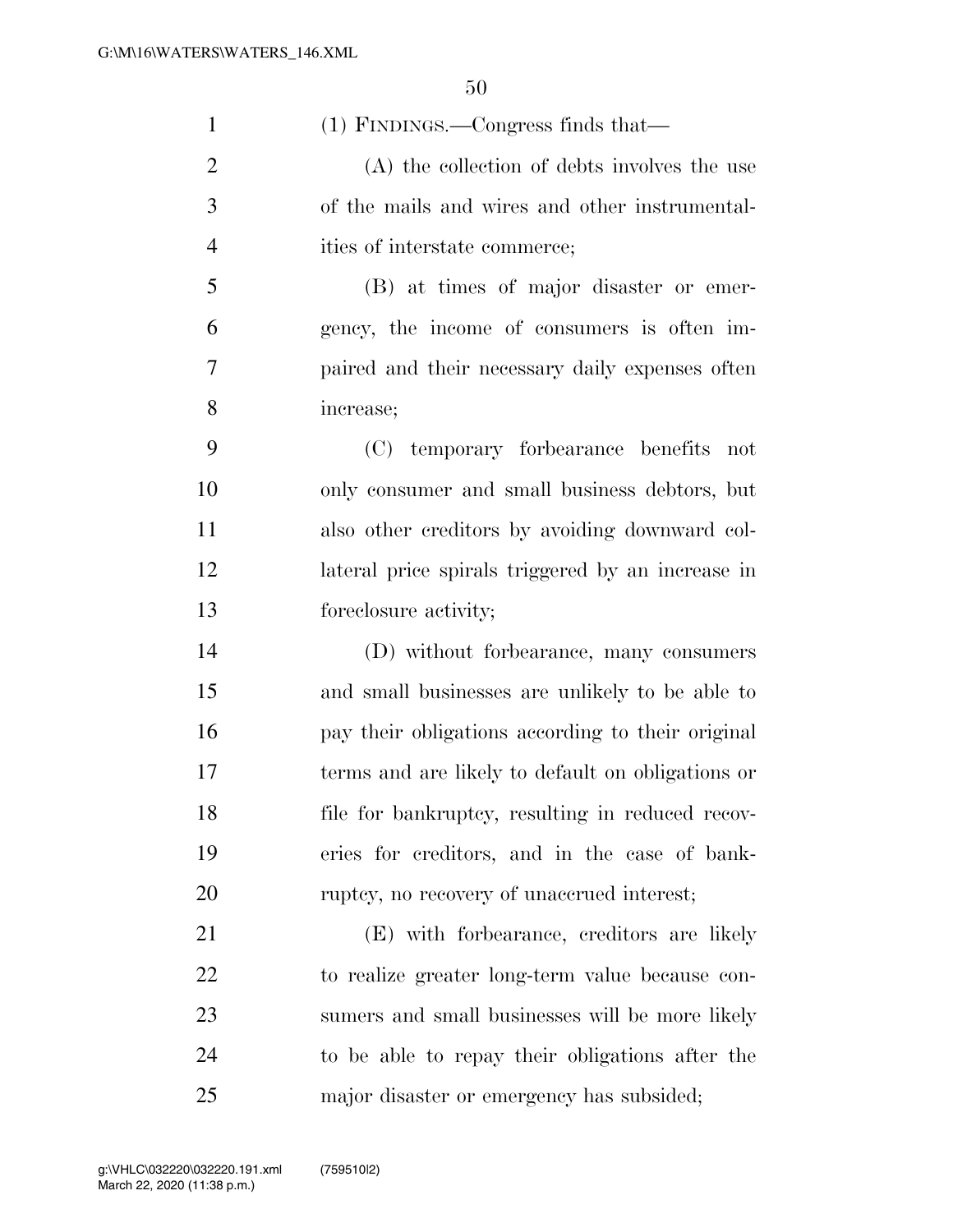| $\mathbf{1}$   | (1) FINDINGS.—Congress finds that—                |
|----------------|---------------------------------------------------|
| $\overline{2}$ | (A) the collection of debts involves the use      |
| 3              | of the mails and wires and other instrumental-    |
| $\overline{4}$ | ities of interstate commerce;                     |
| 5              | (B) at times of major disaster or emer-           |
| 6              | gency, the income of consumers is often im-       |
| 7              | paired and their necessary daily expenses often   |
| 8              | increase;                                         |
| 9              | (C) temporary forbearance benefits not            |
| 10             | only consumer and small business debtors, but     |
| 11             | also other creditors by avoiding downward col-    |
| 12             | lateral price spirals triggered by an increase in |
| 13             | foreclosure activity;                             |
| 14             | (D) without forbearance, many consumers           |
| 15             | and small businesses are unlikely to be able to   |
| 16             | pay their obligations according to their original |
| 17             | terms and are likely to default on obligations or |
| 18             | file for bankruptcy, resulting in reduced recov-  |
| 19             | eries for creditors, and in the case of bank-     |
| 20             | ruptcy, no recovery of unaccrued interest;        |
| 21             | (E) with forbearance, creditors are likely        |
| 22             | to realize greater long-term value because con-   |
| 23             | sumers and small businesses will be more likely   |
| 24             | to be able to repay their obligations after the   |
| 25             | major disaster or emergency has subsided;         |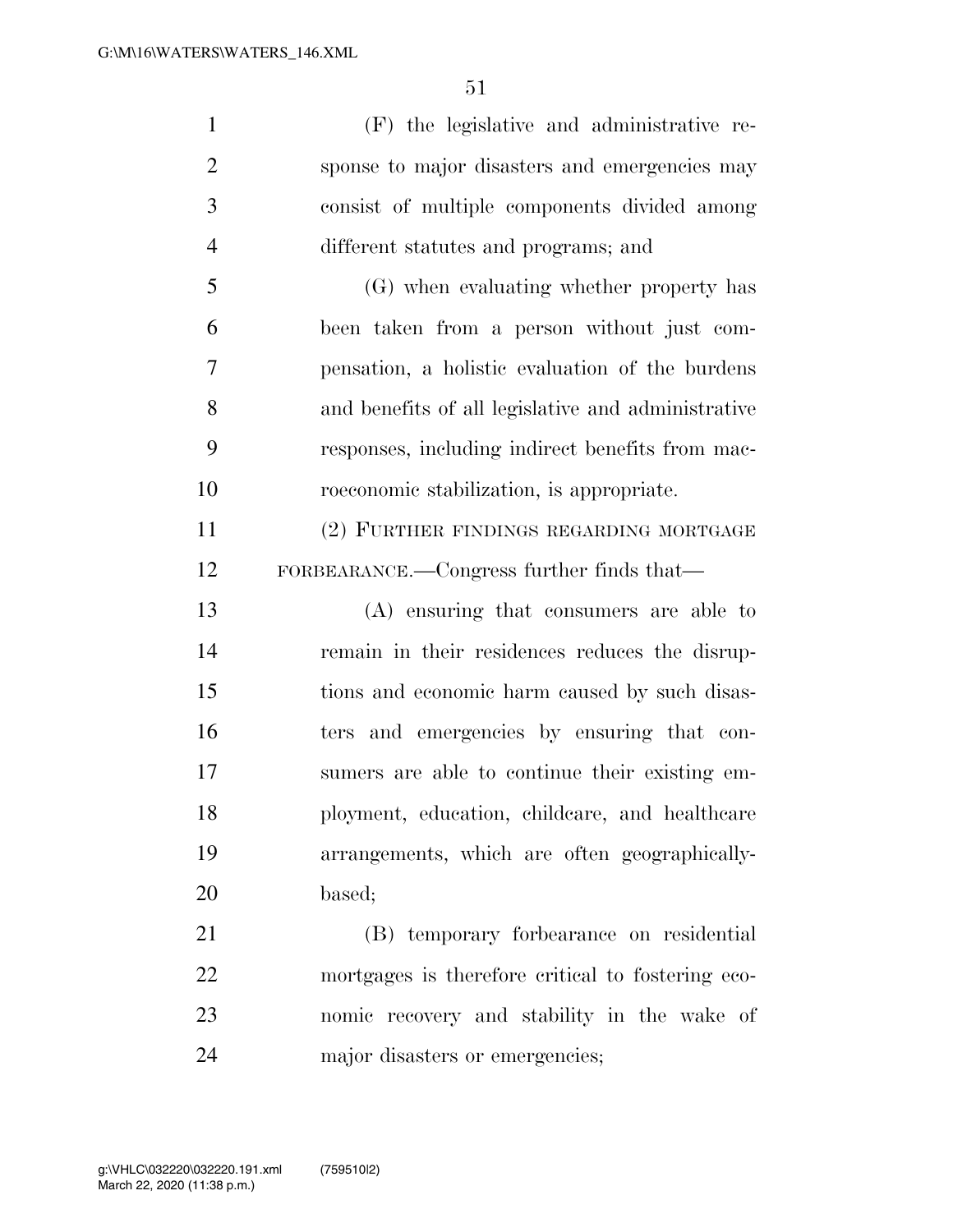(F) the legislative and administrative re- sponse to major disasters and emergencies may consist of multiple components divided among different statutes and programs; and (G) when evaluating whether property has been taken from a person without just com- pensation, a holistic evaluation of the burdens and benefits of all legislative and administrative responses, including indirect benefits from mac- roeconomic stabilization, is appropriate. (2) FURTHER FINDINGS REGARDING MORTGAGE FORBEARANCE.—Congress further finds that— (A) ensuring that consumers are able to remain in their residences reduces the disrup- tions and economic harm caused by such disas- ters and emergencies by ensuring that con- sumers are able to continue their existing em- ployment, education, childcare, and healthcare arrangements, which are often geographically- based; (B) temporary forbearance on residential mortgages is therefore critical to fostering eco-

 nomic recovery and stability in the wake of major disasters or emergencies;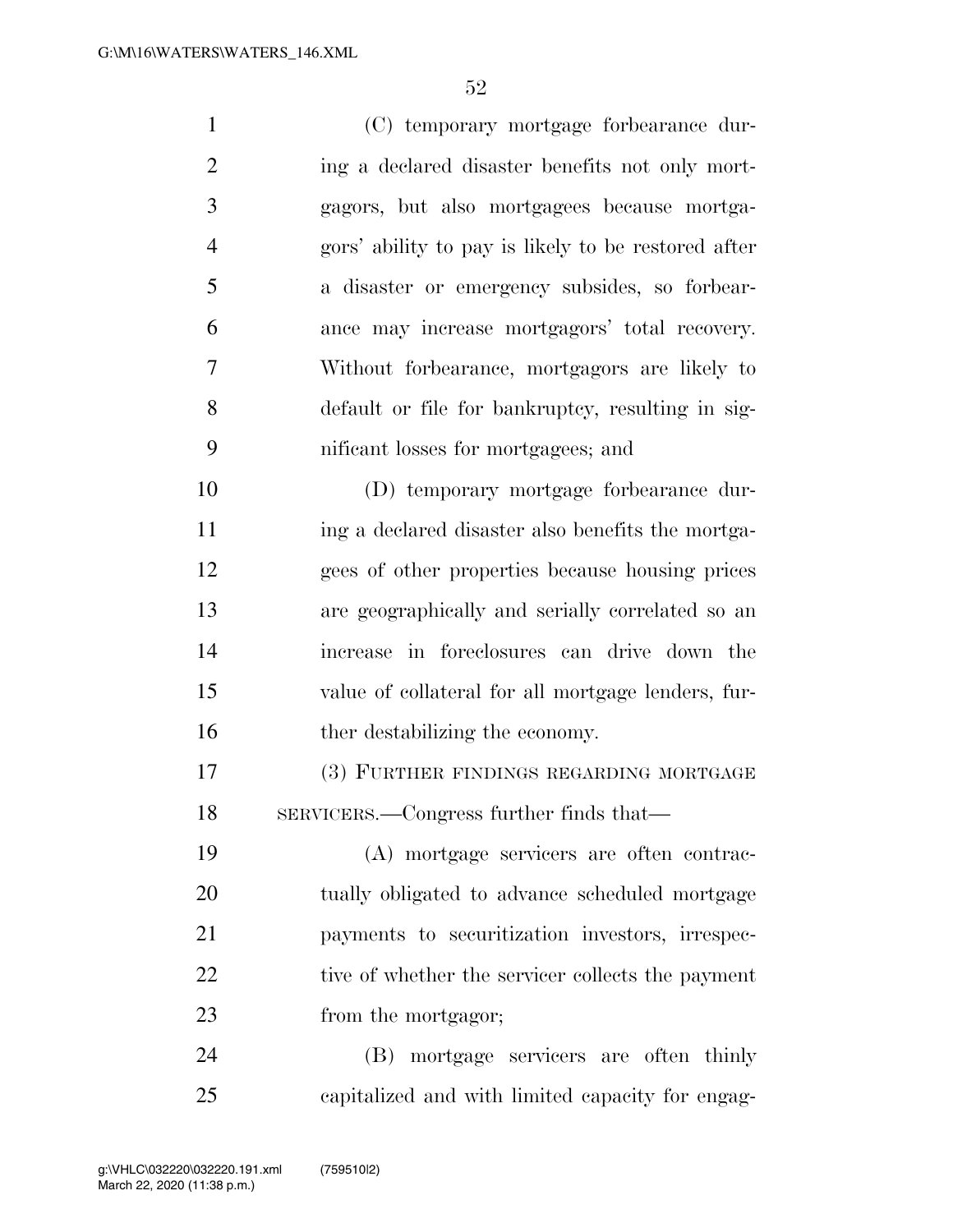(C) temporary mortgage forbearance dur-2 ing a declared disaster benefits not only mort- gagors, but also mortgagees because mortga- gors' ability to pay is likely to be restored after a disaster or emergency subsides, so forbear- ance may increase mortgagors' total recovery. Without forbearance, mortgagors are likely to default or file for bankruptcy, resulting in sig- nificant losses for mortgagees; and (D) temporary mortgage forbearance dur- ing a declared disaster also benefits the mortga- gees of other properties because housing prices are geographically and serially correlated so an increase in foreclosures can drive down the value of collateral for all mortgage lenders, fur-

16 the destabilizing the economy.

 (3) FURTHER FINDINGS REGARDING MORTGAGE SERVICERS.—Congress further finds that—

 (A) mortgage servicers are often contrac- tually obligated to advance scheduled mortgage payments to securitization investors, irrespec-22 tive of whether the servicer collects the payment 23 from the mortgagor;

 (B) mortgage servicers are often thinly capitalized and with limited capacity for engag-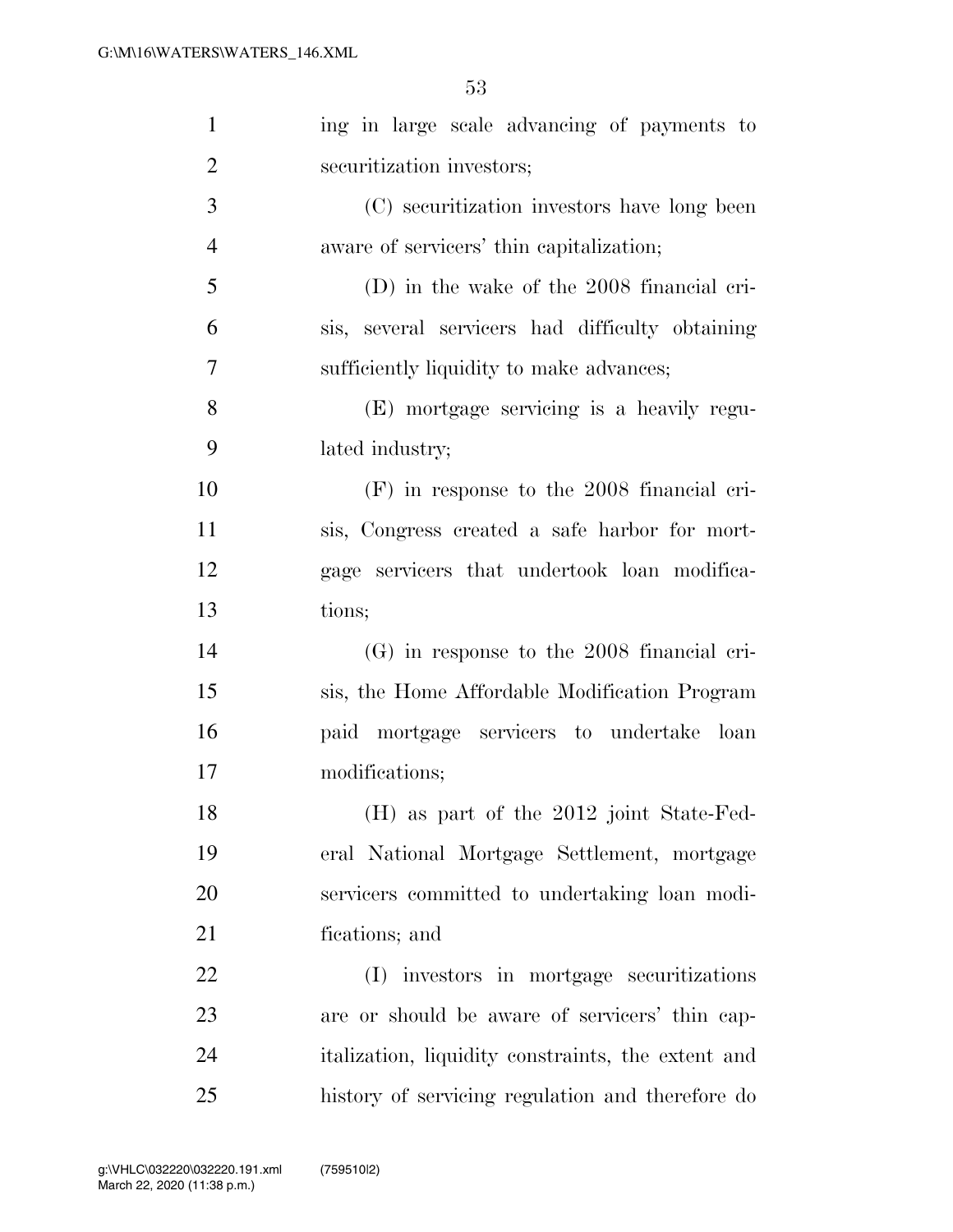| $\mathbf{1}$   | ing in large scale advancing of payments to        |
|----------------|----------------------------------------------------|
| $\overline{2}$ | securitization investors;                          |
| 3              | (C) securitization investors have long been        |
| $\overline{4}$ | aware of servicers' thin capitalization;           |
| 5              | (D) in the wake of the 2008 financial cri-         |
| 6              | sis, several servicers had difficulty obtaining    |
| 7              | sufficiently liquidity to make advances;           |
| 8              | (E) mortgage servicing is a heavily regu-          |
| 9              | lated industry;                                    |
| 10             | $(F)$ in response to the 2008 financial cri-       |
| 11             | sis, Congress created a safe harbor for mort-      |
| 12             | gage servicers that undertook loan modifica-       |
| 13             | tions;                                             |
| 14             | $(G)$ in response to the 2008 financial cri-       |
| 15             | sis, the Home Affordable Modification Program      |
| 16             | paid mortgage servicers to undertake loan          |
| 17             | modifications;                                     |
| 18             | (H) as part of the 2012 joint State-Fed-           |
| 19             | eral National Mortgage Settlement, mortgage        |
| 20             | servicers committed to undertaking loan modi-      |
| 21             | fications; and                                     |
| 22             | (I) investors in mortgage securitizations          |
| 23             | are or should be aware of servicers' thin cap-     |
| 24             | italization, liquidity constraints, the extent and |
| 25             | history of servicing regulation and therefore do   |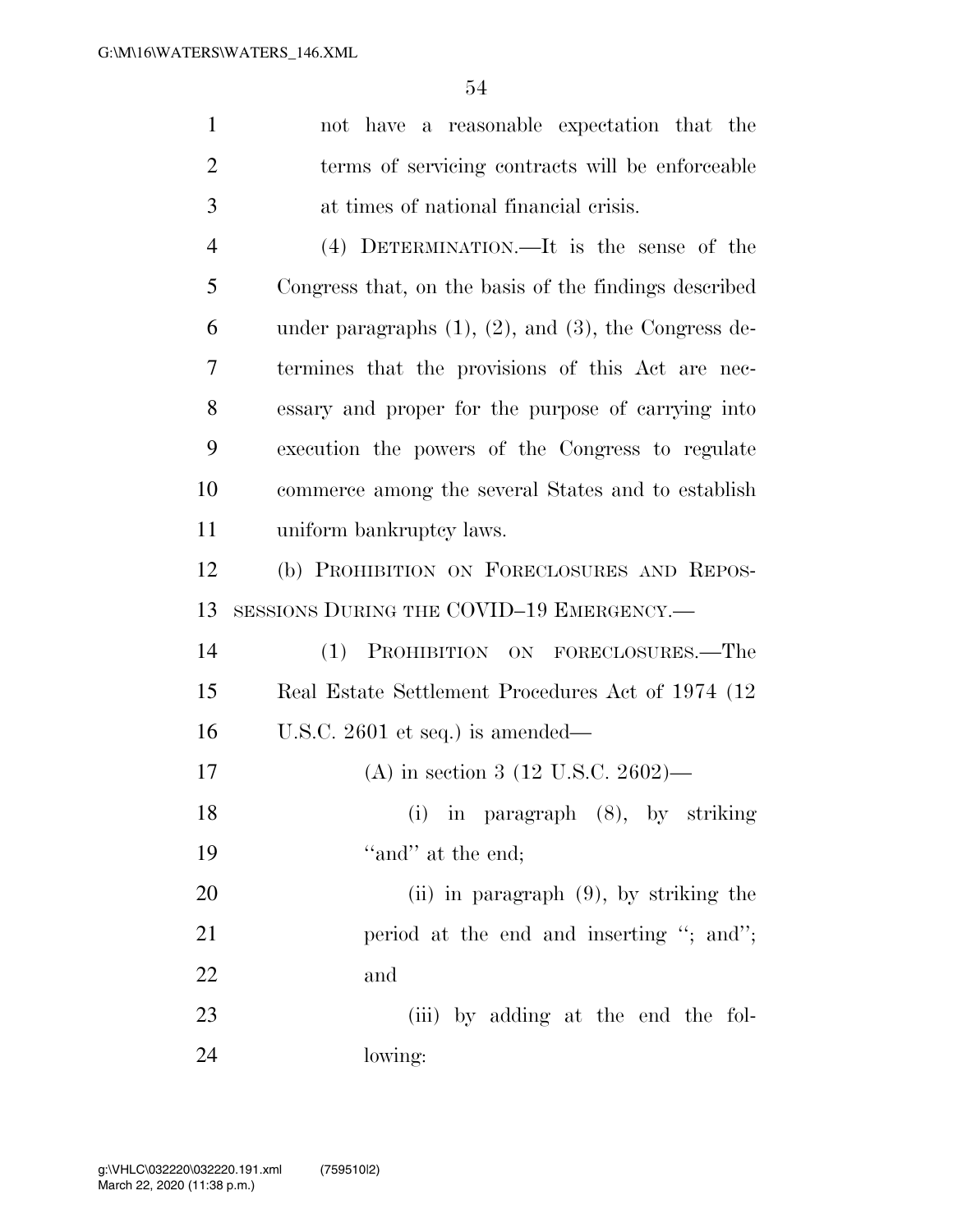| $\mathbf{1}$   | not have a reasonable expectation that the                    |
|----------------|---------------------------------------------------------------|
| $\overline{2}$ | terms of servicing contracts will be enforceable              |
| 3              | at times of national financial crisis.                        |
| $\overline{4}$ | (4) DETERMINATION.—It is the sense of the                     |
| 5              | Congress that, on the basis of the findings described         |
| 6              | under paragraphs $(1)$ , $(2)$ , and $(3)$ , the Congress de- |
| 7              | termines that the provisions of this Act are nec-             |
| 8              | essary and proper for the purpose of carrying into            |
| 9              | execution the powers of the Congress to regulate              |
| 10             | commerce among the several States and to establish            |
| 11             | uniform bankruptcy laws.                                      |
| 12             | (b) PROHIBITION ON FORECLOSURES AND REPOS-                    |
| 13             | SESSIONS DURING THE COVID-19 EMERGENCY.—                      |
| 14             | (1) PROHIBITION ON FORECLOSURES.-The                          |
| 15             | Real Estate Settlement Procedures Act of 1974 (12)            |
| 16             | U.S.C. $2601$ et seq.) is amended—                            |
| 17             | (A) in section 3 (12 U.S.C. 2602)—                            |
| 18             | (i) in paragraph $(8)$ , by striking                          |
| 19             | "and" at the end;                                             |
| 20             | (ii) in paragraph $(9)$ , by striking the                     |
| 21             | period at the end and inserting "; and";                      |
| 22             |                                                               |
|                | and                                                           |
| 23             | (iii) by adding at the end the fol-                           |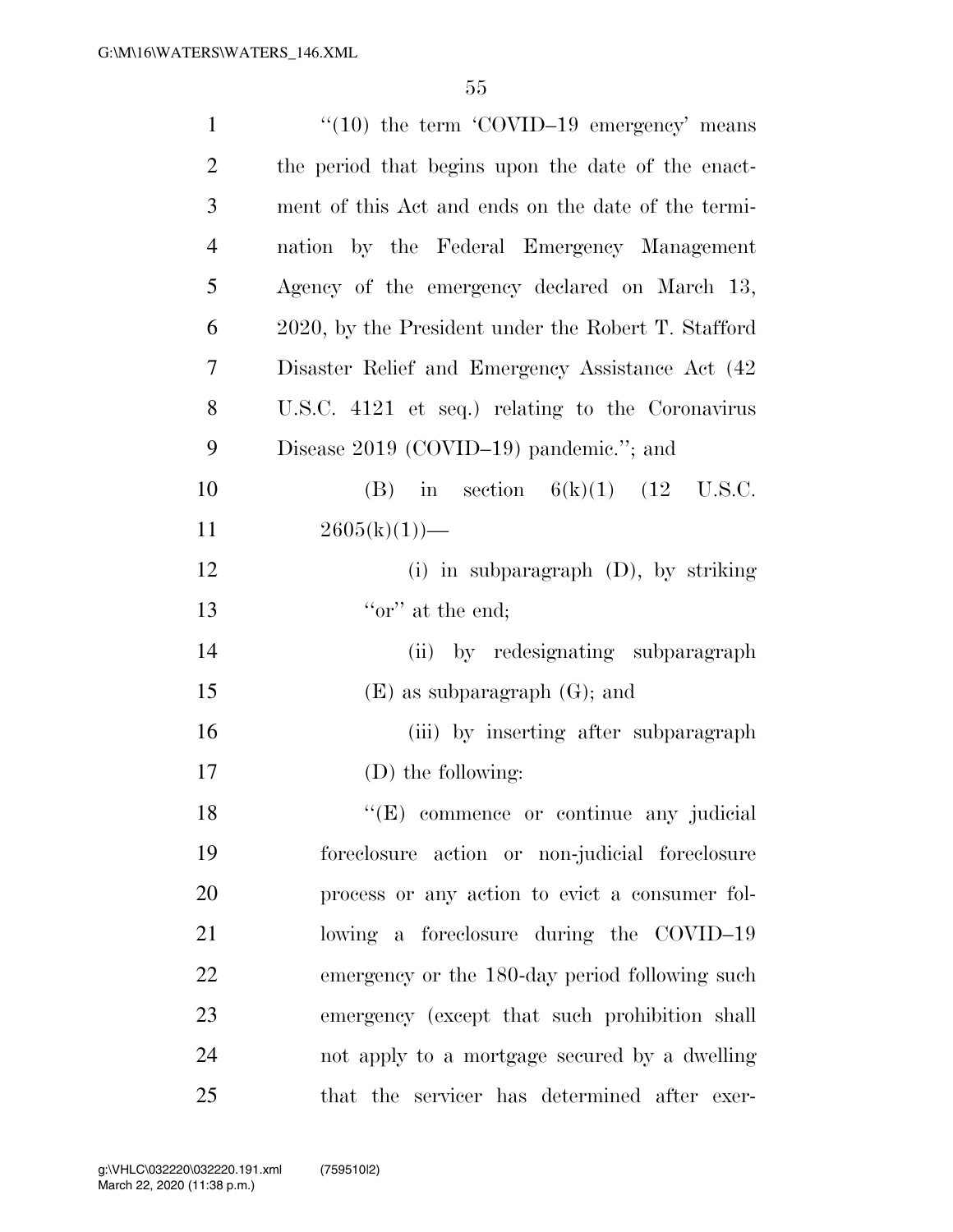| $\mathbf{1}$   | $\cdot\cdot(10)$ the term $\cdot$ COVID-19 emergency' means |
|----------------|-------------------------------------------------------------|
| $\overline{2}$ | the period that begins upon the date of the enact-          |
| 3              | ment of this Act and ends on the date of the termi-         |
| $\overline{4}$ | nation by the Federal Emergency Management                  |
| 5              | Agency of the emergency declared on March 13,               |
| 6              | 2020, by the President under the Robert T. Stafford         |
| 7              | Disaster Relief and Emergency Assistance Act (42)           |
| 8              | U.S.C. 4121 et seq.) relating to the Coronavirus            |
| 9              | Disease $2019$ (COVID-19) pandemic."; and                   |
| 10             | in section $6(k)(1)$ (12 U.S.C.<br>(B)                      |
| 11             | $2605(k)(1)$ —                                              |
| 12             | (i) in subparagraph $(D)$ , by striking                     |
| 13             | " $\alpha$ " at the end;                                    |
| 14             | (ii) by redesignating subparagraph                          |
| 15             | $(E)$ as subparagraph $(G)$ ; and                           |
| 16             | (iii) by inserting after subparagraph                       |
| 17             | (D) the following:                                          |
| 18             | "(E) commence or continue any judicial                      |
| 19             | foreclosure action or non-judicial foreclosure              |
| 20             | process or any action to evict a consumer fol-              |
| 21             | lowing a foreclosure during the COVID-19                    |
| 22             | emergency or the 180-day period following such              |
| 23             | emergency (except that such prohibition shall               |
| 24             | not apply to a mortgage secured by a dwelling               |
| 25             | that the servicer has determined after exer-                |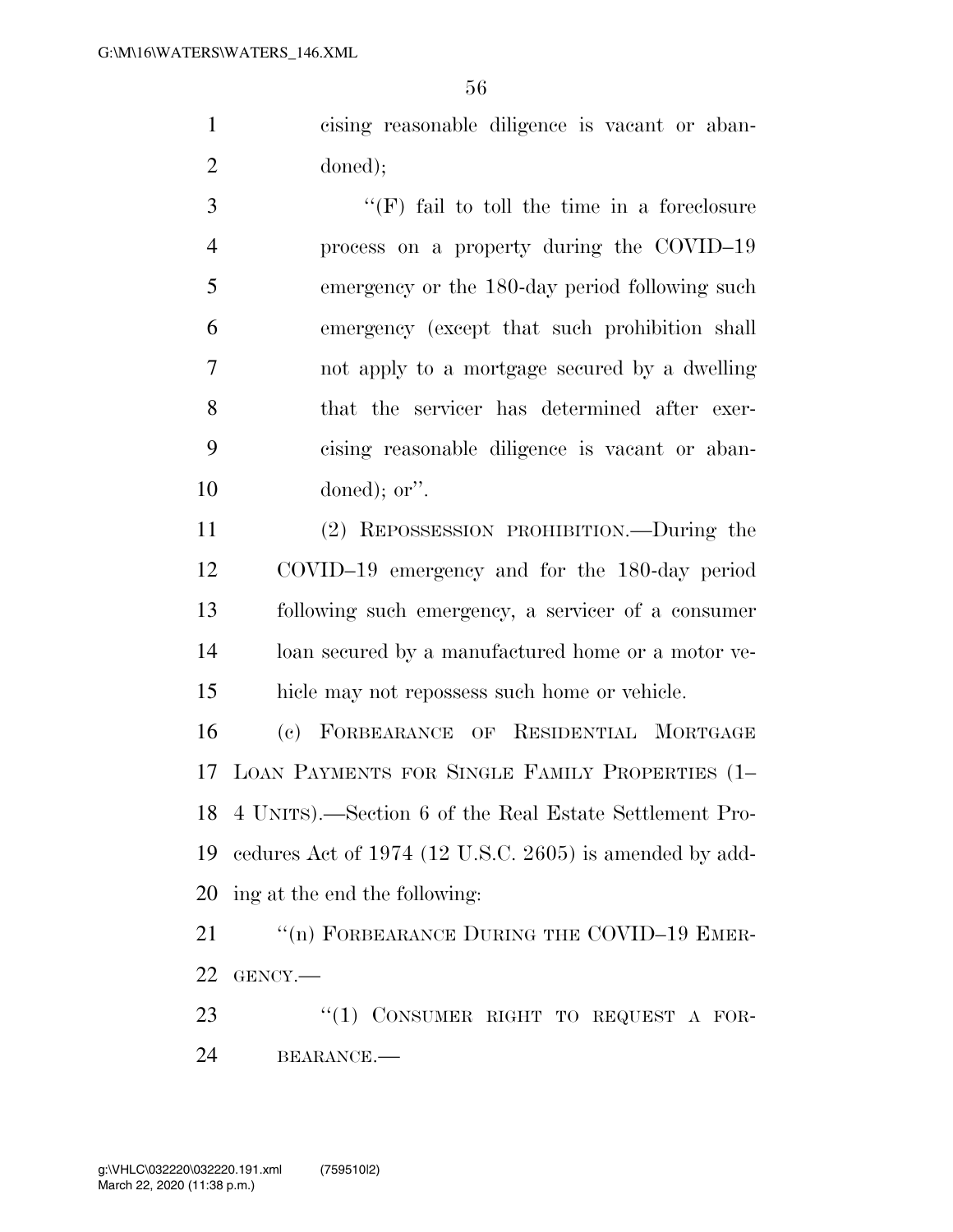cising reasonable diligence is vacant or aban-doned);

 ''(F) fail to toll the time in a foreclosure process on a property during the COVID–19 emergency or the 180-day period following such emergency (except that such prohibition shall not apply to a mortgage secured by a dwelling that the servicer has determined after exer- cising reasonable diligence is vacant or aban-doned); or''.

 (2) REPOSSESSION PROHIBITION.—During the COVID–19 emergency and for the 180-day period following such emergency, a servicer of a consumer loan secured by a manufactured home or a motor ve-hicle may not repossess such home or vehicle.

 (c) FORBEARANCE OF RESIDENTIAL MORTGAGE LOAN PAYMENTS FOR SINGLE FAMILY PROPERTIES (1– 4 UNITS).—Section 6 of the Real Estate Settlement Pro- cedures Act of 1974 (12 U.S.C. 2605) is amended by add-ing at the end the following:

21 "(n) FORBEARANCE DURING THE COVID-19 EMER-GENCY.—

23 "(1) CONSUMER RIGHT TO REQUEST A FOR-BEARANCE.—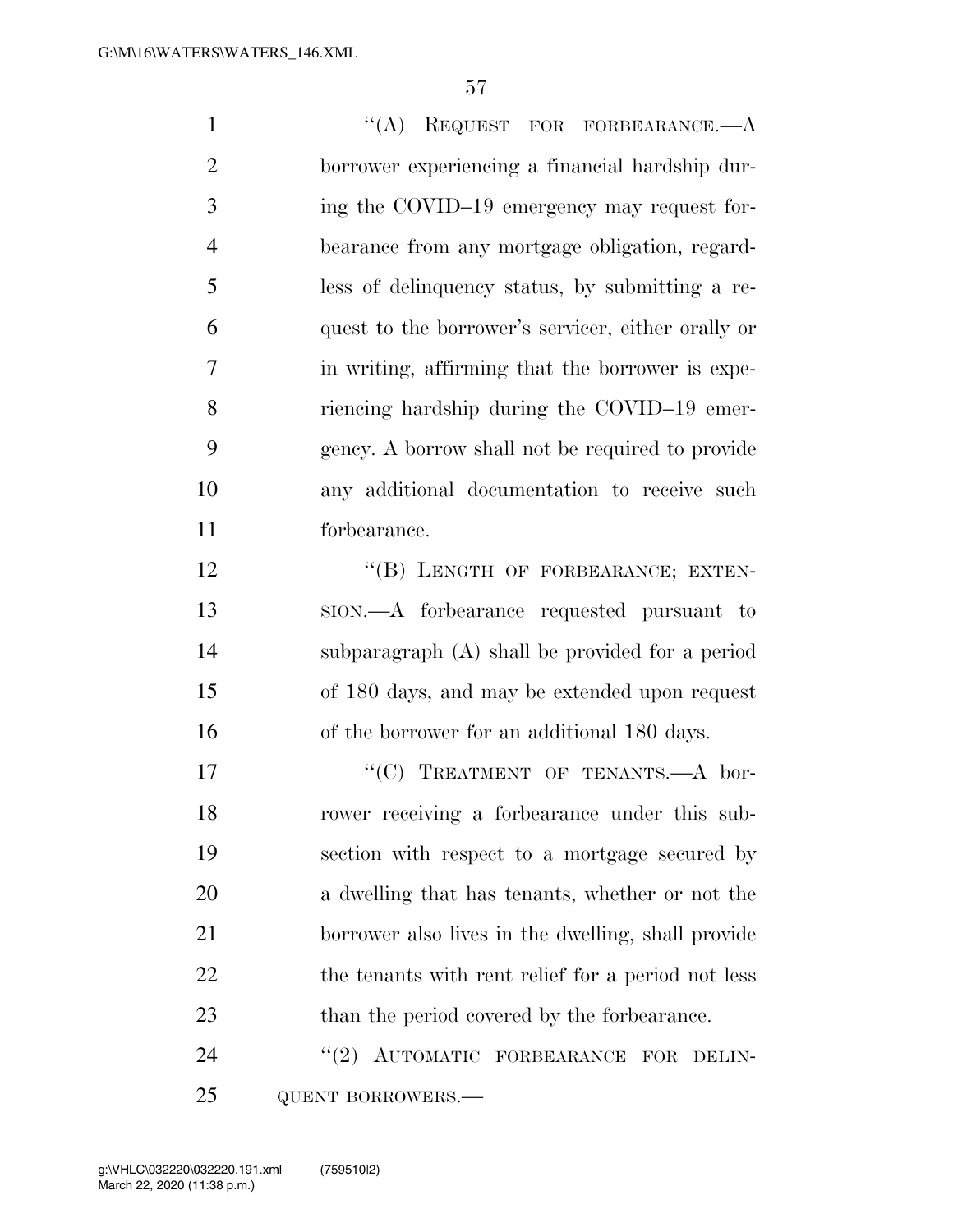| $\mathbf{1}$   | "(A) REQUEST FOR FORBEARANCE. $-A$                   |
|----------------|------------------------------------------------------|
| $\overline{2}$ | borrower experiencing a financial hardship dur-      |
| 3              | ing the COVID-19 emergency may request for-          |
| $\overline{4}$ | bearance from any mortgage obligation, regard-       |
| 5              | less of delinquency status, by submitting a re-      |
| 6              | quest to the borrower's servicer, either orally or   |
| 7              | in writing, affirming that the borrower is expe-     |
| 8              | riencing hardship during the COVID-19 emer-          |
| 9              | gency. A borrow shall not be required to provide     |
| 10             | any additional documentation to receive such         |
| 11             | forbearance.                                         |
| 12             | "(B) LENGTH OF FORBEARANCE; EXTEN-                   |
| 13             | sion.—A forbearance requested pursuant to            |
| 14             | subparagraph (A) shall be provided for a period      |
| 15             | of 180 days, and may be extended upon request        |
| 16             | of the borrower for an additional 180 days.          |
| 17             | "(C) TREATMENT OF TENANTS.—A bor-                    |
| 18             | rower receiving a forbearance under this sub-        |
| 19             | section with respect to a mortgage secured by        |
| 20             | a dwelling that has tenants, whether or not the      |
| 21             | borrower also lives in the dwelling, shall provide   |
| 22             | the tenants with rent relief for a period not less   |
| 23             | than the period covered by the forbearance.          |
| 24             | AUTOMATIC FORBEARANCE<br>(2)<br><b>FOR</b><br>DELIN- |

QUENT BORROWERS.—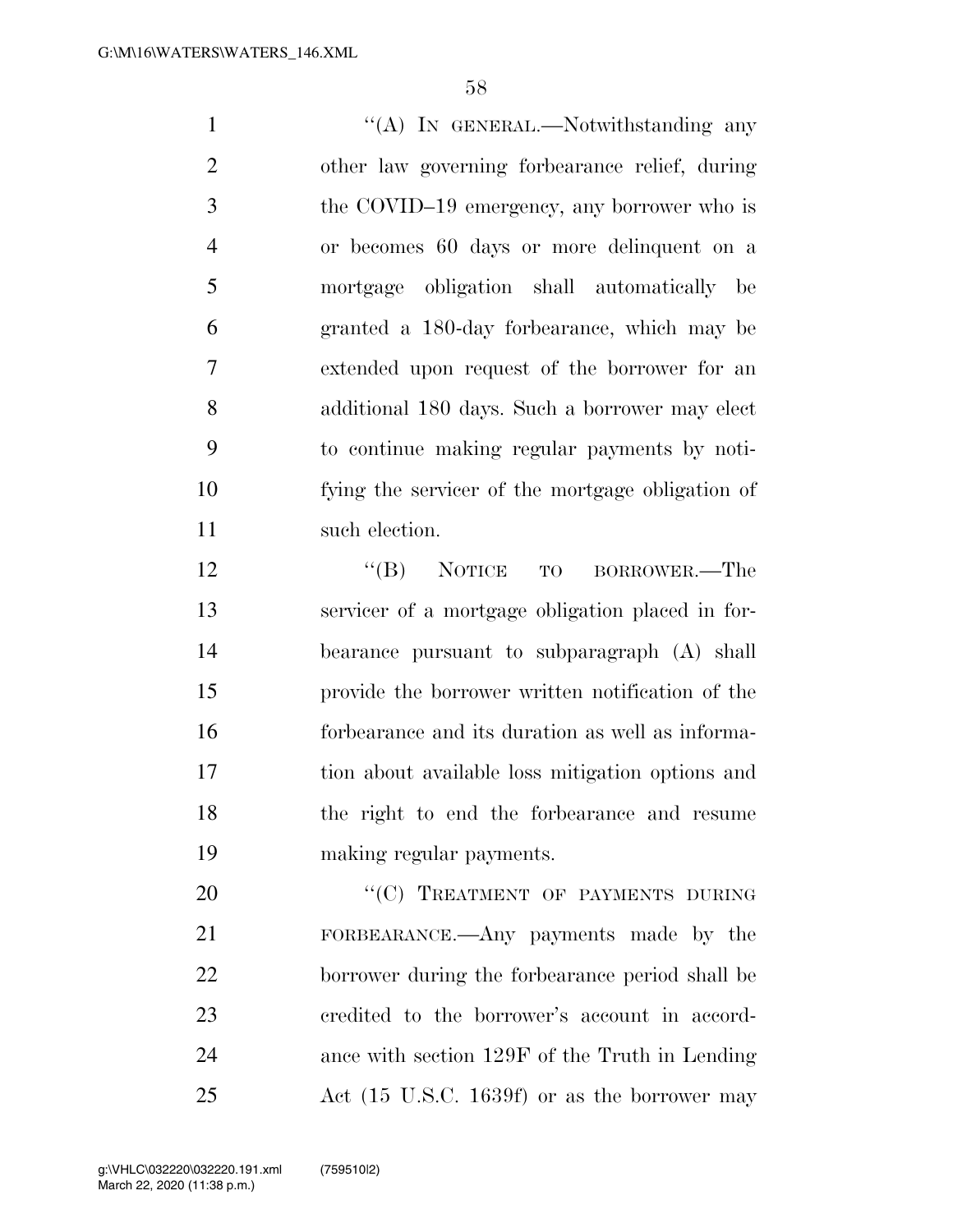1 ''(A) In GENERAL.—Notwithstanding any other law governing forbearance relief, during the COVID–19 emergency, any borrower who is or becomes 60 days or more delinquent on a mortgage obligation shall automatically be granted a 180-day forbearance, which may be extended upon request of the borrower for an additional 180 days. Such a borrower may elect to continue making regular payments by noti- fying the servicer of the mortgage obligation of 11 such election.

12 "(B) NOTICE TO BORROWER.—The servicer of a mortgage obligation placed in for- bearance pursuant to subparagraph (A) shall provide the borrower written notification of the forbearance and its duration as well as informa- tion about available loss mitigation options and the right to end the forbearance and resume making regular payments.

20 "(C) TREATMENT OF PAYMENTS DURING FORBEARANCE.—Any payments made by the borrower during the forbearance period shall be credited to the borrower's account in accord- ance with section 129F of the Truth in Lending Act (15 U.S.C. 1639f) or as the borrower may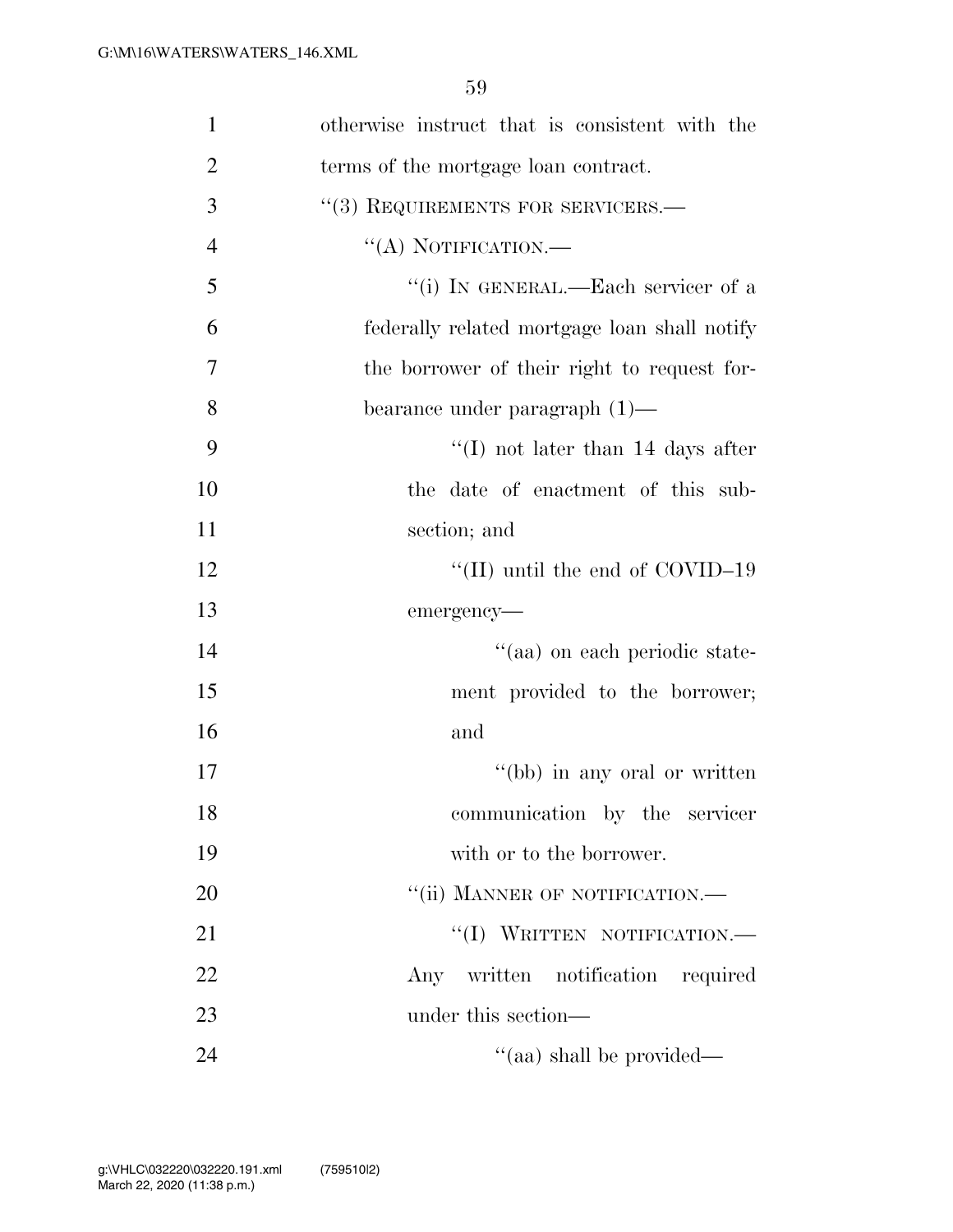| $\mathbf{1}$   | otherwise instruct that is consistent with the |
|----------------|------------------------------------------------|
| $\overline{2}$ | terms of the mortgage loan contract.           |
| 3              | "(3) REQUIREMENTS FOR SERVICERS.-              |
| $\overline{4}$ | $\lq\lq$ (A) NOTIFICATION.—                    |
| 5              | "(i) IN GENERAL.—Each servicer of a            |
| 6              | federally related mortgage loan shall notify   |
| 7              | the borrower of their right to request for-    |
| 8              | bearance under paragraph $(1)$ —               |
| 9              | "(I) not later than $14$ days after            |
| 10             | the date of enactment of this sub-             |
| 11             | section; and                                   |
| 12             | "(II) until the end of $\rm COVID-19$          |
| 13             | emergency-                                     |
| 14             | "(aa) on each periodic state-                  |
| 15             | ment provided to the borrower;                 |
| 16             | and                                            |
| 17             | "(bb) in any oral or written                   |
| 18             | communication by the servicer                  |
| 19             | with or to the borrower.                       |
| 20             | "(ii) MANNER OF NOTIFICATION.-                 |
| 21             | "(I) WRITTEN NOTIFICATION.-                    |
| 22             | written notification required<br>Any           |
| 23             | under this section—                            |
| 24             | $\cdot$ (aa) shall be provided—                |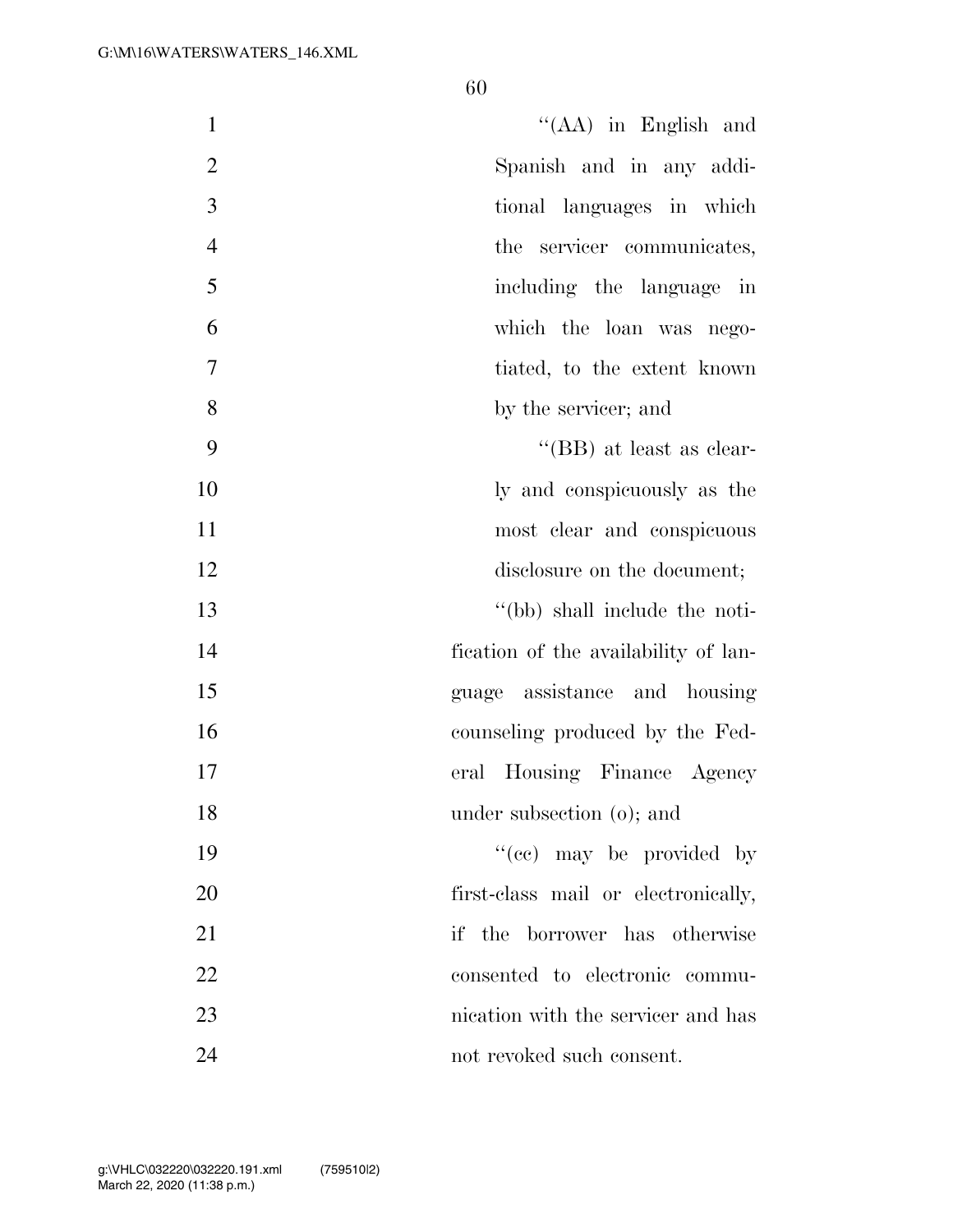| $\mathbf{1}$   | $\lq\lq$ (AA) in English and         |
|----------------|--------------------------------------|
| $\overline{2}$ | Spanish and in any addi-             |
| 3              | tional languages in which            |
| $\overline{4}$ | the servicer communicates,           |
| 5              | including the language in            |
| 6              | which the loan was nego-             |
| $\tau$         | tiated, to the extent known          |
| 8              | by the servicer; and                 |
| 9              | "(BB) at least as clear-             |
| 10             | ly and conspicuously as the          |
| 11             | most clear and conspicuous           |
| 12             | disclosure on the document;          |
| 13             | "(bb) shall include the noti-        |
| 14             | fication of the availability of lan- |
| 15             | guage assistance and housing         |
| 16             | counseling produced by the Fed-      |
| 17             | eral Housing Finance Agency          |
| 18             | under subsection $(o)$ ; and         |
| 19             | "(cc) may be provided by             |
| 20             | first-class mail or electronically,  |
| 21             | if the borrower has otherwise        |
| 22             | consented to electronic commu-       |
| 23             | nication with the servicer and has   |
| 24             | not revoked such consent.            |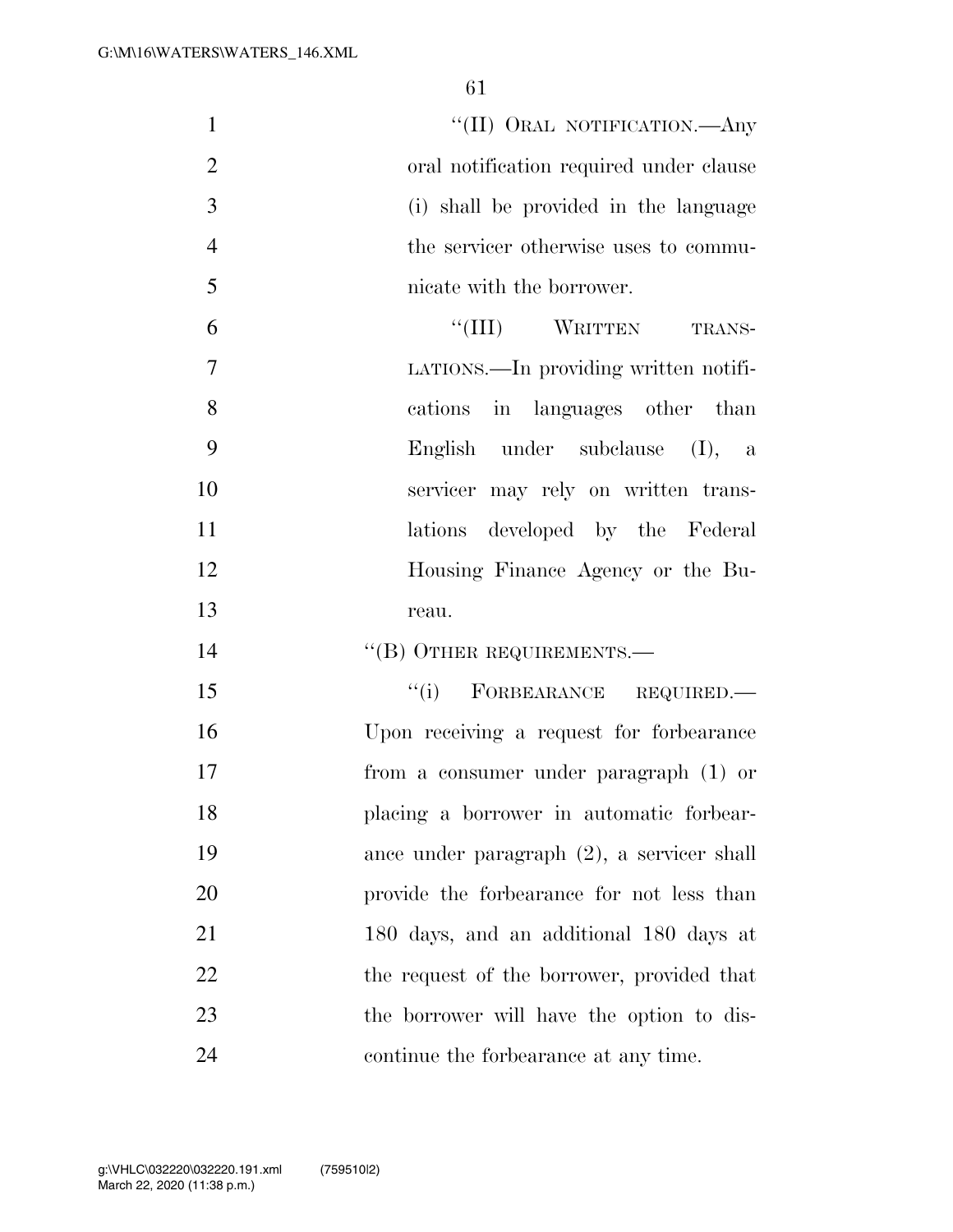$\text{``(II)}$  Oral NOTIFICATION.—Any oral notification required under clause (i) shall be provided in the language the servicer otherwise uses to commu- nicate with the borrower. 6 "(III) WRITTEN TRANS-

 LATIONS.—In providing written notifi- cations in languages other than English under subclause (I), a servicer may rely on written trans-11 lations developed by the Federal Housing Finance Agency or the Bu-reau.

14 "(B) OTHER REQUIREMENTS.—

 ''(i) FORBEARANCE REQUIRED.— Upon receiving a request for forbearance from a consumer under paragraph (1) or placing a borrower in automatic forbear- ance under paragraph (2), a servicer shall provide the forbearance for not less than 180 days, and an additional 180 days at 22 the request of the borrower, provided that the borrower will have the option to dis-continue the forbearance at any time.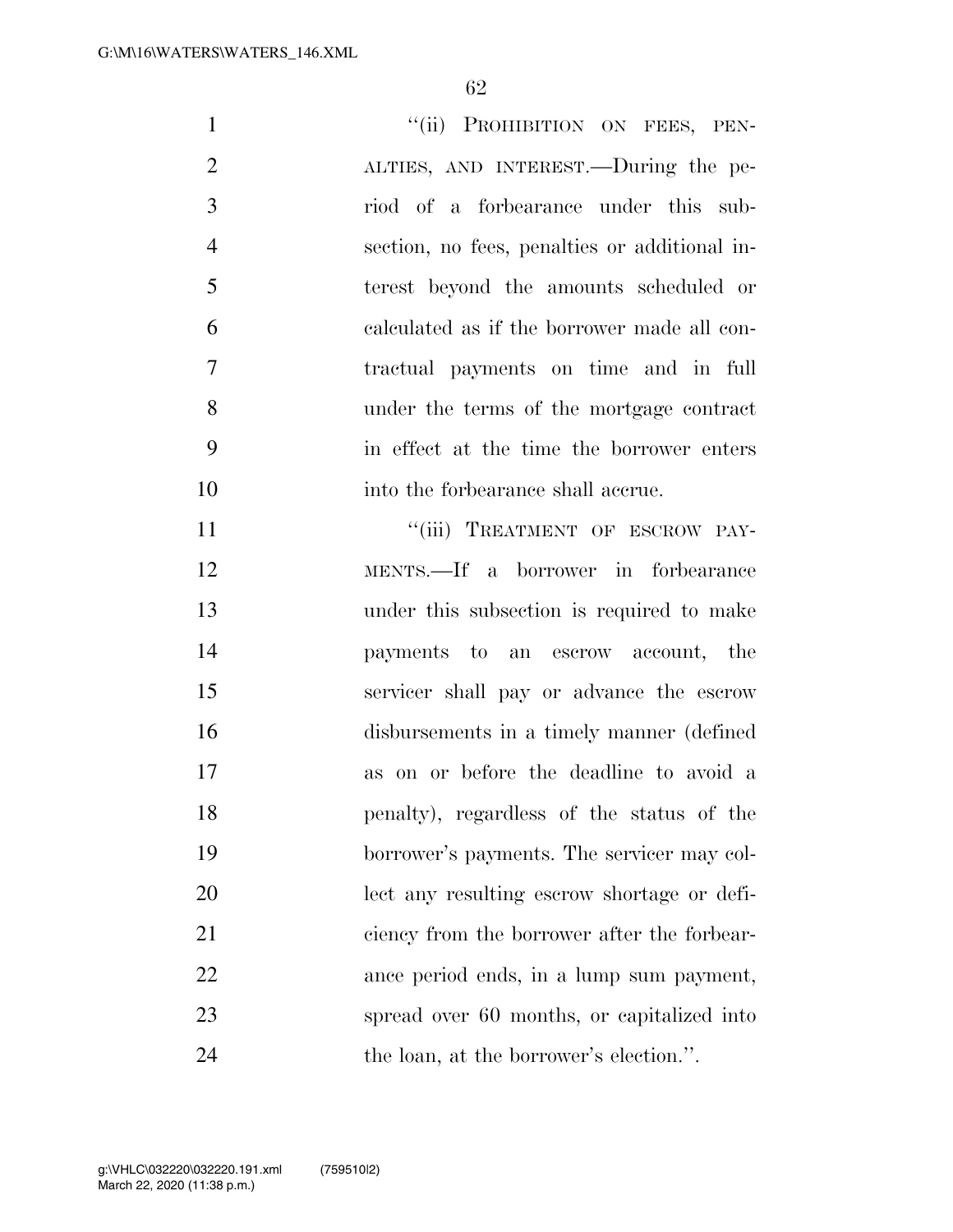| $\mathbf{1}$   | "(ii) PROHIBITION ON FEES, PEN-               |
|----------------|-----------------------------------------------|
| $\overline{2}$ | ALTIES, AND INTEREST.—During the pe-          |
| 3              | riod of a forbearance under this sub-         |
| $\overline{4}$ | section, no fees, penalties or additional in- |
| 5              | terest beyond the amounts scheduled or        |
| 6              | calculated as if the borrower made all con-   |
| 7              | tractual payments on time and in full         |
| 8              | under the terms of the mortgage contract      |
| 9              | in effect at the time the borrower enters     |
| 10             | into the forbearance shall accrue.            |
| 11             | "(iii) TREATMENT OF ESCROW PAY-               |
| 12             | MENTS.—If a borrower in forbearance           |
| 13             | under this subsection is required to make     |
| 14             | payments to an escrow account, the            |
| 15             | servicer shall pay or advance the escrow      |
| 16             | disbursements in a timely manner (defined     |
| 17             | as on or before the deadline to avoid a       |
| 18             | penalty), regardless of the status of the     |
| 19             | borrower's payments. The servicer may col-    |
| 20             | lect any resulting escrow shortage or defi-   |
| 21             | ciency from the borrower after the forbear-   |
| 22             | ance period ends, in a lump sum payment,      |
| 23             | spread over 60 months, or capitalized into    |
| 24             | the loan, at the borrower's election.".       |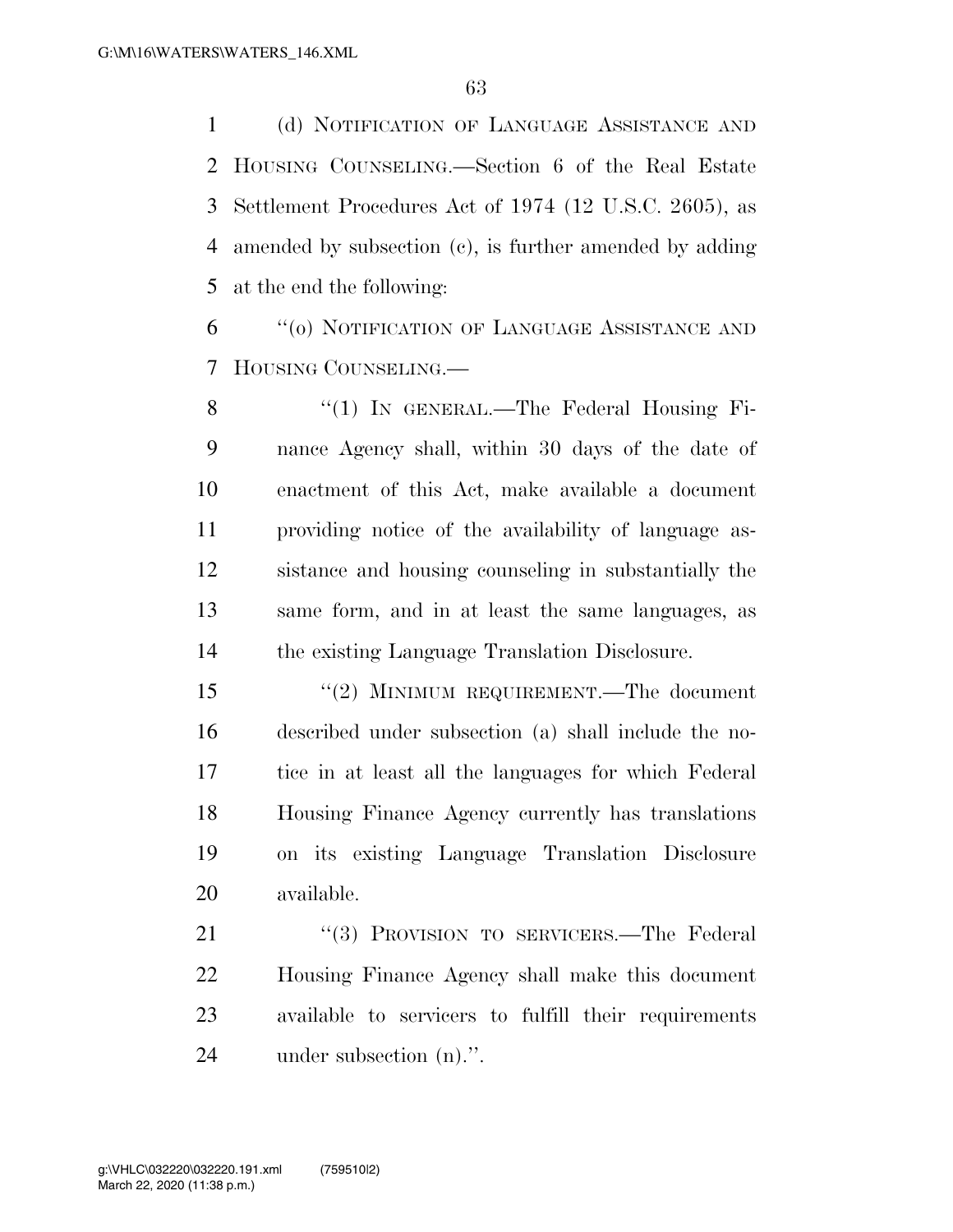(d) NOTIFICATION OF LANGUAGE ASSISTANCE AND HOUSING COUNSELING.—Section 6 of the Real Estate Settlement Procedures Act of 1974 (12 U.S.C. 2605), as amended by subsection (c), is further amended by adding at the end the following:

 ''(o) NOTIFICATION OF LANGUAGE ASSISTANCE AND HOUSING COUNSELING.—

8 "(1) IN GENERAL.—The Federal Housing Fi- nance Agency shall, within 30 days of the date of enactment of this Act, make available a document providing notice of the availability of language as- sistance and housing counseling in substantially the same form, and in at least the same languages, as the existing Language Translation Disclosure.

 ''(2) MINIMUM REQUIREMENT.—The document described under subsection (a) shall include the no- tice in at least all the languages for which Federal Housing Finance Agency currently has translations on its existing Language Translation Disclosure available.

21 "(3) PROVISION TO SERVICERS.—The Federal Housing Finance Agency shall make this document available to servicers to fulfill their requirements under subsection (n).''.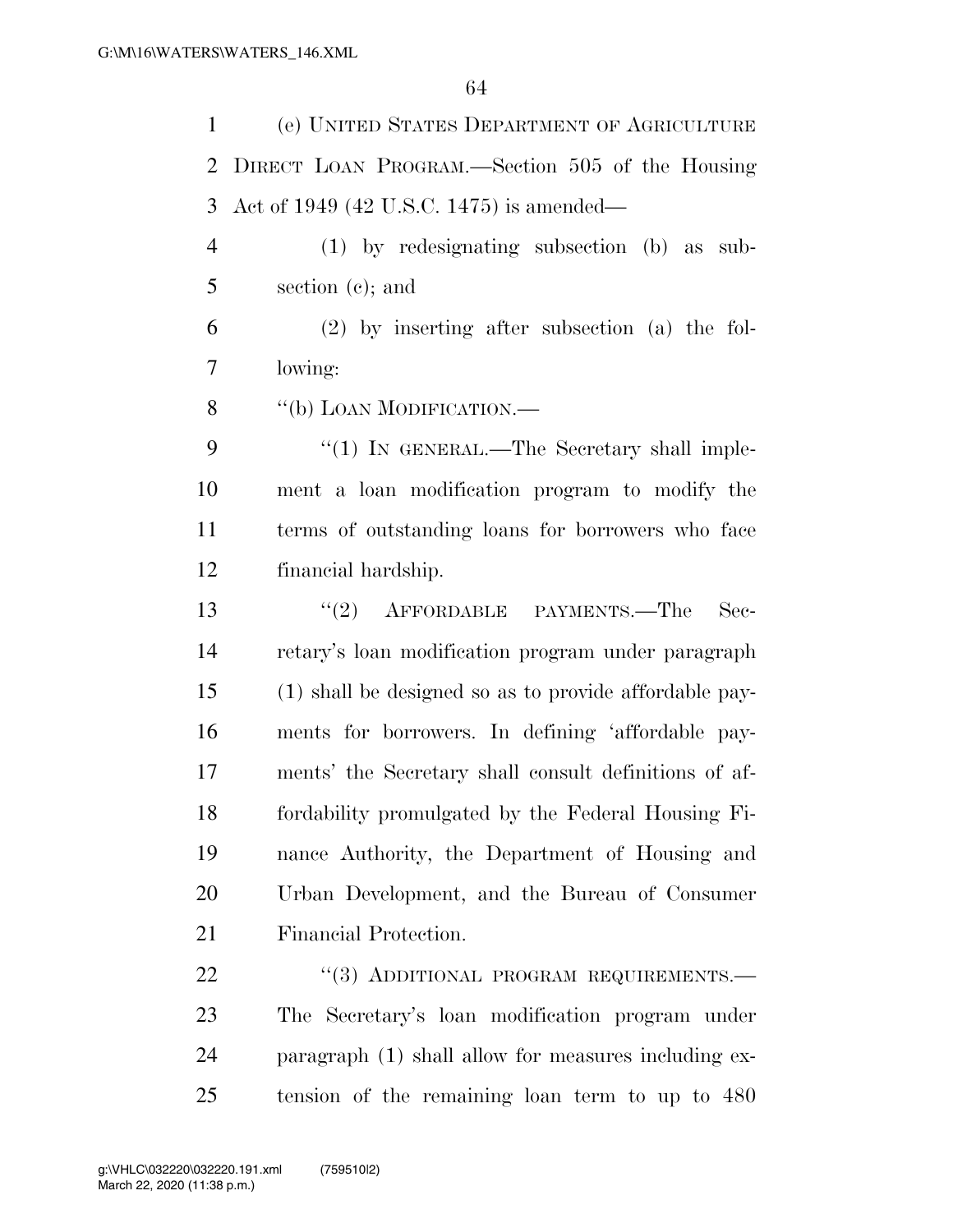| $\mathbf{1}$   | (e) UNITED STATES DEPARTMENT OF AGRICULTURE            |
|----------------|--------------------------------------------------------|
| $\overline{2}$ | DIRECT LOAN PROGRAM.—Section 505 of the Housing        |
| 3              | Act of 1949 (42 U.S.C. 1475) is amended—               |
| $\overline{4}$ | $(1)$ by redesignating subsection $(b)$ as sub-        |
| 5              | section $(c)$ ; and                                    |
| 6              | $(2)$ by inserting after subsection (a) the fol-       |
| 7              | lowing:                                                |
| 8              | "(b) LOAN MODIFICATION.-                               |
| 9              | "(1) IN GENERAL.—The Secretary shall imple-            |
| 10             | ment a loan modification program to modify the         |
| 11             | terms of outstanding loans for borrowers who face      |
| 12             | financial hardship.                                    |
| 13             | $(2)$ AFFORDABLE PAYMENTS.—The<br>$\rm Sec-$           |
| 14             | retary's loan modification program under paragraph     |
| 15             | (1) shall be designed so as to provide affordable pay- |
| 16             | ments for borrowers. In defining 'affordable pay-      |
| 17             | ments' the Secretary shall consult definitions of af-  |
| 18             | fordability promulgated by the Federal Housing Fi-     |
| 19             | nance Authority, the Department of Housing and         |
| 20             | Urban Development, and the Bureau of Consumer          |
| 21             | Financial Protection.                                  |
| 22             | "(3) ADDITIONAL PROGRAM REQUIREMENTS.—                 |
| 23             | The Secretary's loan modification program under        |
| 24             | paragraph (1) shall allow for measures including ex-   |

tension of the remaining loan term to up to 480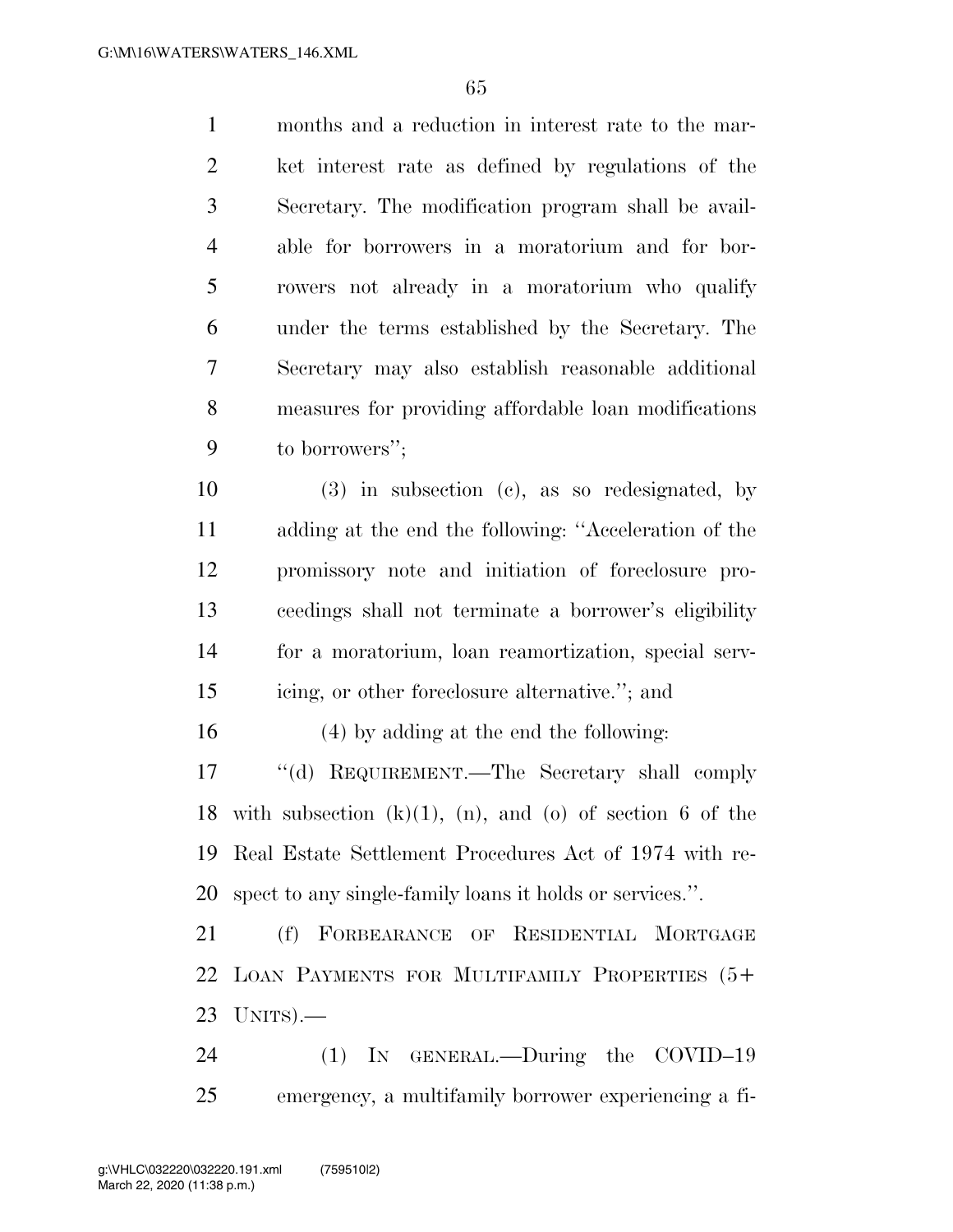months and a reduction in interest rate to the mar- ket interest rate as defined by regulations of the Secretary. The modification program shall be avail- able for borrowers in a moratorium and for bor- rowers not already in a moratorium who qualify under the terms established by the Secretary. The Secretary may also establish reasonable additional measures for providing affordable loan modifications to borrowers'';

 (3) in subsection (c), as so redesignated, by adding at the end the following: ''Acceleration of the promissory note and initiation of foreclosure pro- ceedings shall not terminate a borrower's eligibility for a moratorium, loan reamortization, special serv-icing, or other foreclosure alternative.''; and

(4) by adding at the end the following:

 ''(d) REQUIREMENT.—The Secretary shall comply 18 with subsection  $(k)(1)$ ,  $(n)$ , and  $(o)$  of section 6 of the Real Estate Settlement Procedures Act of 1974 with re-spect to any single-family loans it holds or services.''.

 (f) FORBEARANCE OF RESIDENTIAL MORTGAGE LOAN PAYMENTS FOR MULTIFAMILY PROPERTIES (5+ UNITS).—

24 (1) IN GENERAL.—During the COVID-19 emergency, a multifamily borrower experiencing a fi-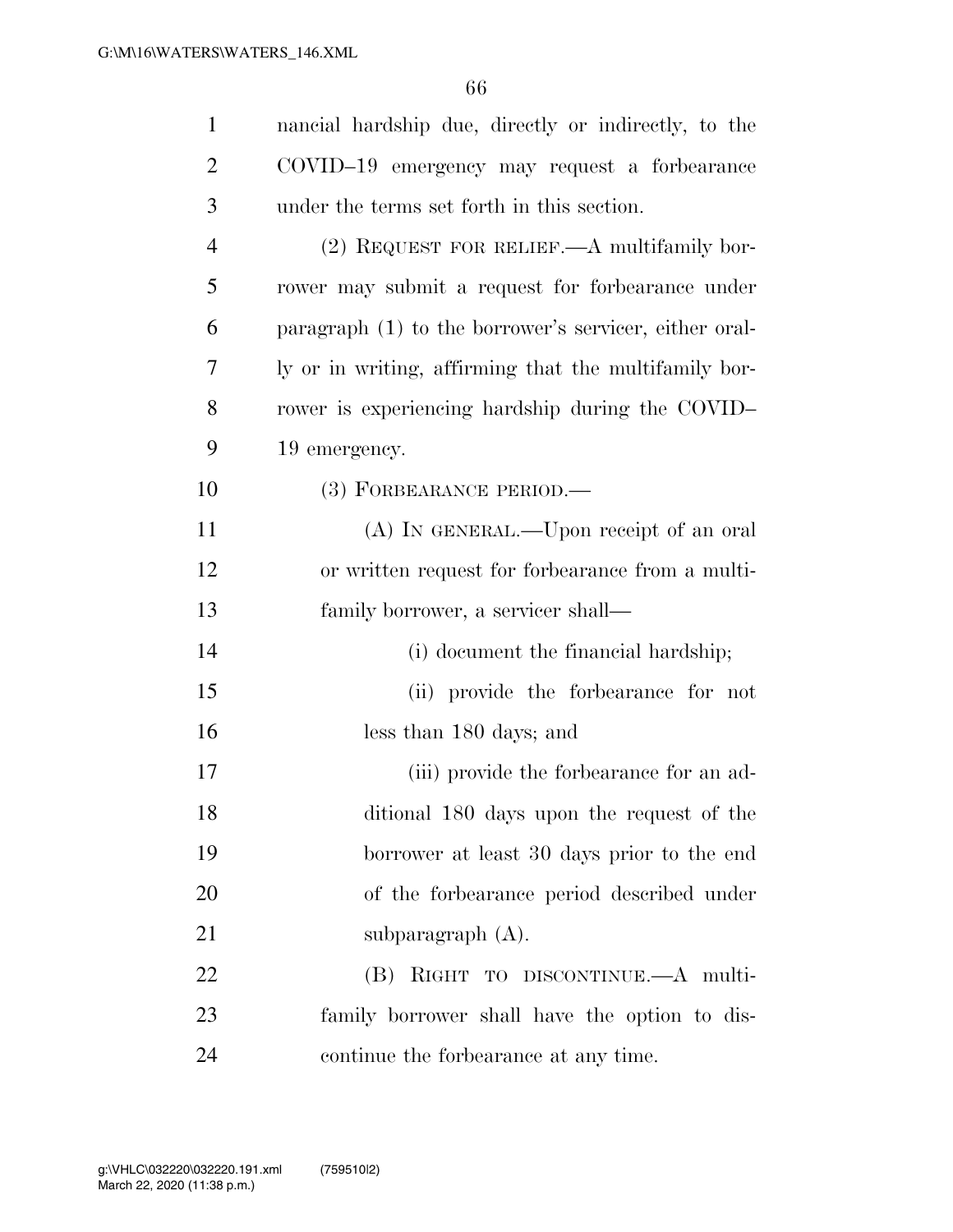| $\mathbf{1}$   | nancial hardship due, directly or indirectly, to the   |
|----------------|--------------------------------------------------------|
| $\overline{2}$ | COVID-19 emergency may request a forbearance           |
| 3              | under the terms set forth in this section.             |
| $\overline{4}$ | (2) REQUEST FOR RELIEF.—A multifamily bor-             |
| 5              | rower may submit a request for forbearance under       |
| 6              | paragraph (1) to the borrower's servicer, either oral- |
| 7              | ly or in writing, affirming that the multifamily bor-  |
| 8              | rower is experiencing hardship during the COVID-       |
| 9              | 19 emergency.                                          |
| 10             | (3) FORBEARANCE PERIOD.—                               |
| 11             | (A) IN GENERAL.—Upon receipt of an oral                |
| 12             | or written request for forbearance from a multi-       |
| 13             | family borrower, a servicer shall—                     |
| 14             | (i) document the financial hardship;                   |
| 15             | (ii) provide the forbearance for not                   |
| 16             | less than 180 days; and                                |
| 17             | (iii) provide the forbearance for an ad-               |
| 18             | ditional 180 days upon the request of the              |
| 19             | borrower at least 30 days prior to the end             |
| 20             | of the forbearance period described under              |
| 21             | subparagraph $(A)$ .                                   |
| 22             | (B) RIGHT TO DISCONTINUE.—A multi-                     |
| 23             | family borrower shall have the option to dis-          |
| 24             | continue the forbearance at any time.                  |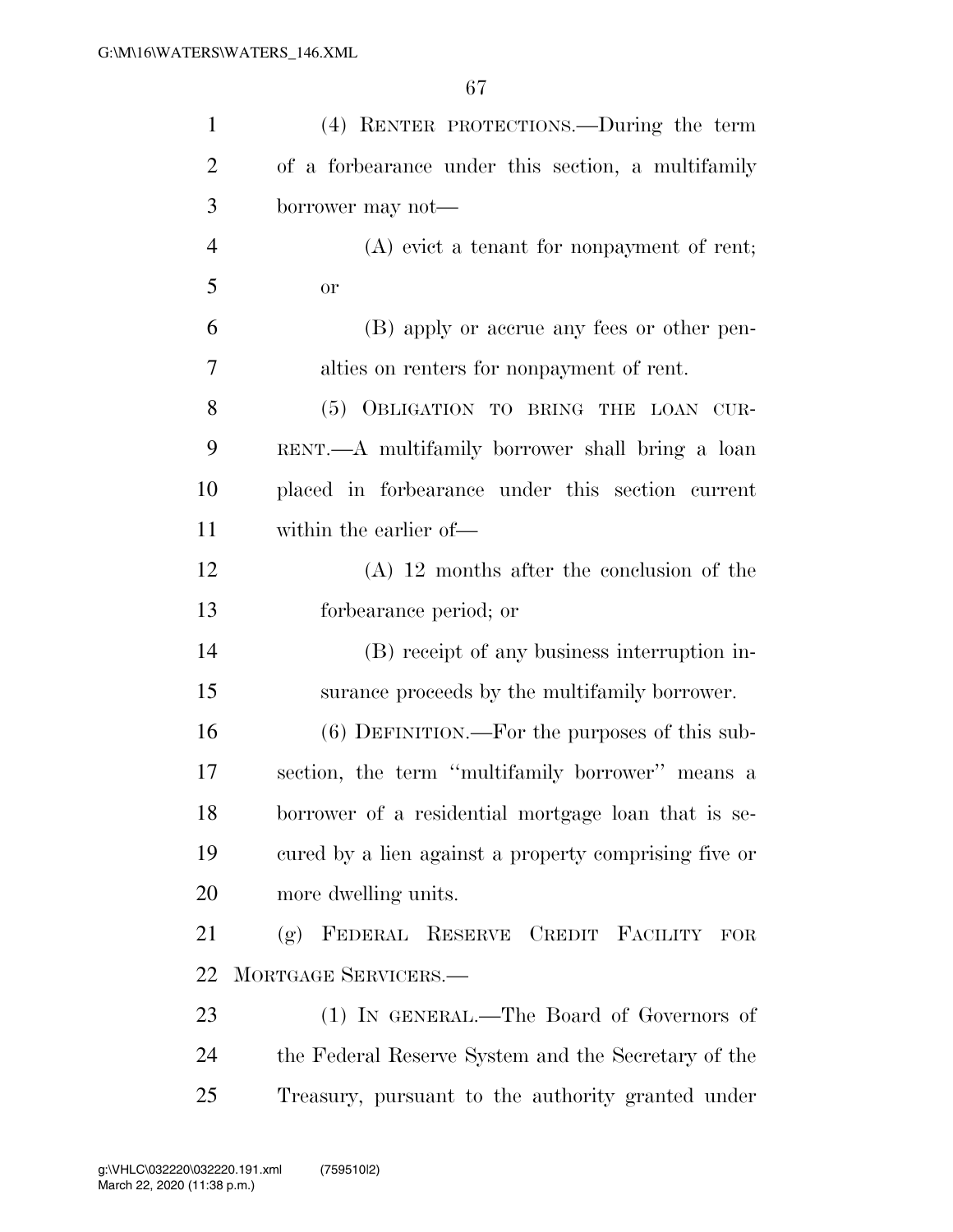| $\mathbf{1}$   | (4) RENTER PROTECTIONS.—During the term               |
|----------------|-------------------------------------------------------|
| $\overline{2}$ | of a forbearance under this section, a multifamily    |
| 3              | borrower may not—                                     |
| $\overline{4}$ | $(A)$ evict a tenant for nonpayment of rent;          |
| 5              | <b>or</b>                                             |
| 6              | (B) apply or accrue any fees or other pen-            |
| 7              | alties on renters for nonpayment of rent.             |
| 8              | (5) OBLIGATION TO BRING THE LOAN CUR-                 |
| 9              | RENT.—A multifamily borrower shall bring a loan       |
| 10             | placed in forbearance under this section current      |
| 11             | within the earlier of—                                |
| 12             | $(A)$ 12 months after the conclusion of the           |
| 13             | forbearance period; or                                |
| 14             | (B) receipt of any business interruption in-          |
| 15             | surance proceeds by the multifamily borrower.         |
| 16             | $(6)$ DEFINITION.—For the purposes of this sub-       |
| 17             | section, the term "multifamily borrower" means a      |
| 18             | borrower of a residential mortgage loan that is se-   |
| 19             | cured by a lien against a property comprising five or |
| 20             | more dwelling units.                                  |
| 21             | (g) FEDERAL RESERVE CREDIT FACILITY<br>${\rm FOR}$    |
| 22             | MORTGAGE SERVICERS.-                                  |
| 23             | (1) IN GENERAL.—The Board of Governors of             |
| 24             | the Federal Reserve System and the Secretary of the   |
| 25             | Treasury, pursuant to the authority granted under     |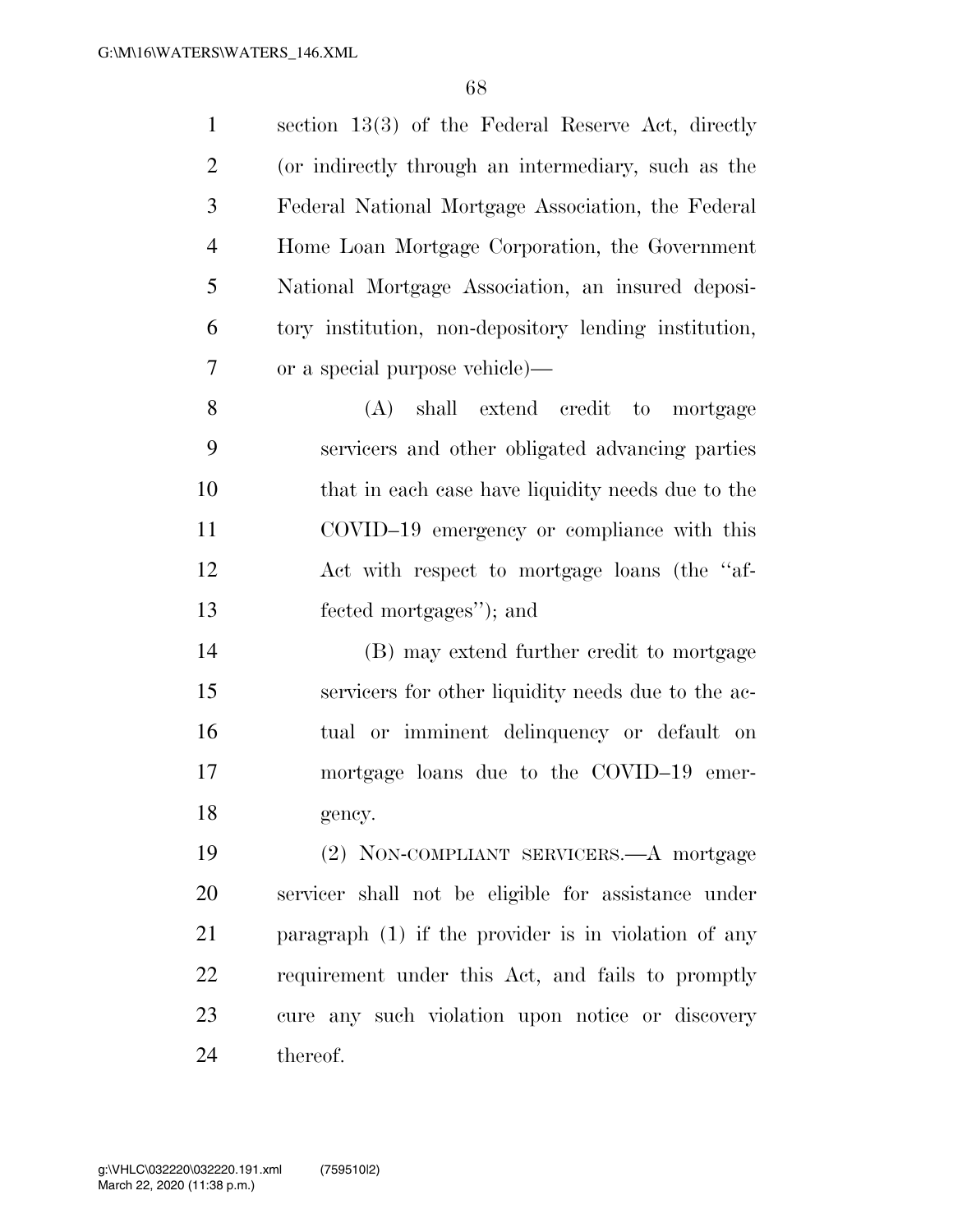| $\mathbf{1}$   | section $13(3)$ of the Federal Reserve Act, directly  |
|----------------|-------------------------------------------------------|
| $\overline{2}$ | (or indirectly through an intermediary, such as the   |
| 3              | Federal National Mortgage Association, the Federal    |
| 4              | Home Loan Mortgage Corporation, the Government        |
| 5              | National Mortgage Association, an insured deposi-     |
| 6              | tory institution, non-depository lending institution, |
| 7              | or a special purpose vehicle)—                        |
| 8              | (A) shall extend credit to mortgage                   |
| 9              | servicers and other obligated advancing parties       |
| 10             | that in each case have liquidity needs due to the     |
| 11             | COVID-19 emergency or compliance with this            |
| 12             | Act with respect to mortgage loans (the "af-          |
|                |                                                       |
| 13             | fected mortgages"; and                                |
| 14             | (B) may extend further credit to mortgage             |
| 15             | servicers for other liquidity needs due to the ac-    |
| 16             | tual or imminent delinquency or default on            |
| 17             | mortgage loans due to the COVID-19 emer-              |
| 18             | gency.                                                |
| 19             | (2) NON-COMPLIANT SERVICERS.—A mortgage               |
| 20             | servicer shall not be eligible for assistance under   |
| 21             | paragraph (1) if the provider is in violation of any  |
| 22             | requirement under this Act, and fails to promptly     |
| 23             | cure any such violation upon notice or discovery      |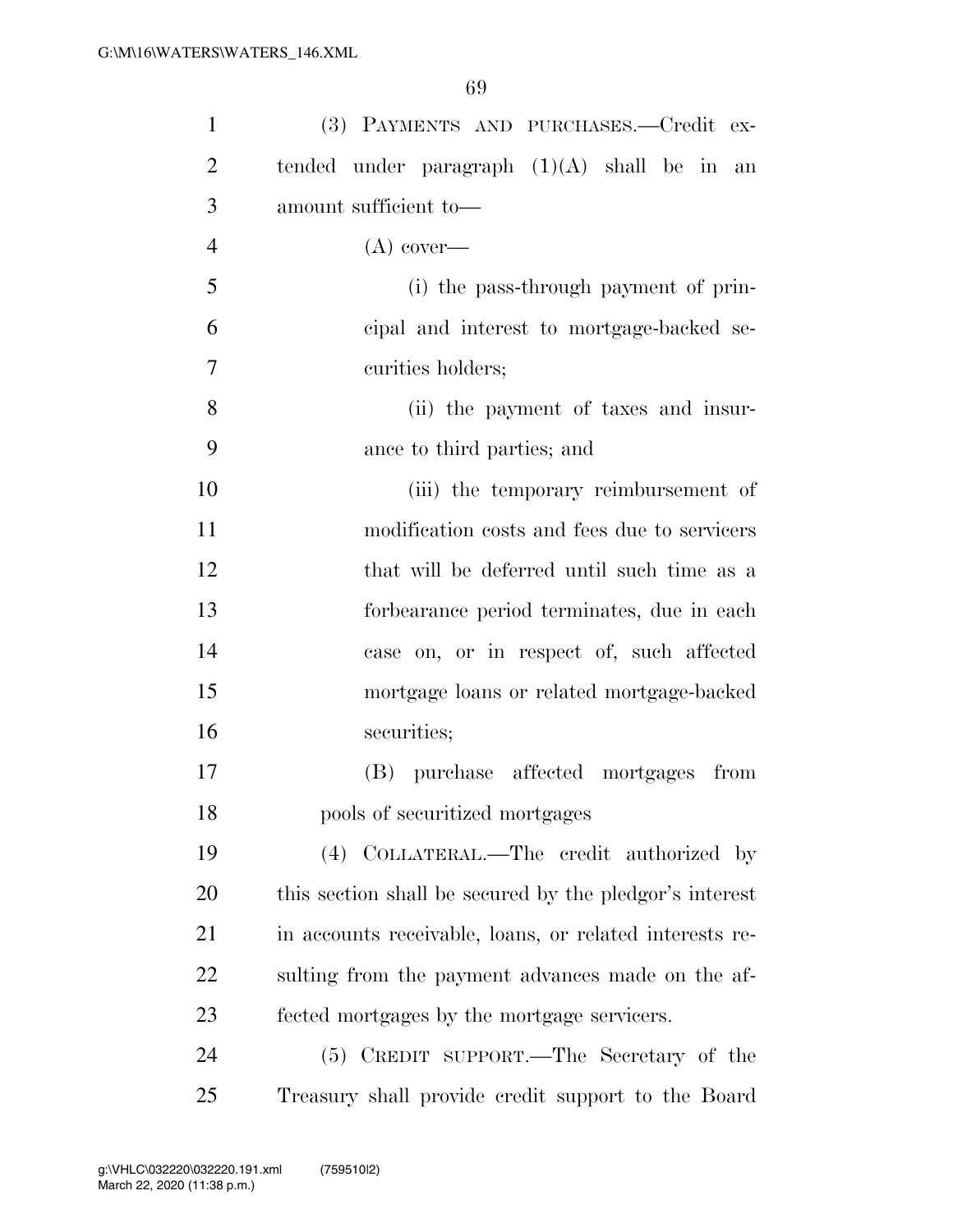| $\mathbf{1}$   | (3) PAYMENTS AND PURCHASES.—Credit ex-                  |
|----------------|---------------------------------------------------------|
| $\overline{2}$ | tended under paragraph $(1)(A)$ shall be in an          |
| 3              | amount sufficient to-                                   |
| $\overline{4}$ | $(A)$ cover—                                            |
| 5              | (i) the pass-through payment of prin-                   |
| 6              | cipal and interest to mortgage-backed se-               |
| 7              | curities holders;                                       |
| 8              | (ii) the payment of taxes and insur-                    |
| 9              | ance to third parties; and                              |
| 10             | (iii) the temporary reimbursement of                    |
| 11             | modification costs and fees due to servicers            |
| 12             | that will be deferred until such time as a              |
| 13             | forbearance period terminates, due in each              |
| 14             | case on, or in respect of, such affected                |
| 15             | mortgage loans or related mortgage-backed               |
| 16             | securities;                                             |
| 17             | (B) purchase affected mortgages from                    |
| 18             | pools of securitized mortgages                          |
| 19             | (4) COLLATERAL.—The credit authorized by                |
| 20             | this section shall be secured by the pledgor's interest |
| 21             | in accounts receivable, loans, or related interests re- |
| 22             | sulting from the payment advances made on the af-       |
| 23             | fected mortgages by the mortgage servicers.             |
| 24             | (5) CREDIT SUPPORT.—The Secretary of the                |
| 25             | Treasury shall provide credit support to the Board      |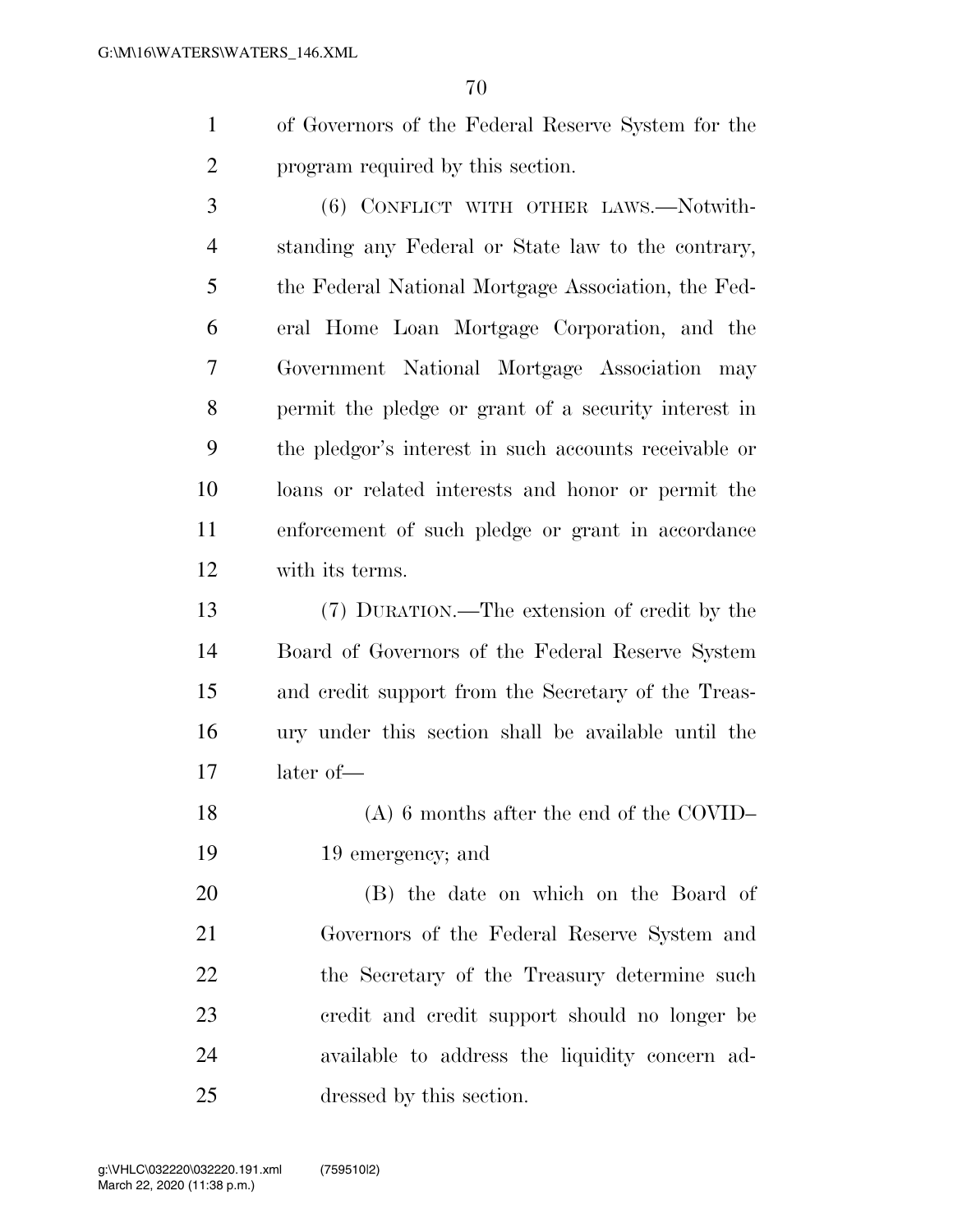of Governors of the Federal Reserve System for the program required by this section.

 (6) CONFLICT WITH OTHER LAWS.—Notwith- standing any Federal or State law to the contrary, the Federal National Mortgage Association, the Fed- eral Home Loan Mortgage Corporation, and the Government National Mortgage Association may permit the pledge or grant of a security interest in the pledgor's interest in such accounts receivable or loans or related interests and honor or permit the enforcement of such pledge or grant in accordance with its terms.

 (7) DURATION.—The extension of credit by the Board of Governors of the Federal Reserve System and credit support from the Secretary of the Treas- ury under this section shall be available until the later of—

 (A) 6 months after the end of the COVID– 19 emergency; and

 (B) the date on which on the Board of Governors of the Federal Reserve System and 22 the Secretary of the Treasury determine such credit and credit support should no longer be available to address the liquidity concern ad-dressed by this section.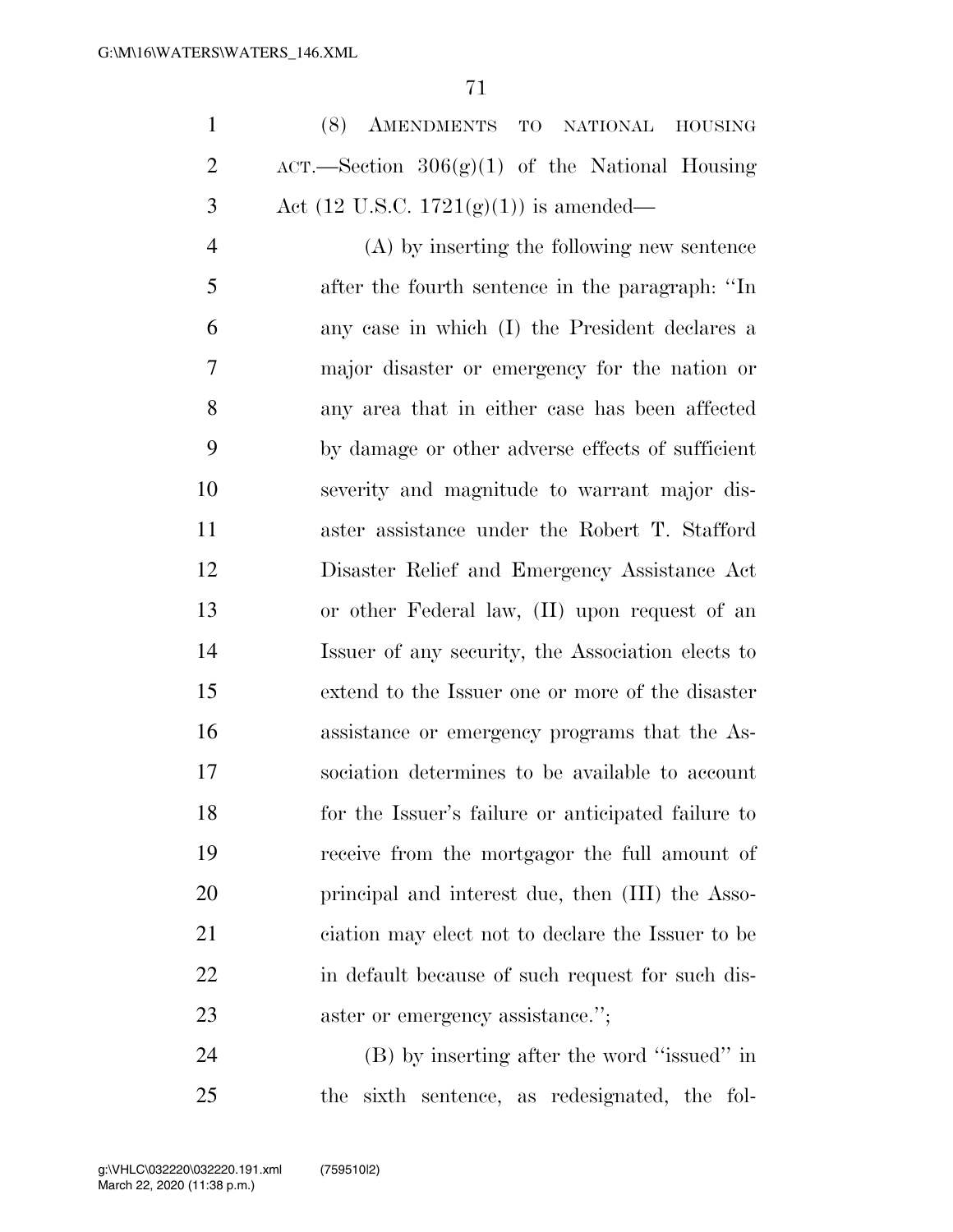(8) AMENDMENTS TO NATIONAL HOUSING 2 ACT.—Section  $306(g)(1)$  of the National Housing 3 Act (12 U.S.C. 1721 $(g)(1)$ ) is amended—

 (A) by inserting the following new sentence after the fourth sentence in the paragraph: ''In any case in which (I) the President declares a major disaster or emergency for the nation or any area that in either case has been affected by damage or other adverse effects of sufficient severity and magnitude to warrant major dis- aster assistance under the Robert T. Stafford Disaster Relief and Emergency Assistance Act or other Federal law, (II) upon request of an Issuer of any security, the Association elects to extend to the Issuer one or more of the disaster assistance or emergency programs that the As- sociation determines to be available to account for the Issuer's failure or anticipated failure to receive from the mortgagor the full amount of principal and interest due, then (III) the Asso- ciation may elect not to declare the Issuer to be in default because of such request for such dis-23 aster or emergency assistance.";

 (B) by inserting after the word ''issued'' in the sixth sentence, as redesignated, the fol-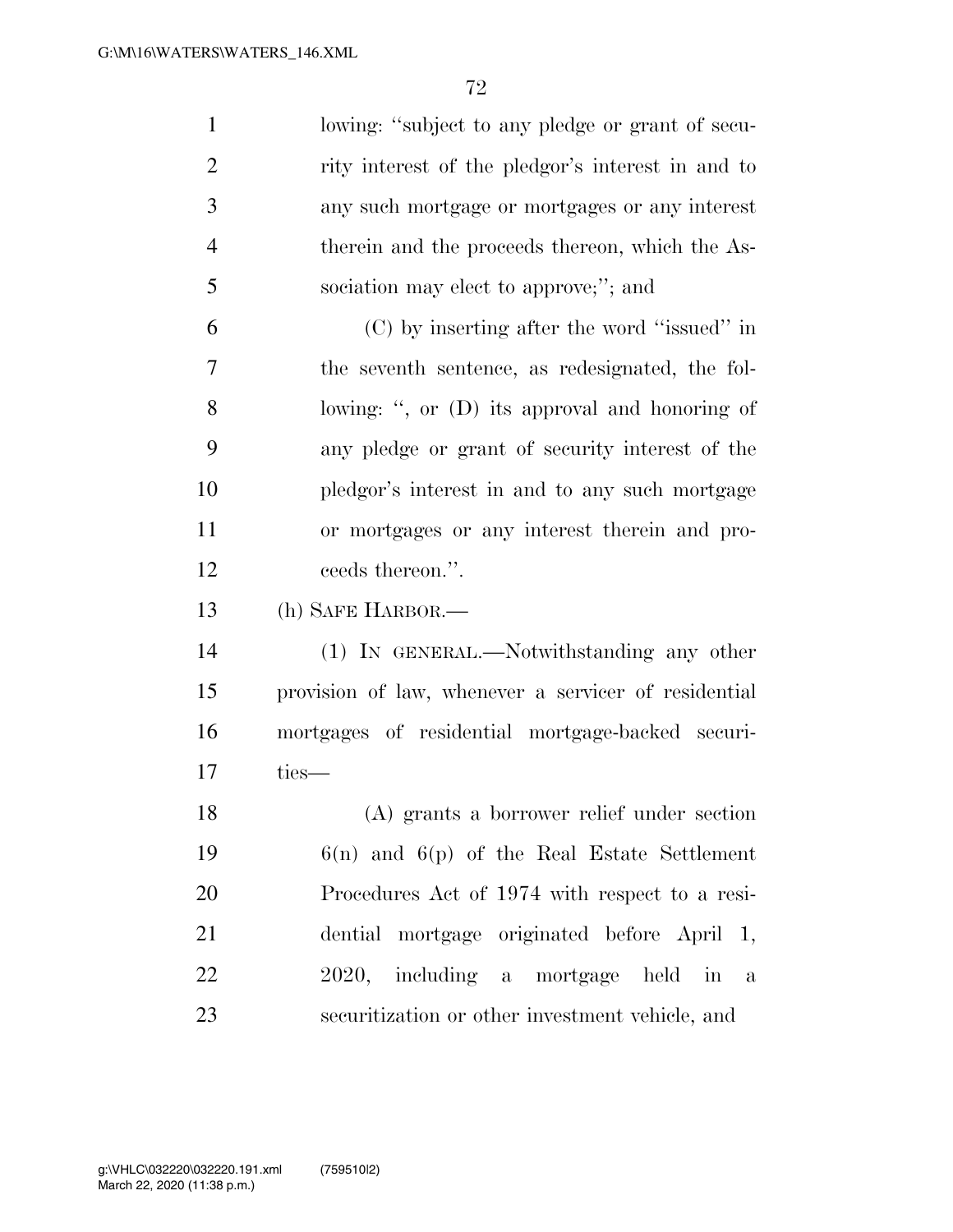| $\mathbf{1}$   | lowing: "subject to any pledge or grant of secu-     |
|----------------|------------------------------------------------------|
| $\overline{2}$ | rity interest of the pledgor's interest in and to    |
| 3              | any such mortgage or mortgages or any interest       |
| $\overline{4}$ | therein and the proceeds thereon, which the As-      |
| 5              | sociation may elect to approve;"; and                |
| 6              | $(C)$ by inserting after the word "issued" in        |
| 7              | the seventh sentence, as redesignated, the fol-      |
| 8              | lowing: ", or (D) its approval and honoring of       |
| 9              | any pledge or grant of security interest of the      |
| 10             | pledgor's interest in and to any such mortgage       |
| 11             | or mortgages or any interest therein and pro-        |
| 12             | ceeds thereon.".                                     |
| 13             | (h) SAFE HARBOR.—                                    |
| 14             | (1) IN GENERAL.—Notwithstanding any other            |
| 15             | provision of law, whenever a servicer of residential |
| 16             | mortgages of residential mortgage-backed securi-     |
| 17             | ties—                                                |
| 18             | (A) grants a borrower relief under section           |
| 19             | $6(n)$ and $6(p)$ of the Real Estate Settlement      |
| 20             | Procedures Act of 1974 with respect to a resi-       |
| 21             | dential mortgage originated before April 1,          |
| 22             | 2020, including a mortgage held in a                 |
| 23             | securitization or other investment vehicle, and      |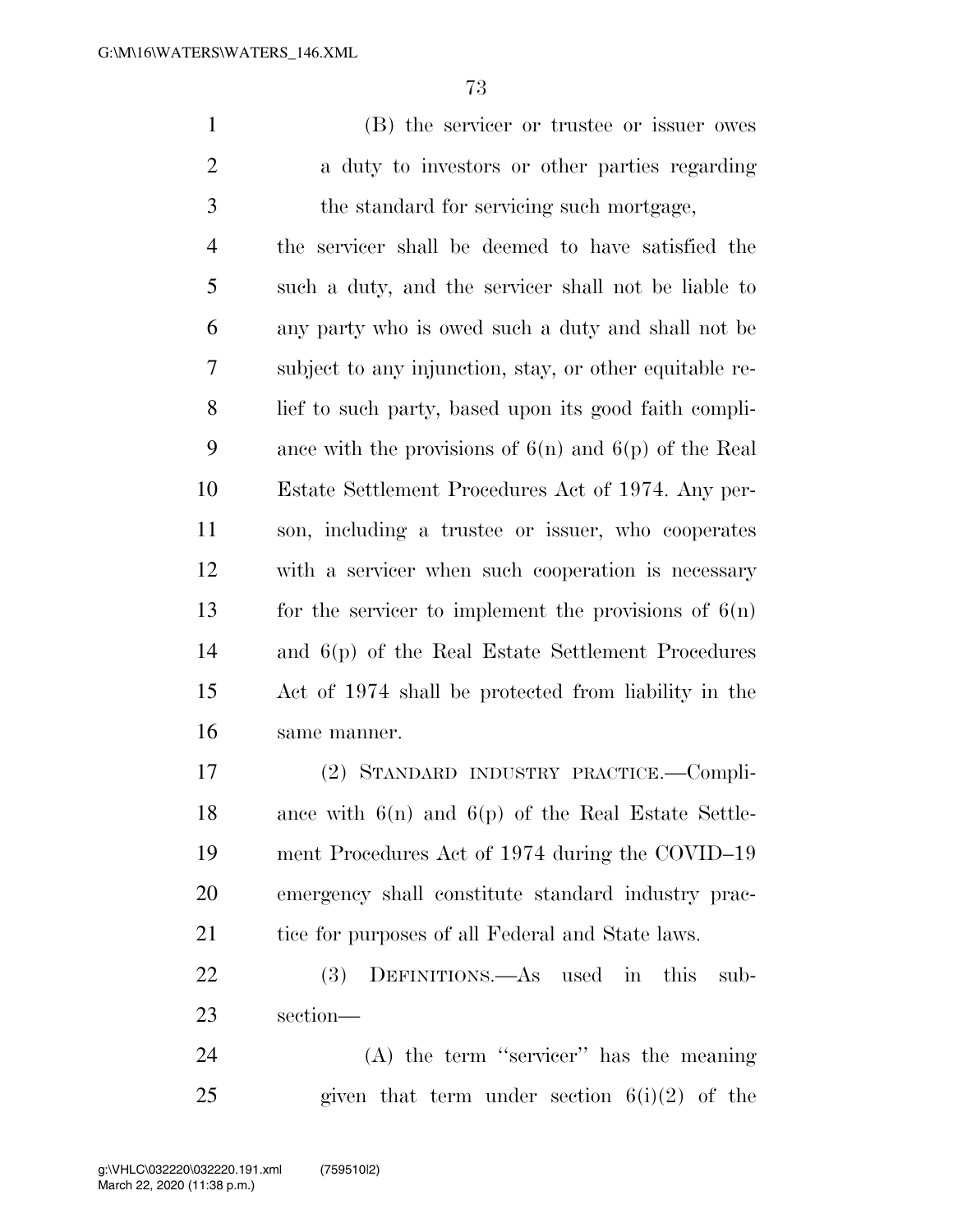(B) the servicer or trustee or issuer owes 2 a duty to investors or other parties regarding the standard for servicing such mortgage,

 the servicer shall be deemed to have satisfied the such a duty, and the servicer shall not be liable to any party who is owed such a duty and shall not be subject to any injunction, stay, or other equitable re- lief to such party, based upon its good faith compli-9 ance with the provisions of  $6(n)$  and  $6(p)$  of the Real Estate Settlement Procedures Act of 1974. Any per- son, including a trustee or issuer, who cooperates with a servicer when such cooperation is necessary 13 for the servicer to implement the provisions of  $6(n)$  and 6(p) of the Real Estate Settlement Procedures Act of 1974 shall be protected from liability in the same manner.

 (2) STANDARD INDUSTRY PRACTICE.—Compli- ance with 6(n) and 6(p) of the Real Estate Settle- ment Procedures Act of 1974 during the COVID–19 emergency shall constitute standard industry prac-21 tice for purposes of all Federal and State laws.

 (3) DEFINITIONS.—As used in this sub-section—

 (A) the term ''servicer'' has the meaning 25 given that term under section  $6(i)(2)$  of the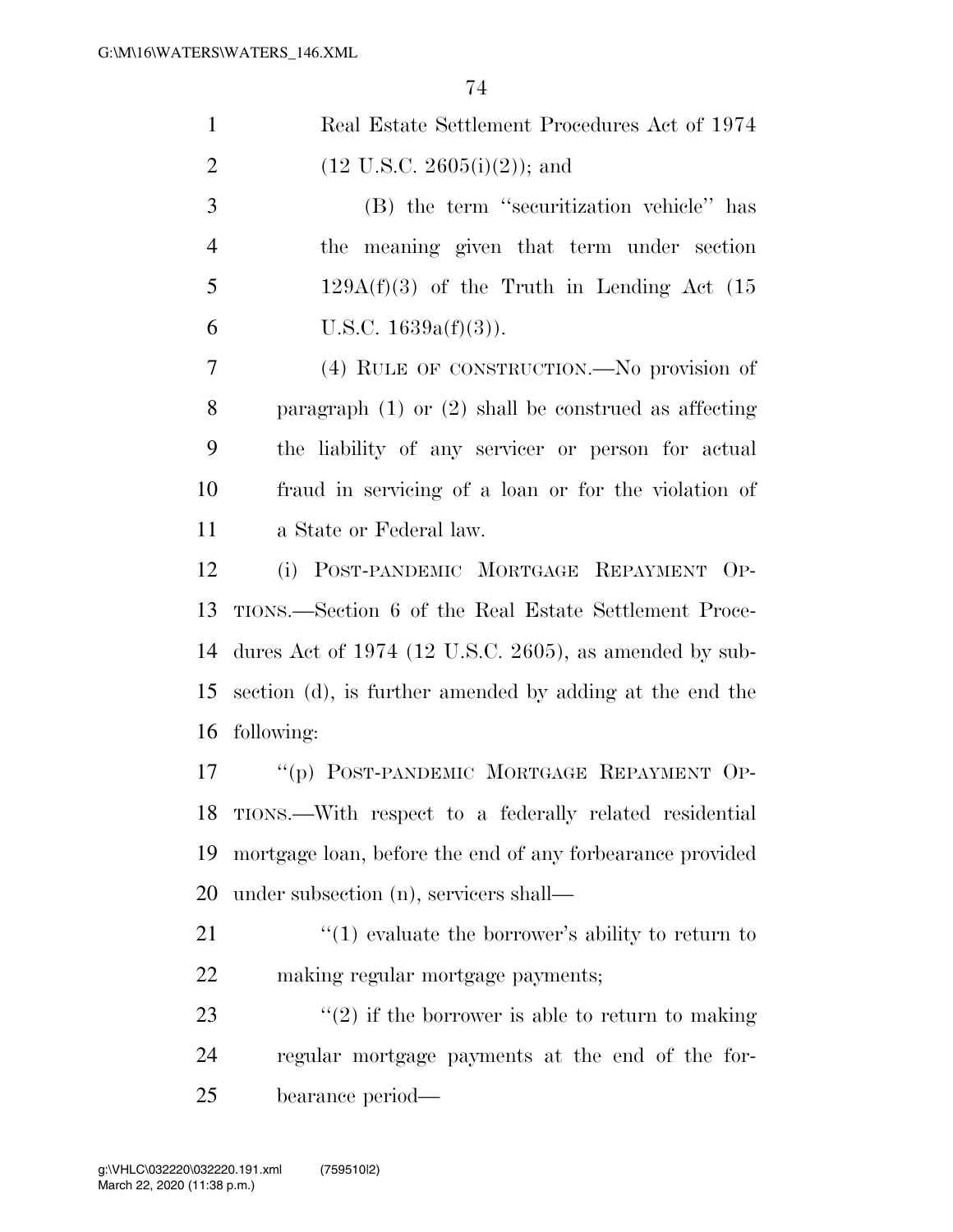$\overline{7}4$ 

|                | 74                                                        |
|----------------|-----------------------------------------------------------|
| $\mathbf{1}$   | Real Estate Settlement Procedures Act of 1974             |
| $\overline{2}$ | $(12 \text{ U.S.C. } 2605(i)(2));$ and                    |
| 3              | (B) the term "securitization vehicle" has                 |
| $\overline{4}$ | the meaning given that term under section                 |
| 5              | $129A(f)(3)$ of the Truth in Lending Act (15              |
| 6              | U.S.C. $1639a(f)(3)$ ).                                   |
| 7              | (4) RULE OF CONSTRUCTION.—No provision of                 |
| 8              | paragraph $(1)$ or $(2)$ shall be construed as affecting  |
| 9              | the liability of any servicer or person for actual        |
| 10             | fraud in servicing of a loan or for the violation of      |
| 11             | a State or Federal law.                                   |
| 12             | (i) POST-PANDEMIC MORTGAGE REPAYMENT OP-                  |
| 13             | TIONS.—Section 6 of the Real Estate Settlement Proce-     |
| 14             | dures Act of $1974$ (12 U.S.C. 2605), as amended by sub-  |
| 15             | section (d), is further amended by adding at the end the  |
| 16             | following:                                                |
| 17             | "(p) POST-PANDEMIC MORTGAGE REPAYMENT OP-                 |
| 18             | TIONS.—With respect to a federally related residential    |
| 19             | mortgage loan, before the end of any forbearance provided |
| 20             | under subsection (n), servicers shall—                    |
| 21             | $\cdot$ (1) evaluate the borrower's ability to return to  |
|                |                                                           |

making regular mortgage payments;

23  $\qquad$  ''(2) if the borrower is able to return to making regular mortgage payments at the end of the for-bearance period—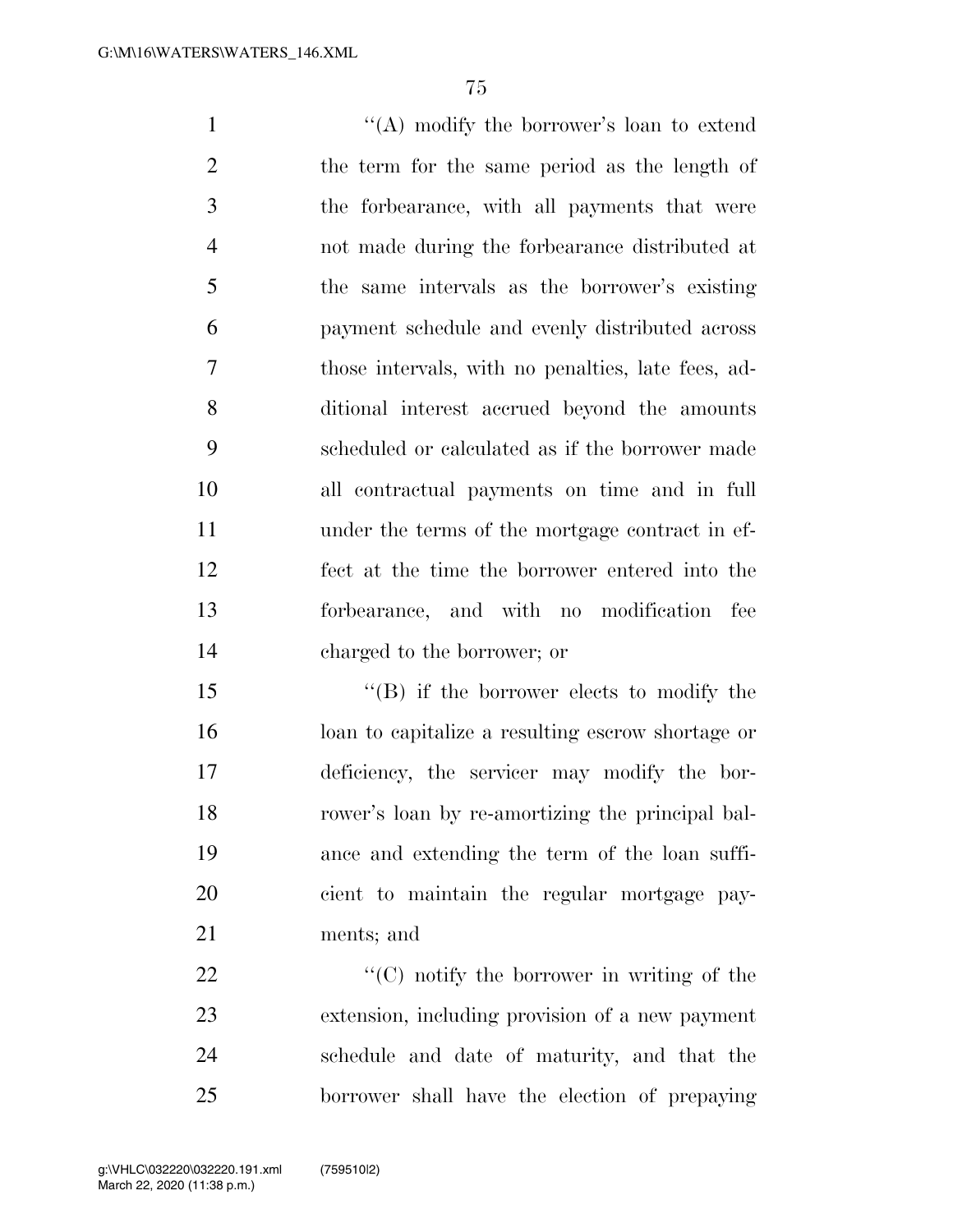1 ''(A) modify the borrower's loan to extend the term for the same period as the length of the forbearance, with all payments that were not made during the forbearance distributed at the same intervals as the borrower's existing payment schedule and evenly distributed across those intervals, with no penalties, late fees, ad- ditional interest accrued beyond the amounts scheduled or calculated as if the borrower made all contractual payments on time and in full under the terms of the mortgage contract in ef- fect at the time the borrower entered into the forbearance, and with no modification fee charged to the borrower; or

15 "(B) if the borrower elects to modify the loan to capitalize a resulting escrow shortage or deficiency, the servicer may modify the bor- rower's loan by re-amortizing the principal bal- ance and extending the term of the loan suffi- cient to maintain the regular mortgage pay-ments; and

 $\langle ^{\prime}(C) \rangle$  notify the borrower in writing of the extension, including provision of a new payment schedule and date of maturity, and that the borrower shall have the election of prepaying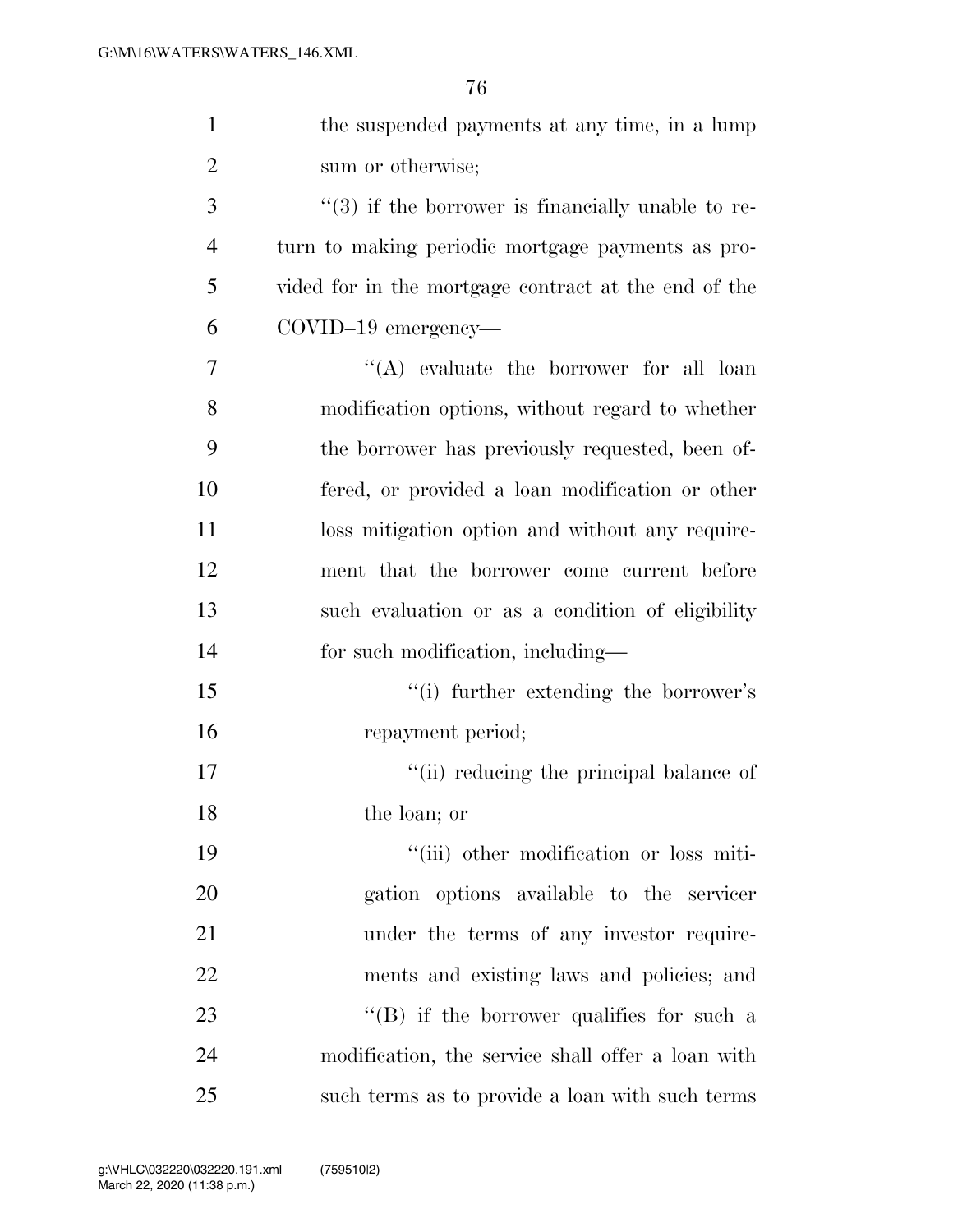| $\mathbf{1}$   | the suspended payments at any time, in a lump         |
|----------------|-------------------------------------------------------|
| $\overline{2}$ | sum or otherwise;                                     |
| 3              | $\lq(3)$ if the borrower is financially unable to re- |
| $\overline{4}$ | turn to making periodic mortgage payments as pro-     |
| 5              | vided for in the mortgage contract at the end of the  |
| 6              | $COVID-19$ emergency—                                 |
| 7              | $\lq\lq$ evaluate the borrower for all loan           |
| 8              | modification options, without regard to whether       |
| 9              | the borrower has previously requested, been of-       |
| 10             | fered, or provided a loan modification or other       |
| 11             | loss mitigation option and without any require-       |
| 12             | ment that the borrower come current before            |
| 13             | such evaluation or as a condition of eligibility      |
| 14             | for such modification, including—                     |
| 15             | "(i) further extending the borrower's                 |
| 16             | repayment period;                                     |
| 17             | "(ii) reducing the principal balance of               |
| 18             | the loan; or                                          |
| 19             | "(iii) other modification or loss miti-               |
| 20             | gation options available to the servicer              |
| 21             | under the terms of any investor require-              |
| 22             | ments and existing laws and policies; and             |
| 23             | $\lq\lq (B)$ if the borrower qualifies for such a     |
| 24             | modification, the service shall offer a loan with     |
| 25             | such terms as to provide a loan with such terms       |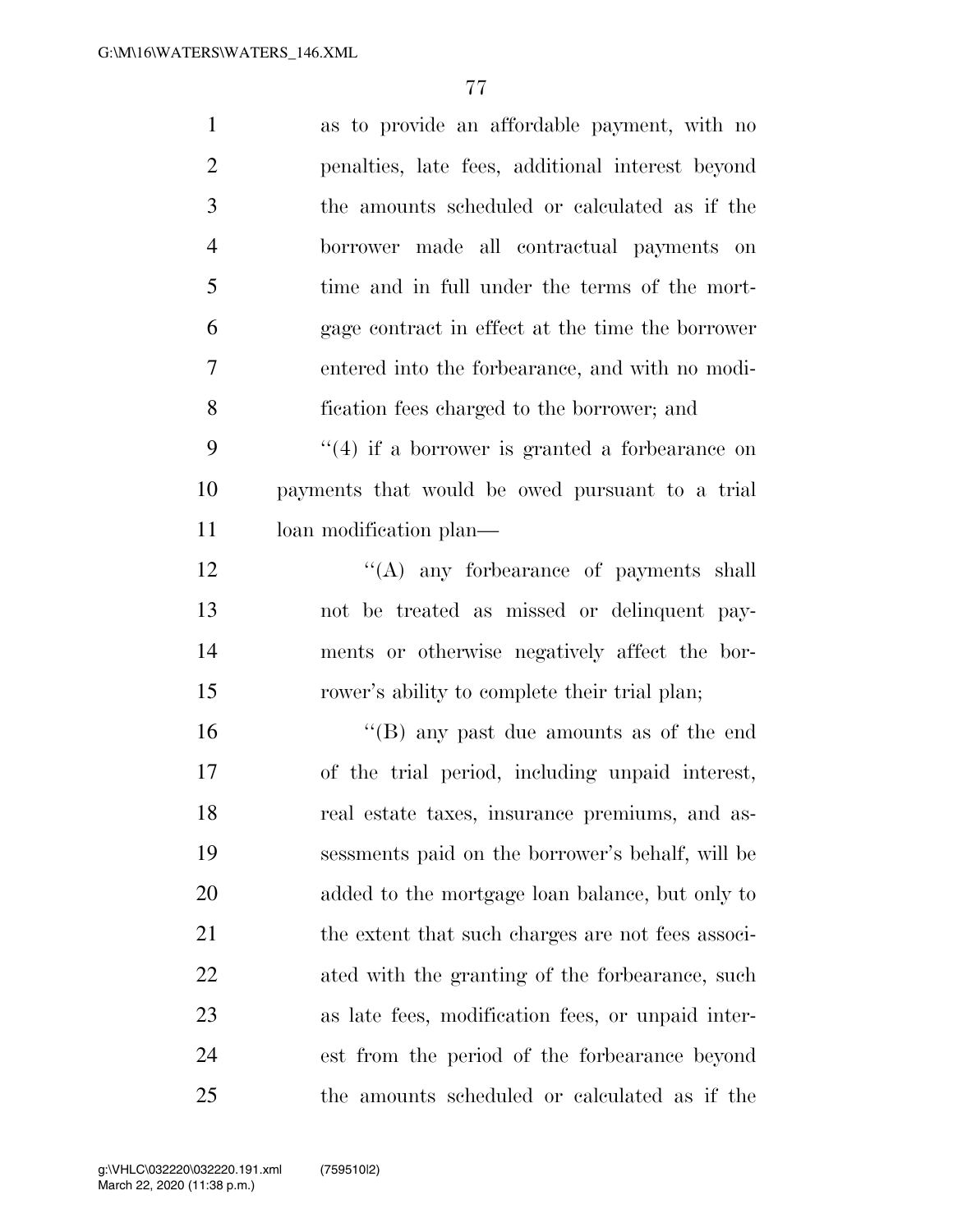| $\mathbf{1}$   | as to provide an affordable payment, with no       |
|----------------|----------------------------------------------------|
| $\overline{2}$ | penalties, late fees, additional interest beyond   |
| 3              | the amounts scheduled or calculated as if the      |
| $\overline{4}$ | borrower made all contractual payments on          |
| 5              | time and in full under the terms of the mort-      |
| 6              | gage contract in effect at the time the borrower   |
| $\tau$         | entered into the forbearance, and with no modi-    |
| 8              | fication fees charged to the borrower; and         |
| 9              | $\lq(4)$ if a borrower is granted a forbearance on |
| 10             | payments that would be owed pursuant to a trial    |
| 11             | loan modification plan—                            |
| 12             | $\lq\lq$ any forbearance of payments shall         |
| 13             | not be treated as missed or delinquent pay-        |
| 14             | ments or otherwise negatively affect the bor-      |
| 15             | rower's ability to complete their trial plan;      |
| 16             | "(B) any past due amounts as of the end            |
| 17             | of the trial period, including unpaid interest,    |
| 18             | real estate taxes, insurance premiums, and as-     |
| 19             | sessments paid on the borrower's behalf, will be   |
| 20             | added to the mortgage loan balance, but only to    |
| 21             | the extent that such charges are not fees associ-  |
| 22             | ated with the granting of the forbearance, such    |
| 23             | as late fees, modification fees, or unpaid inter-  |
| 24             | est from the period of the forbearance beyond      |
| 25             | the amounts scheduled or calculated as if the      |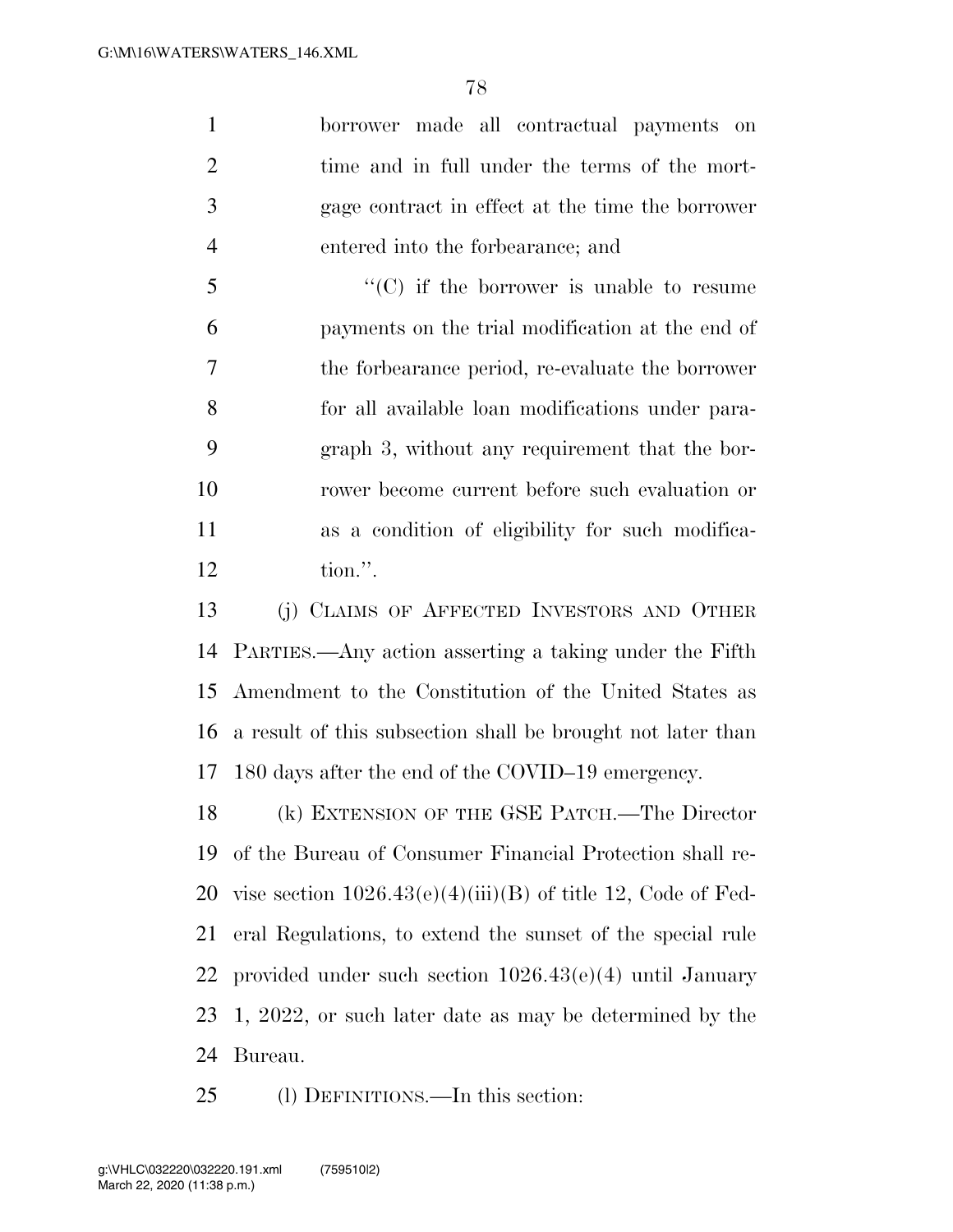borrower made all contractual payments on time and in full under the terms of the mort- gage contract in effect at the time the borrower entered into the forbearance; and

 $\cdot$  (C) if the borrower is unable to resume payments on the trial modification at the end of the forbearance period, re-evaluate the borrower for all available loan modifications under para- graph 3, without any requirement that the bor- rower become current before such evaluation or as a condition of eligibility for such modifica-tion.''.

 (j) CLAIMS OF AFFECTED INVESTORS AND OTHER PARTIES.—Any action asserting a taking under the Fifth Amendment to the Constitution of the United States as a result of this subsection shall be brought not later than 180 days after the end of the COVID–19 emergency.

 (k) EXTENSION OF THE GSE PATCH.—The Director of the Bureau of Consumer Financial Protection shall re-20 vise section  $1026.43(e)(4)(iii)(B)$  of title 12, Code of Fed- eral Regulations, to extend the sunset of the special rule provided under such section 1026.43(e)(4) until January 1, 2022, or such later date as may be determined by the Bureau.

(l) DEFINITIONS.—In this section: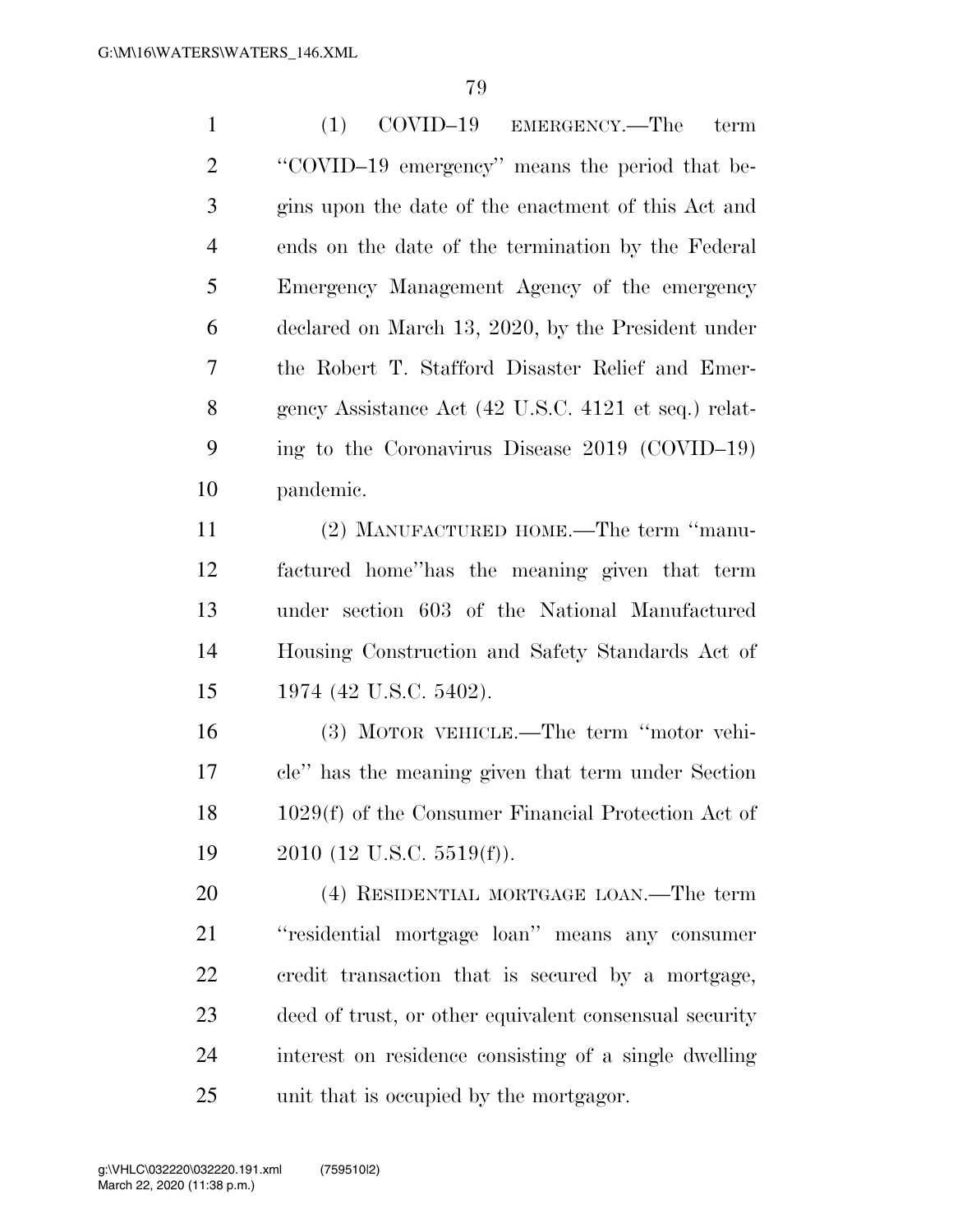| $\mathbf{1}$   | COVID-19<br>(1)<br>EMERGENCY.—The<br>term              |
|----------------|--------------------------------------------------------|
| $\overline{2}$ | "COVID-19 emergency" means the period that be-         |
| 3              | gins upon the date of the enactment of this Act and    |
| $\overline{4}$ | ends on the date of the termination by the Federal     |
| 5              | Emergency Management Agency of the emergency           |
| 6              | declared on March 13, 2020, by the President under     |
| 7              | the Robert T. Stafford Disaster Relief and Emer-       |
| 8              | gency Assistance Act (42 U.S.C. 4121 et seq.) relat-   |
| 9              | ing to the Coronavirus Disease $2019$ (COVID-19)       |
| 10             | pandemic.                                              |
| 11             | (2) MANUFACTURED HOME.—The term "manu-                 |
| 12             | factured home" has the meaning given that term         |
| 13             | under section 603 of the National Manufactured         |
| 14             | Housing Construction and Safety Standards Act of       |
| 15             | 1974 (42 U.S.C. 5402).                                 |
| 16             | (3) MOTOR VEHICLE.—The term "motor vehi-               |
| 17             | cle" has the meaning given that term under Section     |
| 18             | 1029(f) of the Consumer Financial Protection Act of    |
| 19             | $2010$ (12 U.S.C. 5519(f)).                            |
| 20             | (4) RESIDENTIAL MORTGAGE LOAN.—The term                |
| 21             | "residential mortgage loan" means any consumer         |
| 22             | credit transaction that is secured by a mortgage,      |
| 23             | deed of trust, or other equivalent consensual security |
| 24             | interest on residence consisting of a single dwelling  |
| 25             | unit that is occupied by the mortgagor.                |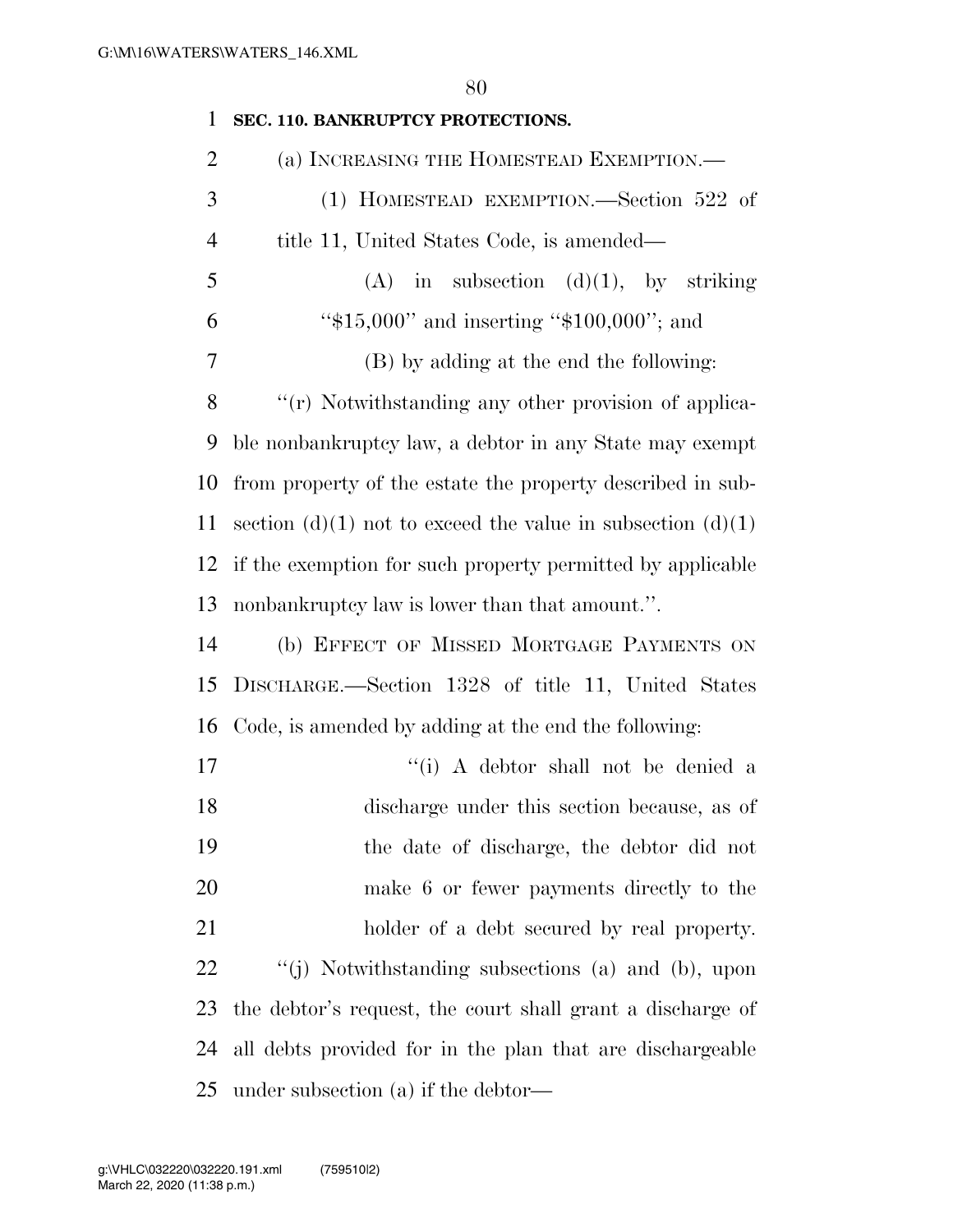| $\mathbf{1}$   | SEC. 110. BANKRUPTCY PROTECTIONS.                           |
|----------------|-------------------------------------------------------------|
| $\overline{2}$ | (a) INCREASING THE HOMESTEAD EXEMPTION.-                    |
| 3              | (1) HOMESTEAD EXEMPTION.—Section 522 of                     |
| $\overline{4}$ | title 11, United States Code, is amended—                   |
| 5              | $(A)$ in subsection $(d)(1)$ , by striking                  |
| 6              | " $$15,000"$ and inserting " $$100,000"$ ; and              |
| 7              | (B) by adding at the end the following:                     |
| 8              | "(r) Notwithstanding any other provision of applica-        |
| 9              | ble nonbankruptcy law, a debtor in any State may exempt     |
| 10             | from property of the estate the property described in sub-  |
| 11             | section (d)(1) not to exceed the value in subsection (d)(1) |
| 12             | if the exemption for such property permitted by applicable  |
| 13             | nonbankruptcy law is lower than that amount.".              |
| 14             | (b) EFFECT OF MISSED MORTGAGE PAYMENTS ON                   |
| 15             | DISCHARGE.-Section 1328 of title 11, United States          |
| 16             | Code, is amended by adding at the end the following:        |
| 17             | "(i) A debtor shall not be denied a                         |
| 18             | discharge under this section because, as of                 |
| 19             | the date of discharge, the debtor did not                   |
| 20             | make 6 or fewer payments directly to the                    |
| 21             | holder of a debt secured by real property.                  |
| 22             | "(j) Notwithstanding subsections (a) and (b), upon          |
| 23             | the debtor's request, the court shall grant a discharge of  |
| 24             | all debts provided for in the plan that are dischargeable   |
| 25             | under subsection $(a)$ if the debtor—                       |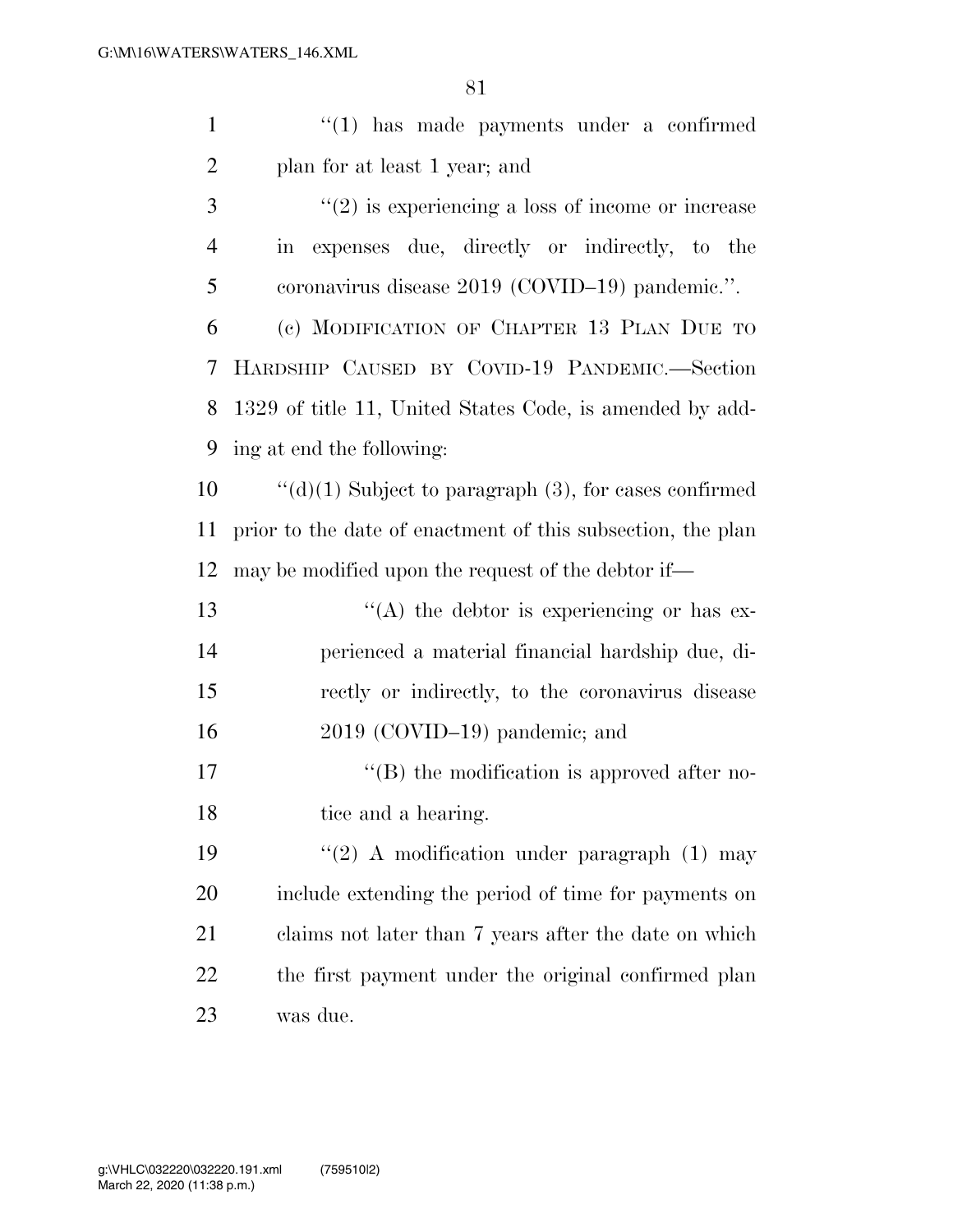| $\mathbf{1}$   | $\lq(1)$ has made payments under a confirmed                |
|----------------|-------------------------------------------------------------|
| $\overline{2}$ | plan for at least 1 year; and                               |
| 3              | $\lq(2)$ is experiencing a loss of income or increase       |
| $\overline{4}$ | in expenses due, directly or indirectly, to the             |
| 5              | coronavirus disease 2019 (COVID-19) pandemic.".             |
| 6              | (c) MODIFICATION OF CHAPTER 13 PLAN DUE TO                  |
| 7              | HARDSHIP CAUSED BY COVID-19 PANDEMIC.-Section               |
| 8              | 1329 of title 11, United States Code, is amended by add-    |
| 9              | ing at end the following:                                   |
| 10             | " $(d)(1)$ Subject to paragraph $(3)$ , for cases confirmed |
| 11             | prior to the date of enactment of this subsection, the plan |
| 12             | may be modified upon the request of the debtor if—          |
| 13             | $\lq\lq$ the debtor is experiencing or has ex-              |
| 14             | perienced a material financial hardship due, di-            |
| 15             | rectly or indirectly, to the coronavirus disease            |
| 16             | 2019 (COVID-19) pandemic; and                               |
| 17             | $\lq\lq$ the modification is approved after no-             |
| 18             | tice and a hearing.                                         |
| 19             | "(2) A modification under paragraph $(1)$ may               |
| 20             | include extending the period of time for payments on        |
| 21             | claims not later than 7 years after the date on which       |
| 22             | the first payment under the original confirmed plan         |
| 23             | was due.                                                    |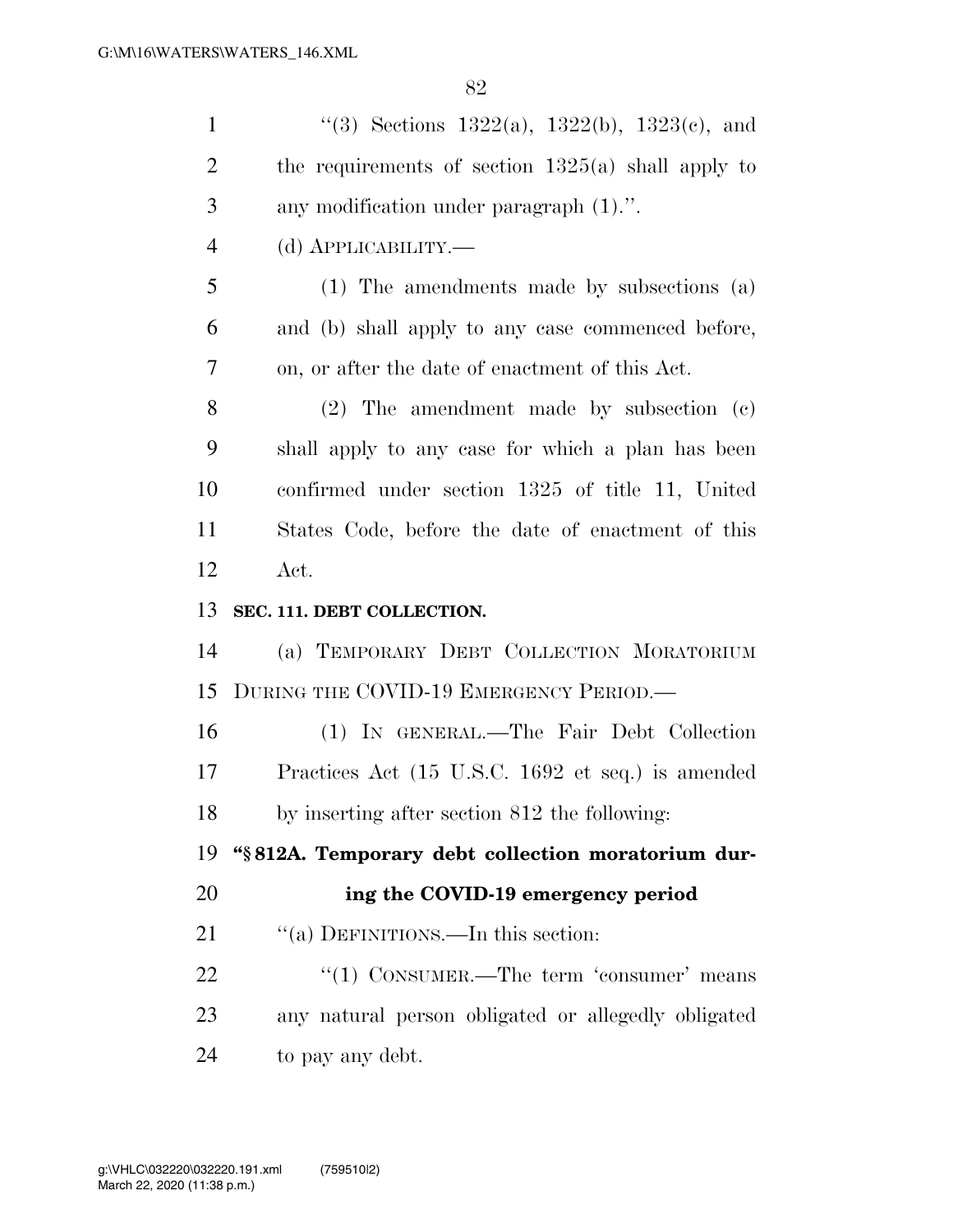| $\mathbf{1}$   | "(3) Sections $1322(a)$ , $1322(b)$ , $1323(c)$ , and |
|----------------|-------------------------------------------------------|
| $\overline{2}$ | the requirements of section $1325(a)$ shall apply to  |
| 3              | any modification under paragraph $(1)$ .".            |
| $\overline{4}$ | (d) <b>АРР</b> ЫСАВШІТҮ.—                             |
| 5              | $(1)$ The amendments made by subsections $(a)$        |
| 6              | and (b) shall apply to any case commenced before,     |
| 7              | on, or after the date of enactment of this Act.       |
| 8              | $(2)$ The amendment made by subsection $(e)$          |
| 9              | shall apply to any case for which a plan has been     |
| 10             | confirmed under section 1325 of title 11, United      |
| 11             | States Code, before the date of enactment of this     |
| 12             | Act.                                                  |
|                |                                                       |
| 13             | SEC. 111. DEBT COLLECTION.                            |
| 14             | (a) TEMPORARY DEBT COLLECTION MORATORIUM              |
| 15             | DURING THE COVID-19 EMERGENCY PERIOD.—                |
| 16             | (1) IN GENERAL.—The Fair Debt Collection              |
| 17             | Practices Act (15 U.S.C. 1692 et seq.) is amended     |
| 18             | by inserting after section 812 the following:         |
| 19             | "§812A. Temporary debt collection moratorium dur-     |
| 20             | ing the COVID-19 emergency period                     |
| 21             | "(a) DEFINITIONS.—In this section:                    |
| 22             | " $(1)$ CONSUMER.—The term 'consumer' means           |
| 23             | any natural person obligated or allegedly obligated   |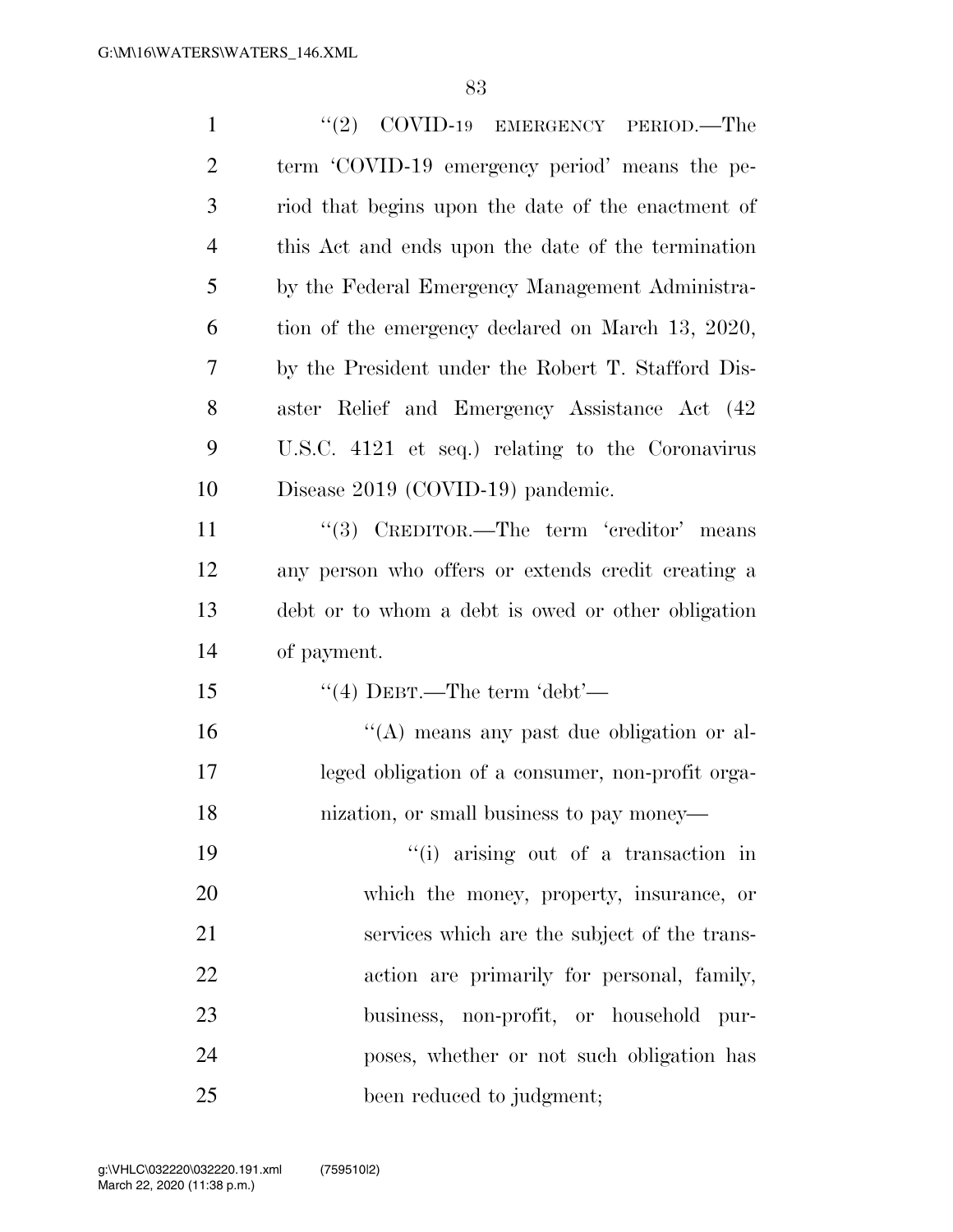| $\mathbf{1}$   | $(2)$ COVID-19 EMERGENCY PERIOD.—The               |
|----------------|----------------------------------------------------|
| $\overline{2}$ | term 'COVID-19 emergency period' means the pe-     |
| 3              | riod that begins upon the date of the enactment of |
| $\overline{4}$ | this Act and ends upon the date of the termination |
| 5              | by the Federal Emergency Management Administra-    |
| 6              | tion of the emergency declared on March 13, 2020,  |
| 7              | by the President under the Robert T. Stafford Dis- |
| 8              | aster Relief and Emergency Assistance Act (42)     |
| 9              | U.S.C. 4121 et seq.) relating to the Coronavirus   |
| 10             | Disease 2019 (COVID-19) pandemic.                  |
| 11             | "(3) CREDITOR.—The term 'creditor' means           |
| 12             | any person who offers or extends credit creating a |
| 13             | debt or to whom a debt is owed or other obligation |
| 14             | of payment.                                        |
| 15             | "(4) DEBT.—The term 'debt'—                        |
| 16             | "(A) means any past due obligation or al-          |
| 17             | leged obligation of a consumer, non-profit orga-   |
| 18             | nization, or small business to pay money—          |
| 19             | "(i) arising out of a transaction in               |
| 20             | which the money, property, insurance, or           |
| 21             | services which are the subject of the trans-       |
| 22             | action are primarily for personal, family,         |
| 23             | business, non-profit, or household pur-            |
| 24             | poses, whether or not such obligation has          |
| 25             | been reduced to judgment;                          |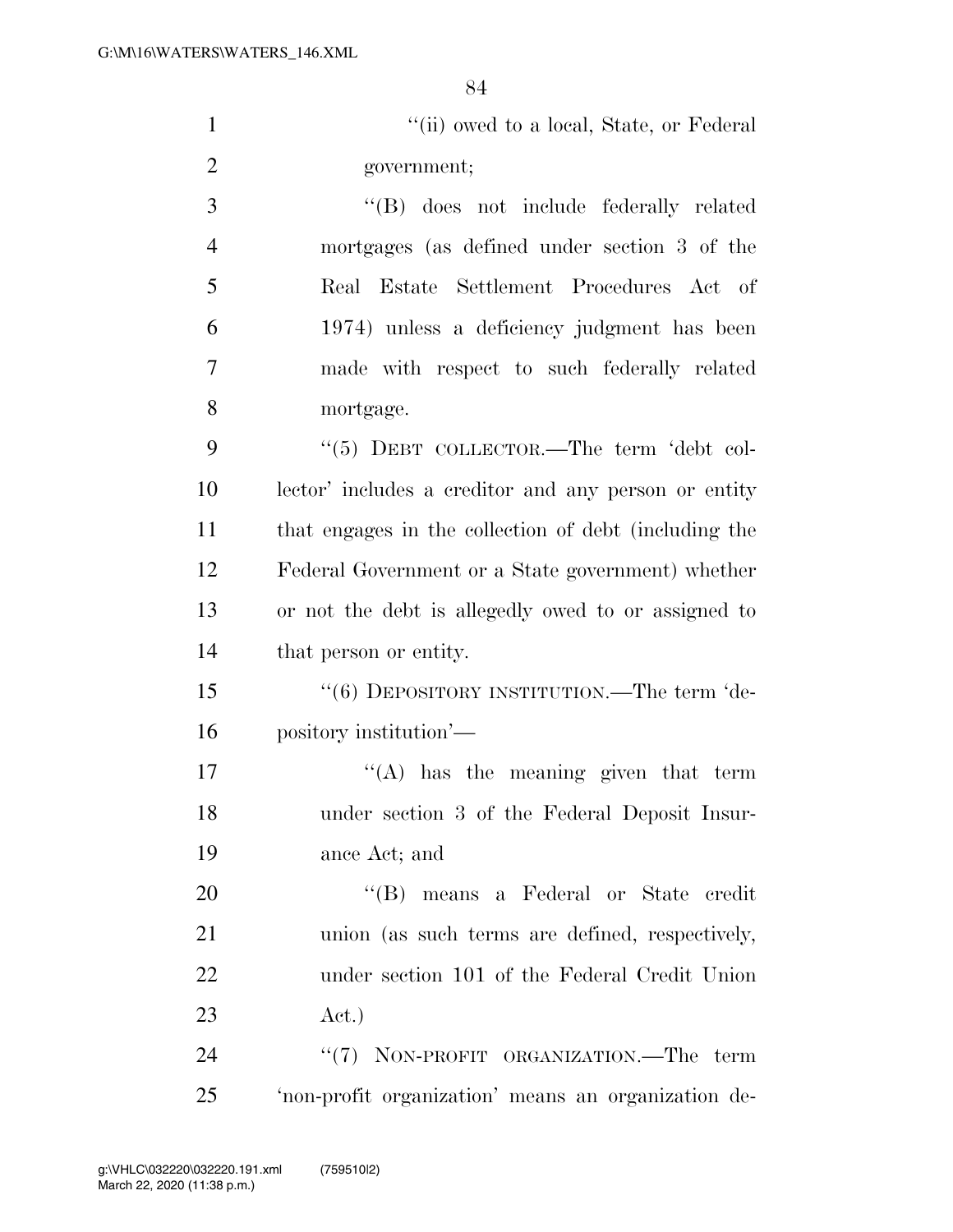| $\mathbf{1}$   | "(ii) owed to a local, State, or Federal              |
|----------------|-------------------------------------------------------|
| $\overline{2}$ | government;                                           |
| 3              | "(B) does not include federally related               |
| $\overline{4}$ | mortgages (as defined under section 3 of the          |
| 5              | Real Estate Settlement Procedures Act of              |
| 6              | 1974) unless a deficiency judgment has been           |
| 7              | made with respect to such federally related           |
| 8              | mortgage.                                             |
| 9              | "(5) DEBT COLLECTOR.—The term 'debt col-              |
| 10             | lector' includes a creditor and any person or entity  |
| 11             | that engages in the collection of debt (including the |
| 12             | Federal Government or a State government) whether     |
| 13             | or not the debt is allegedly owed to or assigned to   |
| 14             | that person or entity.                                |
| 15             | "(6) DEPOSITORY INSTITUTION.—The term 'de-            |
| 16             | pository institution'—                                |
| 17             | $\lq\lq$ has the meaning given that term              |
| 18             | under section 3 of the Federal Deposit Insur-         |
| 19             | ance Act; and                                         |
| 20             | "(B) means a Federal or State credit                  |
| 21             | union (as such terms are defined, respectively,       |
| 22             | under section 101 of the Federal Credit Union         |
| 23             | Act.)                                                 |
| 24             | "(7) NON-PROFIT ORGANIZATION.—The term                |
| 25             | 'non-profit organization' means an organization de-   |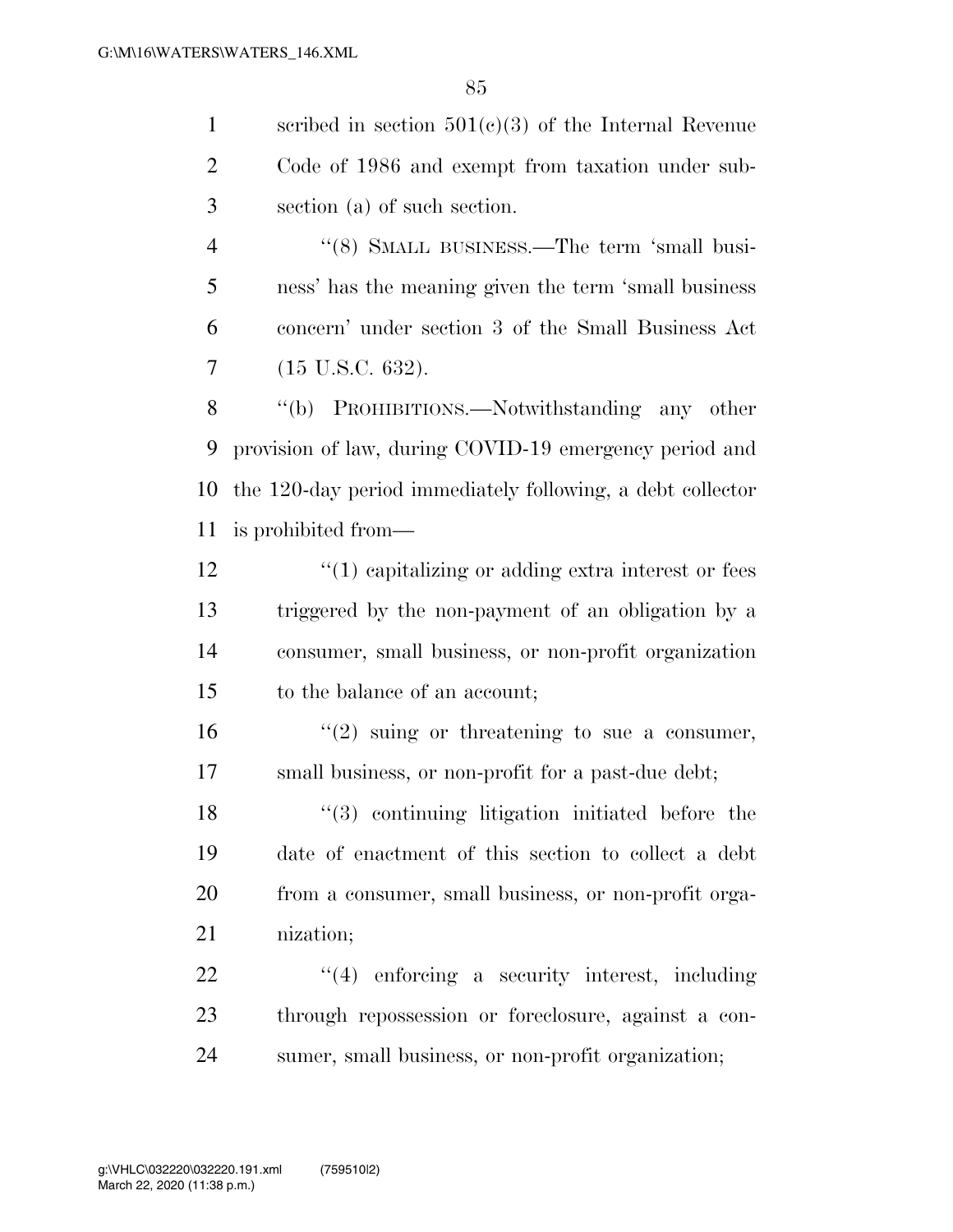scribed in section 501(c)(3) of the Internal Revenue Code of 1986 and exempt from taxation under sub-section (a) of such section.

4 "(8) SMALL BUSINESS.—The term 'small busi- ness' has the meaning given the term 'small business concern' under section 3 of the Small Business Act (15 U.S.C. 632).

 ''(b) PROHIBITIONS.—Notwithstanding any other provision of law, during COVID-19 emergency period and the 120-day period immediately following, a debt collector is prohibited from—

12 ''(1) capitalizing or adding extra interest or fees triggered by the non-payment of an obligation by a consumer, small business, or non-profit organization to the balance of an account;

16  $\frac{1}{2}$  suing or threatening to sue a consumer, small business, or non-profit for a past-due debt;

 ''(3) continuing litigation initiated before the date of enactment of this section to collect a debt from a consumer, small business, or non-profit orga-nization;

 ''(4) enforcing a security interest, including through repossession or foreclosure, against a con-sumer, small business, or non-profit organization;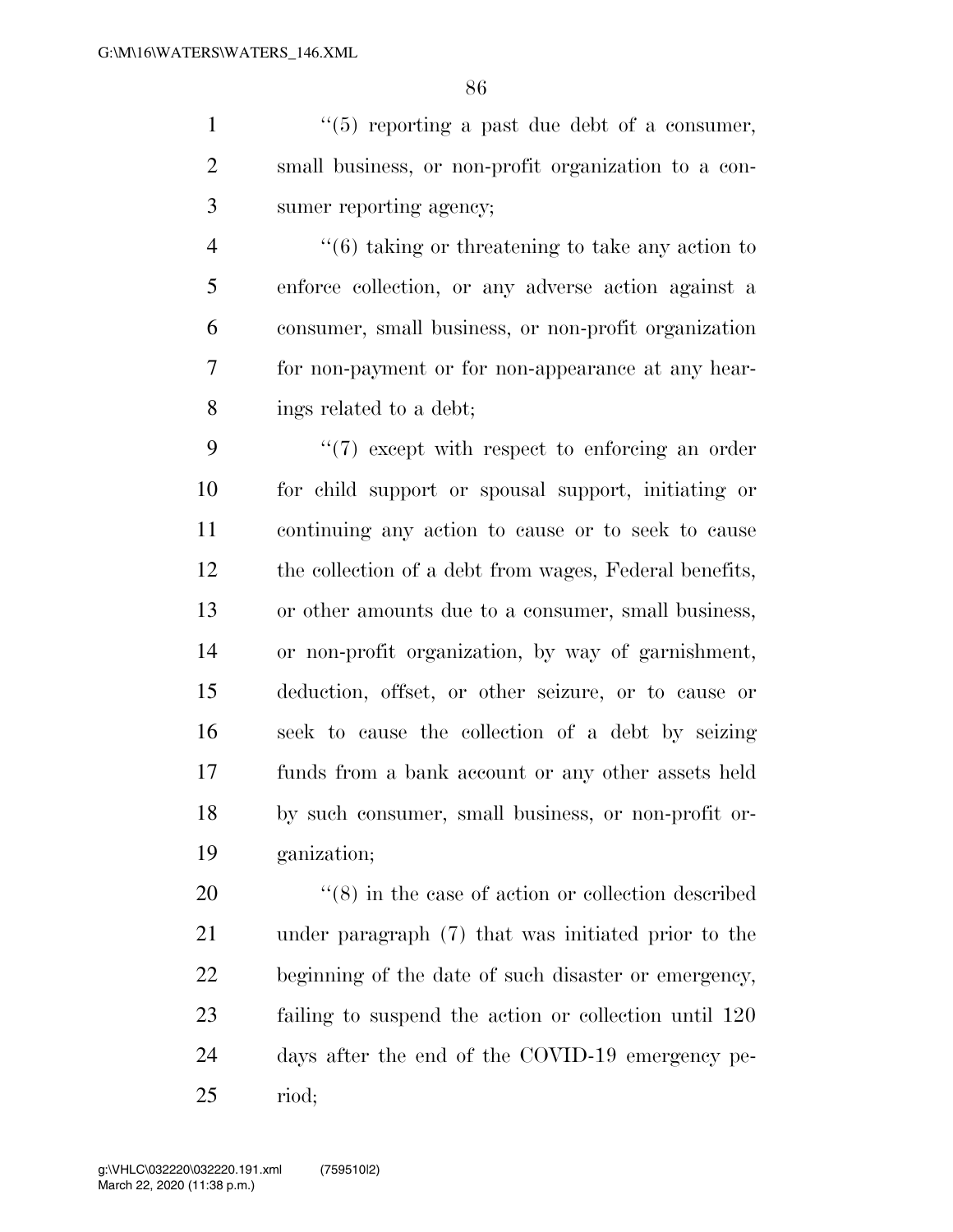$\frac{1}{1}$  ''(5) reporting a past due debt of a consumer, small business, or non-profit organization to a con-sumer reporting agency;

 ''(6) taking or threatening to take any action to enforce collection, or any adverse action against a consumer, small business, or non-profit organization for non-payment or for non-appearance at any hear-ings related to a debt;

 $\frac{4}{7}$  except with respect to enforcing an order for child support or spousal support, initiating or continuing any action to cause or to seek to cause the collection of a debt from wages, Federal benefits, or other amounts due to a consumer, small business, or non-profit organization, by way of garnishment, deduction, offset, or other seizure, or to cause or seek to cause the collection of a debt by seizing funds from a bank account or any other assets held by such consumer, small business, or non-profit or-ganization;

 $(8)$  in the case of action or collection described under paragraph (7) that was initiated prior to the beginning of the date of such disaster or emergency, failing to suspend the action or collection until 120 days after the end of the COVID-19 emergency pe-riod;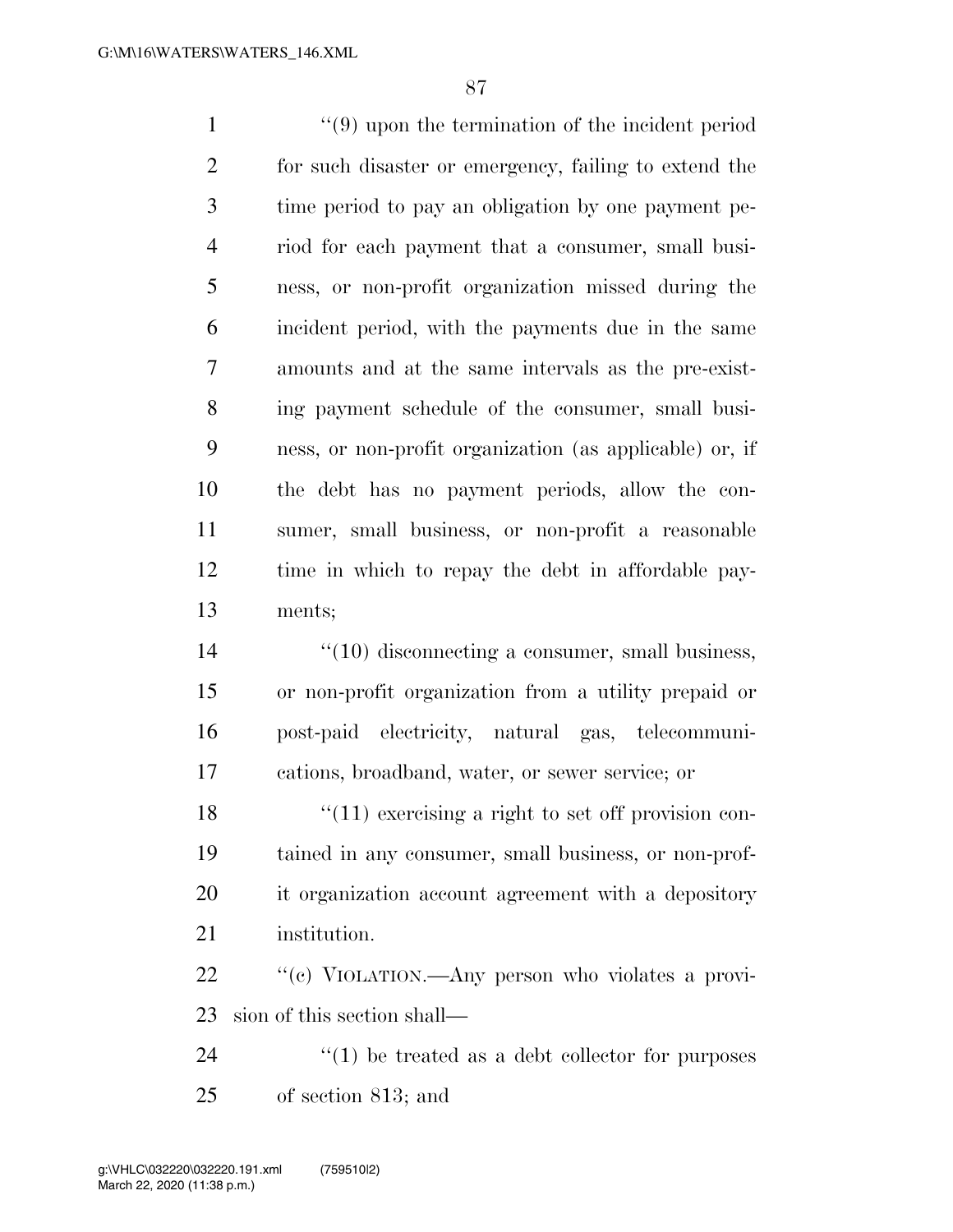''(9) upon the termination of the incident period for such disaster or emergency, failing to extend the time period to pay an obligation by one payment pe- riod for each payment that a consumer, small busi- ness, or non-profit organization missed during the incident period, with the payments due in the same amounts and at the same intervals as the pre-exist- ing payment schedule of the consumer, small busi- ness, or non-profit organization (as applicable) or, if the debt has no payment periods, allow the con- sumer, small business, or non-profit a reasonable time in which to repay the debt in affordable pay- ments;  $\frac{1}{2}$  (10) disconnecting a consumer, small business, or non-profit organization from a utility prepaid or post-paid electricity, natural gas, telecommuni- cations, broadband, water, or sewer service; or  $\frac{18}{2}$  ''(11) exercising a right to set off provision con-

 tained in any consumer, small business, or non-prof- it organization account agreement with a depository institution.

22 "'(c) VIOLATION.—Any person who violates a provi-sion of this section shall—

 ''(1) be treated as a debt collector for purposes of section 813; and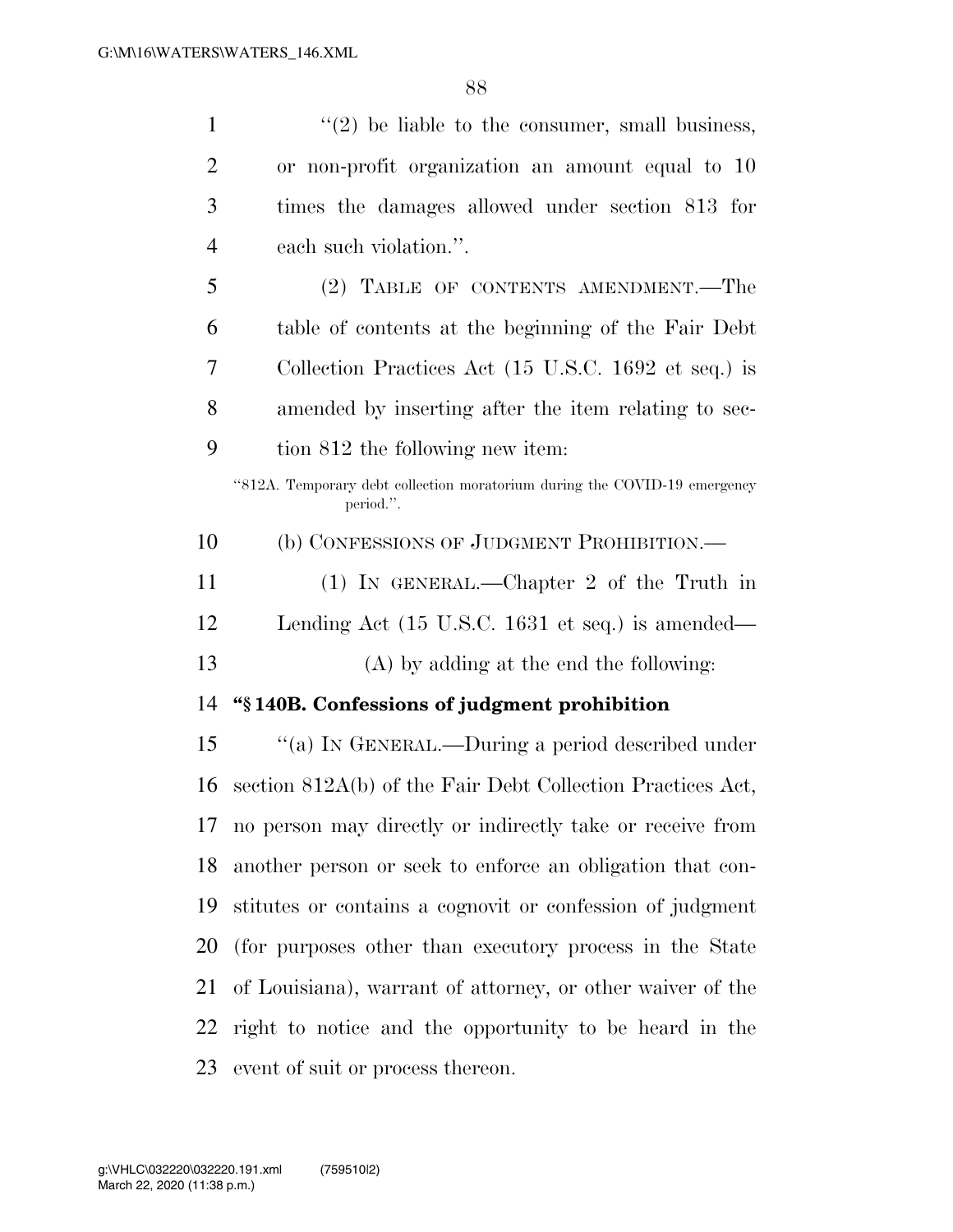| $\mathbf{1}$   | $f'(2)$ be liable to the consumer, small business,                                     |
|----------------|----------------------------------------------------------------------------------------|
| $\overline{2}$ | or non-profit organization an amount equal to 10                                       |
| 3              | times the damages allowed under section 813 for                                        |
| $\overline{4}$ | each such violation.".                                                                 |
| 5              | (2) TABLE OF CONTENTS AMENDMENT.—The                                                   |
| 6              | table of contents at the beginning of the Fair Debt                                    |
| 7              | Collection Practices Act (15 U.S.C. 1692 et seq.) is                                   |
| 8              | amended by inserting after the item relating to sec-                                   |
| 9              | tion 812 the following new item:                                                       |
|                | "812A. Temporary debt collection moratorium during the COVID-19 emergency<br>period.". |
| 10             | (b) CONFESSIONS OF JUDGMENT PROHIBITION.-                                              |
| 11             | $(1)$ In GENERAL.—Chapter 2 of the Truth in                                            |
| 12             | Lending Act $(15 \text{ U.S.C. } 1631 \text{ et seq.})$ is amended—                    |
| 13             | (A) by adding at the end the following:                                                |
| 14             | "§140B. Confessions of judgment prohibition                                            |
| 15             | "(a) IN GENERAL.—During a period described under                                       |
| 16             | section 812A(b) of the Fair Debt Collection Practices Act,                             |
| 17             | no person may directly or indirectly take or receive from                              |
| 18             | another person or seek to enforce an obligation that con-                              |
| 19             | stitutes or contains a cognovit or confession of judgment                              |
| 20             | (for purposes other than executory process in the State                                |
| 21             | of Louisiana), warrant of attorney, or other waiver of the                             |
| 22             | right to notice and the opportunity to be heard in the                                 |
| 23             | event of suit or process thereon.                                                      |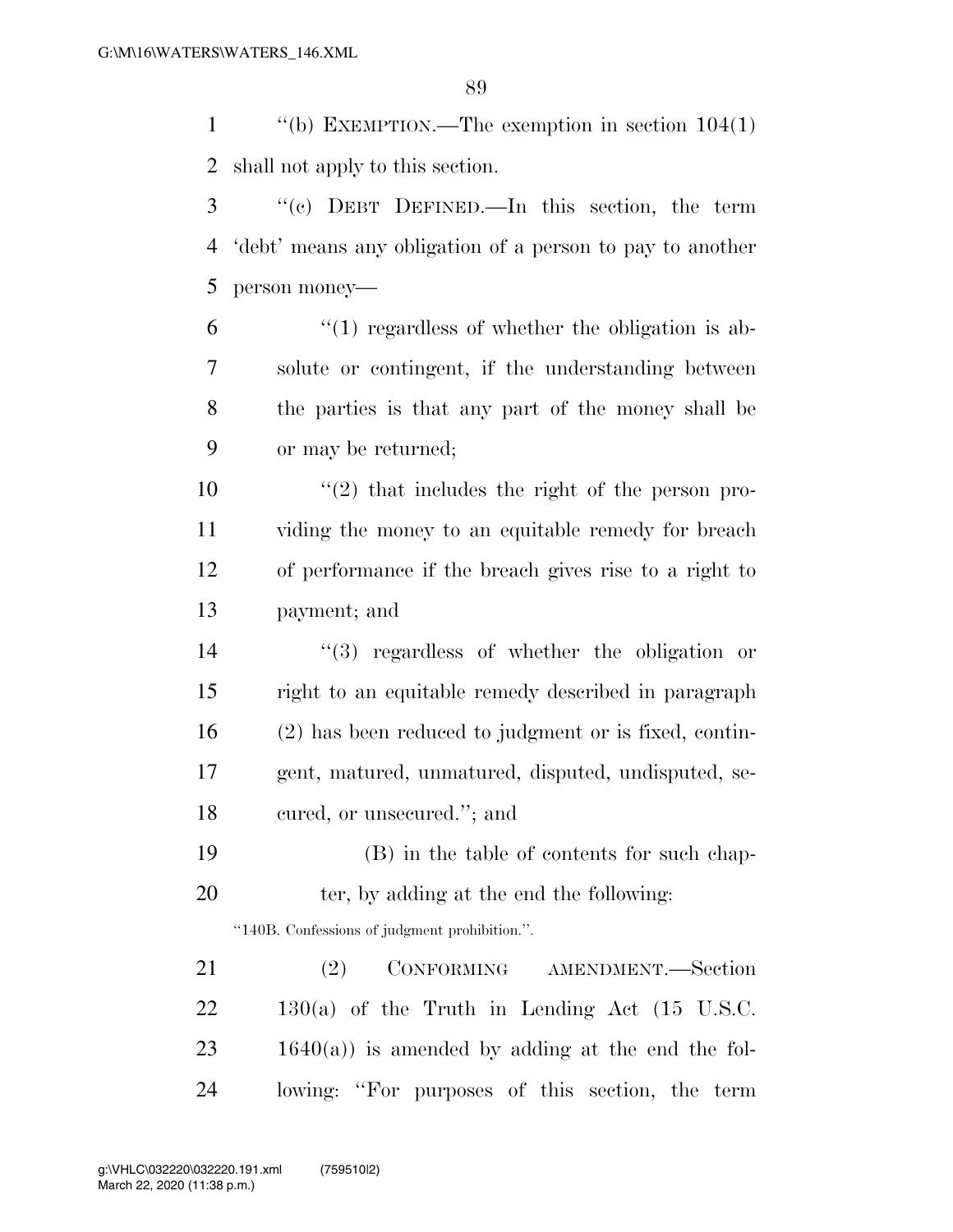''(b) EXEMPTION.—The exemption in section 104(1) shall not apply to this section.

 ''(c) DEBT DEFINED.—In this section, the term 'debt' means any obligation of a person to pay to another person money—

 $(1)$  regardless of whether the obligation is ab- solute or contingent, if the understanding between the parties is that any part of the money shall be or may be returned;

 ''(2) that includes the right of the person pro- viding the money to an equitable remedy for breach of performance if the breach gives rise to a right to payment; and

 ''(3) regardless of whether the obligation or right to an equitable remedy described in paragraph (2) has been reduced to judgment or is fixed, contin- gent, matured, unmatured, disputed, undisputed, se-cured, or unsecured.''; and

 (B) in the table of contents for such chap-20 ter, by adding at the end the following:

''140B. Confessions of judgment prohibition.''.

 (2) CONFORMING AMENDMENT.—Section 130(a) of the Truth in Lending Act (15 U.S.C.  $23 \t1640(a)$  is amended by adding at the end the fol-lowing: ''For purposes of this section, the term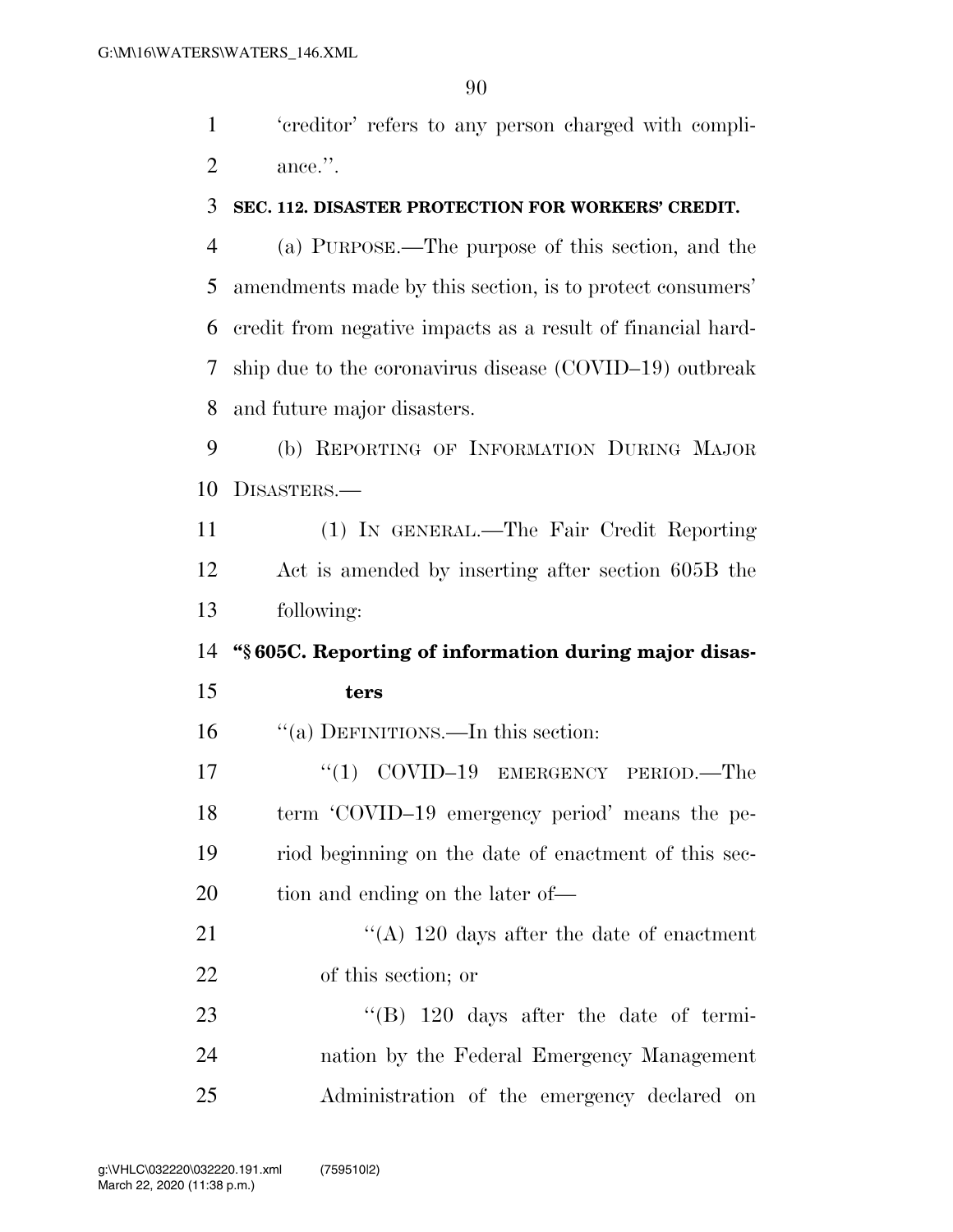'creditor' refers to any person charged with compli-ance.''.

## **SEC. 112. DISASTER PROTECTION FOR WORKERS' CREDIT.**

 (a) PURPOSE.—The purpose of this section, and the amendments made by this section, is to protect consumers' credit from negative impacts as a result of financial hard- ship due to the coronavirus disease (COVID–19) outbreak and future major disasters.

 (b) REPORTING OF INFORMATION DURING MAJOR DISASTERS.—

 (1) IN GENERAL.—The Fair Credit Reporting Act is amended by inserting after section 605B the following:

**''§ 605C. Reporting of information during major disas-**

## **ters**

''(a) DEFINITIONS.—In this section:

17 "(1) COVID-19 EMERGENCY PERIOD.—The term 'COVID–19 emergency period' means the pe- riod beginning on the date of enactment of this sec-20 tion and ending on the later of—

21 ''(A) 120 days after the date of enactment of this section; or

23 "'(B) 120 days after the date of termi- nation by the Federal Emergency Management Administration of the emergency declared on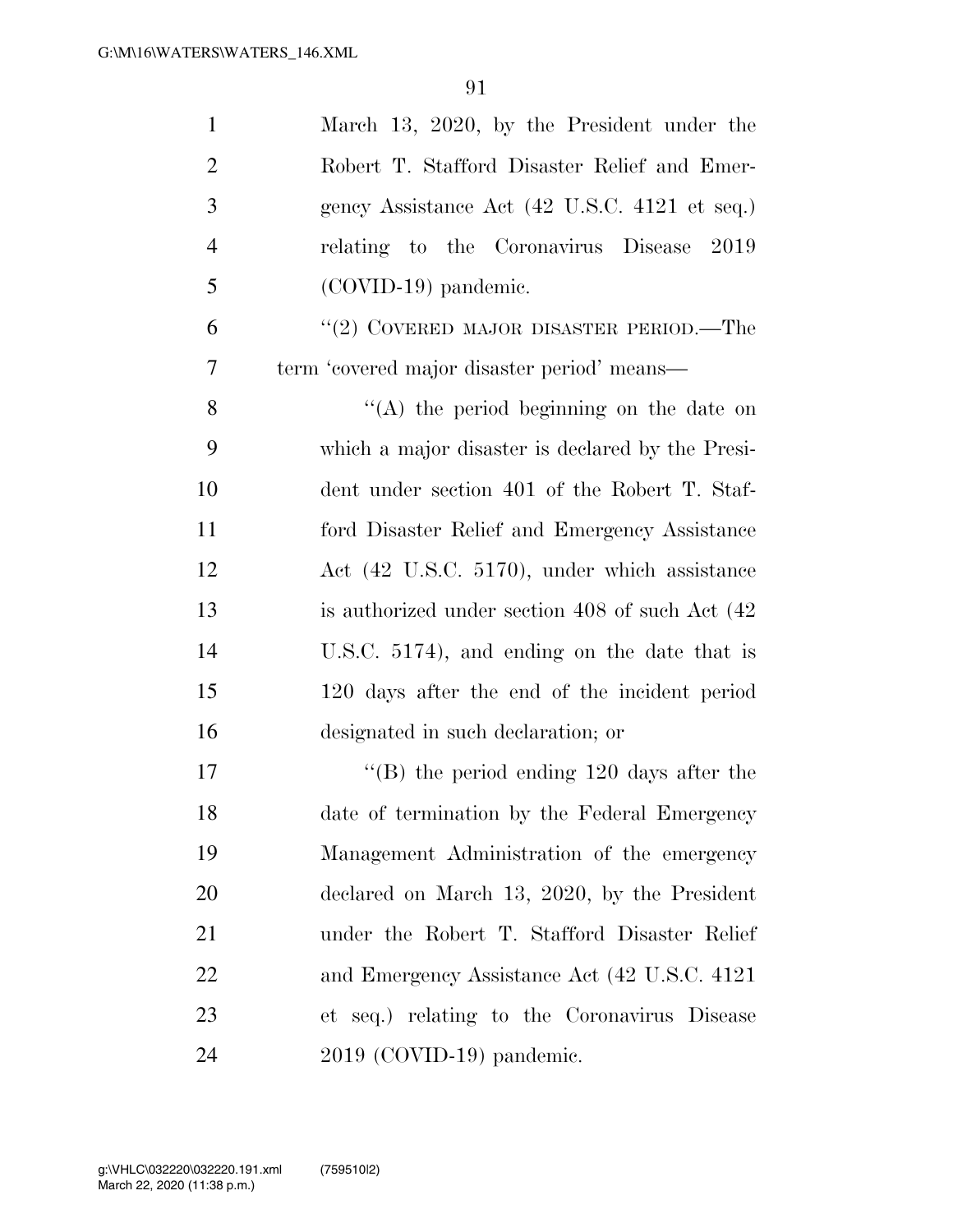| $\mathbf{1}$   | March 13, 2020, by the President under the       |
|----------------|--------------------------------------------------|
| $\overline{2}$ | Robert T. Stafford Disaster Relief and Emer-     |
| 3              | gency Assistance Act (42 U.S.C. 4121 et seq.)    |
| $\overline{4}$ | relating to the Coronavirus Disease 2019         |
| 5              | $(COVID-19)$ pandemic.                           |
| 6              | "(2) COVERED MAJOR DISASTER PERIOD.—The          |
| 7              | term 'covered major disaster period' means-      |
| 8              | $\lq\lq$ the period beginning on the date on     |
| 9              | which a major disaster is declared by the Presi- |
| 10             | dent under section 401 of the Robert T. Staf-    |
| 11             | ford Disaster Relief and Emergency Assistance    |
| 12             | Act (42 U.S.C. 5170), under which assistance     |
| 13             | is authorized under section 408 of such Act (42) |
| 14             | U.S.C. 5174), and ending on the date that is     |
| 15             | 120 days after the end of the incident period    |
| 16             | designated in such declaration; or               |
| 17             | $\lq\lq$ the period ending 120 days after the    |
| 18             | date of termination by the Federal Emergency     |
| 19             | Management Administration of the emergency       |
| 20             | declared on March 13, 2020, by the President     |
| 21             | under the Robert T. Stafford Disaster Relief     |
| 22             | and Emergency Assistance Act (42 U.S.C. 4121)    |
| 23             | et seq.) relating to the Coronavirus Disease     |
| 24             | 2019 (COVID-19) pandemic.                        |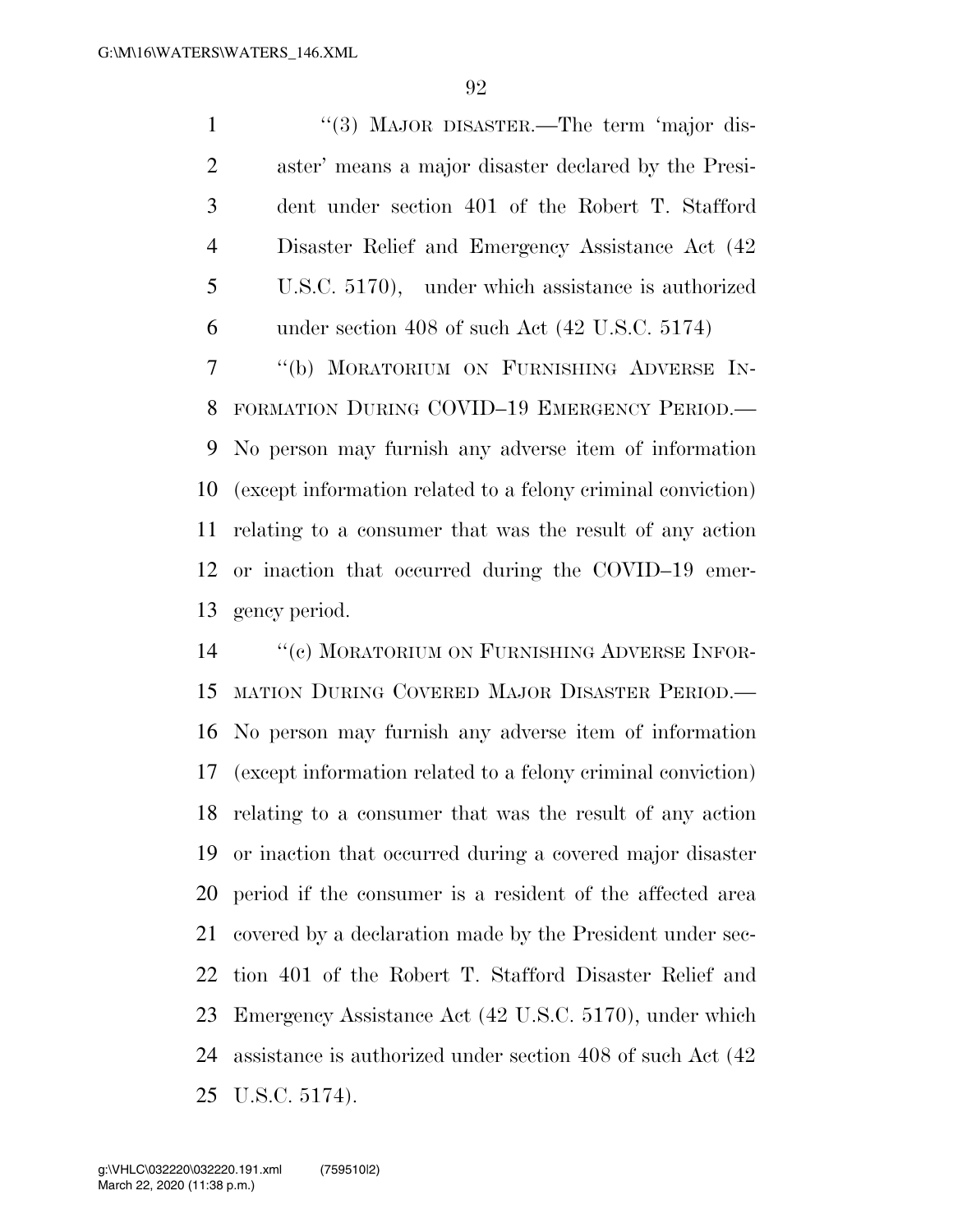1 ''(3) MAJOR DISASTER.—The term 'major dis- aster' means a major disaster declared by the Presi- dent under section 401 of the Robert T. Stafford Disaster Relief and Emergency Assistance Act (42 U.S.C. 5170), under which assistance is authorized under section 408 of such Act (42 U.S.C. 5174) ''(b) MORATORIUM ON FURNISHING ADVERSE IN-FORMATION DURING COVID–19 EMERGENCY PERIOD.—

 No person may furnish any adverse item of information (except information related to a felony criminal conviction) relating to a consumer that was the result of any action or inaction that occurred during the COVID–19 emer-gency period.

14 "(c) MORATORIUM ON FURNISHING ADVERSE INFOR- MATION DURING COVERED MAJOR DISASTER PERIOD.— No person may furnish any adverse item of information (except information related to a felony criminal conviction) relating to a consumer that was the result of any action or inaction that occurred during a covered major disaster period if the consumer is a resident of the affected area covered by a declaration made by the President under sec- tion 401 of the Robert T. Stafford Disaster Relief and Emergency Assistance Act (42 U.S.C. 5170), under which assistance is authorized under section 408 of such Act (42 U.S.C. 5174).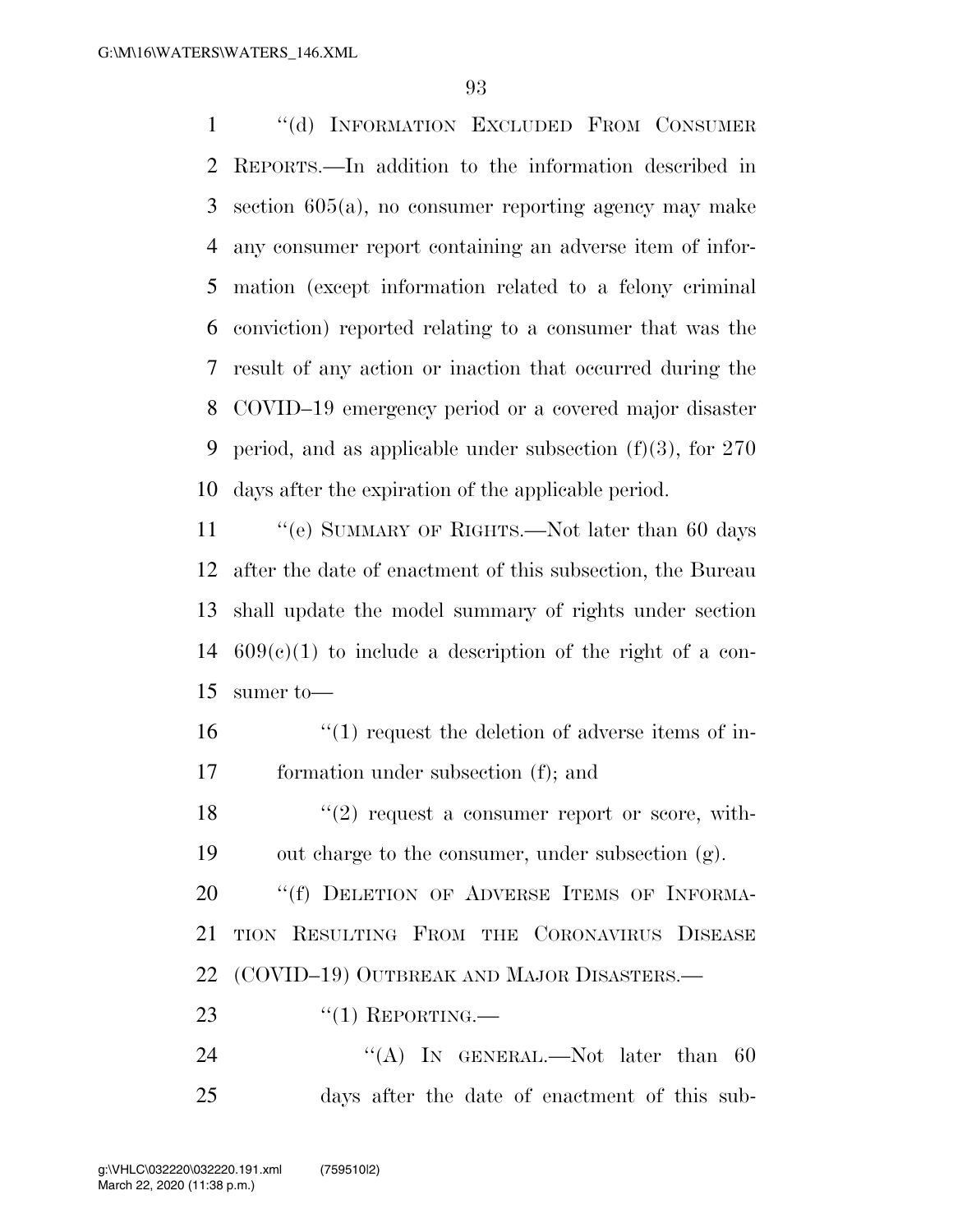''(d) INFORMATION EXCLUDED FROM CONSUMER REPORTS.—In addition to the information described in section 605(a), no consumer reporting agency may make any consumer report containing an adverse item of infor- mation (except information related to a felony criminal conviction) reported relating to a consumer that was the result of any action or inaction that occurred during the COVID–19 emergency period or a covered major disaster 9 period, and as applicable under subsection  $(f)(3)$ , for 270 days after the expiration of the applicable period.

11 "'(e) SUMMARY OF RIGHTS.—Not later than 60 days after the date of enactment of this subsection, the Bureau shall update the model summary of rights under section  $609(c)(1)$  to include a description of the right of a con-sumer to—

16  $\frac{16}{10}$  request the deletion of adverse items of in-formation under subsection (f); and

 $\frac{18}{2}$  ''(2) request a consumer report or score, with-out charge to the consumer, under subsection (g).

20 "(f) DELETION OF ADVERSE ITEMS OF INFORMA- TION RESULTING FROM THE CORONAVIRUS DISEASE (COVID–19) OUTBREAK AND MAJOR DISASTERS.—

23  $((1)$  REPORTING.

24 "(A) IN GENERAL.—Not later than 60 days after the date of enactment of this sub-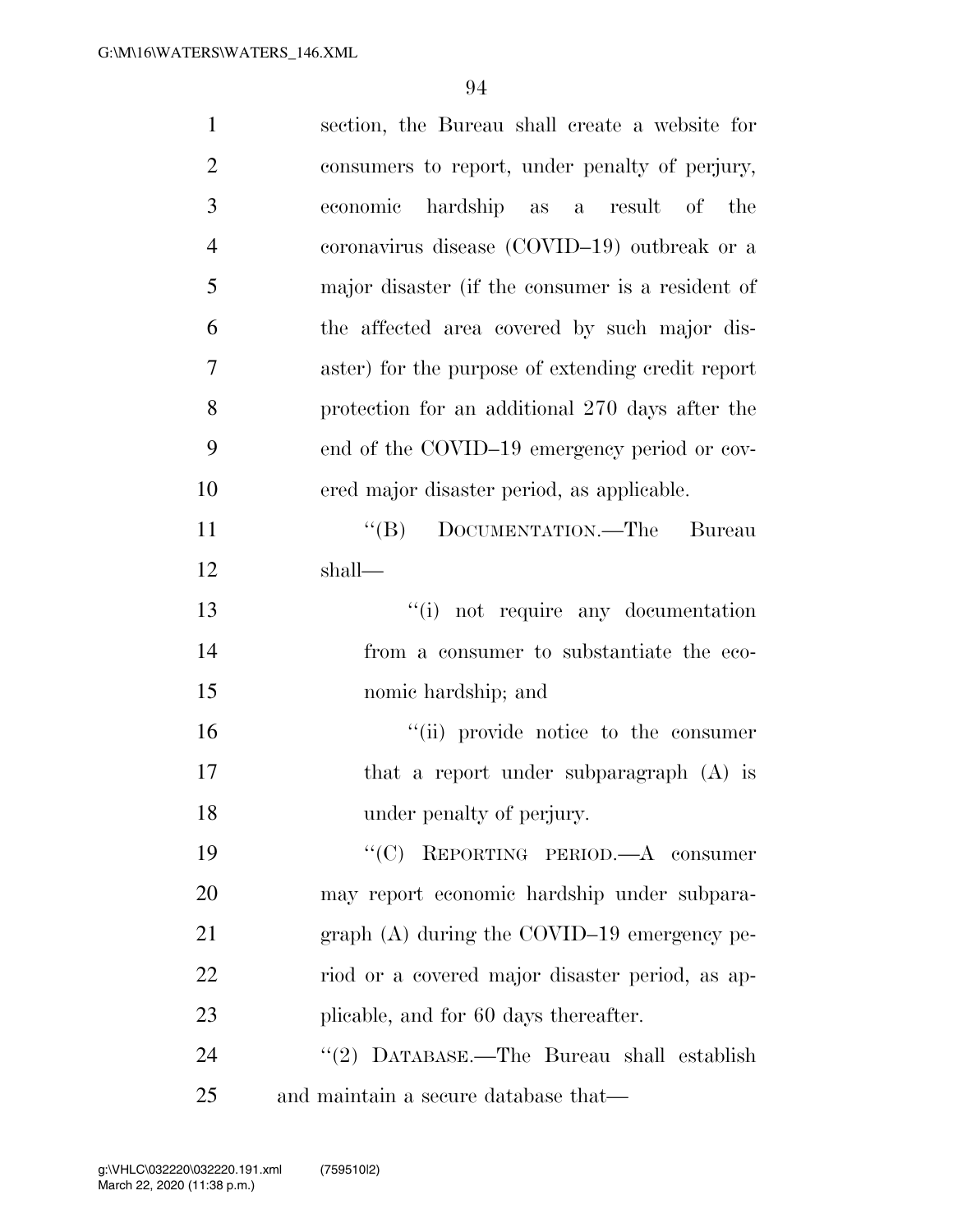| $\mathbf{1}$   | section, the Bureau shall create a website for    |
|----------------|---------------------------------------------------|
| $\overline{2}$ | consumers to report, under penalty of perjury,    |
| $\overline{3}$ | hardship as a result of the<br>economic           |
| $\overline{4}$ | coronavirus disease (COVID-19) outbreak or a      |
| 5              | major disaster (if the consumer is a resident of  |
| 6              | the affected area covered by such major dis-      |
| $\overline{7}$ | aster) for the purpose of extending credit report |
| 8              | protection for an additional 270 days after the   |
| 9              | end of the COVID-19 emergency period or cov-      |
| 10             | ered major disaster period, as applicable.        |
| 11             | ``(B)<br>DOCUMENTATION.—The Bureau                |
| 12             | shall—                                            |
| 13             | "(i) not require any documentation                |
| 14             | from a consumer to substantiate the eco-          |
| 15             | nomic hardship; and                               |
| 16             | "(ii) provide notice to the consumer              |
| 17             | that a report under subparagraph (A) is           |
| 18             | under penalty of perjury.                         |
| 19             | REPORTING PERIOD.-A consumer<br>$\lq\lq C$        |
| 20             | may report economic hardship under subpara-       |
| 21             | graph $(A)$ during the COVID-19 emergency pe-     |
| 22             | riod or a covered major disaster period, as ap-   |
| 23             | plicable, and for 60 days thereafter.             |
| 24             | "(2) DATABASE.—The Bureau shall establish         |
| 25             | and maintain a secure database that—              |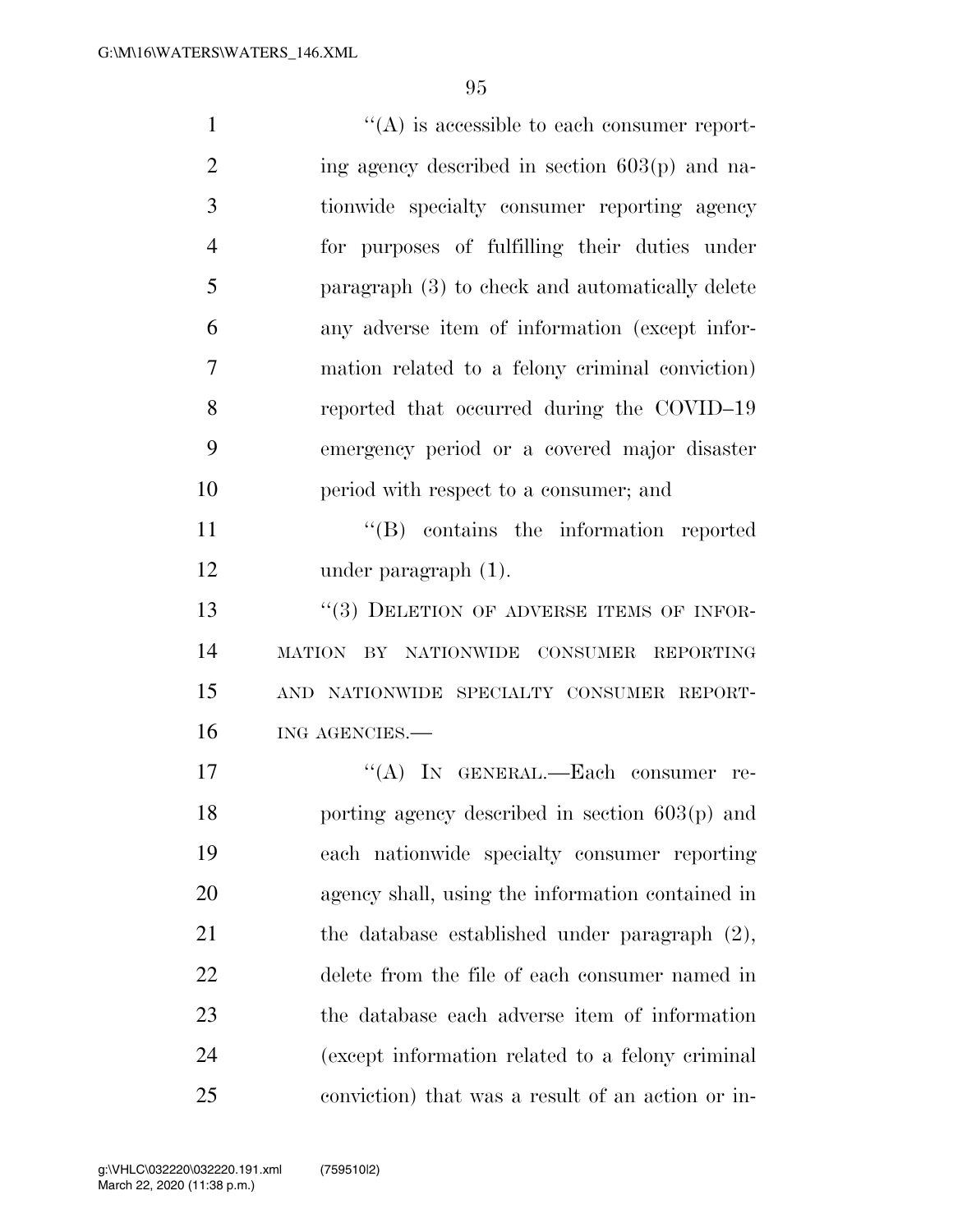| $\mathbf{1}$   | $\lq\lq$ is accessible to each consumer report-   |
|----------------|---------------------------------------------------|
| $\overline{2}$ | ing agency described in section $603(p)$ and na-  |
| 3              | tionwide specialty consumer reporting agency      |
| $\overline{4}$ | for purposes of fulfilling their duties under     |
| 5              | paragraph (3) to check and automatically delete   |
| 6              | any adverse item of information (except infor-    |
| 7              | mation related to a felony criminal conviction)   |
| 8              | reported that occurred during the COVID-19        |
| 9              | emergency period or a covered major disaster      |
| 10             | period with respect to a consumer; and            |
| 11             | $\lq\lq (B)$ contains the information reported    |
| 12             | under paragraph $(1)$ .                           |
| 13             | "(3) DELETION OF ADVERSE ITEMS OF INFOR-          |
| 14             | MATION BY NATIONWIDE CONSUMER REPORTING           |
| 15             | AND NATIONWIDE SPECIALTY CONSUMER REPORT-         |
| 16             | ING AGENCIES.                                     |
| 17             | "(A) IN GENERAL.—Each consumer<br>re-             |
| 18             | porting agency described in section $603(p)$ and  |
| 19             | each nationwide specialty consumer reporting      |
| 20             | agency shall, using the information contained in  |
| 21             | the database established under paragraph $(2)$ ,  |
| 22             | delete from the file of each consumer named in    |
| 23             | the database each adverse item of information     |
| 24             | (except information related to a felony criminal  |
| 25             | conviction) that was a result of an action or in- |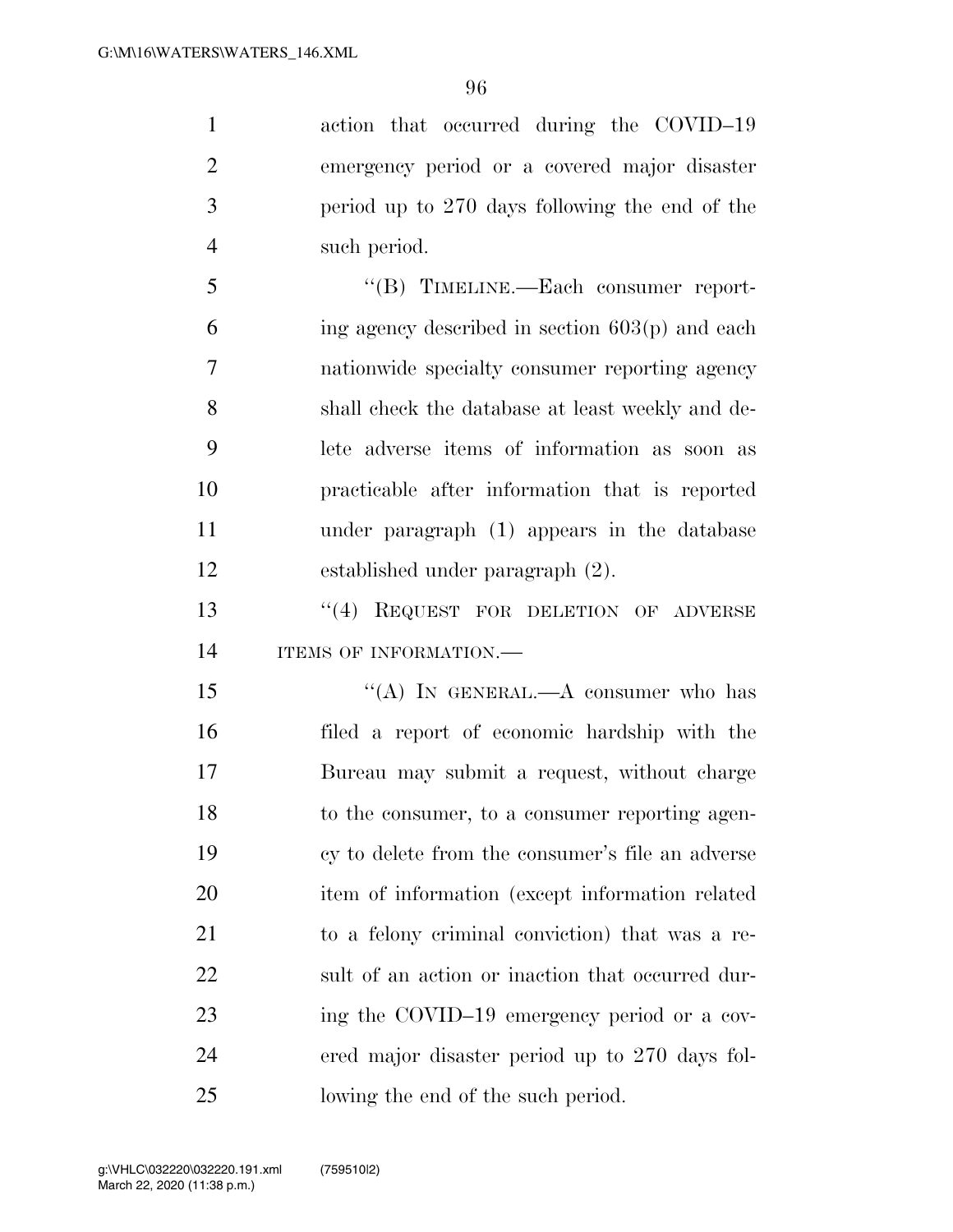action that occurred during the COVID–19 emergency period or a covered major disaster period up to 270 days following the end of the such period.

 ''(B) TIMELINE.—Each consumer report- ing agency described in section 603(p) and each nationwide specialty consumer reporting agency shall check the database at least weekly and de- lete adverse items of information as soon as practicable after information that is reported under paragraph (1) appears in the database established under paragraph (2).

13 "(4) REQUEST FOR DELETION OF ADVERSE 14 ITEMS OF INFORMATION.

15 "(A) IN GENERAL.—A consumer who has filed a report of economic hardship with the Bureau may submit a request, without charge to the consumer, to a consumer reporting agen- cy to delete from the consumer's file an adverse item of information (except information related to a felony criminal conviction) that was a re- sult of an action or inaction that occurred dur- ing the COVID–19 emergency period or a cov- ered major disaster period up to 270 days fol-lowing the end of the such period.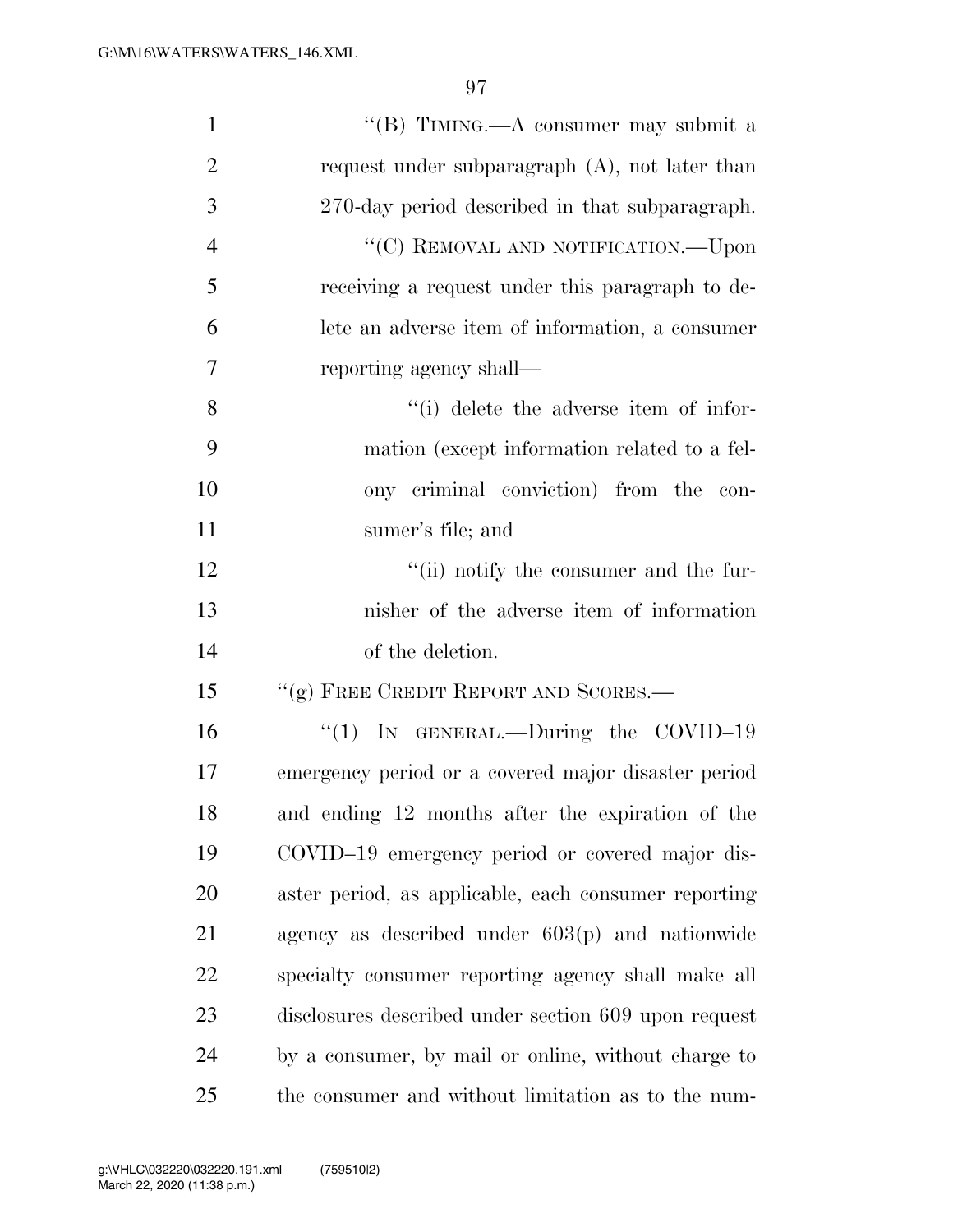| $\mathbf{1}$   | "(B) TIMING.—A consumer may submit a                 |
|----------------|------------------------------------------------------|
| $\overline{2}$ | request under subparagraph $(A)$ , not later than    |
| 3              | 270-day period described in that subparagraph.       |
| $\overline{4}$ | "(C) REMOVAL AND NOTIFICATION.—Upon                  |
| 5              | receiving a request under this paragraph to de-      |
| 6              | lete an adverse item of information, a consumer      |
| 7              | reporting agency shall—                              |
| 8              | "(i) delete the adverse item of infor-               |
| 9              | mation (except information related to a fel-         |
| 10             | ony criminal conviction) from the con-               |
| 11             | sumer's file; and                                    |
| 12             | "(ii) notify the consumer and the fur-               |
| 13             | nisher of the adverse item of information            |
| 14             | of the deletion.                                     |
| 15             | "(g) FREE CREDIT REPORT AND SCORES.-                 |
| 16             | "(1) IN GENERAL.—During the COVID-19                 |
| 17             | emergency period or a covered major disaster period  |
| 18             | and ending 12 months after the expiration of the     |
| 19             | COVID-19 emergency period or covered major dis-      |
| 20             | aster period, as applicable, each consumer reporting |
| 21             | agency as described under $603(p)$ and nationwide    |
| 22             | specialty consumer reporting agency shall make all   |
| 23             | disclosures described under section 609 upon request |
| 24             | by a consumer, by mail or online, without charge to  |
| 25             | the consumer and without limitation as to the num-   |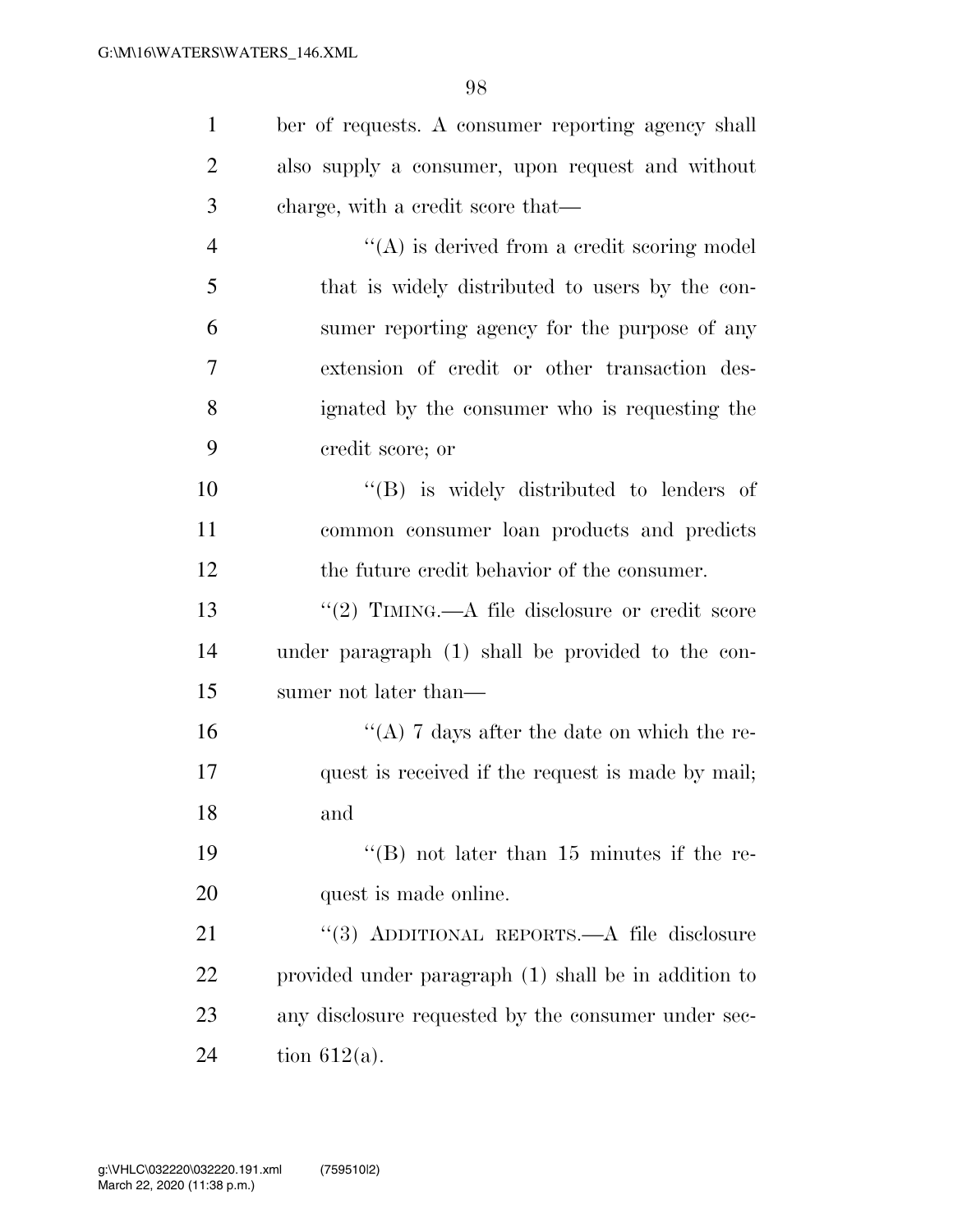| $\mathbf{1}$   | ber of requests. A consumer reporting agency shall   |
|----------------|------------------------------------------------------|
| $\overline{2}$ | also supply a consumer, upon request and without     |
| 3              | charge, with a credit score that—                    |
| $\overline{4}$ | $\lq\lq$ is derived from a credit scoring model      |
| 5              | that is widely distributed to users by the con-      |
| 6              | sumer reporting agency for the purpose of any        |
| 7              | extension of credit or other transaction des-        |
| 8              | ignated by the consumer who is requesting the        |
| 9              | credit score; or                                     |
| 10             | $\lq\lq$ is widely distributed to lenders of         |
| 11             | common consumer loan products and predicts           |
| 12             | the future credit behavior of the consumer.          |
| 13             | "(2) TIMING.—A file disclosure or credit score       |
| 14             | under paragraph (1) shall be provided to the con-    |
| 15             | sumer not later than—                                |
| 16             | "(A) 7 days after the date on which the re-          |
| 17             | quest is received if the request is made by mail;    |
| 18             | and                                                  |
| 19             | "(B) not later than $15$ minutes if the re-          |
| 20             | quest is made online.                                |
| 21             | "(3) ADDITIONAL REPORTS.—A file disclosure           |
| 22             | provided under paragraph (1) shall be in addition to |
| 23             | any disclosure requested by the consumer under sec-  |
| 24             | tion $612(a)$ .                                      |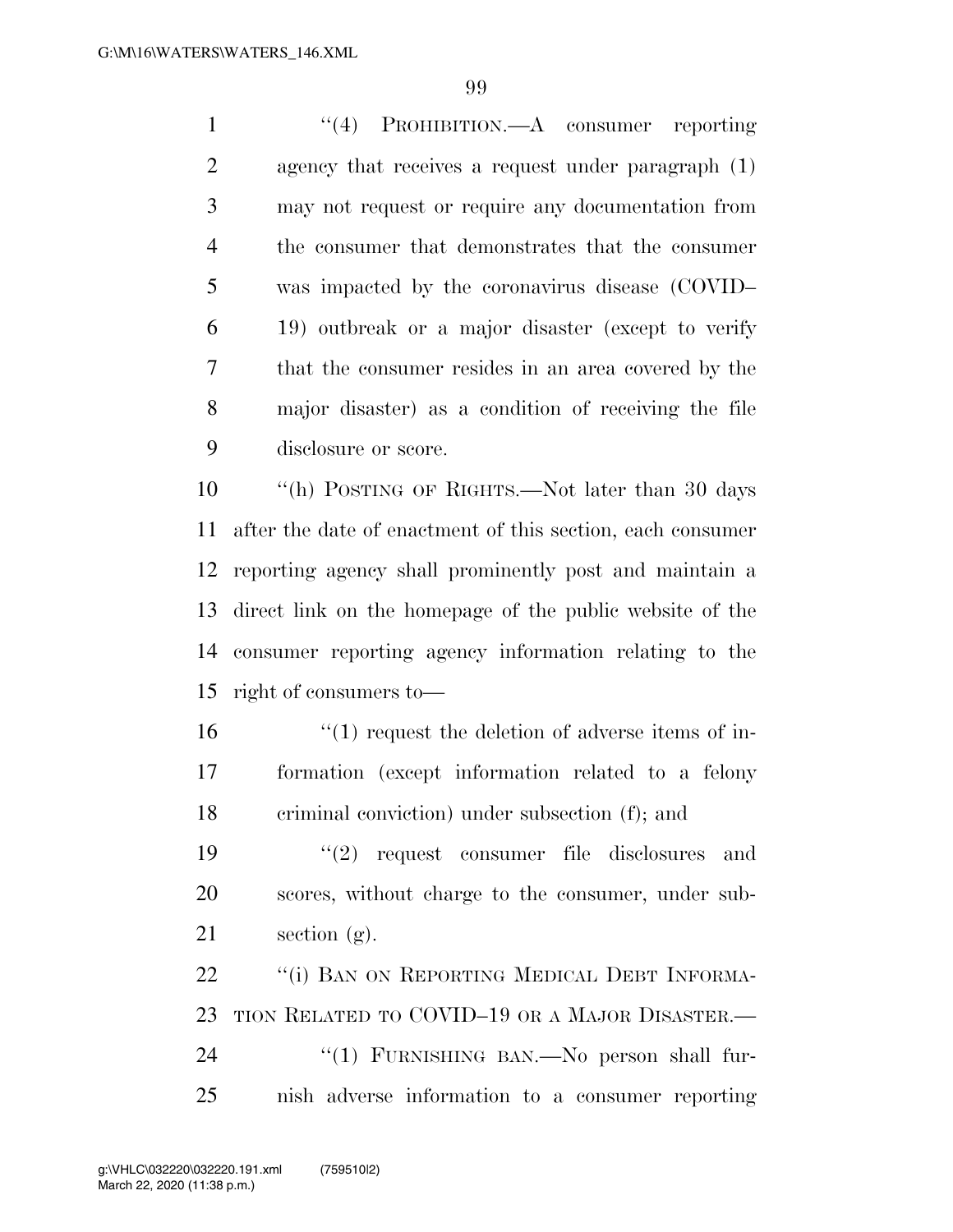''(4) PROHIBITION.—A consumer reporting agency that receives a request under paragraph (1) may not request or require any documentation from the consumer that demonstrates that the consumer was impacted by the coronavirus disease (COVID– 19) outbreak or a major disaster (except to verify that the consumer resides in an area covered by the major disaster) as a condition of receiving the file disclosure or score.

 ''(h) POSTING OF RIGHTS.—Not later than 30 days after the date of enactment of this section, each consumer reporting agency shall prominently post and maintain a direct link on the homepage of the public website of the consumer reporting agency information relating to the right of consumers to—

16  $\frac{16}{10}$  request the deletion of adverse items of in- formation (except information related to a felony criminal conviction) under subsection (f); and

19  $(2)$  request consumer file disclosures and scores, without charge to the consumer, under sub-21 section  $(g)$ .

22 "(i) BAN ON REPORTING MEDICAL DEBT INFORMA- TION RELATED TO COVID–19 OR A MAJOR DISASTER.— 24 "(1) FURNISHING BAN.—No person shall fur-nish adverse information to a consumer reporting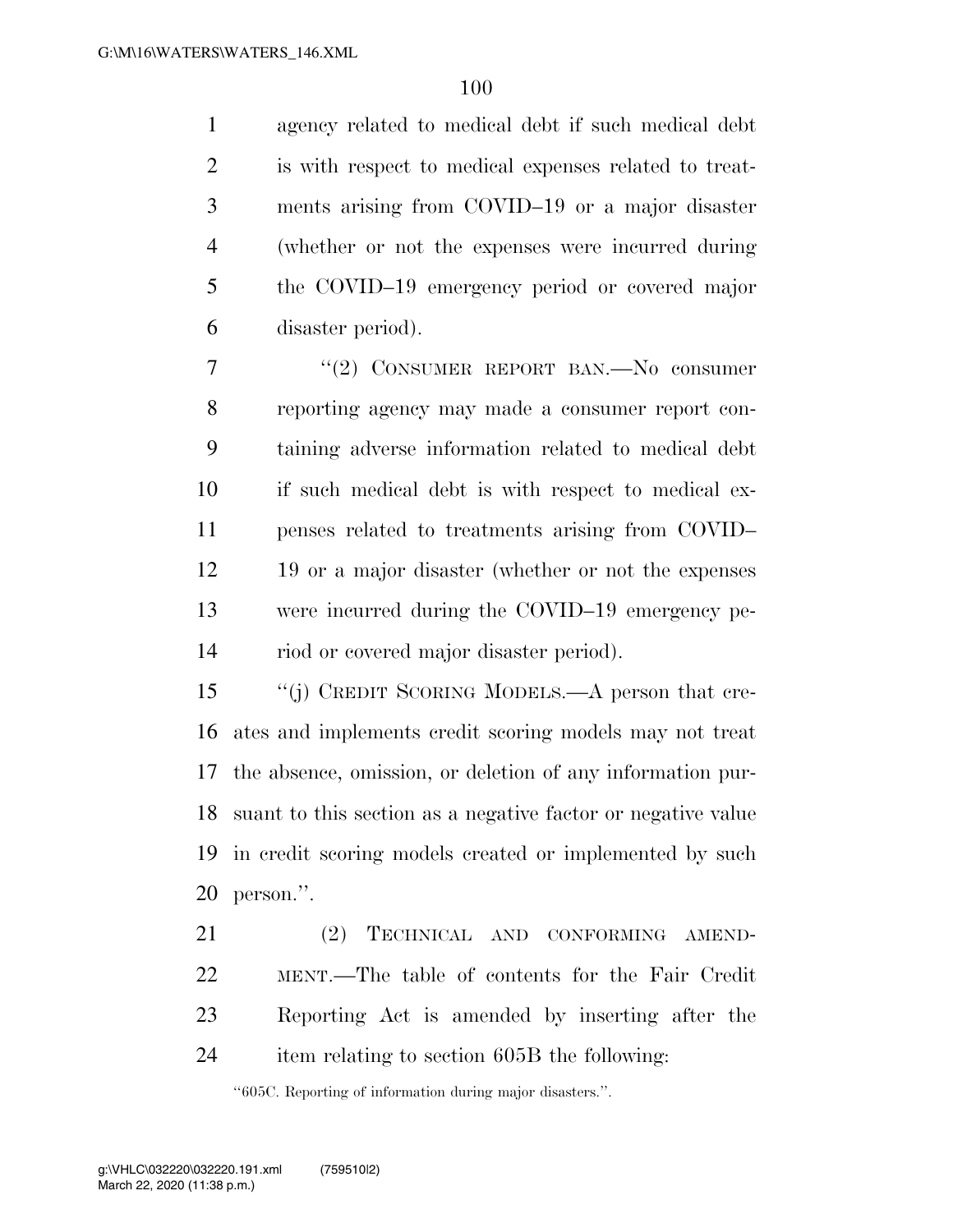agency related to medical debt if such medical debt is with respect to medical expenses related to treat- ments arising from COVID–19 or a major disaster (whether or not the expenses were incurred during the COVID–19 emergency period or covered major disaster period).

 ''(2) CONSUMER REPORT BAN.—No consumer reporting agency may made a consumer report con- taining adverse information related to medical debt if such medical debt is with respect to medical ex- penses related to treatments arising from COVID– 19 or a major disaster (whether or not the expenses were incurred during the COVID–19 emergency pe-riod or covered major disaster period).

 ''(j) CREDIT SCORING MODELS.—A person that cre- ates and implements credit scoring models may not treat the absence, omission, or deletion of any information pur- suant to this section as a negative factor or negative value in credit scoring models created or implemented by such person.''.

 (2) TECHNICAL AND CONFORMING AMEND- MENT.—The table of contents for the Fair Credit Reporting Act is amended by inserting after the item relating to section 605B the following:

''605C. Reporting of information during major disasters.''.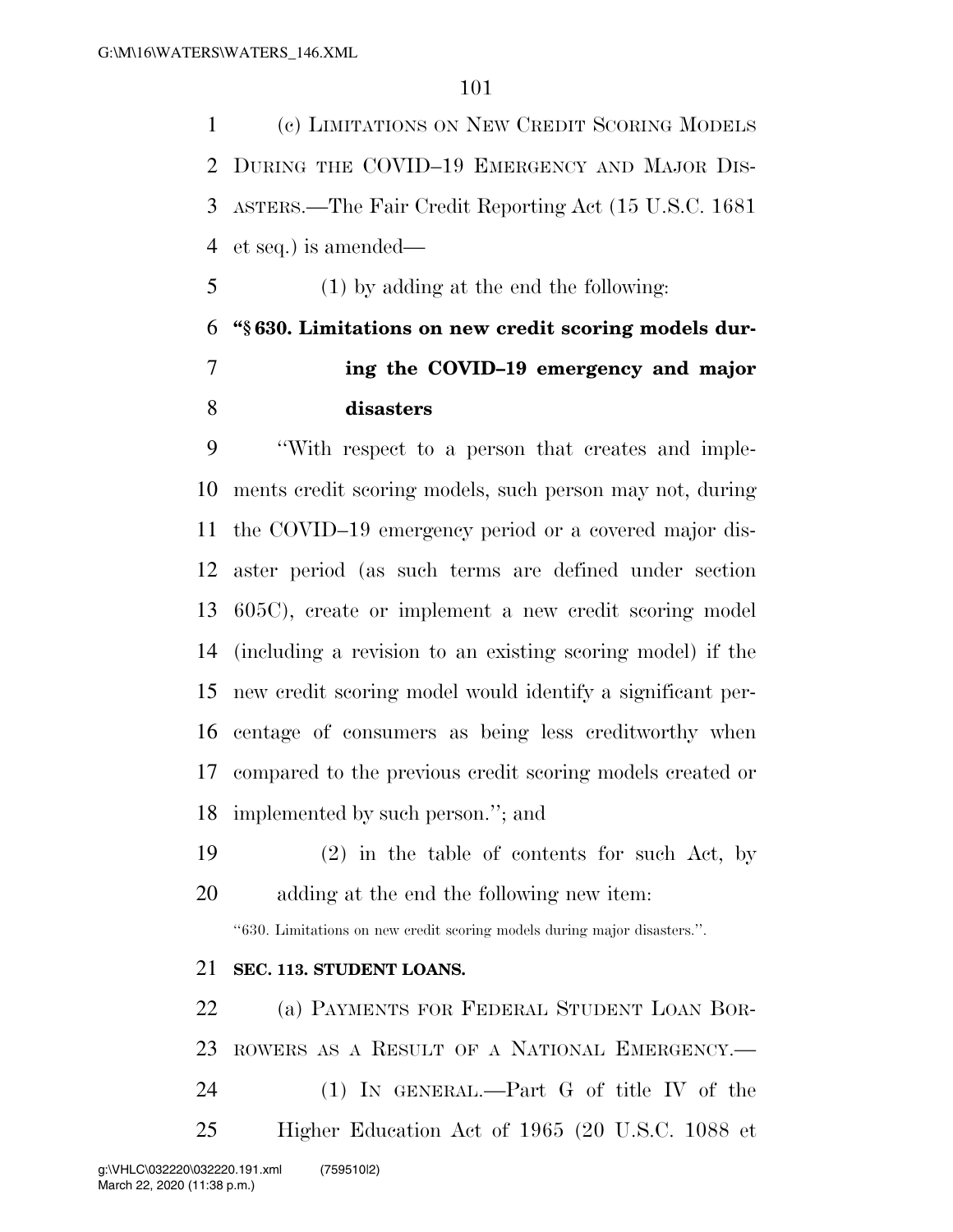(c) LIMITATIONS ON NEW CREDIT SCORING MODELS DURING THE COVID–19 EMERGENCY AND MAJOR DIS- ASTERS.—The Fair Credit Reporting Act (15 U.S.C. 1681 et seq.) is amended—

(1) by adding at the end the following:

## **''§ 630. Limitations on new credit scoring models dur- ing the COVID–19 emergency and major disasters**

 ''With respect to a person that creates and imple- ments credit scoring models, such person may not, during the COVID–19 emergency period or a covered major dis- aster period (as such terms are defined under section 605C), create or implement a new credit scoring model (including a revision to an existing scoring model) if the new credit scoring model would identify a significant per- centage of consumers as being less creditworthy when compared to the previous credit scoring models created or implemented by such person.''; and

 (2) in the table of contents for such Act, by adding at the end the following new item:

''630. Limitations on new credit scoring models during major disasters.''.

## **SEC. 113. STUDENT LOANS.**

 (a) PAYMENTS FOR FEDERAL STUDENT LOAN BOR- ROWERS AS A RESULT OF A NATIONAL EMERGENCY.— (1) IN GENERAL.—Part G of title IV of the Higher Education Act of 1965 (20 U.S.C. 1088 et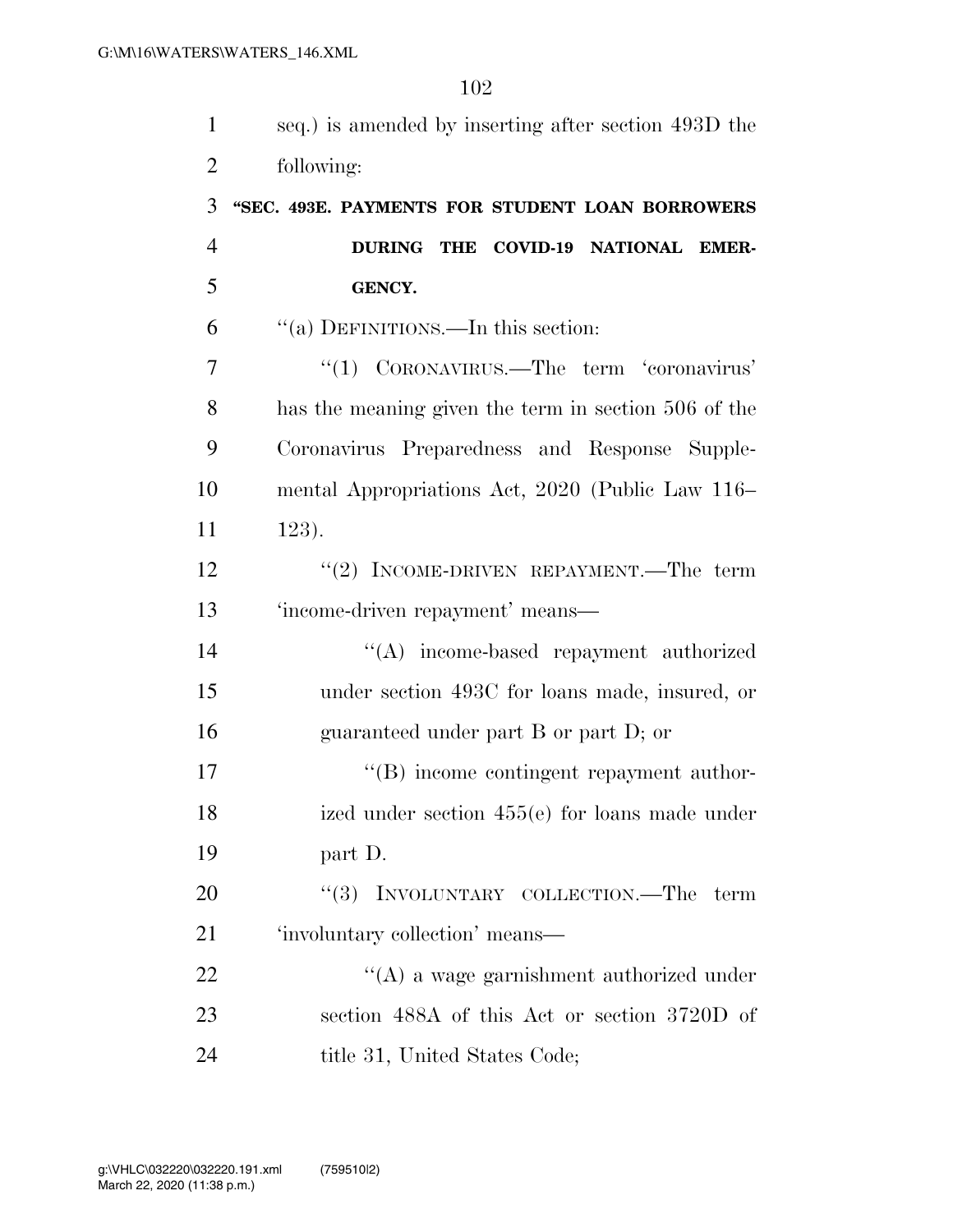| $\mathbf{1}$   | seq.) is amended by inserting after section 493D the |
|----------------|------------------------------------------------------|
| $\overline{2}$ | following:                                           |
| 3              | "SEC. 493E. PAYMENTS FOR STUDENT LOAN BORROWERS      |
| $\overline{4}$ | DURING THE COVID-19 NATIONAL EMER-                   |
| 5              | <b>GENCY.</b>                                        |
| 6              | "(a) DEFINITIONS.—In this section:                   |
| 7              | "(1) CORONAVIRUS.—The term 'coronavirus'             |
| 8              | has the meaning given the term in section 506 of the |
| 9              | Coronavirus Preparedness and Response Supple-        |
| 10             | mental Appropriations Act, 2020 (Public Law 116–     |
| 11             | $123$ .                                              |
| 12             | "(2) INCOME-DRIVEN REPAYMENT.—The term               |
| 13             | 'income-driven repayment' means-                     |
| 14             | "(A) income-based repayment authorized               |
| 15             | under section 493C for loans made, insured, or       |
| 16             | guaranteed under part B or part D; or                |
| 17             | $\lq\lq (B)$ income contingent repayment author-     |
| 18             | ized under section $455(e)$ for loans made under     |
| 19             | part D.                                              |
| 20             | "(3) INVOLUNTARY COLLECTION.—The term                |
| 21             | 'involuntary collection' means—                      |
| 22             | $\lq\lq$ a wage garnishment authorized under         |
| 23             | section 488A of this Act or section 3720D of         |
| 24             | title 31, United States Code;                        |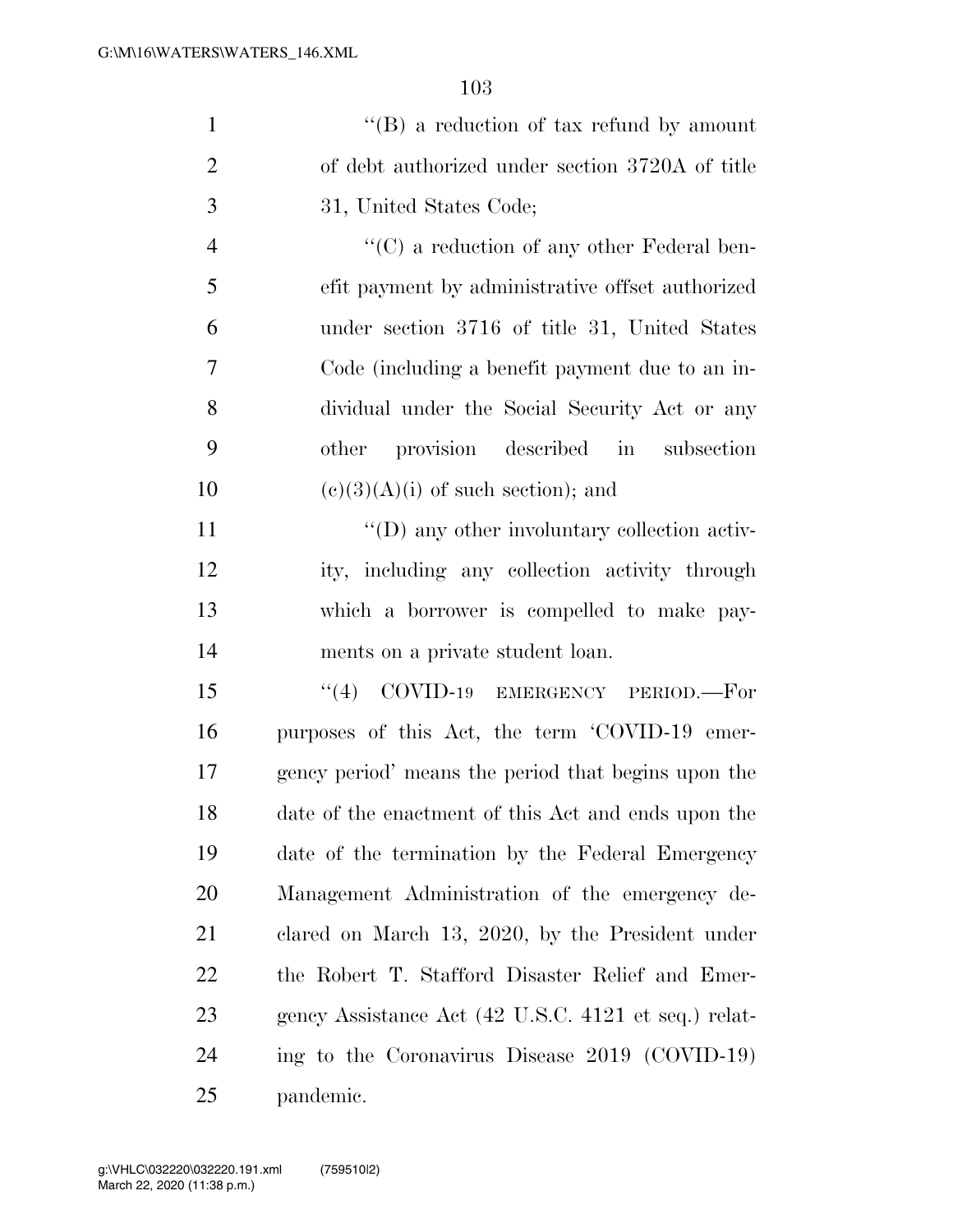| $\mathbf{1}$   | $\lq\lq (B)$ a reduction of tax refund by amount     |
|----------------|------------------------------------------------------|
| $\overline{2}$ | of debt authorized under section 3720A of title      |
| 3              | 31, United States Code;                              |
| $\overline{4}$ | "(C) a reduction of any other Federal ben-           |
| 5              | efit payment by administrative offset authorized     |
| 6              | under section 3716 of title 31, United States        |
| 7              | Code (including a benefit payment due to an in-      |
| 8              | dividual under the Social Security Act or any        |
| 9              | other provision described in subsection              |
| 10             | $(c)(3)(A)(i)$ of such section); and                 |
| 11             | "(D) any other involuntary collection activ-         |
| 12             | ity, including any collection activity through       |
| 13             | which a borrower is compelled to make pay-           |
| 14             | ments on a private student loan.                     |
| 15             | ``(4)<br>COVID-19 EMERGENCY PERIOD.-For              |
| 16             | purposes of this Act, the term 'COVID-19 emer-       |
| 17             | gency period' means the period that begins upon the  |
| 18             | date of the enactment of this Act and ends upon the  |
| 19             | date of the termination by the Federal Emergency     |
| 20             | Management Administration of the emergency de-       |
| 21             | clared on March 13, 2020, by the President under     |
| 22             | the Robert T. Stafford Disaster Relief and Emer-     |
| 23             | gency Assistance Act (42 U.S.C. 4121 et seq.) relat- |
| 24             | ing to the Coronavirus Disease 2019 (COVID-19)       |
| 25             | pandemic.                                            |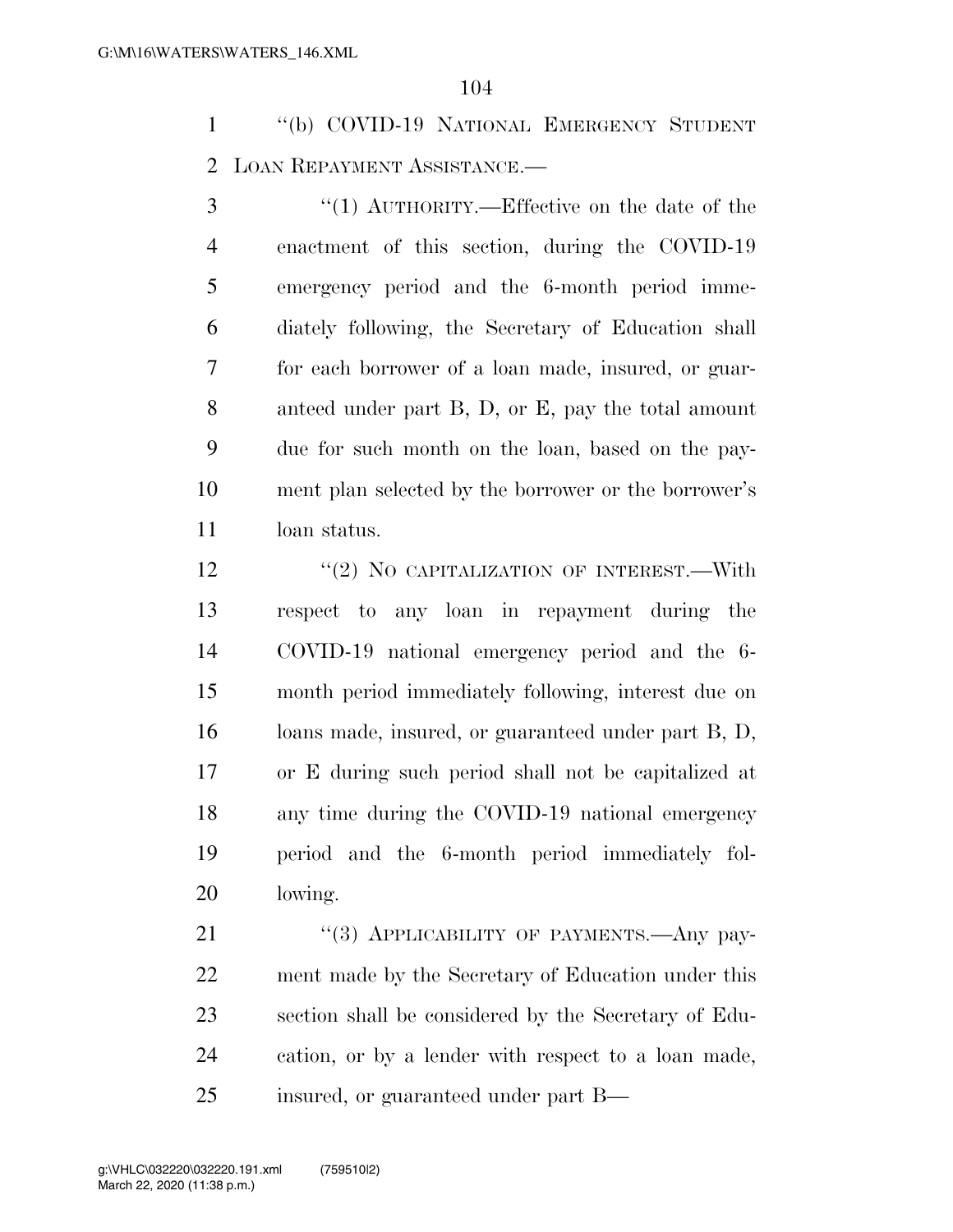''(b) COVID-19 NATIONAL EMERGENCY STUDENT LOAN REPAYMENT ASSISTANCE.—

3 "(1) AUTHORITY.—Effective on the date of the enactment of this section, during the COVID-19 emergency period and the 6-month period imme- diately following, the Secretary of Education shall for each borrower of a loan made, insured, or guar- anteed under part B, D, or E, pay the total amount due for such month on the loan, based on the pay- ment plan selected by the borrower or the borrower's loan status.

12 "(2) NO CAPITALIZATION OF INTEREST.—With respect to any loan in repayment during the COVID-19 national emergency period and the 6- month period immediately following, interest due on loans made, insured, or guaranteed under part B, D, or E during such period shall not be capitalized at any time during the COVID-19 national emergency period and the 6-month period immediately fol-lowing.

21 "(3) APPLICABILITY OF PAYMENTS.—Any pay- ment made by the Secretary of Education under this section shall be considered by the Secretary of Edu- cation, or by a lender with respect to a loan made, insured, or guaranteed under part B—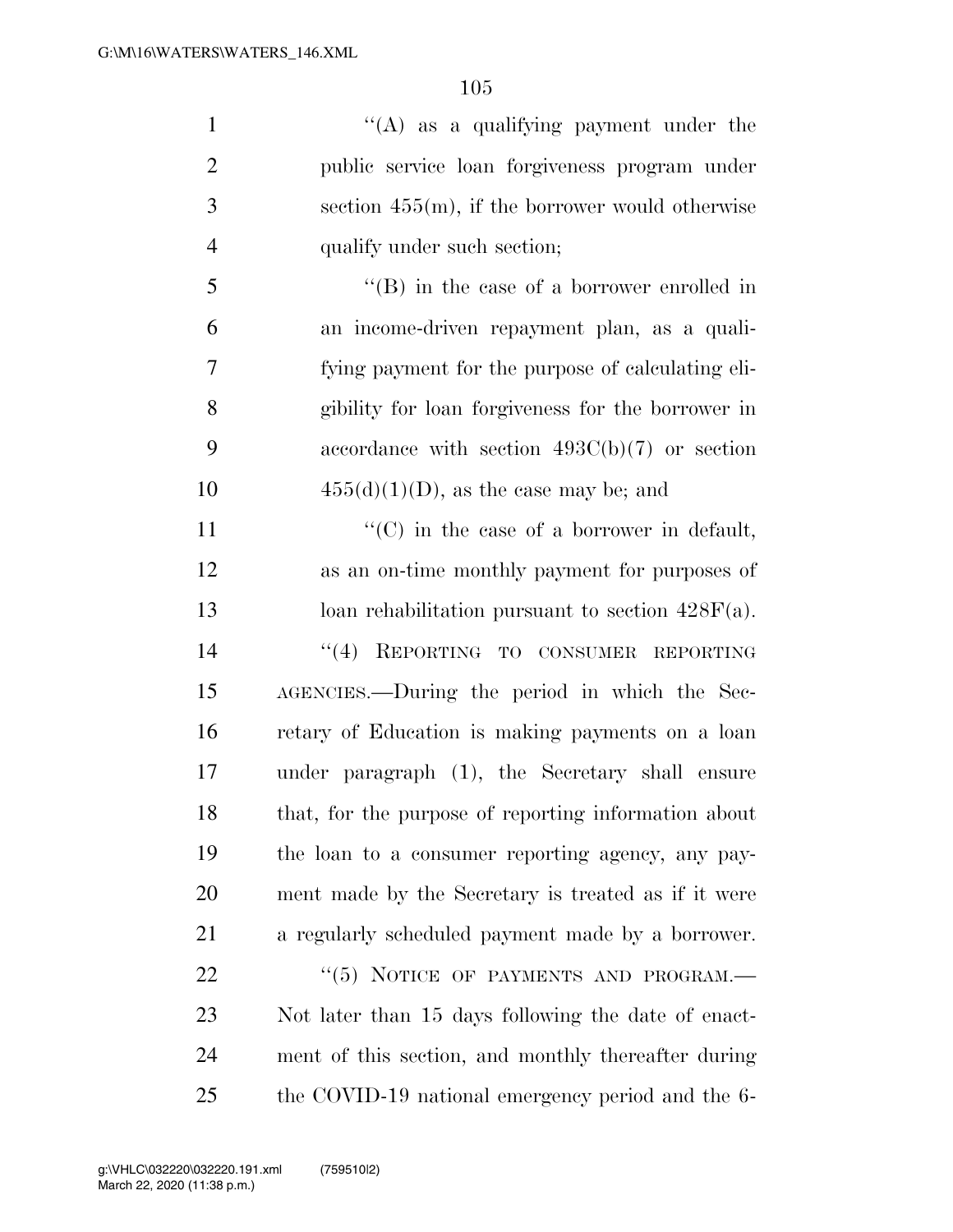| $\mathbf{1}$   | "(A) as a qualifying payment under the               |
|----------------|------------------------------------------------------|
| $\overline{2}$ | public service loan forgiveness program under        |
| 3              | section $455(m)$ , if the borrower would otherwise   |
| $\overline{4}$ | qualify under such section;                          |
| 5              | $\lq\lq (B)$ in the case of a borrower enrolled in   |
| 6              | an income-driven repayment plan, as a quali-         |
| 7              | fying payment for the purpose of calculating eli-    |
| 8              | gibility for loan forgiveness for the borrower in    |
| 9              | accordance with section $493C(b)(7)$ or section      |
| 10             | $455(d)(1)(D)$ , as the case may be; and             |
| 11             | $\lq\lq$ (C) in the case of a borrower in default,   |
| 12             | as an on-time monthly payment for purposes of        |
| 13             | loan rehabilitation pursuant to section $428F(a)$ .  |
| 14             | "(4) REPORTING TO CONSUMER REPORTING                 |
| 15             | AGENCIES.—During the period in which the Sec-        |
| 16             | retary of Education is making payments on a loan     |
| 17             | under paragraph (1), the Secretary shall ensure      |
| 18             | that, for the purpose of reporting information about |
| 19             | the loan to a consumer reporting agency, any pay-    |
| 20             | ment made by the Secretary is treated as if it were  |
| 21             | a regularly scheduled payment made by a borrower.    |
| 22             | "(5) NOTICE OF PAYMENTS AND PROGRAM.-                |
| 23             | Not later than 15 days following the date of enact-  |
| 24             | ment of this section, and monthly thereafter during  |
| 25             | the COVID-19 national emergency period and the 6-    |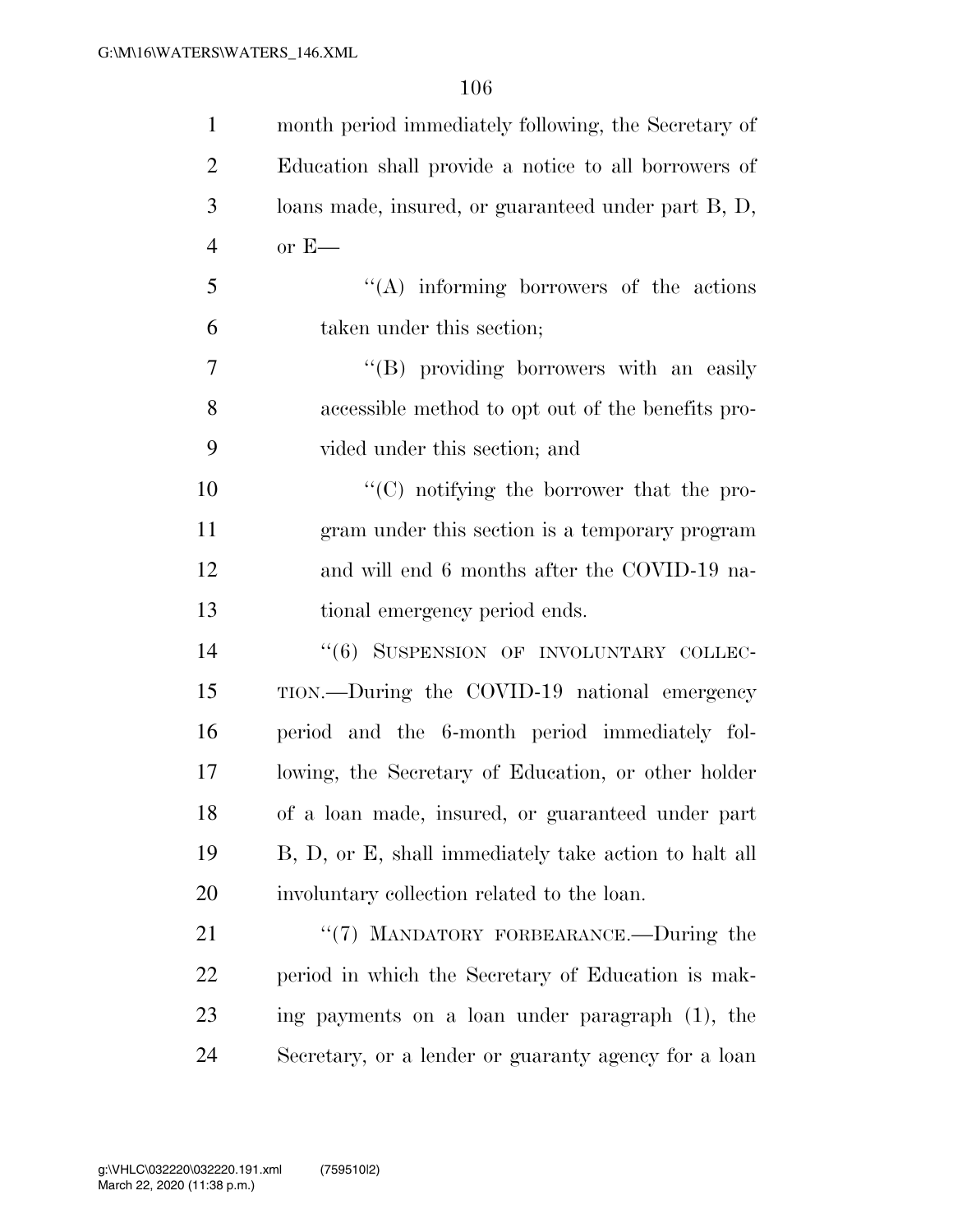| $\mathbf{1}$   | month period immediately following, the Secretary of  |
|----------------|-------------------------------------------------------|
| $\overline{2}$ | Education shall provide a notice to all borrowers of  |
| 3              | loans made, insured, or guaranteed under part B, D,   |
| $\overline{4}$ | $or E$ —                                              |
| 5              | $\lq\lq$ informing borrowers of the actions           |
| 6              | taken under this section;                             |
| 7              | "(B) providing borrowers with an easily               |
| 8              | accessible method to opt out of the benefits pro-     |
| 9              | vided under this section; and                         |
| 10             | $\lq\lq$ (C) notifying the borrower that the pro-     |
| 11             | gram under this section is a temporary program        |
| 12             | and will end 6 months after the COVID-19 na-          |
| 13             | tional emergency period ends.                         |
| 14             | "(6) SUSPENSION OF INVOLUNTARY COLLEC-                |
| 15             | TION.—During the COVID-19 national emergency          |
| 16             | period and the 6-month period immediately fol-        |
| 17             | lowing, the Secretary of Education, or other holder   |
| 18             | of a loan made, insured, or guaranteed under part     |
| 19             | B, D, or E, shall immediately take action to halt all |
| 20             | involuntary collection related to the loan.           |
| 21             | "(7) MANDATORY FORBEARANCE.—During the                |
| 22             | period in which the Secretary of Education is mak-    |
| 23             | ing payments on a loan under paragraph (1), the       |
| 24             | Secretary, or a lender or guaranty agency for a loan  |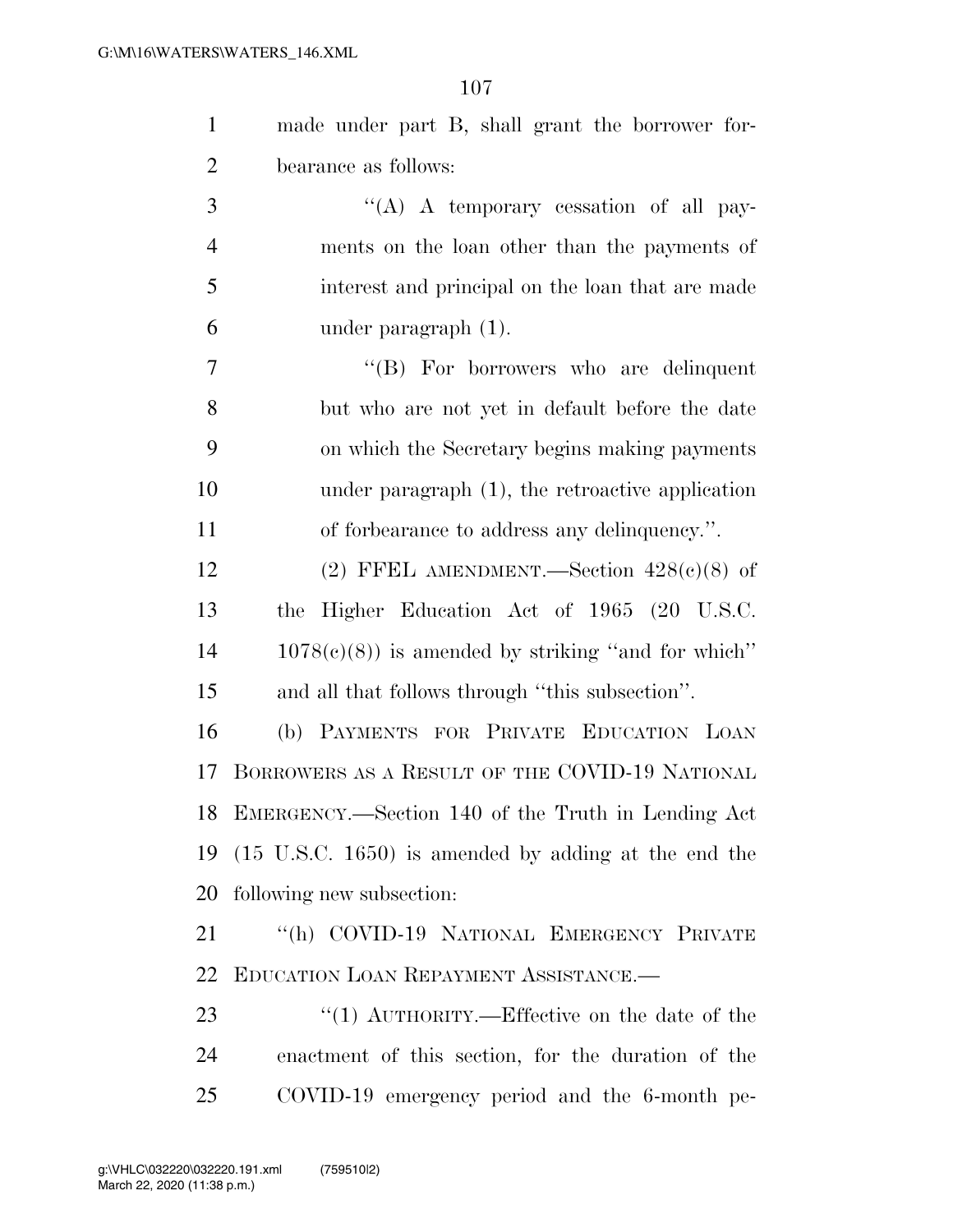| made under part B, shall grant the borrower for- |
|--------------------------------------------------|
| bearance as follows:                             |

 $\langle (A) \rangle$  A temporary cessation of all pay- ments on the loan other than the payments of interest and principal on the loan that are made under paragraph (1).

 ''(B) For borrowers who are delinquent but who are not yet in default before the date on which the Secretary begins making payments under paragraph (1), the retroactive application of forbearance to address any delinquency.''.

12 (2) FFEL AMENDMENT.—Section  $428(c)(8)$  of the Higher Education Act of 1965 (20 U.S.C. 1078(c)(8)) is amended by striking ''and for which'' and all that follows through ''this subsection''.

 (b) PAYMENTS FOR PRIVATE EDUCATION LOAN BORROWERS AS A RESULT OF THE COVID-19 NATIONAL EMERGENCY.—Section 140 of the Truth in Lending Act (15 U.S.C. 1650) is amended by adding at the end the following new subsection:

 ''(h) COVID-19 NATIONAL EMERGENCY PRIVATE EDUCATION LOAN REPAYMENT ASSISTANCE.—

23  $\frac{1}{2}$  (1) AUTHORITY.—Effective on the date of the enactment of this section, for the duration of the COVID-19 emergency period and the 6-month pe-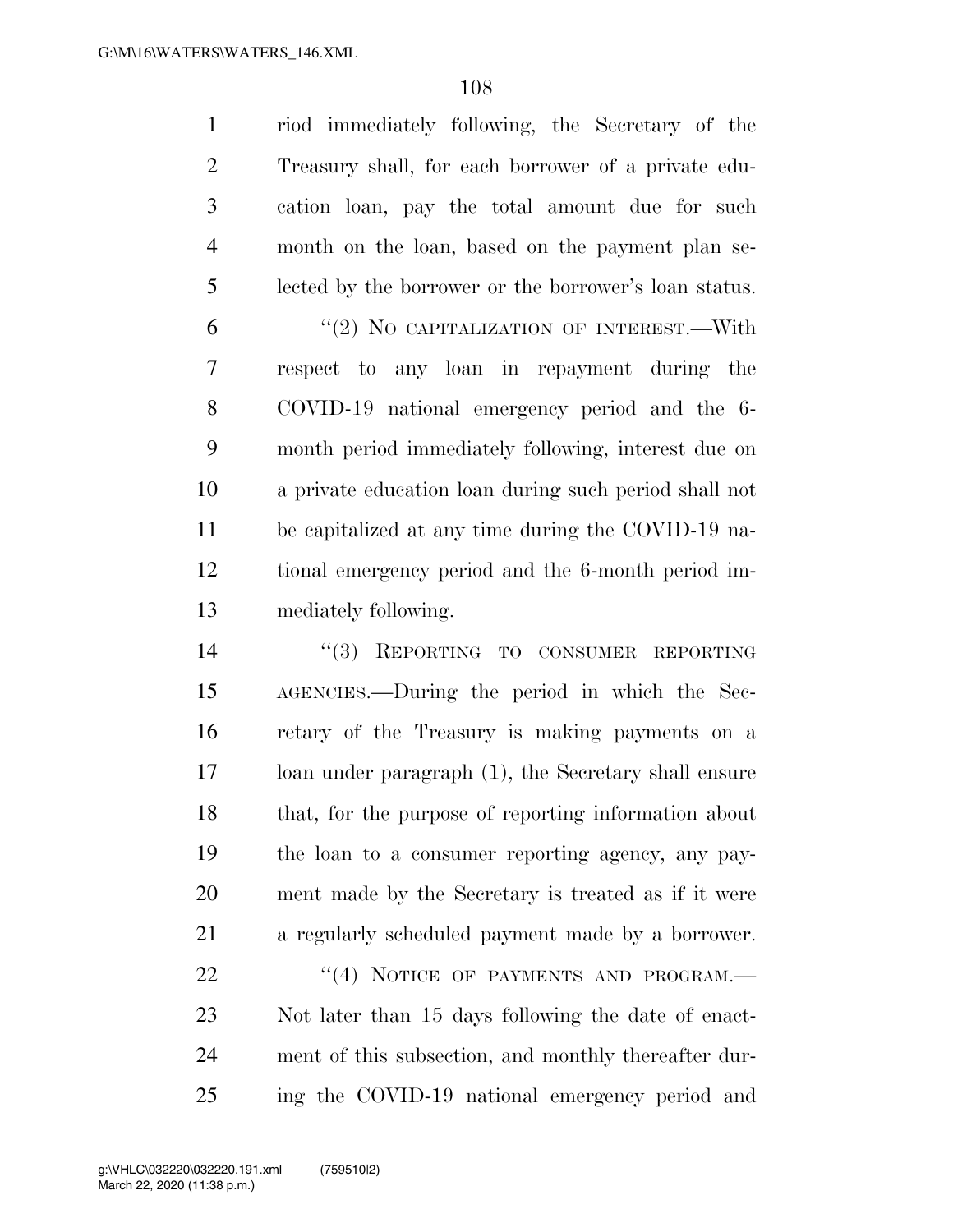riod immediately following, the Secretary of the Treasury shall, for each borrower of a private edu- cation loan, pay the total amount due for such month on the loan, based on the payment plan se- lected by the borrower or the borrower's loan status. 6 "(2) NO CAPITALIZATION OF INTEREST.—With respect to any loan in repayment during the COVID-19 national emergency period and the 6- month period immediately following, interest due on a private education loan during such period shall not be capitalized at any time during the COVID-19 na- tional emergency period and the 6-month period im- mediately following. 14 "(3) REPORTING TO CONSUMER REPORTING AGENCIES.—During the period in which the Sec-retary of the Treasury is making payments on a

 loan under paragraph (1), the Secretary shall ensure that, for the purpose of reporting information about the loan to a consumer reporting agency, any pay- ment made by the Secretary is treated as if it were a regularly scheduled payment made by a borrower.

22 "(4) NOTICE OF PAYMENTS AND PROGRAM.— Not later than 15 days following the date of enact- ment of this subsection, and monthly thereafter dur-ing the COVID-19 national emergency period and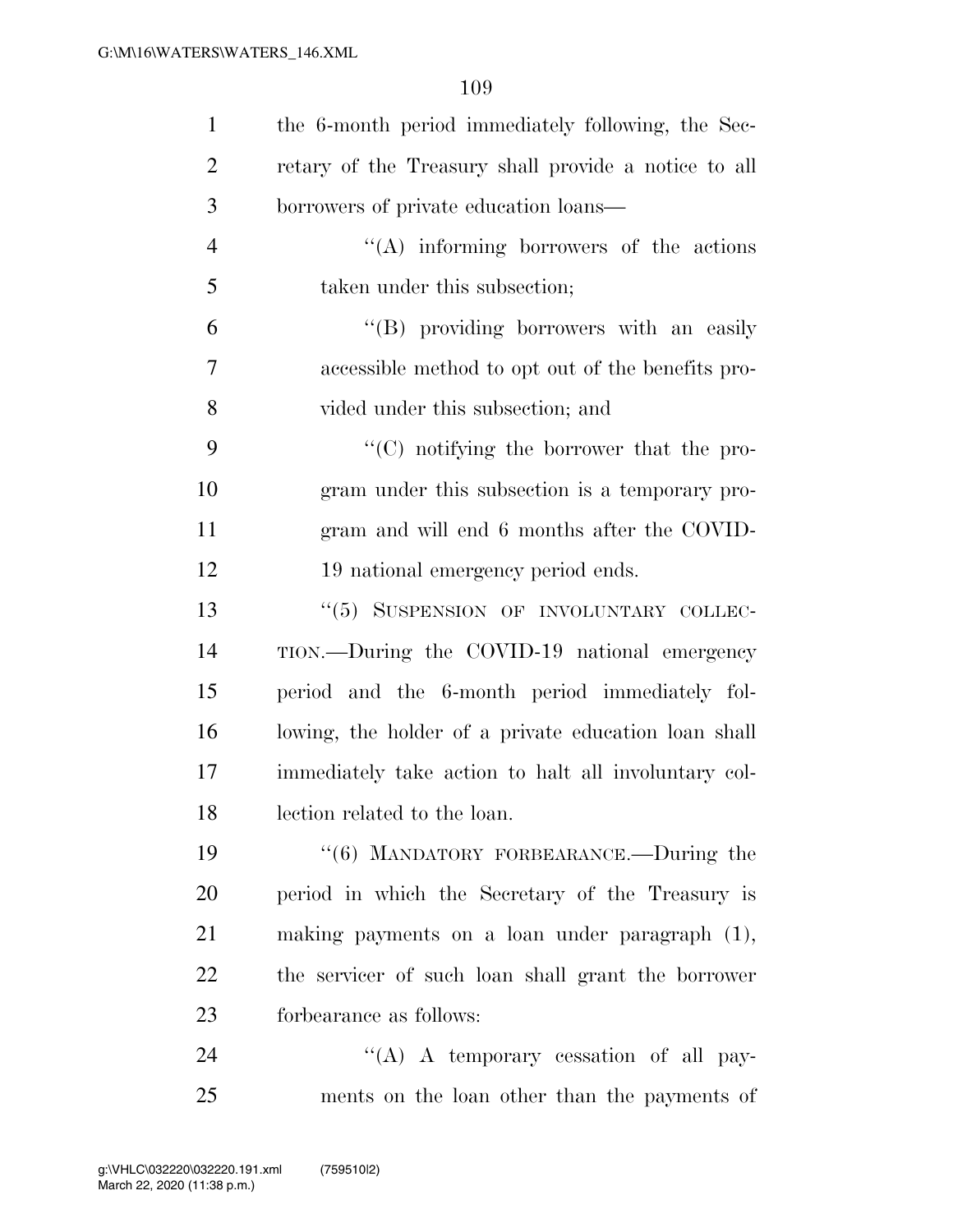| $\mathbf{1}$   | the 6-month period immediately following, the Sec-   |
|----------------|------------------------------------------------------|
| $\overline{c}$ | retary of the Treasury shall provide a notice to all |
| 3              | borrowers of private education loans—                |
| $\overline{4}$ | $\lq\lq$ informing borrowers of the actions          |
| 5              | taken under this subsection;                         |
| 6              | "(B) providing borrowers with an easily              |
| 7              | accessible method to opt out of the benefits pro-    |
| 8              | vided under this subsection; and                     |
| 9              | "(C) notifying the borrower that the pro-            |
| 10             | gram under this subsection is a temporary pro-       |
| 11             | gram and will end 6 months after the COVID-          |
| 12             | 19 national emergency period ends.                   |
| 13             | "(5) SUSPENSION OF INVOLUNTARY COLLEC-               |
| 14             | TION.—During the COVID-19 national emergency         |
| 15             | period and the 6-month period immediately fol-       |
| 16             | lowing, the holder of a private education loan shall |
| 17             | immediately take action to halt all involuntary col- |
| 18             | lection related to the loan.                         |
| 19             | "(6) MANDATORY FORBEARANCE.—During the               |
| 20             | period in which the Secretary of the Treasury is     |
| 21             | making payments on a loan under paragraph (1),       |
| 22             | the servicer of such loan shall grant the borrower   |
| 23             | forbearance as follows:                              |
| 24             | "(A) A temporary cessation of all pay-               |
| 25             | ments on the loan other than the payments of         |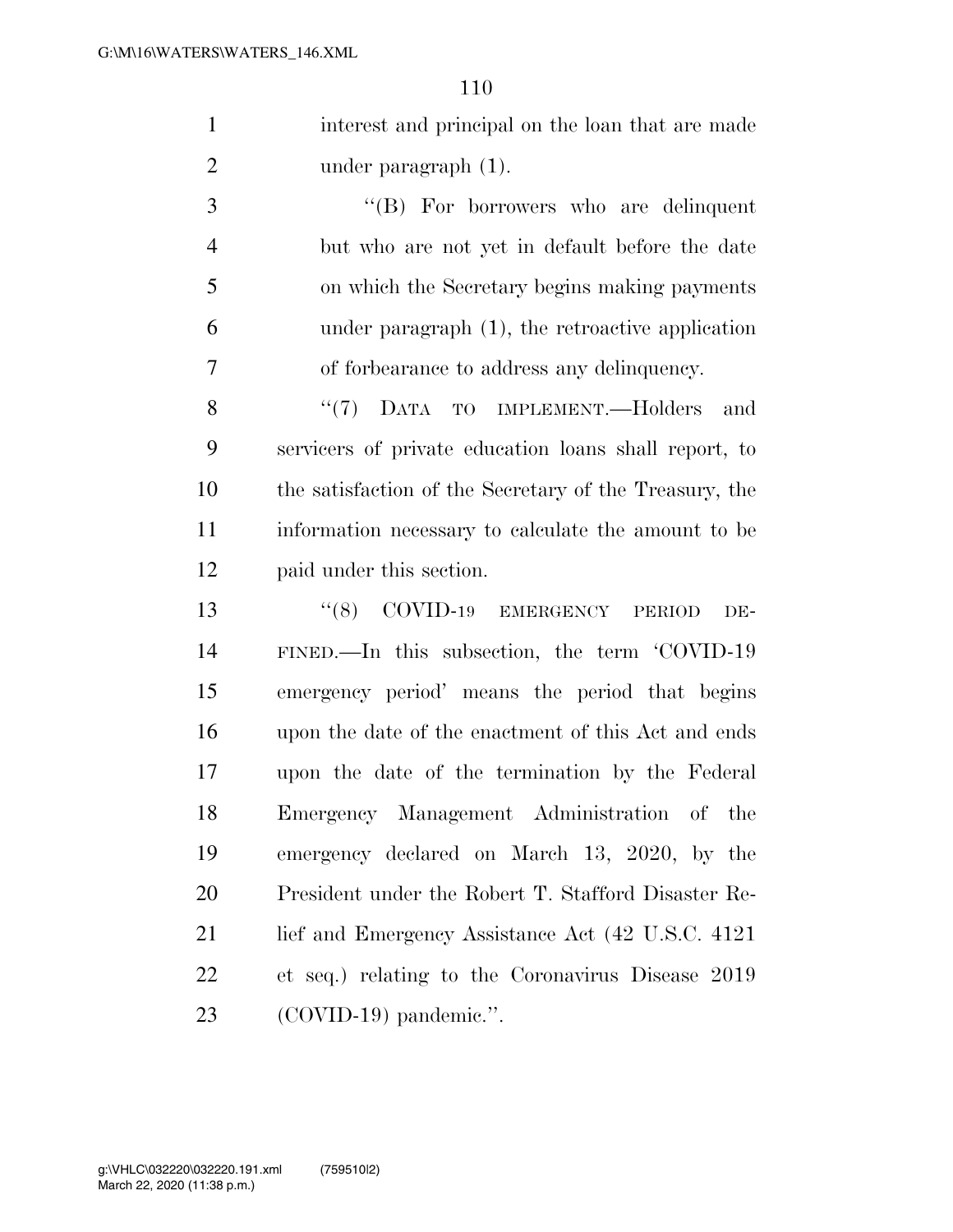interest and principal on the loan that are made 2 under paragraph (1).

 ''(B) For borrowers who are delinquent but who are not yet in default before the date on which the Secretary begins making payments under paragraph (1), the retroactive application of forbearance to address any delinquency.

8 "(7) DATA TO IMPLEMENT.—Holders and servicers of private education loans shall report, to the satisfaction of the Secretary of the Treasury, the information necessary to calculate the amount to be paid under this section.

13 "(8) COVID-19 EMERGENCY PERIOD DE- FINED.—In this subsection, the term 'COVID-19 emergency period' means the period that begins upon the date of the enactment of this Act and ends upon the date of the termination by the Federal Emergency Management Administration of the emergency declared on March 13, 2020, by the President under the Robert T. Stafford Disaster Re-21 lief and Emergency Assistance Act (42 U.S.C. 4121) et seq.) relating to the Coronavirus Disease 2019 (COVID-19) pandemic.''.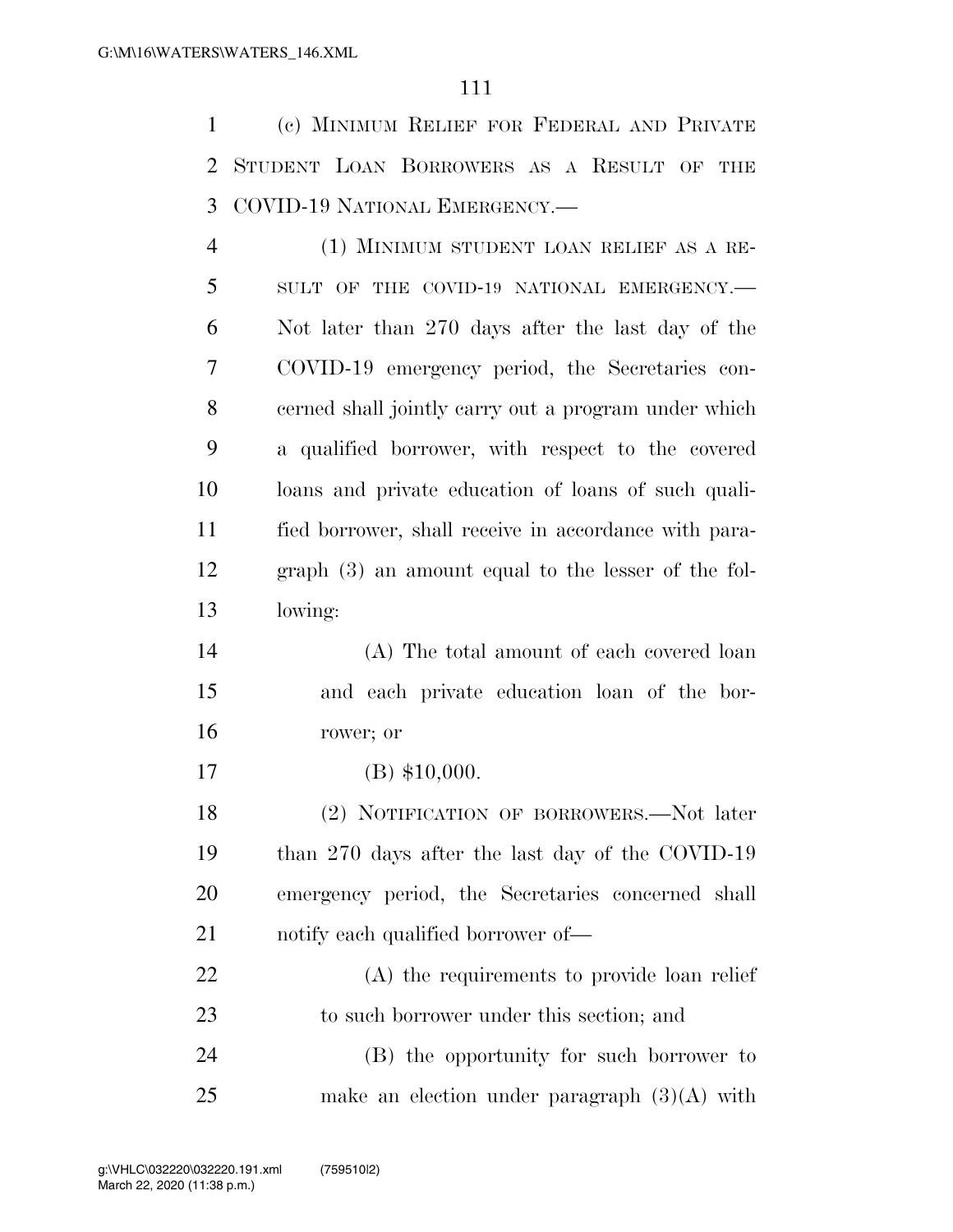(c) MINIMUM RELIEF FOR FEDERAL AND PRIVATE STUDENT LOAN BORROWERS AS A RESULT OF THE COVID-19 NATIONAL EMERGENCY.—

 (1) MINIMUM STUDENT LOAN RELIEF AS A RE-5 SULT OF THE COVID-19 NATIONAL EMERGENCY. Not later than 270 days after the last day of the COVID-19 emergency period, the Secretaries con- cerned shall jointly carry out a program under which a qualified borrower, with respect to the covered loans and private education of loans of such quali- fied borrower, shall receive in accordance with para- graph (3) an amount equal to the lesser of the fol-lowing:

 (A) The total amount of each covered loan and each private education loan of the bor-rower; or

(B) \$10,000.

 (2) NOTIFICATION OF BORROWERS.—Not later than 270 days after the last day of the COVID-19 emergency period, the Secretaries concerned shall notify each qualified borrower of—

 (A) the requirements to provide loan relief to such borrower under this section; and

 (B) the opportunity for such borrower to make an election under paragraph (3)(A) with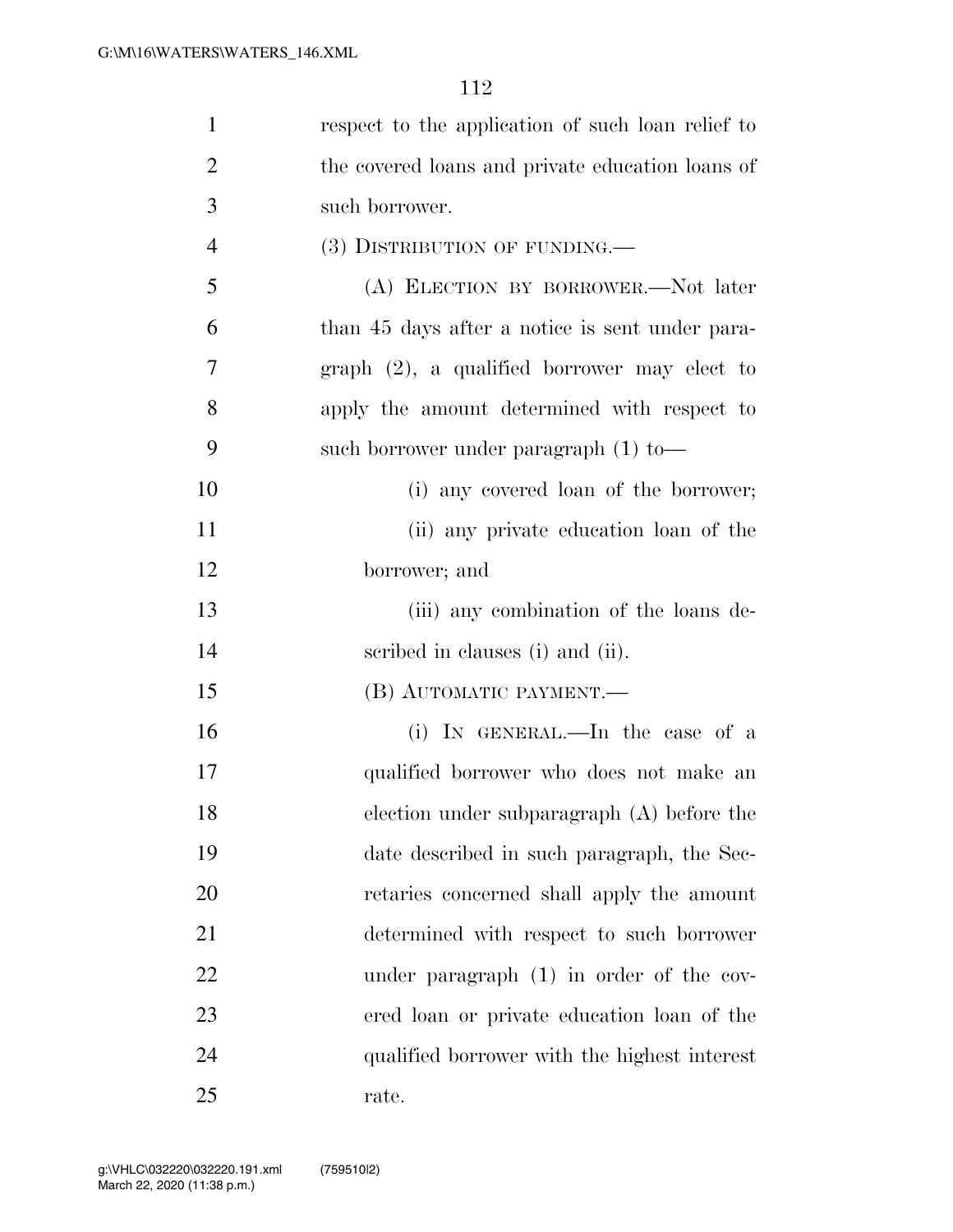| $\mathbf{1}$   | respect to the application of such loan relief to |
|----------------|---------------------------------------------------|
| $\overline{2}$ | the covered loans and private education loans of  |
| 3              | such borrower.                                    |
| $\overline{4}$ | $(3)$ DISTRIBUTION OF FUNDING.—                   |
| 5              | (A) ELECTION BY BORROWER.-Not later               |
| 6              | than 45 days after a notice is sent under para-   |
| 7              | graph $(2)$ , a qualified borrower may elect to   |
| 8              | apply the amount determined with respect to       |
| 9              | such borrower under paragraph $(1)$ to —          |
| 10             | (i) any covered loan of the borrower;             |
| 11             | (ii) any private education loan of the            |
| 12             | borrower; and                                     |
| 13             | (iii) any combination of the loans de-            |
| 14             | scribed in clauses (i) and (ii).                  |
| 15             | (B) AUTOMATIC PAYMENT.                            |
| 16             | (i) IN GENERAL.—In the case of a                  |
| 17             | qualified borrower who does not make an           |
| 18             | election under subparagraph $(A)$ before the      |
| 19             | date described in such paragraph, the Sec-        |
| 20             | retaries concerned shall apply the amount         |
| 21             | determined with respect to such borrower          |
| 22             | under paragraph (1) in order of the cov-          |
| 23             | ered loan or private education loan of the        |
| 24             | qualified borrower with the highest interest      |
| 25             | rate.                                             |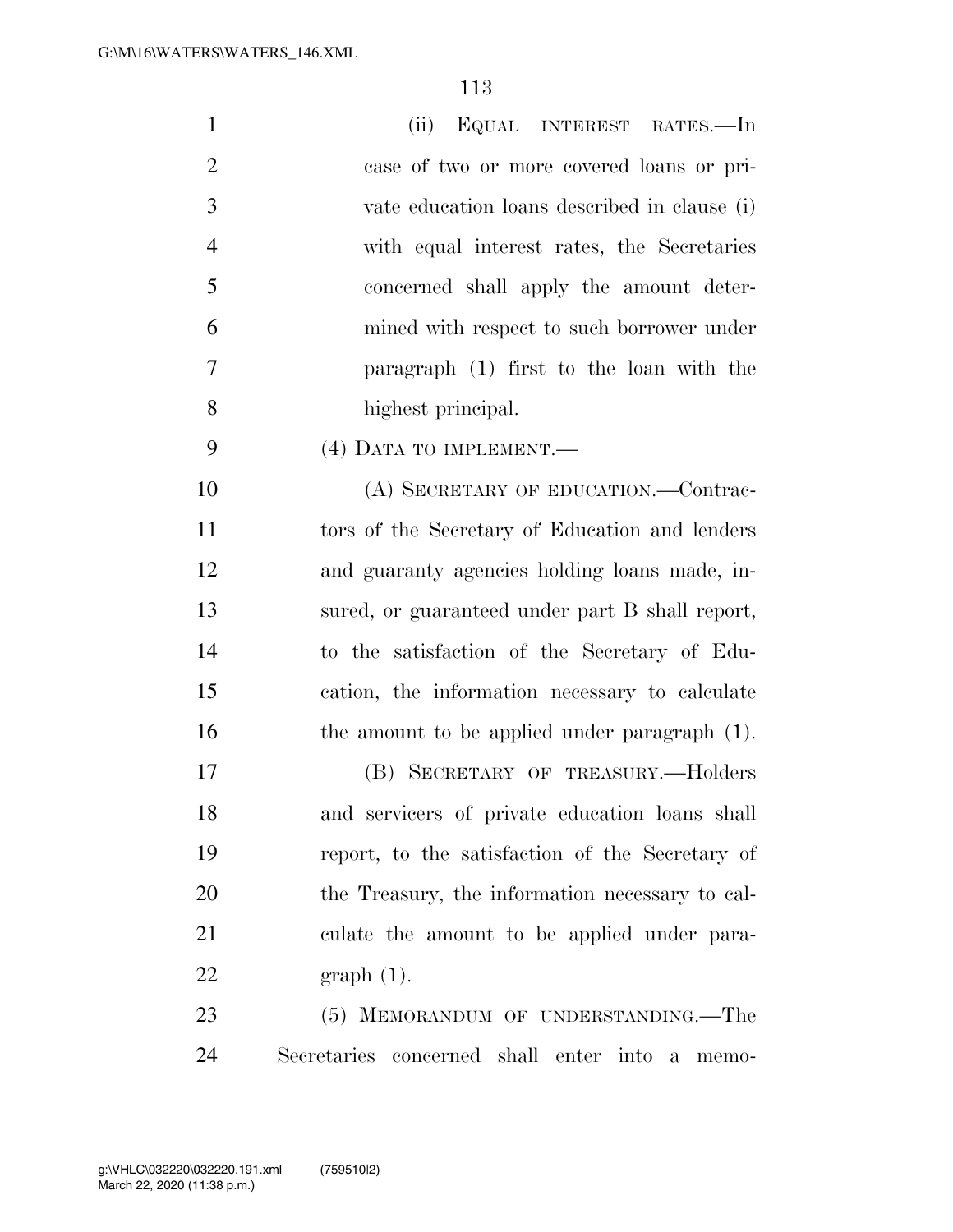| $\mathbf{1}$   | (ii) EQUAL INTEREST RATES.—In                |
|----------------|----------------------------------------------|
| 2              | case of two or more covered loans or pri-    |
| $\overline{3}$ | vate education loans described in clause (i) |
| $\overline{4}$ | with equal interest rates, the Secretaries   |
| $\overline{5}$ | concerned shall apply the amount deter-      |
| 6              | mined with respect to such borrower under    |
| 7              | paragraph (1) first to the loan with the     |
| 8              | highest principal.                           |
| -9             | (4) DATA TO IMPLEMENT.—                      |

10 (A) SECRETARY OF EDUCATION.—Contrac- tors of the Secretary of Education and lenders and guaranty agencies holding loans made, in- sured, or guaranteed under part B shall report, to the satisfaction of the Secretary of Edu- cation, the information necessary to calculate 16 the amount to be applied under paragraph (1).

 (B) SECRETARY OF TREASURY.—Holders and servicers of private education loans shall report, to the satisfaction of the Secretary of the Treasury, the information necessary to cal- culate the amount to be applied under para-graph (1).

23 (5) MEMORANDUM OF UNDERSTANDING.—The Secretaries concerned shall enter into a memo-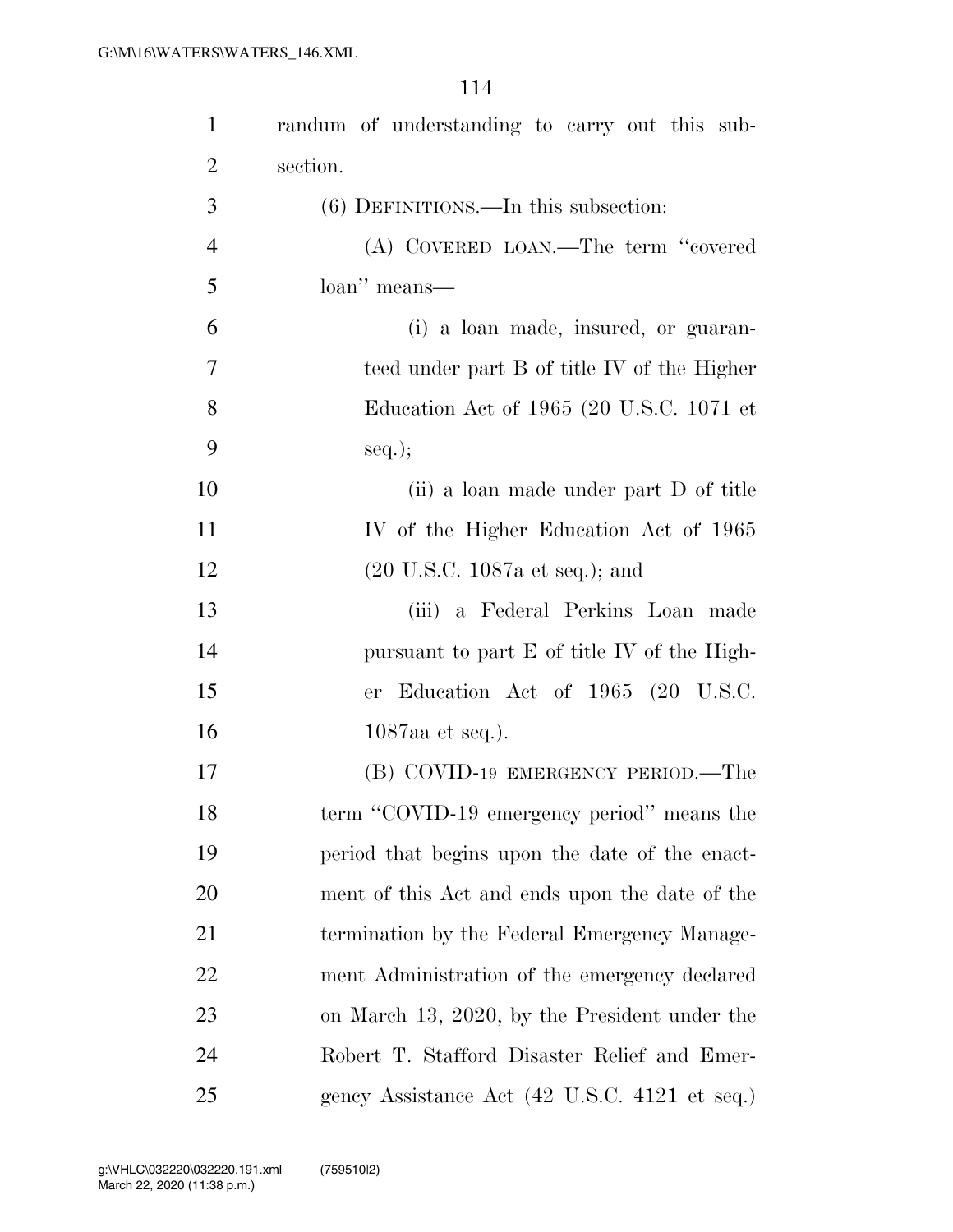| $\mathbf{1}$   | randum of understanding to carry out this sub-    |
|----------------|---------------------------------------------------|
| $\overline{2}$ | section.                                          |
| 3              | $(6)$ DEFINITIONS.—In this subsection:            |
| $\overline{4}$ | (A) COVERED LOAN.—The term "covered               |
| 5              | loan" means—                                      |
| 6              | (i) a loan made, insured, or guaran-              |
| 7              | teed under part B of title IV of the Higher       |
| 8              | Education Act of 1965 (20 U.S.C. 1071 et          |
| 9              | $seq.$ ;                                          |
| 10             | (ii) a loan made under part D of title            |
| 11             | IV of the Higher Education Act of 1965            |
| 12             | $(20 \text{ U.S.C. } 1087 \text{a et seq.});$ and |
| 13             | (iii) a Federal Perkins Loan made                 |
| 14             | pursuant to part E of title IV of the High-       |
| 15             | er Education Act of 1965 (20 U.S.C.               |
| 16             | $1087$ aa et seq.).                               |
| 17             | (B) COVID-19 EMERGENCY PERIOD.—The                |
| 18             | term "COVID-19 emergency period" means the        |
| 19             | period that begins upon the date of the enact-    |
| 20             | ment of this Act and ends upon the date of the    |
| 21             | termination by the Federal Emergency Manage-      |
| 22             | ment Administration of the emergency declared     |
| 23             | on March 13, 2020, by the President under the     |
| 24             | Robert T. Stafford Disaster Relief and Emer-      |
| 25             | gency Assistance Act (42 U.S.C. 4121 et seq.)     |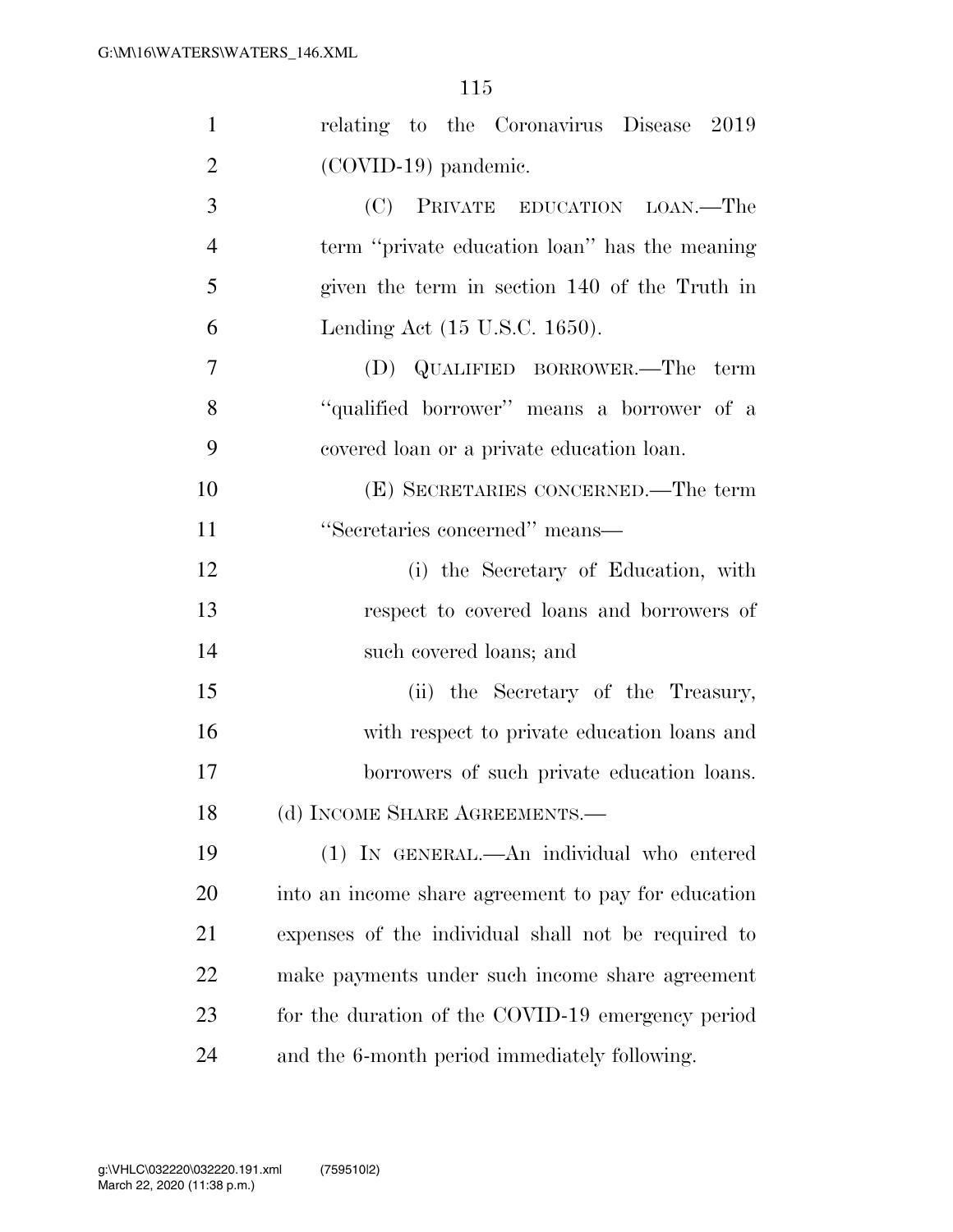| $\mathbf{1}$   | relating to the Coronavirus Disease 2019            |
|----------------|-----------------------------------------------------|
| $\overline{2}$ | (COVID-19) pandemic.                                |
| 3              | (C) PRIVATE EDUCATION LOAN.—The                     |
| $\overline{4}$ | term "private education loan" has the meaning       |
| 5              | given the term in section 140 of the Truth in       |
| 6              | Lending Act (15 U.S.C. 1650).                       |
| 7              | (D) QUALIFIED BORROWER.—The term                    |
| 8              | "qualified borrower" means a borrower of a          |
| 9              | covered loan or a private education loan.           |
| 10             | (E) SECRETARIES CONCERNED.—The term                 |
| 11             | "Secretaries concerned" means—                      |
| 12             | (i) the Secretary of Education, with                |
| 13             | respect to covered loans and borrowers of           |
| 14             | such covered loans; and                             |
| 15             | (ii) the Secretary of the Treasury,                 |
| 16             | with respect to private education loans and         |
| 17             | borrowers of such private education loans.          |
| 18             | (d) INCOME SHARE AGREEMENTS.                        |
| 19             | (1) IN GENERAL.—An individual who entered           |
| 20             | into an income share agreement to pay for education |
| 21             | expenses of the individual shall not be required to |
| 22             | make payments under such income share agreement     |
| 23             | for the duration of the COVID-19 emergency period   |
| 24             | and the 6-month period immediately following.       |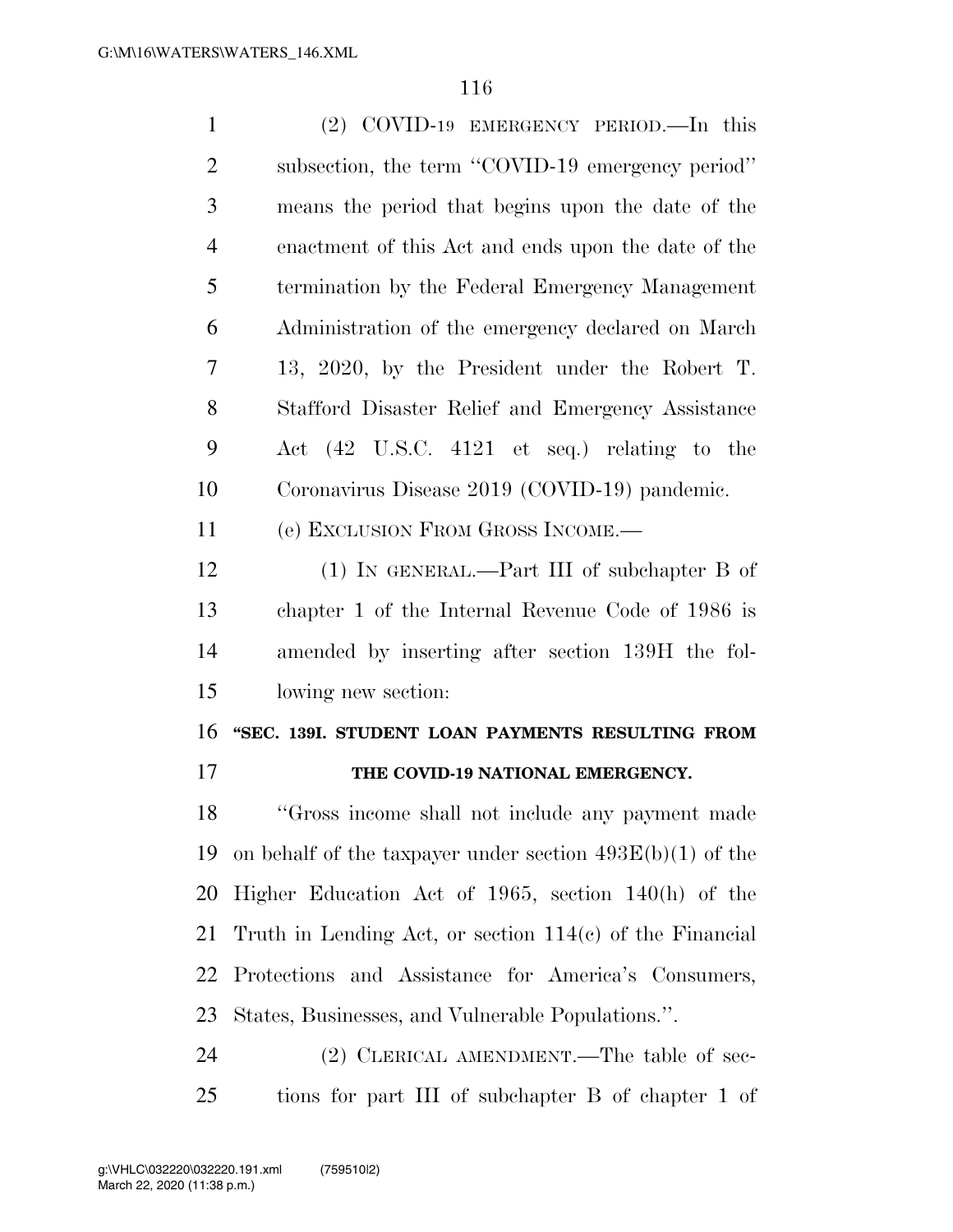| $\mathbf{1}$   | (2) COVID-19 EMERGENCY PERIOD.—In this                      |
|----------------|-------------------------------------------------------------|
| $\overline{2}$ | subsection, the term "COVID-19 emergency period"            |
| 3              | means the period that begins upon the date of the           |
| $\overline{4}$ | enactment of this Act and ends upon the date of the         |
| 5              | termination by the Federal Emergency Management             |
| 6              | Administration of the emergency declared on March           |
| 7              | 13, 2020, by the President under the Robert T.              |
| 8              | Stafford Disaster Relief and Emergency Assistance           |
| 9              | Act (42 U.S.C. 4121 et seq.) relating to the                |
| 10             | Coronavirus Disease 2019 (COVID-19) pandemic.               |
| 11             | (e) EXCLUSION FROM GROSS INCOME.—                           |
| 12             | $(1)$ IN GENERAL.—Part III of subchapter B of               |
| 13             | chapter 1 of the Internal Revenue Code of 1986 is           |
| 14             | amended by inserting after section 139H the fol-            |
| 15             | lowing new section:                                         |
|                |                                                             |
| 16             | "SEC. 139I. STUDENT LOAN PAYMENTS RESULTING FROM            |
| 17             | THE COVID-19 NATIONAL EMERGENCY.                            |
| 18             | "Gross income shall not include any payment made            |
| 19             | on behalf of the taxpayer under section $493E(b)(1)$ of the |
| 20             | Higher Education Act of 1965, section $140(h)$ of the       |
| 21             | Truth in Lending Act, or section $114(c)$ of the Financial  |
| 22             | Protections and Assistance for America's Consumers,         |
| 23             | States, Businesses, and Vulnerable Populations.".           |

tions for part III of subchapter B of chapter 1 of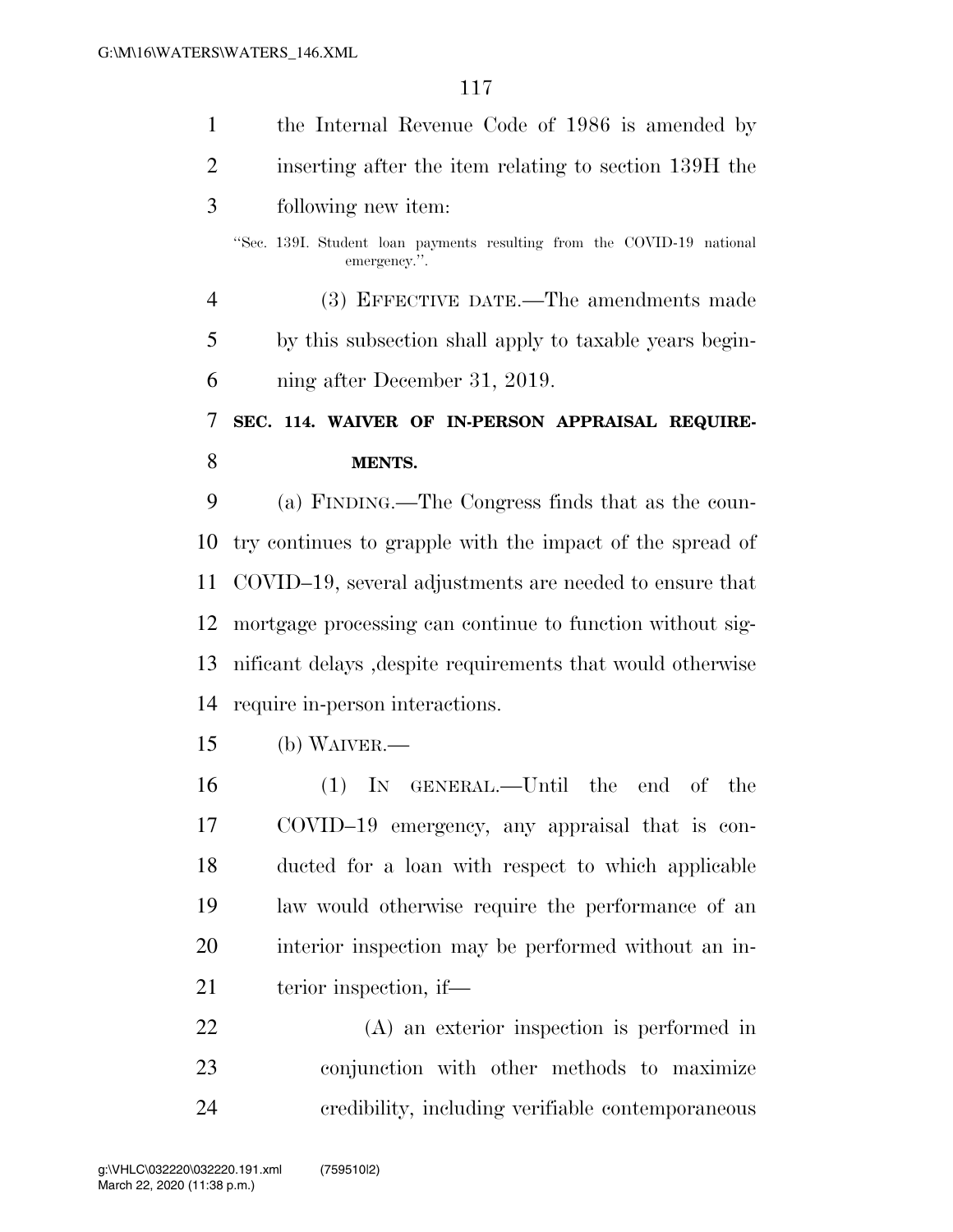| $\mathbf{1}$   | the Internal Revenue Code of 1986 is amended by                                        |
|----------------|----------------------------------------------------------------------------------------|
| $\overline{2}$ | inserting after the item relating to section 139H the                                  |
| 3              | following new item:                                                                    |
|                | "Sec. 139I. Student loan payments resulting from the COVID-19 national<br>emergency.". |
| $\overline{4}$ | (3) EFFECTIVE DATE.—The amendments made                                                |
| 5              | by this subsection shall apply to taxable years begin-                                 |
| 6              | ning after December 31, 2019.                                                          |
| 7              | SEC. 114. WAIVER OF IN-PERSON APPRAISAL REQUIRE-                                       |
| 8              | <b>MENTS.</b>                                                                          |
| 9              | (a) FINDING.—The Congress finds that as the coun-                                      |
| 10             | try continues to grapple with the impact of the spread of                              |
| 11             | COVID–19, several adjustments are needed to ensure that                                |
| 12             | mortgage processing can continue to function without sig-                              |
| 13             | nificant delays, despite requirements that would otherwise                             |
| 14             | require in-person interactions.                                                        |
| 15             | $(b)$ WAIVER.—                                                                         |
| 16             | IN GENERAL.—Until the end of the<br>(1)                                                |
| 17             | COVID-19 emergency, any appraisal that is con-                                         |
| 18             | ducted for a loan with respect to which applicable                                     |
| 19             | law would otherwise require the performance of an                                      |
| 20             | interior inspection may be performed without an in-                                    |
| 21             | terior inspection, if—                                                                 |
| 22             | $(A)$ an exterior inspection is performed in                                           |
| 23             | conjunction with other methods to maximize                                             |

credibility, including verifiable contemporaneous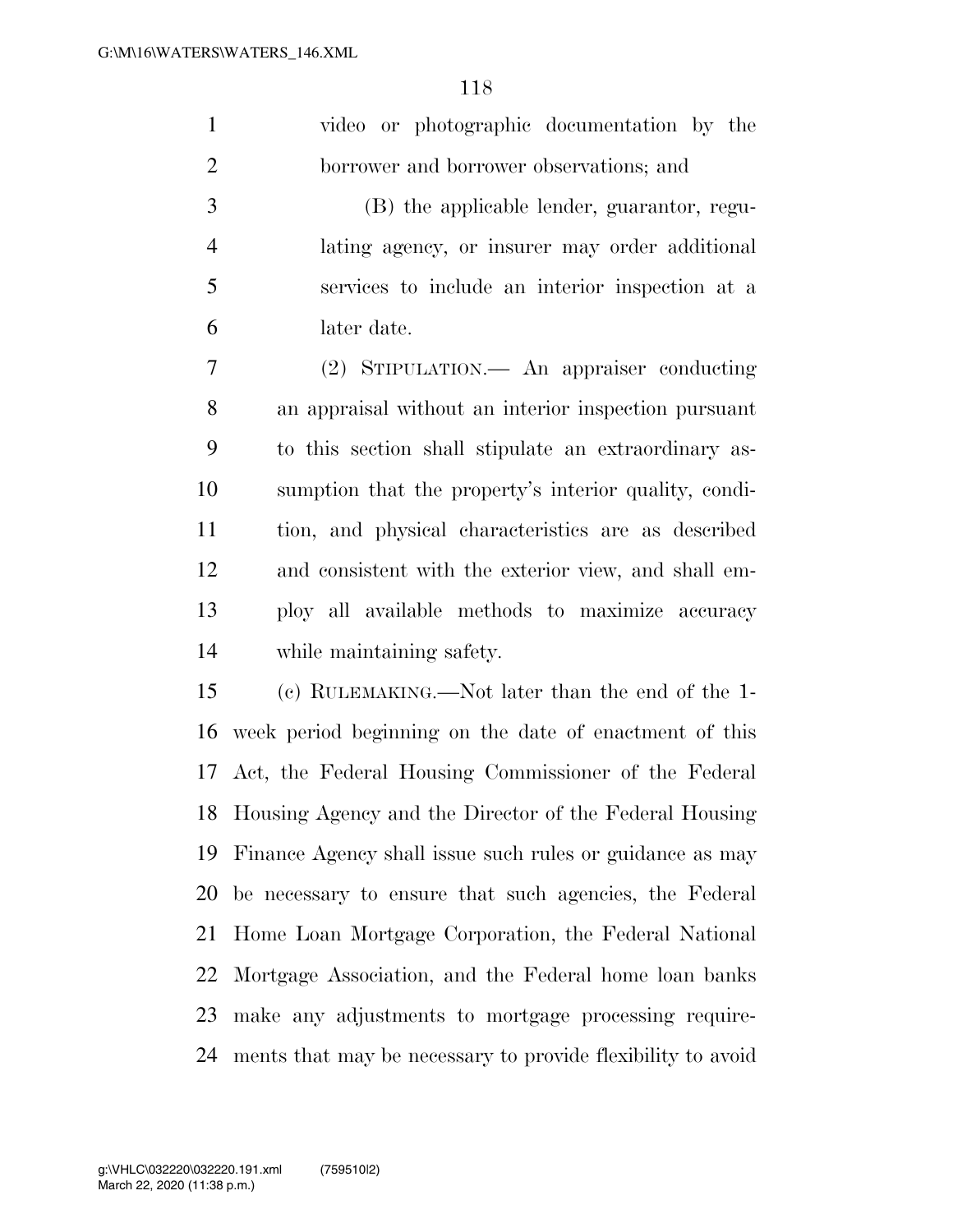|   | video or photographic documentation by the     |
|---|------------------------------------------------|
|   | borrower and borrower observations; and        |
| 3 | (B) the applicable lender, guarantor, regu-    |
| 4 | lating agency, or insurer may order additional |

 services to include an interior inspection at a later date.

 (2) STIPULATION.— An appraiser conducting an appraisal without an interior inspection pursuant to this section shall stipulate an extraordinary as- sumption that the property's interior quality, condi- tion, and physical characteristics are as described and consistent with the exterior view, and shall em- ploy all available methods to maximize accuracy while maintaining safety.

 (c) RULEMAKING.—Not later than the end of the 1- week period beginning on the date of enactment of this Act, the Federal Housing Commissioner of the Federal Housing Agency and the Director of the Federal Housing Finance Agency shall issue such rules or guidance as may be necessary to ensure that such agencies, the Federal Home Loan Mortgage Corporation, the Federal National Mortgage Association, and the Federal home loan banks make any adjustments to mortgage processing require-ments that may be necessary to provide flexibility to avoid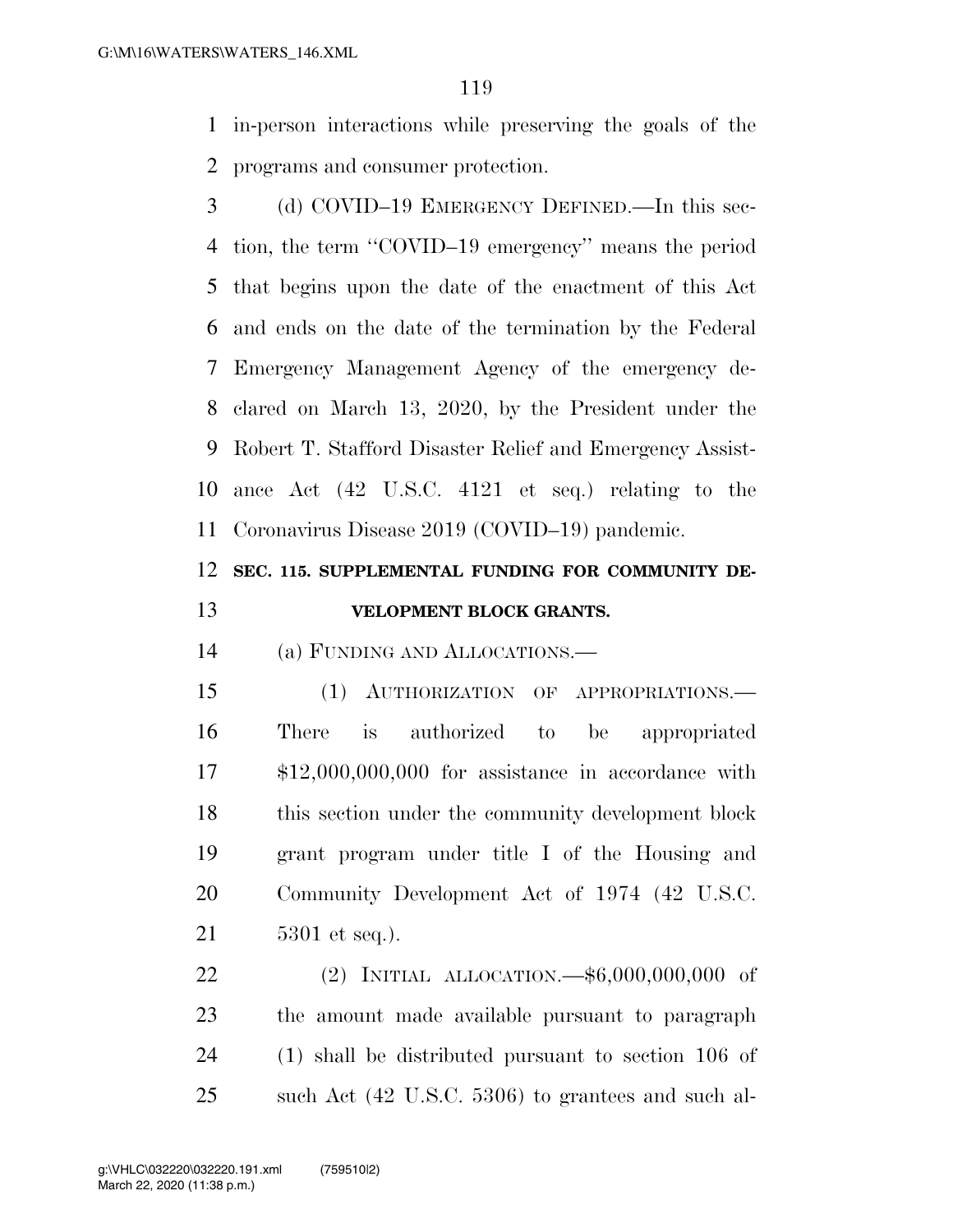in-person interactions while preserving the goals of the programs and consumer protection.

 (d) COVID–19 EMERGENCY DEFINED.—In this sec- tion, the term ''COVID–19 emergency'' means the period that begins upon the date of the enactment of this Act and ends on the date of the termination by the Federal Emergency Management Agency of the emergency de- clared on March 13, 2020, by the President under the Robert T. Stafford Disaster Relief and Emergency Assist- ance Act (42 U.S.C. 4121 et seq.) relating to the Coronavirus Disease 2019 (COVID–19) pandemic.

## **SEC. 115. SUPPLEMENTAL FUNDING FOR COMMUNITY DE-VELOPMENT BLOCK GRANTS.**

(a) FUNDING AND ALLOCATIONS.—

 (1) AUTHORIZATION OF APPROPRIATIONS.— There is authorized to be appropriated \$12,000,000,000 for assistance in accordance with this section under the community development block grant program under title I of the Housing and Community Development Act of 1974 (42 U.S.C. 5301 et seq.).

 (2) INITIAL ALLOCATION.—\$6,000,000,000 of the amount made available pursuant to paragraph (1) shall be distributed pursuant to section 106 of such Act (42 U.S.C. 5306) to grantees and such al-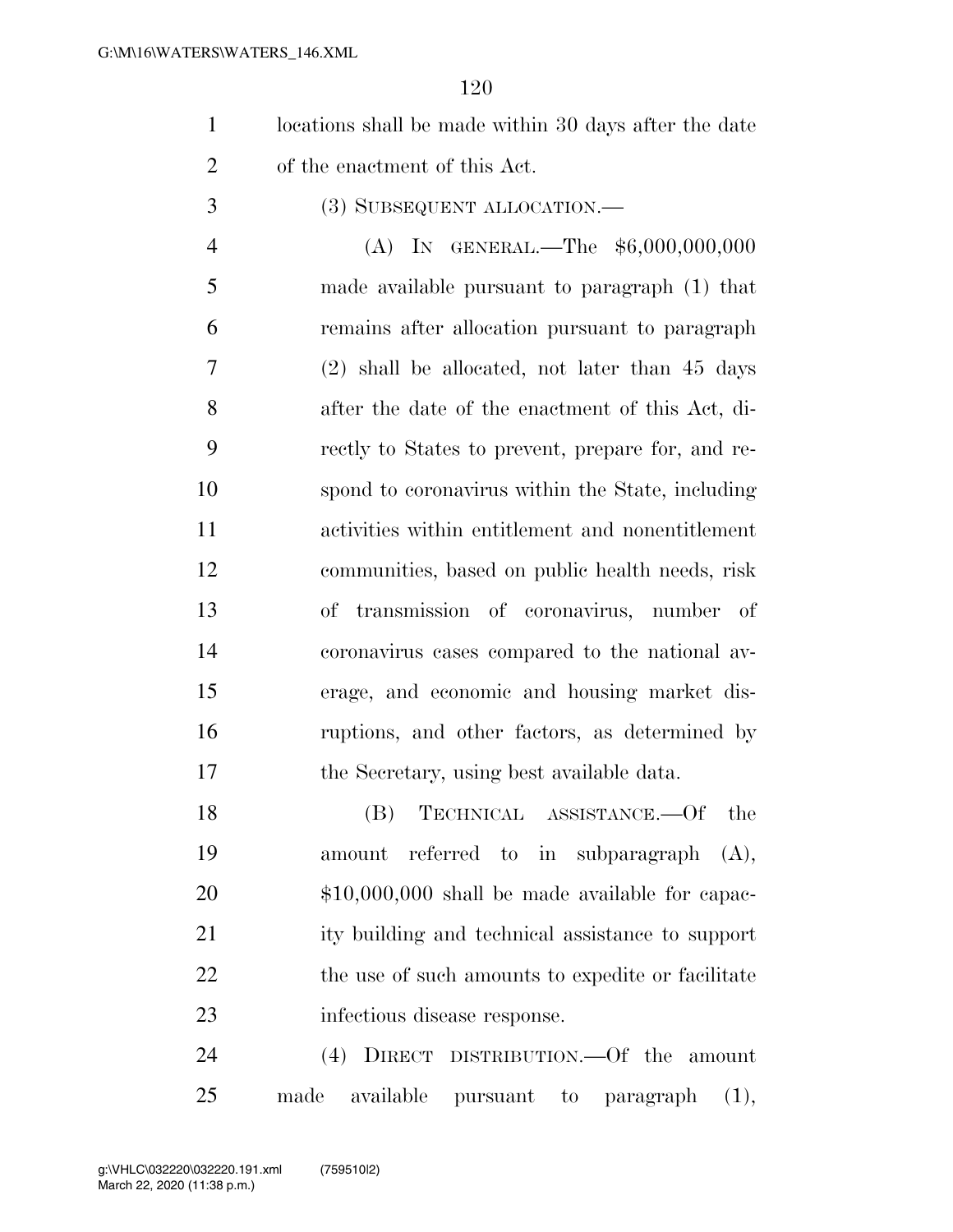- locations shall be made within 30 days after the date of the enactment of this Act.
- (3) SUBSEQUENT ALLOCATION.—

4 (A) IN GENERAL.—The \$6,000,000,000 made available pursuant to paragraph (1) that remains after allocation pursuant to paragraph (2) shall be allocated, not later than 45 days after the date of the enactment of this Act, di- rectly to States to prevent, prepare for, and re- spond to coronavirus within the State, including activities within entitlement and nonentitlement communities, based on public health needs, risk of transmission of coronavirus, number of coronavirus cases compared to the national av- erage, and economic and housing market dis- ruptions, and other factors, as determined by the Secretary, using best available data.

 (B) TECHNICAL ASSISTANCE.—Of the amount referred to in subparagraph (A), \$10,000,000 shall be made available for capac- ity building and technical assistance to support 22 the use of such amounts to expedite or facilitate infectious disease response.

 (4) DIRECT DISTRIBUTION.—Of the amount made available pursuant to paragraph (1),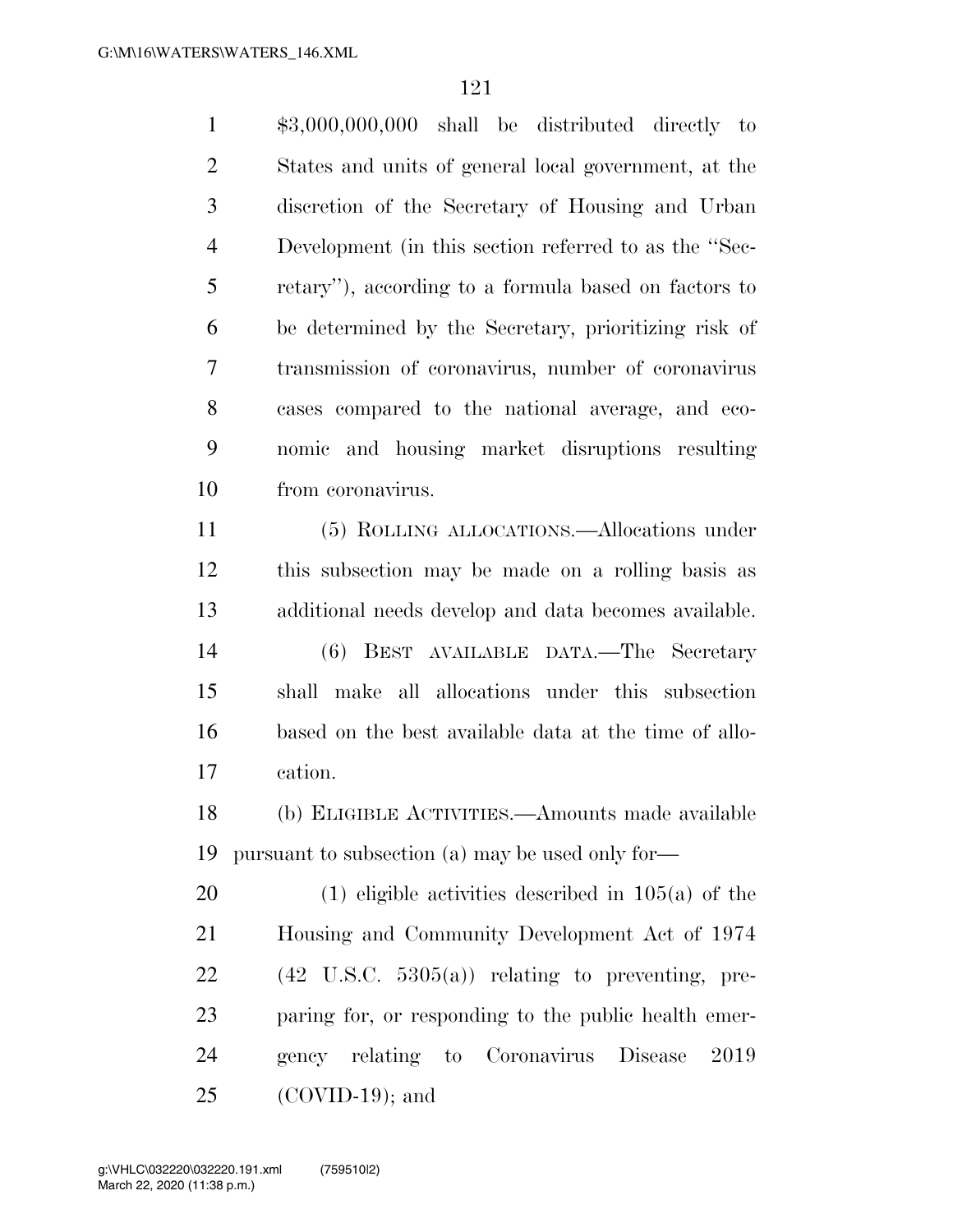\$3,000,000,000 shall be distributed directly to States and units of general local government, at the discretion of the Secretary of Housing and Urban Development (in this section referred to as the ''Sec- retary''), according to a formula based on factors to be determined by the Secretary, prioritizing risk of transmission of coronavirus, number of coronavirus cases compared to the national average, and eco- nomic and housing market disruptions resulting from coronavirus. (5) ROLLING ALLOCATIONS.—Allocations under

 this subsection may be made on a rolling basis as additional needs develop and data becomes available. (6) BEST AVAILABLE DATA.—The Secretary shall make all allocations under this subsection based on the best available data at the time of allo-cation.

 (b) ELIGIBLE ACTIVITIES.—Amounts made available pursuant to subsection (a) may be used only for—

 (1) eligible activities described in 105(a) of the Housing and Community Development Act of 1974  $22 \qquad (42 \text{ U.S.C. } 5305(a))$  relating to preventing, pre- paring for, or responding to the public health emer- gency relating to Coronavirus Disease 2019 (COVID-19); and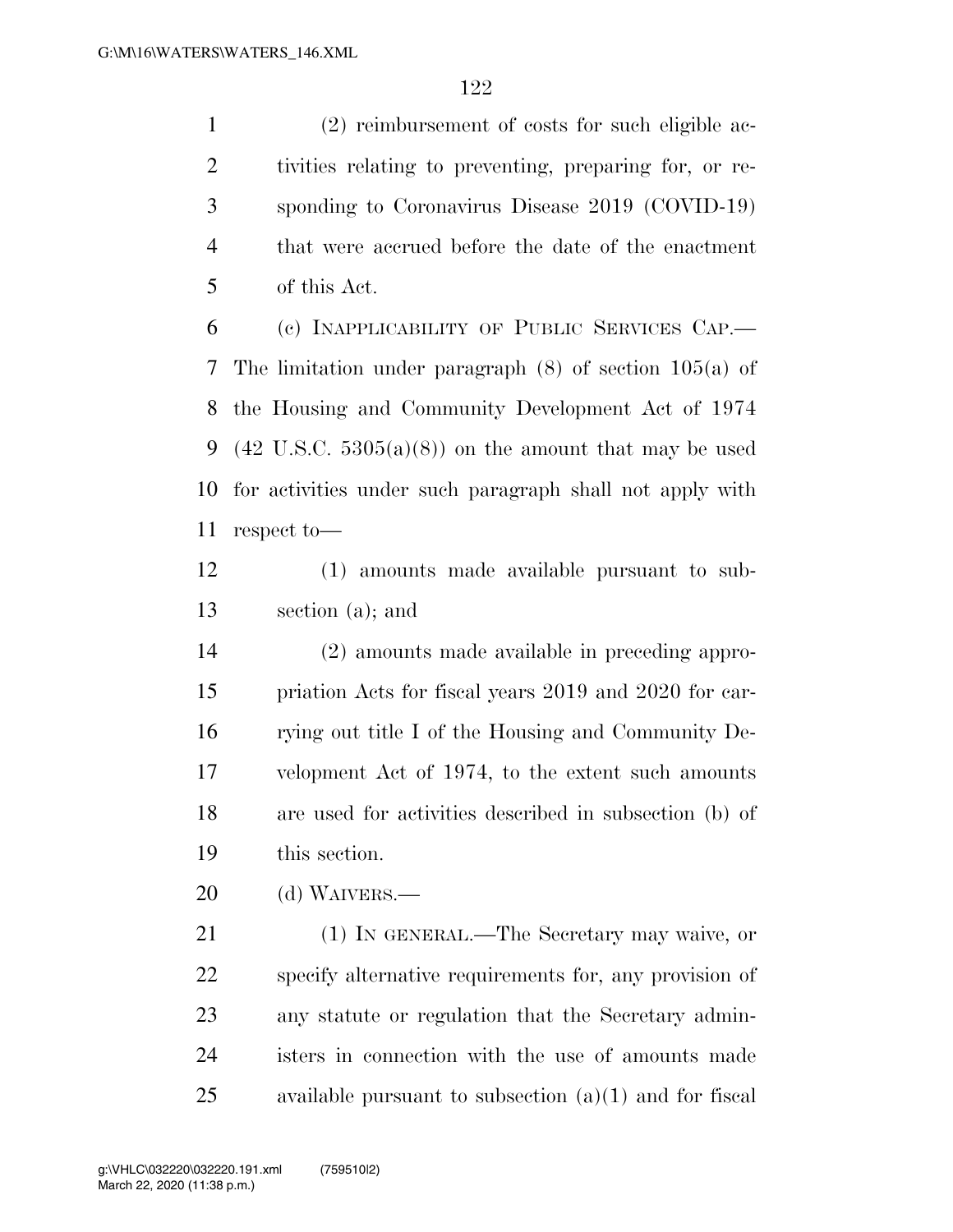(2) reimbursement of costs for such eligible ac- tivities relating to preventing, preparing for, or re- sponding to Coronavirus Disease 2019 (COVID-19) that were accrued before the date of the enactment of this Act.

 (c) INAPPLICABILITY OF PUBLIC SERVICES CAP.— The limitation under paragraph (8) of section 105(a) of the Housing and Community Development Act of 1974 9 (42 U.S.C.  $5305(a)(8)$ ) on the amount that may be used for activities under such paragraph shall not apply with respect to—

 (1) amounts made available pursuant to sub-section (a); and

 (2) amounts made available in preceding appro- priation Acts for fiscal years 2019 and 2020 for car- rying out title I of the Housing and Community De- velopment Act of 1974, to the extent such amounts are used for activities described in subsection (b) of this section.

(d) WAIVERS.—

 (1) IN GENERAL.—The Secretary may waive, or specify alternative requirements for, any provision of any statute or regulation that the Secretary admin- isters in connection with the use of amounts made available pursuant to subsection (a)(1) and for fiscal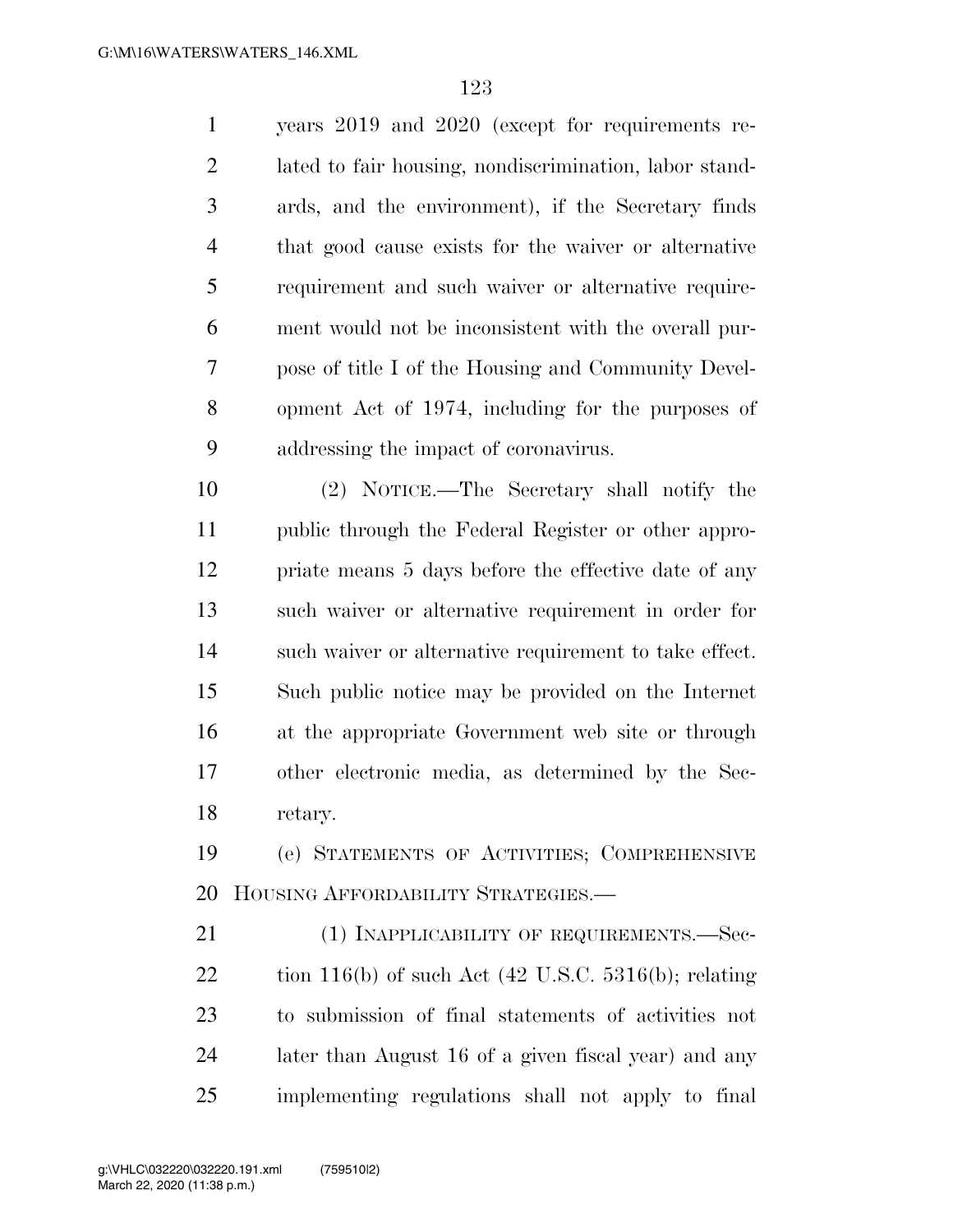years 2019 and 2020 (except for requirements re- lated to fair housing, nondiscrimination, labor stand- ards, and the environment), if the Secretary finds that good cause exists for the waiver or alternative requirement and such waiver or alternative require- ment would not be inconsistent with the overall pur- pose of title I of the Housing and Community Devel- opment Act of 1974, including for the purposes of addressing the impact of coronavirus.

 (2) NOTICE.—The Secretary shall notify the public through the Federal Register or other appro- priate means 5 days before the effective date of any such waiver or alternative requirement in order for such waiver or alternative requirement to take effect. Such public notice may be provided on the Internet at the appropriate Government web site or through other electronic media, as determined by the Sec-retary.

 (e) STATEMENTS OF ACTIVITIES; COMPREHENSIVE HOUSING AFFORDABILITY STRATEGIES.—

21 (1) INAPPLICABILITY OF REQUIREMENTS.—Sec-22 tion 116(b) of such Act  $(42 \text{ U.S.C. } 5316 \text{ (b)};$  relating to submission of final statements of activities not later than August 16 of a given fiscal year) and any implementing regulations shall not apply to final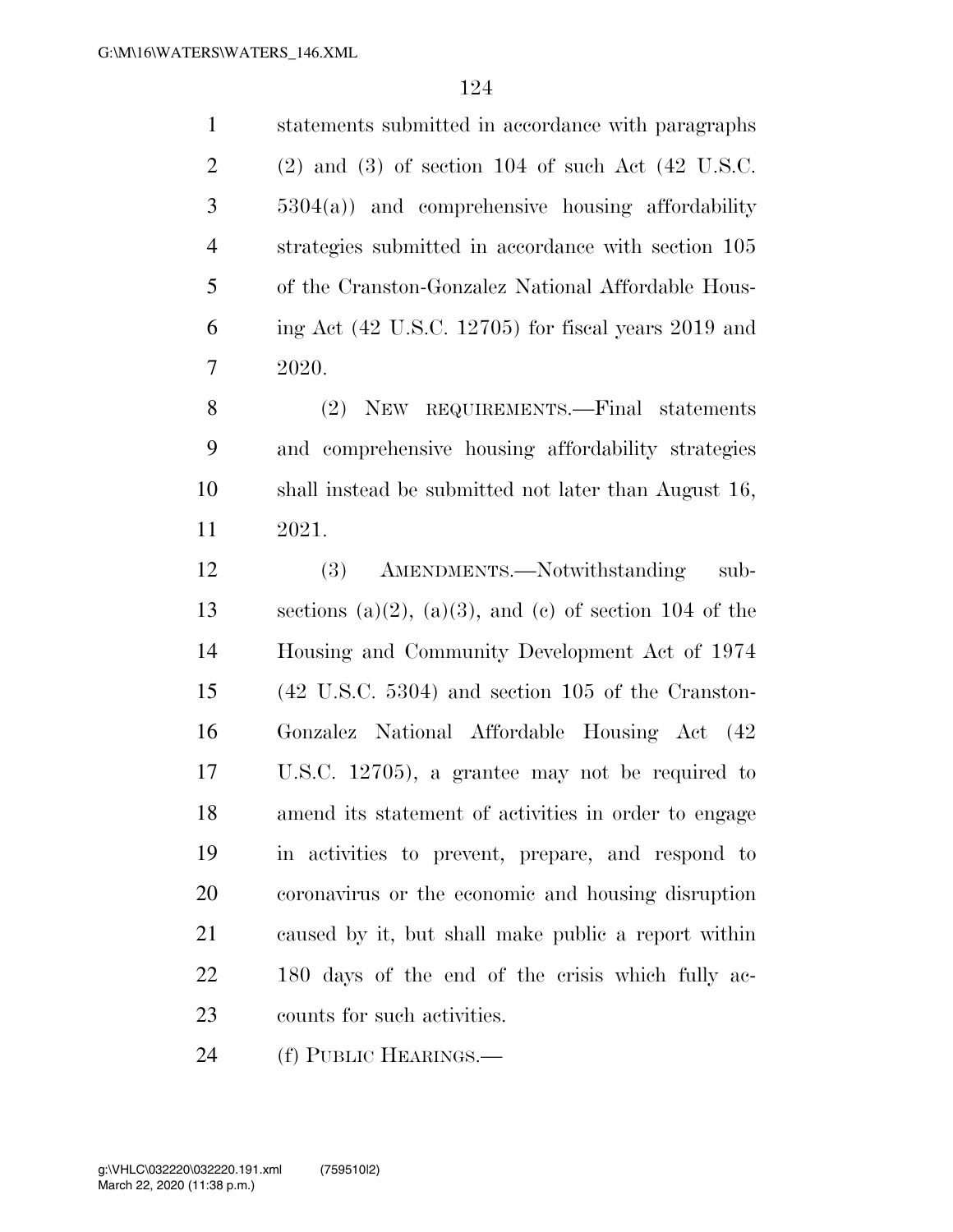statements submitted in accordance with paragraphs  $2 \qquad (2)$  and  $(3)$  of section 104 of such Act  $(42 \text{ U.S.C.})$  5304(a)) and comprehensive housing affordability strategies submitted in accordance with section 105 of the Cranston-Gonzalez National Affordable Hous- ing Act (42 U.S.C. 12705) for fiscal years 2019 and 2020. (2) NEW REQUIREMENTS.—Final statements and comprehensive housing affordability strategies shall instead be submitted not later than August 16, 2021.

 (3) AMENDMENTS.—Notwithstanding sub-13 sections (a)(2), (a)(3), and (c) of section 104 of the Housing and Community Development Act of 1974 (42 U.S.C. 5304) and section 105 of the Cranston- Gonzalez National Affordable Housing Act (42 U.S.C. 12705), a grantee may not be required to amend its statement of activities in order to engage in activities to prevent, prepare, and respond to coronavirus or the economic and housing disruption caused by it, but shall make public a report within 180 days of the end of the crisis which fully ac-counts for such activities.

(f) PUBLIC HEARINGS.—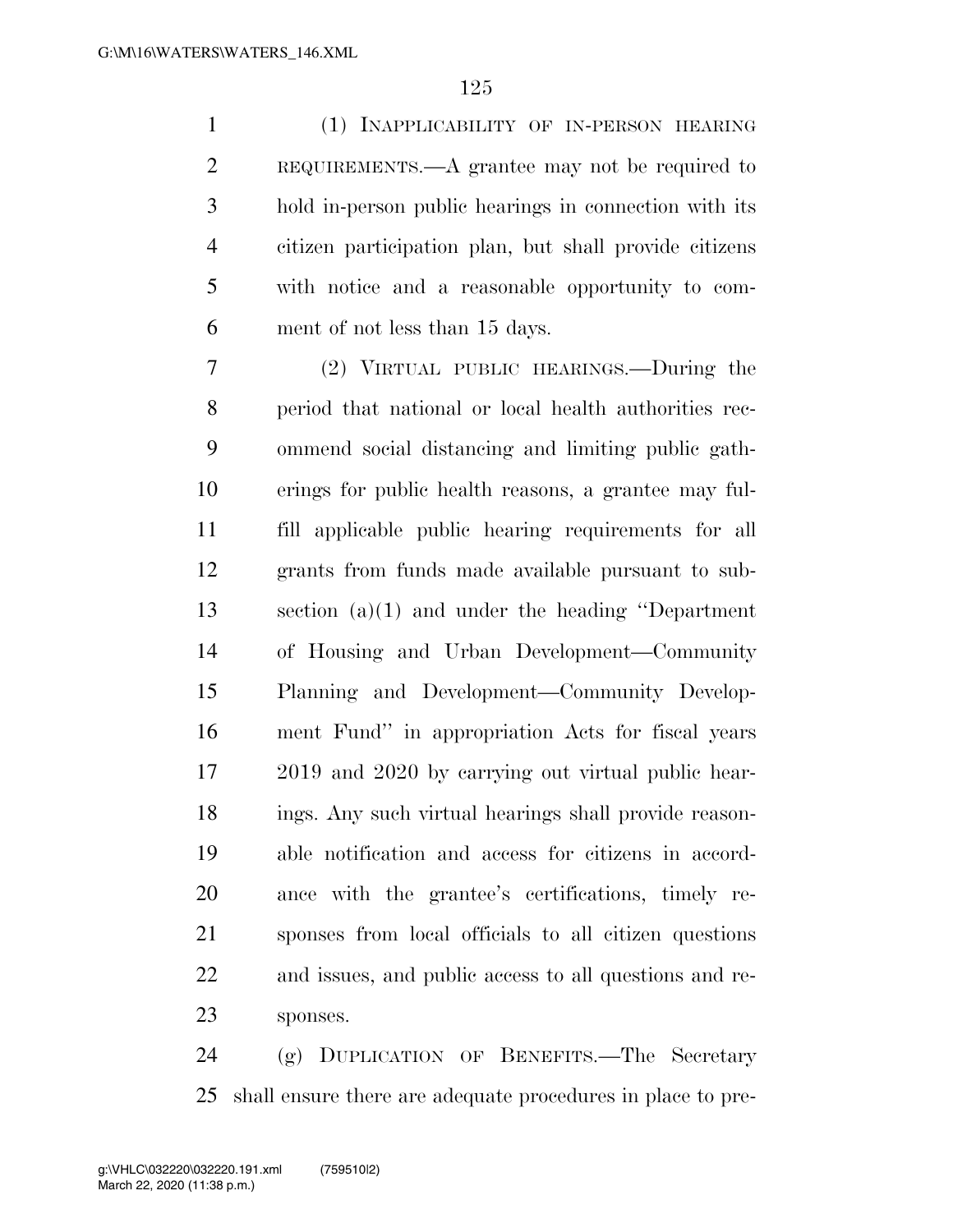(1) INAPPLICABILITY OF IN-PERSON HEARING REQUIREMENTS.—A grantee may not be required to hold in-person public hearings in connection with its citizen participation plan, but shall provide citizens with notice and a reasonable opportunity to com-ment of not less than 15 days.

 (2) VIRTUAL PUBLIC HEARINGS.—During the period that national or local health authorities rec- ommend social distancing and limiting public gath- erings for public health reasons, a grantee may ful- fill applicable public hearing requirements for all grants from funds made available pursuant to sub- section (a)(1) and under the heading ''Department of Housing and Urban Development—Community Planning and Development—Community Develop- ment Fund'' in appropriation Acts for fiscal years 2019 and 2020 by carrying out virtual public hear- ings. Any such virtual hearings shall provide reason- able notification and access for citizens in accord- ance with the grantee's certifications, timely re- sponses from local officials to all citizen questions and issues, and public access to all questions and re-sponses.

 (g) DUPLICATION OF BENEFITS.—The Secretary shall ensure there are adequate procedures in place to pre-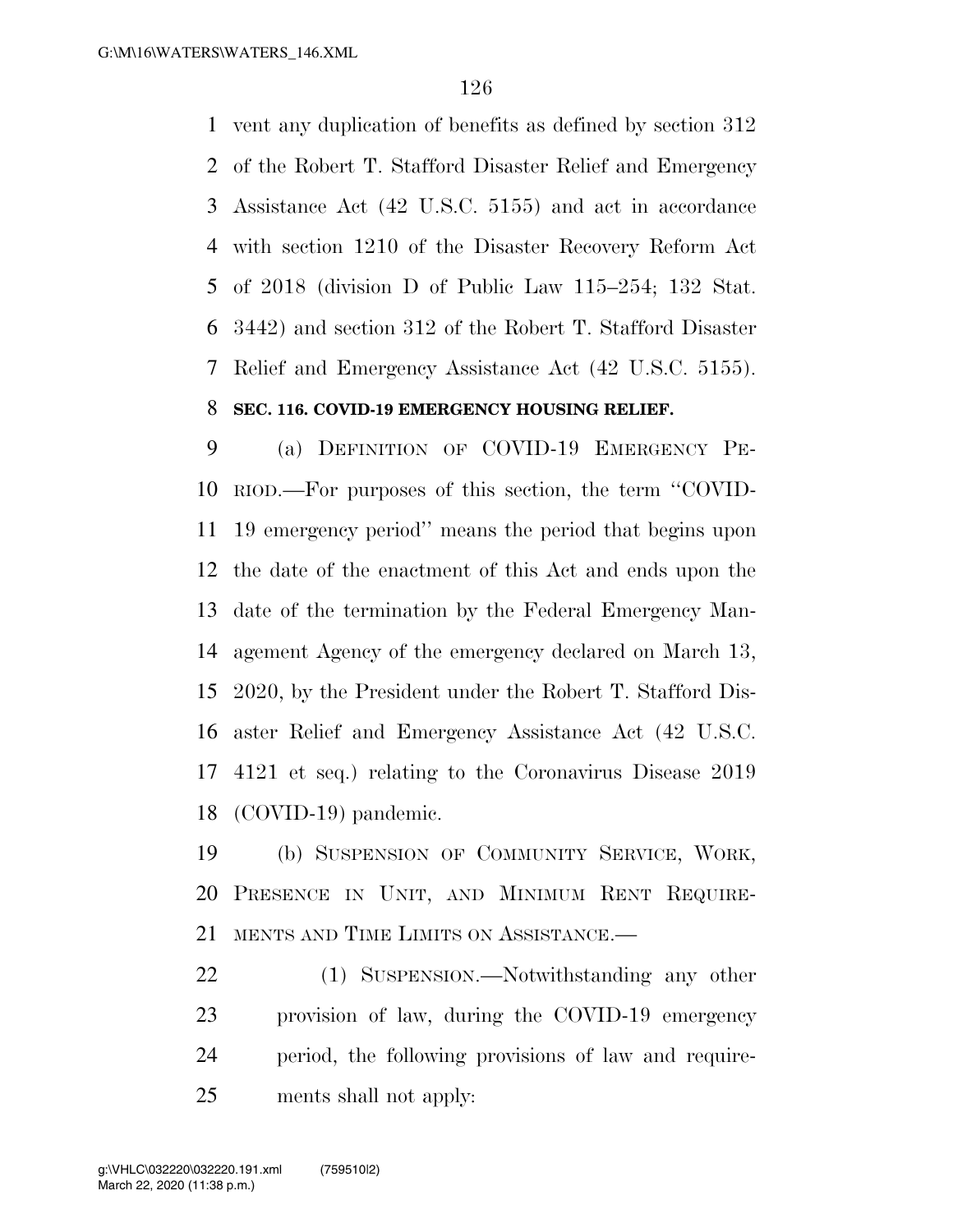vent any duplication of benefits as defined by section 312 of the Robert T. Stafford Disaster Relief and Emergency Assistance Act (42 U.S.C. 5155) and act in accordance with section 1210 of the Disaster Recovery Reform Act of 2018 (division D of Public Law 115–254; 132 Stat. 3442) and section 312 of the Robert T. Stafford Disaster Relief and Emergency Assistance Act (42 U.S.C. 5155).

#### **SEC. 116. COVID-19 EMERGENCY HOUSING RELIEF.**

 (a) DEFINITION OF COVID-19 EMERGENCY PE- RIOD.—For purposes of this section, the term ''COVID- 19 emergency period'' means the period that begins upon the date of the enactment of this Act and ends upon the date of the termination by the Federal Emergency Man- agement Agency of the emergency declared on March 13, 2020, by the President under the Robert T. Stafford Dis- aster Relief and Emergency Assistance Act (42 U.S.C. 4121 et seq.) relating to the Coronavirus Disease 2019 (COVID-19) pandemic.

 (b) SUSPENSION OF COMMUNITY SERVICE, WORK, PRESENCE IN UNIT, AND MINIMUM RENT REQUIRE-MENTS AND TIME LIMITS ON ASSISTANCE.—

 (1) SUSPENSION.—Notwithstanding any other provision of law, during the COVID-19 emergency period, the following provisions of law and require-ments shall not apply: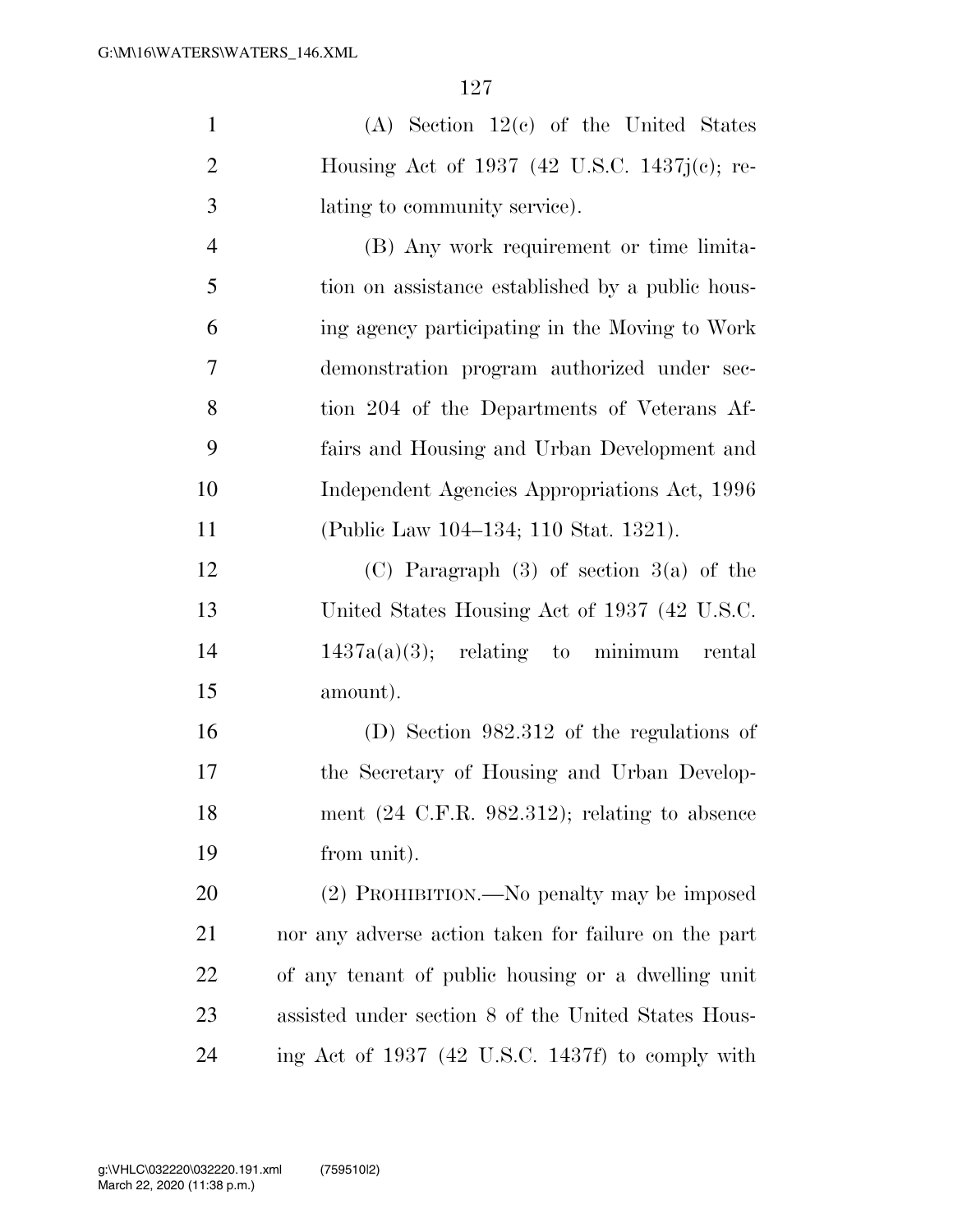|    | (A) Section $12(c)$ of the United States         |
|----|--------------------------------------------------|
| 2  | Housing Act of 1937 (42 U.S.C. 1437 $j(c)$ ; re- |
| -3 | lating to community service).                    |
|    | (B) Any work requirement or time limita-         |

 tion on assistance established by a public hous- ing agency participating in the Moving to Work demonstration program authorized under sec- tion 204 of the Departments of Veterans Af- fairs and Housing and Urban Development and Independent Agencies Appropriations Act, 1996 (Public Law 104–134; 110 Stat. 1321).

 (C) Paragraph (3) of section 3(a) of the United States Housing Act of 1937 (42 U.S.C.  $1437a(a)(3)$ ; relating to minimum rental amount).

 (D) Section 982.312 of the regulations of the Secretary of Housing and Urban Develop- ment (24 C.F.R. 982.312); relating to absence from unit).

 (2) PROHIBITION.—No penalty may be imposed nor any adverse action taken for failure on the part of any tenant of public housing or a dwelling unit assisted under section 8 of the United States Hous-ing Act of 1937 (42 U.S.C. 1437f) to comply with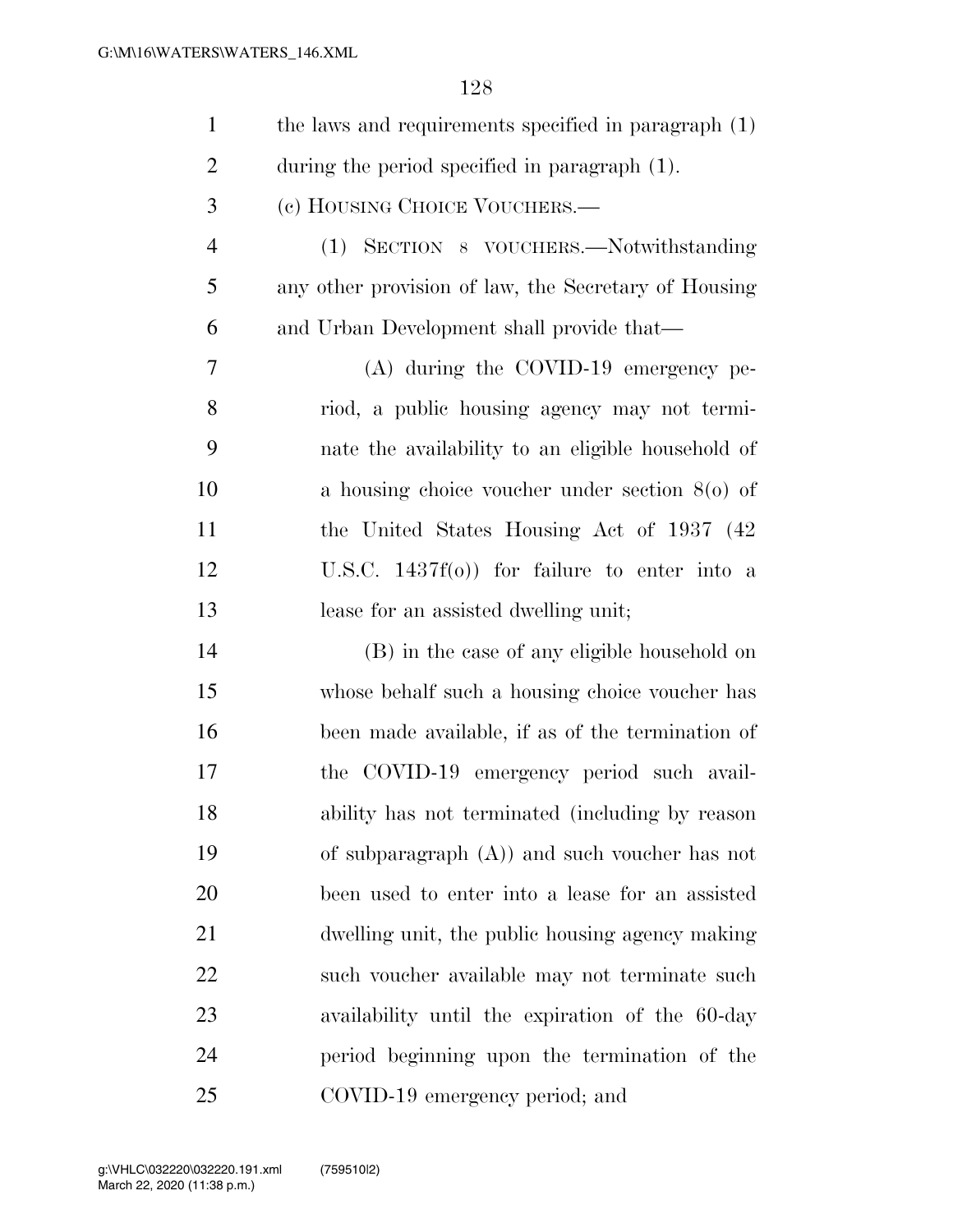| $\mathbf{1}$   | the laws and requirements specified in paragraph (1) |
|----------------|------------------------------------------------------|
| $\overline{2}$ | during the period specified in paragraph (1).        |
| 3              | (c) HOUSING CHOICE VOUCHERS.—                        |
| $\overline{4}$ | (1) SECTION 8 VOUCHERS.—Notwithstanding              |
| 5              | any other provision of law, the Secretary of Housing |
| 6              | and Urban Development shall provide that—            |
| 7              | (A) during the COVID-19 emergency pe-                |
| 8              | riod, a public housing agency may not termi-         |
| 9              | nate the availability to an eligible household of    |
| 10             | a housing choice voucher under section $8(0)$ of     |
| 11             | the United States Housing Act of 1937 (42)           |
| 12             | U.S.C. $1437f(0)$ for failure to enter into a        |
| 13             | lease for an assisted dwelling unit;                 |
| 14             | (B) in the case of any eligible household on         |
| 15             | whose behalf such a housing choice voucher has       |
| 16             | been made available, if as of the termination of     |
| 17             | the COVID-19 emergency period such avail-            |
| 18             | ability has not terminated (including by reason      |
| 19             | of subparagraph $(A)$ and such voucher has not       |
| 20             | been used to enter into a lease for an assisted      |
| 21             | dwelling unit, the public housing agency making      |
| 22             | such voucher available may not terminate such        |
| 23             | availability until the expiration of the 60-day      |
| 24             | period beginning upon the termination of the         |
| 25             | COVID-19 emergency period; and                       |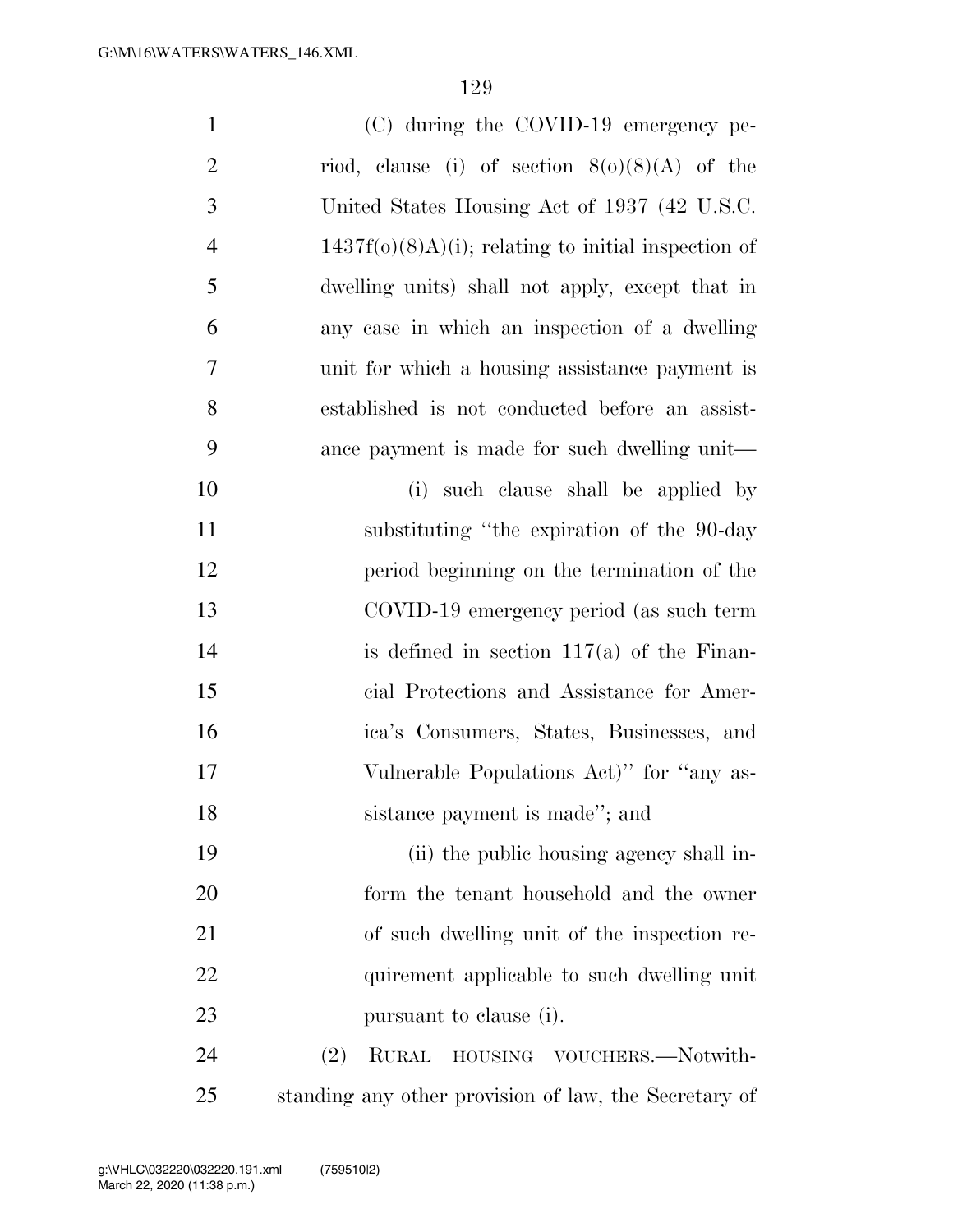| $\mathbf{1}$   | (C) during the COVID-19 emergency pe-                  |
|----------------|--------------------------------------------------------|
| $\overline{c}$ | riod, clause (i) of section $8(0)(8)(A)$ of the        |
| 3              | United States Housing Act of 1937 (42 U.S.C.           |
| $\overline{4}$ | $1437f(0)(8)A)(i)$ ; relating to initial inspection of |
| 5              | dwelling units) shall not apply, except that in        |
| 6              | any case in which an inspection of a dwelling          |
| 7              | unit for which a housing assistance payment is         |
| 8              | established is not conducted before an assist-         |
| 9              | ance payment is made for such dwelling unit—           |
| 10             | (i) such clause shall be applied by                    |
| 11             | substituting "the expiration of the 90-day"            |
| 12             | period beginning on the termination of the             |
| 13             | COVID-19 emergency period (as such term                |
| 14             | is defined in section $117(a)$ of the Finan-           |
| 15             | cial Protections and Assistance for Amer-              |
| 16             | ica's Consumers, States, Businesses, and               |
| 17             | Vulnerable Populations Act)" for "any as-              |
| 18             | sistance payment is made"; and                         |
| 19             | (ii) the public housing agency shall in-               |
| 20             | form the tenant household and the owner                |
| 21             | of such dwelling unit of the inspection re-            |
| 22             | quirement applicable to such dwelling unit             |
| 23             | pursuant to clause (i).                                |
| 24             | (2)<br><b>RURAL</b><br>HOUSING VOUCHERS.-Notwith-      |
| 25             | standing any other provision of law, the Secretary of  |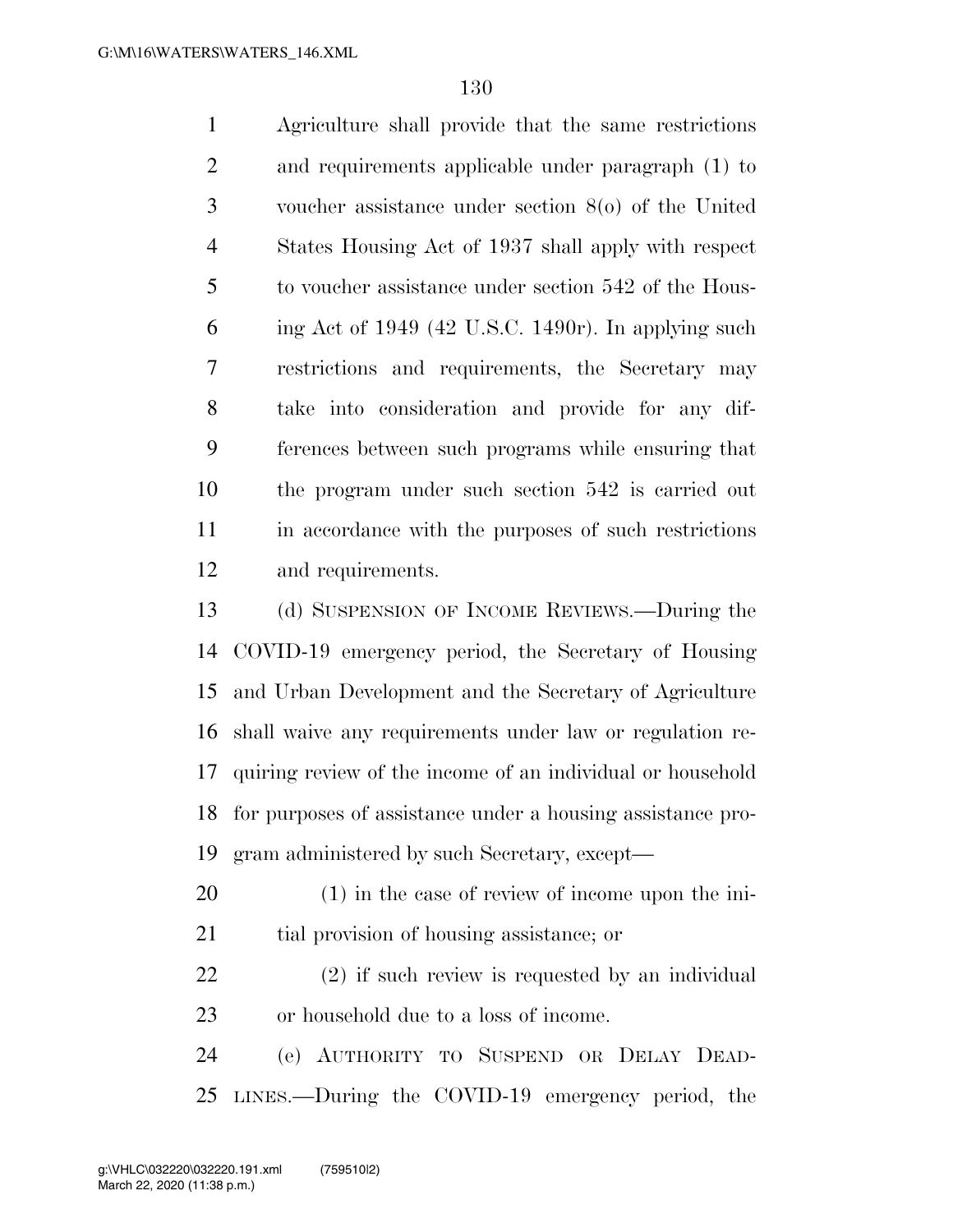Agriculture shall provide that the same restrictions and requirements applicable under paragraph (1) to voucher assistance under section 8(o) of the United States Housing Act of 1937 shall apply with respect to voucher assistance under section 542 of the Hous-6 ing Act of 1949 (42 U.S.C. 1490r). In applying such restrictions and requirements, the Secretary may take into consideration and provide for any dif- ferences between such programs while ensuring that the program under such section 542 is carried out in accordance with the purposes of such restrictions and requirements.

 (d) SUSPENSION OF INCOME REVIEWS.—During the COVID-19 emergency period, the Secretary of Housing and Urban Development and the Secretary of Agriculture shall waive any requirements under law or regulation re- quiring review of the income of an individual or household for purposes of assistance under a housing assistance pro-gram administered by such Secretary, except—

 (1) in the case of review of income upon the ini-tial provision of housing assistance; or

 (2) if such review is requested by an individual or household due to a loss of income.

 (e) AUTHORITY TO SUSPEND OR DELAY DEAD-LINES.—During the COVID-19 emergency period, the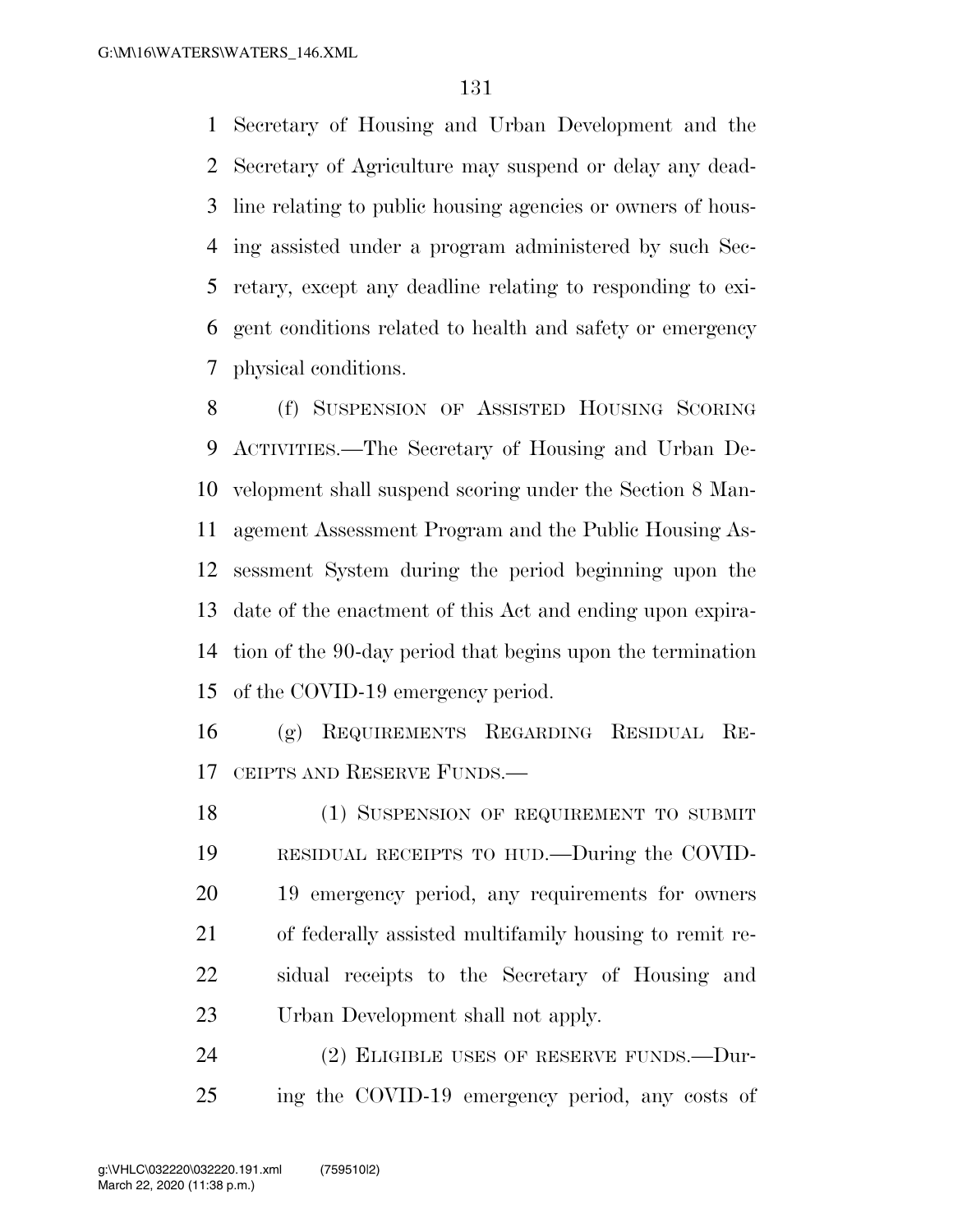Secretary of Housing and Urban Development and the Secretary of Agriculture may suspend or delay any dead- line relating to public housing agencies or owners of hous- ing assisted under a program administered by such Sec- retary, except any deadline relating to responding to exi- gent conditions related to health and safety or emergency physical conditions.

 (f) SUSPENSION OF ASSISTED HOUSING SCORING ACTIVITIES.—The Secretary of Housing and Urban De- velopment shall suspend scoring under the Section 8 Man- agement Assessment Program and the Public Housing As- sessment System during the period beginning upon the date of the enactment of this Act and ending upon expira- tion of the 90-day period that begins upon the termination of the COVID-19 emergency period.

 (g) REQUIREMENTS REGARDING RESIDUAL RE-CEIPTS AND RESERVE FUNDS.—

18 (1) SUSPENSION OF REQUIREMENT TO SUBMIT RESIDUAL RECEIPTS TO HUD.—During the COVID- 19 emergency period, any requirements for owners of federally assisted multifamily housing to remit re- sidual receipts to the Secretary of Housing and Urban Development shall not apply.

24 (2) ELIGIBLE USES OF RESERVE FUNDS.—Dur-ing the COVID-19 emergency period, any costs of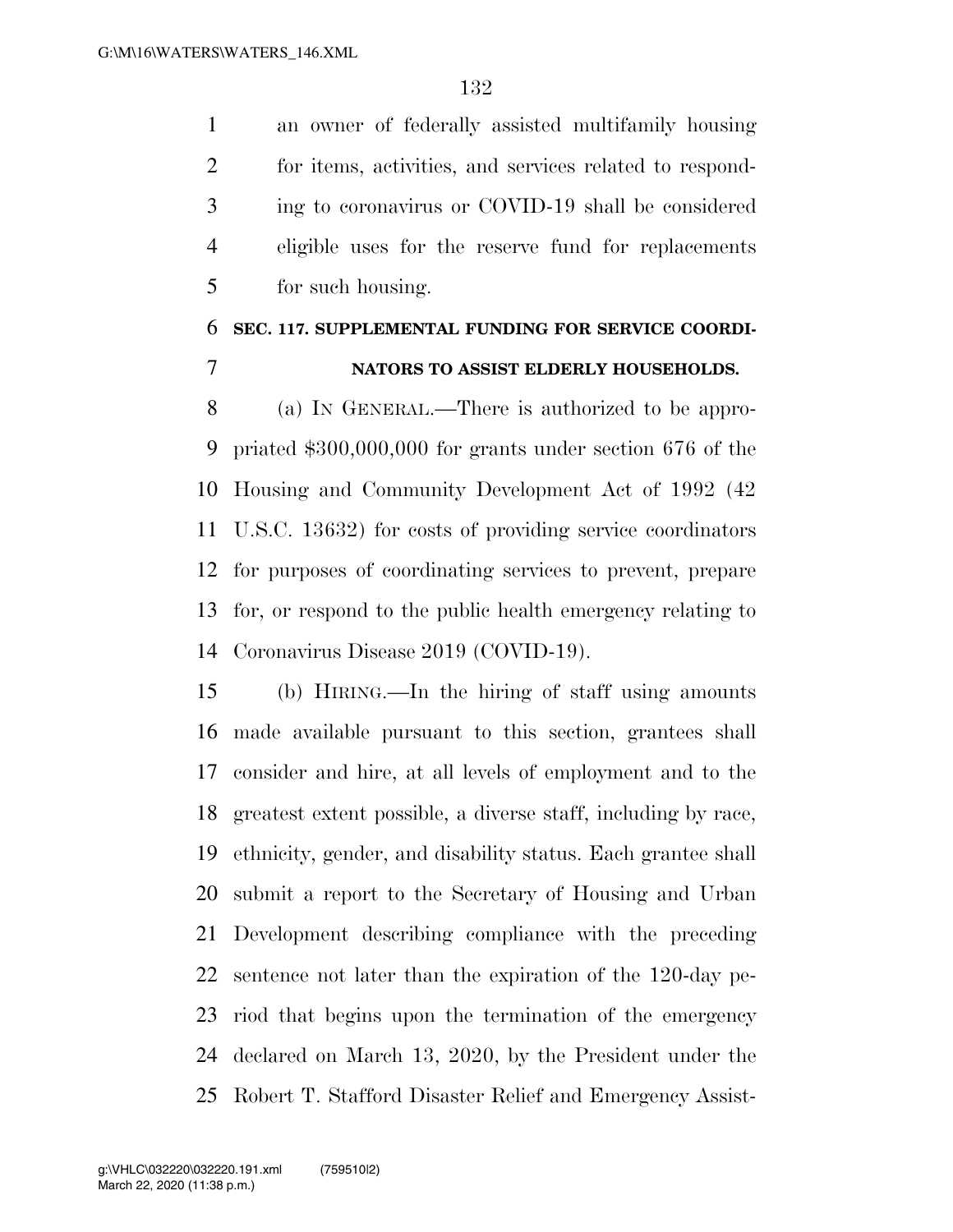an owner of federally assisted multifamily housing for items, activities, and services related to respond- ing to coronavirus or COVID-19 shall be considered eligible uses for the reserve fund for replacements for such housing.

## **SEC. 117. SUPPLEMENTAL FUNDING FOR SERVICE COORDI-NATORS TO ASSIST ELDERLY HOUSEHOLDS.**

 (a) IN GENERAL.—There is authorized to be appro- priated \$300,000,000 for grants under section 676 of the Housing and Community Development Act of 1992 (42 U.S.C. 13632) for costs of providing service coordinators for purposes of coordinating services to prevent, prepare for, or respond to the public health emergency relating to Coronavirus Disease 2019 (COVID-19).

 (b) HIRING.—In the hiring of staff using amounts made available pursuant to this section, grantees shall consider and hire, at all levels of employment and to the greatest extent possible, a diverse staff, including by race, ethnicity, gender, and disability status. Each grantee shall submit a report to the Secretary of Housing and Urban Development describing compliance with the preceding sentence not later than the expiration of the 120-day pe- riod that begins upon the termination of the emergency declared on March 13, 2020, by the President under the Robert T. Stafford Disaster Relief and Emergency Assist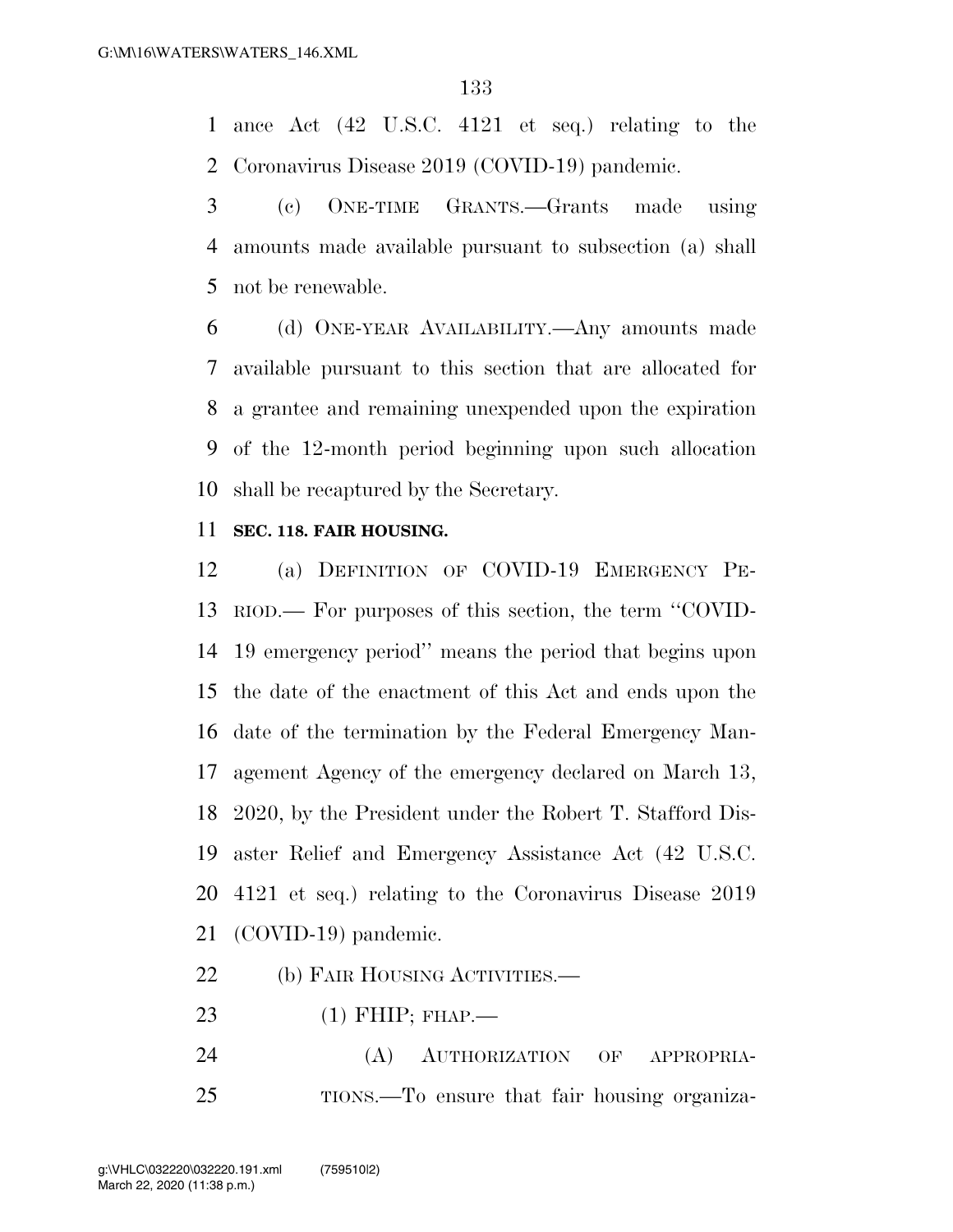ance Act (42 U.S.C. 4121 et seq.) relating to the Coronavirus Disease 2019 (COVID-19) pandemic.

 (c) ONE-TIME GRANTS.—Grants made using amounts made available pursuant to subsection (a) shall not be renewable.

 (d) ONE-YEAR AVAILABILITY.—Any amounts made available pursuant to this section that are allocated for a grantee and remaining unexpended upon the expiration of the 12-month period beginning upon such allocation shall be recaptured by the Secretary.

#### **SEC. 118. FAIR HOUSING.**

 (a) DEFINITION OF COVID-19 EMERGENCY PE- RIOD.— For purposes of this section, the term ''COVID- 19 emergency period'' means the period that begins upon the date of the enactment of this Act and ends upon the date of the termination by the Federal Emergency Man- agement Agency of the emergency declared on March 13, 2020, by the President under the Robert T. Stafford Dis- aster Relief and Emergency Assistance Act (42 U.S.C. 4121 et seq.) relating to the Coronavirus Disease 2019 (COVID-19) pandemic.

### 22 (b) FAIR HOUSING ACTIVITIES.—

- (1) FHIP; FHAP.—
- (A) AUTHORIZATION OF APPROPRIA-TIONS.—To ensure that fair housing organiza-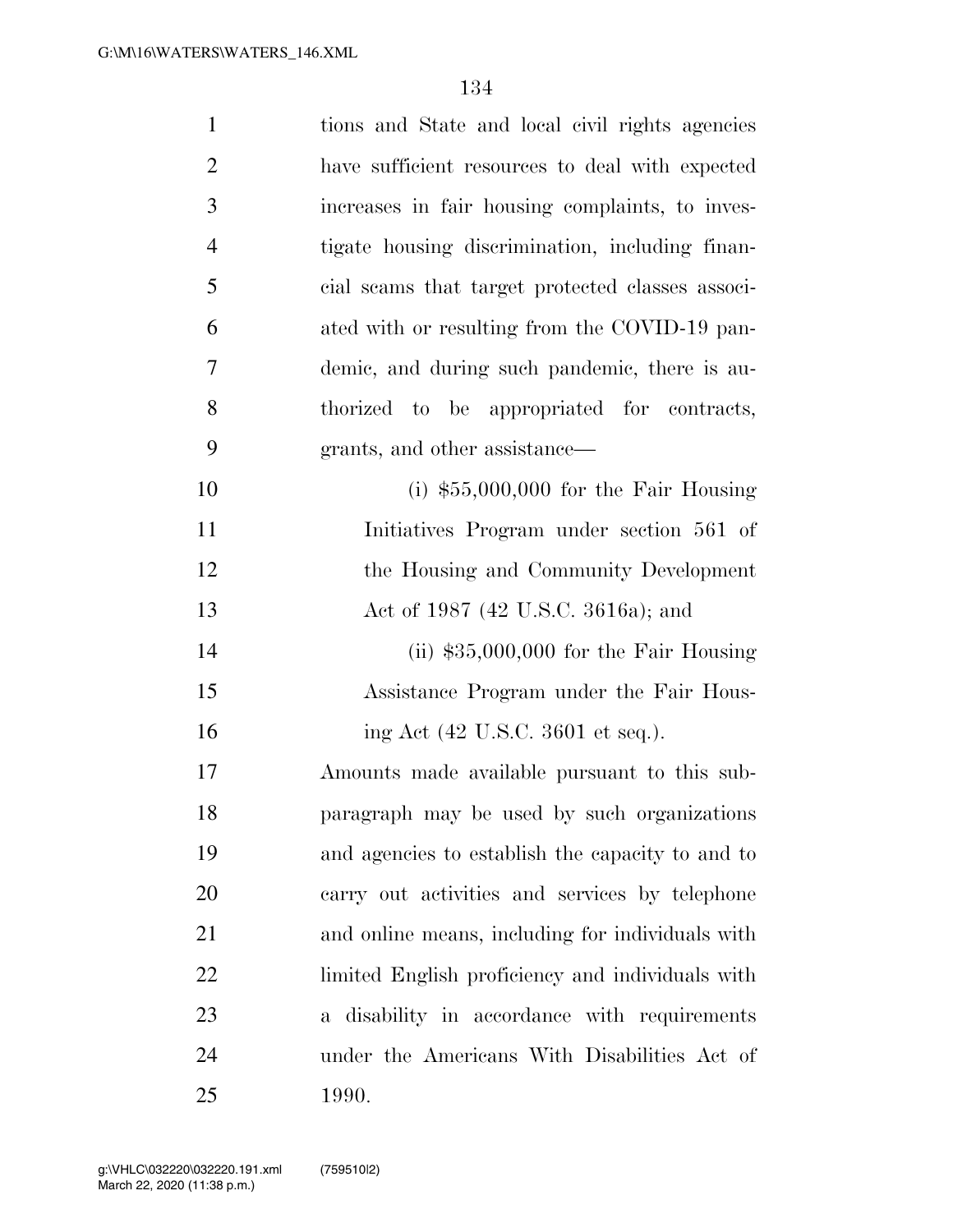| $\mathbf{1}$   | tions and State and local civil rights agencies  |
|----------------|--------------------------------------------------|
| $\overline{2}$ | have sufficient resources to deal with expected  |
| 3              | increases in fair housing complaints, to inves-  |
| $\overline{4}$ | tigate housing discrimination, including finan-  |
| 5              | cial scams that target protected classes associ- |
| 6              | ated with or resulting from the COVID-19 pan-    |
| 7              | demic, and during such pandemic, there is au-    |
| 8              | thorized to be appropriated for contracts,       |
| 9              | grants, and other assistance—                    |
| 10             | (i) $$55,000,000$ for the Fair Housing           |
| 11             | Initiatives Program under section 561 of         |
| 12             | the Housing and Community Development            |
| 13             | Act of 1987 (42 U.S.C. 3616a); and               |
| 14             | (ii) $$35,000,000$ for the Fair Housing          |
| 15             | Assistance Program under the Fair Hous-          |
| 16             | ing Act (42 U.S.C. 3601 et seq.).                |
| 17             | Amounts made available pursuant to this sub-     |
| 18             | paragraph may be used by such organizations      |
| 19             | and agencies to establish the capacity to and to |
| 20             | carry out activities and services by telephone   |
| 21             | and online means, including for individuals with |
| 22             | limited English proficiency and individuals with |
| 23             | a disability in accordance with requirements     |
| 24             | under the Americans With Disabilities Act of     |
| 25             | 1990.                                            |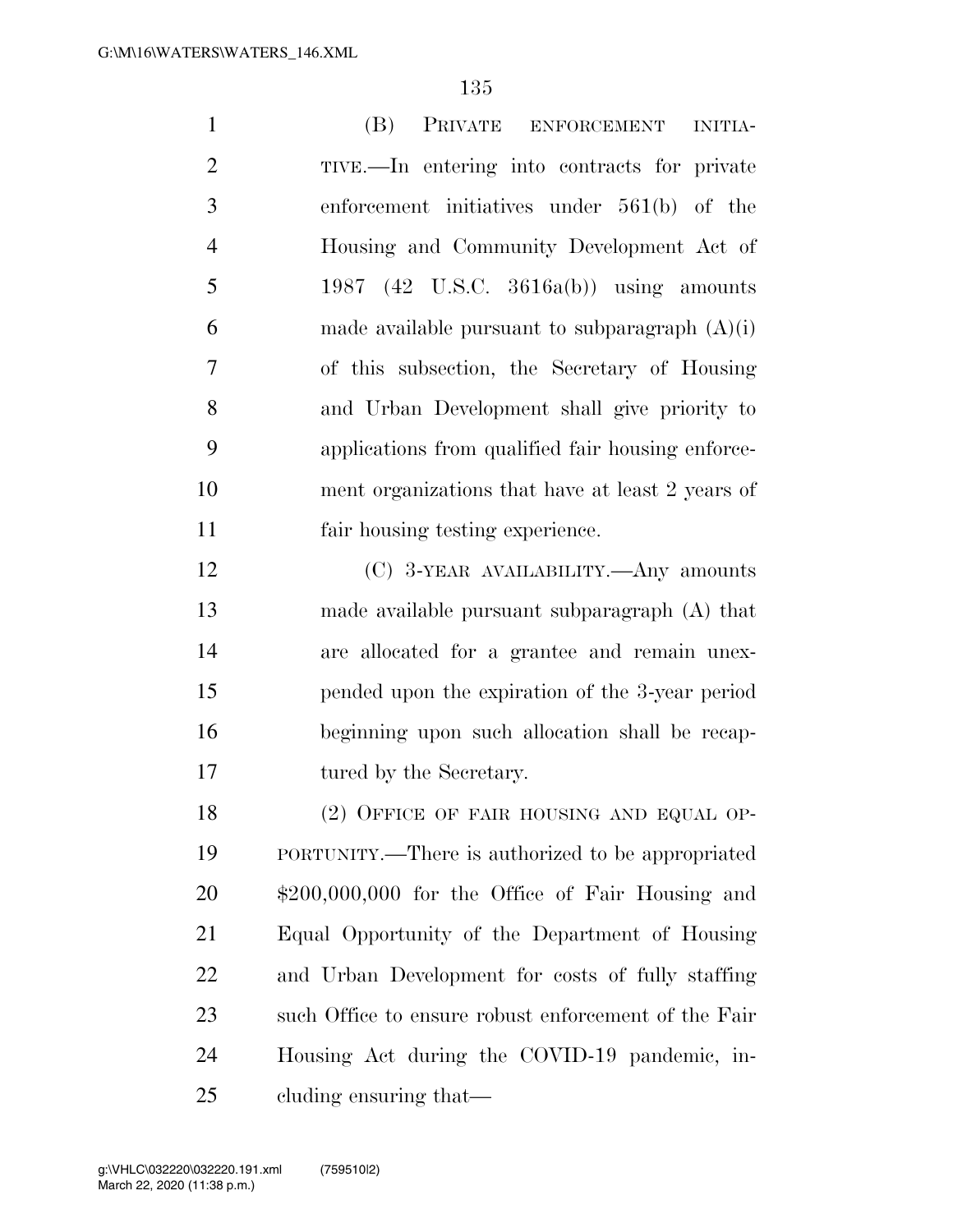| $\mathbf{1}$   | (B)<br>PRIVATE<br><b>ENFORCEMENT</b><br><b>INITIA-</b> |
|----------------|--------------------------------------------------------|
| $\overline{2}$ | TIVE.—In entering into contracts for private           |
| 3              | enforcement initiatives under $561(b)$ of the          |
| $\overline{4}$ | Housing and Community Development Act of               |
| 5              | 1987 (42 U.S.C. 3616a(b)) using amounts                |
| 6              | made available pursuant to subparagraph $(A)(i)$       |
| $\overline{7}$ | of this subsection, the Secretary of Housing           |
| 8              | and Urban Development shall give priority to           |
| 9              | applications from qualified fair housing enforce-      |
| 10             | ment organizations that have at least 2 years of       |
| 11             | fair housing testing experience.                       |
| 12             | (C) 3-YEAR AVAILABILITY.—Any amounts                   |
| 13             | made available pursuant subparagraph $(A)$ that        |
| 14             | are allocated for a grantee and remain unex-           |
| 15             | pended upon the expiration of the 3-year period        |
| 16             | beginning upon such allocation shall be recap-         |
| 17             | tured by the Secretary.                                |
| 18             | (2) OFFICE OF FAIR HOUSING AND EQUAL OP-               |
| 19             | PORTUNITY.—There is authorized to be appropriated      |
| 20             | $$200,000,000$ for the Office of Fair Housing and      |
| 21             | Equal Opportunity of the Department of Housing         |
| 22             | and Urban Development for costs of fully staffing      |
| 23             | such Office to ensure robust enforcement of the Fair   |
| 24             | Housing Act during the COVID-19 pandemic, in-          |
| 25             | cluding ensuring that—                                 |

March 22, 2020 (11:38 p.m.) g:\VHLC\032220\032220.191.xml (759510|2)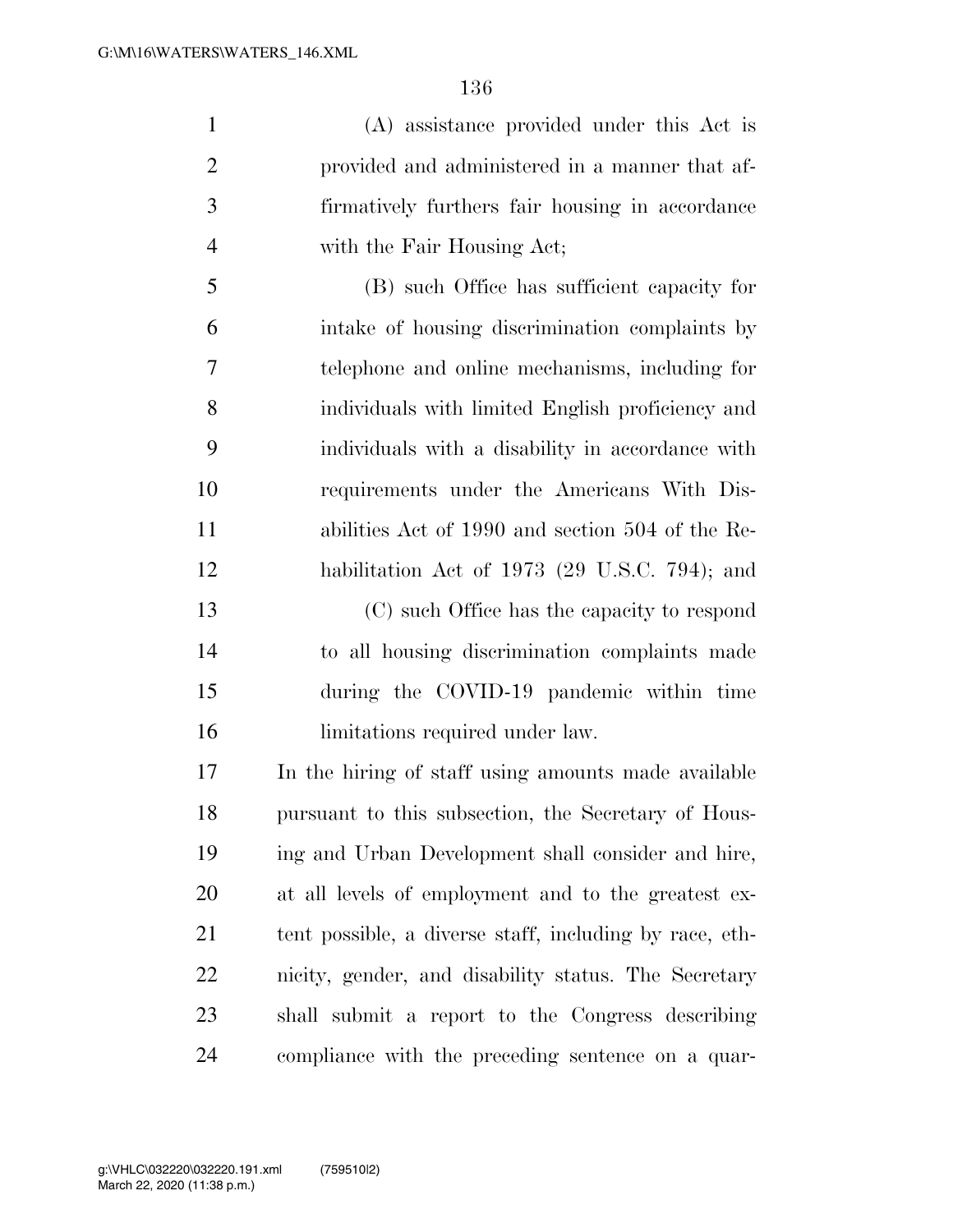(A) assistance provided under this Act is provided and administered in a manner that af- firmatively furthers fair housing in accordance with the Fair Housing Act;

 (B) such Office has sufficient capacity for intake of housing discrimination complaints by telephone and online mechanisms, including for individuals with limited English proficiency and individuals with a disability in accordance with requirements under the Americans With Dis- abilities Act of 1990 and section 504 of the Re-habilitation Act of 1973 (29 U.S.C. 794); and

 (C) such Office has the capacity to respond to all housing discrimination complaints made during the COVID-19 pandemic within time 16 limitations required under law.

 In the hiring of staff using amounts made available pursuant to this subsection, the Secretary of Hous- ing and Urban Development shall consider and hire, at all levels of employment and to the greatest ex- tent possible, a diverse staff, including by race, eth- nicity, gender, and disability status. The Secretary shall submit a report to the Congress describing compliance with the preceding sentence on a quar-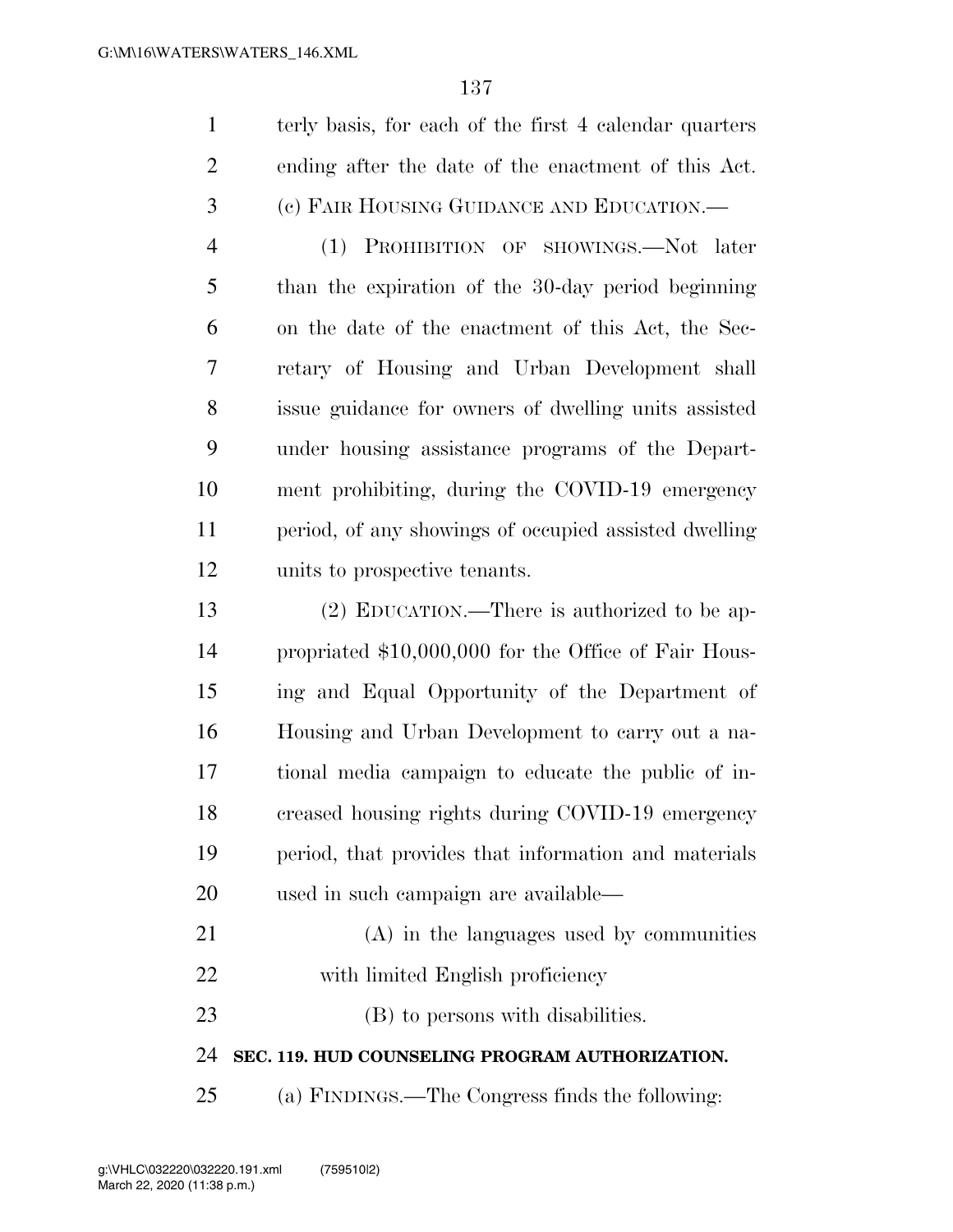|                | terly basis, for each of the first 4 calendar quarters |
|----------------|--------------------------------------------------------|
| 2              | ending after the date of the enactment of this Act.    |
| 3              | (c) FAIR HOUSING GUIDANCE AND EDUCATION.—              |
| $\overline{4}$ | (1) PROHIBITION OF SHOWINGS.—Not later                 |
| 5              | than the expiration of the 30-day period beginning     |
| 6              | on the date of the enactment of this Act, the Sec-     |

 retary of Housing and Urban Development shall issue guidance for owners of dwelling units assisted under housing assistance programs of the Depart- ment prohibiting, during the COVID-19 emergency period, of any showings of occupied assisted dwelling units to prospective tenants.

 (2) EDUCATION.—There is authorized to be ap- propriated \$10,000,000 for the Office of Fair Hous- ing and Equal Opportunity of the Department of Housing and Urban Development to carry out a na- tional media campaign to educate the public of in- creased housing rights during COVID-19 emergency period, that provides that information and materials used in such campaign are available—

 (A) in the languages used by communities 22 with limited English proficiency

23 (B) to persons with disabilities.

**SEC. 119. HUD COUNSELING PROGRAM AUTHORIZATION.** 

(a) FINDINGS.—The Congress finds the following: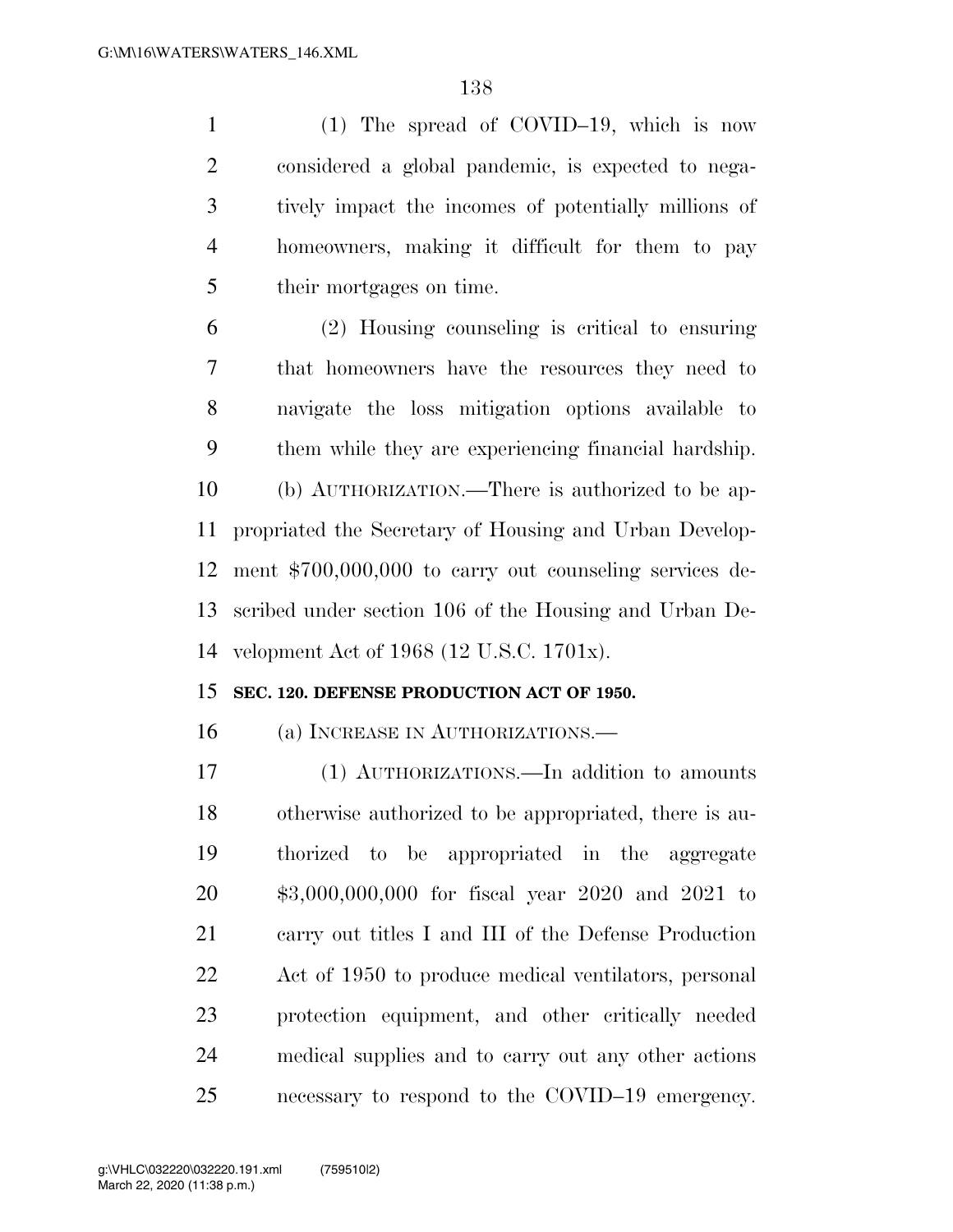(1) The spread of COVID–19, which is now considered a global pandemic, is expected to nega- tively impact the incomes of potentially millions of homeowners, making it difficult for them to pay their mortgages on time.

 (2) Housing counseling is critical to ensuring that homeowners have the resources they need to navigate the loss mitigation options available to them while they are experiencing financial hardship. (b) AUTHORIZATION.—There is authorized to be ap- propriated the Secretary of Housing and Urban Develop- ment \$700,000,000 to carry out counseling services de- scribed under section 106 of the Housing and Urban De-velopment Act of 1968 (12 U.S.C. 1701x).

#### **SEC. 120. DEFENSE PRODUCTION ACT OF 1950.**

(a) INCREASE IN AUTHORIZATIONS.—

 (1) AUTHORIZATIONS.—In addition to amounts otherwise authorized to be appropriated, there is au- thorized to be appropriated in the aggregate \$3,000,000,000 for fiscal year 2020 and 2021 to carry out titles I and III of the Defense Production Act of 1950 to produce medical ventilators, personal protection equipment, and other critically needed medical supplies and to carry out any other actions necessary to respond to the COVID–19 emergency.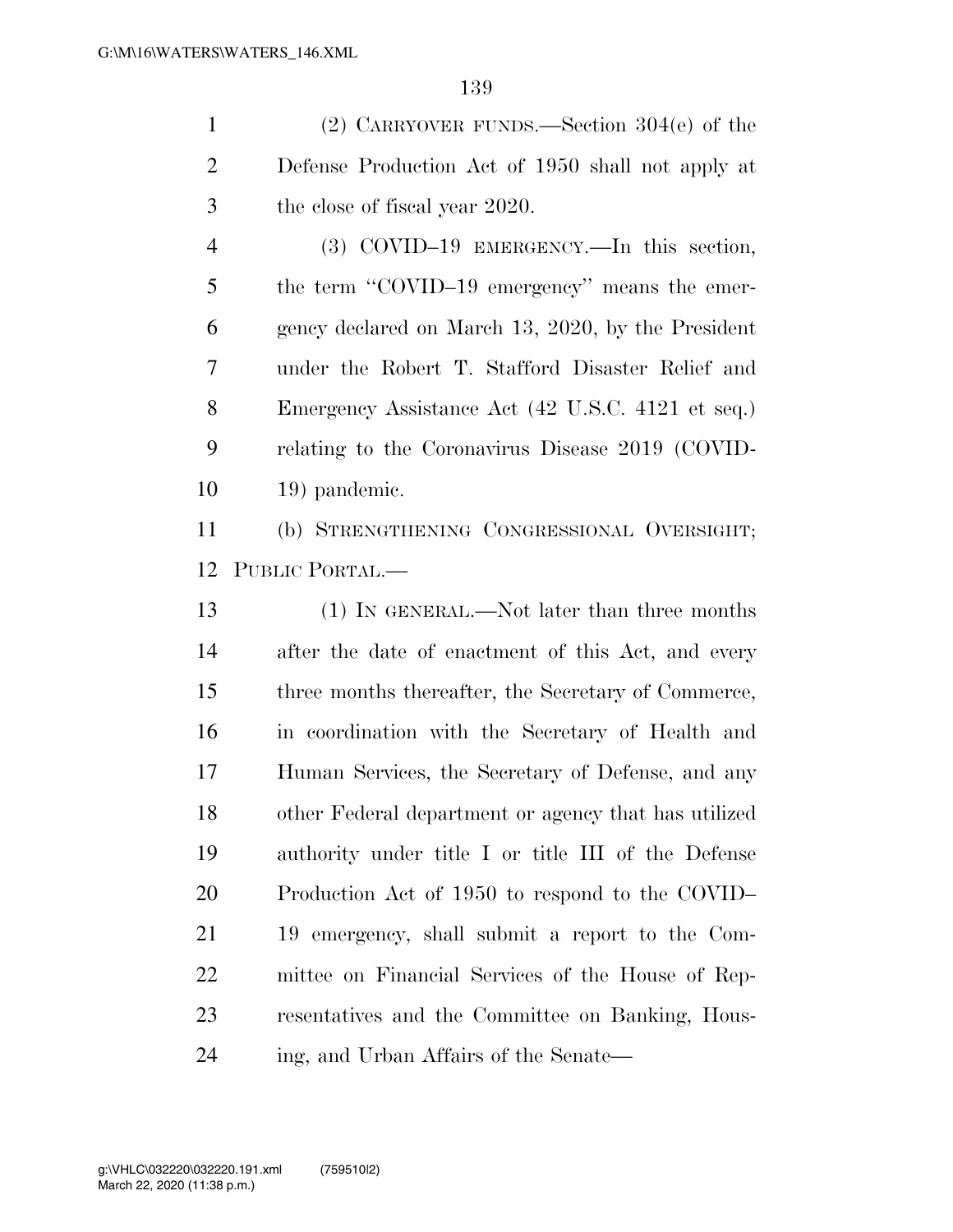(2) CARRYOVER FUNDS.—Section 304(e) of the Defense Production Act of 1950 shall not apply at the close of fiscal year 2020.

 (3) COVID–19 EMERGENCY.—In this section, 5 the term "COVID–19 emergency" means the emer- gency declared on March 13, 2020, by the President under the Robert T. Stafford Disaster Relief and Emergency Assistance Act (42 U.S.C. 4121 et seq.) relating to the Coronavirus Disease 2019 (COVID-19) pandemic.

 (b) STRENGTHENING CONGRESSIONAL OVERSIGHT; PUBLIC PORTAL.—

 (1) IN GENERAL.—Not later than three months after the date of enactment of this Act, and every three months thereafter, the Secretary of Commerce, in coordination with the Secretary of Health and Human Services, the Secretary of Defense, and any other Federal department or agency that has utilized authority under title I or title III of the Defense Production Act of 1950 to respond to the COVID– 19 emergency, shall submit a report to the Com- mittee on Financial Services of the House of Rep- resentatives and the Committee on Banking, Hous-ing, and Urban Affairs of the Senate—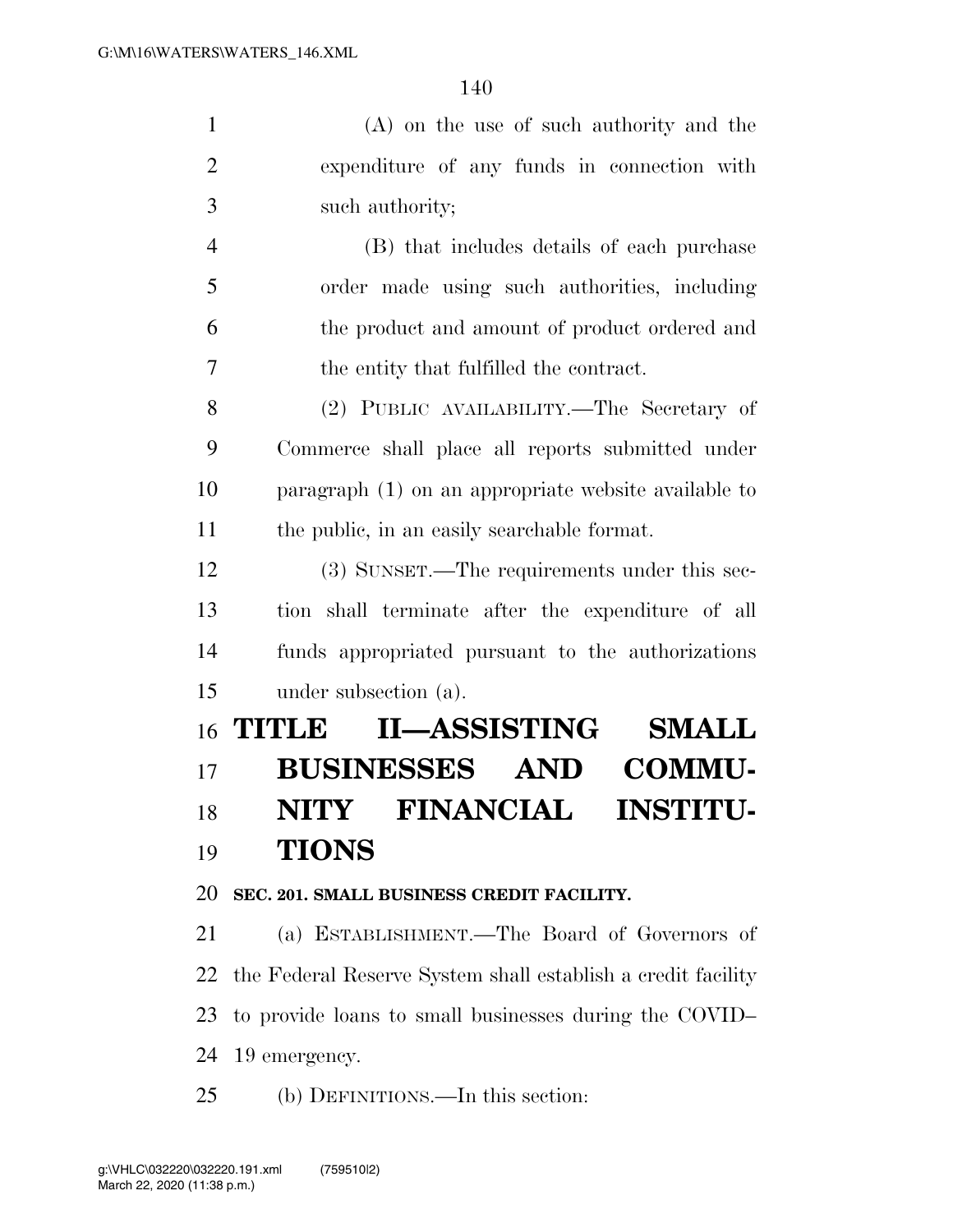(A) on the use of such authority and the expenditure of any funds in connection with such authority; (B) that includes details of each purchase

 order made using such authorities, including the product and amount of product ordered and the entity that fulfilled the contract.

 (2) PUBLIC AVAILABILITY.—The Secretary of Commerce shall place all reports submitted under paragraph (1) on an appropriate website available to the public, in an easily searchable format.

 (3) SUNSET.—The requirements under this sec- tion shall terminate after the expenditure of all funds appropriated pursuant to the authorizations under subsection (a).

# **TITLE II—ASSISTING SMALL BUSINESSES AND COMMU- NITY FINANCIAL INSTITU-TIONS**

#### **SEC. 201. SMALL BUSINESS CREDIT FACILITY.**

 (a) ESTABLISHMENT.—The Board of Governors of the Federal Reserve System shall establish a credit facility to provide loans to small businesses during the COVID– 19 emergency.

(b) DEFINITIONS.—In this section: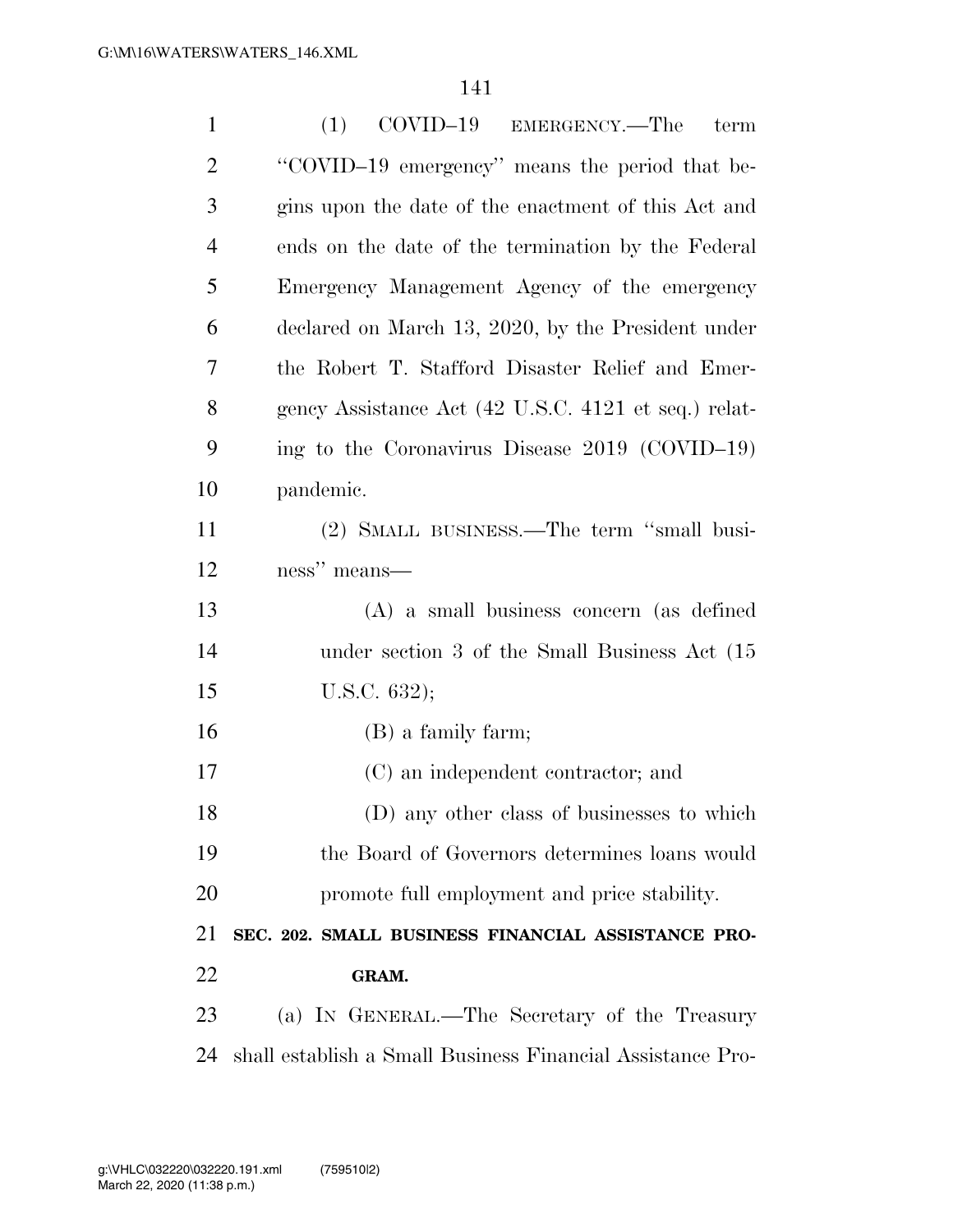| $\mathbf{1}$   | (1)<br>COVID-19 EMERGENCY.—The<br>term                     |
|----------------|------------------------------------------------------------|
| $\overline{2}$ | "COVID-19 emergency" means the period that be-             |
| 3              | gins upon the date of the enactment of this Act and        |
| $\overline{4}$ | ends on the date of the termination by the Federal         |
| 5              | Emergency Management Agency of the emergency               |
| 6              | declared on March 13, 2020, by the President under         |
| 7              | the Robert T. Stafford Disaster Relief and Emer-           |
| 8              | gency Assistance Act (42 U.S.C. 4121 et seq.) relat-       |
| 9              | ing to the Coronavirus Disease 2019 (COVID-19)             |
| 10             | pandemic.                                                  |
| 11             | (2) SMALL BUSINESS.—The term "small busi-                  |
| 12             | ness" means—                                               |
| 13             | $(A)$ a small business concern (as defined                 |
| 14             | under section 3 of the Small Business Act (15              |
| 15             | U.S.C. $632$ );                                            |
| 16             | $(B)$ a family farm;                                       |
| 17             | (C) an independent contractor; and                         |
| 18             | (D) any other class of businesses to which                 |
| 19             | the Board of Governors determines loans would              |
| 20             | promote full employment and price stability.               |
| 21             | SEC. 202. SMALL BUSINESS FINANCIAL ASSISTANCE PRO-         |
| 22             | GRAM.                                                      |
| 23             | (a) IN GENERAL.—The Secretary of the Treasury              |
| 24             | shall establish a Small Business Financial Assistance Pro- |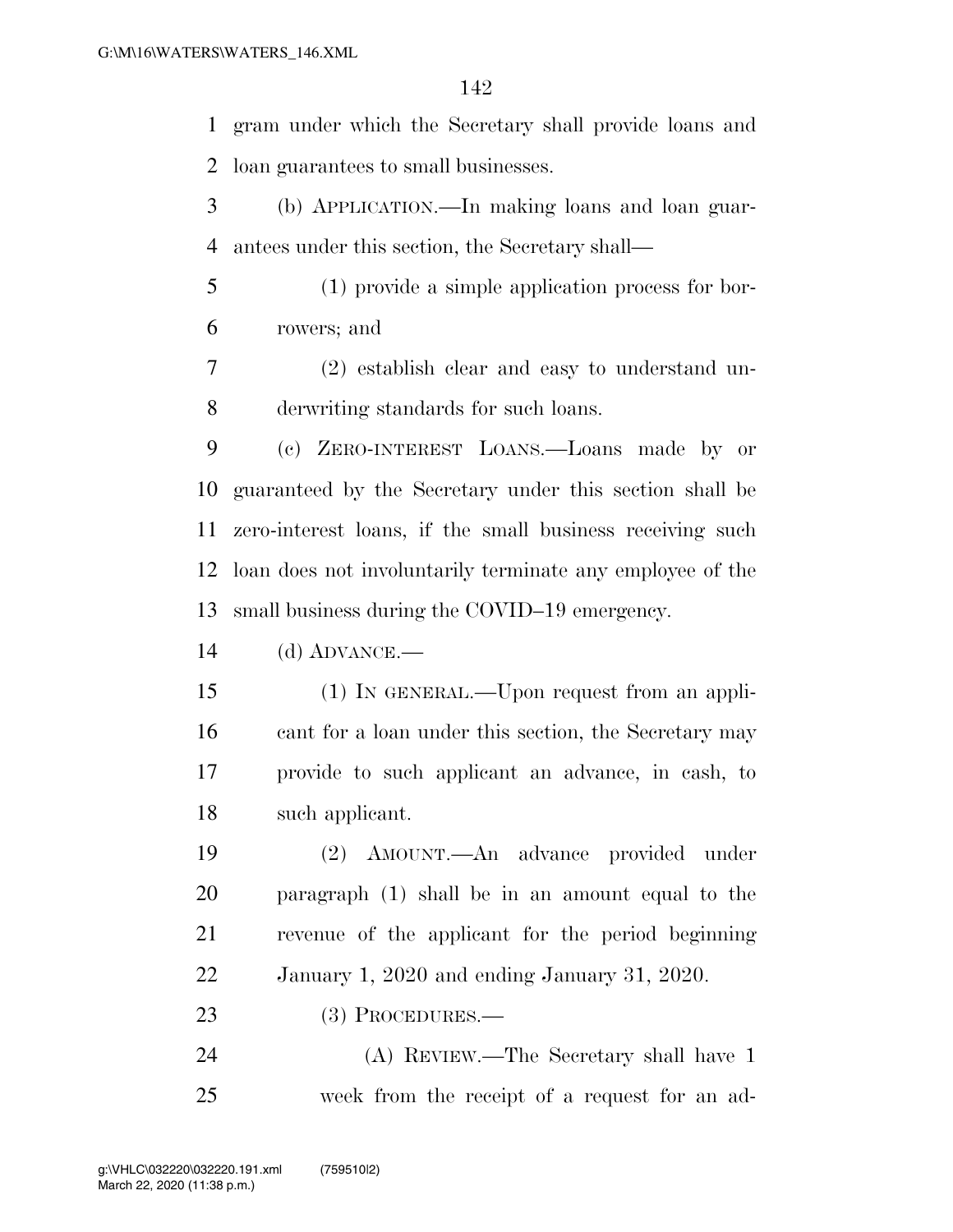gram under which the Secretary shall provide loans and loan guarantees to small businesses.

 (b) APPLICATION.—In making loans and loan guar-antees under this section, the Secretary shall—

 (1) provide a simple application process for bor-rowers; and

 (2) establish clear and easy to understand un-derwriting standards for such loans.

 (c) ZERO-INTEREST LOANS.—Loans made by or guaranteed by the Secretary under this section shall be zero-interest loans, if the small business receiving such loan does not involuntarily terminate any employee of the small business during the COVID–19 emergency.

(d) ADVANCE.—

 (1) IN GENERAL.—Upon request from an appli-16 cant for a loan under this section, the Secretary may provide to such applicant an advance, in cash, to such applicant.

 (2) AMOUNT.—An advance provided under paragraph (1) shall be in an amount equal to the revenue of the applicant for the period beginning January 1, 2020 and ending January 31, 2020.

23 (3) PROCEDURES.—

 (A) REVIEW.—The Secretary shall have 1 week from the receipt of a request for an ad-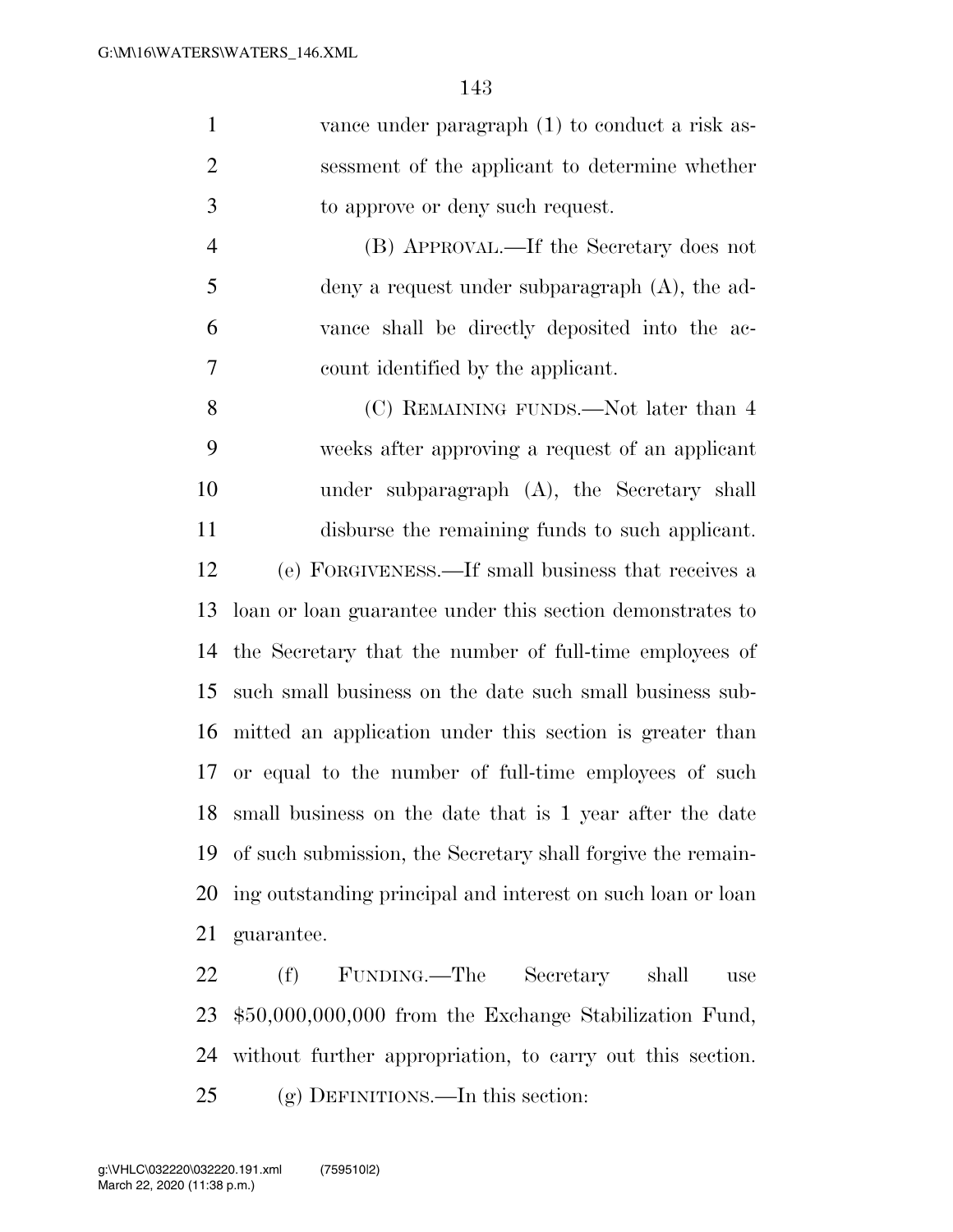| $\mathbf{1}$   | vance under paragraph (1) to conduct a risk as-             |
|----------------|-------------------------------------------------------------|
| $\overline{2}$ | sessment of the applicant to determine whether              |
| 3              | to approve or deny such request.                            |
| $\overline{4}$ | (B) APPROVAL.—If the Secretary does not                     |
| 5              | deny a request under subparagraph $(A)$ , the ad-           |
| 6              | vance shall be directly deposited into the ac-              |
| $\tau$         | count identified by the applicant.                          |
| 8              | (C) REMAINING FUNDS.—Not later than 4                       |
| 9              | weeks after approving a request of an applicant             |
| 10             | under subparagraph $(A)$ , the Secretary shall              |
| 11             | disburse the remaining funds to such applicant.             |
| 12             | (e) FORGIVENESS.—If small business that receives a          |
| 13             | loan or loan guarantee under this section demonstrates to   |
| 14             | the Secretary that the number of full-time employees of     |
| 15             | such small business on the date such small business sub-    |
| 16             | mitted an application under this section is greater than    |
| 17             | or equal to the number of full-time employees of such       |
| 18             | small business on the date that is 1 year after the date    |
| 19             | of such submission, the Secretary shall forgive the remain- |

 ing outstanding principal and interest on such loan or loan guarantee.

 (f) FUNDING.—The Secretary shall use \$50,000,000,000 from the Exchange Stabilization Fund, without further appropriation, to carry out this section. (g) DEFINITIONS.—In this section: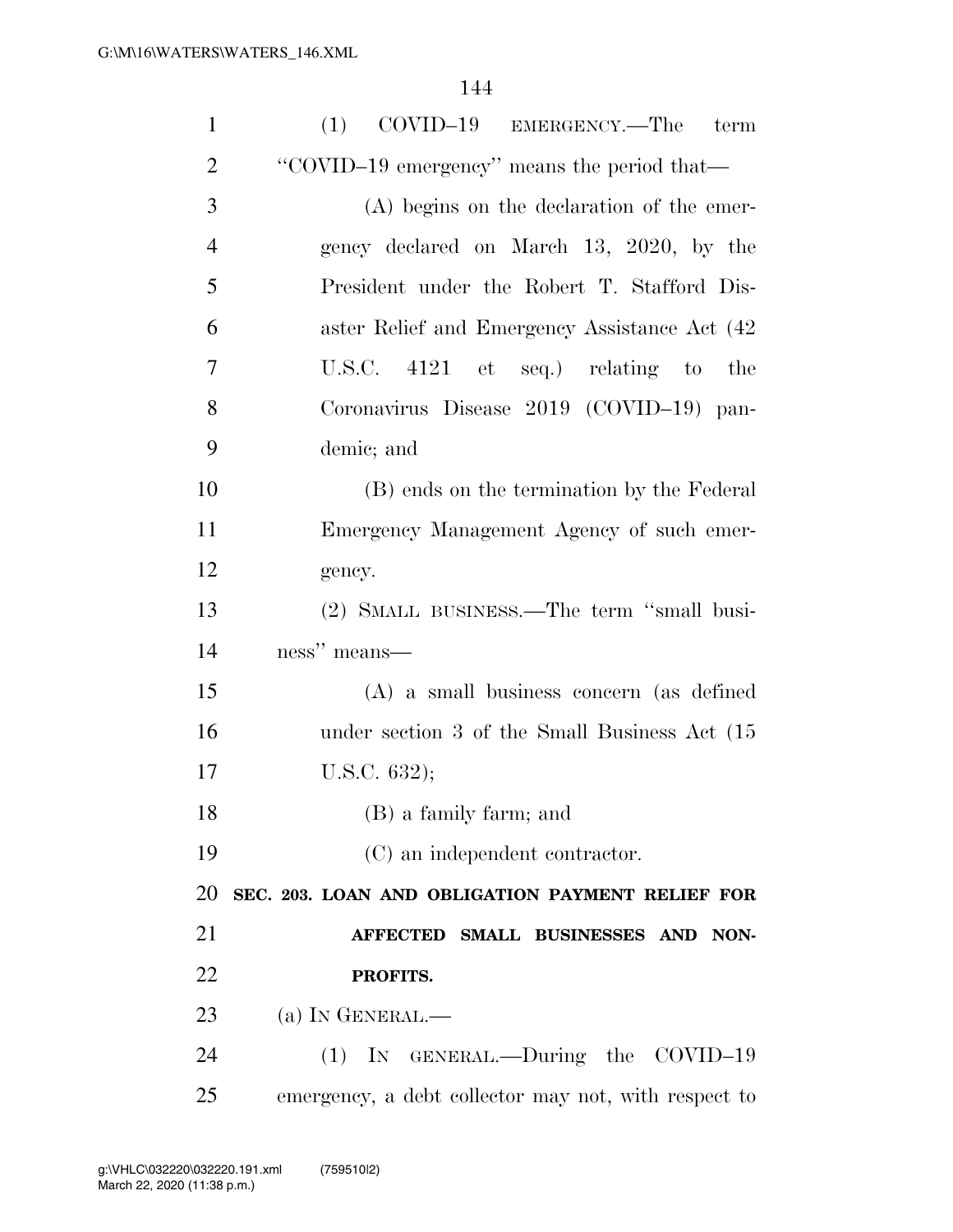| $\mathbf{1}$   | $\text{COVID}-19$ EMERGENCY.—The term<br>(1)         |
|----------------|------------------------------------------------------|
| $\overline{2}$ | "COVID-19 emergency" means the period that-          |
| 3              | (A) begins on the declaration of the emer-           |
| $\overline{4}$ | gency declared on March 13, 2020, by the             |
| 5              | President under the Robert T. Stafford Dis-          |
| 6              | aster Relief and Emergency Assistance Act (42)       |
| $\overline{7}$ | U.S.C. $4121$ et seq.) relating to<br>the            |
| 8              | Coronavirus Disease 2019 (COVID-19) pan-             |
| 9              | demic; and                                           |
| 10             | (B) ends on the termination by the Federal           |
| 11             | Emergency Management Agency of such emer-            |
| 12             | gency.                                               |
| 13             | (2) SMALL BUSINESS.—The term "small busi-            |
| 14             | ness" means—                                         |
| 15             | $(A)$ a small business concern (as defined           |
| 16             | under section 3 of the Small Business Act (15)       |
| 17             | U.S.C. $632$ );                                      |
| 18             | (B) a family farm; and                               |
| 19             | (C) an independent contractor.                       |
| 20             | SEC. 203. LOAN AND OBLIGATION PAYMENT RELIEF FOR     |
| 21             | AFFECTED SMALL BUSINESSES AND NON-                   |
| 22             | PROFITS.                                             |
| 23             | $(a)$ In GENERAL.—                                   |
| 24             | (1) IN GENERAL.—During the COVID-19                  |
| 25             | emergency, a debt collector may not, with respect to |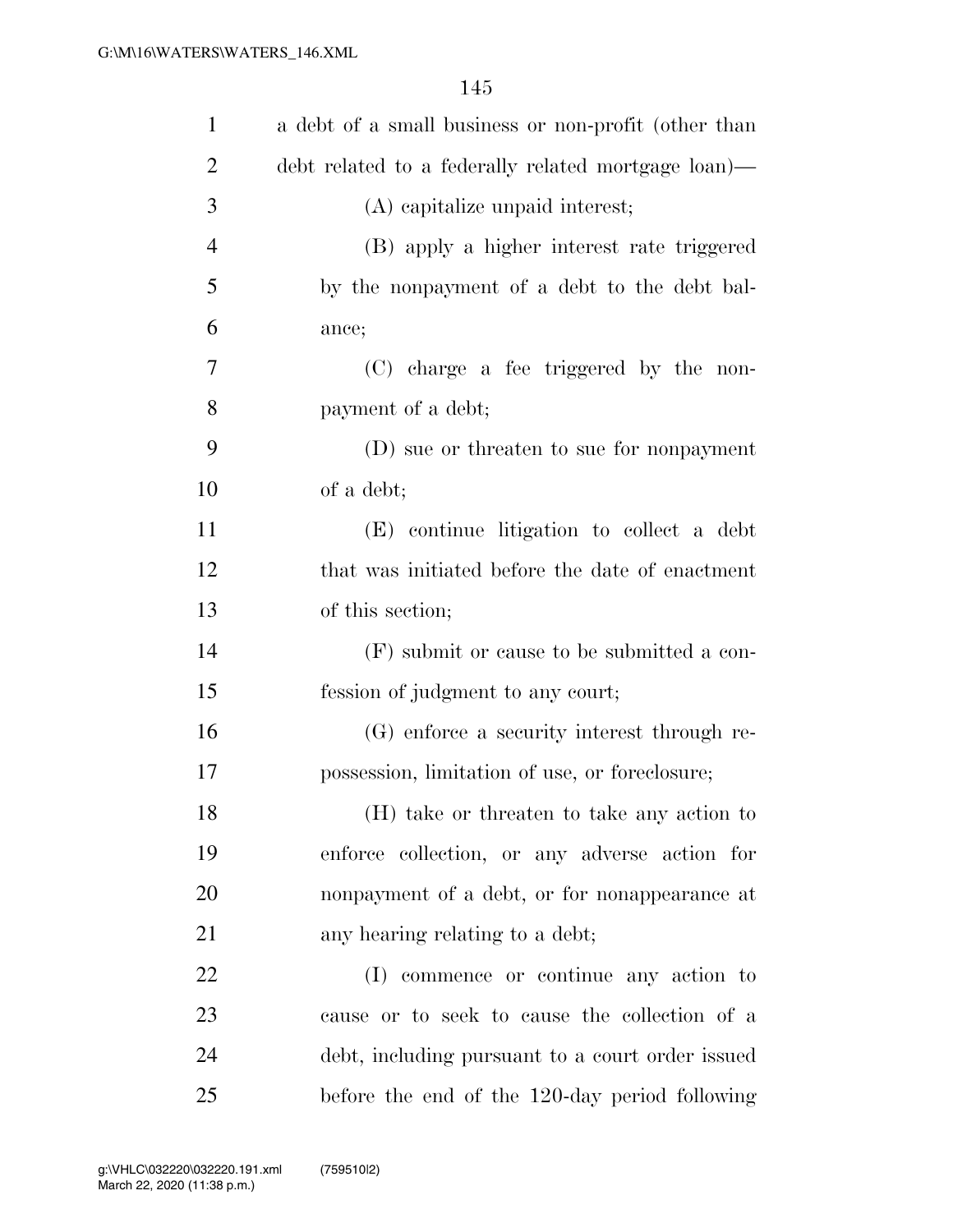| $\mathbf{1}$   | a debt of a small business or non-profit (other than |
|----------------|------------------------------------------------------|
| $\overline{2}$ | debt related to a federally related mortgage loan)—  |
| 3              | (A) capitalize unpaid interest;                      |
| $\overline{4}$ | (B) apply a higher interest rate triggered           |
| 5              | by the nonpayment of a debt to the debt bal-         |
| 6              | ance;                                                |
| 7              | (C) charge a fee triggered by the non-               |
| 8              | payment of a debt;                                   |
| 9              | (D) sue or threaten to sue for nonpayment            |
| 10             | of a debt;                                           |
| 11             | (E) continue litigation to collect a debt            |
| 12             | that was initiated before the date of enactment      |
| 13             | of this section;                                     |
| 14             | (F) submit or cause to be submitted a con-           |
| 15             | fession of judgment to any court;                    |
| 16             | (G) enforce a security interest through re-          |
| 17             | possession, limitation of use, or foreclosure;       |
| 18             | (H) take or threaten to take any action to           |
| 19             | enforce collection, or any adverse action for        |
| 20             | nonpayment of a debt, or for nonappearance at        |
| 21             | any hearing relating to a debt;                      |
| 22             | (I) commence or continue any action to               |
| 23             | cause or to seek to cause the collection of a        |
| 24             | debt, including pursuant to a court order issued     |
| 25             | before the end of the 120-day period following       |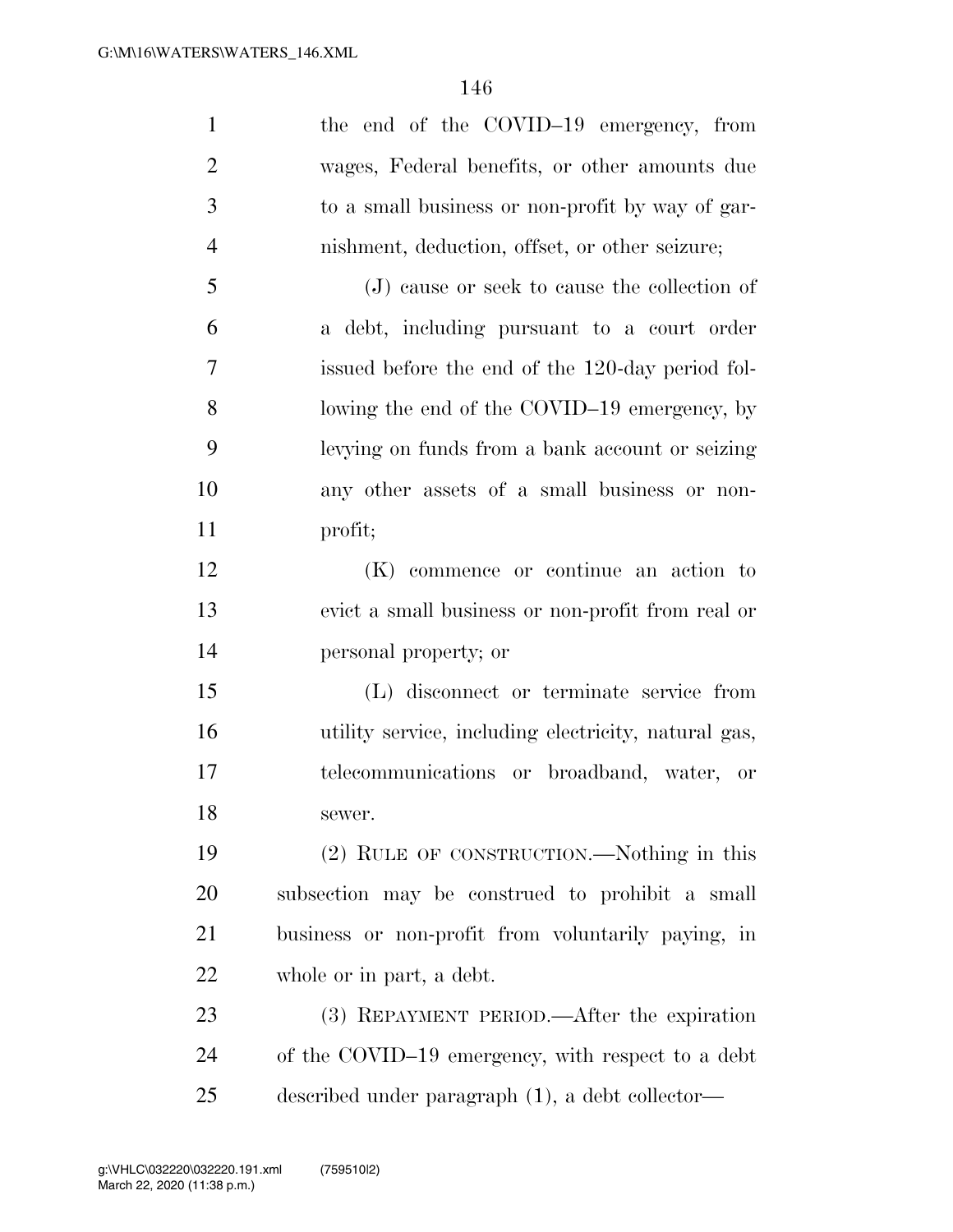| $\mathbf{1}$   | the end of the COVID-19 emergency, from              |
|----------------|------------------------------------------------------|
| $\overline{2}$ | wages, Federal benefits, or other amounts due        |
| 3              | to a small business or non-profit by way of gar-     |
| $\overline{4}$ | nishment, deduction, offset, or other seizure;       |
| 5              | (J) cause or seek to cause the collection of         |
| 6              | a debt, including pursuant to a court order          |
| 7              | issued before the end of the 120-day period fol-     |
| 8              | lowing the end of the COVID-19 emergency, by         |
| 9              | levying on funds from a bank account or seizing      |
| 10             | any other assets of a small business or non-         |
| 11             | profit;                                              |
| 12             | (K) commence or continue an action to                |
| 13             | evict a small business or non-profit from real or    |
| 14             | personal property; or                                |
| 15             | (L) disconnect or terminate service from             |
| 16             | utility service, including electricity, natural gas, |
| 17             | telecommunications or broadband, water, or           |
| 18             | sewer.                                               |
| 19             | (2) RULE OF CONSTRUCTION.—Nothing in this            |
| 20             | subsection may be construed to prohibit a small      |
| 21             | business or non-profit from voluntarily paying, in   |
| 22             | whole or in part, a debt.                            |
| 23             | (3) REPAYMENT PERIOD.—After the expiration           |
| 24             | of the COVID-19 emergency, with respect to a debt    |
| 25             | described under paragraph (1), a debt collector—     |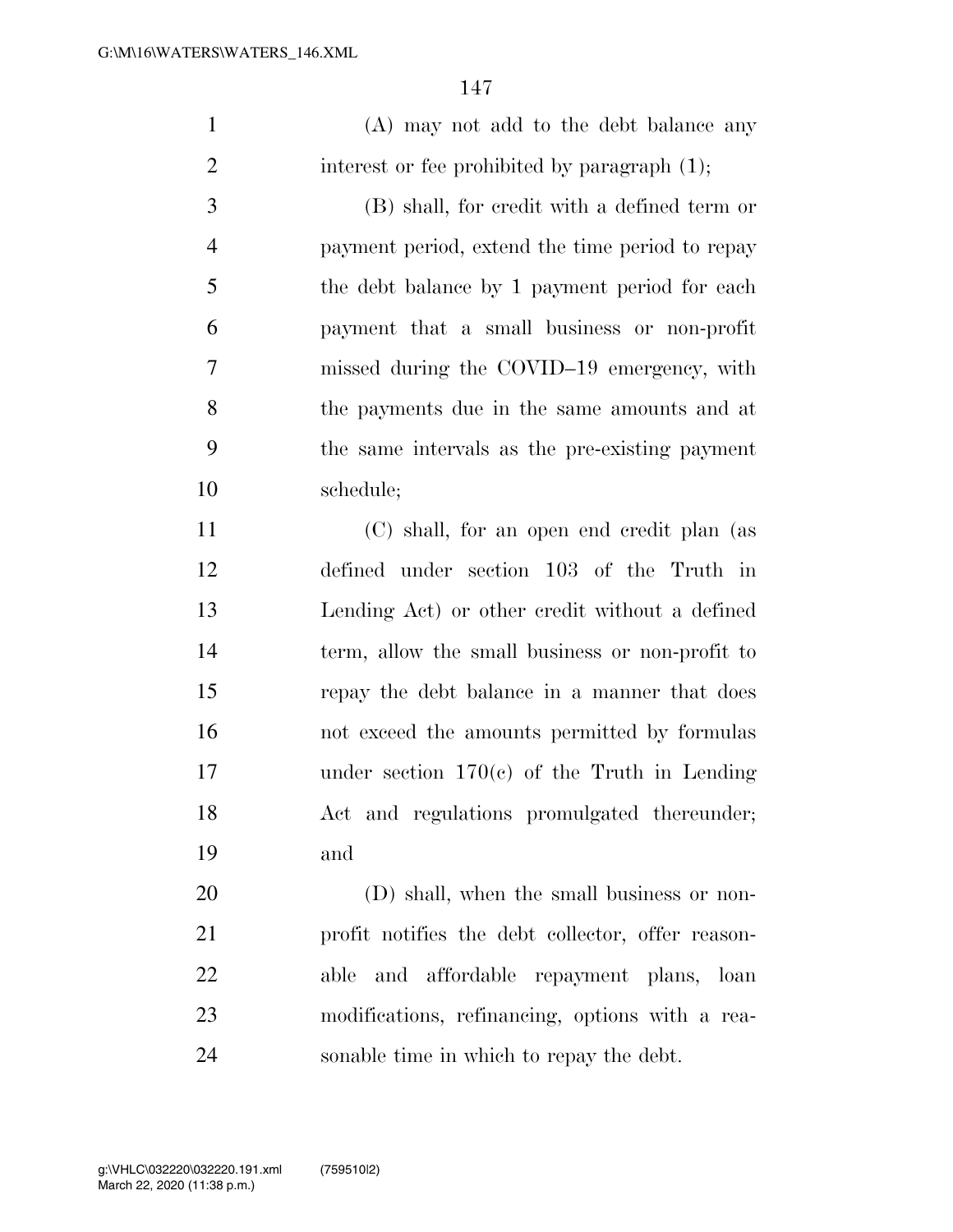|                | 14 I                                            |
|----------------|-------------------------------------------------|
| 1              | (A) may not add to the debt balance any         |
| $\overline{2}$ | interest or fee prohibited by paragraph $(1)$ ; |
| 3              | (B) shall, for credit with a defined term or    |
| $\overline{4}$ | payment period, extend the time period to repay |
| 5              | the debt balance by 1 payment period for each   |
| 6              | payment that a small business or non-profit     |
| 7              | missed during the COVID-19 emergency, with      |
| 8              | the payments due in the same amounts and at     |
| 9              | the same intervals as the pre-existing payment  |
| 10             | schedule;                                       |
| 11             | (C) shall for an open end credit plan (as       |

 (C) shall, for an open end credit plan (as defined under section 103 of the Truth in Lending Act) or other credit without a defined term, allow the small business or non-profit to repay the debt balance in a manner that does not exceed the amounts permitted by formulas under section 170(c) of the Truth in Lending Act and regulations promulgated thereunder; and

20 (D) shall, when the small business or non- profit notifies the debt collector, offer reason- able and affordable repayment plans, loan modifications, refinancing, options with a rea-sonable time in which to repay the debt.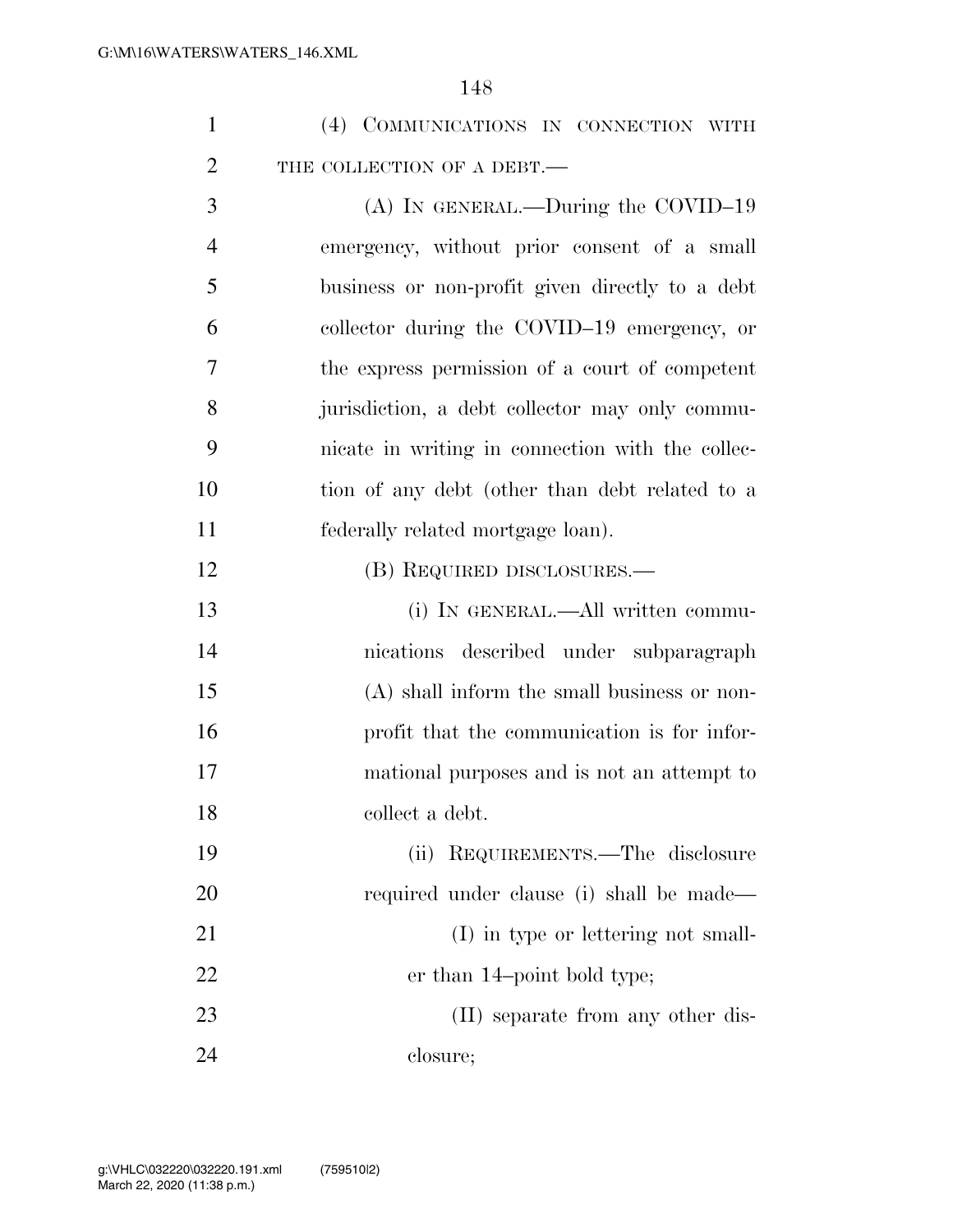|  | (4) COMMUNICATIONS IN CONNECTION WITH |  |  |
|--|---------------------------------------|--|--|
|  | THE COLLECTION OF A DEBT.—            |  |  |

 (A) IN GENERAL.—During the COVID–19 emergency, without prior consent of a small business or non-profit given directly to a debt collector during the COVID–19 emergency, or the express permission of a court of competent jurisdiction, a debt collector may only commu- nicate in writing in connection with the collec- tion of any debt (other than debt related to a federally related mortgage loan).

12 (B) REQUIRED DISCLOSURES.—

 (i) IN GENERAL.—All written commu- nications described under subparagraph (A) shall inform the small business or non- profit that the communication is for infor- mational purposes and is not an attempt to collect a debt.

 (ii) REQUIREMENTS.—The disclosure required under clause (i) shall be made— 21 (I) in type or lettering not small-22 er than 14-point bold type; 23 (II) separate from any other dis-closure;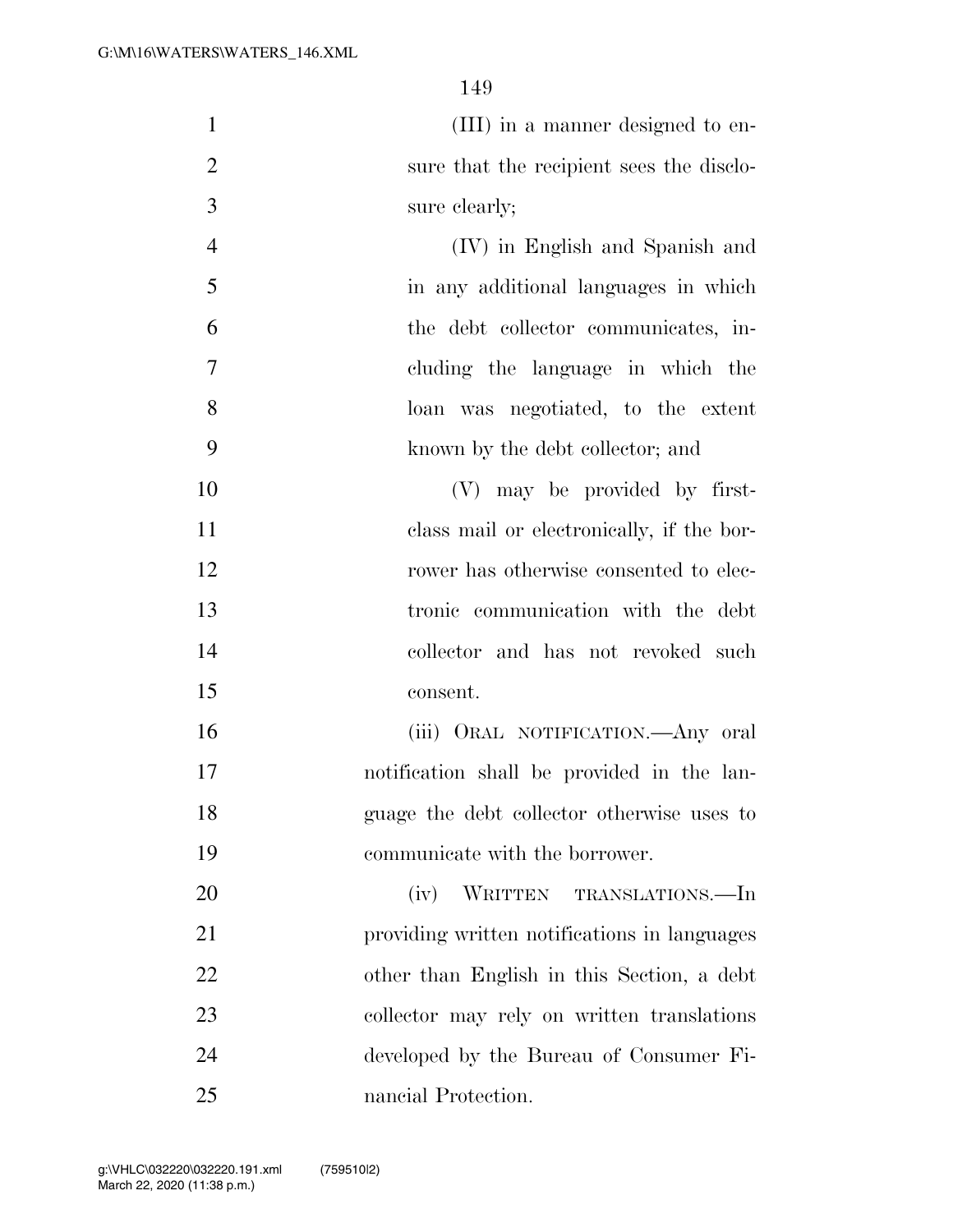(III) in a manner designed to en- sure that the recipient sees the disclo-sure clearly;

 (IV) in English and Spanish and in any additional languages in which the debt collector communicates, in- cluding the language in which the loan was negotiated, to the extent known by the debt collector; and

 (V) may be provided by first- class mail or electronically, if the bor- rower has otherwise consented to elec- tronic communication with the debt collector and has not revoked such consent.

 (iii) ORAL NOTIFICATION.—Any oral notification shall be provided in the lan- guage the debt collector otherwise uses to communicate with the borrower.

 (iv) WRITTEN TRANSLATIONS.—In providing written notifications in languages other than English in this Section, a debt collector may rely on written translations developed by the Bureau of Consumer Fi-nancial Protection.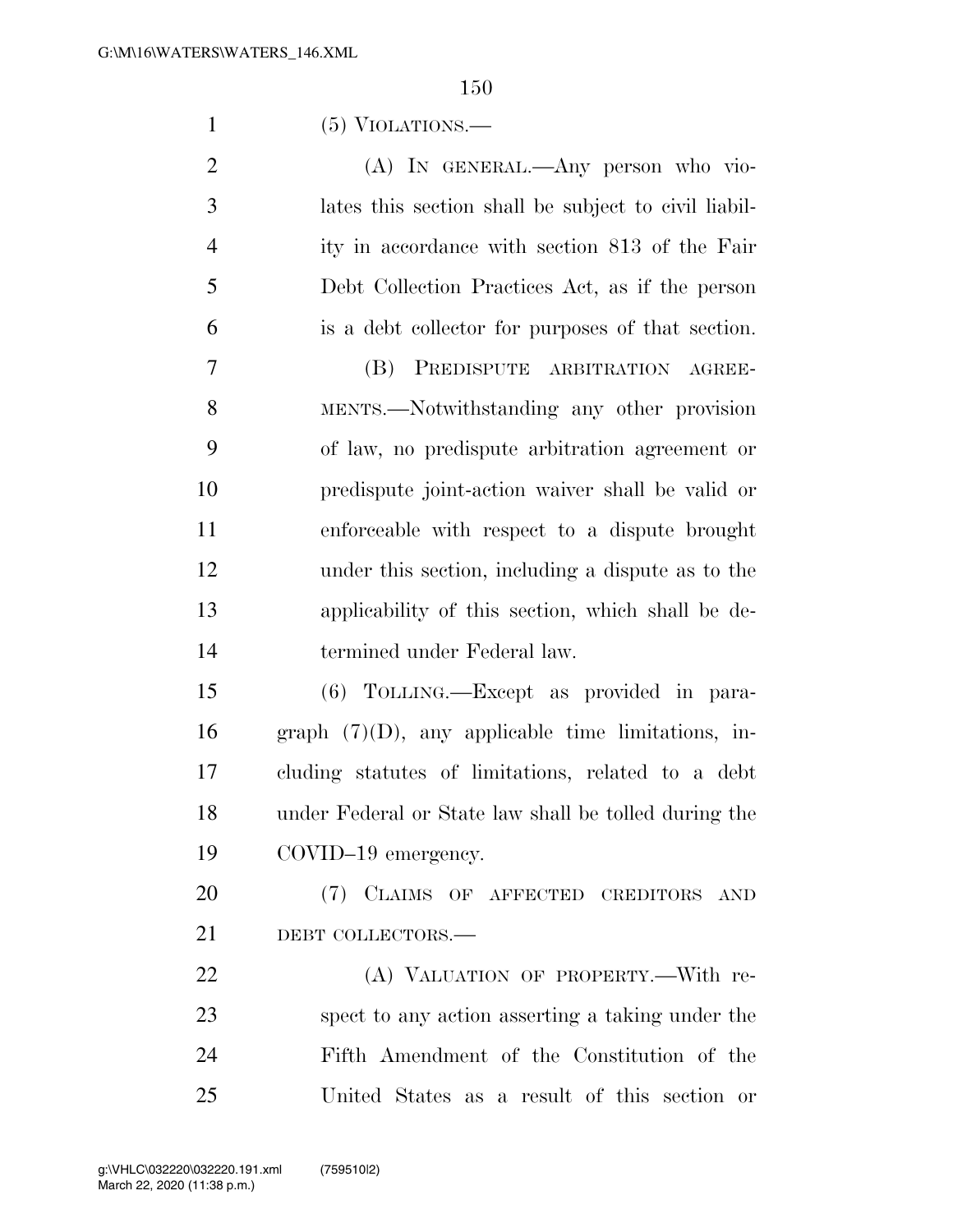(5) VIOLATIONS.—

| 2 | (A) IN GENERAL.—Any person who vio-                  |
|---|------------------------------------------------------|
| 3 | lates this section shall be subject to civil liabil- |
| 4 | ity in accordance with section 813 of the Fair       |
| 5 | Debt Collection Practices Act, as if the person      |
| 6 | is a debt collector for purposes of that section.    |

 (B) PREDISPUTE ARBITRATION AGREE- MENTS.—Notwithstanding any other provision of law, no predispute arbitration agreement or predispute joint-action waiver shall be valid or enforceable with respect to a dispute brought under this section, including a dispute as to the applicability of this section, which shall be de-termined under Federal law.

 (6) TOLLING.—Except as provided in para-16 graph  $(7)(D)$ , any applicable time limitations, in- cluding statutes of limitations, related to a debt under Federal or State law shall be tolled during the COVID–19 emergency.

 (7) CLAIMS OF AFFECTED CREDITORS AND 21 DEBT COLLECTORS.

22 (A) VALUATION OF PROPERTY.—With re- spect to any action asserting a taking under the Fifth Amendment of the Constitution of the United States as a result of this section or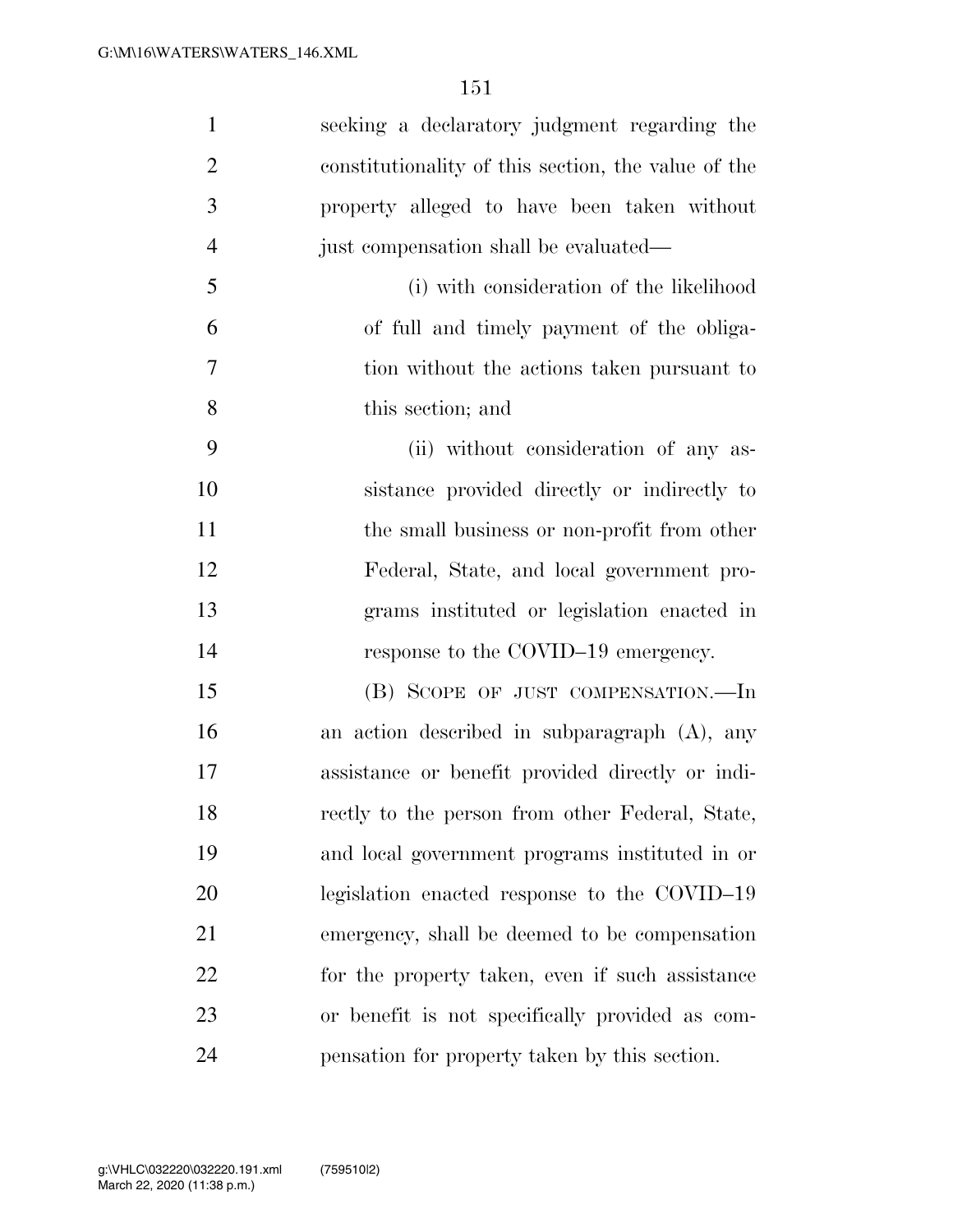| $\mathbf{1}$   | seeking a declaratory judgment regarding the        |
|----------------|-----------------------------------------------------|
| $\overline{2}$ | constitutionality of this section, the value of the |
| 3              | property alleged to have been taken without         |
| $\overline{4}$ | just compensation shall be evaluated—               |
| 5              | (i) with consideration of the likelihood            |
| 6              | of full and timely payment of the obliga-           |
| 7              | tion without the actions taken pursuant to          |
| 8              | this section; and                                   |
| 9              | (ii) without consideration of any as-               |
| 10             | sistance provided directly or indirectly to         |
| 11             | the small business or non-profit from other         |
| 12             | Federal, State, and local government pro-           |
| 13             | grams instituted or legislation enacted in          |
| 14             | response to the COVID-19 emergency.                 |
| 15             | (B) SCOPE OF JUST COMPENSATION.—In                  |
| 16             | an action described in subparagraph $(A)$ , any     |
| 17             | assistance or benefit provided directly or indi-    |
| 18             | rectly to the person from other Federal, State,     |
| 19             | and local government programs instituted in or      |
| 20             | legislation enacted response to the COVID-19        |
| 21             | emergency, shall be deemed to be compensation       |
| 22             | for the property taken, even if such assistance     |
| 23             | or benefit is not specifically provided as com-     |
| 24             | pensation for property taken by this section.       |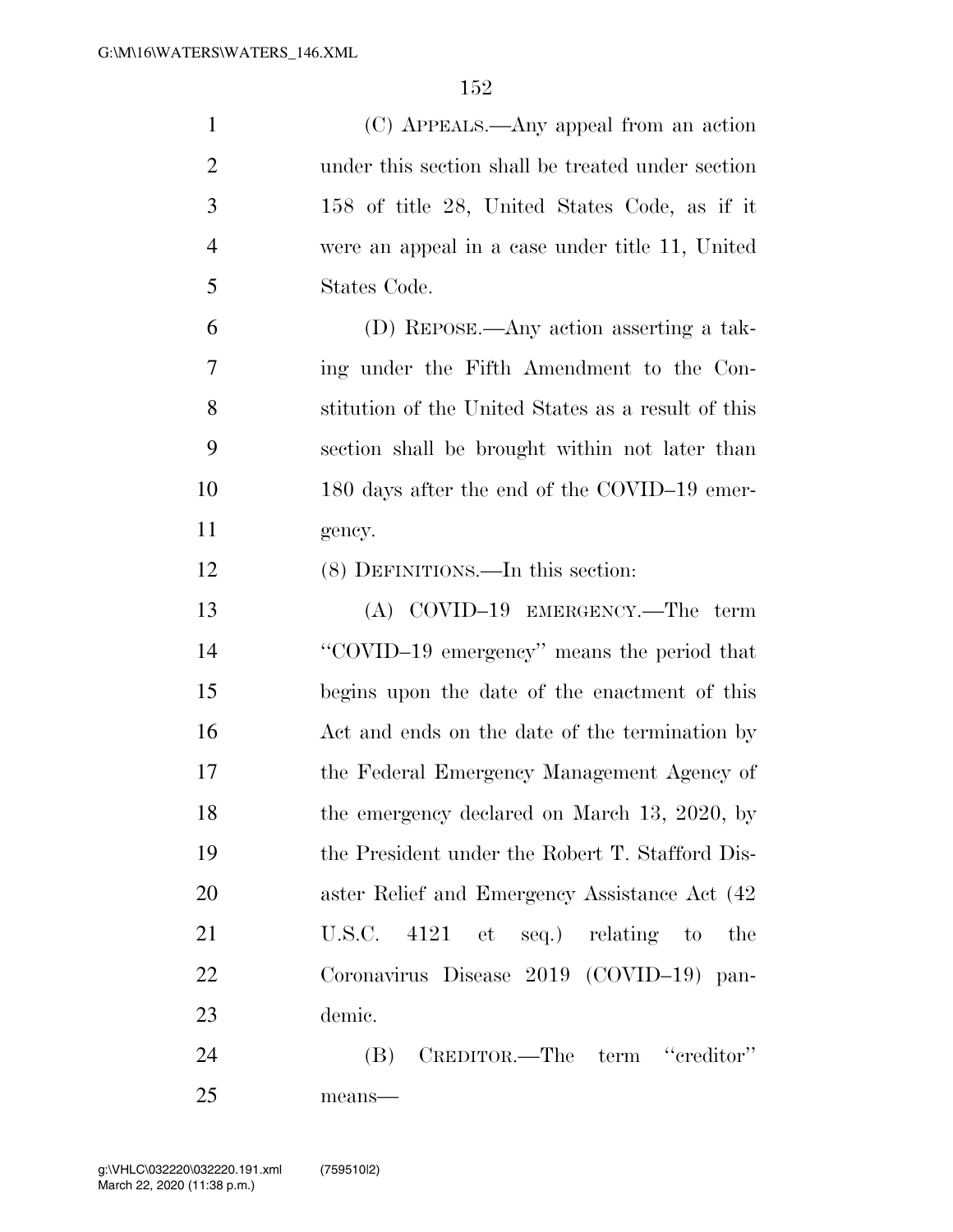| $\mathbf{1}$   | (C) APPEALS.—Any appeal from an action             |
|----------------|----------------------------------------------------|
| $\overline{2}$ | under this section shall be treated under section  |
| 3              | 158 of title 28, United States Code, as if it      |
| $\overline{4}$ | were an appeal in a case under title 11, United    |
| 5              | States Code.                                       |
| 6              | (D) REPOSE.—Any action asserting a tak-            |
| 7              | ing under the Fifth Amendment to the Con-          |
| 8              | stitution of the United States as a result of this |
| 9              | section shall be brought within not later than     |
| 10             | 180 days after the end of the COVID-19 emer-       |
| 11             | gency.                                             |
| 12             | (8) DEFINITIONS.—In this section:                  |
| 13             | $(A)$ COVID-19 EMERGENCY.—The term                 |
| 14             | "COVID-19 emergency" means the period that         |
| 15             | begins upon the date of the enactment of this      |
| 16             | Act and ends on the date of the termination by     |
| 17             | the Federal Emergency Management Agency of         |
| 18             | the emergency declared on March 13, 2020, by       |
| 19             | the President under the Robert T. Stafford Dis-    |
| 20             | aster Relief and Emergency Assistance Act (42)     |
| 21             | U.S.C. $4121$ et seq.) relating to<br>the          |
| 22             | Coronavirus Disease 2019 (COVID-19) pan-           |
| 23             | demic.                                             |
| 24             | (B) CREDITOR.—The term "creditor"                  |
| 25             | means-                                             |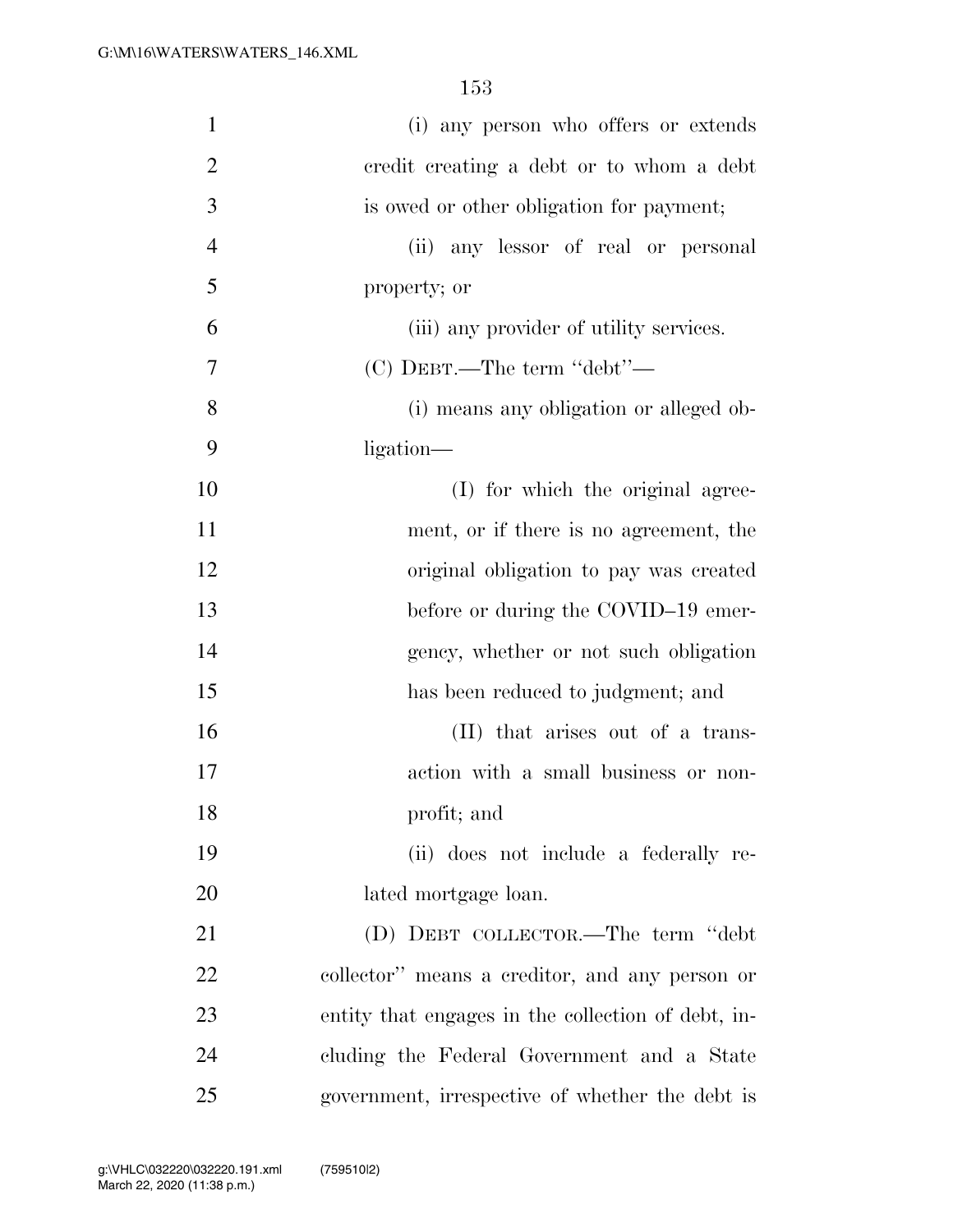| $\mathbf{1}$   | (i) any person who offers or extends               |
|----------------|----------------------------------------------------|
| $\overline{2}$ | credit creating a debt or to whom a debt           |
| 3              | is owed or other obligation for payment;           |
| $\overline{4}$ | (ii) any lessor of real or personal                |
| 5              | property; or                                       |
| 6              | (iii) any provider of utility services.            |
| 7              | $(C)$ DEBT.—The term "debt"—                       |
| 8              | (i) means any obligation or alleged ob-            |
| 9              | ligation—                                          |
| 10             | (I) for which the original agree-                  |
| 11             | ment, or if there is no agreement, the             |
| 12             | original obligation to pay was created             |
| 13             | before or during the COVID-19 emer-                |
| 14             | gency, whether or not such obligation              |
| 15             | has been reduced to judgment; and                  |
| 16             | (II) that arises out of a trans-                   |
| 17             | action with a small business or non-               |
| 18             | profit; and                                        |
| 19             | (ii) does not include a federally re-              |
| 20             | lated mortgage loan.                               |
| 21             | (D) DEBT COLLECTOR.—The term "debt                 |
| 22             | collector" means a creditor, and any person or     |
| 23             | entity that engages in the collection of debt, in- |
| 24             | cluding the Federal Government and a State         |
| 25             | government, irrespective of whether the debt is    |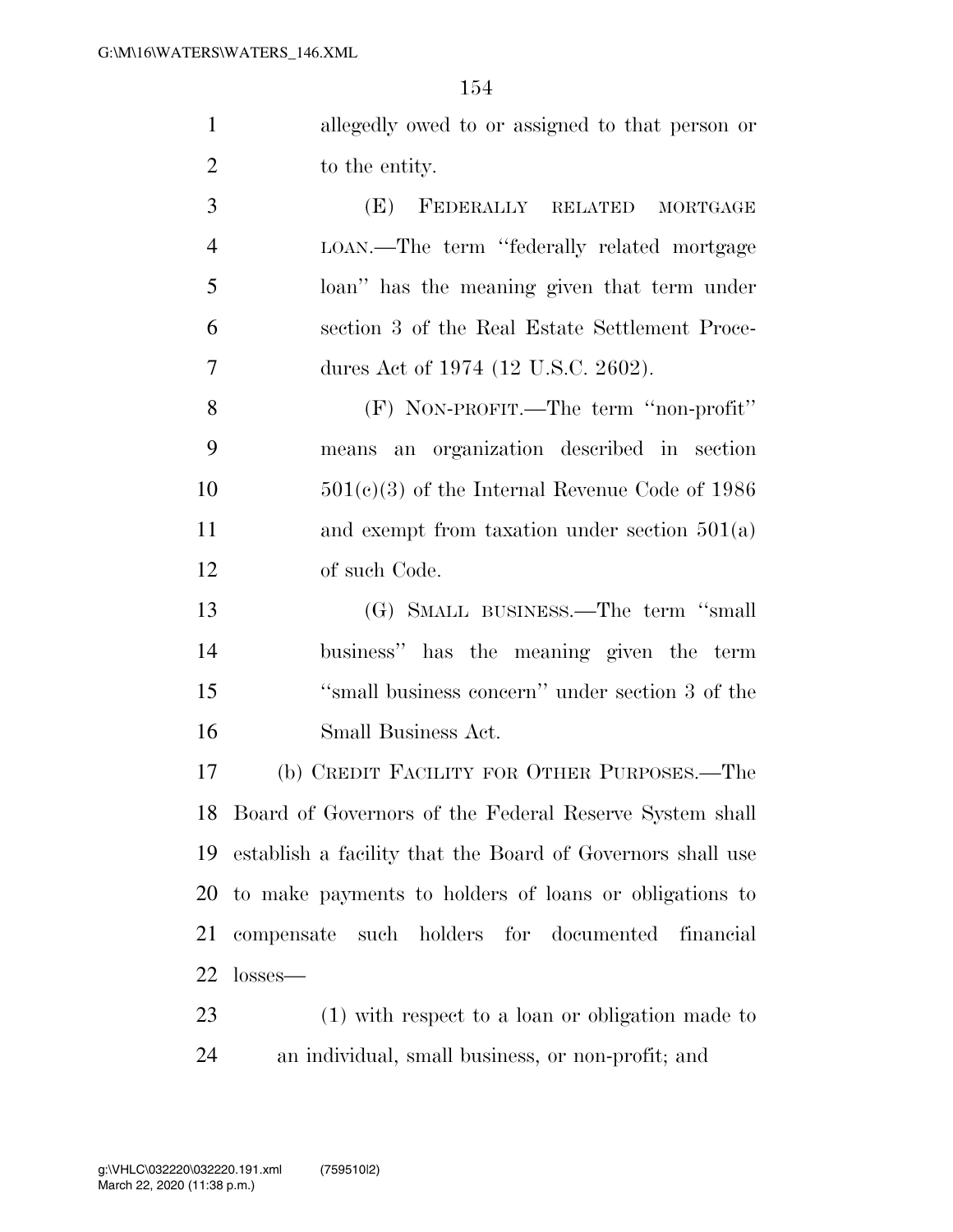| allegedly owed to or assigned to that person or |
|-------------------------------------------------|
| to the entity.                                  |

 (E) FEDERALLY RELATED MORTGAGE LOAN.—The term ''federally related mortgage loan'' has the meaning given that term under section 3 of the Real Estate Settlement Proce-7 dures Act of 1974 (12 U.S.C. 2602).

 (F) NON-PROFIT.—The term ''non-profit'' means an organization described in section 501(c)(3) of the Internal Revenue Code of 1986 11 and exempt from taxation under section 501(a) of such Code.

 (G) SMALL BUSINESS.—The term ''small business'' has the meaning given the term ''small business concern'' under section 3 of the Small Business Act.

 (b) CREDIT FACILITY FOR OTHER PURPOSES.—The Board of Governors of the Federal Reserve System shall establish a facility that the Board of Governors shall use to make payments to holders of loans or obligations to compensate such holders for documented financial losses—

 (1) with respect to a loan or obligation made to an individual, small business, or non-profit; and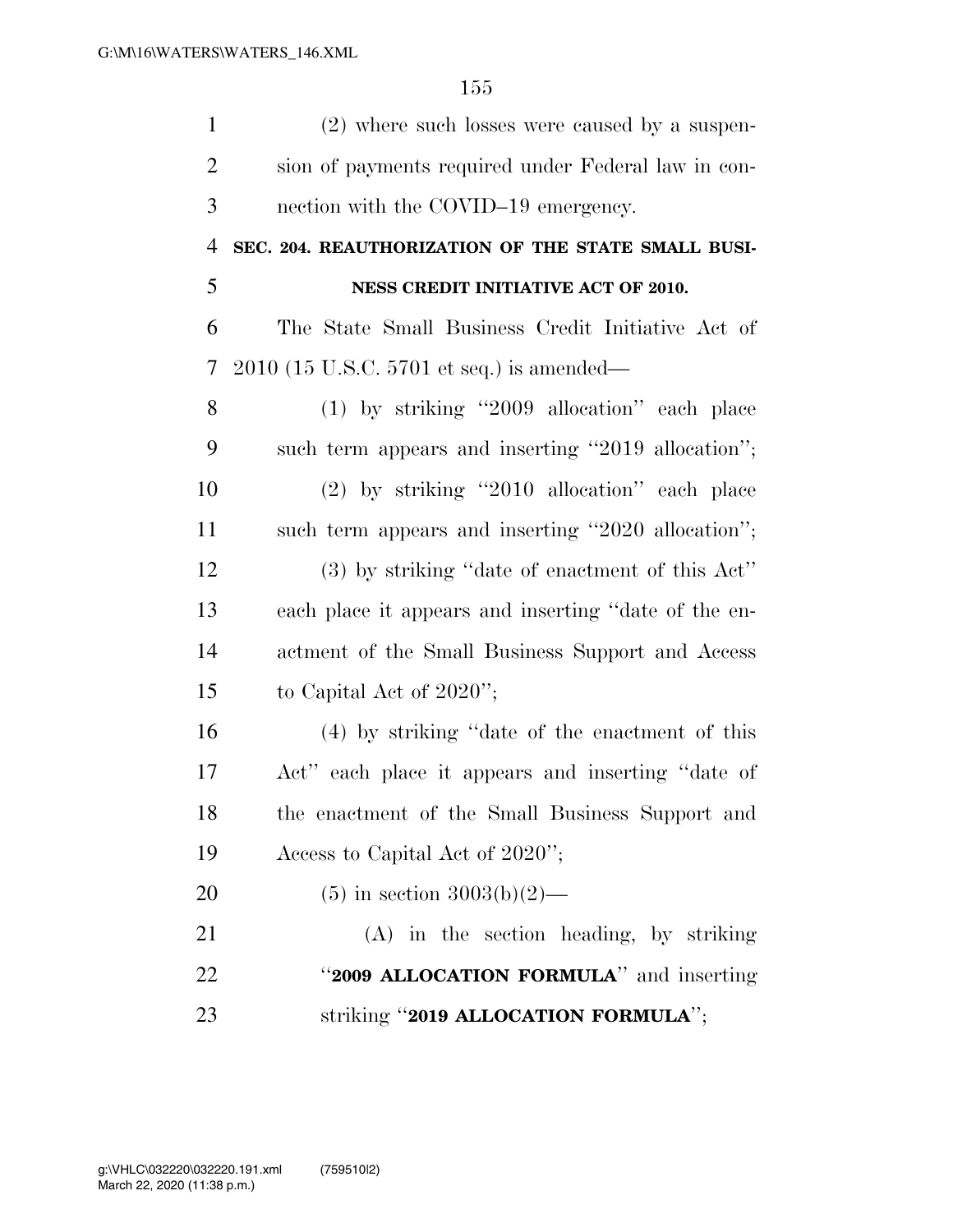| $\mathbf{1}$   | (2) where such losses were caused by a suspen-       |
|----------------|------------------------------------------------------|
| $\overline{2}$ | sion of payments required under Federal law in con-  |
| 3              | nection with the COVID-19 emergency.                 |
| $\overline{4}$ | SEC. 204. REAUTHORIZATION OF THE STATE SMALL BUSI-   |
| 5              | NESS CREDIT INITIATIVE ACT OF 2010.                  |
| 6              | The State Small Business Credit Initiative Act of    |
| $\tau$         | $2010$ (15 U.S.C. 5701 et seq.) is amended—          |
| 8              | $(1)$ by striking "2009 allocation" each place       |
| 9              | such term appears and inserting "2019 allocation";   |
| 10             | $(2)$ by striking "2010 allocation" each place       |
| 11             | such term appears and inserting "2020 allocation";   |
| 12             | $(3)$ by striking "date of enactment of this Act"    |
| 13             | each place it appears and inserting "date of the en- |
| 14             | actment of the Small Business Support and Access     |
| 15             | to Capital Act of $2020$ ";                          |
| 16             | (4) by striking "date of the enactment of this       |
| 17             | Act" each place it appears and inserting "date of    |
| 18             | the enactment of the Small Business Support and      |
| 19             | Access to Capital Act of 2020";                      |
| 20             | $(5)$ in section 3003(b)(2)—                         |
| 21             | $(A)$ in the section heading, by striking            |
| 22             | "2009 ALLOCATION FORMULA" and inserting              |
| 23             | striking "2019 ALLOCATION FORMULA";                  |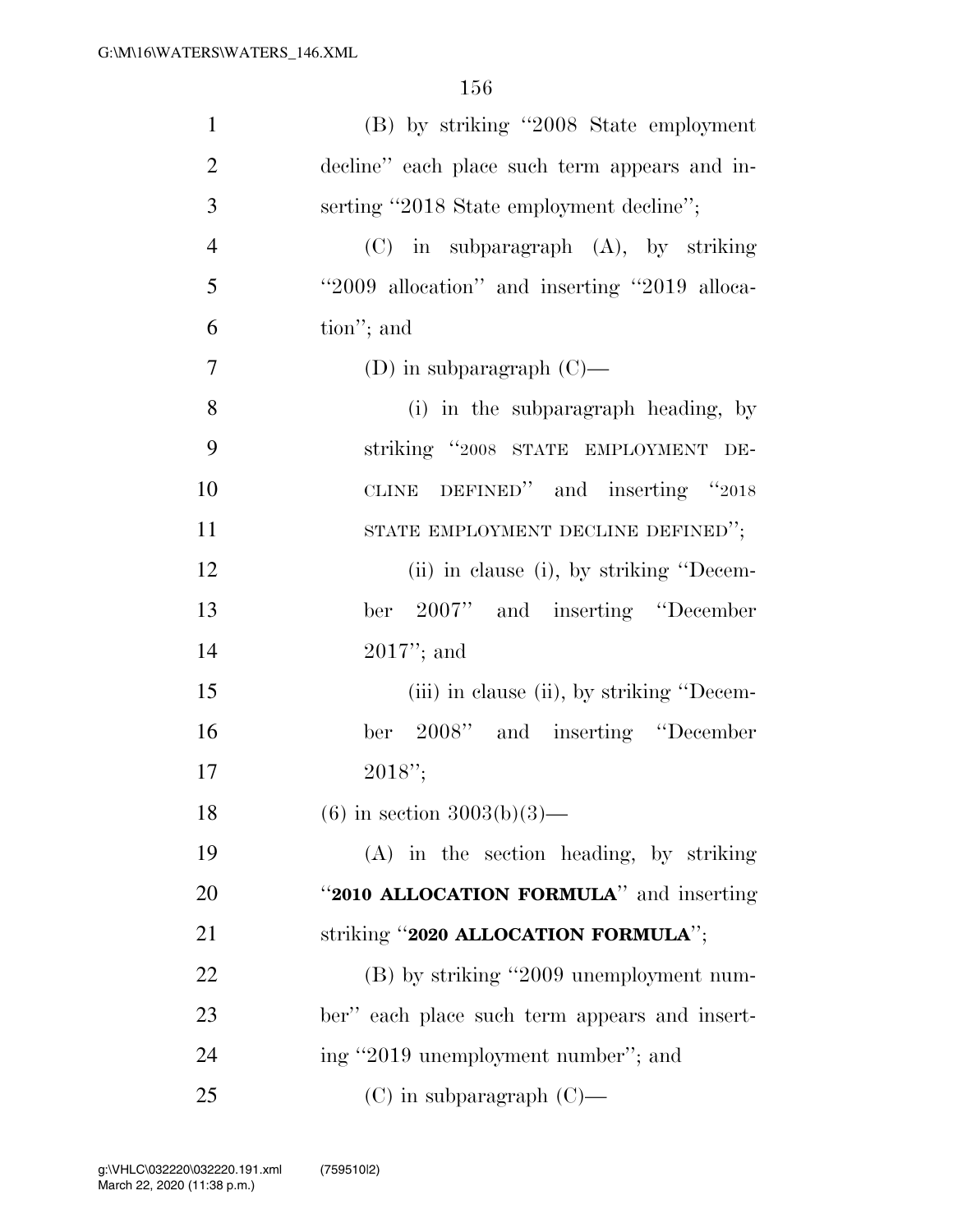| $\mathbf{1}$   | (B) by striking "2008 State employment        |
|----------------|-----------------------------------------------|
| $\overline{2}$ | decline" each place such term appears and in- |
| 3              | serting "2018 State employment decline";      |
| $\overline{4}$ | $(C)$ in subparagraph $(A)$ , by striking     |
| 5              | "2009 allocation" and inserting "2019 alloca- |
| 6              | tion"; and                                    |
| $\overline{7}$ | (D) in subparagraph $(C)$ —                   |
| 8              | (i) in the subparagraph heading, by           |
| 9              | striking "2008 STATE EMPLOYMENT DE-           |
| 10             | CLINE DEFINED" and inserting "2018            |
| 11             | STATE EMPLOYMENT DECLINE DEFINED";            |
| 12             | (ii) in clause (i), by striking "Decem-       |
| 13             | ber 2007" and inserting "December             |
| 14             | $2017$ "; and                                 |
| 15             | (iii) in clause (ii), by striking "Decem-     |
| 16             | ber 2008" and inserting "December             |
| 17             | $2018$ ";                                     |
| 18             | $(6)$ in section 3003(b)(3)—                  |
| 19             | (A) in the section heading, by striking       |
| 20             | "2010 ALLOCATION FORMULA" and inserting       |
| 21             | striking "2020 ALLOCATION FORMULA";           |
| 22             | (B) by striking "2009 unemployment num-       |
| 23             | ber" each place such term appears and insert- |
| 24             | ing "2019 unemployment number"; and           |
| 25             | $(C)$ in subparagraph $(C)$ —                 |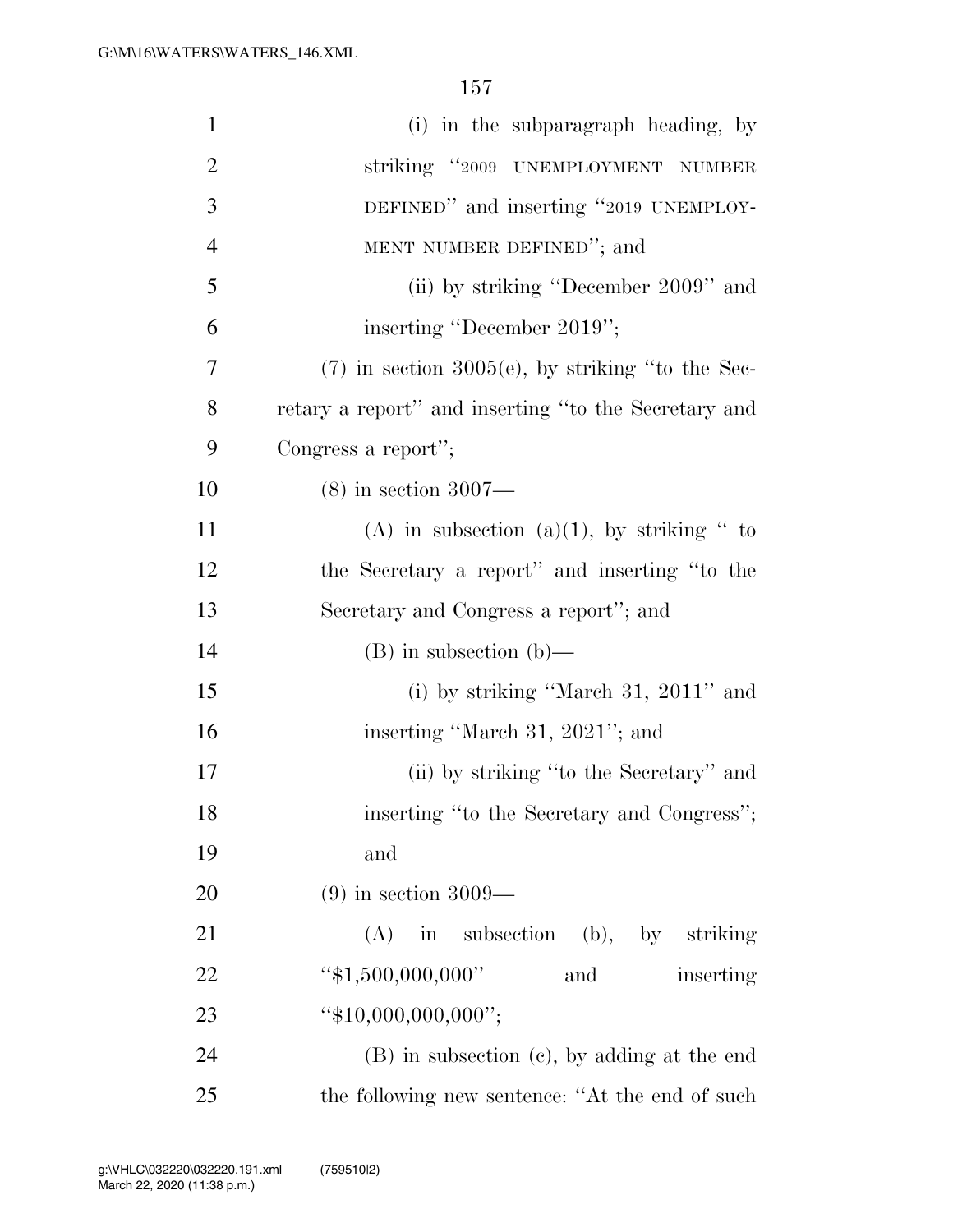| $\mathbf{1}$   | (i) in the subparagraph heading, by                  |
|----------------|------------------------------------------------------|
| $\overline{2}$ | striking "2009 UNEMPLOYMENT NUMBER                   |
| 3              | DEFINED" and inserting "2019 UNEMPLOY-               |
| $\overline{4}$ | MENT NUMBER DEFINED"; and                            |
| 5              | (ii) by striking "December 2009" and                 |
| 6              | inserting "December 2019";                           |
| 7              | $(7)$ in section 3005(e), by striking "to the Sec-   |
| 8              | retary a report" and inserting "to the Secretary and |
| 9              | Congress a report";                                  |
| 10             | $(8)$ in section 3007—                               |
| 11             | (A) in subsection (a)(1), by striking " to           |
| 12             | the Secretary a report" and inserting "to the        |
| 13             | Secretary and Congress a report"; and                |
| 14             | $(B)$ in subsection $(b)$ —                          |
| 15             | (i) by striking "March $31, 2011$ " and              |
| 16             | inserting "March 31, 2021"; and                      |
| 17             | (ii) by striking "to the Secretary" and              |
| 18             | inserting "to the Secretary and Congress";           |
| 19             | and                                                  |
| 20             | $(9)$ in section 3009—                               |
| 21             | $(A)$ in subsection $(b)$ , by striking              |
| 22             | " $$1,500,000,000"$<br>and<br>inserting              |
| 23             | " $$10,000,000,000$ ";                               |
| 24             | (B) in subsection (c), by adding at the end          |
| 25             | the following new sentence: "At the end of such      |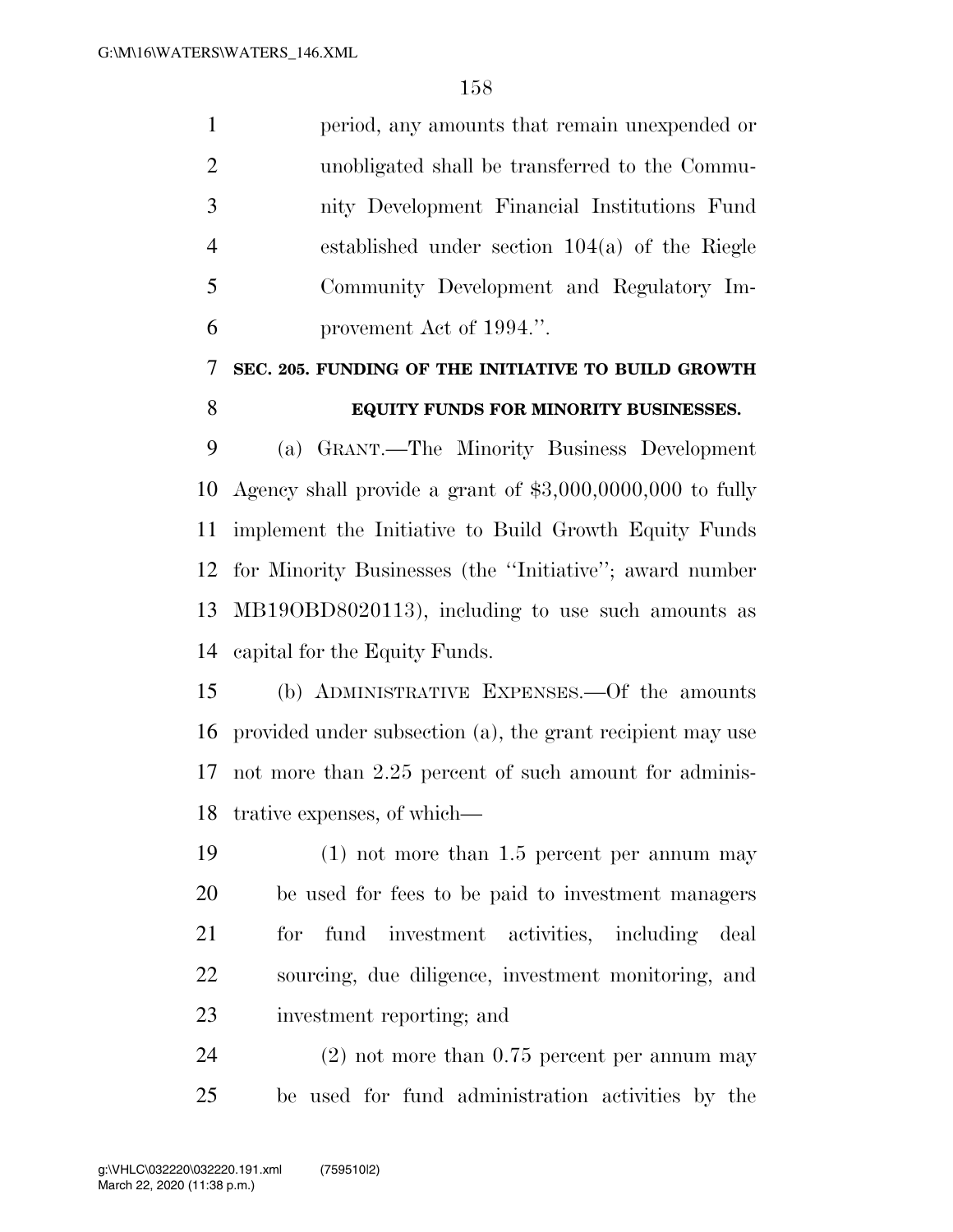period, any amounts that remain unexpended or unobligated shall be transferred to the Commu- nity Development Financial Institutions Fund established under section 104(a) of the Riegle Community Development and Regulatory Im-provement Act of 1994.''.

## **SEC. 205. FUNDING OF THE INITIATIVE TO BUILD GROWTH**

## **EQUITY FUNDS FOR MINORITY BUSINESSES.**

 (a) GRANT.—The Minority Business Development Agency shall provide a grant of \$3,000,0000,000 to fully implement the Initiative to Build Growth Equity Funds for Minority Businesses (the ''Initiative''; award number MB19OBD8020113), including to use such amounts as capital for the Equity Funds.

 (b) ADMINISTRATIVE EXPENSES.—Of the amounts provided under subsection (a), the grant recipient may use not more than 2.25 percent of such amount for adminis-trative expenses, of which—

 (1) not more than 1.5 percent per annum may be used for fees to be paid to investment managers for fund investment activities, including deal sourcing, due diligence, investment monitoring, and investment reporting; and

 (2) not more than 0.75 percent per annum may be used for fund administration activities by the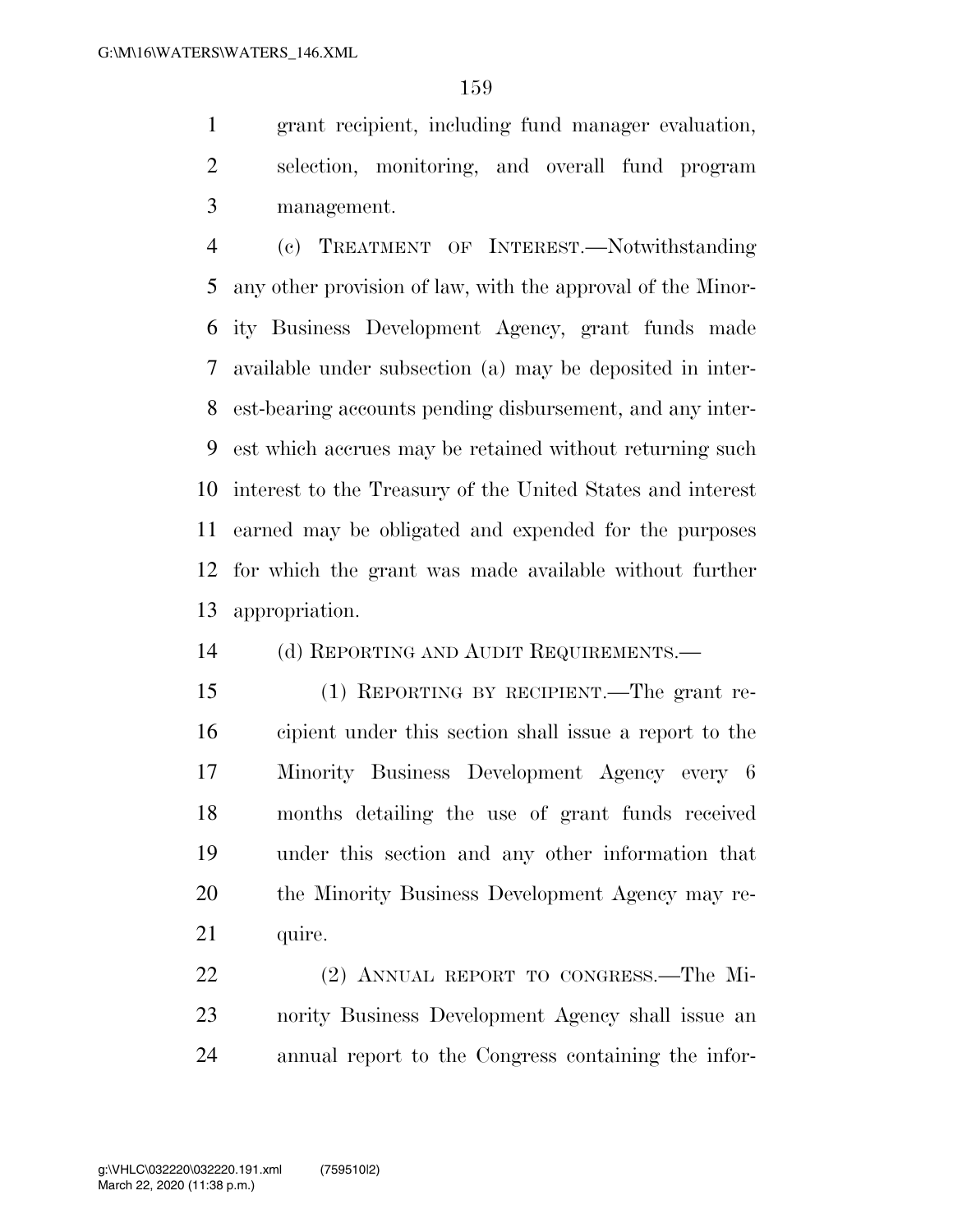grant recipient, including fund manager evaluation, selection, monitoring, and overall fund program management.

 (c) TREATMENT OF INTEREST.—Notwithstanding any other provision of law, with the approval of the Minor- ity Business Development Agency, grant funds made available under subsection (a) may be deposited in inter- est-bearing accounts pending disbursement, and any inter- est which accrues may be retained without returning such interest to the Treasury of the United States and interest earned may be obligated and expended for the purposes for which the grant was made available without further appropriation.

(d) REPORTING AND AUDIT REQUIREMENTS.—

 (1) REPORTING BY RECIPIENT.—The grant re- cipient under this section shall issue a report to the Minority Business Development Agency every 6 months detailing the use of grant funds received under this section and any other information that the Minority Business Development Agency may re-21 quire.

 (2) ANNUAL REPORT TO CONGRESS.—The Mi- nority Business Development Agency shall issue an annual report to the Congress containing the infor-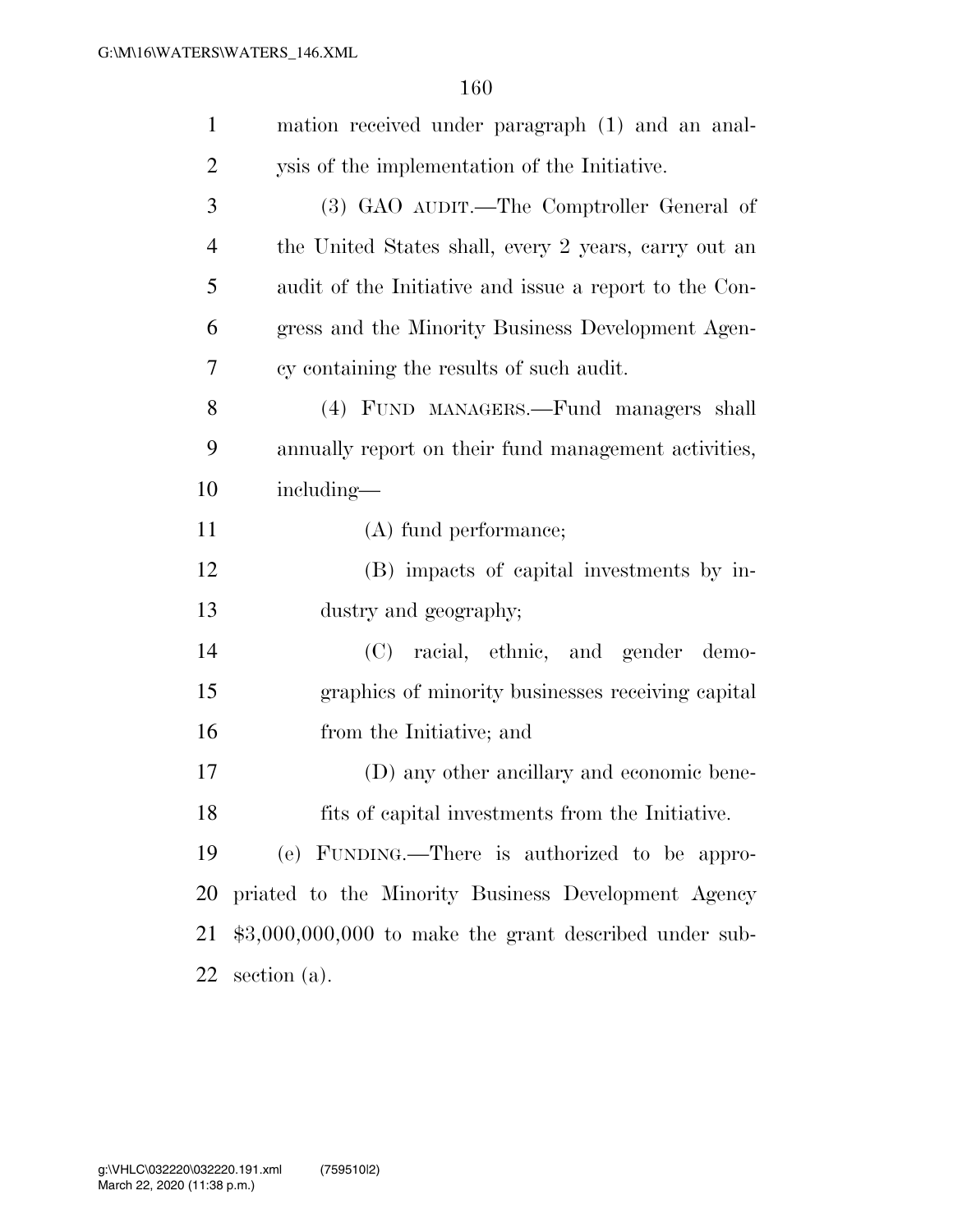| $\mathbf{1}$ | mation received under paragraph (1) and an anal-        |
|--------------|---------------------------------------------------------|
| 2            | ysis of the implementation of the Initiative.           |
| 3            | (3) GAO AUDIT.—The Comptroller General of               |
| 4            | the United States shall, every 2 years, carry out an    |
| 5            | audit of the Initiative and issue a report to the Con-  |
| 6            | gress and the Minority Business Development Agen-       |
| 7            | cy containing the results of such audit.                |
| 8            | (4) FUND MANAGERS.—Fund managers shall                  |
| 9            | annually report on their fund management activities,    |
| 10           | including—                                              |
| 11           | (A) fund performance;                                   |
| 12           | (B) impacts of capital investments by in-               |
| 13           | dustry and geography;                                   |
| 14           | (C) racial, ethnic, and gender demo-                    |
| 15           | graphics of minority businesses receiving capital       |
| 16           | from the Initiative; and                                |
| 17           | (D) any other ancillary and economic bene-              |
| 18           | fits of capital investments from the Initiative.        |
| 19           | (e) FUNDING.—There is authorized to be appro-           |
| 20           | priated to the Minority Business Development Agency     |
| 21           | $$3,000,000,000$ to make the grant described under sub- |
| 22           | section $(a)$ .                                         |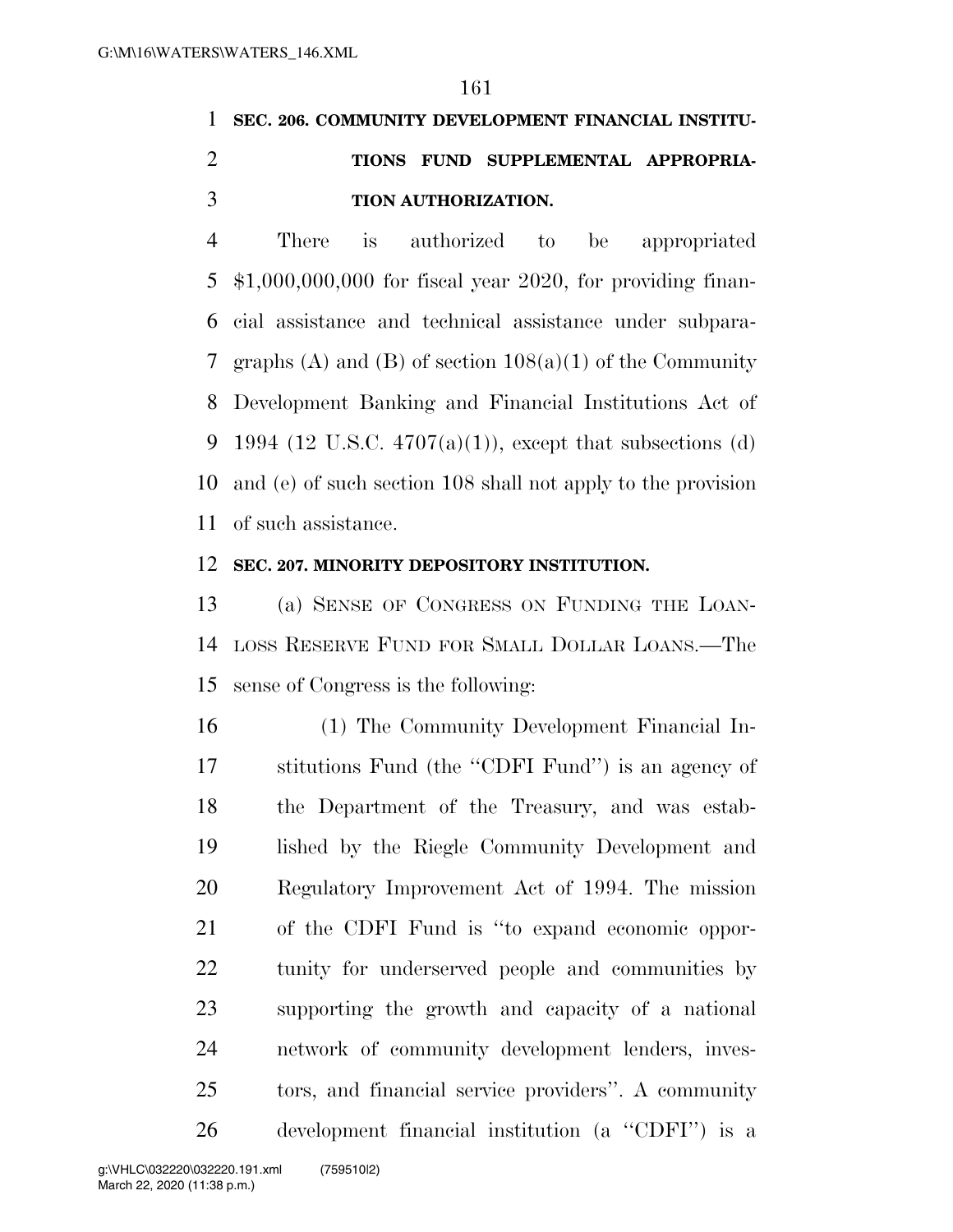## **SEC. 206. COMMUNITY DEVELOPMENT FINANCIAL INSTITU- TIONS FUND SUPPLEMENTAL APPROPRIA-TION AUTHORIZATION.**

 There is authorized to be appropriated \$1,000,000,000 for fiscal year 2020, for providing finan- cial assistance and technical assistance under subpara- graphs (A) and (B) of section 108(a)(1) of the Community Development Banking and Financial Institutions Act of 9 1994 (12 U.S.C.  $4707(a)(1)$ ), except that subsections (d) and (e) of such section 108 shall not apply to the provision of such assistance.

## **SEC. 207. MINORITY DEPOSITORY INSTITUTION.**

 (a) SENSE OF CONGRESS ON FUNDING THE LOAN- LOSS RESERVE FUND FOR SMALL DOLLAR LOANS.—The sense of Congress is the following:

 (1) The Community Development Financial In- stitutions Fund (the ''CDFI Fund'') is an agency of the Department of the Treasury, and was estab- lished by the Riegle Community Development and Regulatory Improvement Act of 1994. The mission of the CDFI Fund is ''to expand economic oppor- tunity for underserved people and communities by supporting the growth and capacity of a national network of community development lenders, inves- tors, and financial service providers''. A community development financial institution (a ''CDFI'') is a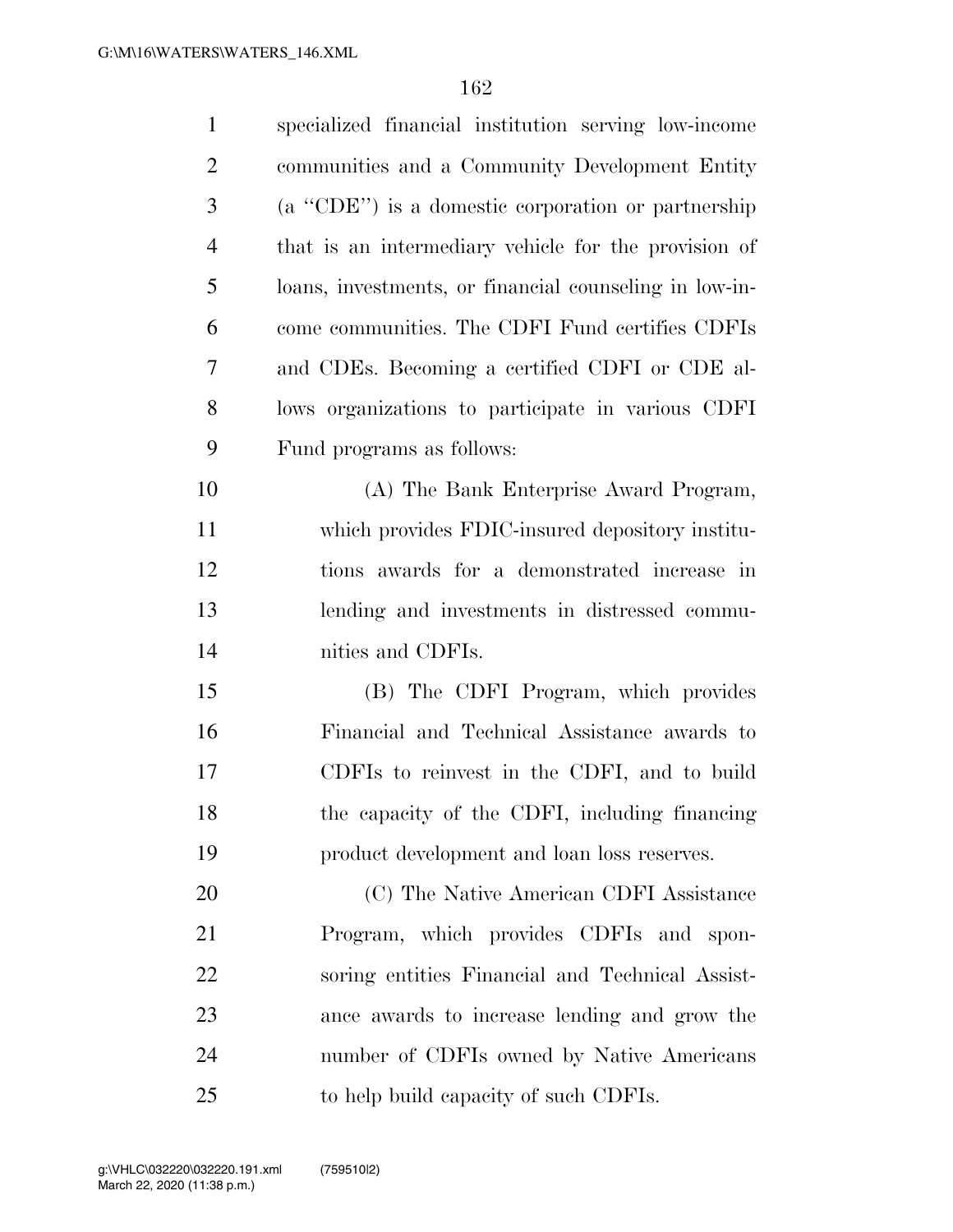| $\mathbf{1}$   | specialized financial institution serving low-income   |
|----------------|--------------------------------------------------------|
| $\overline{2}$ | communities and a Community Development Entity         |
| 3              | (a "CDE") is a domestic corporation or partnership     |
| $\overline{4}$ | that is an intermediary vehicle for the provision of   |
| 5              | loans, investments, or financial counseling in low-in- |
| 6              | come communities. The CDFI Fund certifies CDFIs        |
| 7              | and CDEs. Becoming a certified CDFI or CDE al-         |
| 8              | lows organizations to participate in various CDFI      |
| 9              | Fund programs as follows:                              |
| 10             | (A) The Bank Enterprise Award Program,                 |
| 11             | which provides FDIC-insured depository institu-        |
| 12             | tions awards for a demonstrated increase in            |
| 13             | lending and investments in distressed commu-           |
| 14             | nities and CDFIs.                                      |
| 15             | (B) The CDFI Program, which provides                   |
| 16             | Financial and Technical Assistance awards to           |
| 17             | CDFIs to reinvest in the CDFI, and to build            |
| 18             | the capacity of the CDFI, including financing          |
| 19             | product development and loan loss reserves.            |
| 20             | (C) The Native American CDFI Assistance                |
| 21             | Program, which provides CDFIs and spon-                |
| 22             | soring entities Financial and Technical Assist-        |
| 23             | ance awards to increase lending and grow the           |
| 24             | number of CDFIs owned by Native Americans              |
| 25             | to help build capacity of such CDFIs.                  |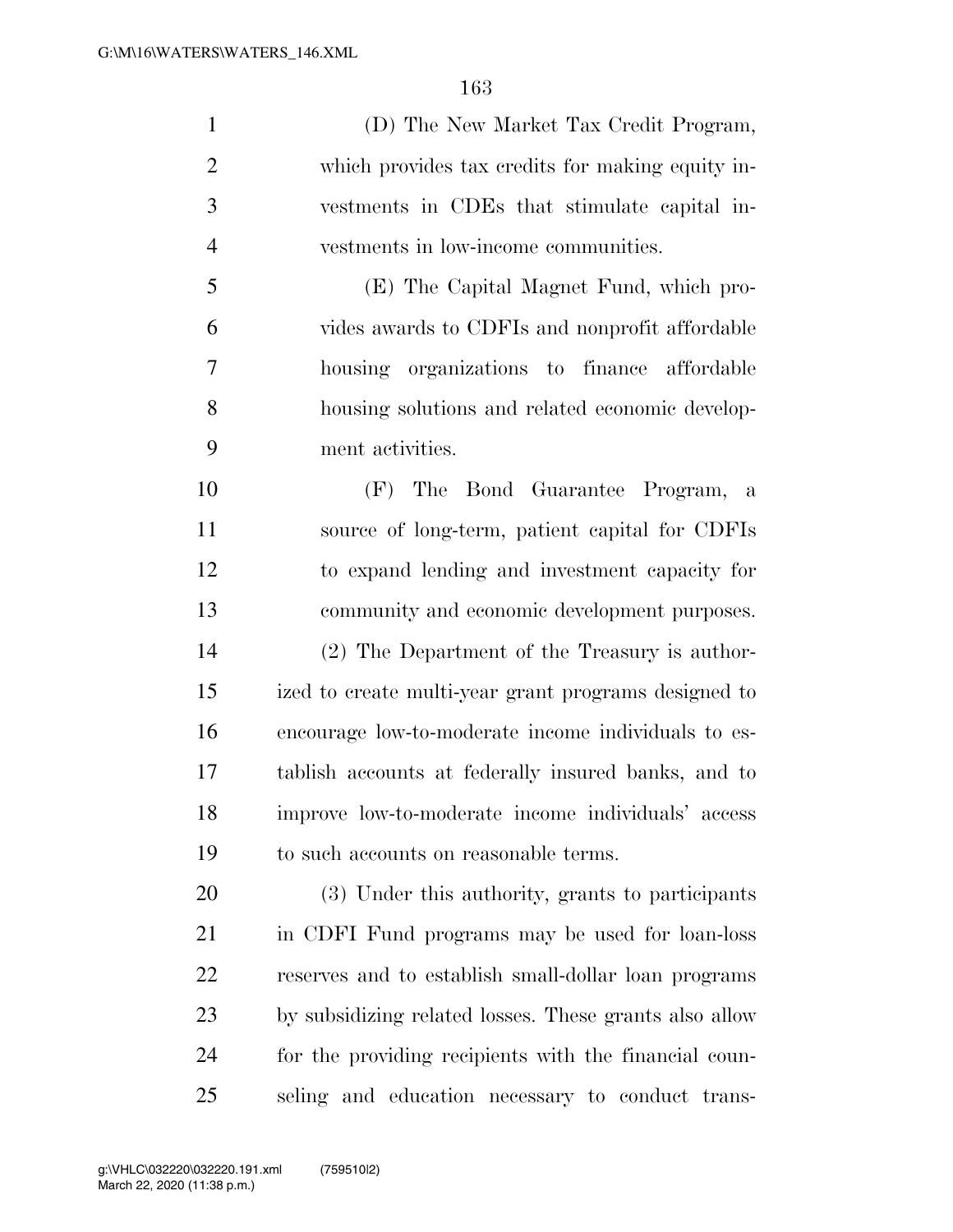(D) The New Market Tax Credit Program, which provides tax credits for making equity in- vestments in CDEs that stimulate capital in-vestments in low-income communities.

 (E) The Capital Magnet Fund, which pro- vides awards to CDFIs and nonprofit affordable housing organizations to finance affordable housing solutions and related economic develop-ment activities.

 (F) The Bond Guarantee Program, a source of long-term, patient capital for CDFIs to expand lending and investment capacity for community and economic development purposes. (2) The Department of the Treasury is author- ized to create multi-year grant programs designed to encourage low-to-moderate income individuals to es- tablish accounts at federally insured banks, and to improve low-to-moderate income individuals' access to such accounts on reasonable terms.

 (3) Under this authority, grants to participants in CDFI Fund programs may be used for loan-loss reserves and to establish small-dollar loan programs by subsidizing related losses. These grants also allow for the providing recipients with the financial coun-seling and education necessary to conduct trans-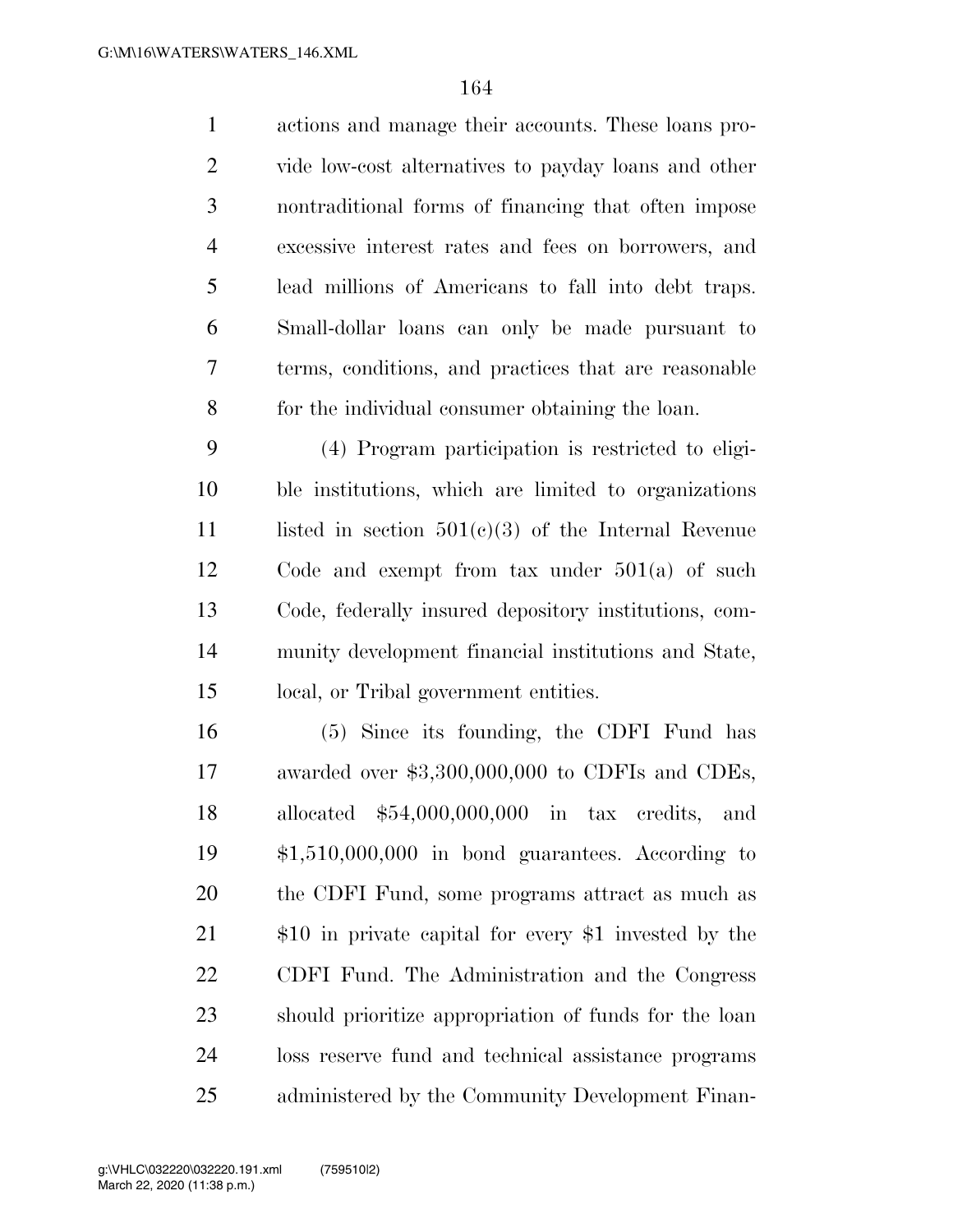actions and manage their accounts. These loans pro- vide low-cost alternatives to payday loans and other nontraditional forms of financing that often impose excessive interest rates and fees on borrowers, and lead millions of Americans to fall into debt traps. Small-dollar loans can only be made pursuant to terms, conditions, and practices that are reasonable for the individual consumer obtaining the loan.

 (4) Program participation is restricted to eligi- ble institutions, which are limited to organizations 11 listed in section  $501(c)(3)$  of the Internal Revenue Code and exempt from tax under 501(a) of such Code, federally insured depository institutions, com- munity development financial institutions and State, local, or Tribal government entities.

 (5) Since its founding, the CDFI Fund has awarded over \$3,300,000,000 to CDFIs and CDEs, allocated \$54,000,000,000 in tax credits, and \$1,510,000,000 in bond guarantees. According to the CDFI Fund, some programs attract as much as \$10 in private capital for every \$1 invested by the CDFI Fund. The Administration and the Congress should prioritize appropriation of funds for the loan loss reserve fund and technical assistance programs administered by the Community Development Finan-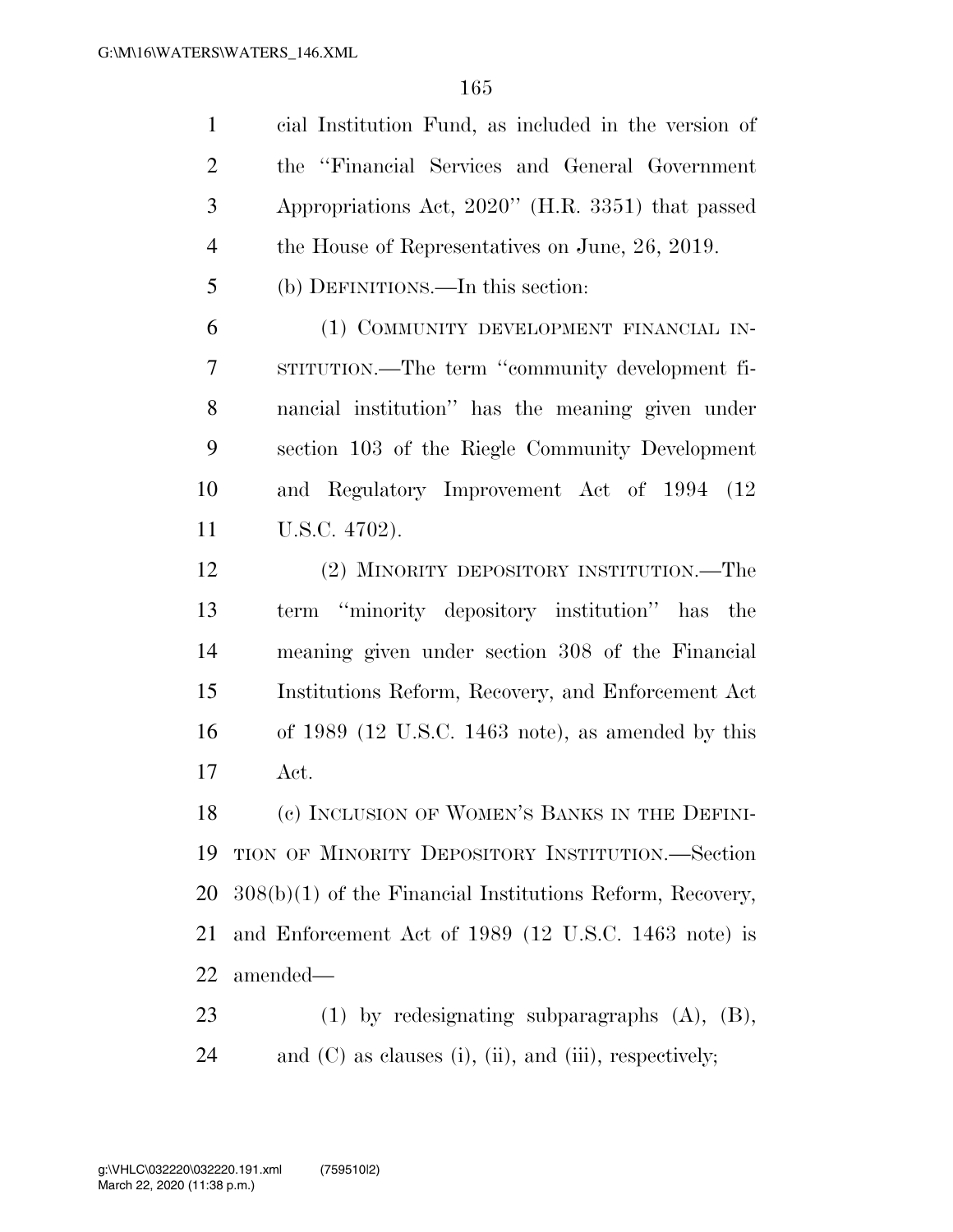cial Institution Fund, as included in the version of the ''Financial Services and General Government Appropriations Act, 2020'' (H.R. 3351) that passed 4 the House of Representatives on June, 26, 2019. (b) DEFINITIONS.—In this section: (1) COMMUNITY DEVELOPMENT FINANCIAL IN- STITUTION.—The term ''community development fi- nancial institution'' has the meaning given under section 103 of the Riegle Community Development and Regulatory Improvement Act of 1994 (12 U.S.C. 4702).

 (2) MINORITY DEPOSITORY INSTITUTION.—The term ''minority depository institution'' has the meaning given under section 308 of the Financial Institutions Reform, Recovery, and Enforcement Act of 1989 (12 U.S.C. 1463 note), as amended by this Act.

18 (e) INCLUSION OF WOMEN'S BANKS IN THE DEFINI- TION OF MINORITY DEPOSITORY INSTITUTION.—Section 308(b)(1) of the Financial Institutions Reform, Recovery, and Enforcement Act of 1989 (12 U.S.C. 1463 note) is amended—

 (1) by redesignating subparagraphs (A), (B), and (C) as clauses (i), (ii), and (iii), respectively;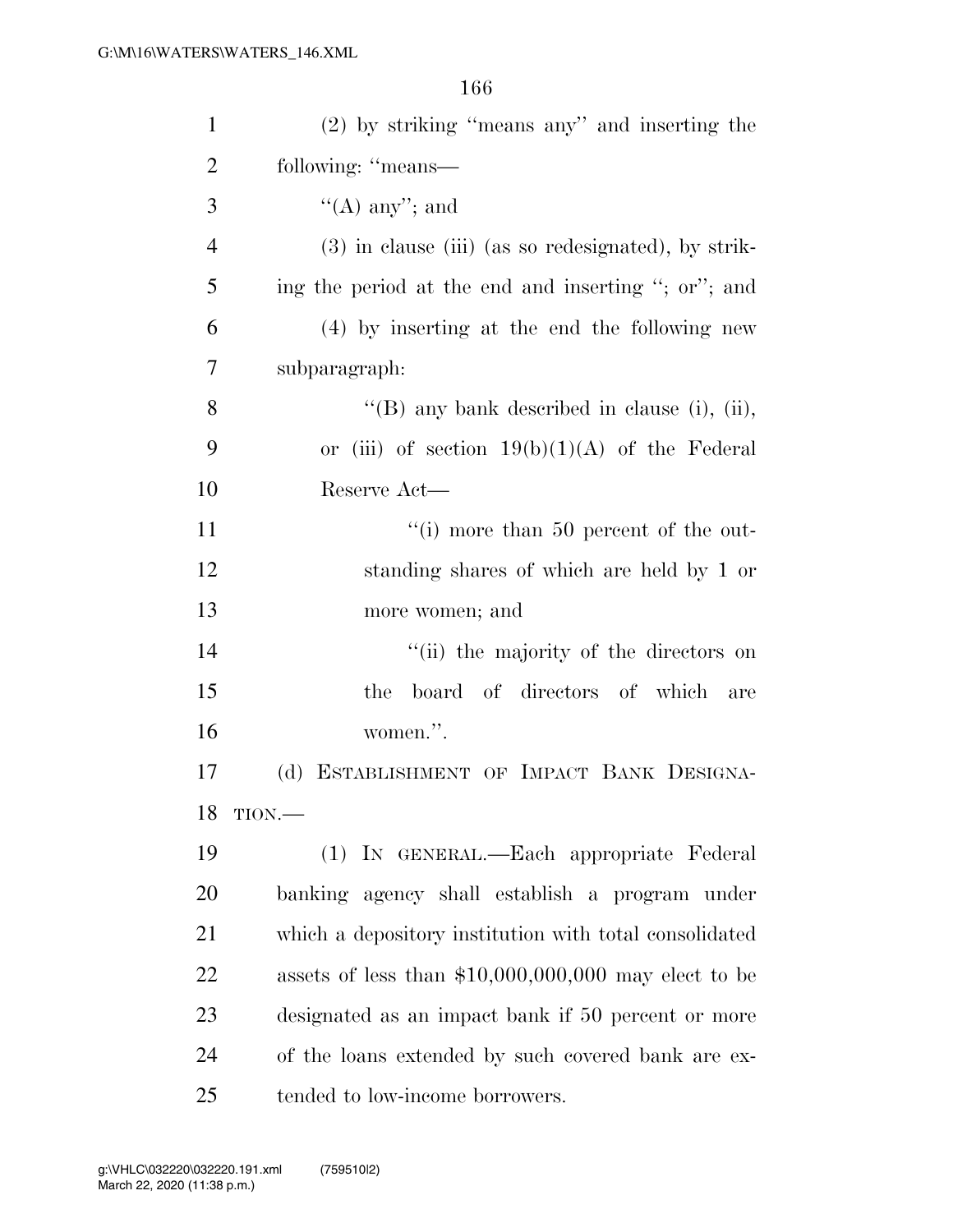| $\mathbf{1}$   | $(2)$ by striking "means any" and inserting the        |
|----------------|--------------------------------------------------------|
| $\overline{2}$ | following: "means—                                     |
| 3              | $\lq\lq$ (A) any''; and                                |
| 4              | (3) in clause (iii) (as so redesignated), by strik-    |
| 5              | ing the period at the end and inserting "; or"; and    |
| 6              | (4) by inserting at the end the following new          |
| 7              | subparagraph:                                          |
| 8              | "(B) any bank described in clause (i), (ii),           |
| 9              | or (iii) of section $19(b)(1)(A)$ of the Federal       |
| 10             | Reserve Act—                                           |
| 11             | $\lq\lq$ (i) more than 50 percent of the out-          |
| 12             | standing shares of which are held by 1 or              |
| 13             | more women; and                                        |
| 14             | "(ii) the majority of the directors on                 |
| 15             | board of directors of which<br>the<br>are              |
| 16             | women.".                                               |
| 17             | ESTABLISHMENT OF IMPACT BANK DESIGNA-<br>(d)           |
|                | 18 TION.                                               |
| 19             | (1) IN GENERAL.—Each appropriate Federal               |
| 20             | banking agency shall establish a program under         |
| 21             | which a depository institution with total consolidated |
| 22             | assets of less than $$10,000,000,000$ may elect to be  |
| 23             | designated as an impact bank if 50 percent or more     |
| 24             | of the loans extended by such covered bank are ex-     |
| 25             | tended to low-income borrowers.                        |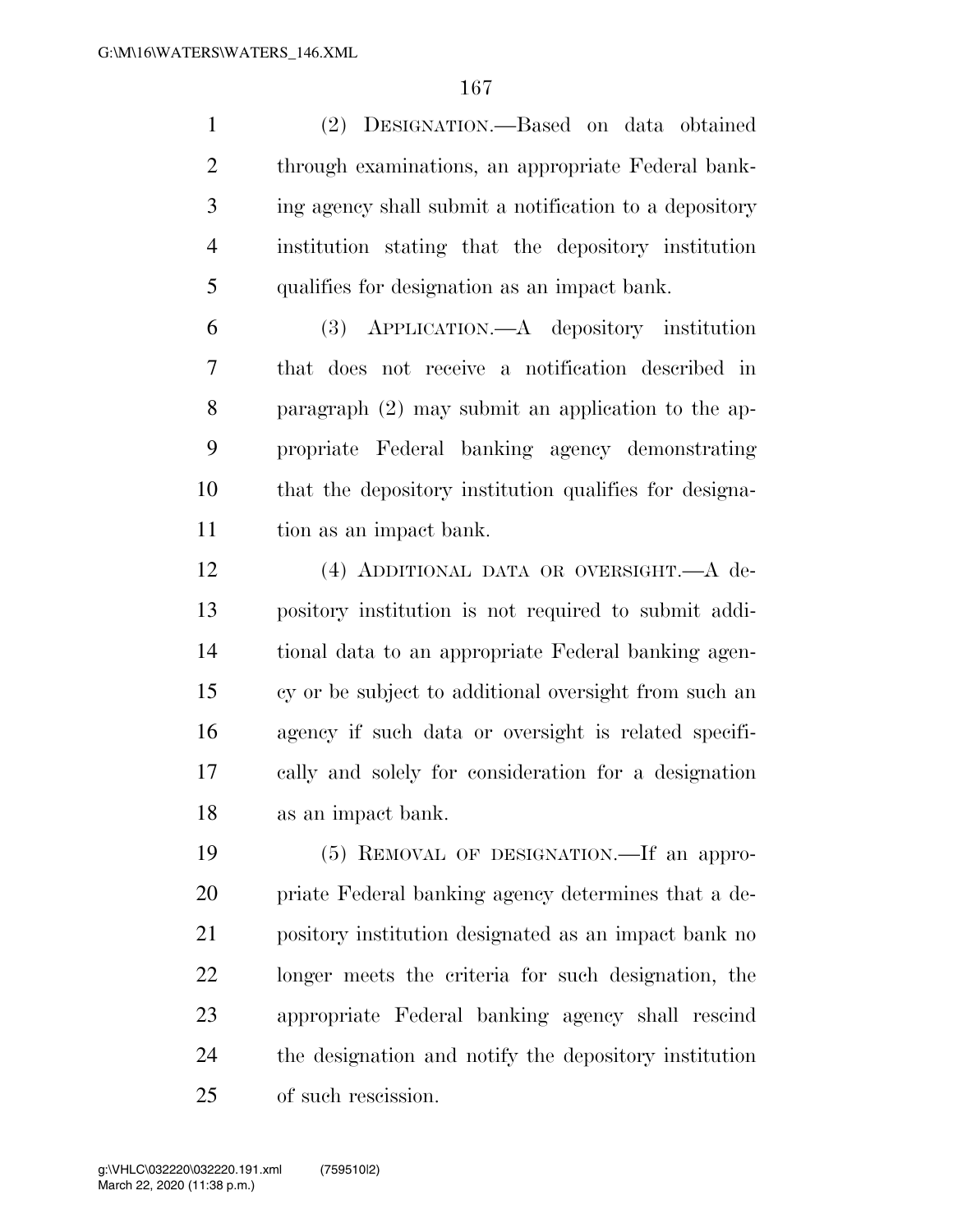(2) DESIGNATION.—Based on data obtained through examinations, an appropriate Federal bank- ing agency shall submit a notification to a depository institution stating that the depository institution qualifies for designation as an impact bank.

 (3) APPLICATION.—A depository institution that does not receive a notification described in paragraph (2) may submit an application to the ap- propriate Federal banking agency demonstrating that the depository institution qualifies for designa-tion as an impact bank.

 (4) ADDITIONAL DATA OR OVERSIGHT.—A de- pository institution is not required to submit addi- tional data to an appropriate Federal banking agen- cy or be subject to additional oversight from such an agency if such data or oversight is related specifi- cally and solely for consideration for a designation as an impact bank.

 (5) REMOVAL OF DESIGNATION.—If an appro- priate Federal banking agency determines that a de- pository institution designated as an impact bank no longer meets the criteria for such designation, the appropriate Federal banking agency shall rescind the designation and notify the depository institution of such rescission.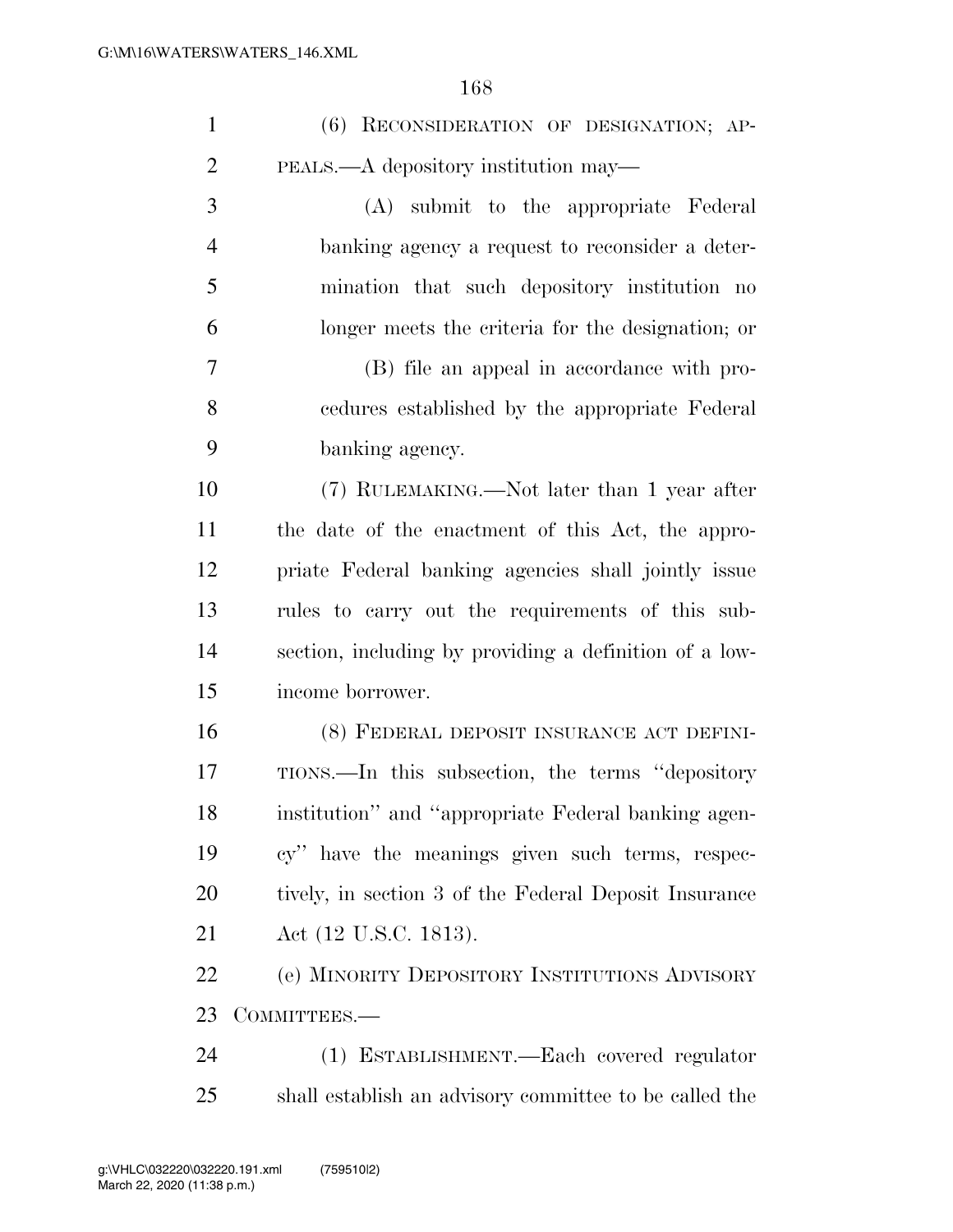| $\mathbf{1}$   | (6) RECONSIDERATION OF DESIGNATION; AP-                |
|----------------|--------------------------------------------------------|
| $\overline{2}$ | PEALS.—A depository institution may—                   |
| 3              | (A) submit to the appropriate Federal                  |
| $\overline{4}$ | banking agency a request to reconsider a deter-        |
| 5              | mination that such depository institution no           |
| 6              | longer meets the criteria for the designation; or      |
| 7              | (B) file an appeal in accordance with pro-             |
| 8              | cedures established by the appropriate Federal         |
| 9              | banking agency.                                        |
| 10             | (7) RULEMAKING.—Not later than 1 year after            |
| 11             | the date of the enactment of this Act, the appro-      |
| 12             | priate Federal banking agencies shall jointly issue    |
| 13             | rules to carry out the requirements of this sub-       |
| 14             | section, including by providing a definition of a low- |
| 15             | income borrower.                                       |
| 16             | (8) FEDERAL DEPOSIT INSURANCE ACT DEFINI-              |
| 17             | TIONS.—In this subsection, the terms "depository"      |
| 18             | institution" and "appropriate Federal banking agen-    |
| 19             | cy" have the meanings given such terms, respec-        |
| 20             | tively, in section 3 of the Federal Deposit Insurance  |
| 21             | Act (12 U.S.C. 1813).                                  |
| 22             | (e) MINORITY DEPOSITORY INSTITUTIONS ADVISORY          |
| 23             | COMMITTEES.-                                           |
| 24             | (1) ESTABLISHMENT.—Each covered regulator              |
| 25             | shall establish an advisory committee to be called the |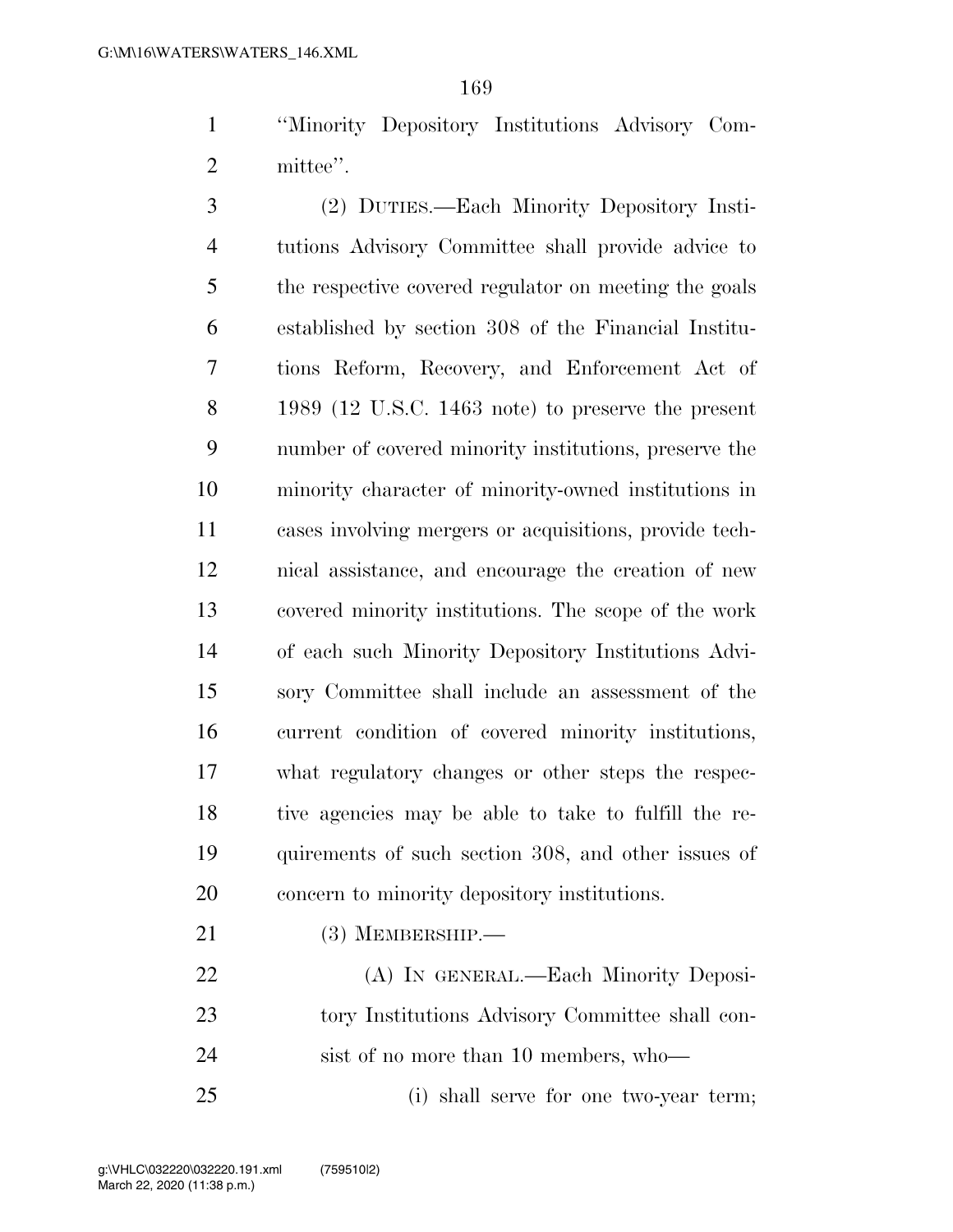''Minority Depository Institutions Advisory Com-2 mittee".

 (2) DUTIES.—Each Minority Depository Insti- tutions Advisory Committee shall provide advice to the respective covered regulator on meeting the goals established by section 308 of the Financial Institu- tions Reform, Recovery, and Enforcement Act of 1989 (12 U.S.C. 1463 note) to preserve the present number of covered minority institutions, preserve the minority character of minority-owned institutions in cases involving mergers or acquisitions, provide tech- nical assistance, and encourage the creation of new covered minority institutions. The scope of the work of each such Minority Depository Institutions Advi- sory Committee shall include an assessment of the current condition of covered minority institutions, what regulatory changes or other steps the respec- tive agencies may be able to take to fulfill the re- quirements of such section 308, and other issues of concern to minority depository institutions.

21 (3) MEMBERSHIP.—

 (A) IN GENERAL.—Each Minority Deposi- tory Institutions Advisory Committee shall con-sist of no more than 10 members, who—

(i) shall serve for one two-year term;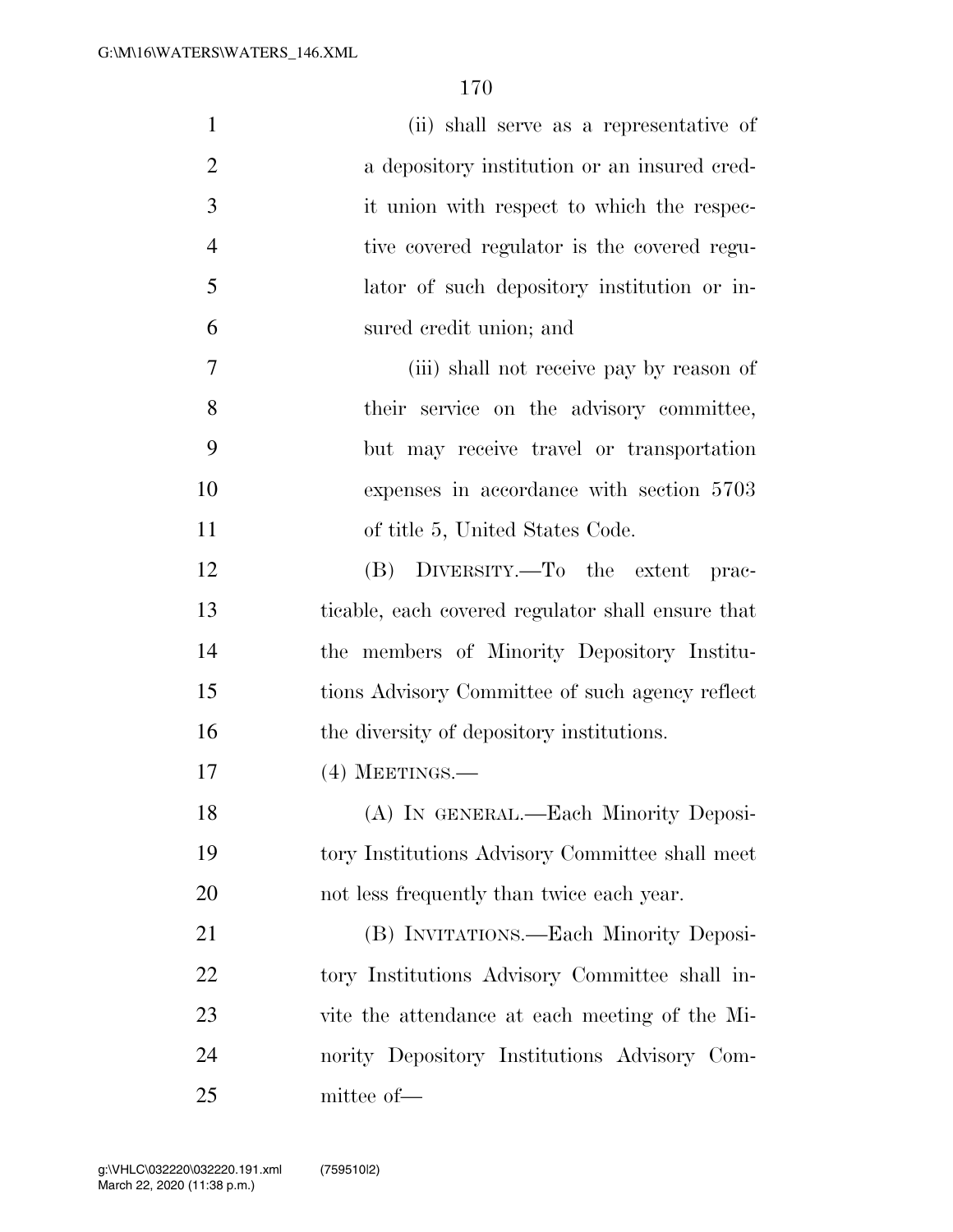| $\mathbf{1}$   | (ii) shall serve as a representative of           |
|----------------|---------------------------------------------------|
| $\overline{2}$ | a depository institution or an insured cred-      |
| 3              | it union with respect to which the respec-        |
| $\overline{4}$ | tive covered regulator is the covered regu-       |
| 5              | lator of such depository institution or in-       |
| 6              | sured credit union; and                           |
| 7              | (iii) shall not receive pay by reason of          |
| 8              | their service on the advisory committee,          |
| 9              | but may receive travel or transportation          |
| 10             | expenses in accordance with section 5703          |
| 11             | of title 5, United States Code.                   |
| 12             | (B) DIVERSITY.—To the extent<br>prac-             |
| 13             | ticable, each covered regulator shall ensure that |
| 14             | the members of Minority Depository Institu-       |
| 15             | tions Advisory Committee of such agency reflect   |
| 16             | the diversity of depository institutions.         |
| 17             | $(4)$ MEETINGS.—                                  |
| 18             | (A) IN GENERAL.—Each Minority Deposi-             |
| 19             | tory Institutions Advisory Committee shall meet   |
| 20             | not less frequently than twice each year.         |
| 21             | (B) INVITATIONS.—Each Minority Deposi-            |
| 22             | tory Institutions Advisory Committee shall in-    |
| 23             | vite the attendance at each meeting of the Mi-    |
| 24             | nority Depository Institutions Advisory Com-      |
| 25             | mittee of-                                        |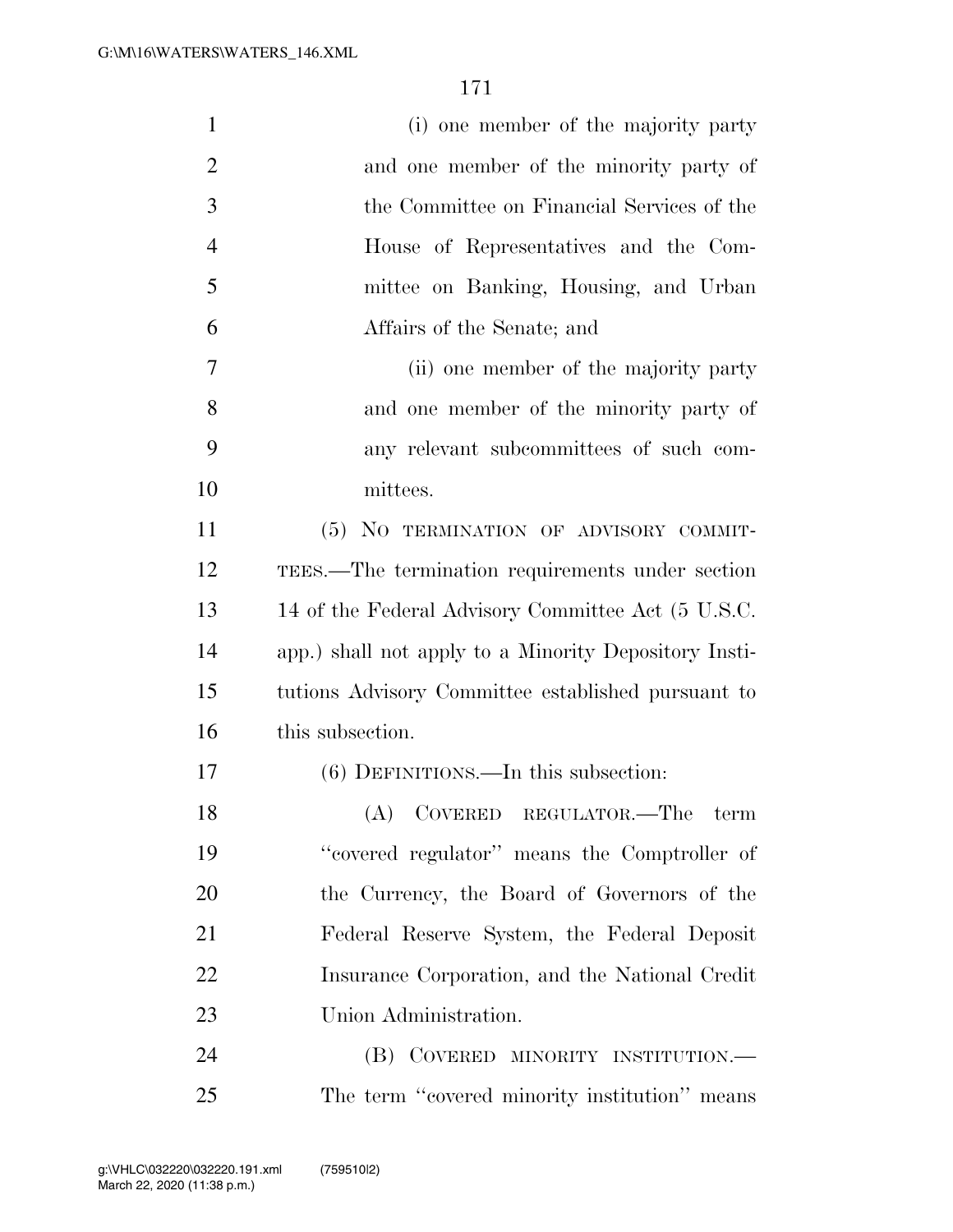| $\mathbf{1}$   | (i) one member of the majority party                  |
|----------------|-------------------------------------------------------|
| $\overline{2}$ | and one member of the minority party of               |
| 3              | the Committee on Financial Services of the            |
| $\overline{4}$ | House of Representatives and the Com-                 |
| 5              | mittee on Banking, Housing, and Urban                 |
| 6              | Affairs of the Senate; and                            |
| 7              | (ii) one member of the majority party                 |
| 8              | and one member of the minority party of               |
| 9              | any relevant subcommittees of such com-               |
| 10             | mittees.                                              |
| 11             | (5) NO TERMINATION OF ADVISORY COMMIT-                |
| 12             | TEES.—The termination requirements under section      |
| 13             | 14 of the Federal Advisory Committee Act (5 U.S.C.    |
| 14             | app.) shall not apply to a Minority Depository Insti- |
| 15             | tutions Advisory Committee established pursuant to    |
| 16             | this subsection.                                      |
| 17             | $(6)$ DEFINITIONS.—In this subsection:                |
| 18             | $(A)$ COVERED REGULATOR.—The term                     |
| 19             | "covered regulator" means the Comptroller of          |
| 20             | the Currency, the Board of Governors of the           |
| 21             | Federal Reserve System, the Federal Deposit           |
| 22             | Insurance Corporation, and the National Credit        |
| 23             | Union Administration.                                 |
| 24             | (B) COVERED MINORITY INSTITUTION.—                    |
| $25\,$         | The term "covered minority institution" means         |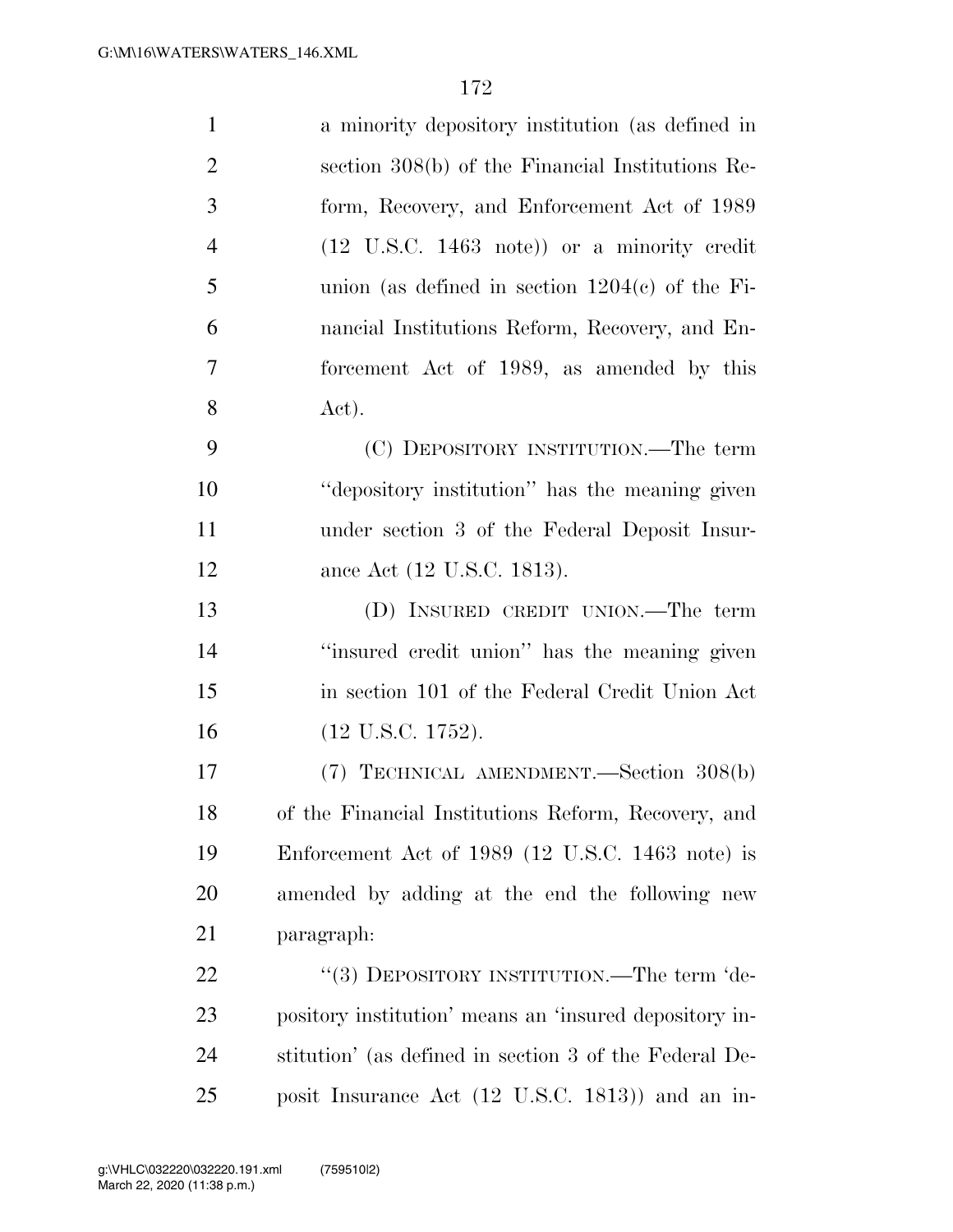| $\mathbf{1}$   | a minority depository institution (as defined in              |
|----------------|---------------------------------------------------------------|
| $\overline{2}$ | section 308(b) of the Financial Institutions Re-              |
| 3              | form, Recovery, and Enforcement Act of 1989                   |
| $\overline{4}$ | $(12 \text{ U.S.C. } 1463 \text{ note})$ or a minority credit |
| 5              | union (as defined in section $1204(c)$ of the Fi-             |
| 6              | nancial Institutions Reform, Recovery, and En-                |
| $\overline{7}$ | forcement Act of 1989, as amended by this                     |
| 8              | Act).                                                         |
| 9              | (C) DEPOSITORY INSTITUTION.—The term                          |
| 10             | "depository institution" has the meaning given                |
| 11             | under section 3 of the Federal Deposit Insur-                 |
| 12             | ance Act (12 U.S.C. 1813).                                    |
| 13             | (D) INSURED CREDIT UNION.—The term                            |
| 14             | "insured credit union" has the meaning given                  |
| 15             | in section 101 of the Federal Credit Union Act                |
| 16             | $(12 \text{ U.S.C. } 1752).$                                  |
| 17             | (7) TECHNICAL AMENDMENT.—Section 308(b)                       |
| 18             | of the Financial Institutions Reform, Recovery, and           |
| 19             | Enforcement Act of 1989 (12 U.S.C. 1463 note) is              |
| 20             | amended by adding at the end the following new                |
| 21             | paragraph:                                                    |
| 22             | "(3) DEPOSITORY INSTITUTION.—The term 'de-                    |
| 23             | pository institution' means an 'insured depository in-        |
| 24             | stitution' (as defined in section 3 of the Federal De-        |
| 25             | posit Insurance Act (12 U.S.C. 1813)) and an in-              |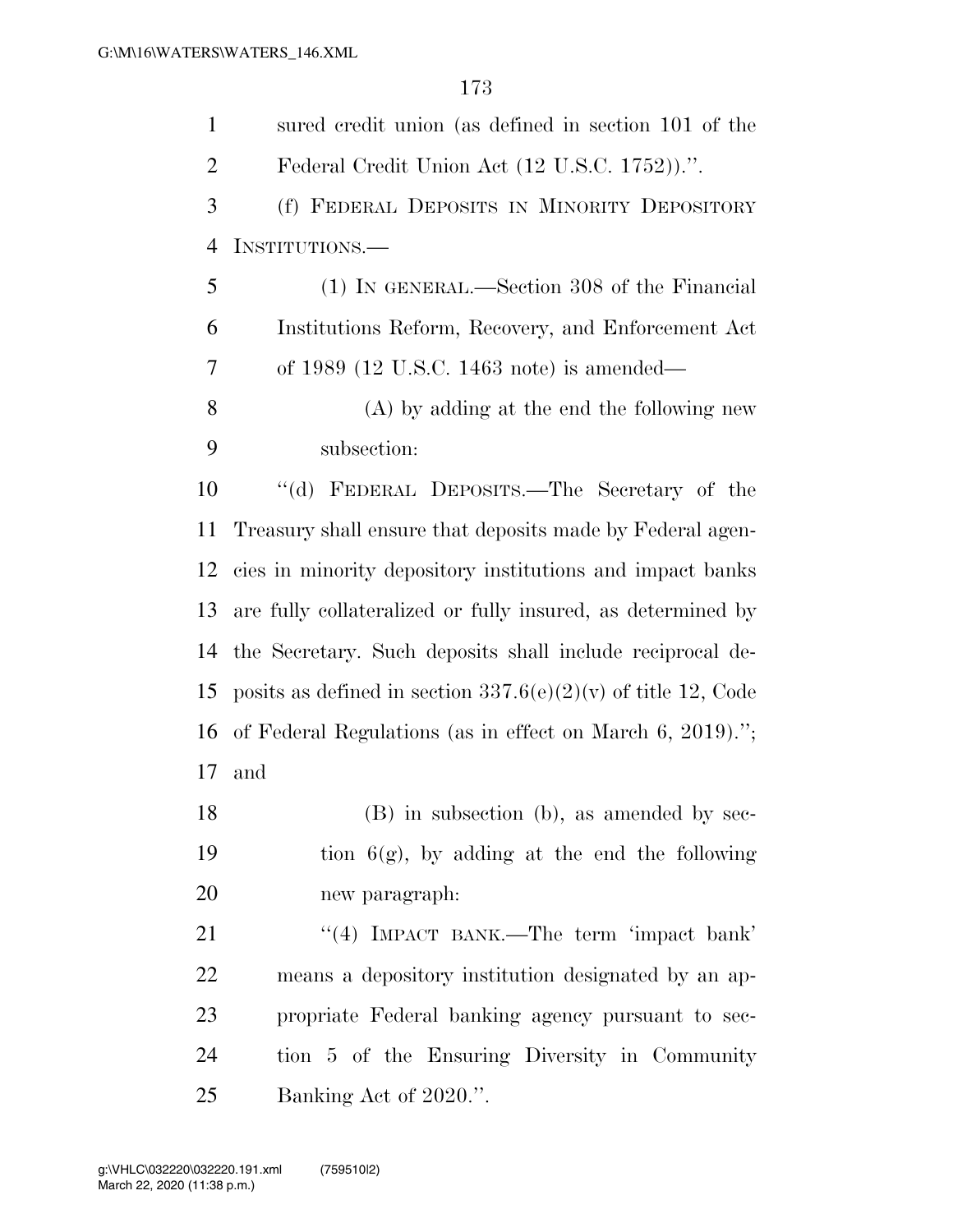| $\mathbf{1}$   | sured credit union (as defined in section 101 of the            |
|----------------|-----------------------------------------------------------------|
| $\overline{2}$ | Federal Credit Union Act (12 U.S.C. 1752)).".                   |
| 3              | (f) FEDERAL DEPOSITS IN MINORITY DEPOSITORY                     |
| 4              | INSTITUTIONS.—                                                  |
| 5              | (1) IN GENERAL.—Section 308 of the Financial                    |
| 6              | Institutions Reform, Recovery, and Enforcement Act              |
| 7              | of $1989$ (12 U.S.C. 1463 note) is amended—                     |
| 8              | (A) by adding at the end the following new                      |
| 9              | subsection:                                                     |
| 10             | "(d) FEDERAL DEPOSITS.—The Secretary of the                     |
| 11             | Treasury shall ensure that deposits made by Federal agen-       |
| 12             | cies in minority depository institutions and impact banks       |
| 13             | are fully collateralized or fully insured, as determined by     |
| 14             | the Secretary. Such deposits shall include reciprocal de-       |
| 15             | posits as defined in section $337.6(e)(2)(v)$ of title 12, Code |
| 16             | of Federal Regulations (as in effect on March $6, 2019$ ).";    |
| 17             | and                                                             |
| 18             | $(B)$ in subsection (b), as amended by sec-                     |
| 19             | tion $6(g)$ , by adding at the end the following                |
| 20             | new paragraph:                                                  |
| 21             | "(4) IMPACT BANK.—The term 'impact bank'                        |
| 22             | means a depository institution designated by an ap-             |
| 23             | propriate Federal banking agency pursuant to sec-               |
| 24             | tion 5 of the Ensuring Diversity in Community                   |
| 25             | Banking Act of 2020.".                                          |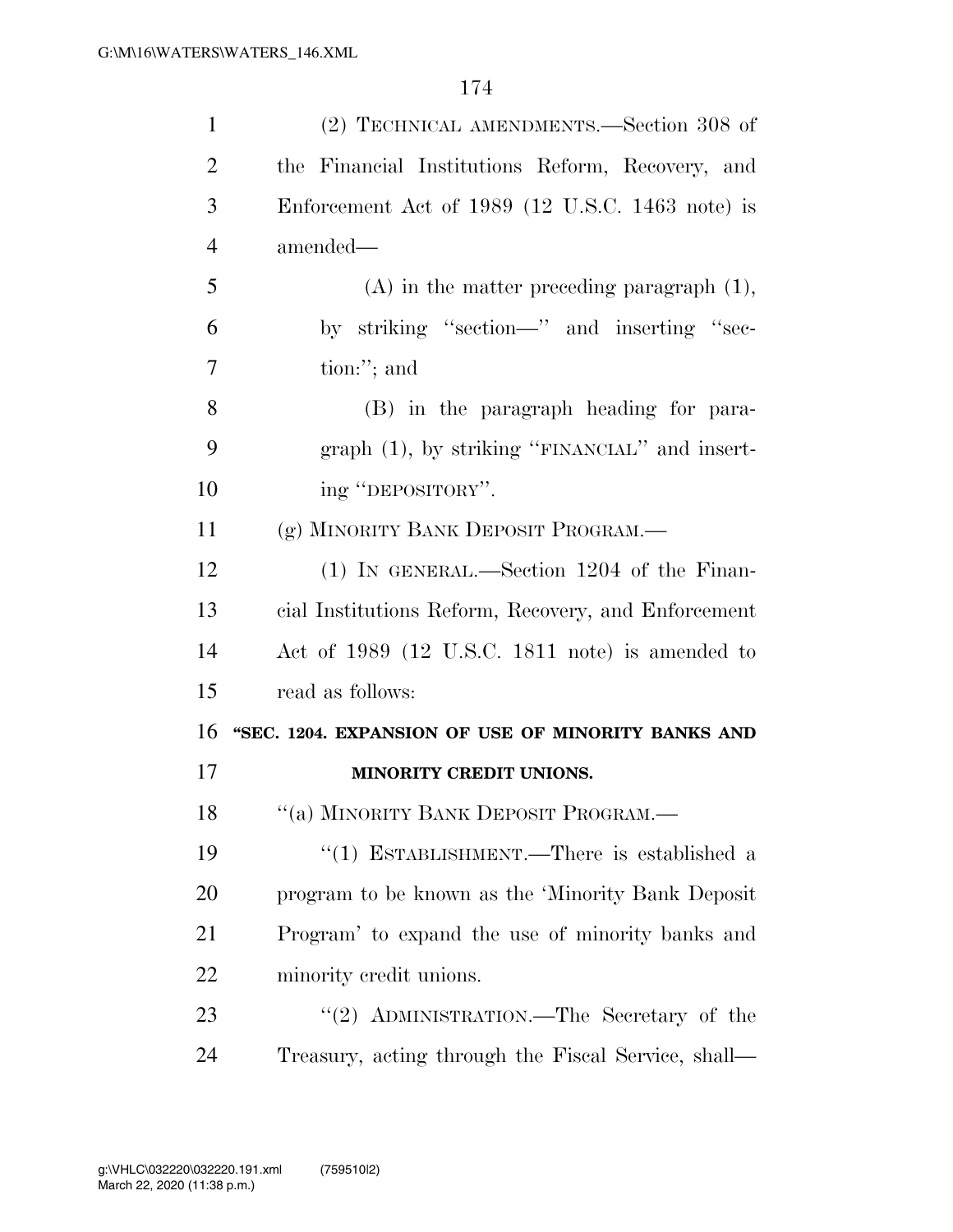| $\mathbf{1}$   | (2) TECHNICAL AMENDMENTS.—Section 308 of            |
|----------------|-----------------------------------------------------|
| $\overline{2}$ | the Financial Institutions Reform, Recovery, and    |
| 3              | Enforcement Act of $1989$ (12 U.S.C. 1463 note) is  |
| $\overline{4}$ | amended—                                            |
| 5              | $(A)$ in the matter preceding paragraph $(1)$ ,     |
| 6              | by striking "section—" and inserting "sec-          |
| 7              | tion:"; and                                         |
| 8              | (B) in the paragraph heading for para-              |
| 9              | graph $(1)$ , by striking "FINANCIAL" and insert-   |
| 10             | ing "DEPOSITORY".                                   |
| 11             | (g) MINORITY BANK DEPOSIT PROGRAM.                  |
| 12             | (1) IN GENERAL.—Section 1204 of the Finan-          |
| 13             | cial Institutions Reform, Recovery, and Enforcement |
| 14             | Act of 1989 (12 U.S.C. 1811 note) is amended to     |
| 15             | read as follows:                                    |
| 16             | "SEC. 1204. EXPANSION OF USE OF MINORITY BANKS AND  |
| 17             | MINORITY CREDIT UNIONS.                             |
| 18             | "(a) MINORITY BANK DEPOSIT PROGRAM.—                |
| 19             | "(1) ESTABLISHMENT.—There is established a          |
| 20             | program to be known as the 'Minority Bank Deposit   |
| 21             | Program' to expand the use of minority banks and    |
| 22             | minority credit unions.                             |
| 23             | "(2) ADMINISTRATION.—The Secretary of the           |
| 24             | Treasury, acting through the Fiscal Service, shall— |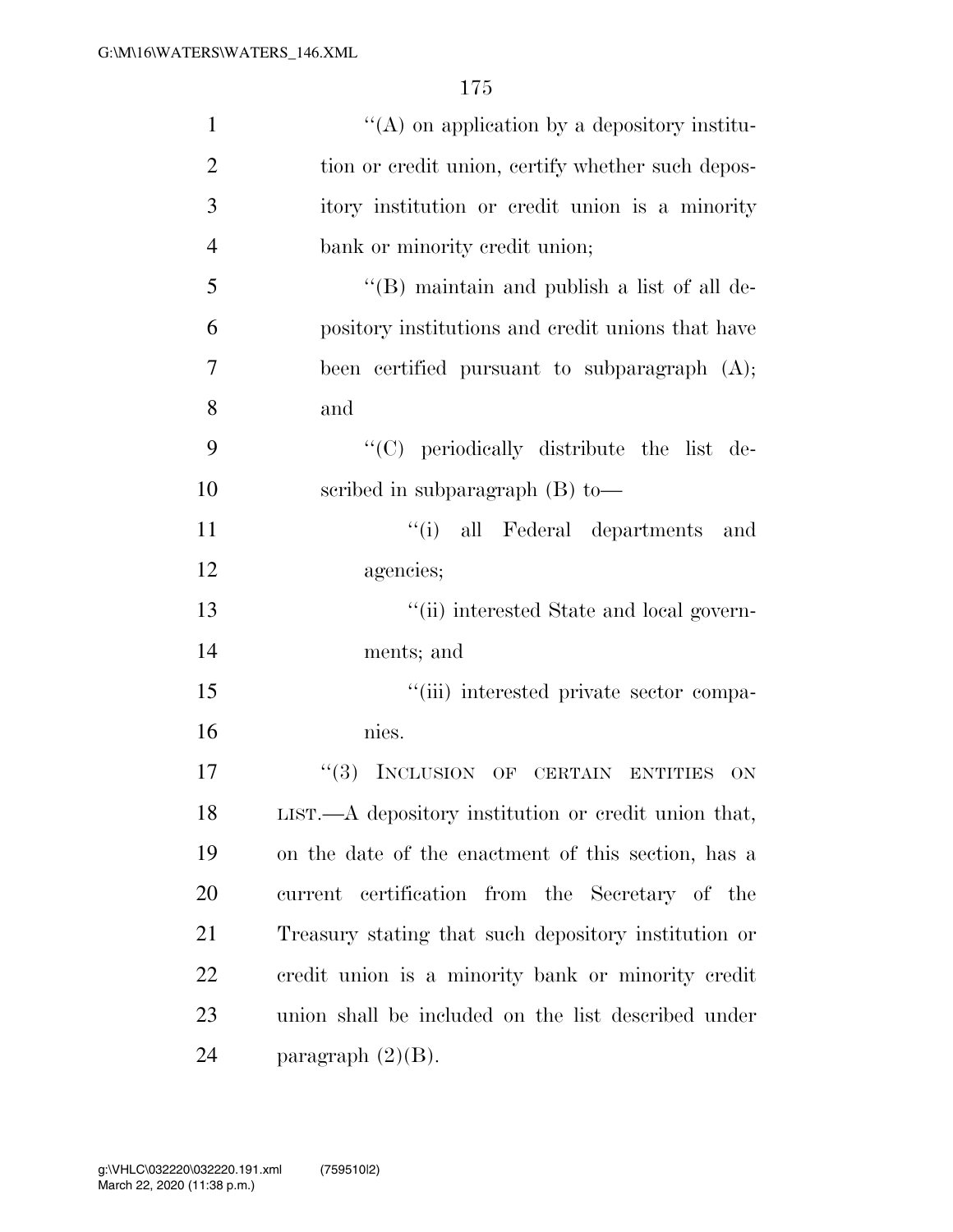| 1              | $\lq\lq$ on application by a depository institu-     |
|----------------|------------------------------------------------------|
| $\overline{2}$ | tion or credit union, certify whether such depos-    |
| 3              | itory institution or credit union is a minority      |
| $\overline{4}$ | bank or minority credit union;                       |
| 5              | $\lq\lq (B)$ maintain and publish a list of all de-  |
| 6              | pository institutions and credit unions that have    |
| 7              | been certified pursuant to subparagraph (A);         |
| 8              | and                                                  |
| 9              | "(C) periodically distribute the list de-            |
| 10             | scribed in subparagraph $(B)$ to —                   |
| 11             | "(i) all Federal departments<br>and                  |
| 12             | agencies;                                            |
| 13             | "(ii) interested State and local govern-             |
| 14             | ments; and                                           |
| 15             | "(iii) interested private sector compa-              |
| 16             | nies.                                                |
| 17             | ``(3)<br>INCLUSION OF CERTAIN ENTITIES<br><b>ON</b>  |
| 18             | LIST.—A depository institution or credit union that, |
| 19             | on the date of the enactment of this section, has a  |
| 20             | current certification from the Secretary of the      |
| 21             | Treasury stating that such depository institution or |
| 22             | credit union is a minority bank or minority credit   |
| 23             | union shall be included on the list described under  |
| 24             | paragraph $(2)(B)$ .                                 |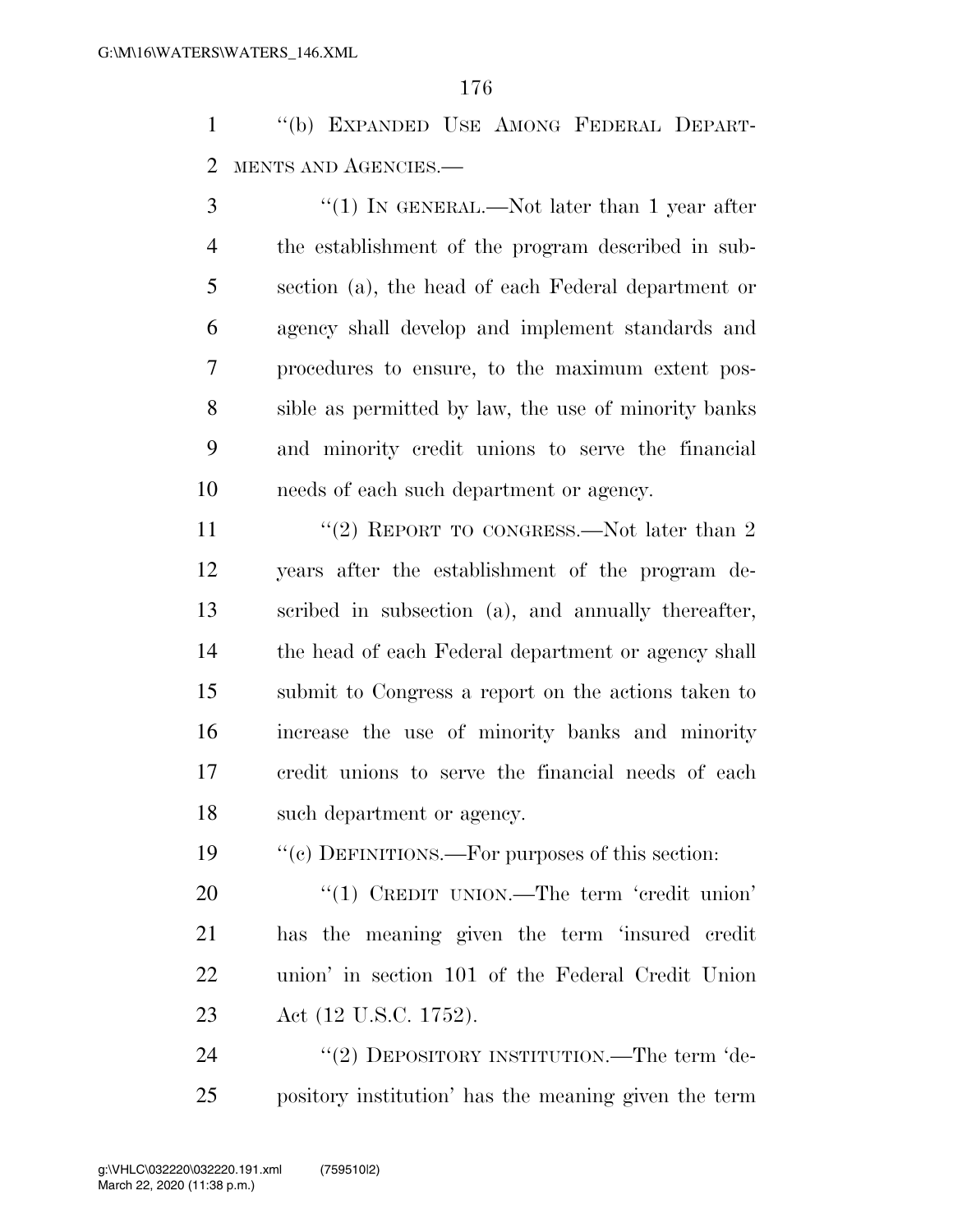''(b) EXPANDED USE AMONG FEDERAL DEPART-MENTS AND AGENCIES.—

3 "(1) IN GENERAL.—Not later than 1 year after the establishment of the program described in sub- section (a), the head of each Federal department or agency shall develop and implement standards and procedures to ensure, to the maximum extent pos- sible as permitted by law, the use of minority banks and minority credit unions to serve the financial needs of each such department or agency.

11 ''(2) REPORT TO CONGRESS.—Not later than 2 years after the establishment of the program de- scribed in subsection (a), and annually thereafter, the head of each Federal department or agency shall submit to Congress a report on the actions taken to increase the use of minority banks and minority credit unions to serve the financial needs of each such department or agency.

''(c) DEFINITIONS.—For purposes of this section:

20 "(1) CREDIT UNION.—The term 'credit union' has the meaning given the term 'insured credit union' in section 101 of the Federal Credit Union Act (12 U.S.C. 1752).

24 "(2) DEPOSITORY INSTITUTION.—The term 'de-pository institution' has the meaning given the term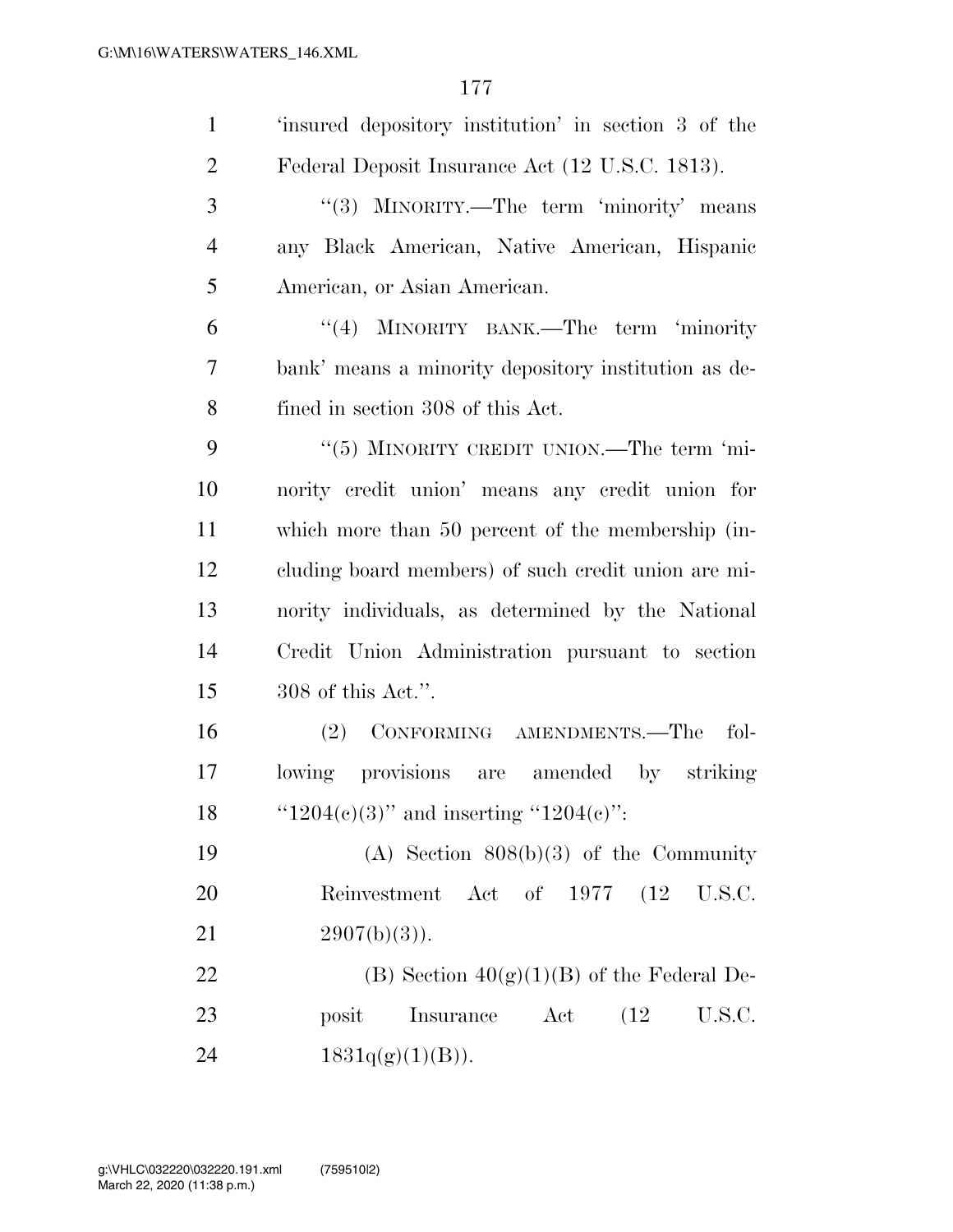| $\mathbf{1}$   | 'insured depository institution' in section 3 of the |
|----------------|------------------------------------------------------|
| $\overline{2}$ | Federal Deposit Insurance Act (12 U.S.C. 1813).      |
| 3              | "(3) MINORITY.—The term 'minority' means             |
| $\overline{4}$ | any Black American, Native American, Hispanic        |
| 5              | American, or Asian American.                         |
| 6              | "(4) MINORITY BANK.—The term 'minority               |
| 7              | bank' means a minority depository institution as de- |
| 8              | fined in section 308 of this Act.                    |
| 9              | "(5) MINORITY CREDIT UNION.—The term 'mi-            |
| 10             | nority credit union' means any credit union for      |
| 11             | which more than 50 percent of the membership (in-    |
| 12             | cluding board members) of such credit union are mi-  |
| 13             | nority individuals, as determined by the National    |
| 14             | Credit Union Administration pursuant to section      |
| 15             | 308 of this Act.".                                   |
| 16             | (2) CONFORMING AMENDMENTS.—The fol-                  |
| 17             | lowing provisions are amended<br>striking<br>by      |
| 18             | " $1204(e)(3)$ " and inserting " $1204(e)$ ":        |
| 19             | (A) Section $808(b)(3)$ of the Community             |
| 20             | Reinvestment Act of 1977 (12 U.S.C.                  |
| 21             | $2907(b)(3)$ .                                       |
| 22             | (B) Section $40(g)(1)(B)$ of the Federal De-         |
| 23             | posit<br>Insurance Act<br>(12)<br>U.S.C.             |
| 24             | 1831q(g)(1)(B)).                                     |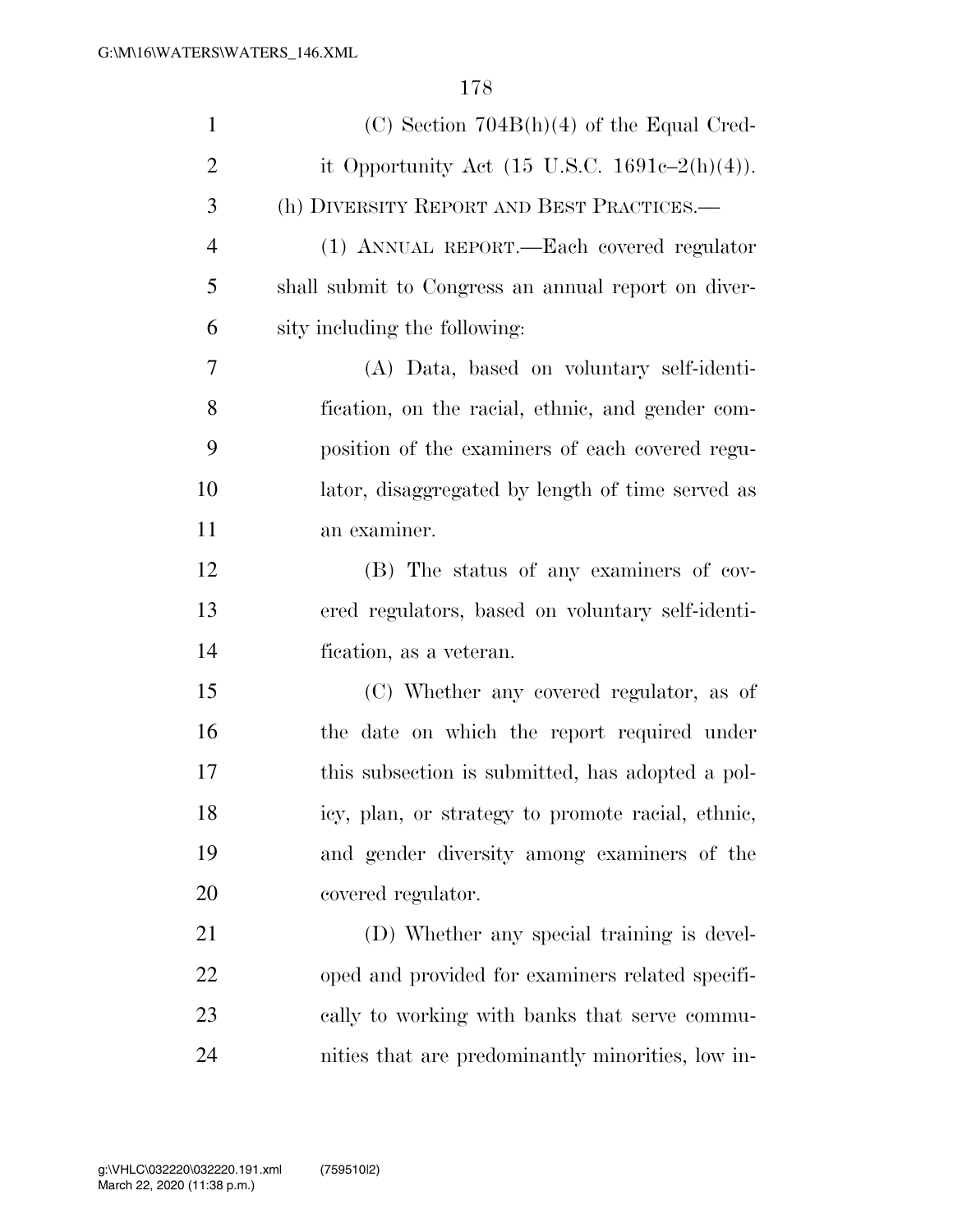| $\mathbf{1}$   | $(C)$ Section 704B(h)(4) of the Equal Cred-              |
|----------------|----------------------------------------------------------|
| $\overline{2}$ | it Opportunity Act $(15 \text{ U.S.C. } 1691c-2(h)(4)).$ |
| 3              | (h) DIVERSITY REPORT AND BEST PRACTICES.—                |
| $\overline{4}$ | (1) ANNUAL REPORT.—Each covered regulator                |
| 5              | shall submit to Congress an annual report on diver-      |
| 6              | sity including the following:                            |
| 7              | (A) Data, based on voluntary self-identi-                |
| 8              | fication, on the racial, ethnic, and gender com-         |
| 9              | position of the examiners of each covered regu-          |
| 10             | lator, disaggregated by length of time served as         |
| 11             | an examiner.                                             |
| 12             | (B) The status of any examiners of cov-                  |
| 13             | ered regulators, based on voluntary self-identi-         |
| 14             | fication, as a veteran.                                  |
| 15             | (C) Whether any covered regulator, as of                 |
| 16             | the date on which the report required under              |
| 17             | this subsection is submitted, has adopted a pol-         |
| 18             | icy, plan, or strategy to promote racial, ethnic,        |
| 19             | and gender diversity among examiners of the              |
| 20             | covered regulator.                                       |
| 21             | (D) Whether any special training is devel-               |
| 22             | oped and provided for examiners related specifi-         |
| 23             | cally to working with banks that serve commu-            |
| 24             | nities that are predominantly minorities, low in-        |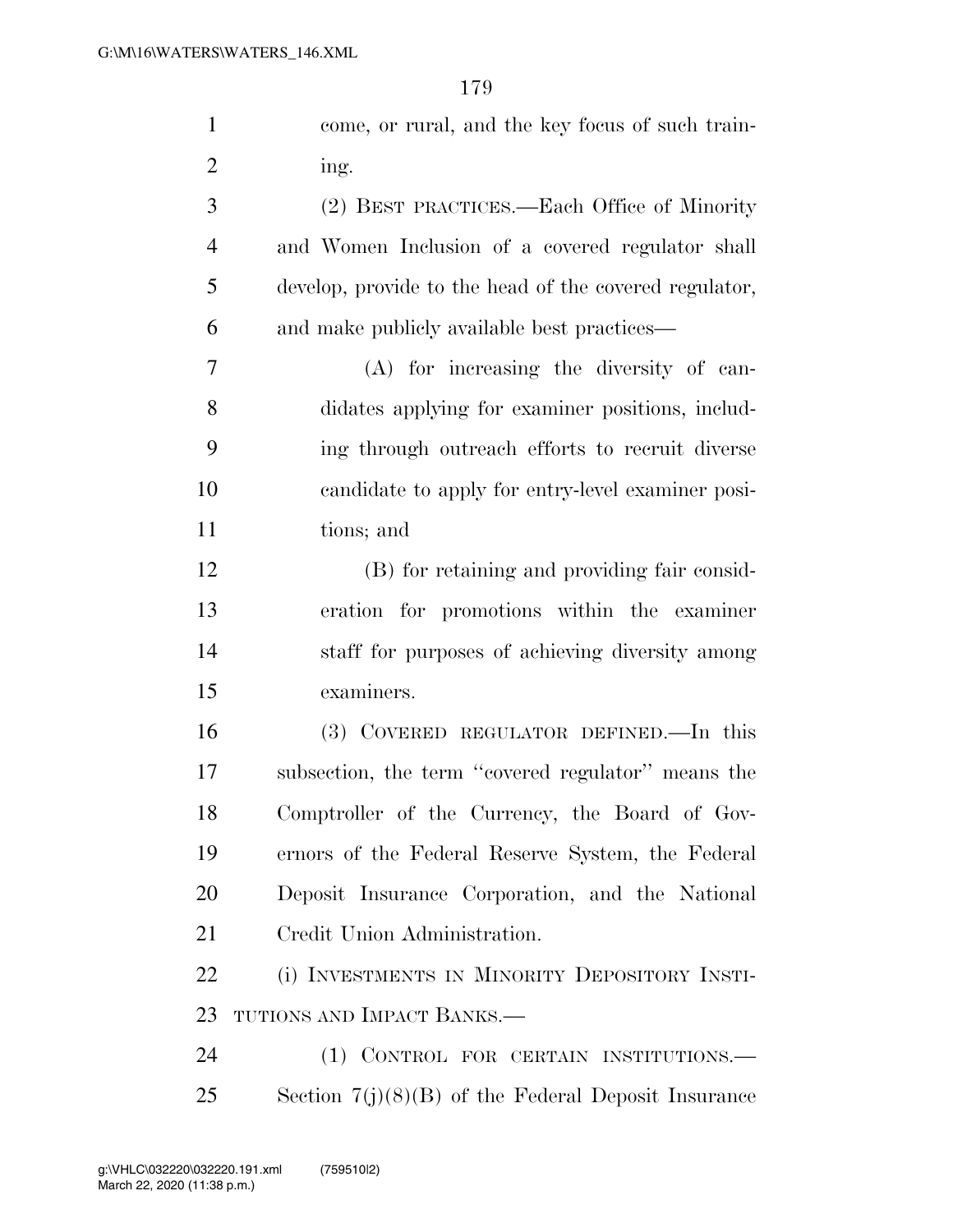| $\mathbf{1}$   | come, or rural, and the key focus of such train-       |
|----------------|--------------------------------------------------------|
| $\overline{2}$ | ing.                                                   |
| 3              | (2) BEST PRACTICES.—Each Office of Minority            |
| $\overline{4}$ | and Women Inclusion of a covered regulator shall       |
| 5              | develop, provide to the head of the covered regulator, |
| 6              | and make publicly available best practices—            |
| $\overline{7}$ | (A) for increasing the diversity of can-               |
| 8              | didates applying for examiner positions, includ-       |
| 9              | ing through outreach efforts to recruit diverse        |
| 10             | candidate to apply for entry-level examiner posi-      |
| 11             | tions; and                                             |
| 12             | (B) for retaining and providing fair consid-           |
| 13             | eration for promotions within the examiner             |
| 14             | staff for purposes of achieving diversity among        |
| 15             | examiners.                                             |
| 16             | (3) COVERED REGULATOR DEFINED.—In this                 |
| 17             | subsection, the term "covered regulator" means the     |
| 18             | Comptroller of the Currency, the Board of Gov-         |
| 19             | ernors of the Federal Reserve System, the Federal      |
| 20             | Deposit Insurance Corporation, and the National        |
| 21             | Credit Union Administration.                           |
| 22             | (i) INVESTMENTS IN MINORITY DEPOSITORY INSTI-          |
| 23             | TUTIONS AND IMPACT BANKS.—                             |
| 24             | (1) CONTROL FOR CERTAIN INSTITUTIONS.                  |
| 25             | Section $7(j)(8)(B)$ of the Federal Deposit Insurance  |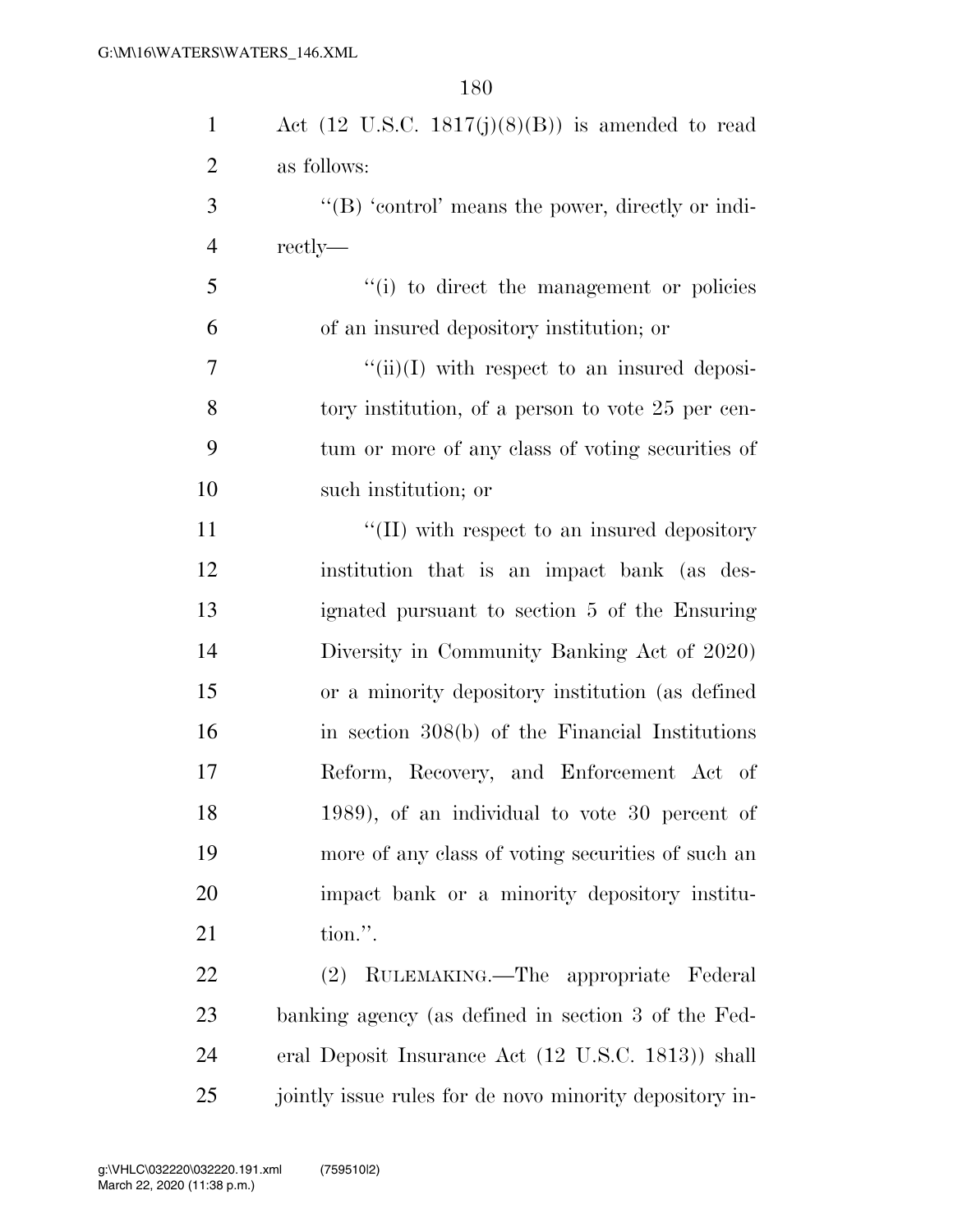| $\mathbf{1}$   | Act $(12 \text{ U.S.C. } 1817(j)(8)(B))$ is amended to read |
|----------------|-------------------------------------------------------------|
| $\overline{2}$ | as follows:                                                 |
| 3              | "(B) 'control' means the power, directly or indi-           |
| 4              | rectly—                                                     |
| 5              | "(i) to direct the management or policies                   |
| 6              | of an insured depository institution; or                    |
| $\overline{7}$ | $\lq\lq$ (ii)(I) with respect to an insured deposi-         |
| 8              | tory institution, of a person to vote 25 per cen-           |
| 9              | tum or more of any class of voting securities of            |
| 10             | such institution; or                                        |
| 11             | $\lq\lq$ (II) with respect to an insured depository         |
| 12             | institution that is an impact bank (as des-                 |
| 13             | ignated pursuant to section 5 of the Ensuring               |
| 14             | Diversity in Community Banking Act of 2020)                 |
| 15             | or a minority depository institution (as defined            |
| 16             | in section $308(b)$ of the Financial Institutions           |
| 17             | Reform, Recovery, and Enforcement Act of                    |
| 18             | $(1989)$ , of an individual to vote 30 percent of           |
| 19             | more of any class of voting securities of such an           |
| 20             | impact bank or a minority depository institu-               |
| 21             | tion.".                                                     |
| 22             | RULEMAKING.—The appropriate Federal<br>$(2)^{-}$            |
| 23             | banking agency (as defined in section 3 of the Fed-         |
| 24             | eral Deposit Insurance Act (12 U.S.C. 1813)) shall          |
| 25             | jointly issue rules for de novo minority depository in-     |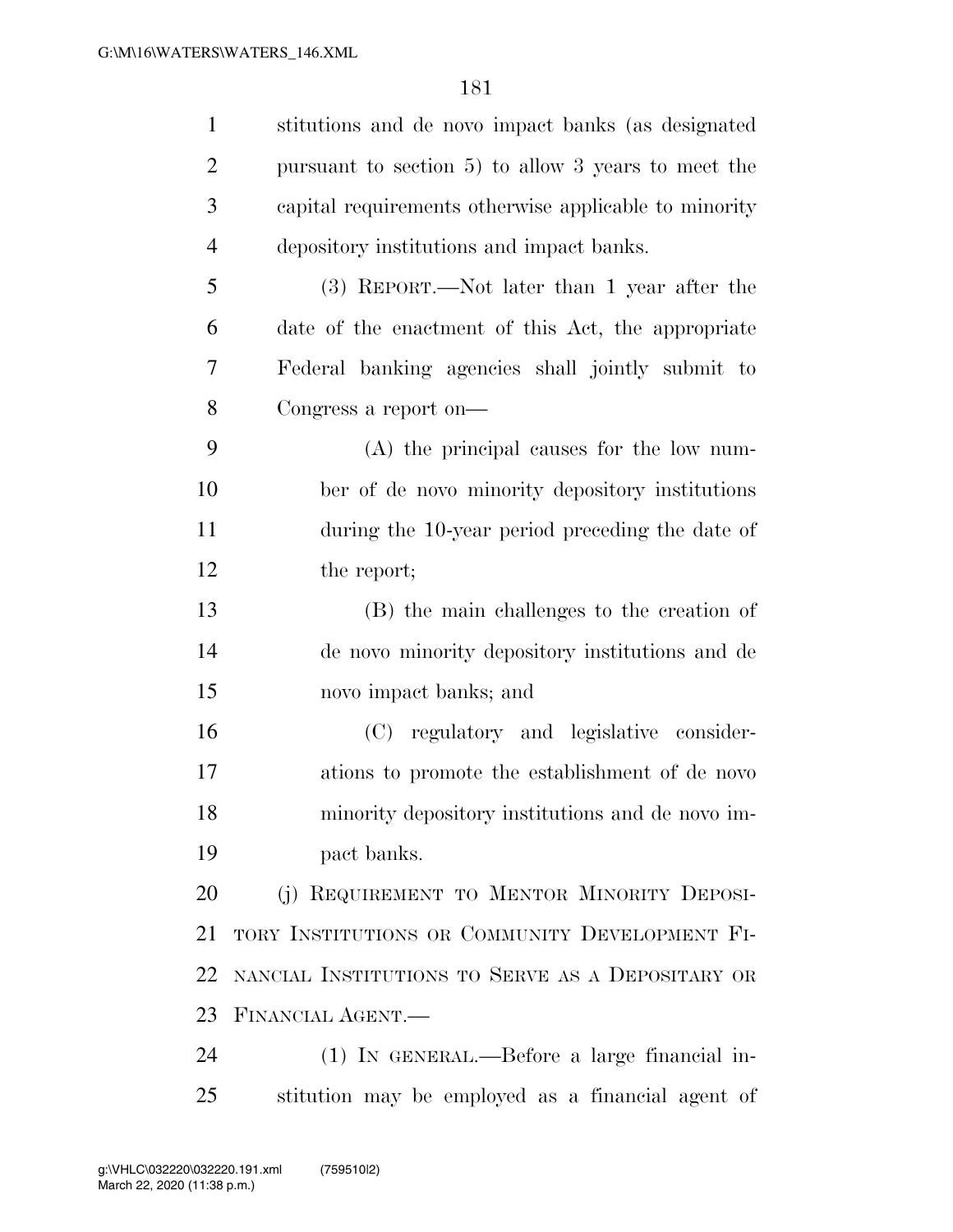| $\mathbf{1}$   | stitutions and de novo impact banks (as designated    |
|----------------|-------------------------------------------------------|
| $\overline{2}$ | pursuant to section $5)$ to allow 3 years to meet the |
| 3              | capital requirements otherwise applicable to minority |
| $\overline{4}$ | depository institutions and impact banks.             |
| 5              | (3) REPORT.—Not later than 1 year after the           |
| 6              | date of the enactment of this Act, the appropriate    |
| 7              | Federal banking agencies shall jointly submit to      |
| 8              | Congress a report on-                                 |
| 9              | $(A)$ the principal causes for the low num-           |
| 10             | ber of de novo minority depository institutions       |
| 11             | during the 10-year period preceding the date of       |
| 12             | the report;                                           |
| 13             | (B) the main challenges to the creation of            |
| 14             | de novo minority depository institutions and de       |
| 15             | novo impact banks; and                                |
| 16             | (C) regulatory and legislative consider-              |
| 17             | ations to promote the establishment of de novo        |
| 18             | minority depository institutions and de novo im-      |
| 19             | pact banks.                                           |
| 20             | (j) REQUIREMENT TO MENTOR MINORITY DEPOSI-            |
| 21             | TORY INSTITUTIONS OR COMMUNITY DEVELOPMENT FI-        |
| 22             | NANCIAL INSTITUTIONS TO SERVE AS A DEPOSITARY OR      |
| 23             | FINANCIAL AGENT.                                      |
| 24             | (1) IN GENERAL.—Before a large financial in-          |
| 25             | stitution may be employed as a financial agent of     |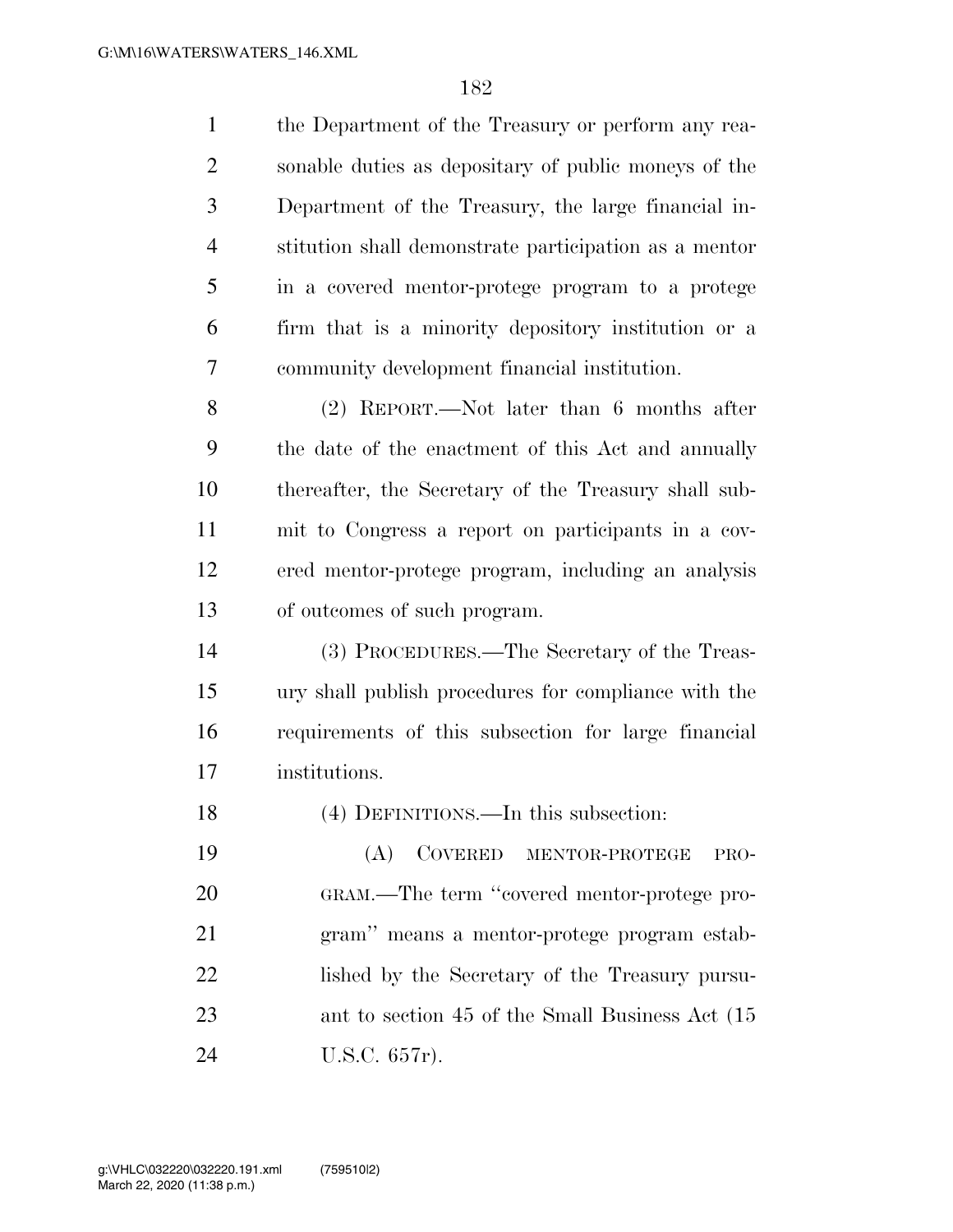| $\mathbf{1}$   | the Department of the Treasury or perform any rea-    |
|----------------|-------------------------------------------------------|
| 2              | sonable duties as depositary of public moneys of the  |
| 3              | Department of the Treasury, the large financial in-   |
| $\overline{4}$ | stitution shall demonstrate participation as a mentor |
| 5              | in a covered mentor-protege program to a protege      |
| 6              | firm that is a minority depository institution or a   |
| 7              | community development financial institution.          |
| 8              | $(2)$ REPORT.—Not later than 6 months after           |
| 9              | the date of the enactment of this Act and annually    |
| 10             | thereafter, the Secretary of the Treasury shall sub-  |
| 11             | mit to Congress a report on participants in a cov-    |
| 12             | ered mentor-protege program, including an analysis    |
| 13             | of outcomes of such program.                          |
| 14             | (3) PROCEDURES.—The Secretary of the Treas-           |
| 15             | ury shall publish procedures for compliance with the  |
| 16             | requirements of this subsection for large financial   |
| 17             | institutions.                                         |
| 18             | (4) DEFINITIONS.—In this subsection:                  |
| 19             | (A)<br>COVERED MENTOR-PROTEGE<br>PRO-                 |
| 20             |                                                       |
|                | GRAM.—The term "covered mentor-protege pro-           |
| 21             | gram" means a mentor-protege program estab-           |
| 22             | lished by the Secretary of the Treasury pursu-        |
| 23             | ant to section 45 of the Small Business Act (15)      |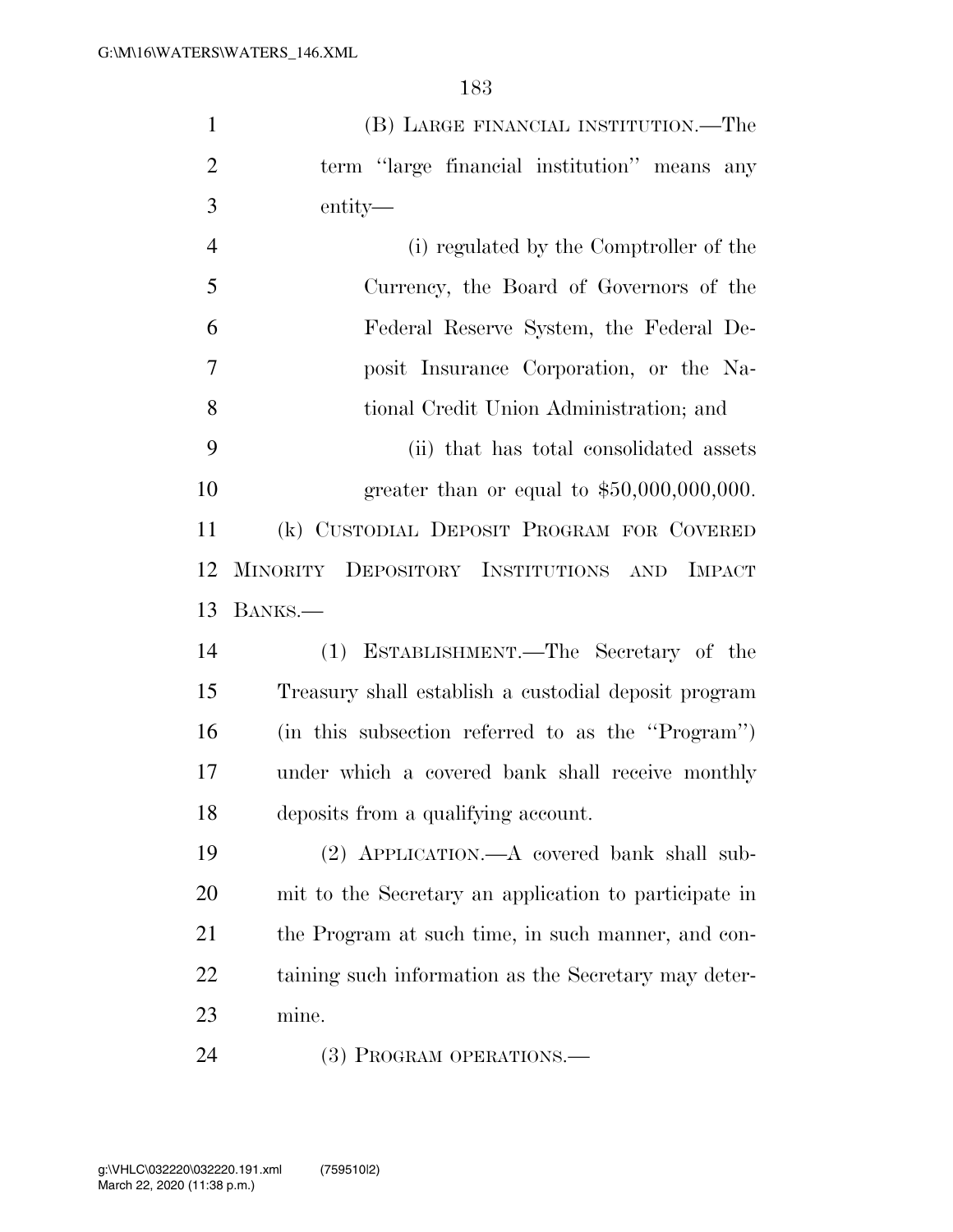| $\mathbf{1}$   | (B) LARGE FINANCIAL INSTITUTION.—The                  |
|----------------|-------------------------------------------------------|
| $\overline{2}$ | term "large financial institution" means any          |
| 3              | entity—                                               |
| $\overline{4}$ | (i) regulated by the Comptroller of the               |
| 5              | Currency, the Board of Governors of the               |
| 6              | Federal Reserve System, the Federal De-               |
| 7              | posit Insurance Corporation, or the Na-               |
| 8              | tional Credit Union Administration; and               |
| 9              | (ii) that has total consolidated assets               |
| 10             | greater than or equal to $$50,000,000,000$ .          |
| 11             | (k) CUSTODIAL DEPOSIT PROGRAM FOR COVERED             |
| 12             | MINORITY DEPOSITORY INSTITUTIONS AND IMPACT           |
|                |                                                       |
| 13             | BANKS.                                                |
| 14             | (1) ESTABLISHMENT.—The Secretary of the               |
| 15             | Treasury shall establish a custodial deposit program  |
| 16             | (in this subsection referred to as the "Program")     |
| 17             | under which a covered bank shall receive monthly      |
| 18             | deposits from a qualifying account.                   |
| 19             | (2) APPLICATION.—A covered bank shall sub-            |
| 20             | mit to the Secretary an application to participate in |
| 21             | the Program at such time, in such manner, and con-    |
| 22             | taining such information as the Secretary may deter-  |
| 23             | mine.                                                 |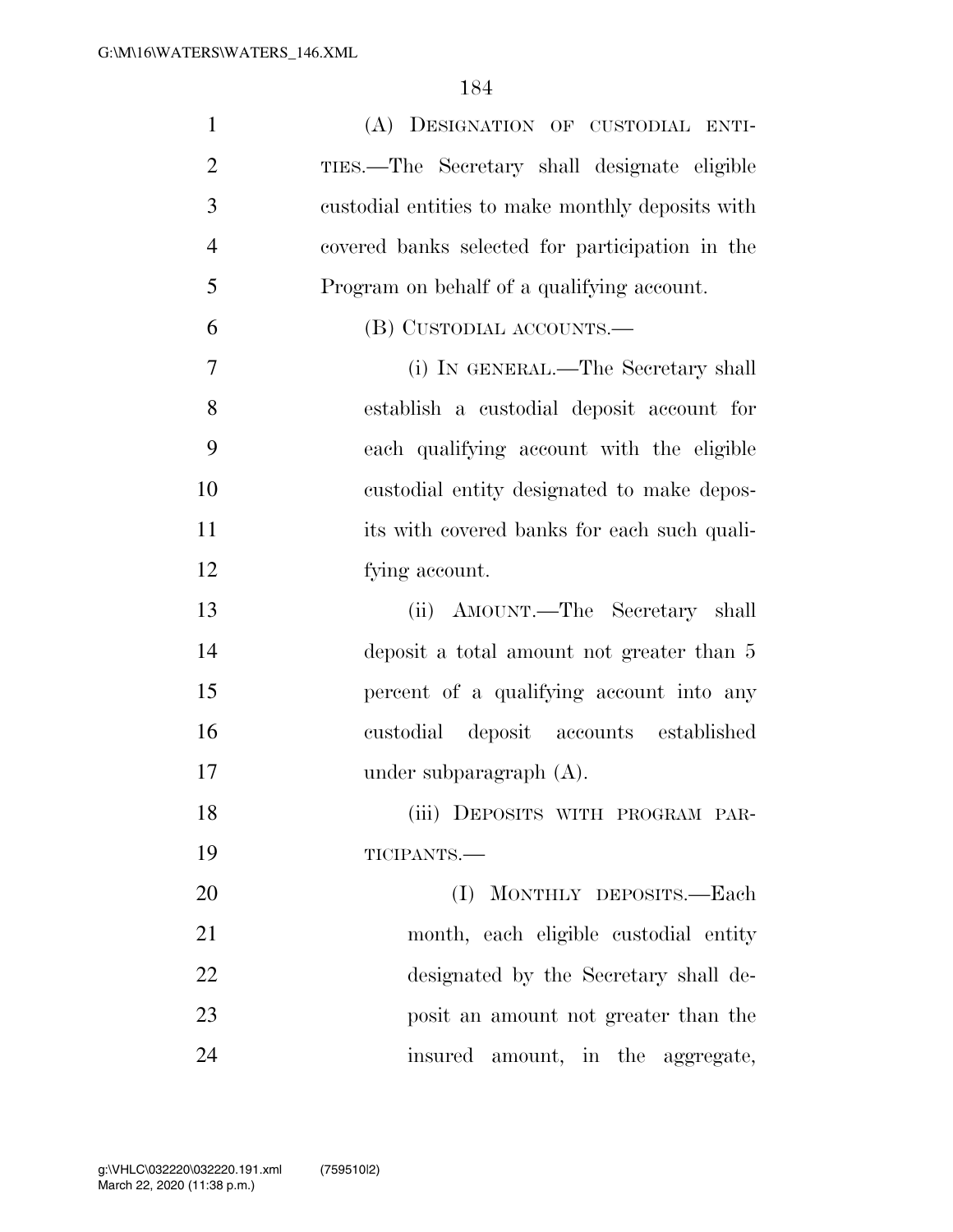| $\mathbf{1}$   | (A) DESIGNATION OF CUSTODIAL ENTI-               |
|----------------|--------------------------------------------------|
| $\overline{2}$ | TIES.—The Secretary shall designate eligible     |
| 3              | custodial entities to make monthly deposits with |
| $\overline{4}$ | covered banks selected for participation in the  |
| 5              | Program on behalf of a qualifying account.       |
| 6              | (B) CUSTODIAL ACCOUNTS.—                         |
| 7              | (i) IN GENERAL.—The Secretary shall              |
| 8              | establish a custodial deposit account for        |
| 9              | each qualifying account with the eligible        |
| 10             | custodial entity designated to make depos-       |
| 11             | its with covered banks for each such quali-      |
| 12             | fying account.                                   |
| 13             | (ii) AMOUNT.—The Secretary shall                 |
| 14             | deposit a total amount not greater than 5        |
| 15             | percent of a qualifying account into any         |
| 16             | custodial deposit accounts established           |
| 17             | under subparagraph $(A)$ .                       |
| 18             | (iii) DEPOSITS WITH PROGRAM PAR-                 |
| 19             | TICIPANTS.-                                      |
| 20             | MONTHLY DEPOSITS.-Each<br>(I)                    |
| 21             | month, each eligible custodial entity            |
| 22             | designated by the Secretary shall de-            |
| 23             | posit an amount not greater than the             |
| 24             | insured amount, in the aggregate,                |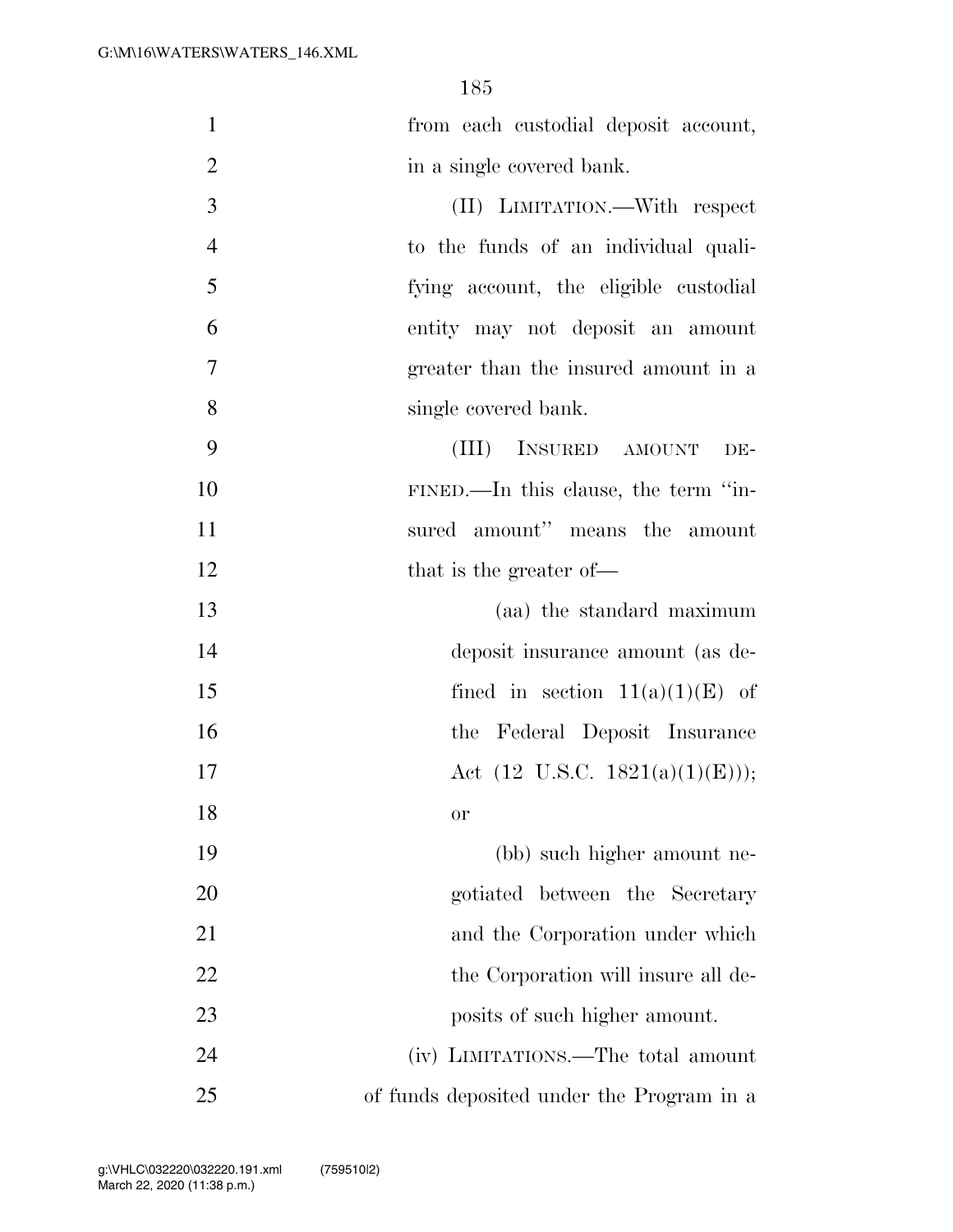1 from each custodial deposit account, 2 in a single covered bank.

 (II) LIMITATION.—With respect to the funds of an individual quali- fying account, the eligible custodial entity may not deposit an amount greater than the insured amount in a single covered bank.

9 (III) INSURED AMOUNT DE-10 FINED.—In this clause, the term ''in-11 sured amount'' means the amount 12 that is the greater of—

 (aa) the standard maximum deposit insurance amount (as de-15 fined in section  $11(a)(1)(E)$  of the Federal Deposit Insurance  $\text{Act} (12 \text{ U.S.C. } 1821(a)(1)(\text{E}))),$ 18 or

19 (bb) such higher amount ne-20 gotiated between the Secretary 21 and the Corporation under which 22 the Corporation will insure all de-23 posits of such higher amount. 24 (iv) LIMITATIONS.—The total amount 25 of funds deposited under the Program in a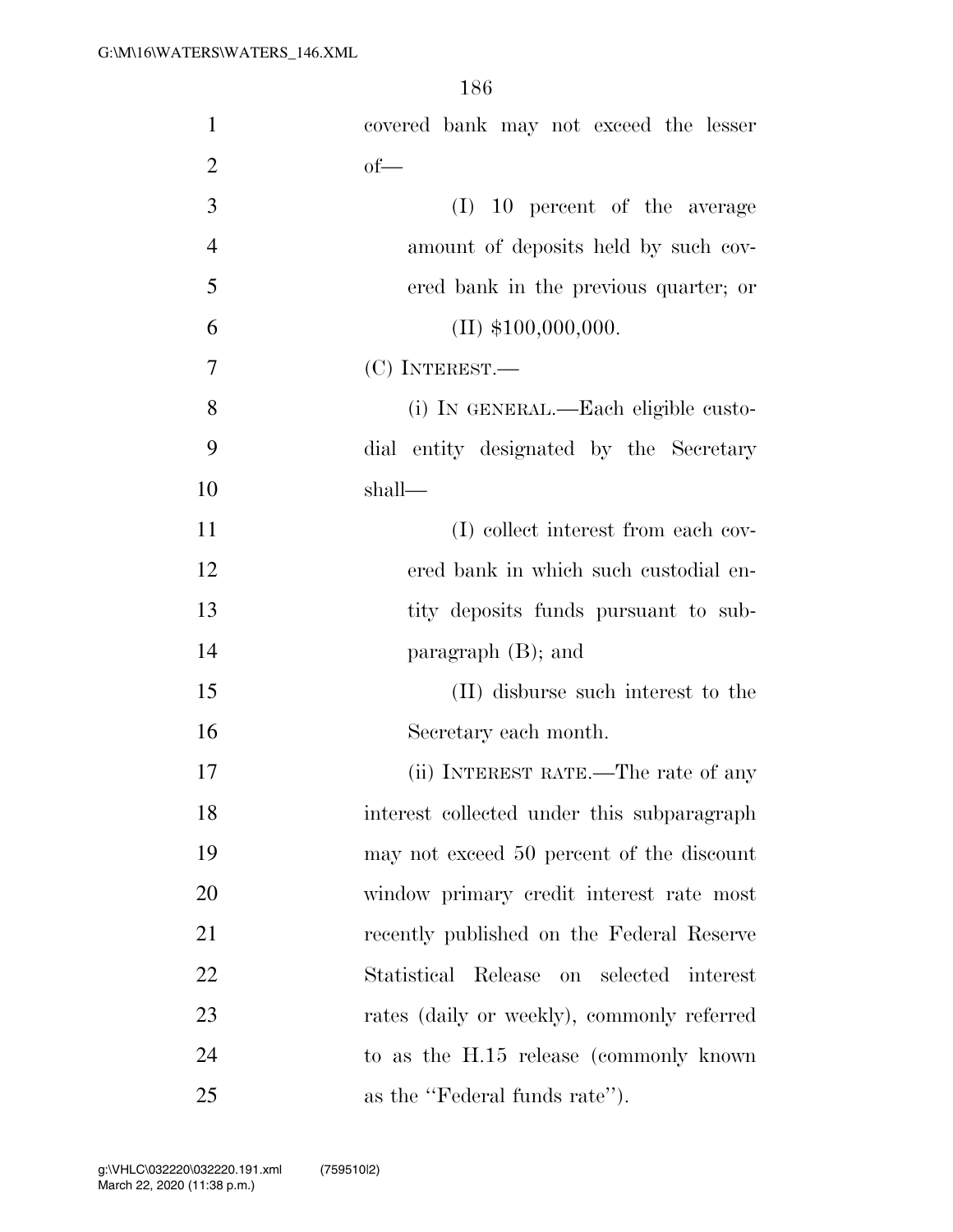| $\mathbf{1}$   | covered bank may not exceed the lesser     |
|----------------|--------------------------------------------|
| $\overline{2}$ | $of$ —                                     |
| 3              | (I)<br>10 percent of the average           |
| $\overline{4}$ | amount of deposits held by such cov-       |
| 5              | ered bank in the previous quarter; or      |
| 6              | $(II)$ \$100,000,000.                      |
| 7              | $(C)$ INTEREST.—                           |
| 8              | (i) IN GENERAL.—Each eligible custo-       |
| 9              | dial entity designated by the Secretary    |
| 10             | shall—                                     |
| 11             | (I) collect interest from each cov-        |
| 12             | ered bank in which such custodial en-      |
| 13             | tity deposits funds pursuant to sub-       |
| 14             | paragraph $(B)$ ; and                      |
| 15             | (II) disburse such interest to the         |
| 16             | Secretary each month.                      |
| 17             | (ii) INTEREST RATE.—The rate of any        |
| 18             | interest collected under this subparagraph |
| 19             | may not exceed 50 percent of the discount  |
| 20             | window primary credit interest rate most   |
| 21             | recently published on the Federal Reserve  |
| 22             | Statistical Release on selected interest   |
| 23             | rates (daily or weekly), commonly referred |
| 24             | to as the H.15 release (commonly known)    |
| 25             | as the "Federal funds rate").              |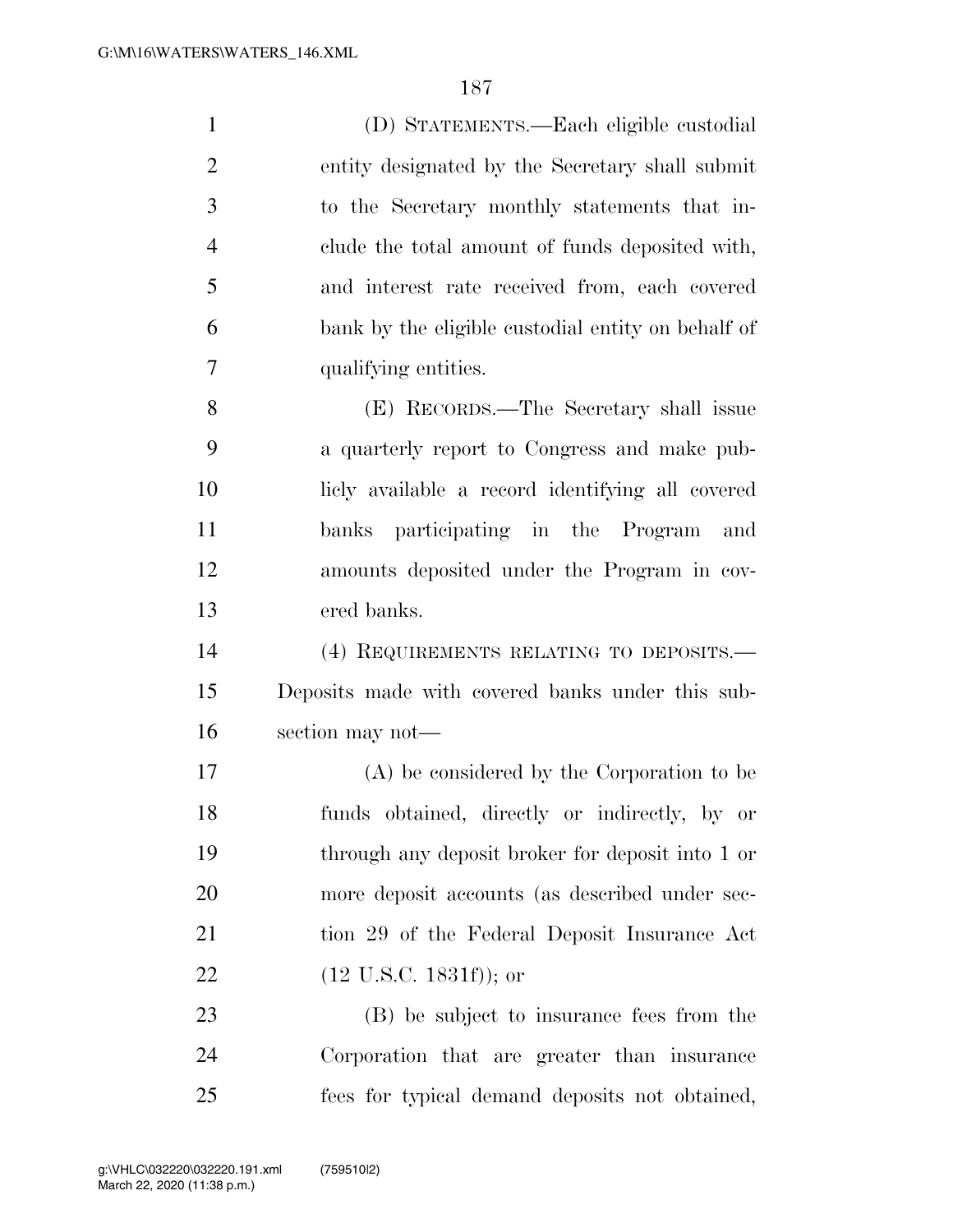(D) STATEMENTS.—Each eligible custodial entity designated by the Secretary shall submit to the Secretary monthly statements that in- clude the total amount of funds deposited with, and interest rate received from, each covered bank by the eligible custodial entity on behalf of qualifying entities. (E) RECORDS.—The Secretary shall issue a quarterly report to Congress and make pub- licly available a record identifying all covered banks participating in the Program and amounts deposited under the Program in cov-ered banks.

 (4) REQUIREMENTS RELATING TO DEPOSITS.— Deposits made with covered banks under this sub-section may not—

 (A) be considered by the Corporation to be funds obtained, directly or indirectly, by or through any deposit broker for deposit into 1 or more deposit accounts (as described under sec- tion 29 of the Federal Deposit Insurance Act (12 U.S.C. 1831f)); or

 (B) be subject to insurance fees from the Corporation that are greater than insurance fees for typical demand deposits not obtained,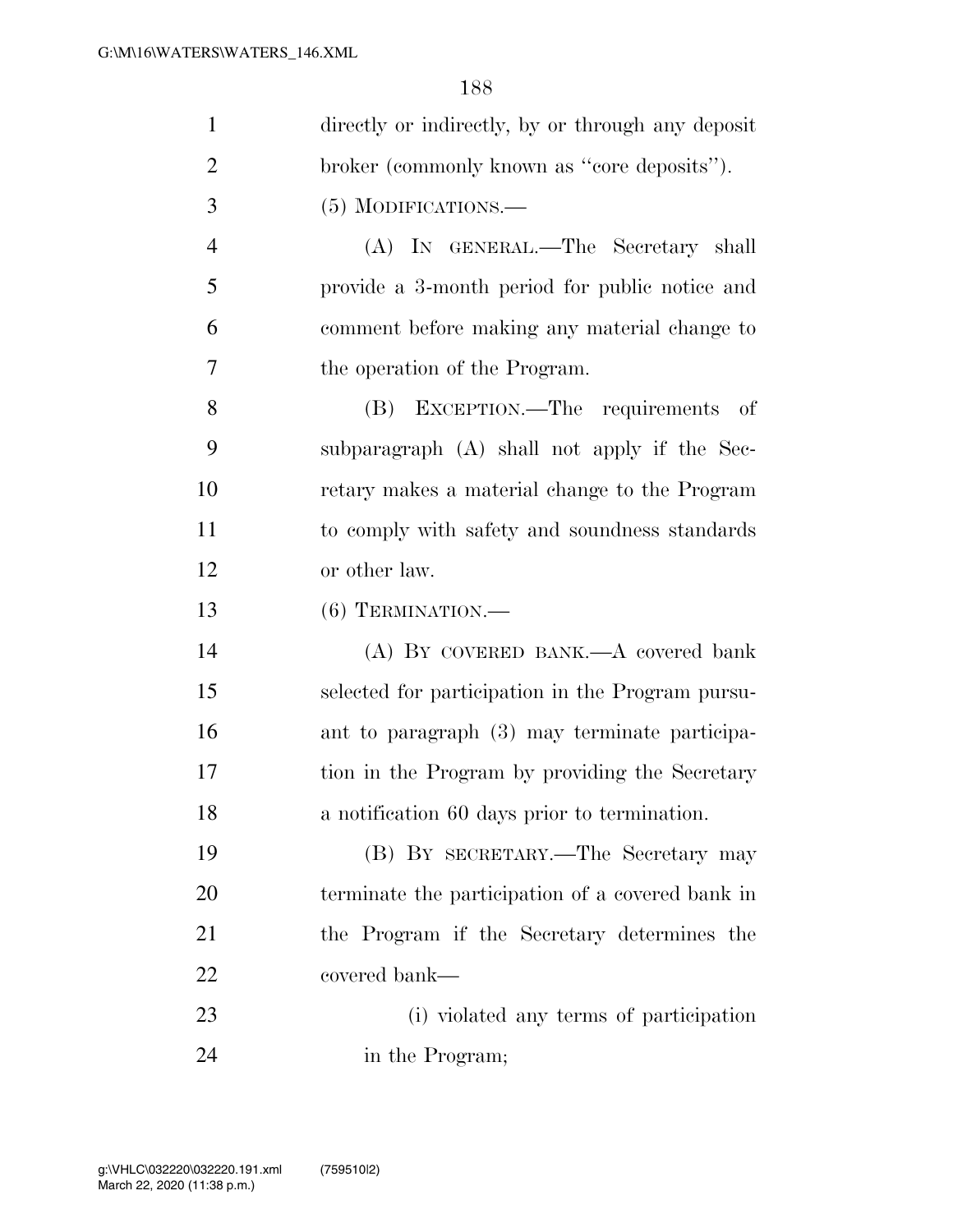| $\mathbf{1}$   | directly or indirectly, by or through any deposit |
|----------------|---------------------------------------------------|
| $\overline{2}$ | broker (commonly known as "core deposits").       |
| 3              | $(5)$ MODIFICATIONS.—                             |
| $\overline{4}$ | (A) IN GENERAL.—The Secretary shall               |
| 5              | provide a 3-month period for public notice and    |
| 6              | comment before making any material change to      |
| 7              | the operation of the Program.                     |
| 8              | EXCEPTION.—The requirements of<br>(B)             |
| 9              | subparagraph (A) shall not apply if the Sec-      |
| 10             | retary makes a material change to the Program     |
| 11             | to comply with safety and soundness standards     |
| 12             | or other law.                                     |
| 13             | $(6)$ TERMINATION.—                               |
| 14             | (A) BY COVERED BANK.—A covered bank               |
| 15             | selected for participation in the Program pursu-  |
| 16             | ant to paragraph (3) may terminate participa-     |
| 17             | tion in the Program by providing the Secretary    |
| 18             | a notification 60 days prior to termination.      |
| 19             | (B) BY SECRETARY.—The Secretary may               |
| 20             | terminate the participation of a covered bank in  |
| 21             | the Program if the Secretary determines the       |
| 22             | covered bank—                                     |
| 23             | (i) violated any terms of participation           |
| 24             | in the Program;                                   |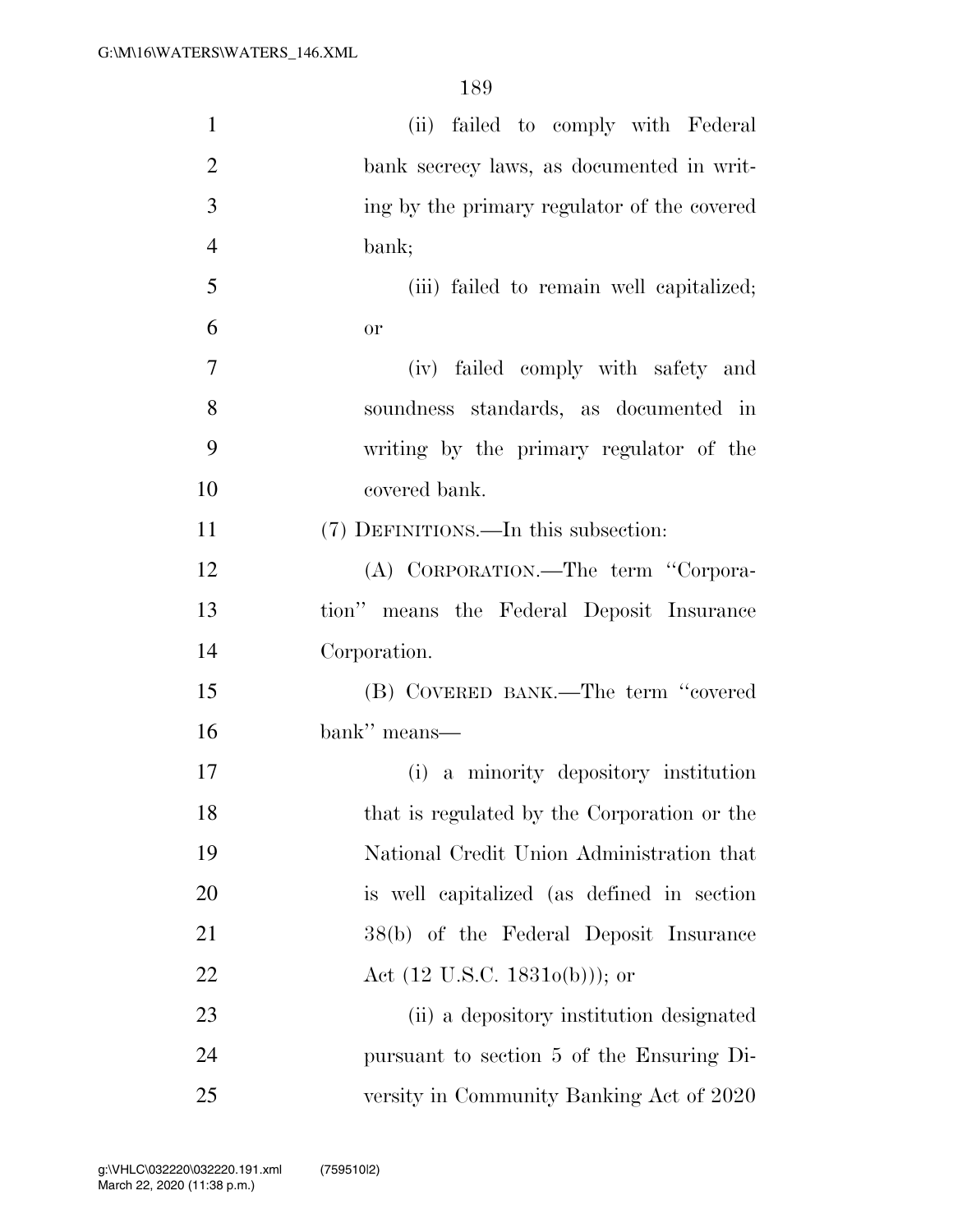| $\mathbf{1}$   | (ii) failed to comply with Federal          |
|----------------|---------------------------------------------|
| $\overline{2}$ | bank secrecy laws, as documented in writ-   |
| 3              | ing by the primary regulator of the covered |
| $\overline{4}$ | bank;                                       |
| 5              | (iii) failed to remain well capitalized;    |
| 6              | <b>or</b>                                   |
| 7              | (iv) failed comply with safety and          |
| 8              | soundness standards, as documented in       |
| 9              | writing by the primary regulator of the     |
| 10             | covered bank.                               |
| 11             | (7) DEFINITIONS.—In this subsection:        |
| 12             | (A) CORPORATION.—The term "Corpora-         |
| 13             | tion" means the Federal Deposit Insurance   |
| 14             | Corporation.                                |
| 15             | (B) COVERED BANK.—The term "covered         |
| 16             | bank" means—                                |
| 17             | (i) a minority depository institution       |
| 18             | that is regulated by the Corporation or the |
| 19             | National Credit Union Administration that   |
| 20             | is well capitalized (as defined in section  |
| 21             | 38(b) of the Federal Deposit Insurance      |
| 22             | Act $(12 \text{ U.S.C. } 18310(b))$ ; or    |
| 23             | (ii) a depository institution designated    |
| 24             | pursuant to section 5 of the Ensuring Di-   |
| 25             | versity in Community Banking Act of 2020    |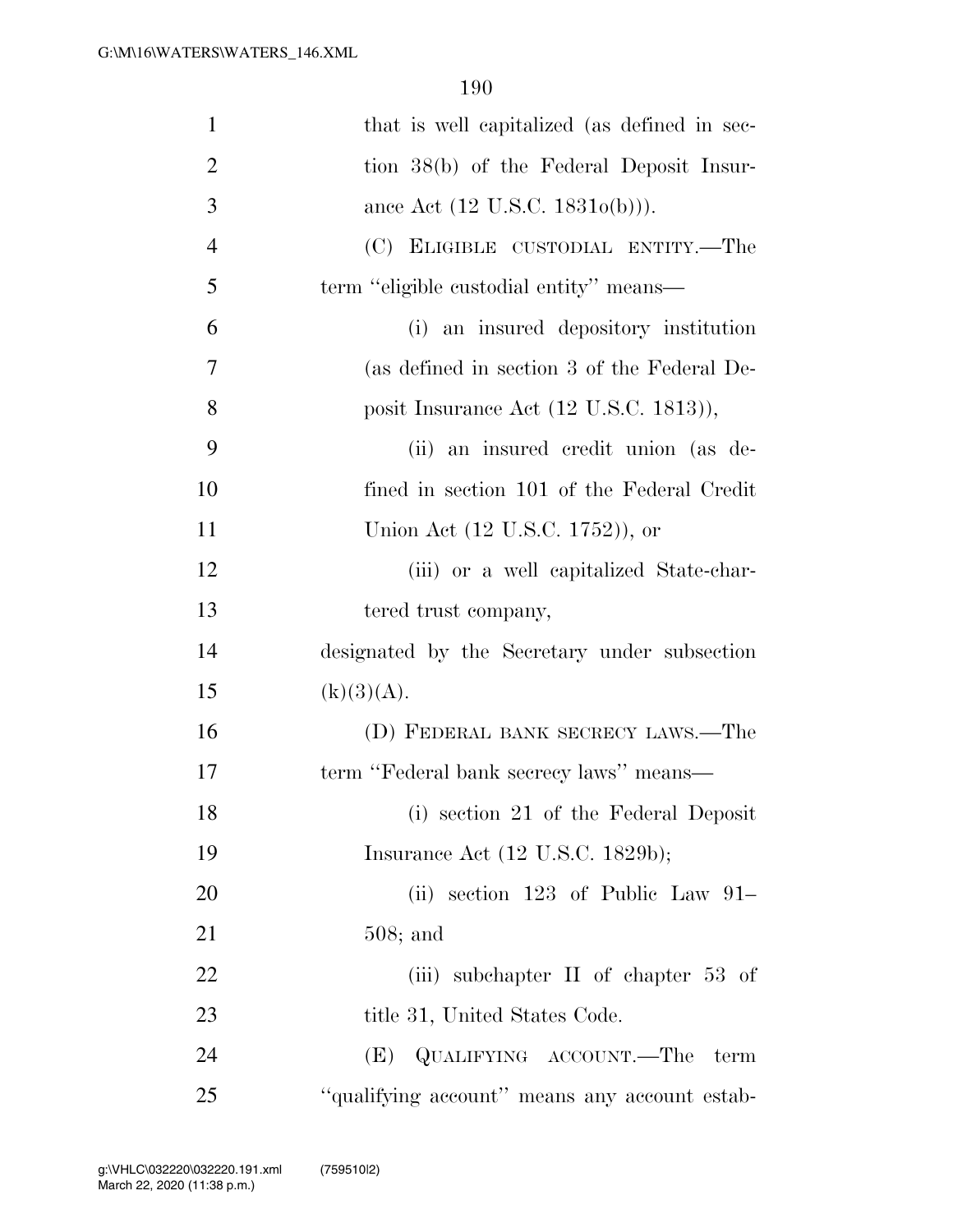| $\mathbf{1}$   | that is well capitalized (as defined in sec-       |
|----------------|----------------------------------------------------|
| $\overline{2}$ | tion 38(b) of the Federal Deposit Insur-           |
| 3              | ance Act $(12 \text{ U.S.C. } 1831o(b))$ .         |
| $\overline{4}$ | (C) ELIGIBLE CUSTODIAL ENTITY.—The                 |
| 5              | term "eligible custodial entity" means—            |
| 6              | (i) an insured depository institution              |
| 7              | (as defined in section 3 of the Federal De-        |
| 8              | posit Insurance Act $(12 \text{ U.S.C. } 1813)$ ), |
| 9              | (ii) an insured credit union (as de-               |
| 10             | fined in section 101 of the Federal Credit         |
| 11             | Union Act (12 U.S.C. 1752)), or                    |
| 12             | (iii) or a well capitalized State-char-            |
| 13             | tered trust company,                               |
| 14             | designated by the Secretary under subsection       |
| 15             | (k)(3)(A).                                         |
| 16             | (D) FEDERAL BANK SECRECY LAWS.—The                 |
| 17             | term "Federal bank secrecy laws" means—            |
| 18             | (i) section 21 of the Federal Deposit              |
| 19             | Insurance Act $(12 \text{ U.S.C. } 1829b);$        |
| 20             | (ii) section $123$ of Public Law $91-$             |
| 21             | $508;$ and                                         |
| 22             | (iii) subchapter $\Pi$ of chapter 53 of            |
| 23             | title 31, United States Code.                      |
| 24             | QUALIFYING ACCOUNT.—The<br>(E)<br>term             |
| 25             | "qualifying account" means any account estab-      |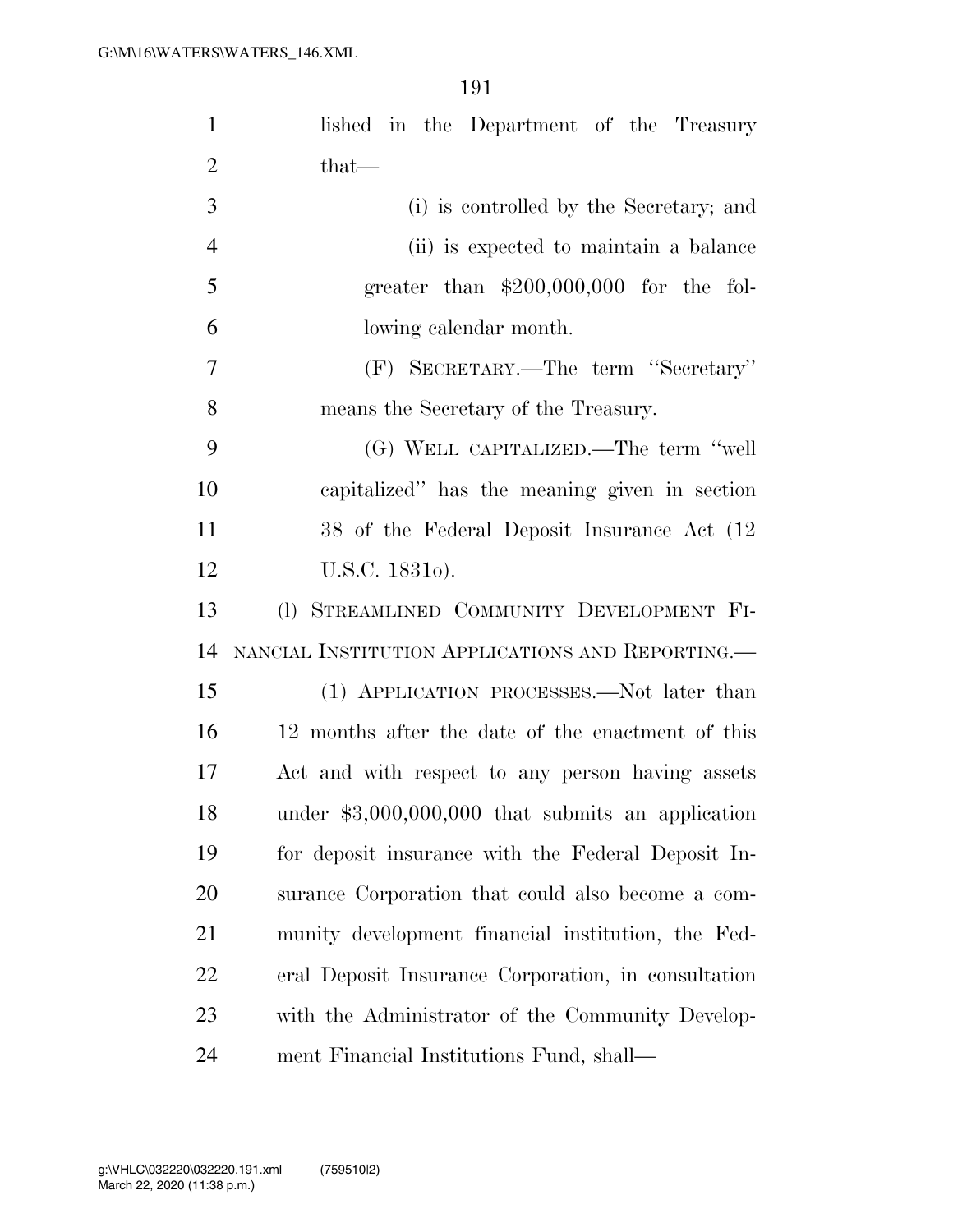| $\mathbf{1}$   | lished in the Department of the Treasury            |
|----------------|-----------------------------------------------------|
| $\overline{2}$ | $that$ —                                            |
| 3              | (i) is controlled by the Secretary; and             |
| $\overline{4}$ | (ii) is expected to maintain a balance              |
| 5              | greater than $$200,000,000$ for the fol-            |
| 6              | lowing calendar month.                              |
| 7              | (F) SECRETARY.—The term "Secretary"                 |
| 8              | means the Secretary of the Treasury.                |
| 9              | (G) WELL CAPITALIZED.—The term "well                |
| 10             | capitalized" has the meaning given in section       |
| 11             | 38 of the Federal Deposit Insurance Act (12)        |
| 12             | U.S.C. 18310).                                      |
| 13             | (1) STREAMLINED COMMUNITY DEVELOPMENT FI-           |
| 14             | NANCIAL INSTITUTION APPLICATIONS AND REPORTING.—    |
| 15             | (1) APPLICATION PROCESSES.—Not later than           |
| 16             | 12 months after the date of the enactment of this   |
| 17             | Act and with respect to any person having assets    |
| 18             | under $$3,000,000,000$ that submits an application  |
| 19             | for deposit insurance with the Federal Deposit In-  |
| 20             | surance Corporation that could also become a com-   |
| 21             | munity development financial institution, the Fed-  |
| 22             | eral Deposit Insurance Corporation, in consultation |
| 23             | with the Administrator of the Community Develop-    |
| 24             | ment Financial Institutions Fund, shall—            |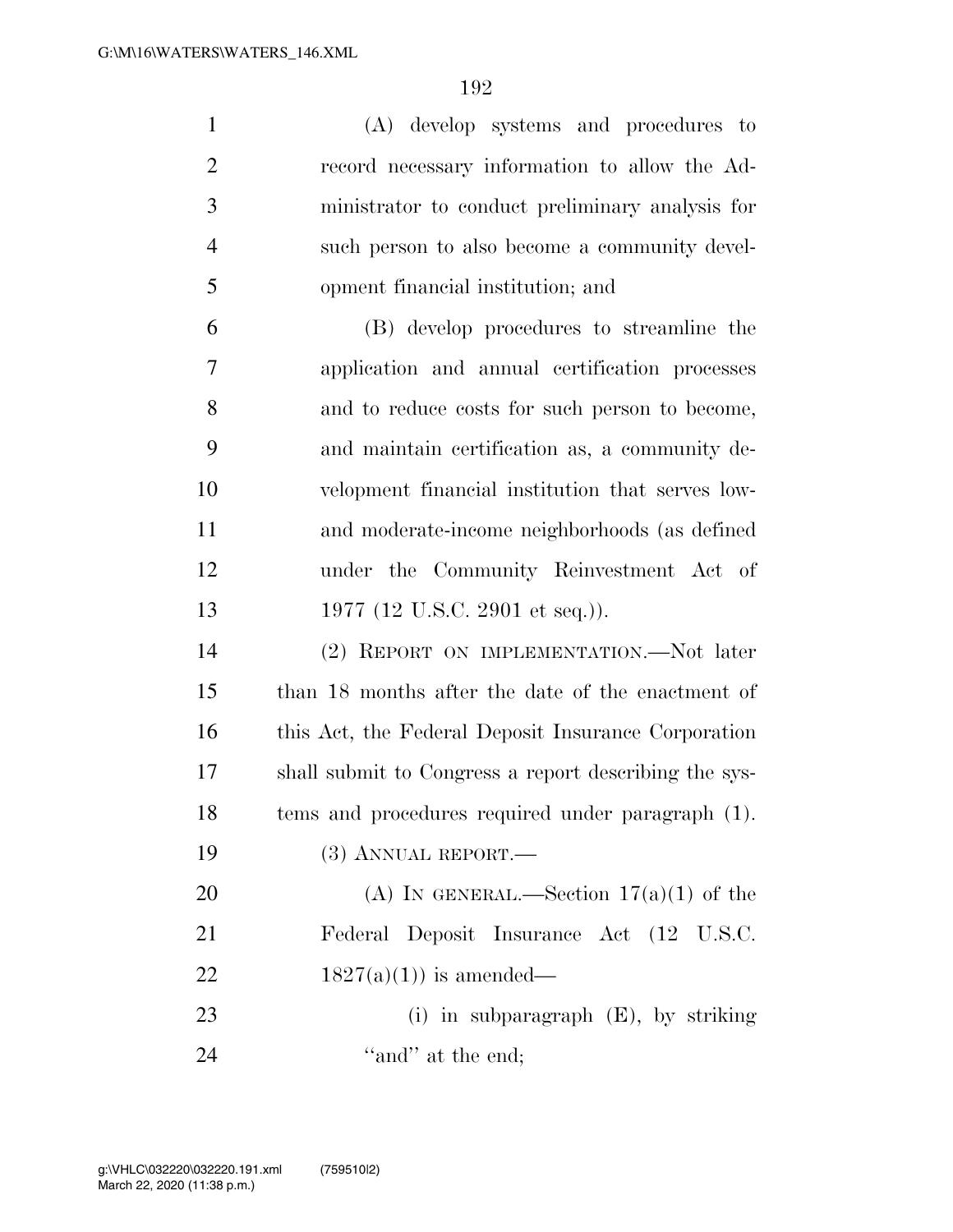| $\mathbf{1}$   | (A) develop systems and procedures to                 |
|----------------|-------------------------------------------------------|
| $\overline{2}$ | record necessary information to allow the Ad-         |
| 3              | ministrator to conduct preliminary analysis for       |
| $\overline{4}$ | such person to also become a community devel-         |
| 5              | opment financial institution; and                     |
| 6              | (B) develop procedures to streamline the              |
| 7              | application and annual certification processes        |
| 8              | and to reduce costs for such person to become,        |
| 9              | and maintain certification as, a community de-        |
| 10             | velopment financial institution that serves low-      |
| 11             | and moderate-income neighborhoods (as defined         |
| 12             | under the Community Reinvestment Act of               |
| 13             | 1977 (12 U.S.C. 2901 et seq.)).                       |
| 14             | (2) REPORT ON IMPLEMENTATION.—Not later               |
| 15             | than 18 months after the date of the enactment of     |
| 16             | this Act, the Federal Deposit Insurance Corporation   |
| 17             | shall submit to Congress a report describing the sys- |
| 18             | tems and procedures required under paragraph (1).     |
| 19             | $(3)$ ANNUAL REPORT.—                                 |
| 20             | (A) IN GENERAL.—Section $17(a)(1)$ of the             |
| 21             | Federal Deposit Insurance Act (12 U.S.C.              |
| 22             | $1827(a)(1)$ is amended—                              |
| 23             | (i) in subparagraph $(E)$ , by striking               |

24  $"and"$  at the end;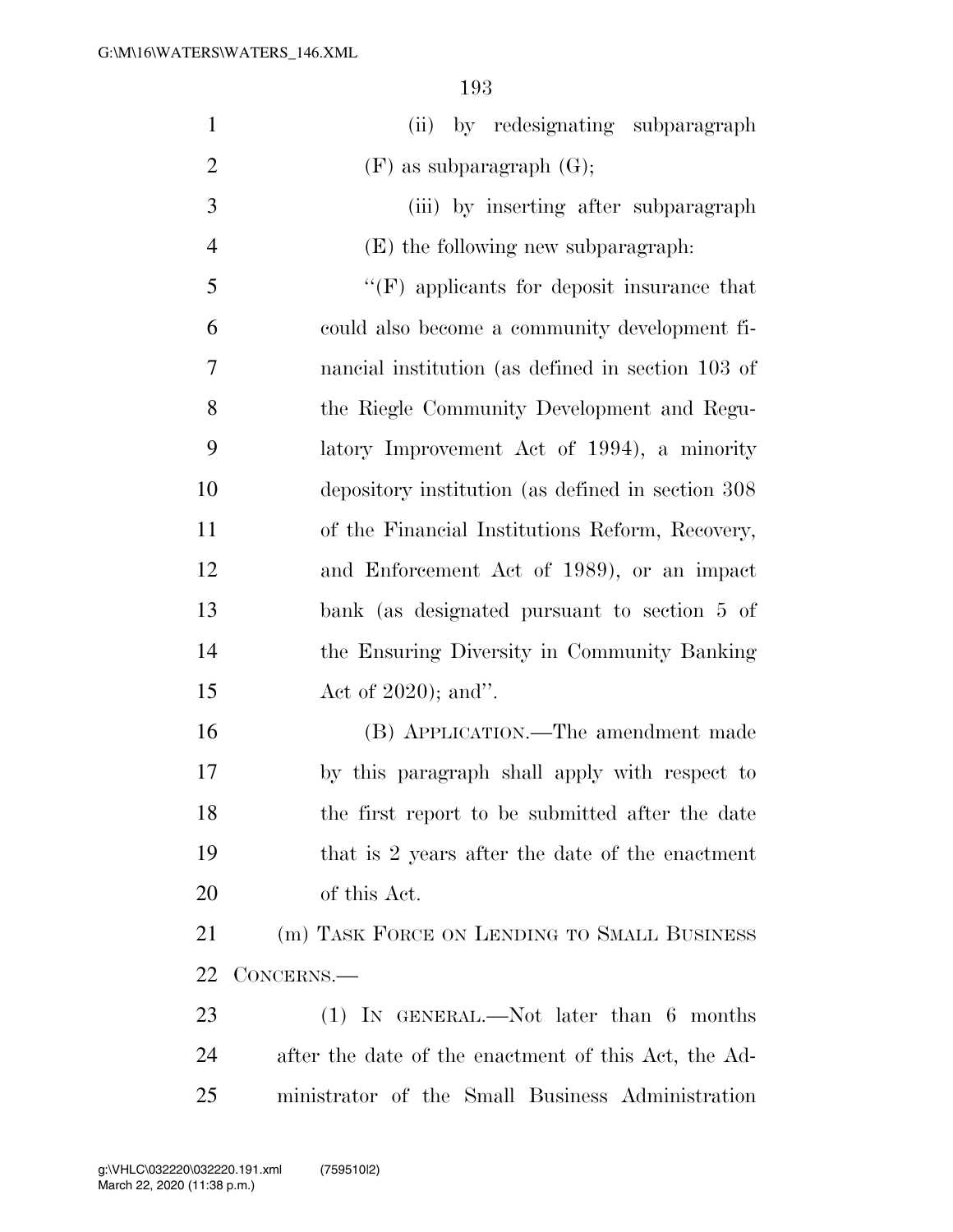| $\mathbf{1}$   | (ii) by redesignating subparagraph                   |
|----------------|------------------------------------------------------|
| $\overline{2}$ | $(F)$ as subparagraph $(G);$                         |
| 3              | (iii) by inserting after subparagraph                |
| $\overline{4}$ | $(E)$ the following new subparagraph:                |
| 5              | $\lq\lq(F)$ applicants for deposit insurance that    |
| 6              | could also become a community development fi-        |
| $\overline{7}$ | nancial institution (as defined in section 103 of    |
| 8              | the Riegle Community Development and Regu-           |
| 9              | latory Improvement Act of 1994), a minority          |
| 10             | depository institution (as defined in section 308)   |
| 11             | of the Financial Institutions Reform, Recovery,      |
| 12             | and Enforcement Act of 1989), or an impact           |
| 13             | bank (as designated pursuant to section 5 of         |
| 14             | the Ensuring Diversity in Community Banking          |
| 15             | Act of $2020$ ; and".                                |
| 16             | (B) APPLICATION.—The amendment made                  |
| 17             | by this paragraph shall apply with respect to        |
| 18             | the first report to be submitted after the date      |
| 19             | that is 2 years after the date of the enactment      |
| 20             | of this Act.                                         |
| 21             | (m) TASK FORCE ON LENDING TO SMALL BUSINESS          |
| 22             | CONCERNS.—                                           |
| 23             | $(1)$ In GENERAL.—Not later than 6 months            |
| 24             | after the date of the enactment of this Act, the Ad- |
| 25             | ministrator of the Small Business Administration     |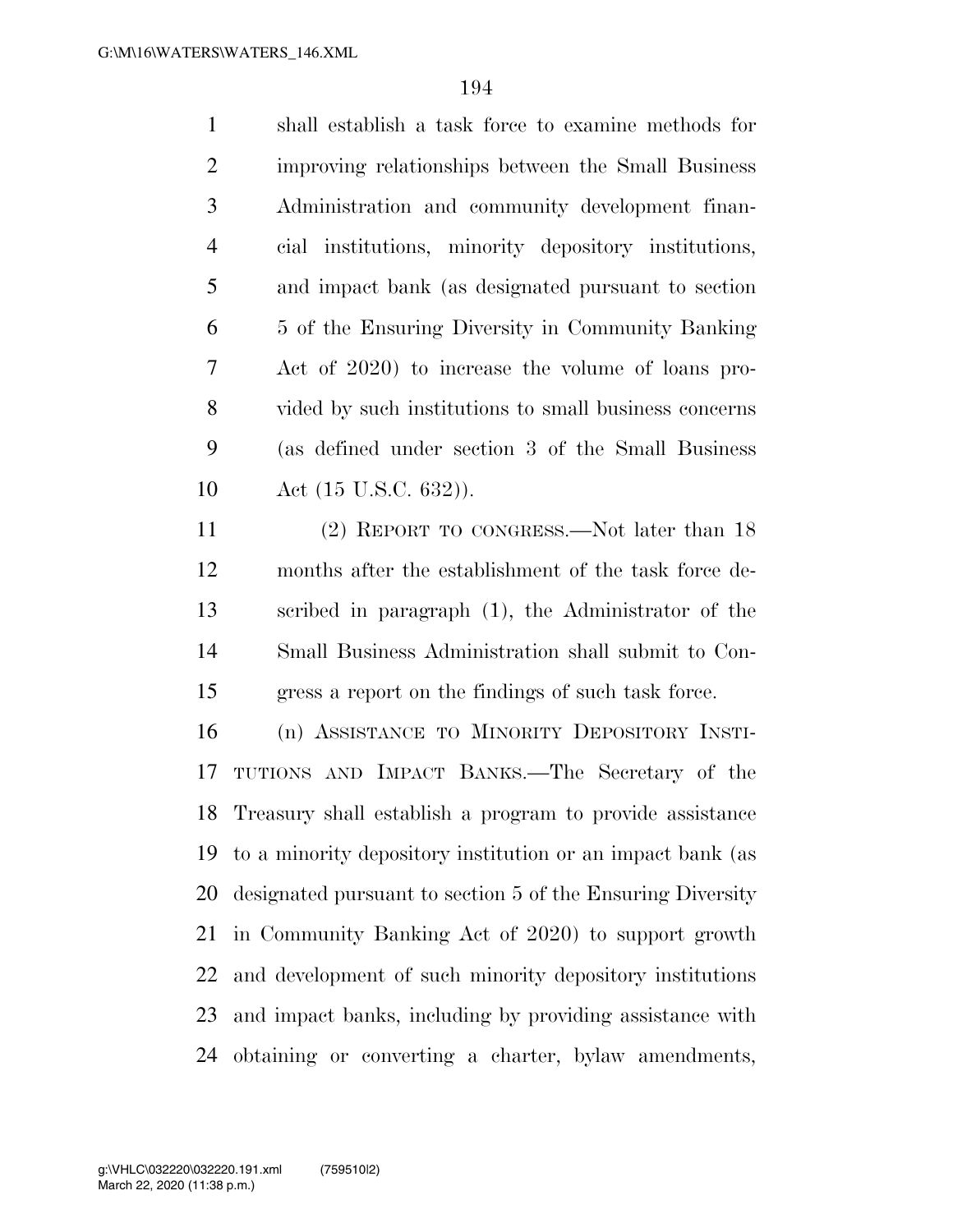shall establish a task force to examine methods for improving relationships between the Small Business Administration and community development finan- cial institutions, minority depository institutions, and impact bank (as designated pursuant to section 5 of the Ensuring Diversity in Community Banking Act of 2020) to increase the volume of loans pro- vided by such institutions to small business concerns (as defined under section 3 of the Small Business 10 Act (15 U.S.C. 632)).

 (2) REPORT TO CONGRESS.—Not later than 18 months after the establishment of the task force de- scribed in paragraph (1), the Administrator of the Small Business Administration shall submit to Con-gress a report on the findings of such task force.

 (n) ASSISTANCE TO MINORITY DEPOSITORY INSTI- TUTIONS AND IMPACT BANKS.—The Secretary of the Treasury shall establish a program to provide assistance to a minority depository institution or an impact bank (as designated pursuant to section 5 of the Ensuring Diversity in Community Banking Act of 2020) to support growth and development of such minority depository institutions and impact banks, including by providing assistance with obtaining or converting a charter, bylaw amendments,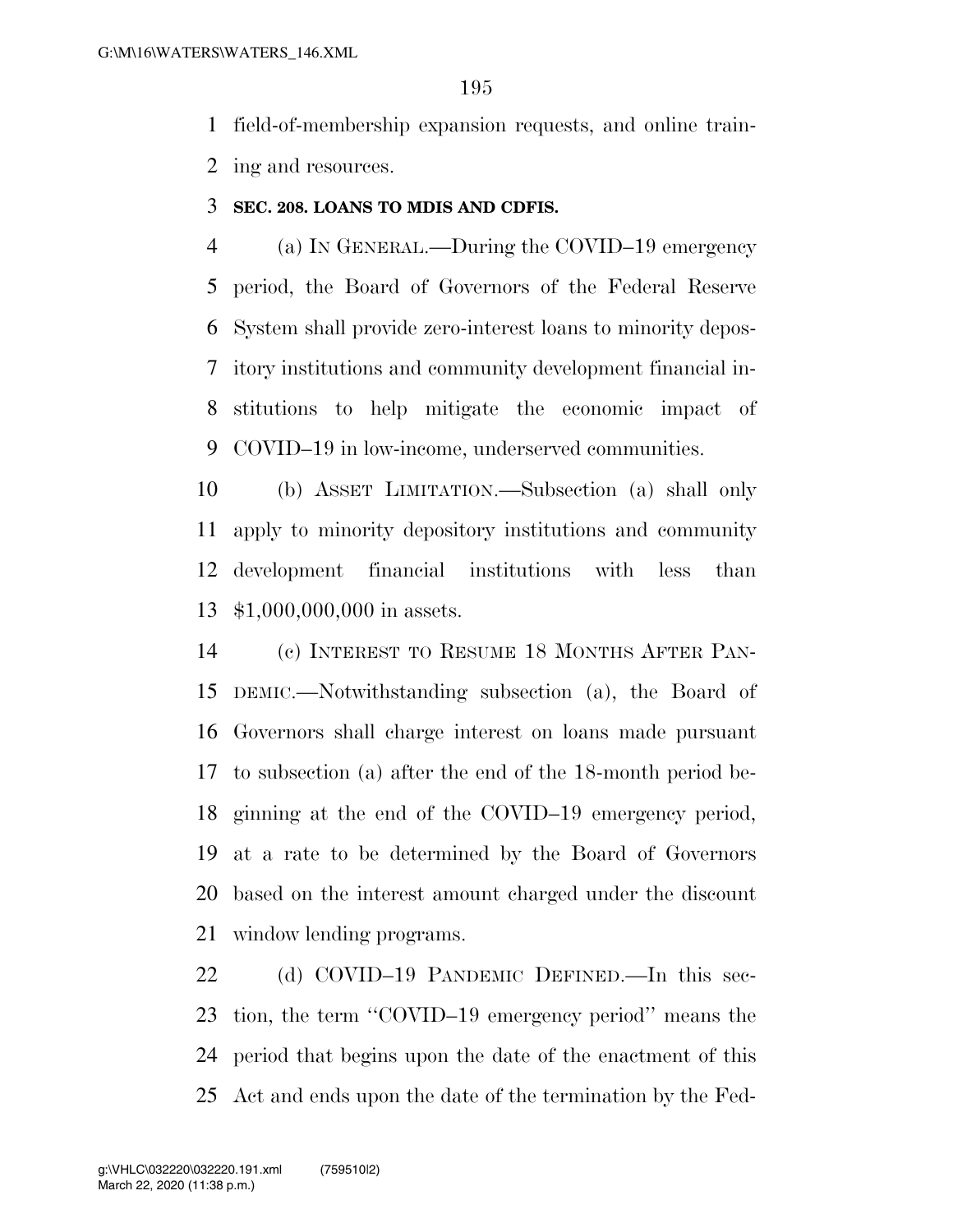field-of-membership expansion requests, and online train-ing and resources.

## **SEC. 208. LOANS TO MDIS AND CDFIS.**

 (a) IN GENERAL.—During the COVID–19 emergency period, the Board of Governors of the Federal Reserve System shall provide zero-interest loans to minority depos- itory institutions and community development financial in- stitutions to help mitigate the economic impact of COVID–19 in low-income, underserved communities.

 (b) ASSET LIMITATION.—Subsection (a) shall only apply to minority depository institutions and community development financial institutions with less than \$1,000,000,000 in assets.

 (c) INTEREST TO RESUME 18 MONTHS AFTER PAN- DEMIC.—Notwithstanding subsection (a), the Board of Governors shall charge interest on loans made pursuant to subsection (a) after the end of the 18-month period be- ginning at the end of the COVID–19 emergency period, at a rate to be determined by the Board of Governors based on the interest amount charged under the discount window lending programs.

 (d) COVID–19 PANDEMIC DEFINED.—In this sec- tion, the term ''COVID–19 emergency period'' means the period that begins upon the date of the enactment of this Act and ends upon the date of the termination by the Fed-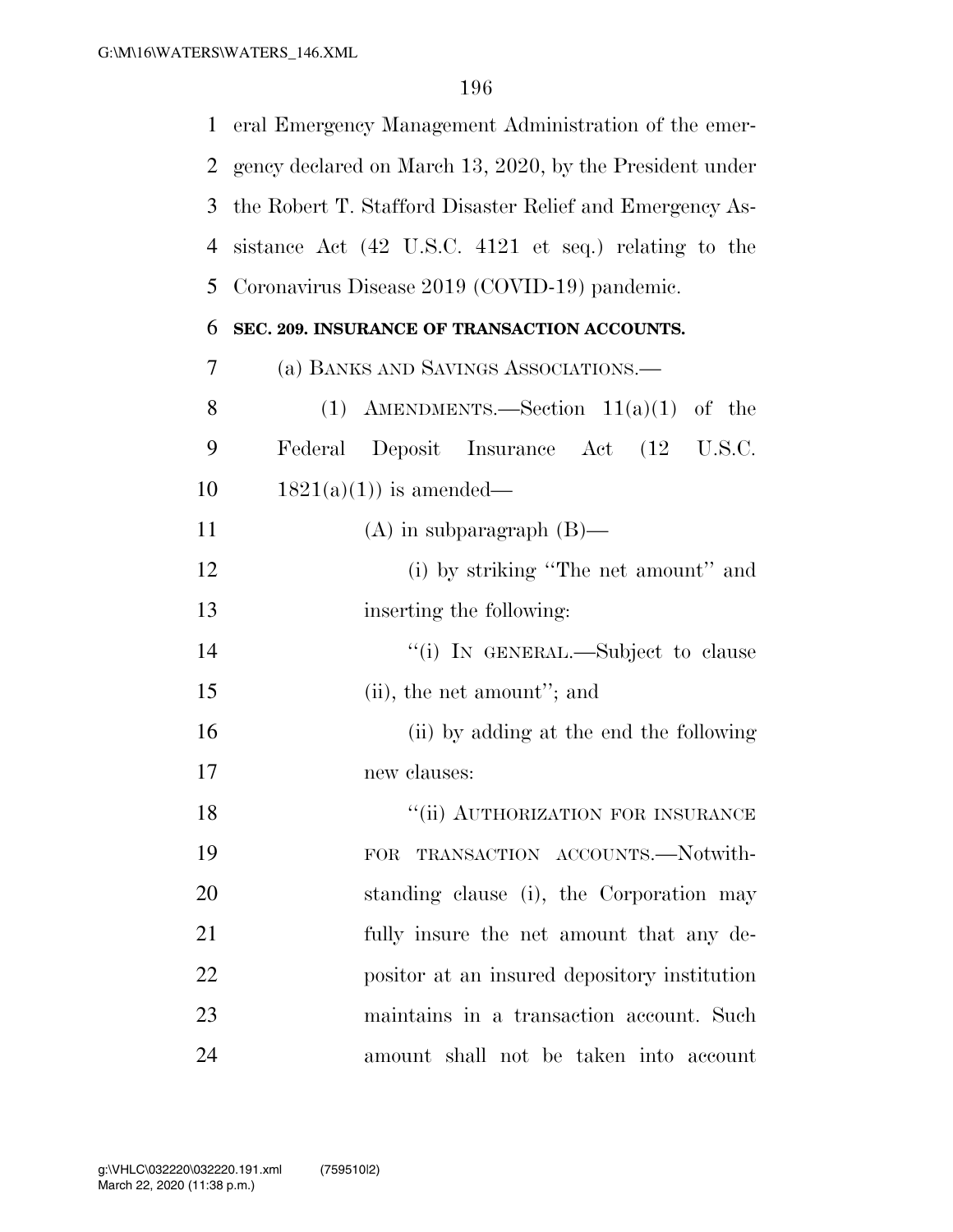| $\mathbf{1}$   | eral Emergency Management Administration of the emer-    |
|----------------|----------------------------------------------------------|
| 2              | gency declared on March 13, 2020, by the President under |
| 3              | the Robert T. Stafford Disaster Relief and Emergency As- |
| $\overline{4}$ | sistance Act (42 U.S.C. 4121 et seq.) relating to the    |
| 5              | Coronavirus Disease 2019 (COVID-19) pandemic.            |
| 6              | SEC. 209. INSURANCE OF TRANSACTION ACCOUNTS.             |
| 7              | (a) BANKS AND SAVINGS ASSOCIATIONS.                      |
| 8              | (1) AMENDMENTS.—Section $11(a)(1)$ of the                |
| 9              | Federal Deposit Insurance Act (12 U.S.C.                 |
| 10             | $1821(a)(1)$ is amended—                                 |
| 11             | $(A)$ in subparagraph $(B)$ —                            |
| 12             | (i) by striking "The net amount" and                     |
| 13             | inserting the following:                                 |
| 14             | "(i) IN GENERAL.—Subject to clause                       |
| 15             | $(ii)$ , the net amount"; and                            |
| 16             | (ii) by adding at the end the following                  |
| 17             | new clauses:                                             |
| 18             | $\lq\lq(\mathrm{ii})$ AUTHORIZATION FOR INSURANCE        |
| 19             | TRANSACTION ACCOUNTS.-Notwith-<br>FOR                    |
| 20             | standing clause (i), the Corporation may                 |
| 21             | fully insure the net amount that any de-                 |
| 22             | positor at an insured depository institution             |
| 23             | maintains in a transaction account. Such                 |
| 24             | amount shall not be taken into account                   |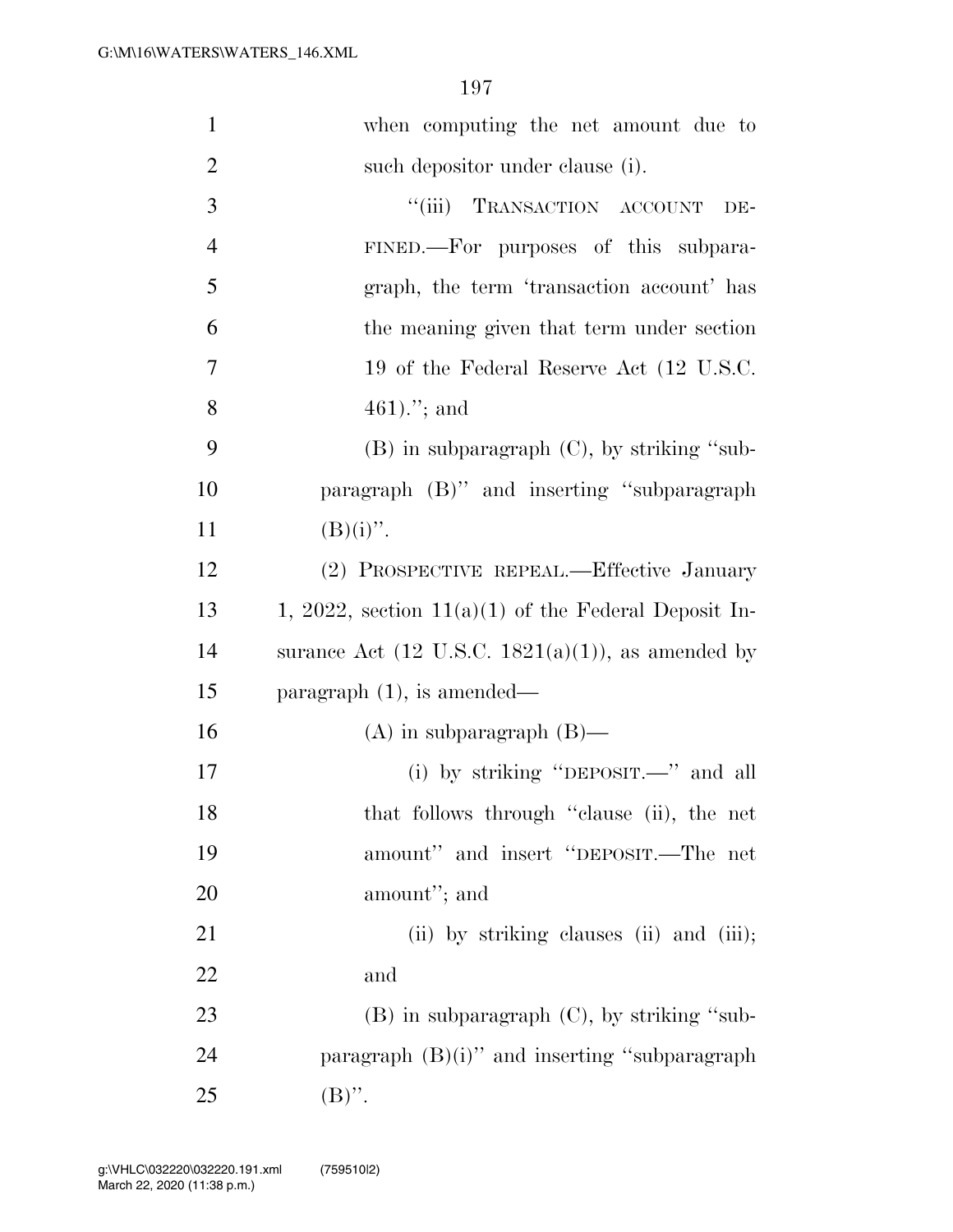| $\mathbf{1}$   | when computing the net amount due to                          |
|----------------|---------------------------------------------------------------|
| $\overline{2}$ | such depositor under clause (i).                              |
| 3              | ``(iii)<br>TRANSACTION ACCOUNT<br>DE-                         |
| $\overline{4}$ | FINED.—For purposes of this subpara-                          |
| 5              | graph, the term 'transaction account' has                     |
| 6              | the meaning given that term under section                     |
| $\overline{7}$ | 19 of the Federal Reserve Act (12 U.S.C.                      |
| 8              | 461)."; and                                                   |
| 9              | $(B)$ in subparagraph $(C)$ , by striking "sub-               |
| 10             | paragraph (B)" and inserting "subparagraph                    |
| 11             | $(B)(i)$ ".                                                   |
| 12             | (2) PROSPECTIVE REPEAL.—Effective January                     |
| 13             | 1, 2022, section $11(a)(1)$ of the Federal Deposit In-        |
| 14             | surance Act $(12 \text{ U.S.C. } 1821(a)(1))$ , as amended by |
| 15             | paragraph $(1)$ , is amended—                                 |
| 16             | $(A)$ in subparagraph $(B)$ —                                 |
| 17             | (i) by striking "DEPOSIT.—" and all                           |
| 18             | that follows through "clause (ii), the net                    |
| 19             | amount" and insert "DEPOSIT.—The net                          |
| 20             | amount"; and                                                  |
| 21             | (ii) by striking clauses (ii) and (iii);                      |
| 22             | and                                                           |
| 23             | $(B)$ in subparagraph $(C)$ , by striking "sub-               |
| 24             | paragraph $(B)(i)$ " and inserting "subparagraph              |
| 25             | $(B)$ ".                                                      |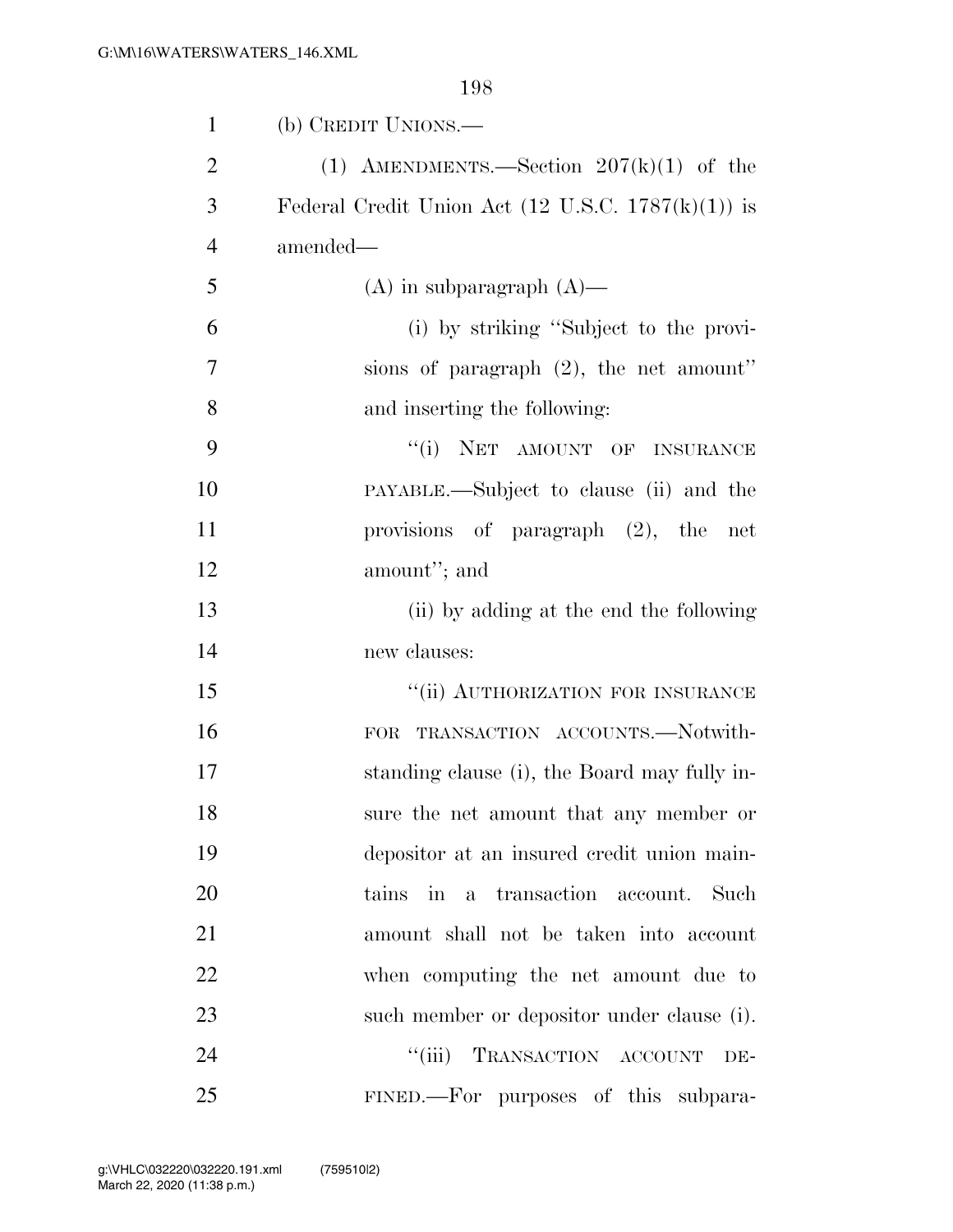| $\mathbf{1}$   | (b) CREDIT UNIONS.—                                                  |
|----------------|----------------------------------------------------------------------|
| $\overline{2}$ | (1) AMENDMENTS.—Section $207(k)(1)$ of the                           |
| 3              | Federal Credit Union Act $(12 \text{ U.S.C. } 1787(\text{k})(1))$ is |
| $\overline{4}$ | amended—                                                             |
| 5              | $(A)$ in subparagraph $(A)$ —                                        |
| 6              | (i) by striking "Subject to the provi-                               |
| 7              | sions of paragraph $(2)$ , the net amount"                           |
| 8              | and inserting the following:                                         |
| 9              | "(i) NET AMOUNT OF INSURANCE                                         |
| 10             | PAYABLE.—Subject to clause (ii) and the                              |
| 11             | provisions of paragraph $(2)$ , the net                              |
| 12             | amount"; and                                                         |
| 13             | (ii) by adding at the end the following                              |
| 14             | new clauses:                                                         |
| 15             | "(ii) AUTHORIZATION FOR INSURANCE                                    |
| 16             | TRANSACTION ACCOUNTS.-Notwith-<br>FOR                                |
| 17             | standing clause (i), the Board may fully in-                         |
| 18             | sure the net amount that any member or                               |
| 19             | depositor at an insured credit union main-                           |
| 20             | tains in a transaction account. Such                                 |
| 21             | amount shall not be taken into account                               |
| 22             | when computing the net amount due to                                 |
| 23             | such member or depositor under clause (i).                           |
| 24             | ``(iii)<br>TRANSACTION ACCOUNT<br>DE-                                |
| 25             | FINED.—For purposes of this subpara-                                 |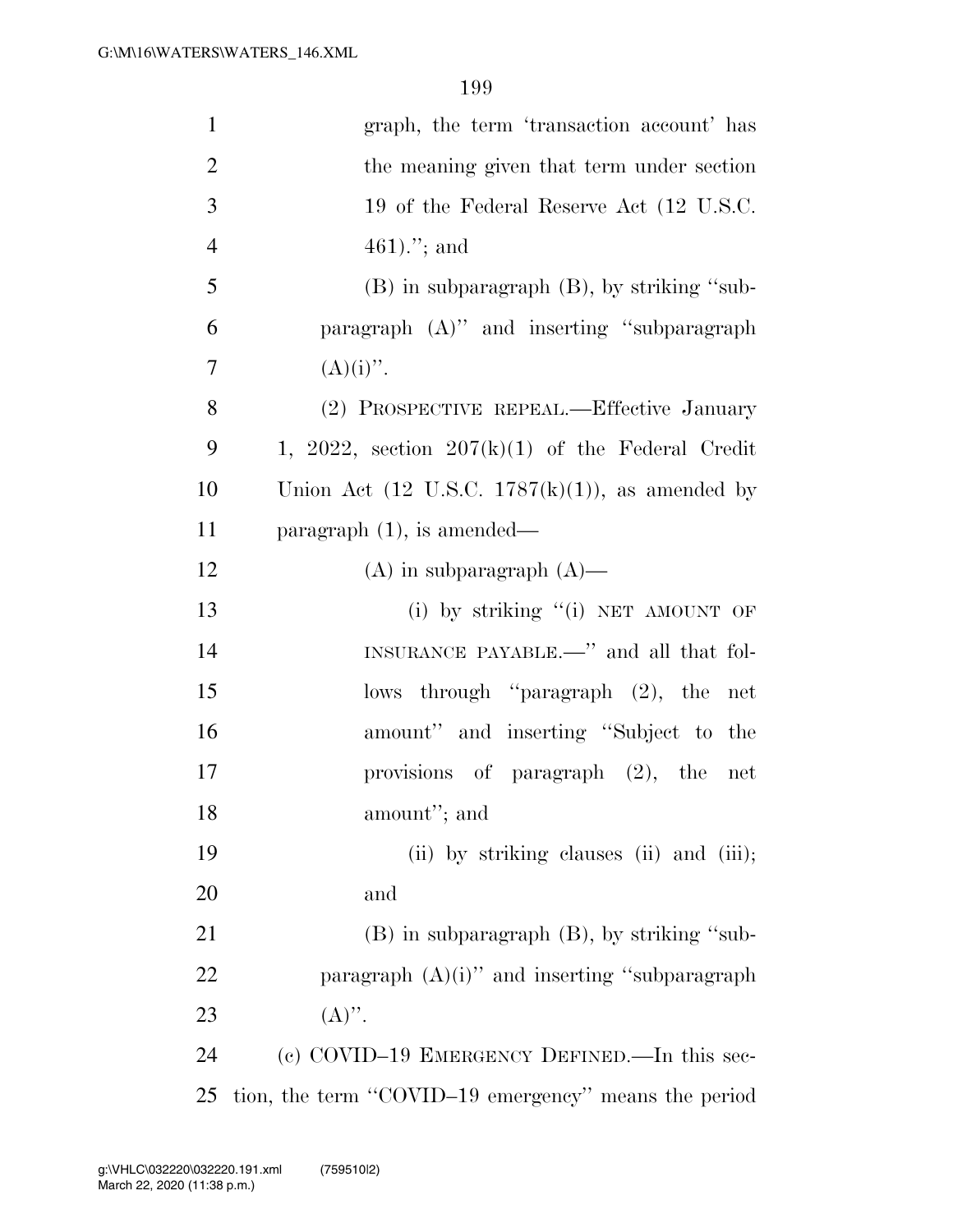| $\mathbf{1}$   | graph, the term 'transaction account' has                   |
|----------------|-------------------------------------------------------------|
| $\overline{2}$ | the meaning given that term under section                   |
| 3              | 19 of the Federal Reserve Act (12 U.S.C.                    |
| $\overline{4}$ | $461$ ."; and                                               |
| 5              | $(B)$ in subparagraph $(B)$ , by striking "sub-             |
| 6              | paragraph (A)" and inserting "subparagraph                  |
| 7              | $(A)(i)$ ".                                                 |
| 8              | (2) PROSPECTIVE REPEAL.—Effective January                   |
| 9              | 1, 2022, section $207(k)(1)$ of the Federal Credit          |
| 10             | Union Act $(12 \text{ U.S.C. } 1787(k)(1))$ , as amended by |
| 11             | paragraph $(1)$ , is amended—                               |
| 12             | $(A)$ in subparagraph $(A)$ —                               |
| 13             | (i) by striking "(i) NET AMOUNT OF                          |
| 14             | INSURANCE PAYABLE.—" and all that fol-                      |
| 15             | lows through "paragraph (2), the net                        |
| 16             | amount" and inserting "Subject to the                       |
| 17             | provisions of paragraph $(2)$ , the net                     |
| 18             | amount"; and                                                |
| 19             | (ii) by striking clauses (ii) and (iii);                    |
| 20             | and                                                         |
| 21             | $(B)$ in subparagraph $(B)$ , by striking "sub-             |
| 22             | paragraph $(A)(i)$ " and inserting "subparagraph            |
| 23             | $(A)$ ".                                                    |
| 24             | (c) COVID-19 EMERGENCY DEFINED.—In this sec-                |
| 25             | tion, the term "COVID-19 emergency" means the period        |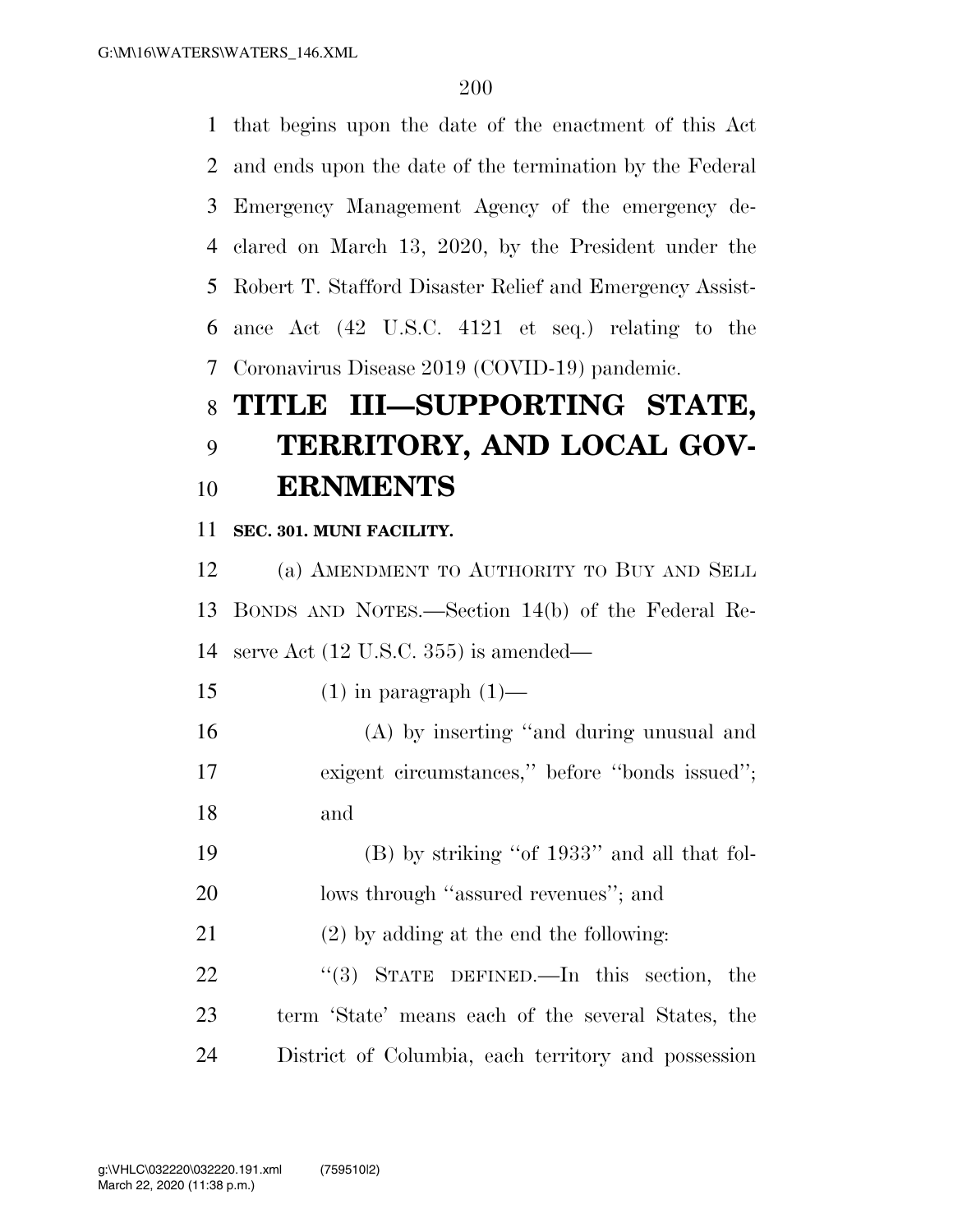that begins upon the date of the enactment of this Act and ends upon the date of the termination by the Federal Emergency Management Agency of the emergency de- clared on March 13, 2020, by the President under the Robert T. Stafford Disaster Relief and Emergency Assist- ance Act (42 U.S.C. 4121 et seq.) relating to the Coronavirus Disease 2019 (COVID-19) pandemic.

## **TITLE III—SUPPORTING STATE, TERRITORY, AND LOCAL GOV-ERNMENTS**

**SEC. 301. MUNI FACILITY.** 

 (a) AMENDMENT TO AUTHORITY TO BUY AND SELL BONDS AND NOTES.—Section 14(b) of the Federal Re-serve Act (12 U.S.C. 355) is amended—

15 (1) in paragraph  $(1)$ —

 (A) by inserting ''and during unusual and exigent circumstances,'' before ''bonds issued''; and

 (B) by striking ''of 1933'' and all that fol-20 lows through "assured revenues"; and

(2) by adding at the end the following:

22 "(3) STATE DEFINED.—In this section, the term 'State' means each of the several States, the District of Columbia, each territory and possession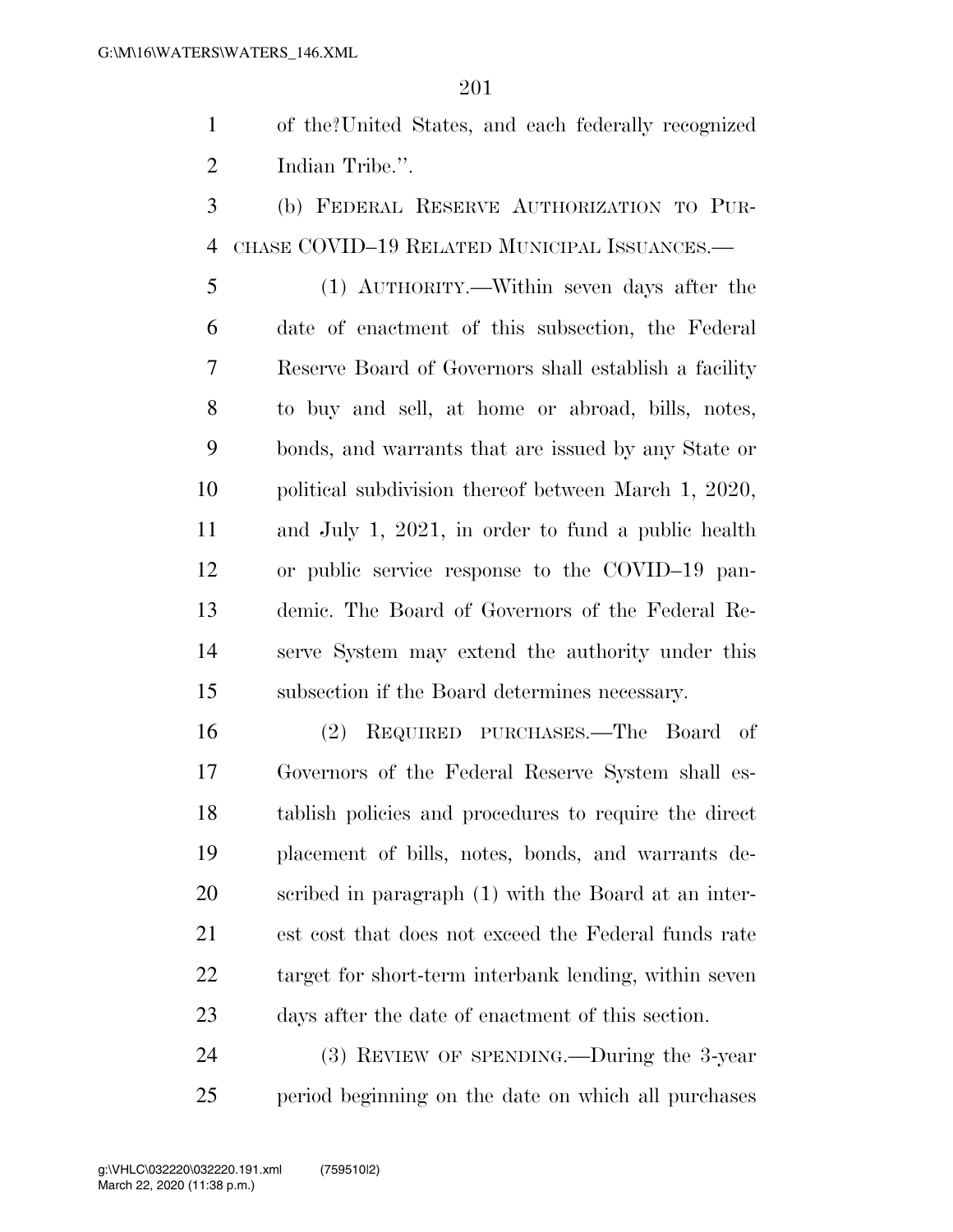of the?United States, and each federally recognized Indian Tribe.''.

 (b) FEDERAL RESERVE AUTHORIZATION TO PUR-CHASE COVID–19 RELATED MUNICIPAL ISSUANCES.—

 (1) AUTHORITY.—Within seven days after the date of enactment of this subsection, the Federal Reserve Board of Governors shall establish a facility to buy and sell, at home or abroad, bills, notes, bonds, and warrants that are issued by any State or political subdivision thereof between March 1, 2020, and July 1, 2021, in order to fund a public health or public service response to the COVID–19 pan- demic. The Board of Governors of the Federal Re- serve System may extend the authority under this subsection if the Board determines necessary.

 (2) REQUIRED PURCHASES.—The Board of Governors of the Federal Reserve System shall es- tablish policies and procedures to require the direct placement of bills, notes, bonds, and warrants de- scribed in paragraph (1) with the Board at an inter- est cost that does not exceed the Federal funds rate target for short-term interbank lending, within seven days after the date of enactment of this section.

 (3) REVIEW OF SPENDING.—During the 3-year period beginning on the date on which all purchases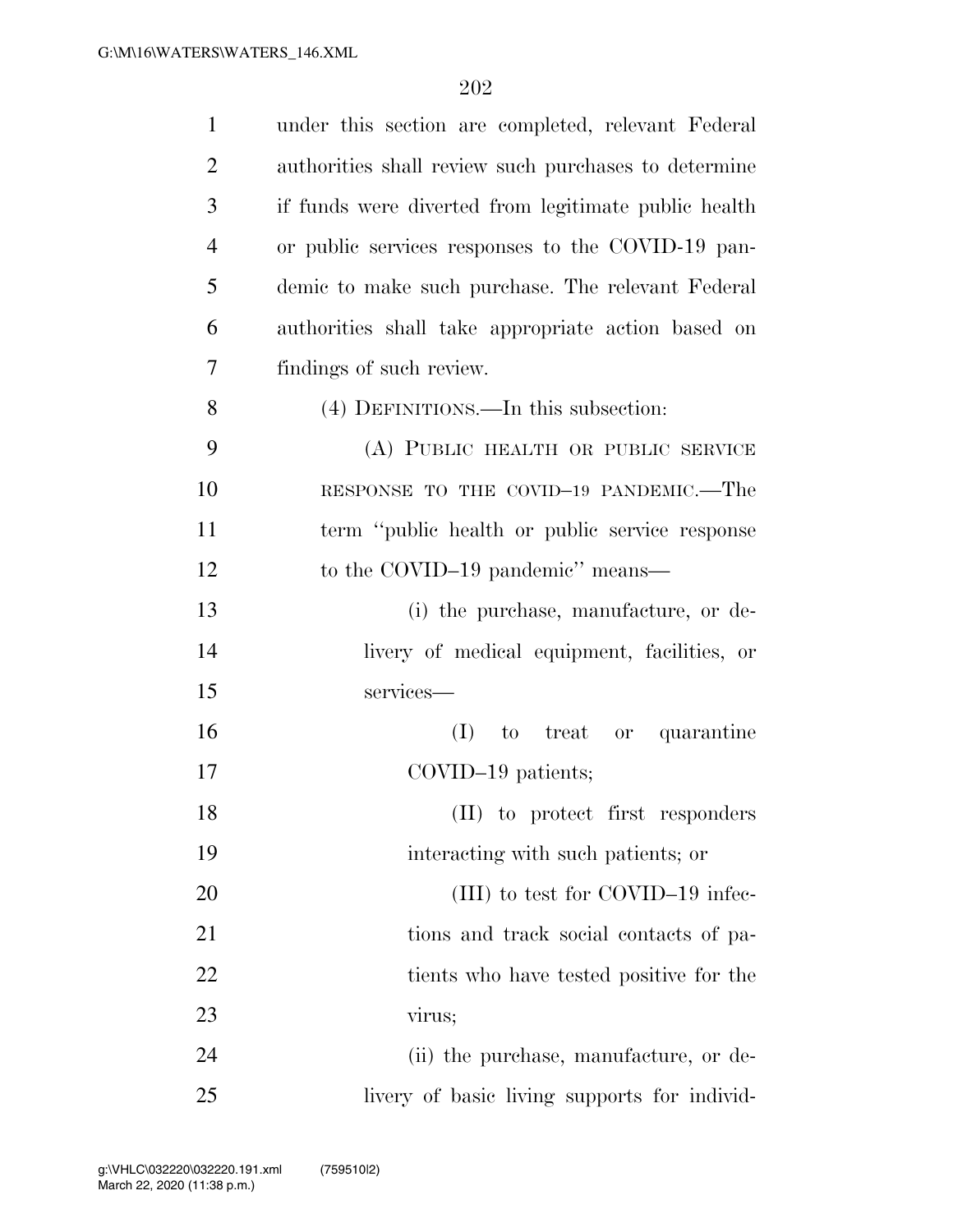| $\mathbf{1}$   | under this section are completed, relevant Federal   |
|----------------|------------------------------------------------------|
| $\overline{2}$ | authorities shall review such purchases to determine |
| 3              | if funds were diverted from legitimate public health |
| $\overline{4}$ | or public services responses to the COVID-19 pan-    |
| 5              | demic to make such purchase. The relevant Federal    |
| 6              | authorities shall take appropriate action based on   |
| 7              | findings of such review.                             |
| 8              | (4) DEFINITIONS.—In this subsection:                 |
| 9              | (A) PUBLIC HEALTH OR PUBLIC SERVICE                  |
| 10             | RESPONSE TO THE COVID-19 PANDEMIC.—The               |
| 11             | term "public health or public service response       |
| 12             | to the COVID-19 pandemic" means—                     |
| 13             | (i) the purchase, manufacture, or de-                |
| 14             | livery of medical equipment, facilities, or          |
| 15             | services-                                            |
| 16             | treat or quarantine<br>(I)<br>to                     |
| 17             | $\text{COVID-19 patients};$                          |
| 18             | (II) to protect first responders                     |
| 19             | interacting with such patients; or                   |
| 20             | (III) to test for COVID-19 infec-                    |
| 21             | tions and track social contacts of pa-               |
| 22             | tients who have tested positive for the              |
| 23             | virus;                                               |
| 24             | (ii) the purchase, manufacture, or de-               |
| 25             | livery of basic living supports for individ-         |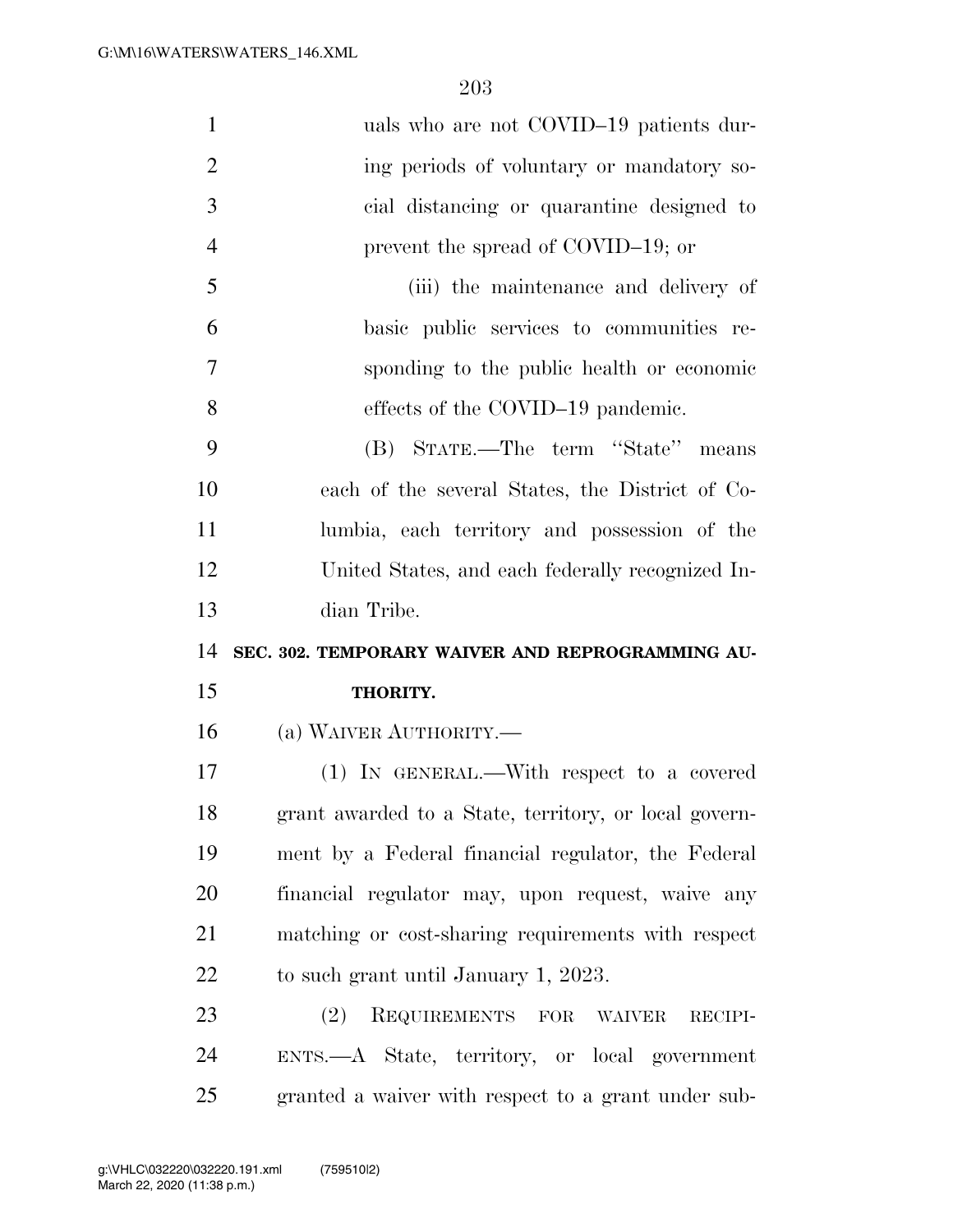| $\mathbf{1}$   | uals who are not COVID-19 patients dur-               |
|----------------|-------------------------------------------------------|
| $\overline{2}$ | ing periods of voluntary or mandatory so-             |
| 3              | cial distancing or quarantine designed to             |
| $\overline{4}$ | prevent the spread of COVID-19; or                    |
| 5              | (iii) the maintenance and delivery of                 |
| 6              | basic public services to communities re-              |
| 7              | sponding to the public health or economic             |
| 8              | effects of the COVID-19 pandemic.                     |
| 9              | (B) STATE.—The term "State" means                     |
| 10             | each of the several States, the District of Co-       |
| 11             | lumbia, each territory and possession of the          |
| 12             | United States, and each federally recognized In-      |
| 13             | dian Tribe.                                           |
| 14             | SEC. 302. TEMPORARY WAIVER AND REPROGRAMMING AU-      |
| 15             | THORITY.                                              |
|                |                                                       |
| 16             | (a) WAIVER AUTHORITY.—                                |
| 17             | (1) IN GENERAL.—With respect to a covered             |
| 18             | grant awarded to a State, territory, or local govern- |
| 19             | ment by a Federal financial regulator, the Federal    |
| 20             | financial regulator may, upon request, waive any      |
| 21             | matching or cost-sharing requirements with respect    |
| 22             | to such grant until January 1, 2023.                  |
| 23             | REQUIREMENTS FOR WAIVER<br>(2)<br>RECIPI-             |
| 24             | ENTS.—A State, territory, or local government         |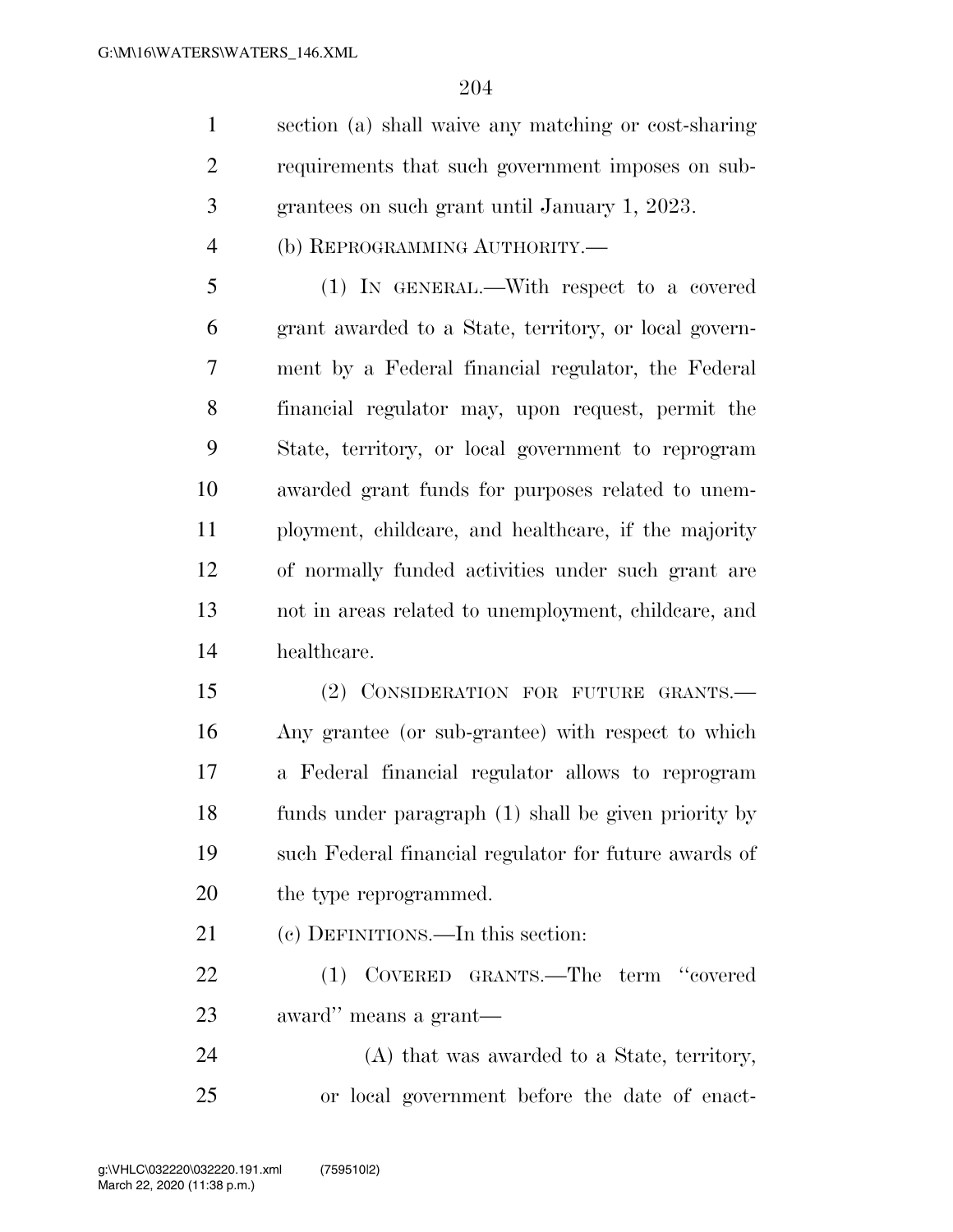section (a) shall waive any matching or cost-sharing requirements that such government imposes on sub-grantees on such grant until January 1, 2023.

(b) REPROGRAMMING AUTHORITY.—

 (1) IN GENERAL.—With respect to a covered grant awarded to a State, territory, or local govern- ment by a Federal financial regulator, the Federal financial regulator may, upon request, permit the State, territory, or local government to reprogram awarded grant funds for purposes related to unem- ployment, childcare, and healthcare, if the majority of normally funded activities under such grant are not in areas related to unemployment, childcare, and healthcare.

 (2) CONSIDERATION FOR FUTURE GRANTS.— Any grantee (or sub-grantee) with respect to which a Federal financial regulator allows to reprogram funds under paragraph (1) shall be given priority by such Federal financial regulator for future awards of 20 the type reprogrammed.

(c) DEFINITIONS.—In this section:

 (1) COVERED GRANTS.—The term ''covered award'' means a grant—

 (A) that was awarded to a State, territory, or local government before the date of enact-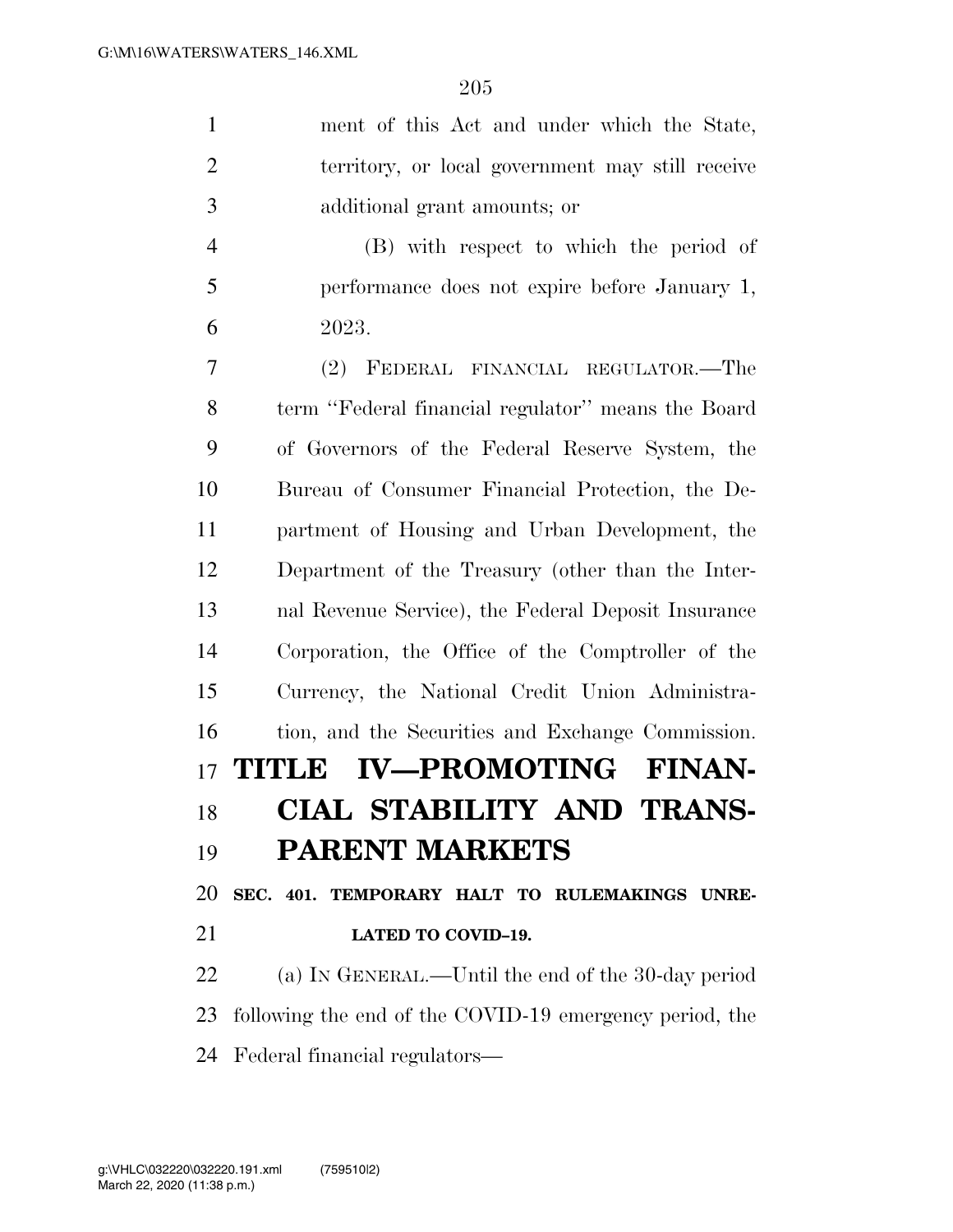| $\mathbf{1}$   | ment of this Act and under which the State,             |
|----------------|---------------------------------------------------------|
| $\overline{2}$ | territory, or local government may still receive        |
| 3              | additional grant amounts; or                            |
| $\overline{4}$ | (B) with respect to which the period of                 |
| 5              | performance does not expire before January 1,           |
| 6              | 2023.                                                   |
| 7              | (2) FEDERAL FINANCIAL REGULATOR.—The                    |
| 8              | term "Federal financial regulator" means the Board      |
| 9              | of Governors of the Federal Reserve System, the         |
| 10             | Bureau of Consumer Financial Protection, the De-        |
| 11             | partment of Housing and Urban Development, the          |
| 12             | Department of the Treasury (other than the Inter-       |
| 13             | nal Revenue Service), the Federal Deposit Insurance     |
| 14             | Corporation, the Office of the Comptroller of the       |
| 15             | Currency, the National Credit Union Administra-         |
| 16             | tion, and the Securities and Exchange Commission.       |
|                | 17 TITLE IV—PROMOTING FINAN-                            |
|                | 18 CIAL STABILITY AND TRANS-                            |
| 19             | <b>PARENT MARKETS</b>                                   |
| 20             | SEC. 401. TEMPORARY HALT TO RULEMAKINGS UNRE-           |
| 21             | LATED TO COVID-19.                                      |
| 22             | (a) IN GENERAL.—Until the end of the 30-day period      |
| 23             | following the end of the COVID-19 emergency period, the |
| 24             | Federal financial regulators—                           |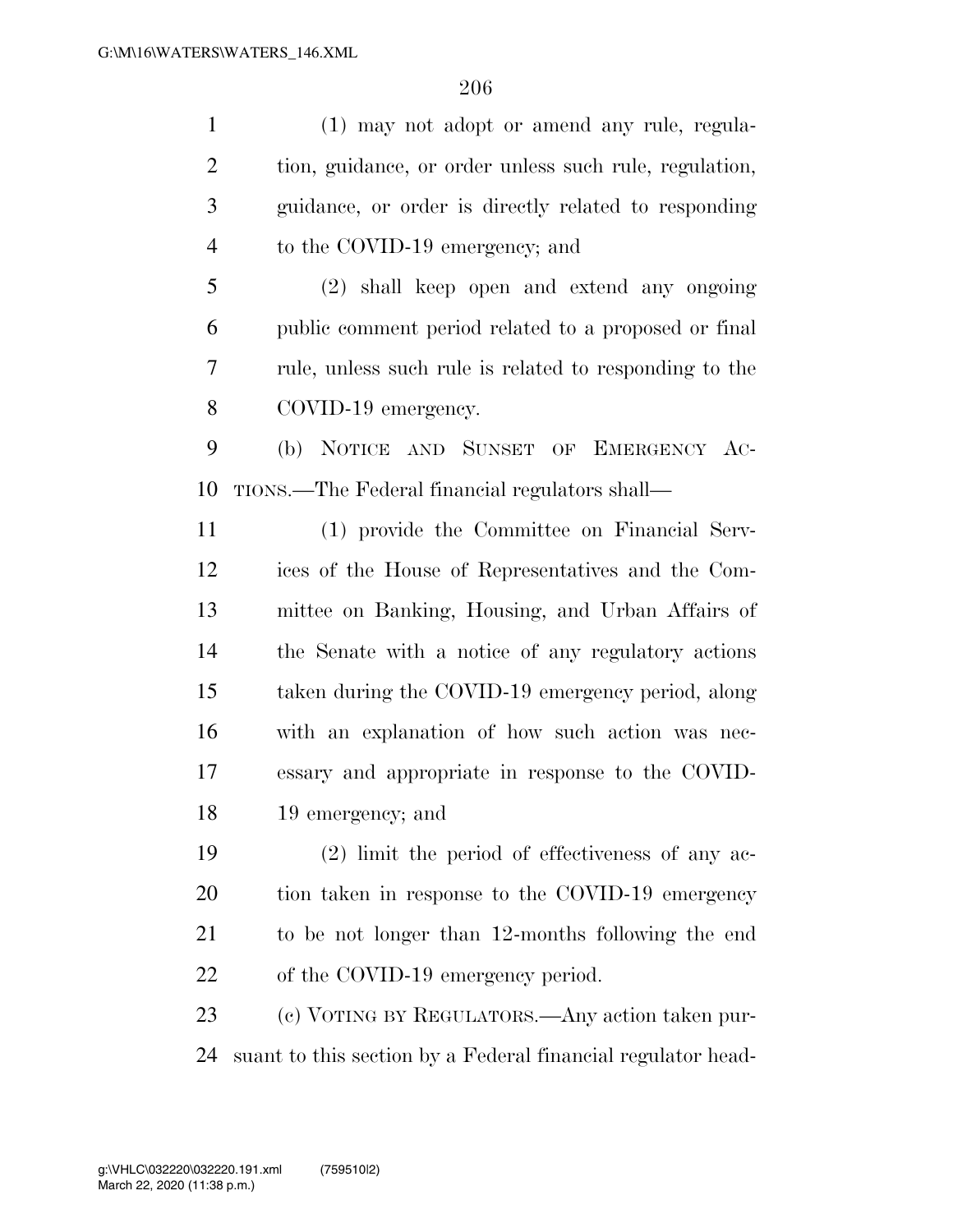(1) may not adopt or amend any rule, regula-2 tion, guidance, or order unless such rule, regulation, guidance, or order is directly related to responding 4 to the COVID-19 emergency; and (2) shall keep open and extend any ongoing public comment period related to a proposed or final rule, unless such rule is related to responding to the

COVID-19 emergency.

 (b) NOTICE AND SUNSET OF EMERGENCY AC-TIONS.—The Federal financial regulators shall—

 (1) provide the Committee on Financial Serv- ices of the House of Representatives and the Com- mittee on Banking, Housing, and Urban Affairs of the Senate with a notice of any regulatory actions taken during the COVID-19 emergency period, along with an explanation of how such action was nec- essary and appropriate in response to the COVID-19 emergency; and

 (2) limit the period of effectiveness of any ac- tion taken in response to the COVID-19 emergency to be not longer than 12-months following the end 22 of the COVID-19 emergency period.

 (c) VOTING BY REGULATORS.—Any action taken pur-suant to this section by a Federal financial regulator head-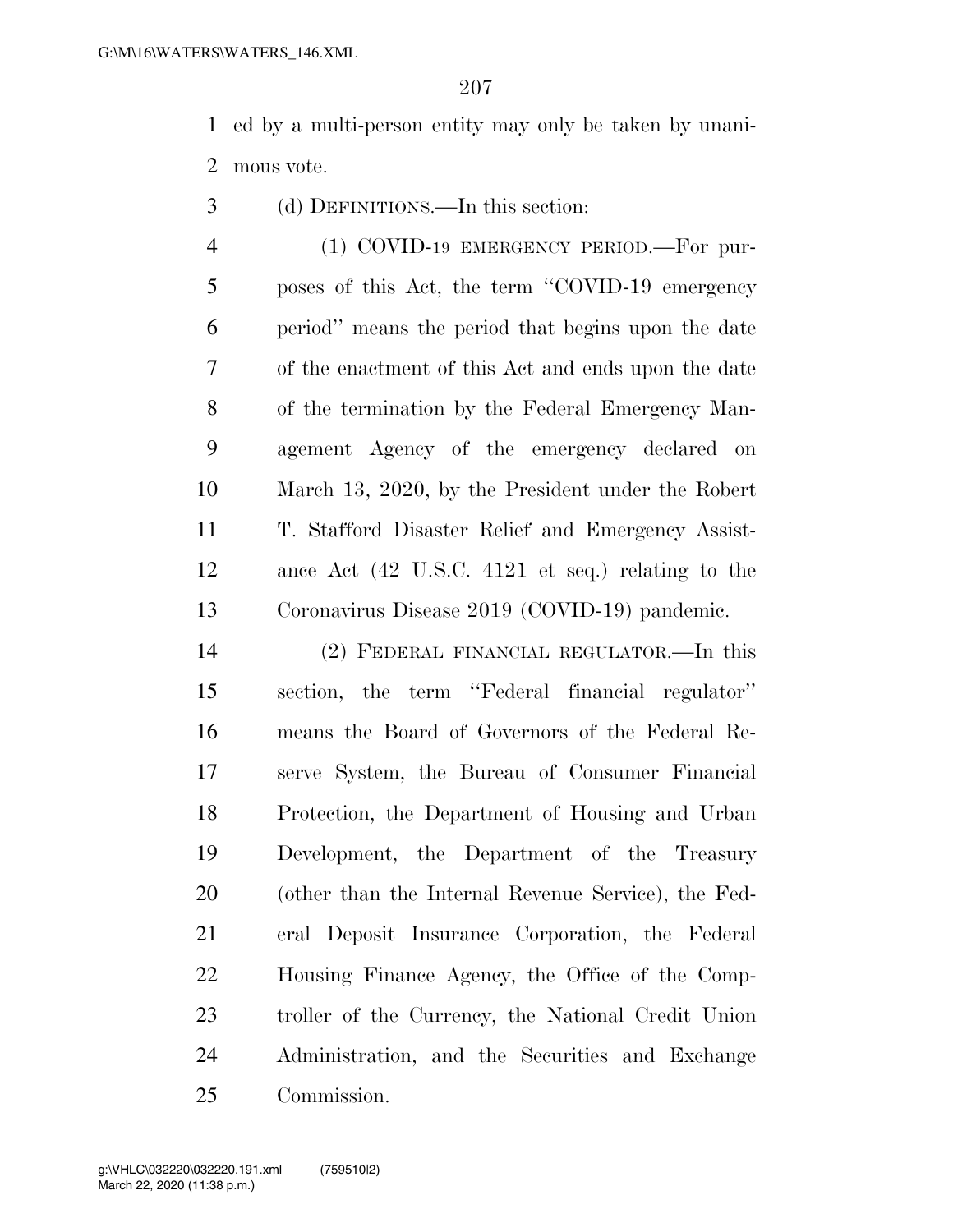ed by a multi-person entity may only be taken by unani-mous vote.

(d) DEFINITIONS.—In this section:

4 (1) COVID-19 EMERGENCY PERIOD. For pur- poses of this Act, the term ''COVID-19 emergency period'' means the period that begins upon the date of the enactment of this Act and ends upon the date of the termination by the Federal Emergency Man- agement Agency of the emergency declared on March 13, 2020, by the President under the Robert T. Stafford Disaster Relief and Emergency Assist- ance Act (42 U.S.C. 4121 et seq.) relating to the Coronavirus Disease 2019 (COVID-19) pandemic.

 (2) FEDERAL FINANCIAL REGULATOR.—In this section, the term ''Federal financial regulator'' means the Board of Governors of the Federal Re- serve System, the Bureau of Consumer Financial Protection, the Department of Housing and Urban Development, the Department of the Treasury (other than the Internal Revenue Service), the Fed- eral Deposit Insurance Corporation, the Federal Housing Finance Agency, the Office of the Comp- troller of the Currency, the National Credit Union Administration, and the Securities and Exchange Commission.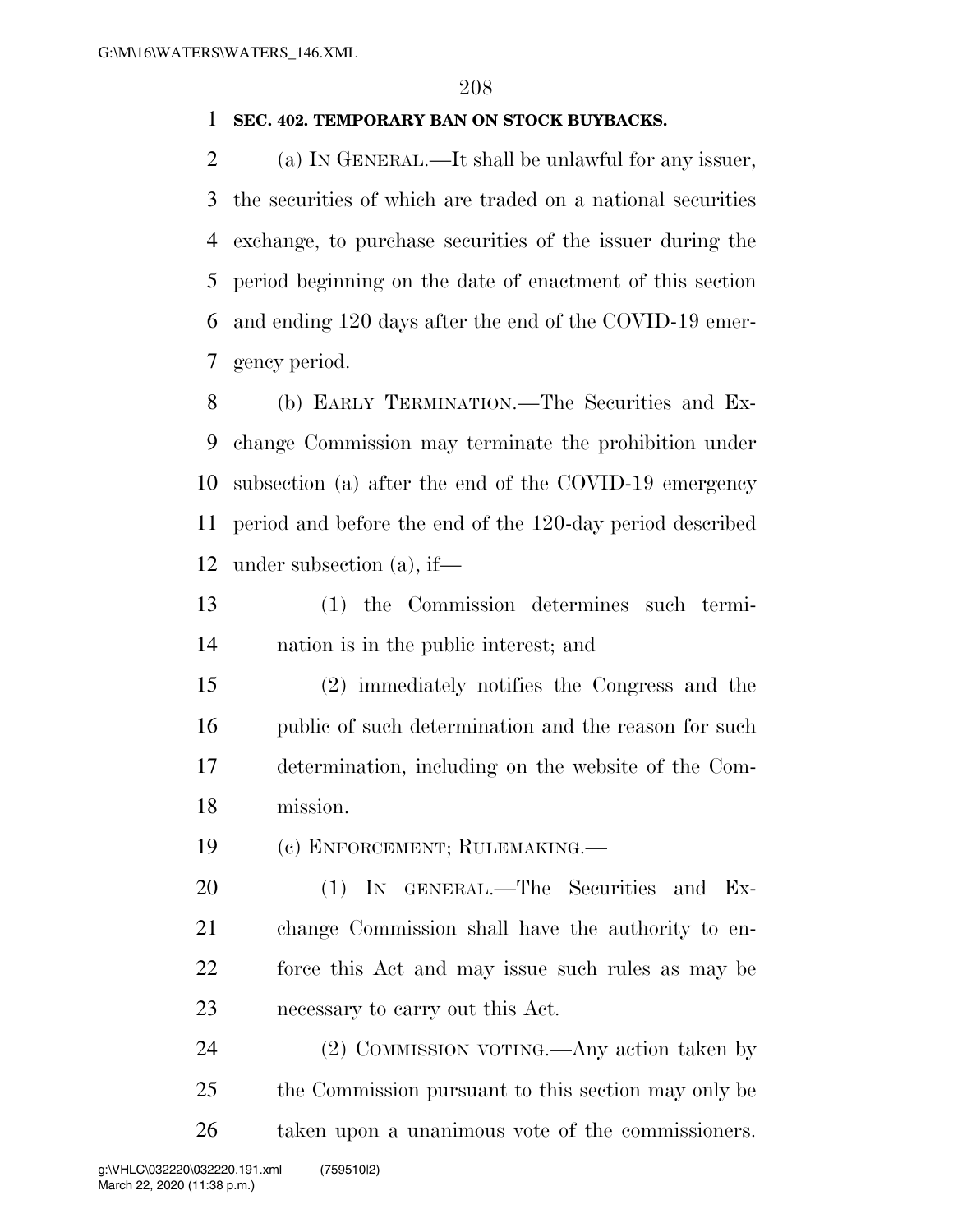## **SEC. 402. TEMPORARY BAN ON STOCK BUYBACKS.**

 (a) IN GENERAL.—It shall be unlawful for any issuer, the securities of which are traded on a national securities exchange, to purchase securities of the issuer during the period beginning on the date of enactment of this section and ending 120 days after the end of the COVID-19 emer-gency period.

 (b) EARLY TERMINATION.—The Securities and Ex- change Commission may terminate the prohibition under subsection (a) after the end of the COVID-19 emergency period and before the end of the 120-day period described under subsection (a), if—

 (1) the Commission determines such termi-nation is in the public interest; and

 (2) immediately notifies the Congress and the 16 public of such determination and the reason for such determination, including on the website of the Com-mission.

(c) ENFORCEMENT; RULEMAKING.—

 (1) IN GENERAL.—The Securities and Ex- change Commission shall have the authority to en- force this Act and may issue such rules as may be necessary to carry out this Act.

 (2) COMMISSION VOTING.—Any action taken by the Commission pursuant to this section may only be taken upon a unanimous vote of the commissioners.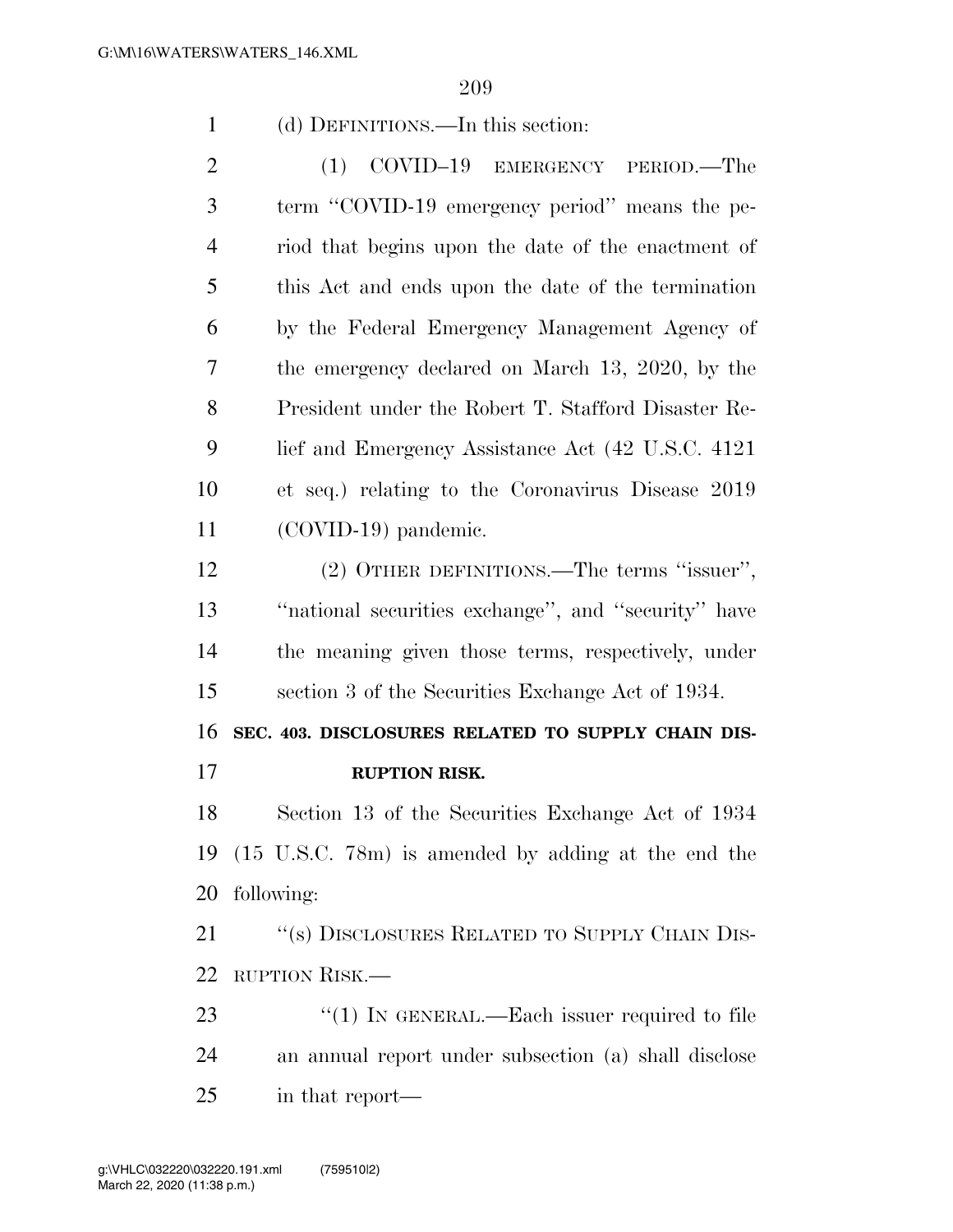(d) DEFINITIONS.—In this section:

2 (1) COVID-19 EMERGENCY PERIOD. The term ''COVID-19 emergency period'' means the pe- riod that begins upon the date of the enactment of this Act and ends upon the date of the termination by the Federal Emergency Management Agency of the emergency declared on March 13, 2020, by the President under the Robert T. Stafford Disaster Re- lief and Emergency Assistance Act (42 U.S.C. 4121 et seq.) relating to the Coronavirus Disease 2019 (COVID-19) pandemic.

 (2) OTHER DEFINITIONS.—The terms ''issuer'', ''national securities exchange'', and ''security'' have the meaning given those terms, respectively, under section 3 of the Securities Exchange Act of 1934.

 **SEC. 403. DISCLOSURES RELATED TO SUPPLY CHAIN DIS-RUPTION RISK.** 

 Section 13 of the Securities Exchange Act of 1934 (15 U.S.C. 78m) is amended by adding at the end the following:

21 "(s) DISCLOSURES RELATED TO SUPPLY CHAIN DIS-RUPTION RISK.—

23 "(1) IN GENERAL.—Each issuer required to file an annual report under subsection (a) shall disclose in that report—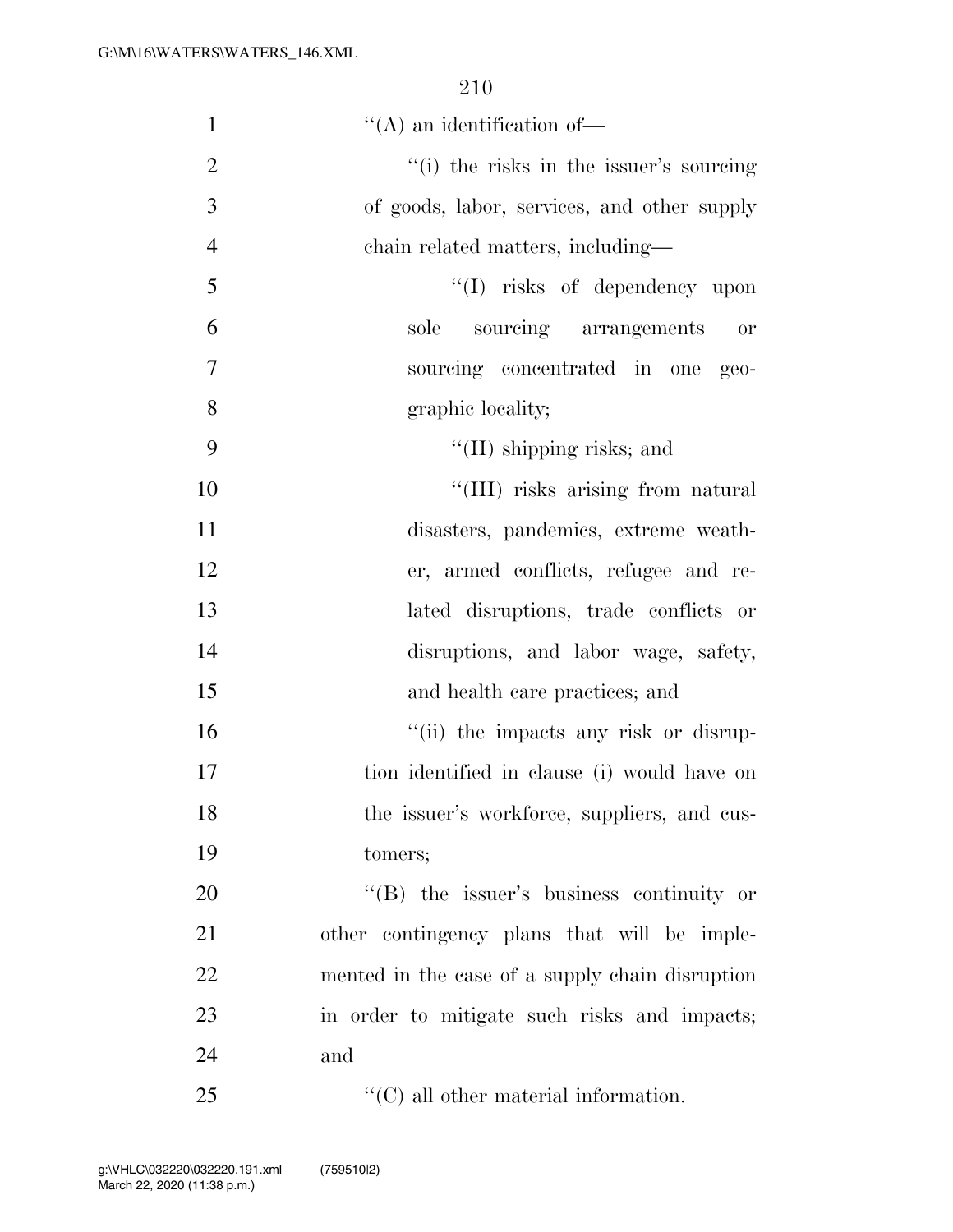| $\mathbf{1}$   | $\lq\lq$ an identification of —                 |
|----------------|-------------------------------------------------|
| $\overline{2}$ | "(i) the risks in the issuer's sourcing         |
| 3              | of goods, labor, services, and other supply     |
| $\overline{4}$ | chain related matters, including—               |
| 5              | $\lq\lq$ risks of dependency upon               |
| 6              | sole sourcing arrangements<br><b>or</b>         |
| $\overline{7}$ | sourcing concentrated in one<br>$geo-$          |
| 8              | graphic locality;                               |
| 9              | "(II) shipping risks; and                       |
| 10             | "(III) risks arising from natural               |
| 11             | disasters, pandemics, extreme weath-            |
| 12             | er, armed conflicts, refugee and re-            |
| 13             | lated disruptions, trade conflicts or           |
| 14             | disruptions, and labor wage, safety,            |
| 15             | and health care practices; and                  |
| 16             | "(ii) the impacts any risk or disrup-           |
| 17             | tion identified in clause (i) would have on     |
| 18             | the issuer's workforce, suppliers, and cus-     |
| 19             | tomers;                                         |
| 20             | $\lq\lq(B)$ the issuer's business continuity or |
| 21             | other contingency plans that will be imple-     |
| 22             | mented in the case of a supply chain disruption |
| 23             | in order to mitigate such risks and impacts;    |
| 24             | and                                             |
| 25             | $\lq\lq$ (C) all other material information.    |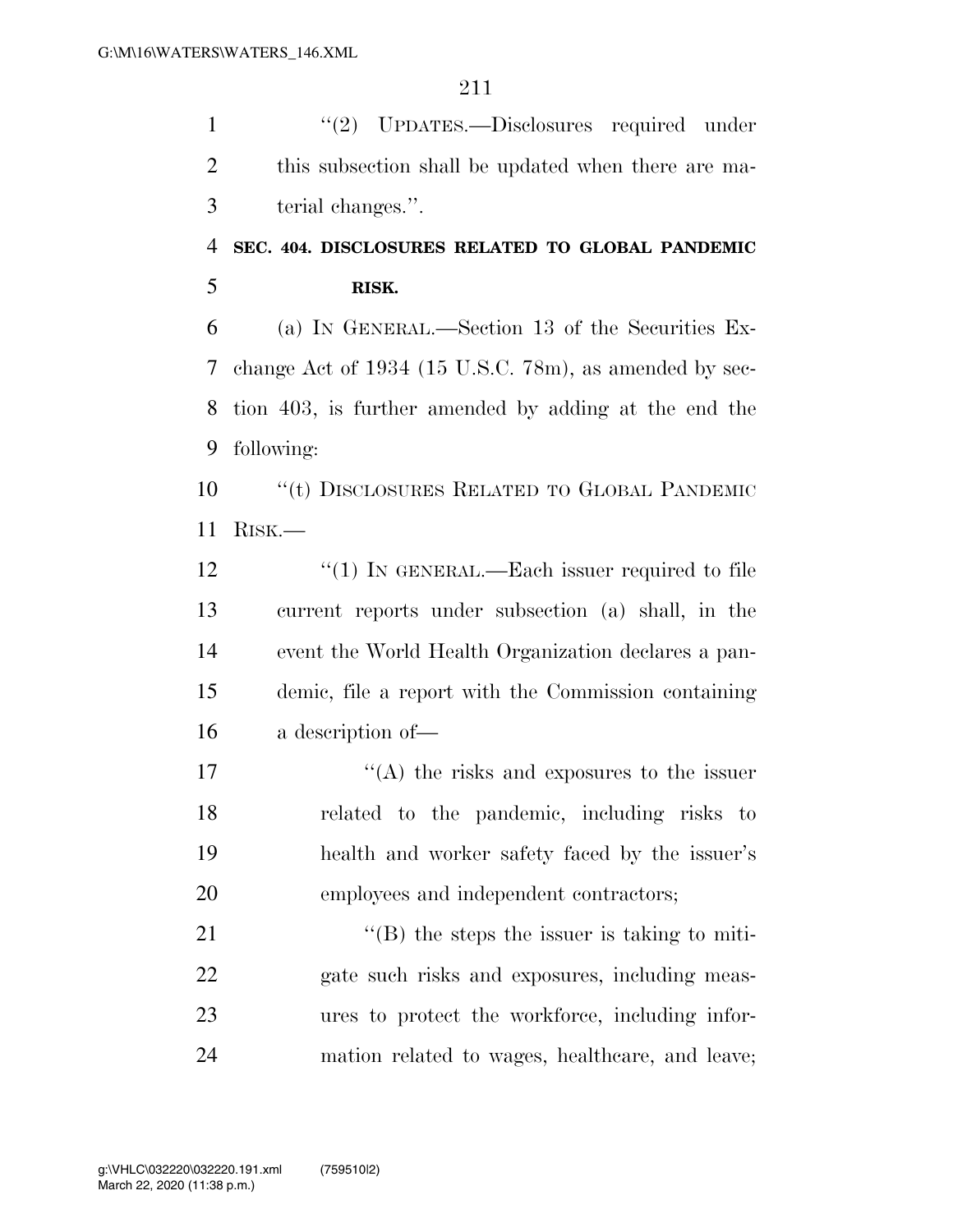''(2) UPDATES.—Disclosures required under this subsection shall be updated when there are ma-terial changes.''.

## **SEC. 404. DISCLOSURES RELATED TO GLOBAL PANDEMIC RISK.**

 (a) IN GENERAL.—Section 13 of the Securities Ex- change Act of 1934 (15 U.S.C. 78m), as amended by sec- tion 403, is further amended by adding at the end the following:

 ''(t) DISCLOSURES RELATED TO GLOBAL PANDEMIC RISK.—

12 "(1) IN GENERAL.—Each issuer required to file current reports under subsection (a) shall, in the event the World Health Organization declares a pan- demic, file a report with the Commission containing a description of—

 $\langle (A)$  the risks and exposures to the issuer related to the pandemic, including risks to health and worker safety faced by the issuer's employees and independent contractors;

 $\langle$  (B) the steps the issuer is taking to miti- gate such risks and exposures, including meas- ures to protect the workforce, including infor-mation related to wages, healthcare, and leave;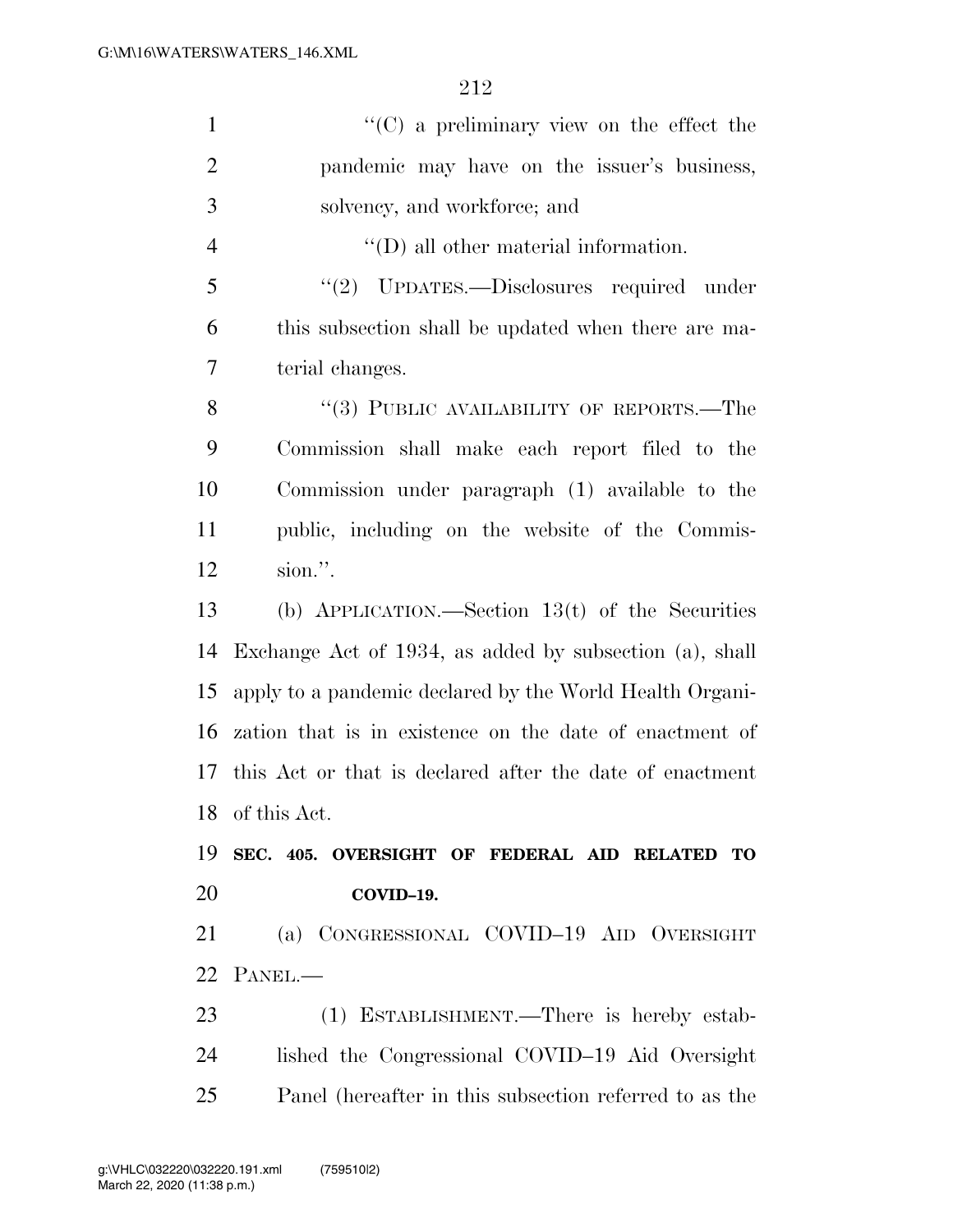| $\mathbf{1}$   | "(C) a preliminary view on the effect the                |
|----------------|----------------------------------------------------------|
| $\overline{2}$ | pandemic may have on the issuer's business,              |
| 3              | solvency, and workforce; and                             |
| $\overline{4}$ | $\lq\lq$ (D) all other material information.             |
| 5              | "(2) UPDATES.—Disclosures required under                 |
| 6              | this subsection shall be updated when there are ma-      |
| $\overline{7}$ | terial changes.                                          |
| 8              | "(3) PUBLIC AVAILABILITY OF REPORTS.—The                 |
| 9              | Commission shall make each report filed to the           |
| 10             | Commission under paragraph (1) available to the          |
| 11             | public, including on the website of the Commis-          |
| 12             | sion.".                                                  |
| 13             | (b) APPLICATION.—Section $13(t)$ of the Securities       |
| 14             | Exchange Act of 1934, as added by subsection (a), shall  |
| 15             | apply to a pandemic declared by the World Health Organi- |
| 16             | zation that is in existence on the date of enactment of  |
| 17             | this Act or that is declared after the date of enactment |
|                | 18 of this Act.                                          |
| 19             | SEC. 405. OVERSIGHT OF FEDERAL AID RELATED TO            |
| 20             | COVID-19.                                                |
| 21             | (a) CONGRESSIONAL COVID-19 AID OVERSIGHT                 |
| 22             | PANEL.-                                                  |
| 23             | (1) ESTABLISHMENT.—There is hereby estab-                |
| 24             | lished the Congressional COVID-19 Aid Oversight          |
| 25             | Panel (hereafter in this subsection referred to as the   |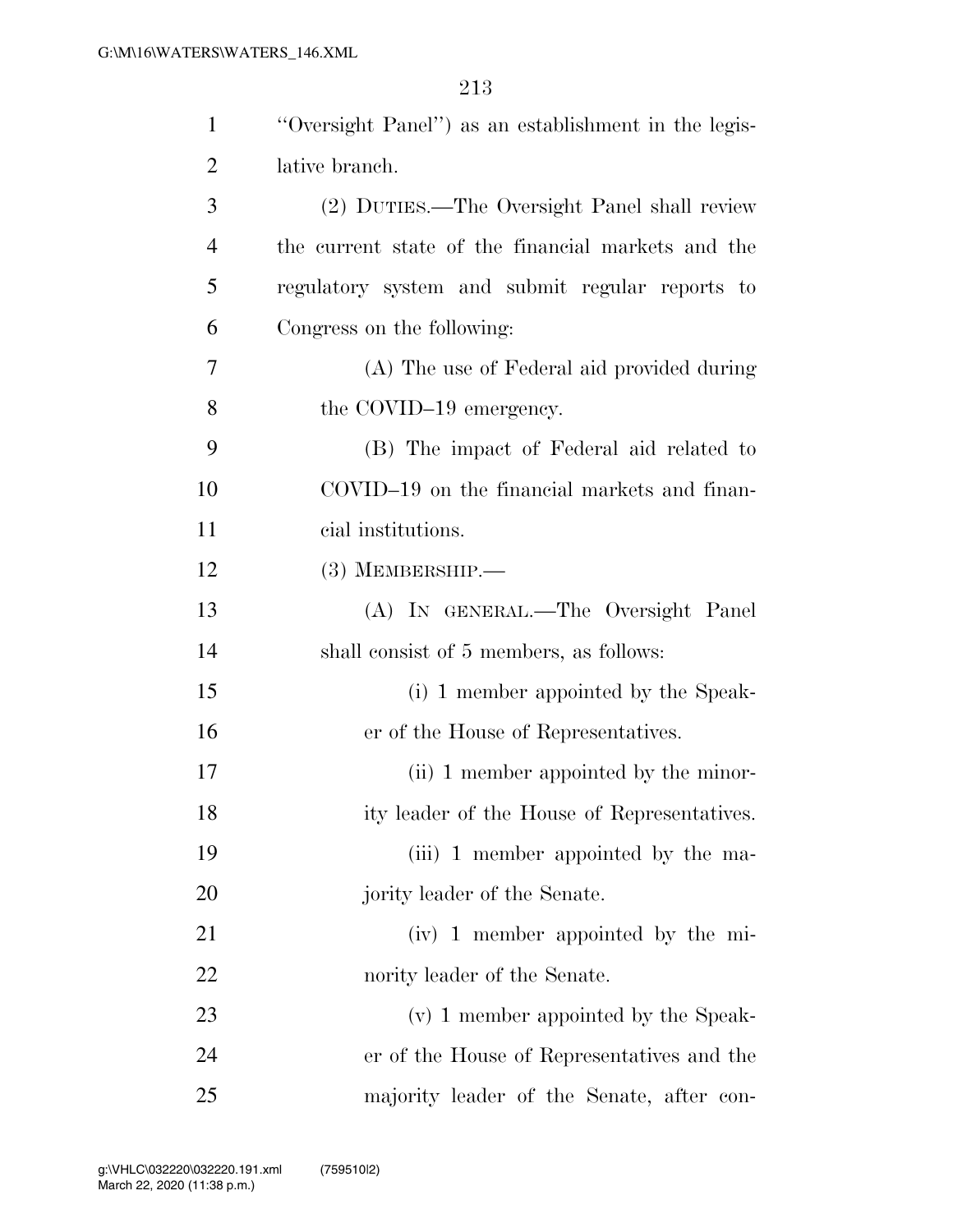| $\mathbf{1}$   | "Oversight Panel") as an establishment in the legis- |
|----------------|------------------------------------------------------|
| $\overline{2}$ | lative branch.                                       |
| 3              | (2) DUTIES.—The Oversight Panel shall review         |
| $\overline{4}$ | the current state of the financial markets and the   |
| 5              | regulatory system and submit regular reports to      |
| 6              | Congress on the following:                           |
| 7              | (A) The use of Federal aid provided during           |
| 8              | the COVID-19 emergency.                              |
| 9              | (B) The impact of Federal aid related to             |
| 10             | COVID-19 on the financial markets and finan-         |
| 11             | cial institutions.                                   |
| 12             | $(3)$ MEMBERSHIP.—                                   |
| 13             | (A) IN GENERAL.—The Oversight Panel                  |
| 14             | shall consist of 5 members, as follows:              |
| 15             | (i) 1 member appointed by the Speak-                 |
| 16             | er of the House of Representatives.                  |
| 17             | (ii) 1 member appointed by the minor-                |
| 18             | ity leader of the House of Representatives.          |
| 19             | (iii) 1 member appointed by the ma-                  |
| 20             | jority leader of the Senate.                         |
| 21             | (iv) 1 member appointed by the mi-                   |
| 22             | nority leader of the Senate.                         |
| 23             | (v) 1 member appointed by the Speak-                 |
| 24             | er of the House of Representatives and the           |
| 25             | majority leader of the Senate, after con-            |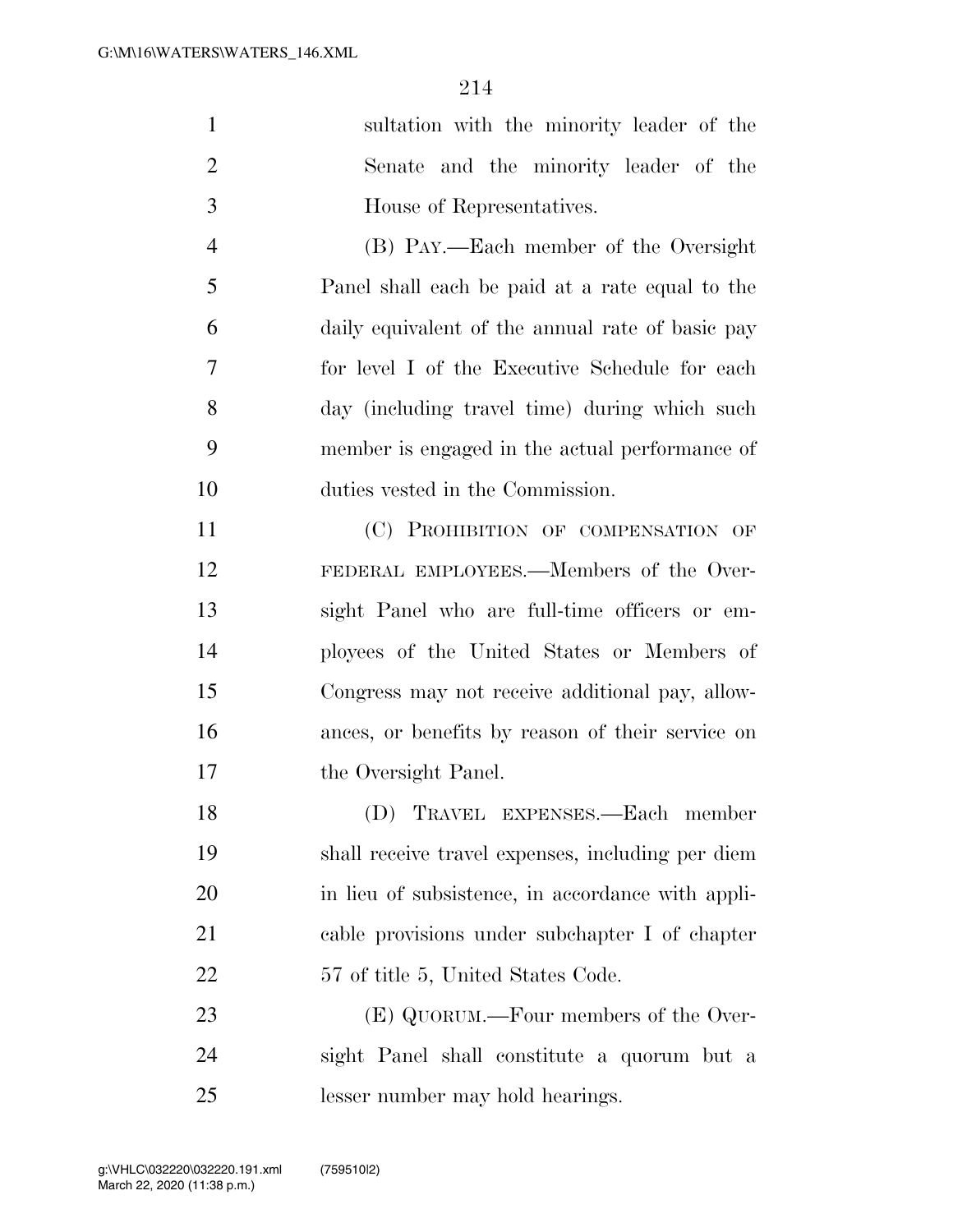| $\mathbf{1}$   | sultation with the minority leader of the         |
|----------------|---------------------------------------------------|
| $\overline{2}$ | Senate and the minority leader of the             |
| 3              | House of Representatives.                         |
| $\overline{4}$ | (B) PAY.—Each member of the Oversight             |
| 5              | Panel shall each be paid at a rate equal to the   |
| 6              | daily equivalent of the annual rate of basic pay  |
| 7              | for level I of the Executive Schedule for each    |
| 8              | day (including travel time) during which such     |
| 9              | member is engaged in the actual performance of    |
| 10             | duties vested in the Commission.                  |
| 11             | (C) PROHIBITION OF COMPENSATION OF                |
| 12             | FEDERAL EMPLOYEES.—Members of the Over-           |
| 13             | sight Panel who are full-time officers or em-     |
| 14             | ployees of the United States or Members of        |
| 15             | Congress may not receive additional pay, allow-   |
| 16             | ances, or benefits by reason of their service on  |
| 17             | the Oversight Panel.                              |
| 18             | (D) TRAVEL EXPENSES.—Each member                  |
| 19             | shall receive travel expenses, including per diem |
| 20             | in lieu of subsistence, in accordance with appli- |
| 21             | cable provisions under subchapter I of chapter    |
| 22             | 57 of title 5, United States Code.                |
| 23             | (E) QUORUM.—Four members of the Over-             |
| 24             | sight Panel shall constitute a quorum but a       |
| 25             | lesser number may hold hearings.                  |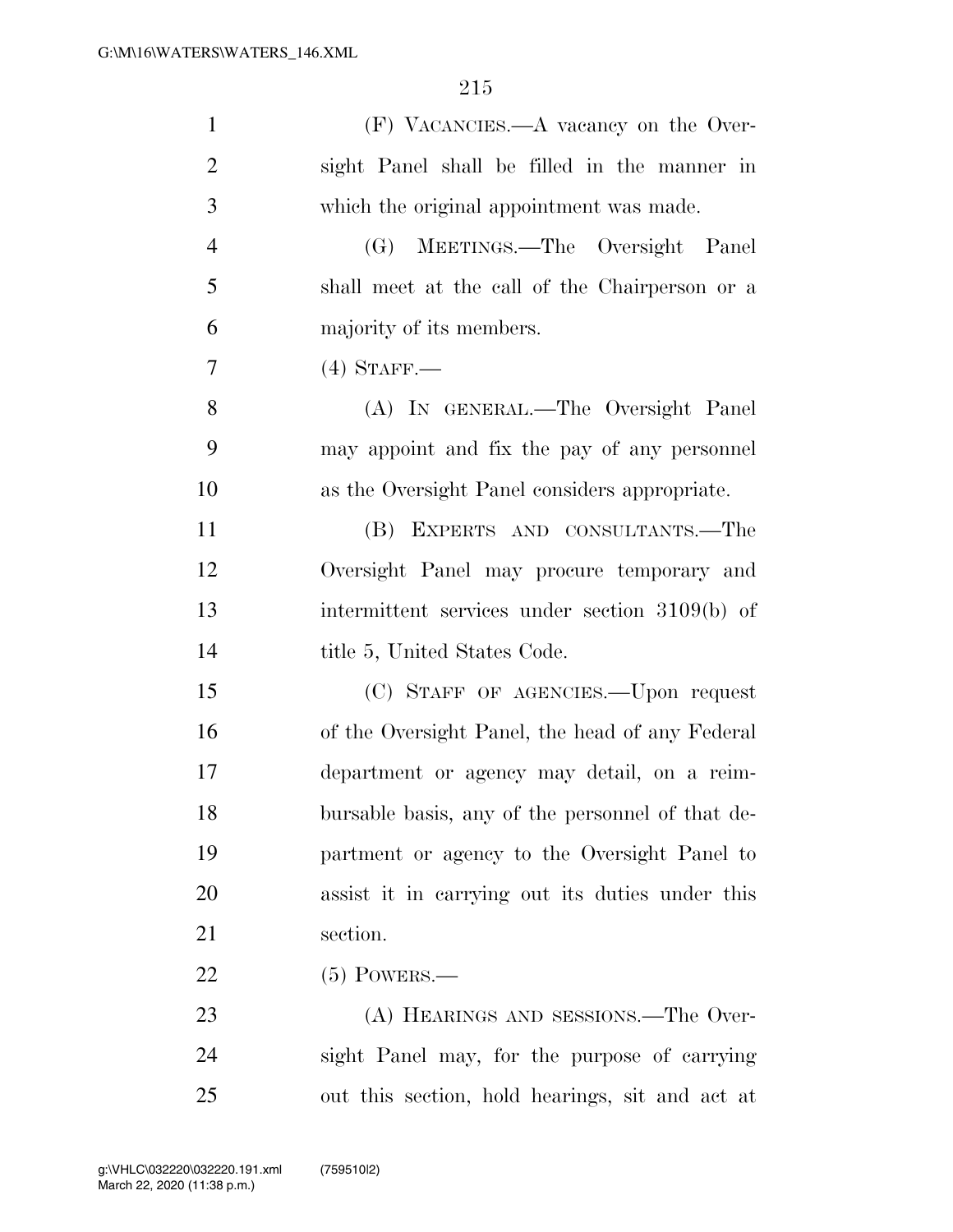| $\mathbf{1}$   | (F) VACANCIES.—A vacancy on the Over-            |
|----------------|--------------------------------------------------|
| $\overline{2}$ | sight Panel shall be filled in the manner in     |
| 3              | which the original appointment was made.         |
| $\overline{4}$ | MEETINGS.—The Oversight Panel<br>(G)             |
| 5              | shall meet at the call of the Chairperson or a   |
| 6              | majority of its members.                         |
| 7              | $(4)$ STAFF.—                                    |
| 8              | (A) IN GENERAL.—The Oversight Panel              |
| 9              | may appoint and fix the pay of any personnel     |
| 10             | as the Oversight Panel considers appropriate.    |
| 11             | (B) EXPERTS AND CONSULTANTS.—The                 |
| 12             | Oversight Panel may procure temporary and        |
| 13             | intermittent services under section 3109(b) of   |
| 14             | title 5, United States Code.                     |
| 15             | (C) STAFF OF AGENCIES. Upon request              |
| 16             | of the Oversight Panel, the head of any Federal  |
| 17             | department or agency may detail, on a reim-      |
| 18             | bursable basis, any of the personnel of that de- |
| 19             | partment or agency to the Oversight Panel to     |
| 20             | assist it in carrying out its duties under this  |
| 21             | section.                                         |
| 22             | $(5)$ POWERS.—                                   |
| 23             | (A) HEARINGS AND SESSIONS.—The Over-             |
| 24             | sight Panel may, for the purpose of carrying     |
| 25             | out this section, hold hearings, sit and act at  |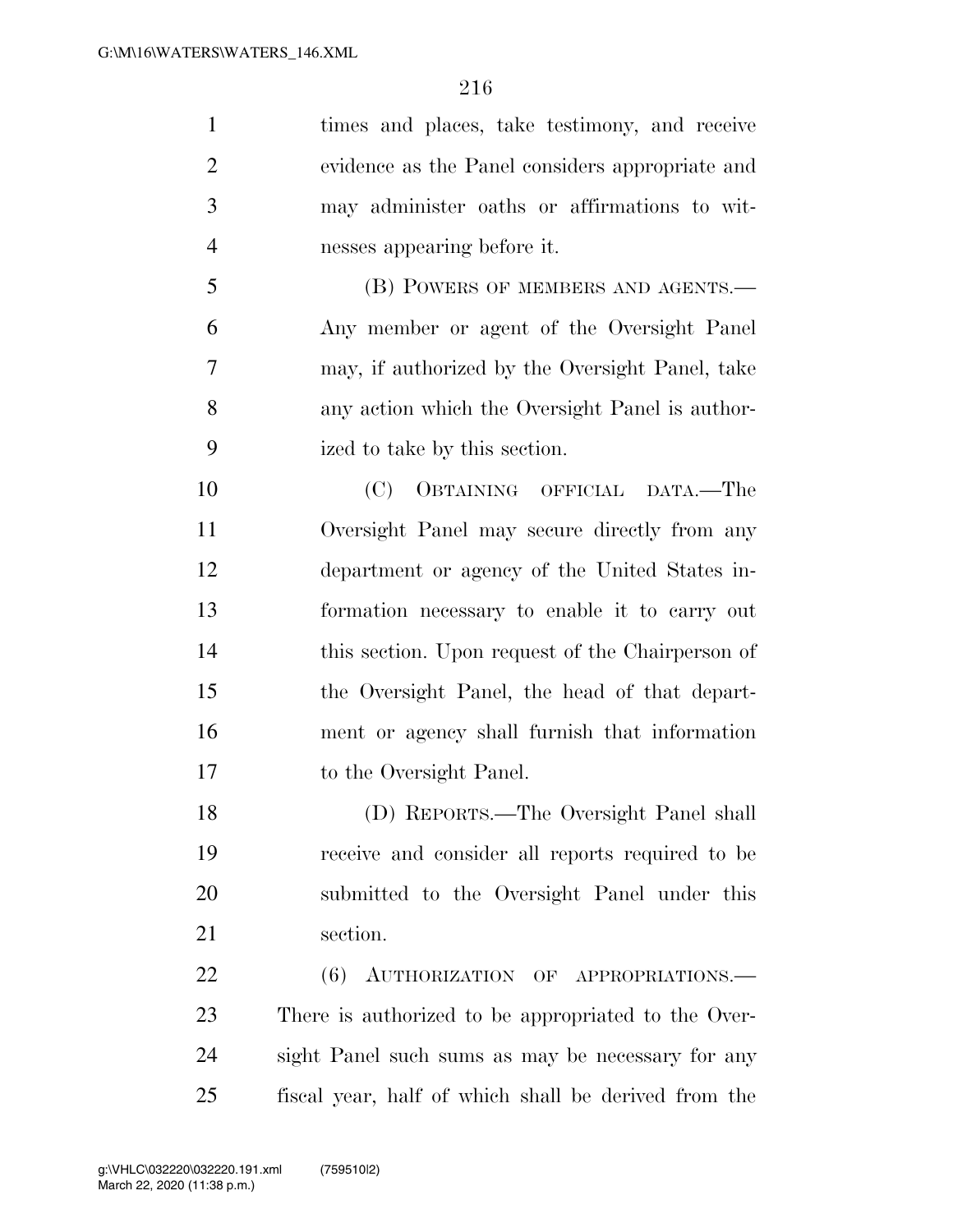times and places, take testimony, and receive evidence as the Panel considers appropriate and may administer oaths or affirmations to wit- nesses appearing before it. 5 (B) POWERS OF MEMBERS AND AGENTS.— Any member or agent of the Oversight Panel may, if authorized by the Oversight Panel, take any action which the Oversight Panel is author- ized to take by this section. (C) OBTAINING OFFICIAL DATA.—The Oversight Panel may secure directly from any department or agency of the United States in- formation necessary to enable it to carry out this section. Upon request of the Chairperson of the Oversight Panel, the head of that depart- ment or agency shall furnish that information to the Oversight Panel. (D) REPORTS.—The Oversight Panel shall receive and consider all reports required to be submitted to the Oversight Panel under this section. 22 (6) AUTHORIZATION OF APPROPRIATIONS. There is authorized to be appropriated to the Over- sight Panel such sums as may be necessary for any fiscal year, half of which shall be derived from the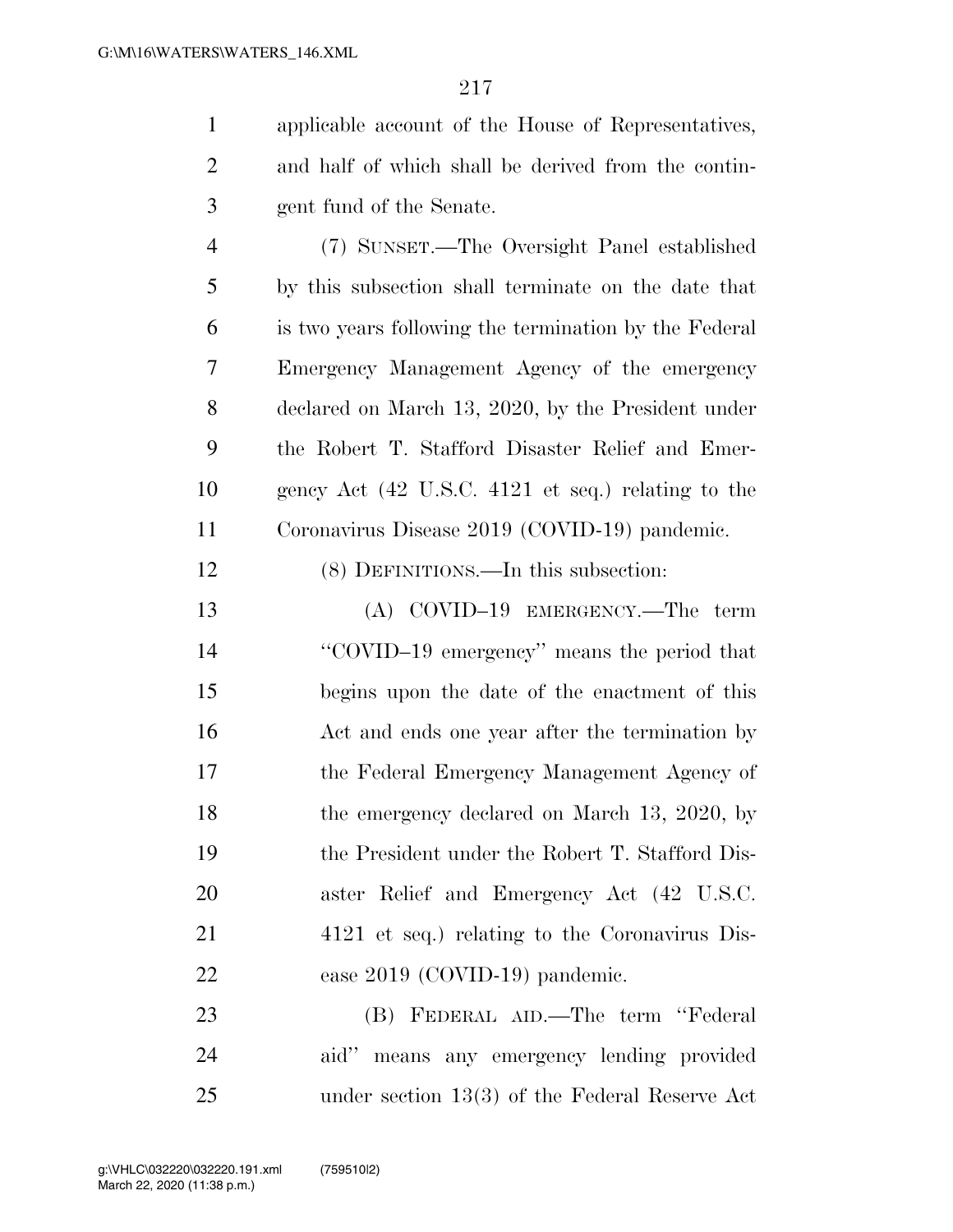applicable account of the House of Representatives, and half of which shall be derived from the contin-gent fund of the Senate.

 (7) SUNSET.—The Oversight Panel established by this subsection shall terminate on the date that is two years following the termination by the Federal Emergency Management Agency of the emergency declared on March 13, 2020, by the President under the Robert T. Stafford Disaster Relief and Emer- gency Act (42 U.S.C. 4121 et seq.) relating to the Coronavirus Disease 2019 (COVID-19) pandemic.

(8) DEFINITIONS.—In this subsection:

 (A) COVID–19 EMERGENCY.—The term ''COVID–19 emergency'' means the period that begins upon the date of the enactment of this 16 Act and ends one year after the termination by the Federal Emergency Management Agency of 18 the emergency declared on March 13, 2020, by the President under the Robert T. Stafford Dis- aster Relief and Emergency Act (42 U.S.C. 4121 et seq.) relating to the Coronavirus Dis-ease 2019 (COVID-19) pandemic.

 (B) FEDERAL AID.—The term ''Federal aid'' means any emergency lending provided under section 13(3) of the Federal Reserve Act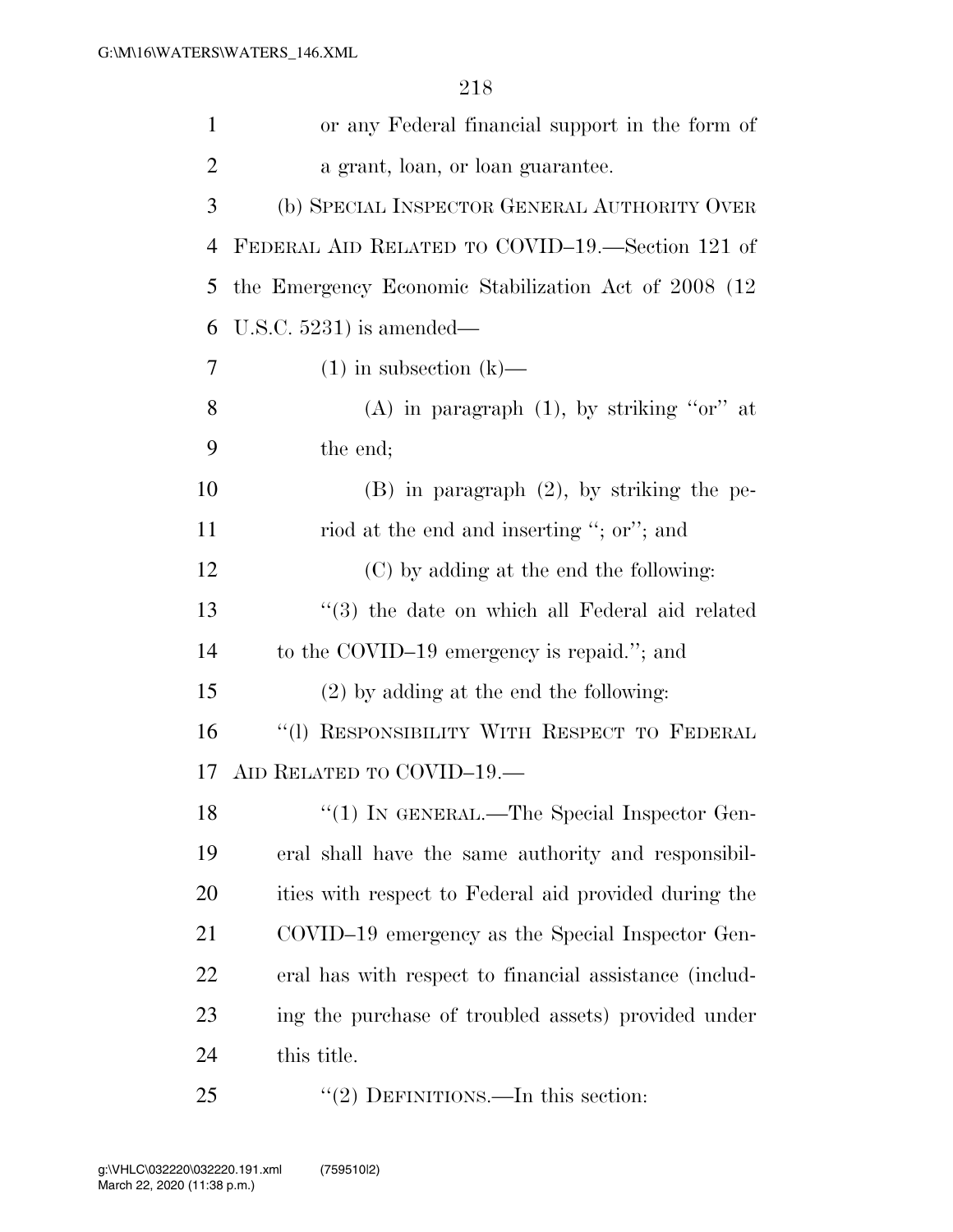| $\mathbf{1}$   | or any Federal financial support in the form of        |
|----------------|--------------------------------------------------------|
| $\overline{2}$ | a grant, loan, or loan guarantee.                      |
| 3              | (b) SPECIAL INSPECTOR GENERAL AUTHORITY OVER           |
| 4              | FEDERAL AID RELATED TO COVID-19.—Section 121 of        |
| 5              | the Emergency Economic Stabilization Act of 2008 (12)  |
| 6              | U.S.C. $5231$ ) is amended—                            |
| 7              | $(1)$ in subsection $(k)$ —                            |
| 8              | (A) in paragraph $(1)$ , by striking "or" at           |
| 9              | the end;                                               |
| 10             | $(B)$ in paragraph $(2)$ , by striking the pe-         |
| 11             | riod at the end and inserting "; or"; and              |
| 12             | (C) by adding at the end the following:                |
| 13             | $\cdot$ (3) the date on which all Federal aid related  |
| 14             | to the COVID-19 emergency is repaid."; and             |
| 15             | $(2)$ by adding at the end the following:              |
| 16             | "(1) RESPONSIBILITY WITH RESPECT TO FEDERAL            |
| 17             | AID RELATED TO COVID-19.—                              |
| 18             | $\lq(1)$ In GENERAL.—The Special Inspector Gen-        |
| 19             | eral shall have the same authority and responsibil-    |
| 20             | ities with respect to Federal aid provided during the  |
| 21             | COVID-19 emergency as the Special Inspector Gen-       |
| 22             | eral has with respect to financial assistance (includ- |
| 23             | ing the purchase of troubled assets) provided under    |
| 24             | this title.                                            |
| 25             | "(2) DEFINITIONS.—In this section:                     |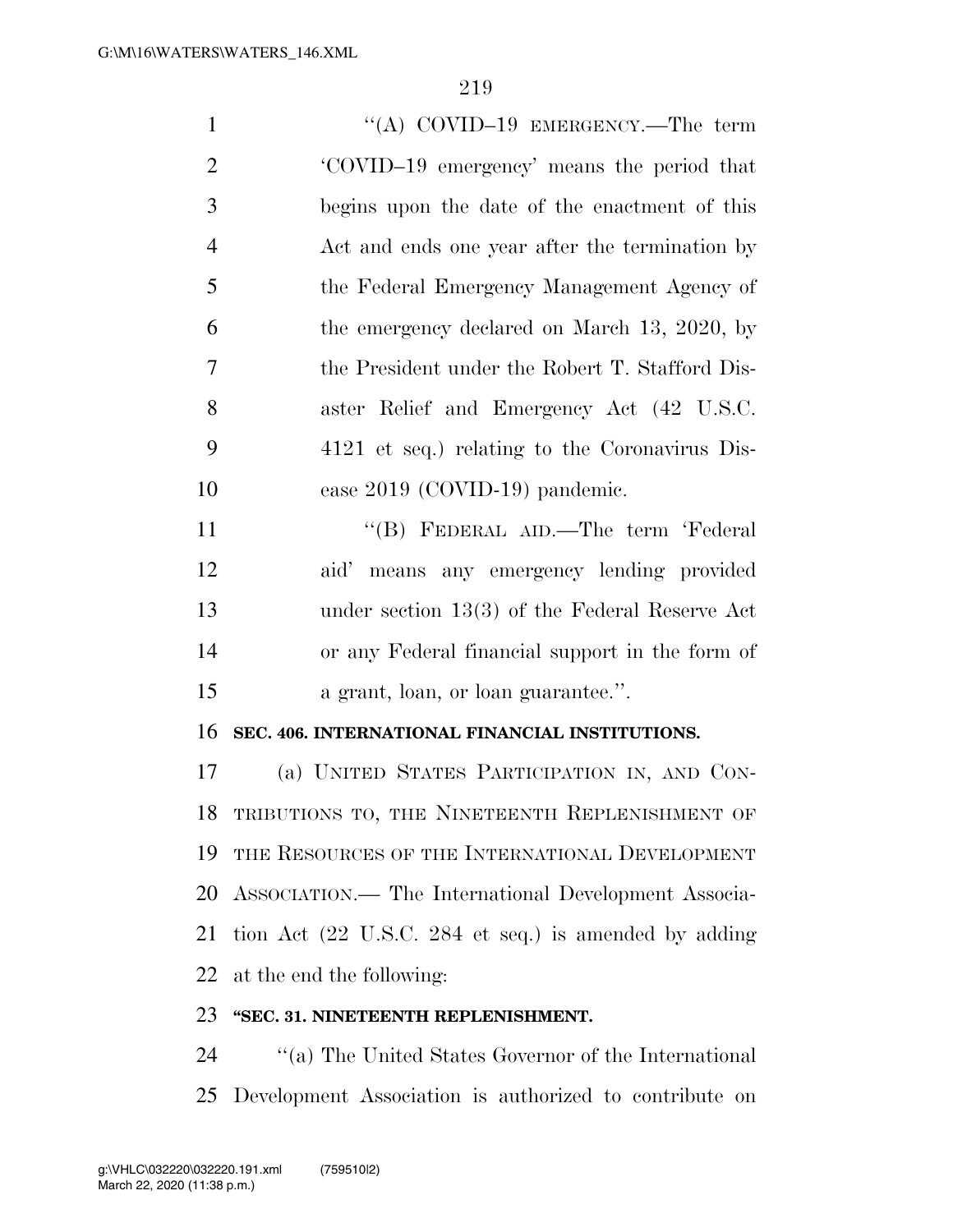| $\mathbf{1}$   | "(A) COVID-19 EMERGENCY.—The term                     |
|----------------|-------------------------------------------------------|
| $\overline{2}$ | 'COVID-19 emergency' means the period that            |
| 3              | begins upon the date of the enactment of this         |
| $\overline{4}$ | Act and ends one year after the termination by        |
| 5              | the Federal Emergency Management Agency of            |
| 6              | the emergency declared on March 13, 2020, by          |
| 7              | the President under the Robert T. Stafford Dis-       |
| 8              | aster Relief and Emergency Act (42 U.S.C.             |
| 9              | 4121 et seq.) relating to the Coronavirus Dis-        |
| 10             | ease 2019 (COVID-19) pandemic.                        |
| 11             | "(B) FEDERAL AID.—The term 'Federal                   |
| 12             | aid' means any emergency lending provided             |
| 13             | under section $13(3)$ of the Federal Reserve Act      |
| 14             | or any Federal financial support in the form of       |
| 15             | a grant, loan, or loan guarantee.".                   |
| 16             | SEC. 406. INTERNATIONAL FINANCIAL INSTITUTIONS.       |
| 17             | (a) UNITED STATES PARTICIPATION IN, AND CON-          |
| 18             | TRIBUTIONS TO, THE NINETEENTH REPLENISHMENT OF        |
| 19             | THE RESOURCES OF THE INTERNATIONAL DEVELOPMENT        |
| 20             | ASSOCIATION.— The International Development Associa-  |
| 21             | tion Act (22 U.S.C. 284 et seq.) is amended by adding |
| 22             | at the end the following:                             |
| 23             | "SEC. 31. NINETEENTH REPLENISHMENT.                   |

24 ''(a) The United States Governor of the International Development Association is authorized to contribute on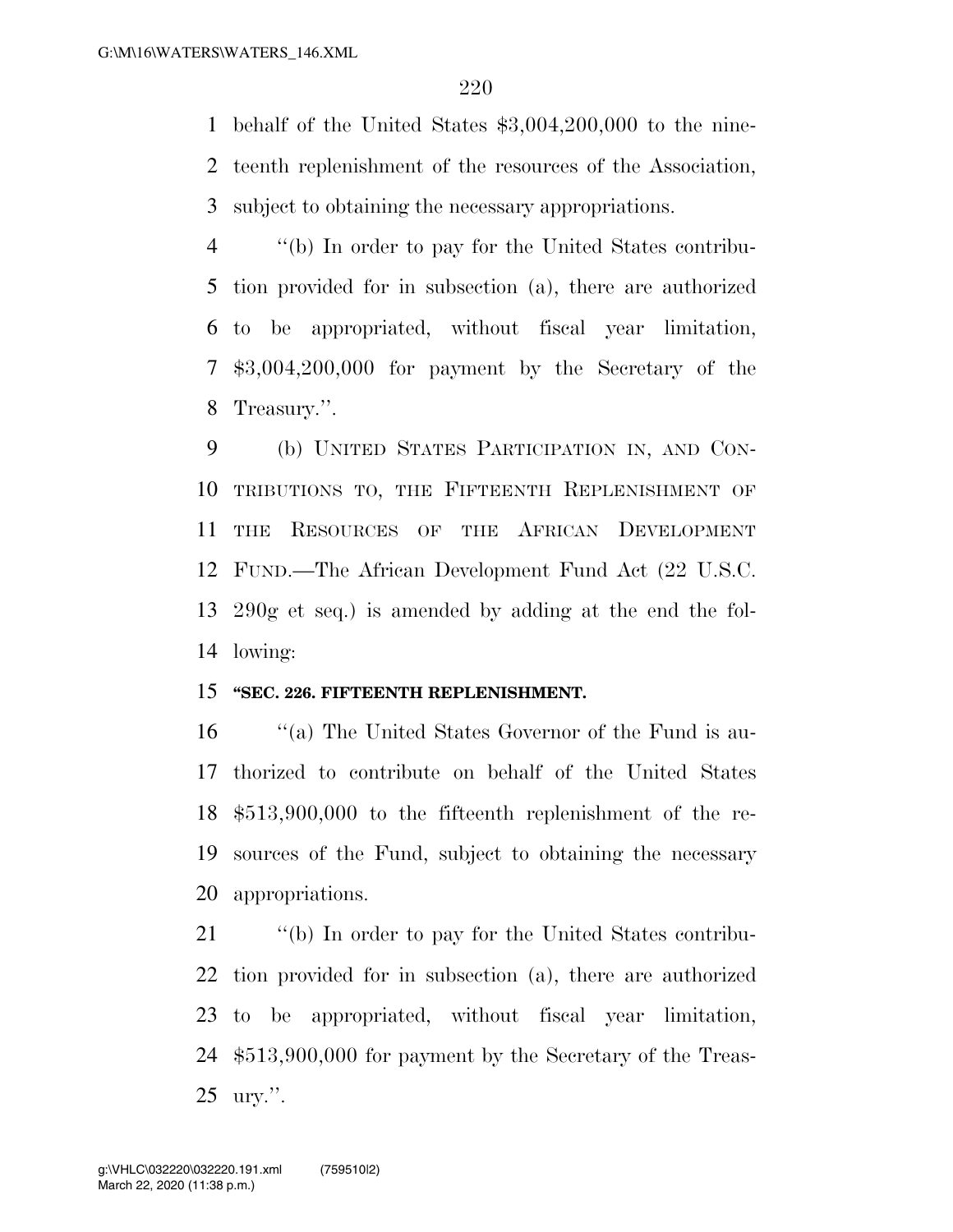behalf of the United States \$3,004,200,000 to the nine- teenth replenishment of the resources of the Association, subject to obtaining the necessary appropriations.

 ''(b) In order to pay for the United States contribu- tion provided for in subsection (a), there are authorized to be appropriated, without fiscal year limitation, \$3,004,200,000 for payment by the Secretary of the Treasury.''.

 (b) UNITED STATES PARTICIPATION IN, AND CON- TRIBUTIONS TO, THE FIFTEENTH REPLENISHMENT OF THE RESOURCES OF THE AFRICAN DEVELOPMENT FUND.—The African Development Fund Act (22 U.S.C. 290g et seq.) is amended by adding at the end the fol-lowing:

## **''SEC. 226. FIFTEENTH REPLENISHMENT.**

 ''(a) The United States Governor of the Fund is au- thorized to contribute on behalf of the United States \$513,900,000 to the fifteenth replenishment of the re- sources of the Fund, subject to obtaining the necessary appropriations.

 ''(b) In order to pay for the United States contribu- tion provided for in subsection (a), there are authorized to be appropriated, without fiscal year limitation, \$513,900,000 for payment by the Secretary of the Treas-ury.''.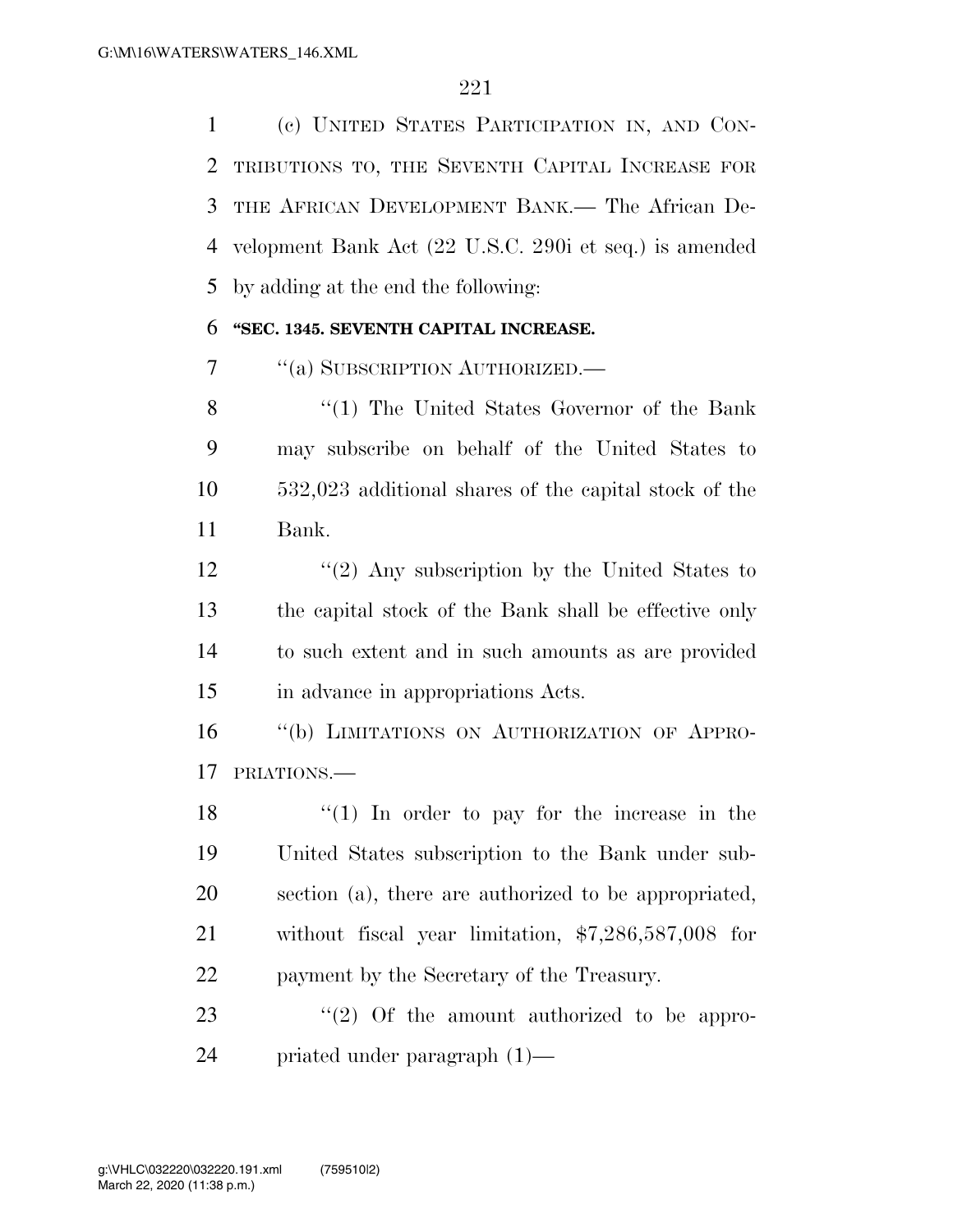(c) UNITED STATES PARTICIPATION IN, AND CON- TRIBUTIONS TO, THE SEVENTH CAPITAL INCREASE FOR THE AFRICAN DEVELOPMENT BANK.— The African De- velopment Bank Act (22 U.S.C. 290i et seq.) is amended by adding at the end the following:

## **''SEC. 1345. SEVENTH CAPITAL INCREASE.**

''(a) SUBSCRIPTION AUTHORIZED.—

8 "(1) The United States Governor of the Bank may subscribe on behalf of the United States to 532,023 additional shares of the capital stock of the Bank.

12 ''(2) Any subscription by the United States to the capital stock of the Bank shall be effective only to such extent and in such amounts as are provided in advance in appropriations Acts.

 ''(b) LIMITATIONS ON AUTHORIZATION OF APPRO-PRIATIONS.—

 $\frac{1}{2}$  (1) In order to pay for the increase in the United States subscription to the Bank under sub- section (a), there are authorized to be appropriated, without fiscal year limitation, \$7,286,587,008 for payment by the Secretary of the Treasury.

23  $\frac{1}{2}$  (2) Of the amount authorized to be appro-priated under paragraph (1)—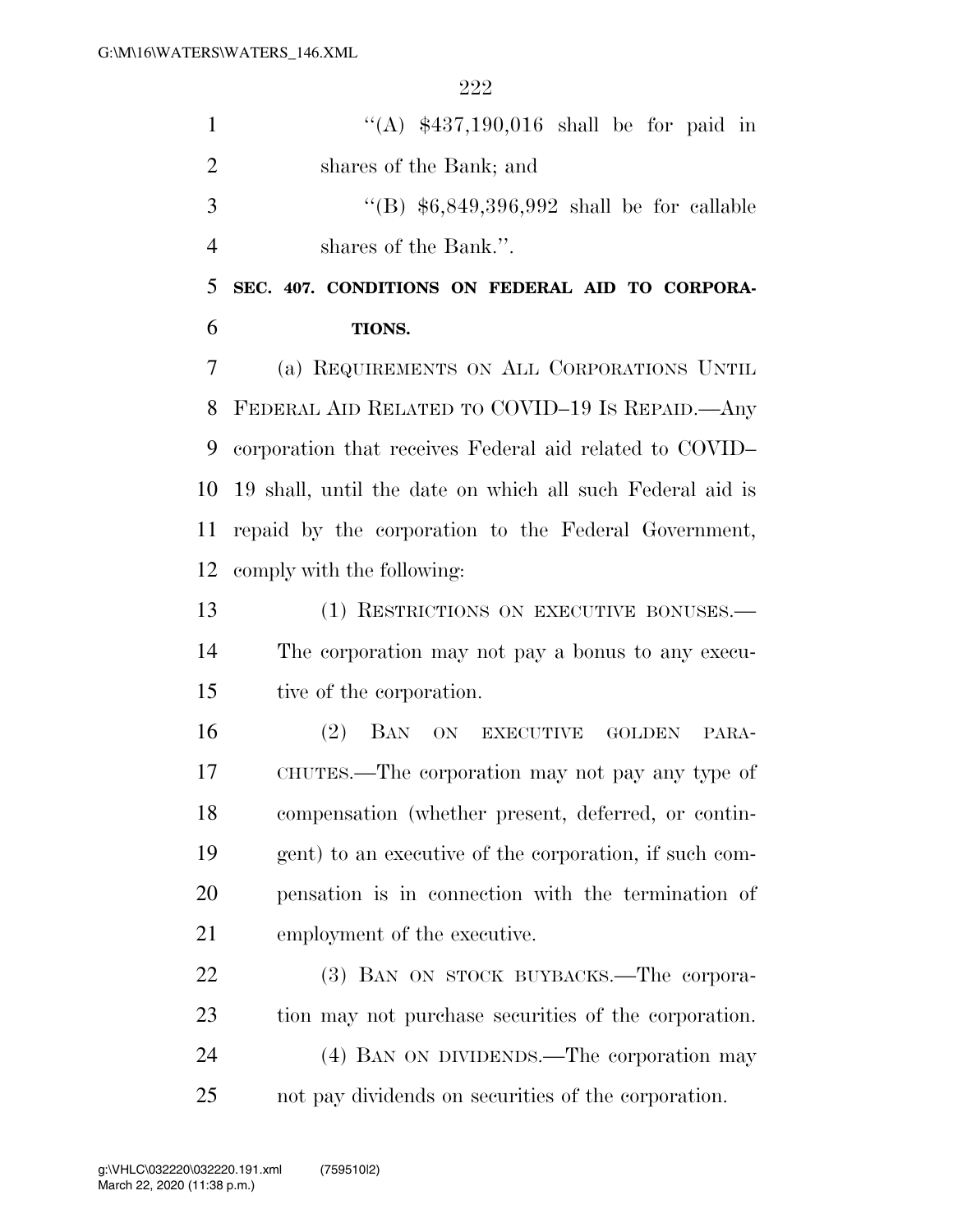| $\mathbf{1}$   | "(A) $$437,190,016$ shall be for paid in                  |
|----------------|-----------------------------------------------------------|
| $\overline{2}$ | shares of the Bank; and                                   |
| 3              | "(B) $$6,849,396,992$ shall be for callable               |
| $\overline{4}$ | shares of the Bank.".                                     |
| 5              | SEC. 407. CONDITIONS ON FEDERAL AID TO CORPORA-           |
| 6              | TIONS.                                                    |
| 7              | (a) REQUIREMENTS ON ALL CORPORATIONS UNTIL                |
| 8              | FEDERAL AID RELATED TO COVID-19 IS REPAID.—Any            |
| 9              | corporation that receives Federal aid related to COVID-   |
| 10             | 19 shall, until the date on which all such Federal aid is |
| 11             | repaid by the corporation to the Federal Government,      |
| 12             | comply with the following:                                |
| 13             | (1) RESTRICTIONS ON EXECUTIVE BONUSES.—                   |
| 14             | The corporation may not pay a bonus to any execu-         |
| 15             | tive of the corporation.                                  |
| 16             | (2)<br>BAN ON<br>EXECUTIVE GOLDEN<br>PARA-                |
| 17             | CHUTES.—The corporation may not pay any type of           |
| 18             | compensation (whether present, deferred, or contin-       |
| 19             | gent) to an executive of the corporation, if such com-    |
| 20             | pensation is in connection with the termination of        |
| 21             | employment of the executive.                              |
| 22             | (3) BAN ON STOCK BUYBACKS.—The corpora-                   |
| 23             | tion may not purchase securities of the corporation.      |
| 24             | (4) BAN ON DIVIDENDS.—The corporation may                 |
| 25             | not pay dividends on securities of the corporation.       |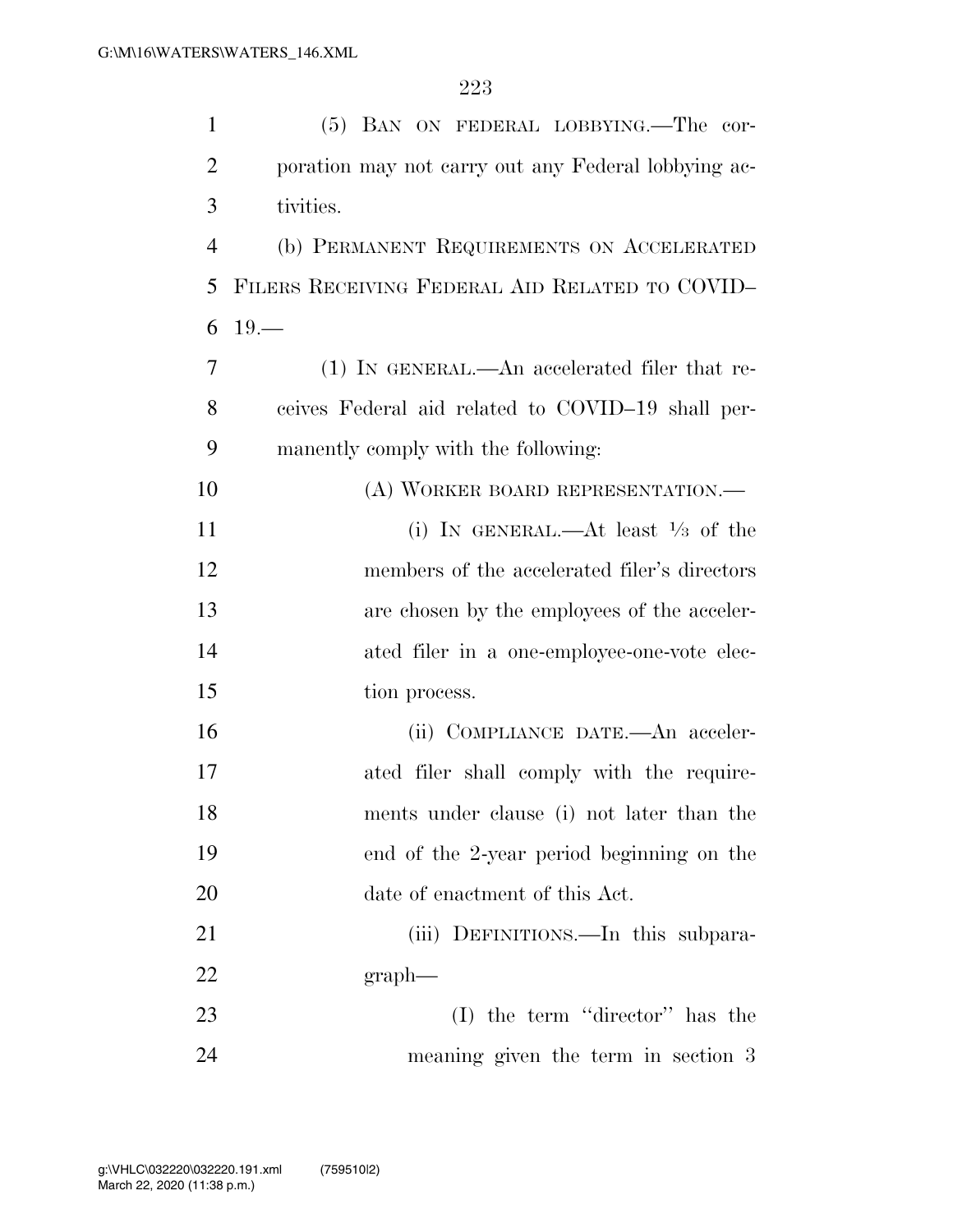| $\mathbf{1}$   | (5) BAN ON FEDERAL LOBBYING.—The cor-               |
|----------------|-----------------------------------------------------|
| $\overline{2}$ | poration may not carry out any Federal lobbying ac- |
| 3              | tivities.                                           |
| $\overline{4}$ | (b) PERMANENT REQUIREMENTS ON ACCELERATED           |
| 5              | FILERS RECEIVING FEDERAL AID RELATED TO COVID-      |
| 6              | $19 -$                                              |
| 7              | (1) IN GENERAL.—An accelerated filer that re-       |
| 8              | ceives Federal aid related to COVID-19 shall per-   |
| 9              | manently comply with the following:                 |
| 10             | (A) WORKER BOARD REPRESENTATION.—                   |
| 11             | (i) IN GENERAL.—At least $\frac{1}{3}$ of the       |
| 12             | members of the accelerated filer's directors        |
| 13             | are chosen by the employees of the acceler-         |
| 14             | ated filer in a one-employee-one-vote elec-         |
| 15             | tion process.                                       |
| 16             | (ii) COMPLIANCE DATE.—An acceler-                   |
| 17             | ated filer shall comply with the require-           |
| 18             | ments under clause (i) not later than the           |
| 19             | end of the 2-year period beginning on the           |
| 20             | date of enactment of this Act.                      |
| 21             | (iii) DEFINITIONS.—In this subpara-                 |
| 22             | $graph$ —                                           |
| 23             | $(I)$ the term "director" has the                   |
| 24             | meaning given the term in section 3                 |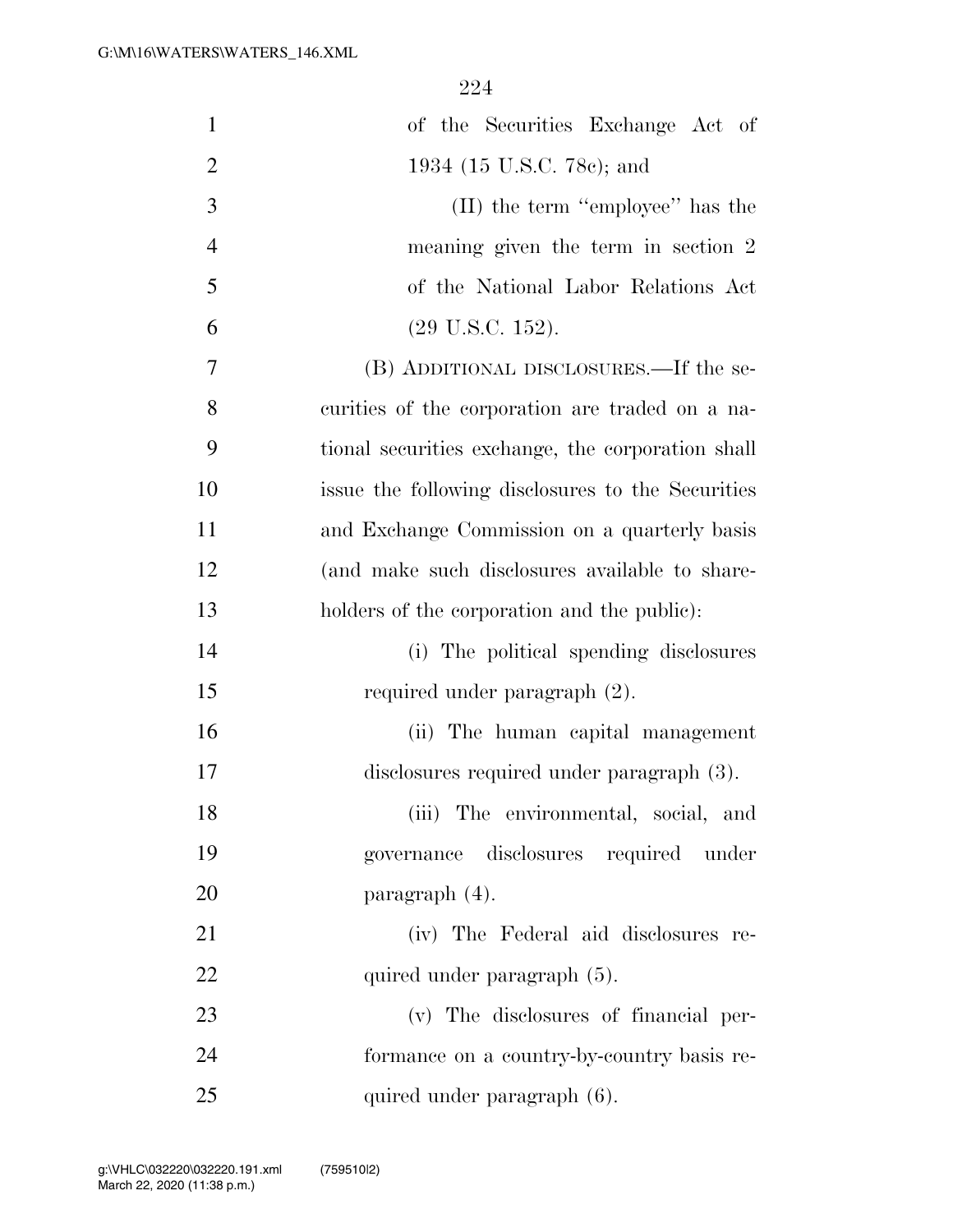| $\mathbf{1}$   | of the Securities Exchange Act of                 |
|----------------|---------------------------------------------------|
| $\overline{2}$ | 1934 (15 U.S.C. 78c); and                         |
| 3              | (II) the term "employee" has the                  |
| $\overline{4}$ | meaning given the term in section 2               |
| 5              | of the National Labor Relations Act               |
| 6              | $(29 \text{ U.S.C. } 152).$                       |
| 7              | (B) ADDITIONAL DISCLOSURES.—If the se-            |
| 8              | curities of the corporation are traded on a na-   |
| 9              | tional securities exchange, the corporation shall |
| 10             | issue the following disclosures to the Securities |
| 11             | and Exchange Commission on a quarterly basis      |
| 12             | (and make such disclosures available to share-    |
| 13             | holders of the corporation and the public):       |
| 14             | (i) The political spending disclosures            |
| 15             | required under paragraph (2).                     |
| 16             | (ii) The human capital management                 |
| 17             | disclosures required under paragraph (3).         |
| 18             | (iii) The environmental, social, and              |
| 19             | governance disclosures required under             |
| 20             | paragraph (4).                                    |
| 21             | (iv) The Federal aid disclosures re-              |
| 22             | quired under paragraph (5).                       |
| 23             | (v) The disclosures of financial per-             |
| 24             | formance on a country-by-country basis re-        |
| 25             | quired under paragraph (6).                       |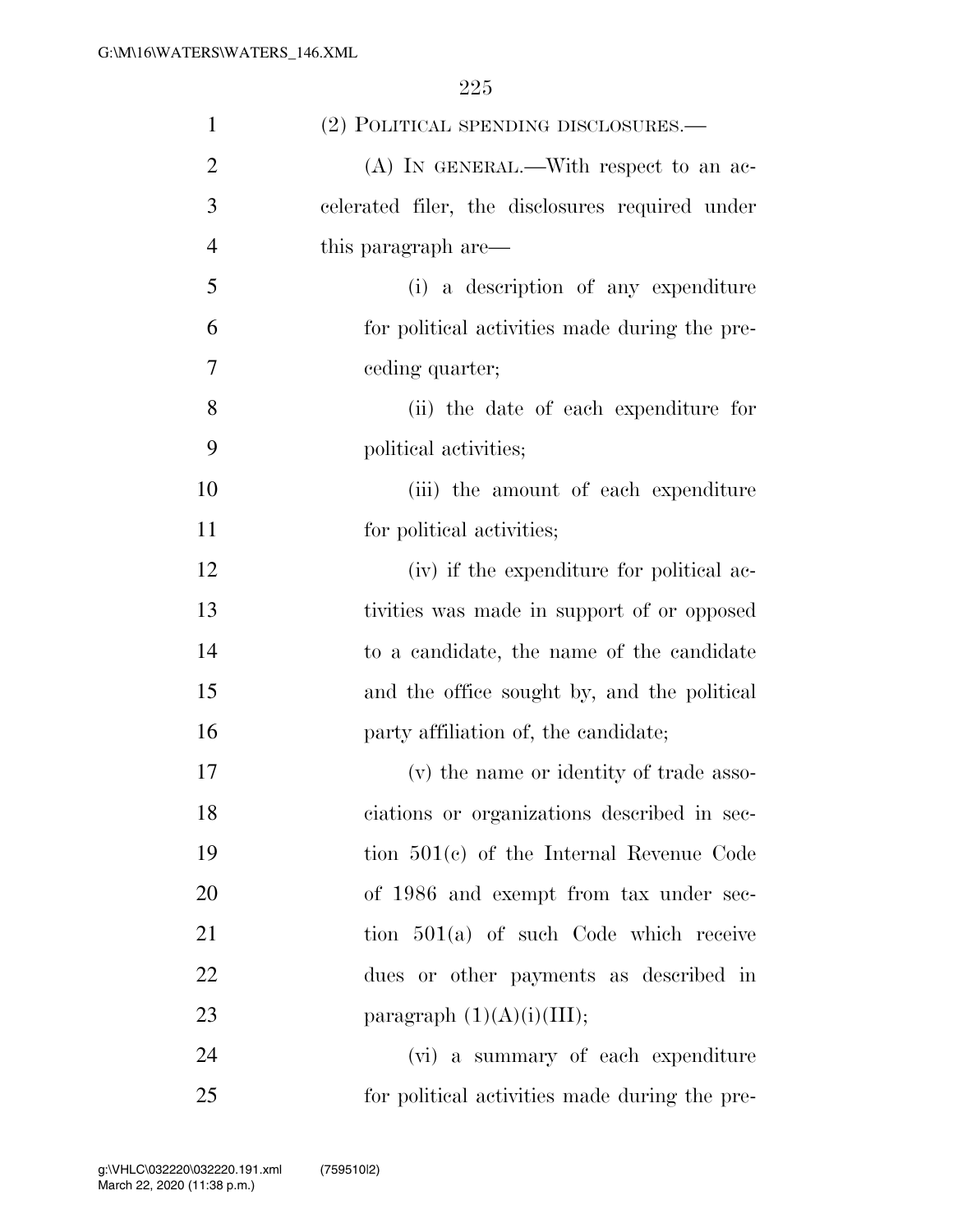| $\mathbf{1}$   | (2) POLITICAL SPENDING DISCLOSURES.-            |
|----------------|-------------------------------------------------|
| $\overline{2}$ | $(A)$ In GENERAL.—With respect to an ac-        |
| 3              | celerated filer, the disclosures required under |
| $\overline{4}$ | this paragraph are—                             |
| 5              | (i) a description of any expenditure            |
| 6              | for political activities made during the pre-   |
| 7              | ceding quarter;                                 |
| 8              | (ii) the date of each expenditure for           |
| 9              | political activities;                           |
| 10             | (iii) the amount of each expenditure            |
| 11             | for political activities;                       |
| 12             | (iv) if the expenditure for political ac-       |
| 13             | tivities was made in support of or opposed      |
| 14             | to a candidate, the name of the candidate       |
| 15             | and the office sought by, and the political     |
| 16             | party affiliation of, the candidate;            |
| 17             | (v) the name or identity of trade asso-         |
| 18             | ciations or organizations described in sec-     |
| 19             | tion $501(c)$ of the Internal Revenue Code      |
| 20             | of 1986 and exempt from tax under sec-          |
| 21             | tion $501(a)$ of such Code which receive        |
| 22             | dues or other payments as described in          |
| 23             | paragraph $(1)(A)(i)(III);$                     |
| 24             | (vi) a summary of each expenditure              |
| 25             | for political activities made during the pre-   |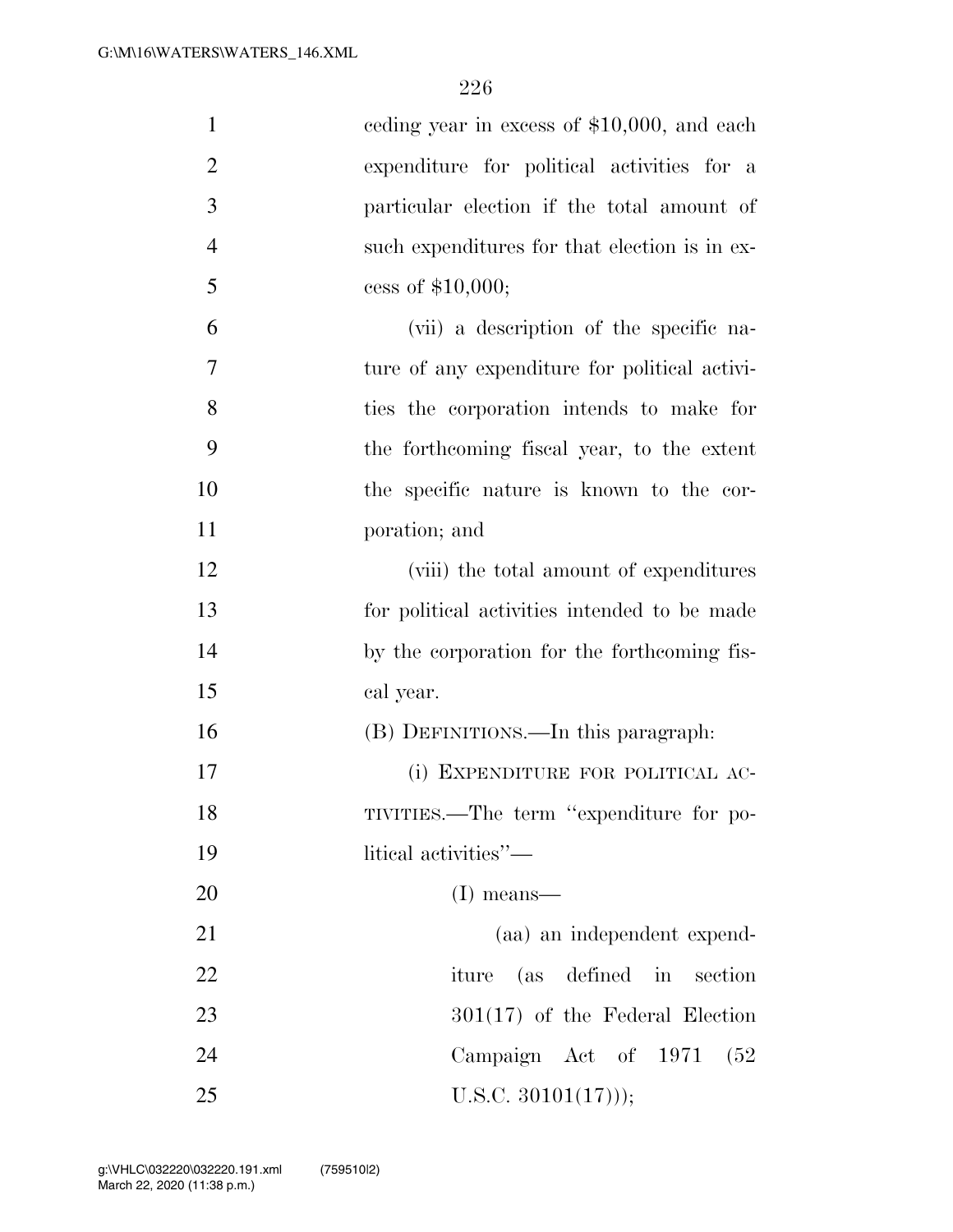| $\mathbf{1}$   | eeding year in excess of \$10,000, and each   |
|----------------|-----------------------------------------------|
| $\overline{2}$ | expenditure for political activities for a    |
| 3              | particular election if the total amount of    |
| $\overline{4}$ | such expenditures for that election is in ex- |
| 5              | cess of $$10,000;$                            |
| 6              | (vii) a description of the specific na-       |
| 7              | ture of any expenditure for political activi- |
| 8              | ties the corporation intends to make for      |
| 9              | the forthcoming fiscal year, to the extent    |
| 10             | the specific nature is known to the cor-      |
| 11             | poration; and                                 |
| 12             | (viii) the total amount of expenditures       |
| 13             | for political activities intended to be made  |
| 14             | by the corporation for the forthcoming fis-   |
| 15             | cal year.                                     |
| 16             | (B) DEFINITIONS.—In this paragraph:           |
| 17             | (i) EXPENDITURE FOR POLITICAL AC-             |
| 18             | TIVITIES.—The term "expenditure for po-       |
| 19             | litical activities"—                          |
| <b>20</b>      | $(I)$ means—                                  |
| 21             | (aa) an independent expend-                   |
| 22             | iture (as defined in section                  |
| 23             | $301(17)$ of the Federal Election             |
| 24             | Campaign Act of 1971<br>(52)                  |
| 25             | U.S.C. $30101(17))$ ;                         |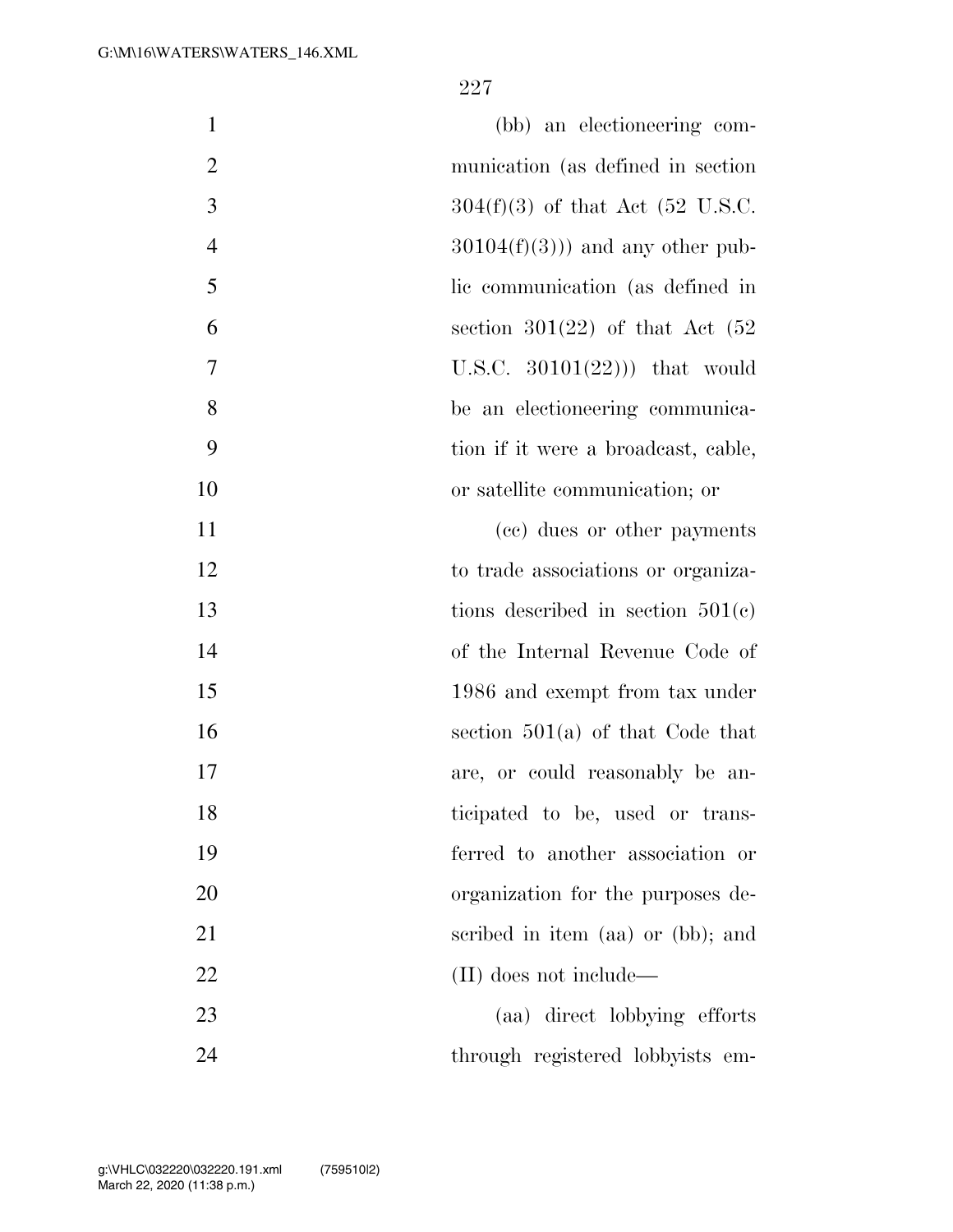| $\mathbf{1}$   | (bb) an electioneering com-         |
|----------------|-------------------------------------|
| $\overline{2}$ | munication (as defined in section)  |
| 3              | $304(f)(3)$ of that Act (52 U.S.C.  |
| $\overline{4}$ | $30104(f)(3))$ and any other pub-   |
| 5              | lic communication (as defined in    |
| 6              | section 301(22) of that Act $(52)$  |
| 7              | U.S.C. $30101(22))$ that would      |
| 8              | be an electioneering communica-     |
| 9              | tion if it were a broadcast, cable, |
| 10             | or satellite communication; or      |
| 11             | (cc) dues or other payments         |
| 12             | to trade associations or organiza-  |
| 13             | tions described in section $501(e)$ |
| 14             | of the Internal Revenue Code of     |
| 15             | 1986 and exempt from tax under      |
| 16             | section $501(a)$ of that Code that  |
| 17             | are, or could reasonably be an-     |
| 18             | ticipated to be, used or trans-     |
| 19             | ferred to another association or    |
| 20             | organization for the purposes de-   |
| 21             | scribed in item (aa) or (bb); and   |
| 22             | (II) does not include—              |
| 23             | (aa) direct lobbying efforts        |
| 24             | through registered lobbyists em-    |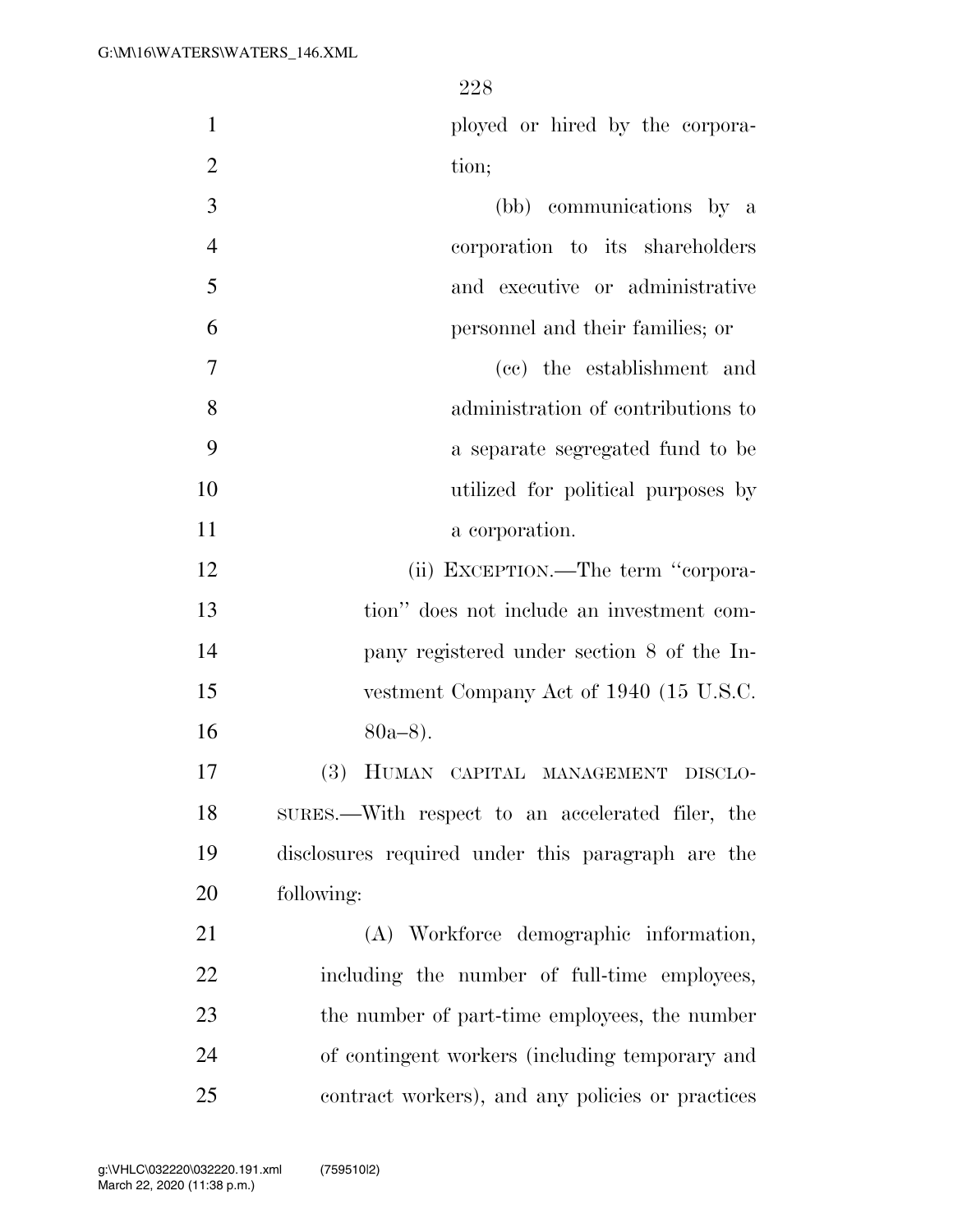| ployed or hired by the corpora- |  |
|---------------------------------|--|
| tion;                           |  |
| (kk) communicationa by a        |  |

| (i) communications by a            |                |
|------------------------------------|----------------|
| corporation to its shareholders    | $\overline{4}$ |
| and executive or administrative    | 5              |
| personnel and their families; or   | 6              |
| (cc) the establishment and         | $\overline{7}$ |
| administration of contributions to | 8              |
| a separate segregated fund to be   | 9              |
| utilized for political purposes by | 10             |

12 (ii) EXCEPTION.—The term "corpora- tion'' does not include an investment com- pany registered under section 8 of the In-15 vestment Company Act of 1940 (15 U.S.C.  $80a-8$ ).

11 a corporation.

 (3) HUMAN CAPITAL MANAGEMENT DISCLO- SURES.—With respect to an accelerated filer, the disclosures required under this paragraph are the following:

 (A) Workforce demographic information, including the number of full-time employees, the number of part-time employees, the number of contingent workers (including temporary and contract workers), and any policies or practices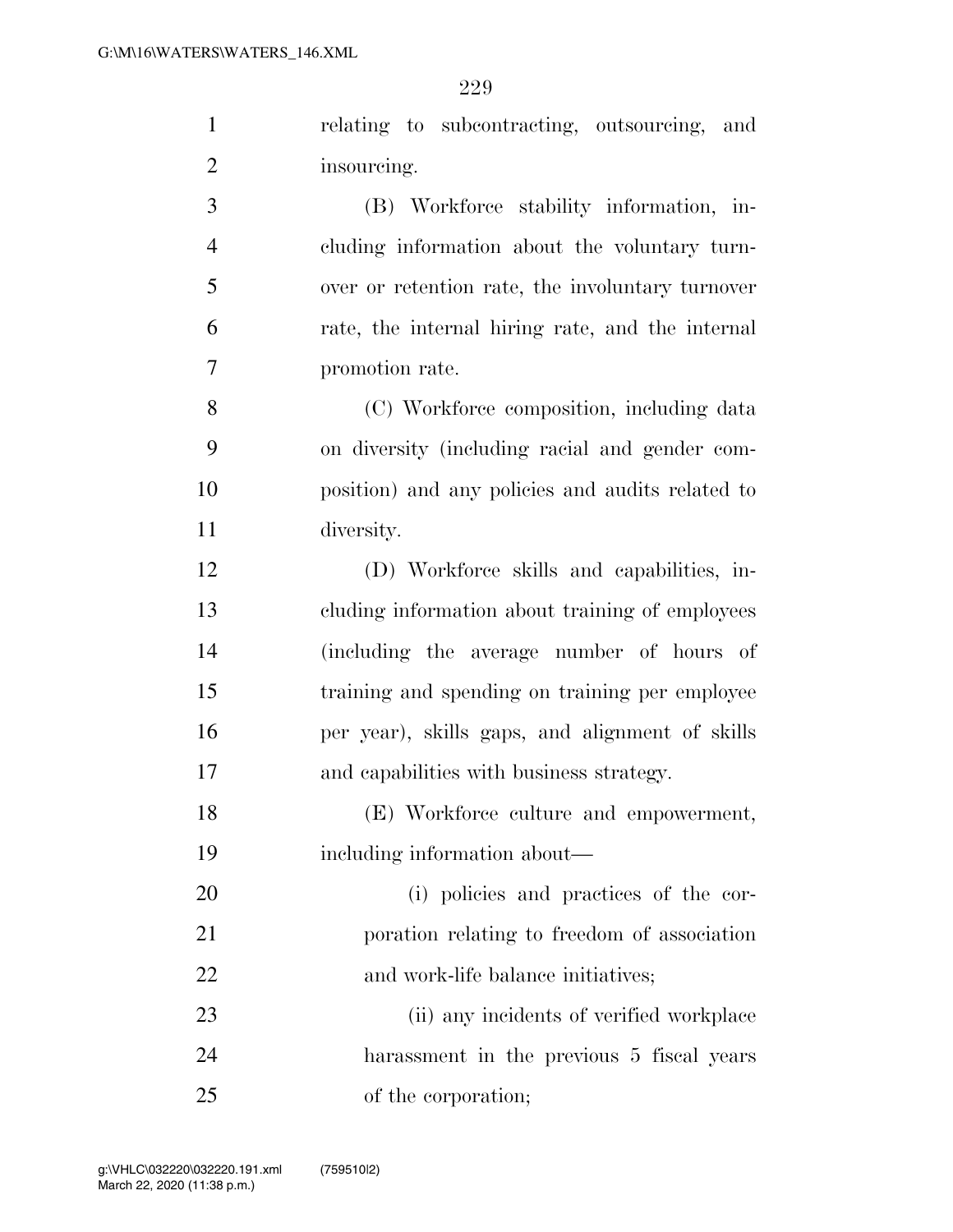| $\mathbf{1}$   | relating to subcontracting, outsourcing,<br>and  |
|----------------|--------------------------------------------------|
| $\overline{2}$ | insourcing.                                      |
| 3              | (B) Workforce stability information, in-         |
| $\overline{4}$ | cluding information about the voluntary turn-    |
| 5              | over or retention rate, the involuntary turnover |
| 6              | rate, the internal hiring rate, and the internal |
| 7              | promotion rate.                                  |
| 8              | (C) Workforce composition, including data        |
| 9              | on diversity (including racial and gender com-   |
| 10             | position) and any policies and audits related to |
| 11             | diversity.                                       |
| 12             | (D) Workforce skills and capabilities, in-       |
| 13             | cluding information about training of employees  |
| 14             | (including the average number of hours of        |
| 15             | training and spending on training per employee   |
| 16             | per year), skills gaps, and alignment of skills  |
| 17             | and capabilities with business strategy.         |
| 18             | (E) Workforce culture and empowerment,           |
| 19             | including information about—                     |
| 20             | (i) policies and practices of the cor-           |
| 21             | poration relating to freedom of association      |
| 22             | and work-life balance initiatives;               |
| 23             | (ii) any incidents of verified workplace         |
| 24             | harassment in the previous 5 fiscal years        |

of the corporation;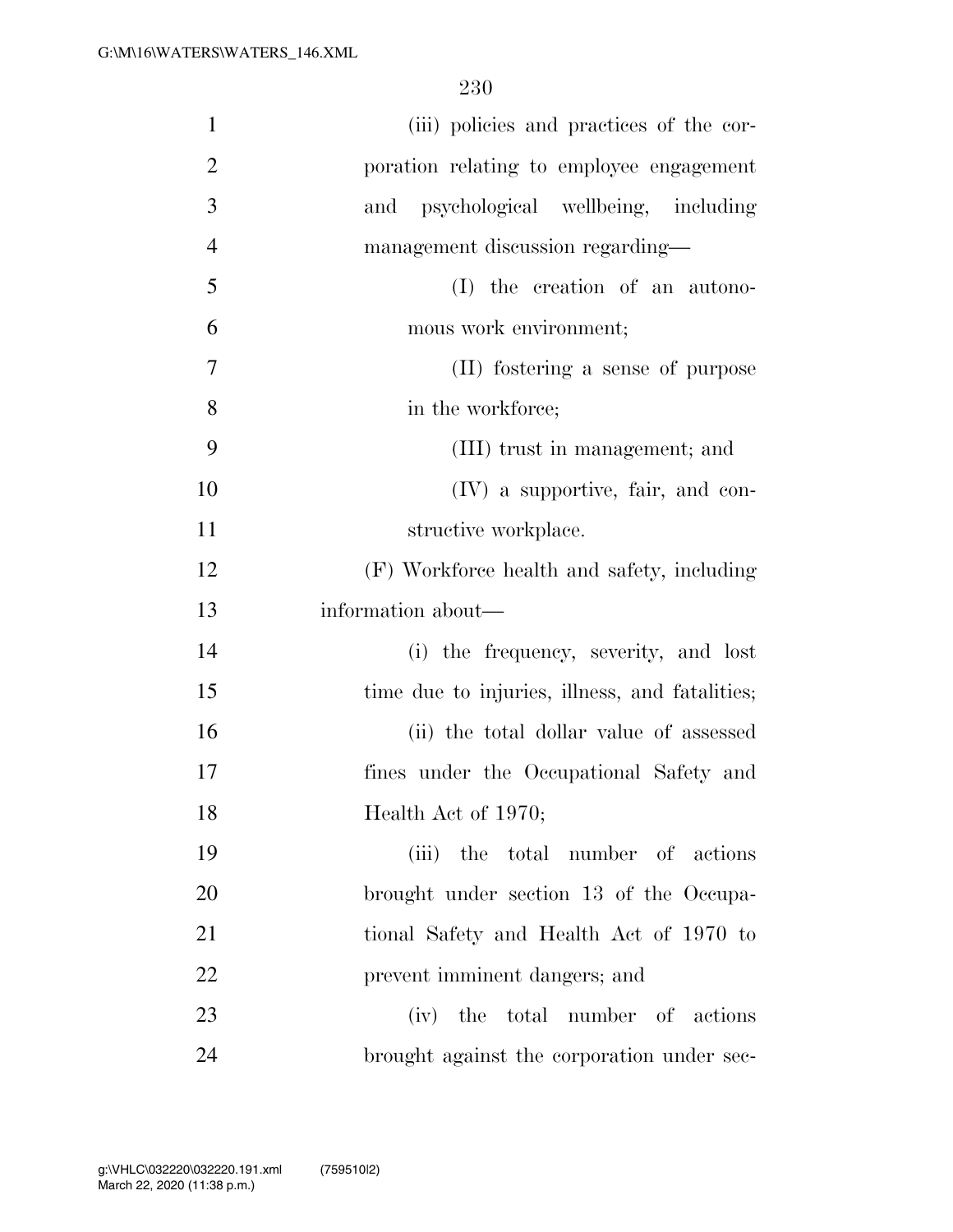| $\mathbf{1}$   | (iii) policies and practices of the cor-       |
|----------------|------------------------------------------------|
| $\overline{2}$ | poration relating to employee engagement       |
| 3              | and psychological wellbeing, including         |
| $\overline{4}$ | management discussion regarding—               |
| 5              | (I) the creation of an autono-                 |
| 6              | mous work environment;                         |
| $\overline{7}$ | (II) fostering a sense of purpose              |
| 8              | in the workforce;                              |
| 9              | (III) trust in management; and                 |
| 10             | $(IV)$ a supportive, fair, and con-            |
| 11             | structive workplace.                           |
| 12             | (F) Workforce health and safety, including     |
| 13             | information about—                             |
| 14             | (i) the frequency, severity, and lost          |
| 15             | time due to injuries, illness, and fatalities; |
| 16             | (ii) the total dollar value of assessed        |
| 17             | fines under the Occupational Safety and        |
| 18             | Health Act of 1970;                            |
| 19             | (iii) the total number of actions              |
| 20             | brought under section 13 of the Occupa-        |
| 21             | tional Safety and Health Act of 1970 to        |
| 22             | prevent imminent dangers; and                  |
| 23             | (iv) the total number of actions               |
| 24             | brought against the corporation under sec-     |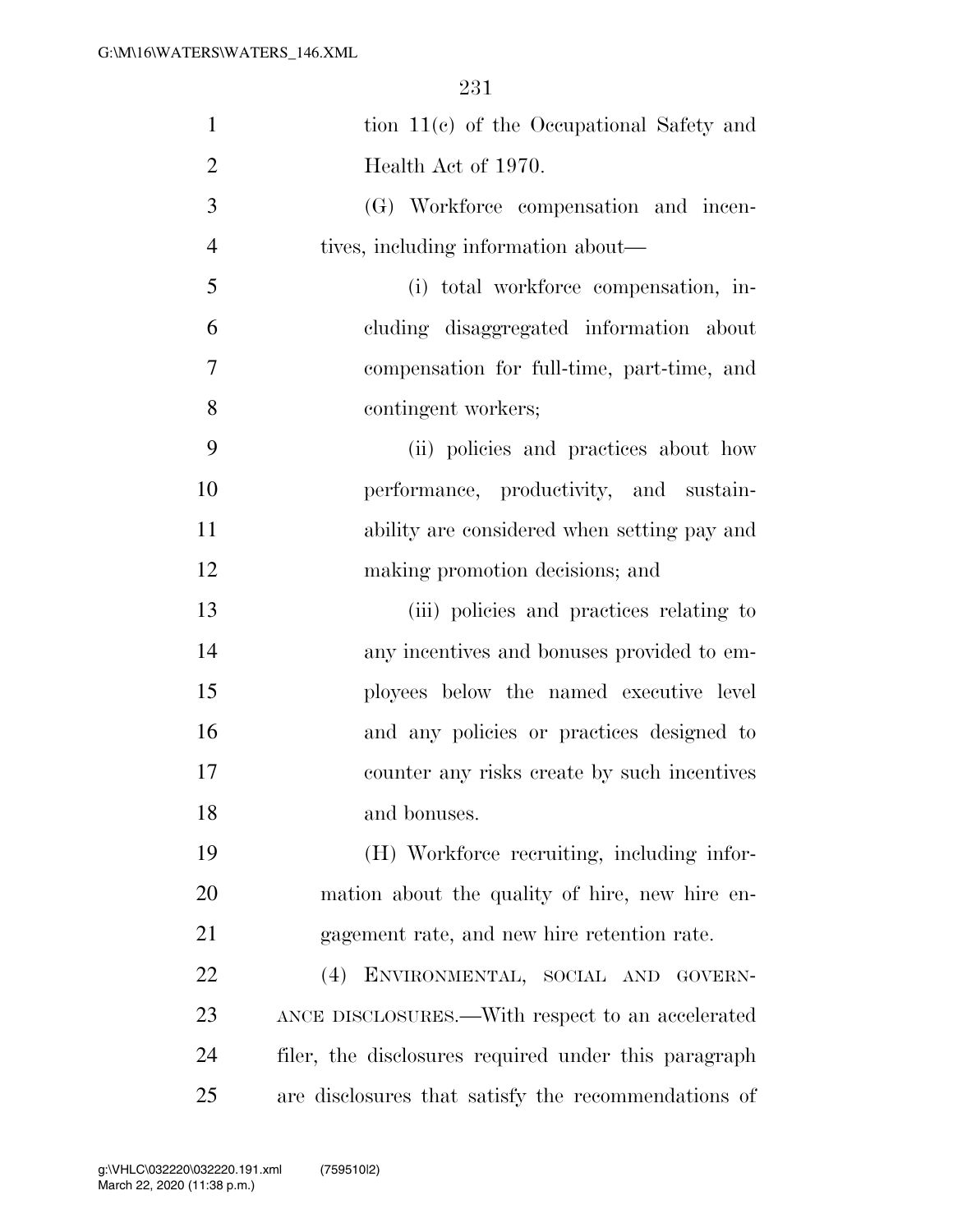| $\mathbf{1}$   | tion $11(c)$ of the Occupational Safety and          |
|----------------|------------------------------------------------------|
| $\overline{2}$ | Health Act of 1970.                                  |
| 3              | (G) Workforce compensation and incen-                |
| $\overline{4}$ | tives, including information about—                  |
| 5              | (i) total workforce compensation, in-                |
| 6              | cluding disaggregated information about              |
| 7              | compensation for full-time, part-time, and           |
| 8              | contingent workers;                                  |
| 9              | (ii) policies and practices about how                |
| 10             | performance, productivity, and sustain-              |
| 11             | ability are considered when setting pay and          |
| 12             | making promotion decisions; and                      |
| 13             | (iii) policies and practices relating to             |
| 14             | any incentives and bonuses provided to em-           |
| 15             | ployees below the named executive level              |
| 16             | and any policies or practices designed to            |
| 17             | counter any risks create by such incentives          |
| 18             | and bonuses.                                         |
| 19             | (H) Workforce recruiting, including infor-           |
| 20             | mation about the quality of hire, new hire en-       |
| 21             | gagement rate, and new hire retention rate.          |
| <u>22</u>      | ENVIRONMENTAL, SOCIAL AND GOVERN-<br>(4)             |
| 23             | ANCE DISCLOSURES.—With respect to an accelerated     |
| 24             | filer, the disclosures required under this paragraph |
| 25             | are disclosures that satisfy the recommendations of  |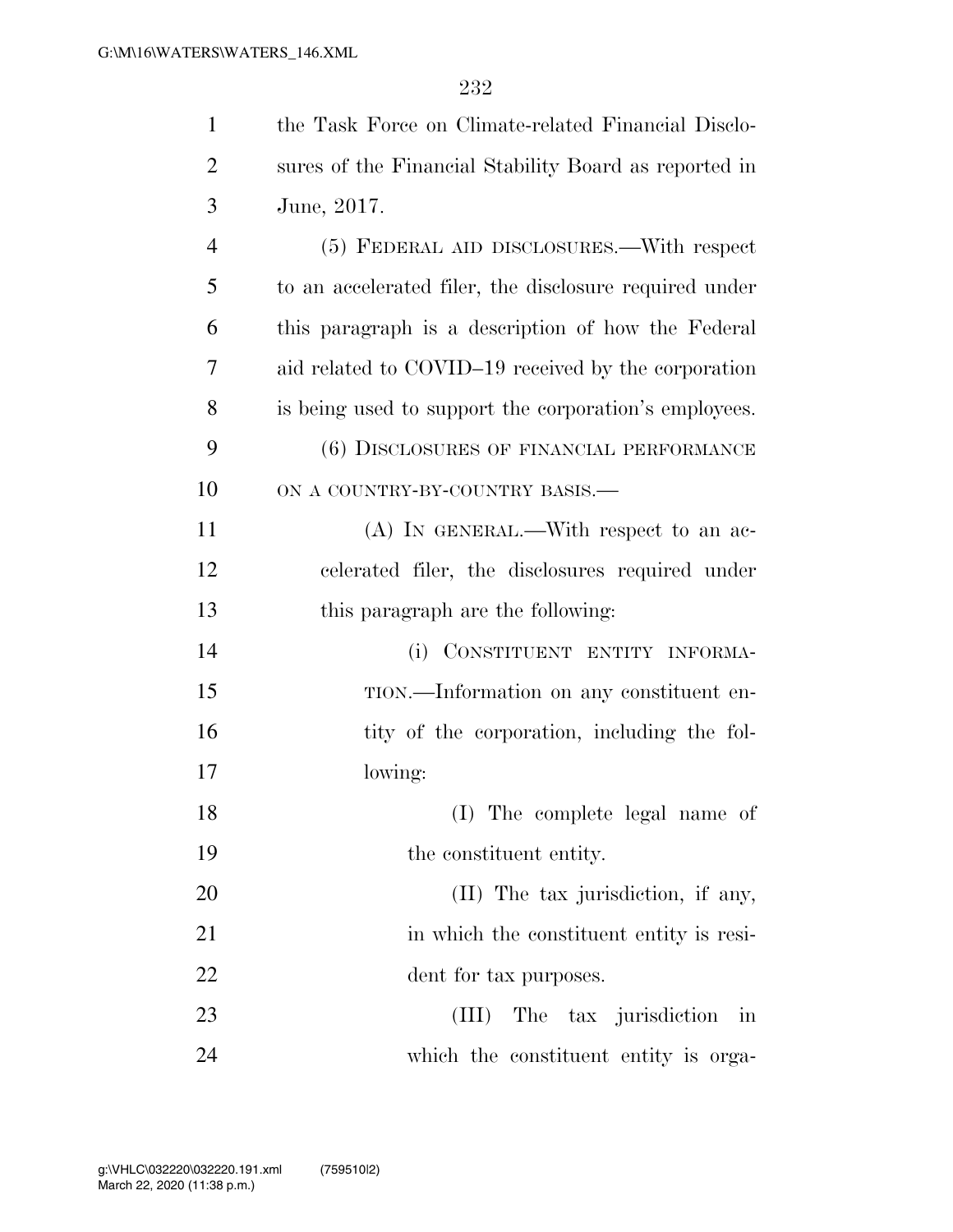| $\mathbf{1}$   | the Task Force on Climate-related Financial Disclo-    |
|----------------|--------------------------------------------------------|
| $\overline{2}$ | sures of the Financial Stability Board as reported in  |
| 3              | June, 2017.                                            |
| $\overline{4}$ | (5) FEDERAL AID DISCLOSURES.—With respect              |
| 5              | to an accelerated filer, the disclosure required under |
| 6              | this paragraph is a description of how the Federal     |
| 7              | aid related to COVID-19 received by the corporation    |
| 8              | is being used to support the corporation's employees.  |
| 9              | (6) DISCLOSURES OF FINANCIAL PERFORMANCE               |
| 10             | ON A COUNTRY-BY-COUNTRY BASIS.-                        |
| 11             | (A) IN GENERAL.—With respect to an ac-                 |
| 12             | celerated filer, the disclosures required under        |
| 13             | this paragraph are the following:                      |
| 14             | (i) CONSTITUENT ENTITY INFORMA-                        |
| 15             | TION.—Information on any constituent en-               |
| 16             | tity of the corporation, including the fol-            |
| 17             | lowing:                                                |
| 18             | (I) The complete legal name of                         |
| 19             | the constituent entity.                                |
| 20             | (II) The tax jurisdiction, if any,                     |
| 21             | in which the constituent entity is resi-               |
| 22             | dent for tax purposes.                                 |
| 23             | The tax jurisdiction in<br>(III)                       |
| 24             | which the constituent entity is orga-                  |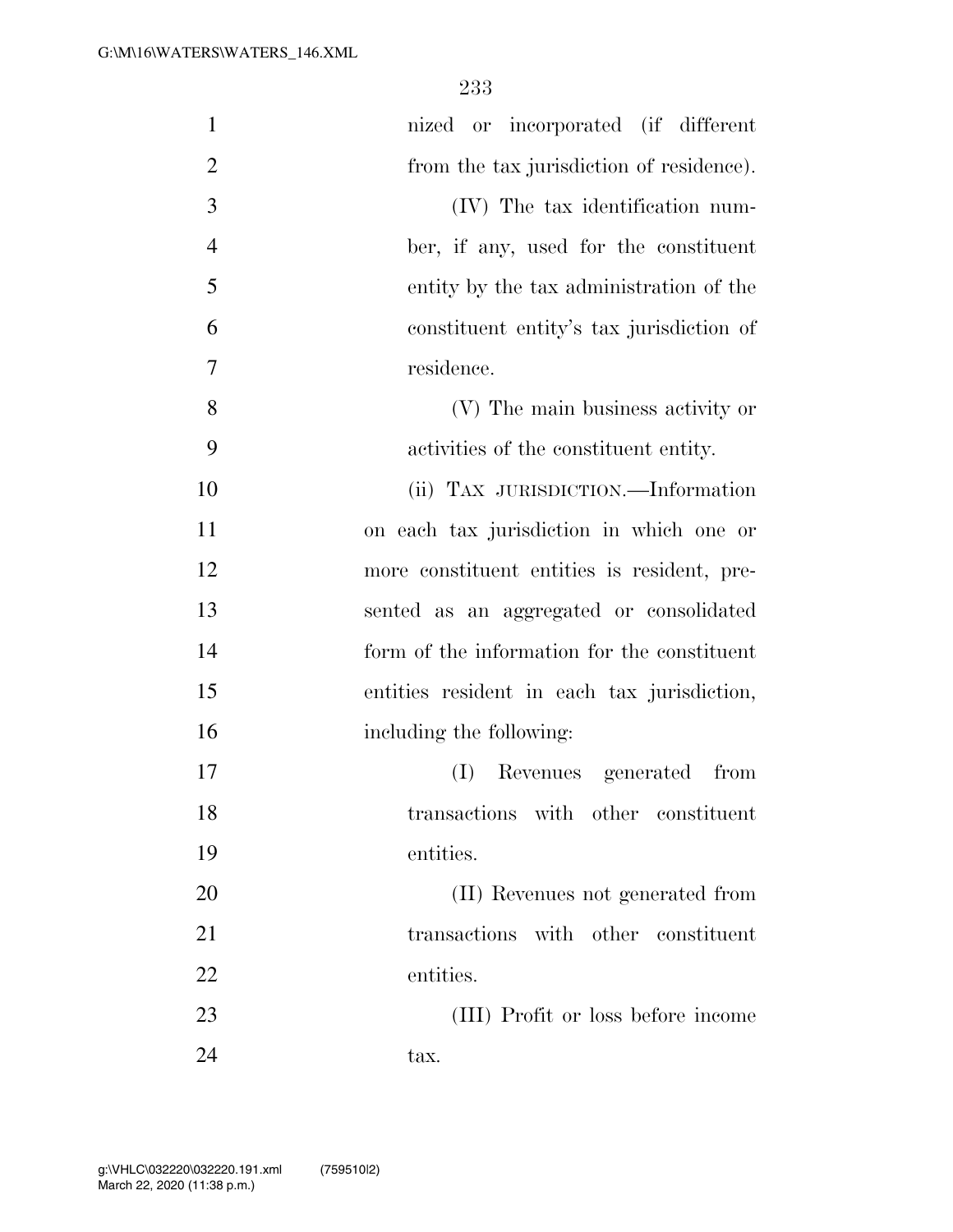| $\mathbf{1}$   | nized or incorporated (if different         |
|----------------|---------------------------------------------|
| $\overline{2}$ | from the tax jurisdiction of residence).    |
| 3              | (IV) The tax identification num-            |
| $\overline{4}$ | ber, if any, used for the constituent       |
| 5              | entity by the tax administration of the     |
| 6              | constituent entity's tax jurisdiction of    |
| 7              | residence.                                  |
| 8              | (V) The main business activity or           |
| 9              | activities of the constituent entity.       |
| 10             | (ii) TAX JURISDICTION.—Information          |
| 11             | on each tax jurisdiction in which one or    |
| 12             | more constituent entities is resident, pre- |
| 13             | sented as an aggregated or consolidated     |
| 14             | form of the information for the constituent |
| 15             | entities resident in each tax jurisdiction, |
| 16             | including the following:                    |
| 17             | Revenues generated<br>(I)<br>from           |
| 18             | transactions with other constituent         |
| 19             | entities.                                   |
| 20             | (II) Revenues not generated from            |
| 21             | transactions with other constituent         |
| 22             | entities.                                   |
| 23             | (III) Profit or loss before income          |
| 24             | tax.                                        |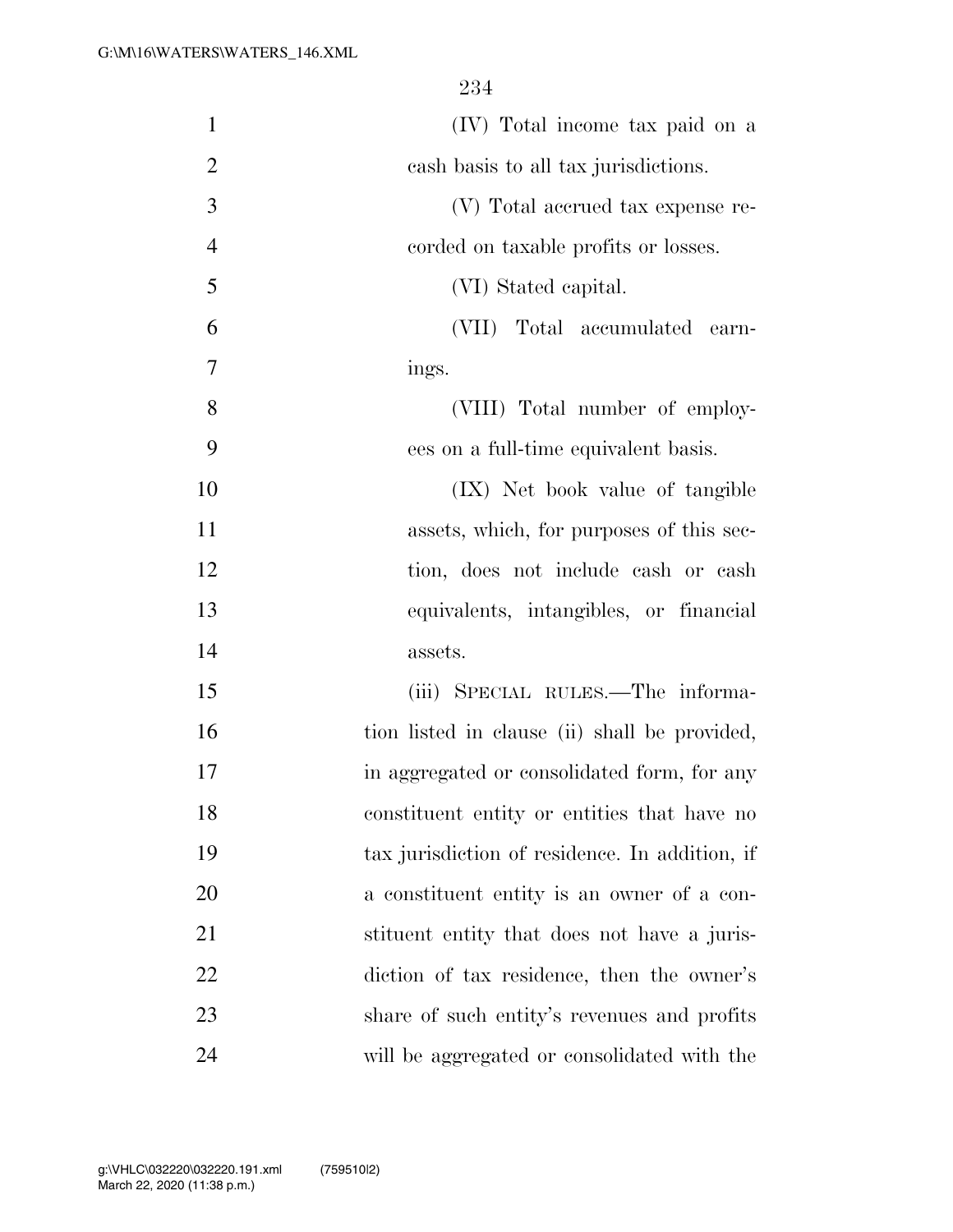| $\mathbf{1}$   | (IV) Total income tax paid on a                |
|----------------|------------------------------------------------|
| $\overline{2}$ | cash basis to all tax jurisdictions.           |
| 3              | (V) Total accrued tax expense re-              |
| $\overline{4}$ | corded on taxable profits or losses.           |
| 5              | (VI) Stated capital.                           |
| 6              | (VII) Total accumulated earn-                  |
| 7              | ings.                                          |
| 8              | (VIII) Total number of employ-                 |
| 9              | ees on a full-time equivalent basis.           |
| 10             | (IX) Net book value of tangible                |
| 11             | assets, which, for purposes of this sec-       |
| 12             | tion, does not include cash or cash            |
| 13             | equivalents, intangibles, or financial         |
| 14             | assets.                                        |
| 15             | (iii) SPECIAL RULES.—The informa-              |
| 16             | tion listed in clause (ii) shall be provided,  |
| 17             | in aggregated or consolidated form, for any    |
| 18             | constituent entity or entities that have no    |
| 19             | tax jurisdiction of residence. In addition, if |
| 20             | a constituent entity is an owner of a con-     |
| 21             | stituent entity that does not have a juris-    |
| 22             | diction of tax residence, then the owner's     |
| 23             | share of such entity's revenues and profits    |
| 24             | will be aggregated or consolidated with the    |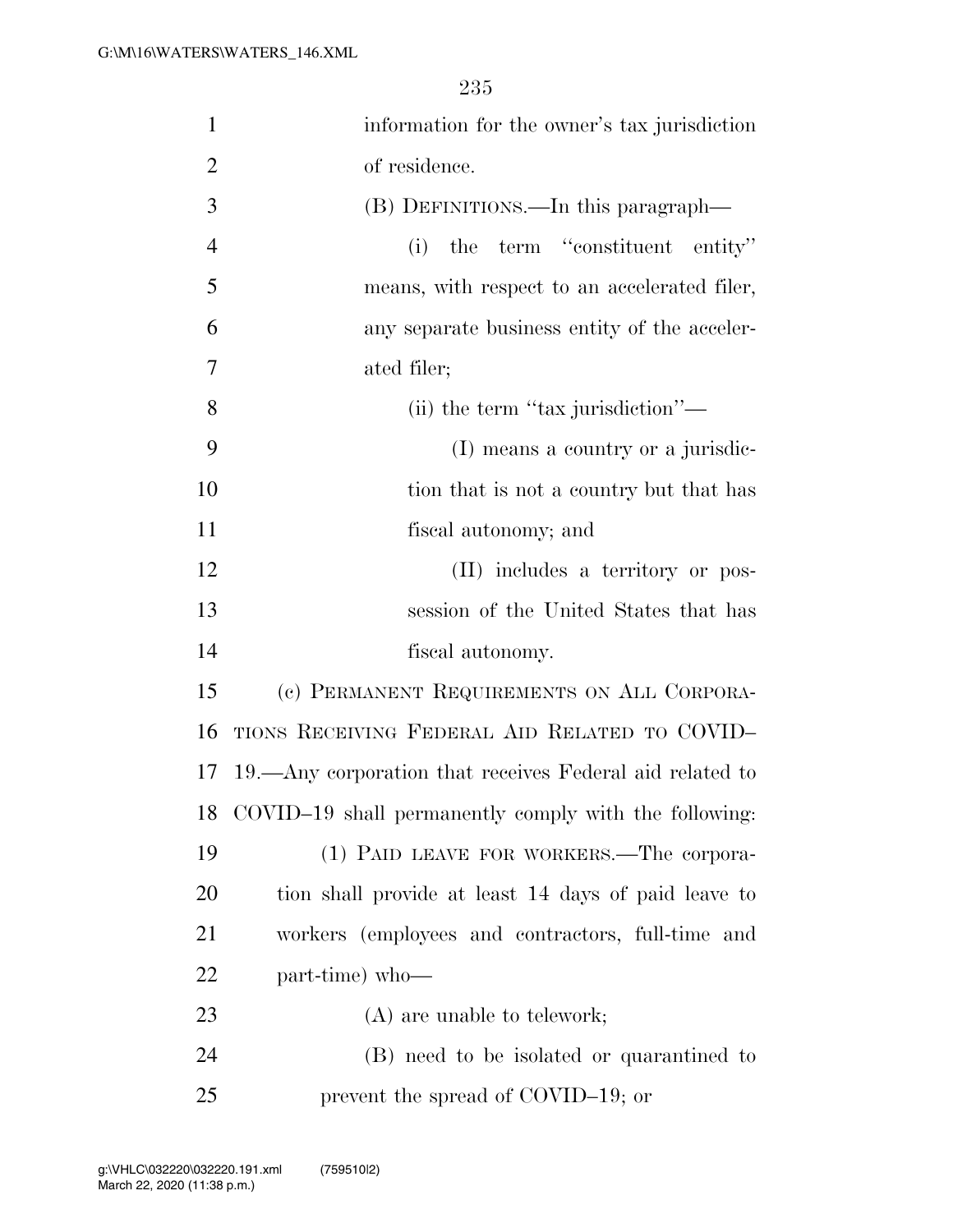| $\mathbf{1}$   | information for the owner's tax jurisdiction             |
|----------------|----------------------------------------------------------|
| $\overline{2}$ | of residence.                                            |
| 3              | (B) DEFINITIONS.—In this paragraph—                      |
| $\overline{4}$ | the term "constituent entity"<br>(i)                     |
| 5              | means, with respect to an accelerated filer,             |
| 6              | any separate business entity of the acceler-             |
| 7              | ated filer;                                              |
| 8              | (ii) the term "tax jurisdiction"—                        |
| 9              | (I) means a country or a jurisdic-                       |
| 10             | tion that is not a country but that has                  |
| 11             | fiscal autonomy; and                                     |
| 12             | (II) includes a territory or pos-                        |
| 13             | session of the United States that has                    |
| 14             | fiscal autonomy.                                         |
| 15             | (c) PERMANENT REQUIREMENTS ON ALL CORPORA-               |
| 16             | TIONS RECEIVING FEDERAL AID RELATED TO COVID-            |
| 17             | 19.—Any corporation that receives Federal aid related to |
|                | 18 COVID-19 shall permanently comply with the following: |
| 19             | (1) PAID LEAVE FOR WORKERS.—The corpora-                 |
| <b>20</b>      | tion shall provide at least 14 days of paid leave to     |
| 21             | workers (employees and contractors, full-time and        |
| 22             | part-time) who-                                          |
| 23             | $(A)$ are unable to telework;                            |
| 24             | (B) need to be isolated or quarantined to                |
| 25             | prevent the spread of COVID-19; or                       |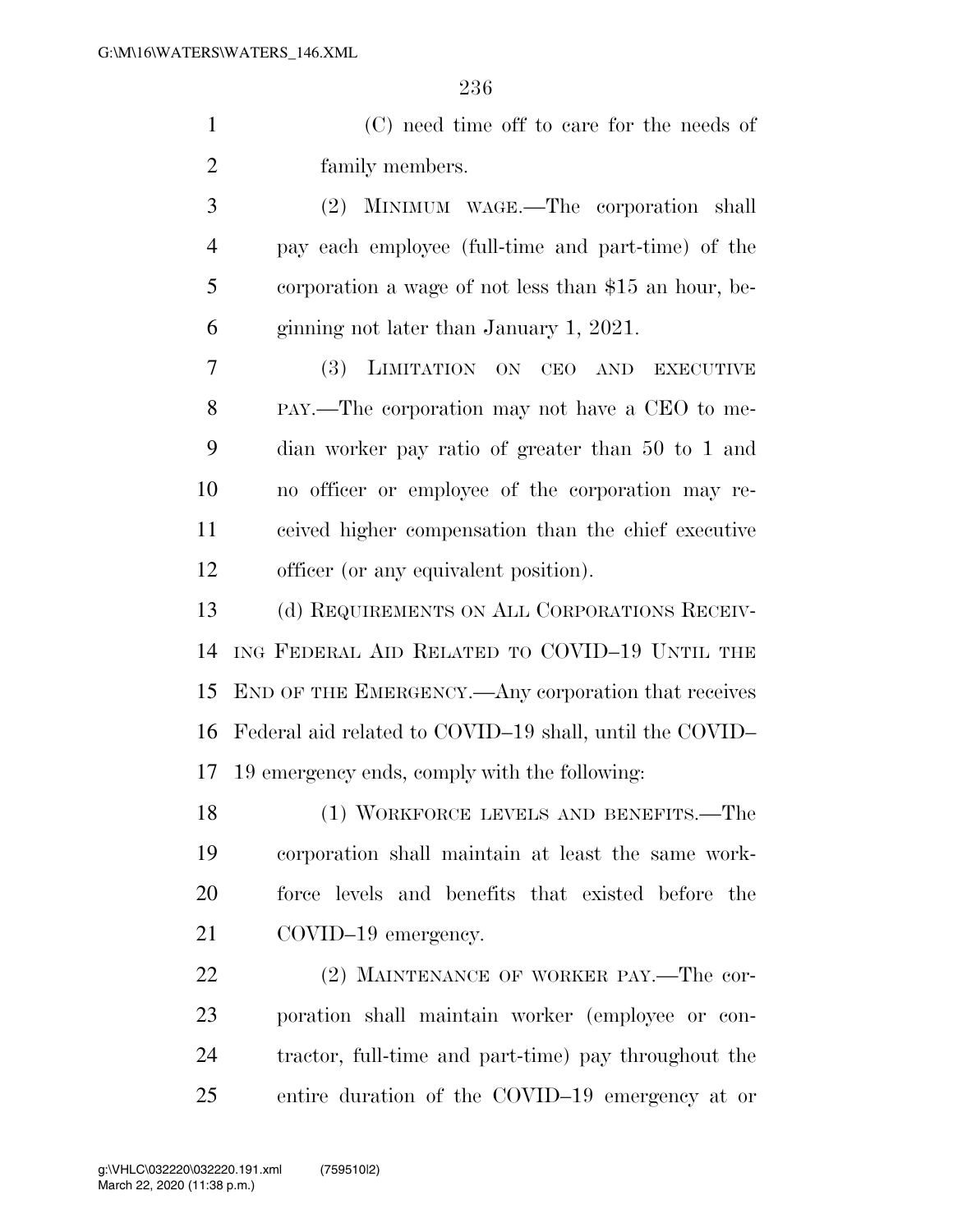(C) need time off to care for the needs of family members.

 (2) MINIMUM WAGE.—The corporation shall pay each employee (full-time and part-time) of the corporation a wage of not less than \$15 an hour, be-ginning not later than January 1, 2021.

 (3) LIMITATION ON CEO AND EXECUTIVE PAY.—The corporation may not have a CEO to me- dian worker pay ratio of greater than 50 to 1 and no officer or employee of the corporation may re- ceived higher compensation than the chief executive officer (or any equivalent position).

 (d) REQUIREMENTS ON ALL CORPORATIONS RECEIV- ING FEDERAL AID RELATED TO COVID–19 UNTIL THE END OF THE EMERGENCY.—Any corporation that receives Federal aid related to COVID–19 shall, until the COVID– 19 emergency ends, comply with the following:

 (1) WORKFORCE LEVELS AND BENEFITS.—The corporation shall maintain at least the same work- force levels and benefits that existed before the COVID–19 emergency.

22 (2) MAINTENANCE OF WORKER PAY.—The cor- poration shall maintain worker (employee or con- tractor, full-time and part-time) pay throughout the entire duration of the COVID–19 emergency at or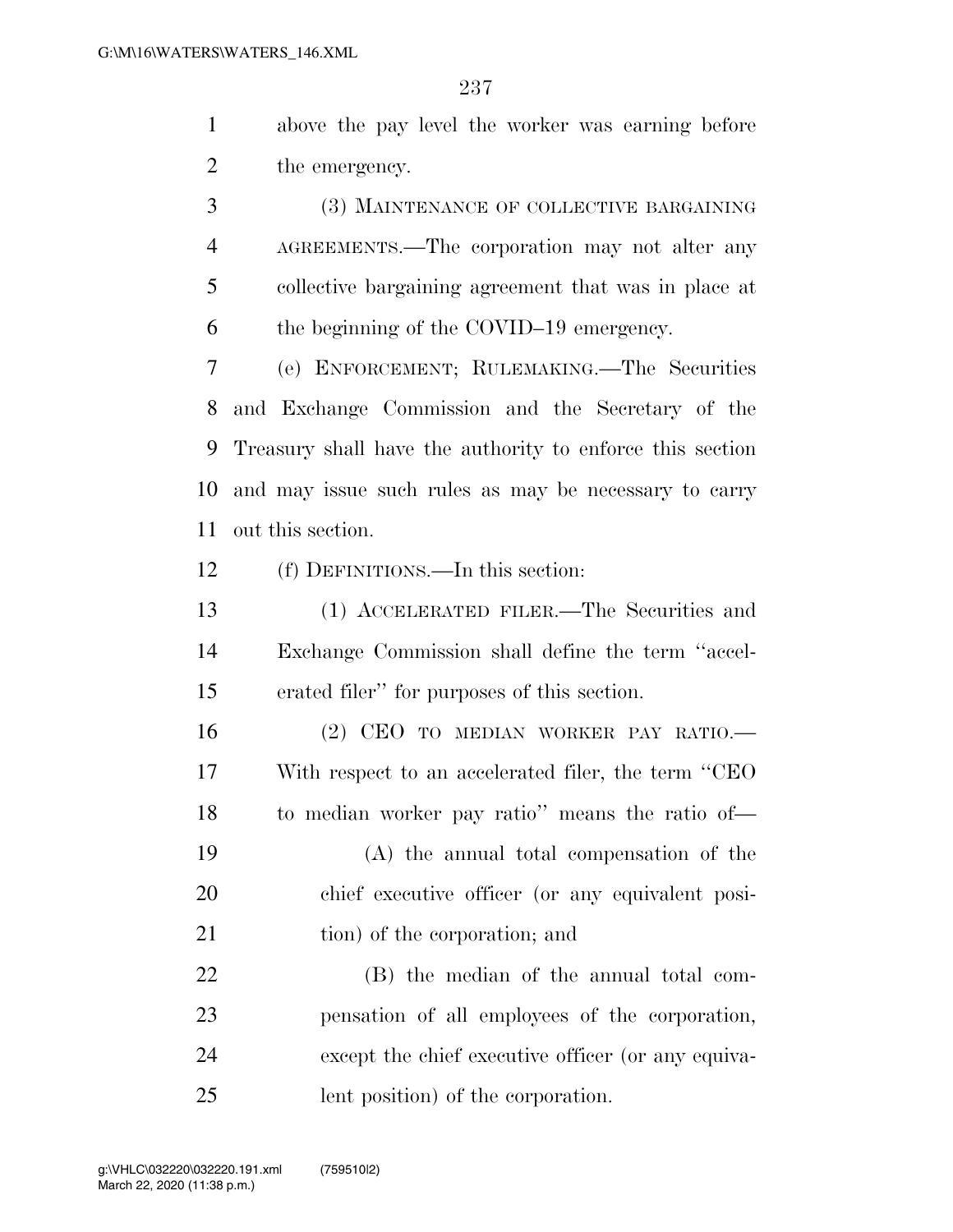above the pay level the worker was earning before the emergency.

 (3) MAINTENANCE OF COLLECTIVE BARGAINING AGREEMENTS.—The corporation may not alter any collective bargaining agreement that was in place at the beginning of the COVID–19 emergency.

 (e) ENFORCEMENT; RULEMAKING.—The Securities and Exchange Commission and the Secretary of the Treasury shall have the authority to enforce this section and may issue such rules as may be necessary to carry out this section.

(f) DEFINITIONS.—In this section:

 (1) ACCELERATED FILER.—The Securities and Exchange Commission shall define the term ''accel-erated filer'' for purposes of this section.

16 (2) CEO TO MEDIAN WORKER PAY RATIO. With respect to an accelerated filer, the term ''CEO to median worker pay ratio'' means the ratio of—

 (A) the annual total compensation of the chief executive officer (or any equivalent posi-21 tion) of the corporation; and

 (B) the median of the annual total com- pensation of all employees of the corporation, except the chief executive officer (or any equiva-lent position) of the corporation.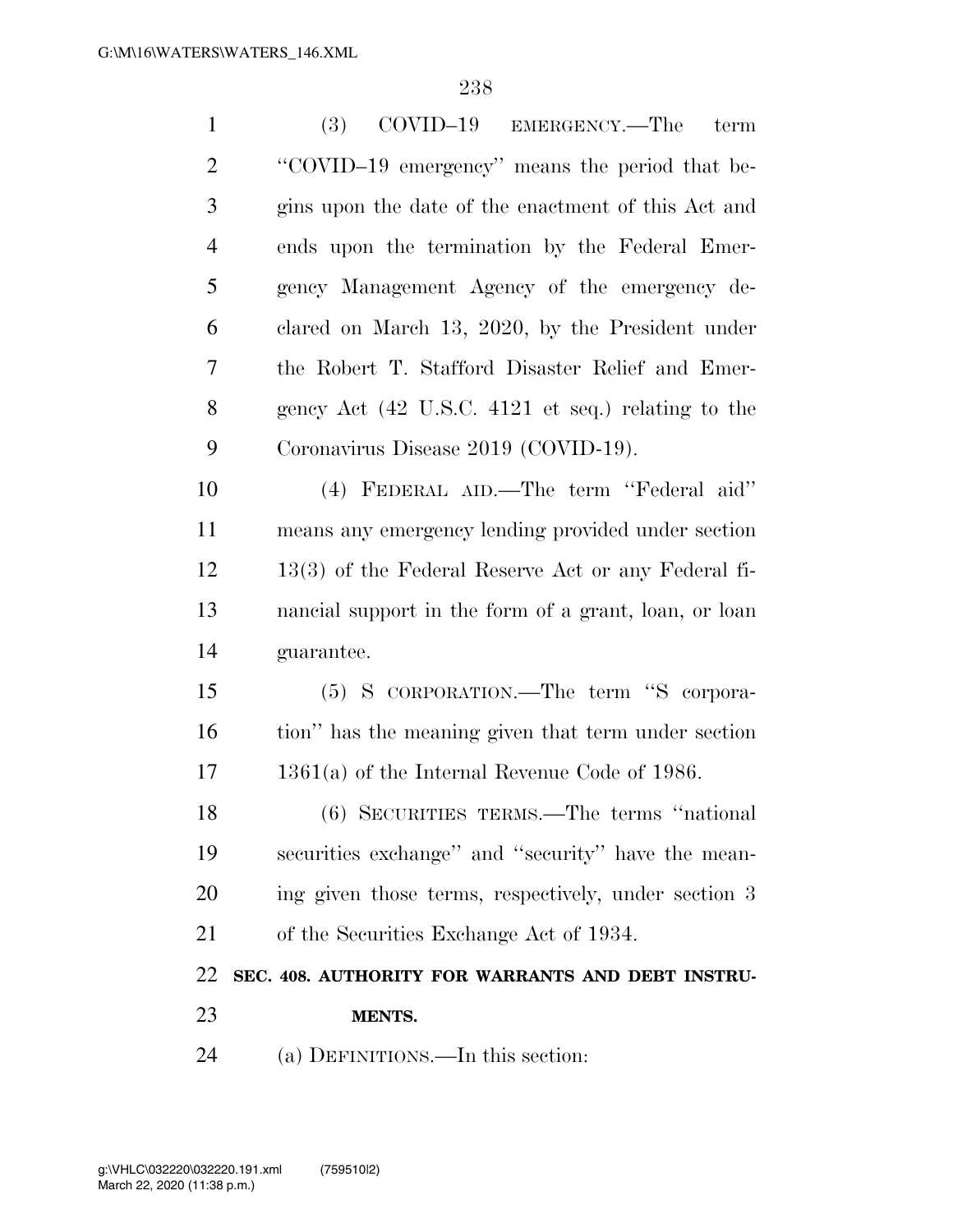| $\mathbf{1}$   | (3)<br>COVID–19<br>EMERGENCY.—The<br>term                             |
|----------------|-----------------------------------------------------------------------|
| $\overline{2}$ | "COVID-19 emergency" means the period that be-                        |
| 3              | gins upon the date of the enactment of this Act and                   |
| $\overline{4}$ | ends upon the termination by the Federal Emer-                        |
| 5              | gency Management Agency of the emergency de-                          |
| 6              | clared on March 13, 2020, by the President under                      |
| 7              | the Robert T. Stafford Disaster Relief and Emer-                      |
| 8              | gency Act $(42 \text{ U.S.C. } 4121 \text{ et seq.})$ relating to the |
| 9              | Coronavirus Disease 2019 (COVID-19).                                  |
| 10             | (4) FEDERAL AID.—The term "Federal aid"                               |
| 11             | means any emergency lending provided under section                    |
| 12             | $13(3)$ of the Federal Reserve Act or any Federal fi-                 |
| 13             | nancial support in the form of a grant, loan, or loan                 |
| 14             | guarantee.                                                            |
| 15             | (5) S CORPORATION.—The term "S corpora-                               |
| 16             | tion" has the meaning given that term under section                   |
| 17             | $1361(a)$ of the Internal Revenue Code of 1986.                       |
| 18             | $(6)$ SECURITIES TERMS.—The terms "national"                          |
| 19             | securities exchange" and "security" have the mean-                    |
| 20             | ing given those terms, respectively, under section 3                  |
| 21             | of the Securities Exchange Act of 1934.                               |
| 22             | SEC. 408. AUTHORITY FOR WARRANTS AND DEBT INSTRU-                     |
| 23             | MENTS.                                                                |
| 24             | (a) DEFINITIONS.—In this section:                                     |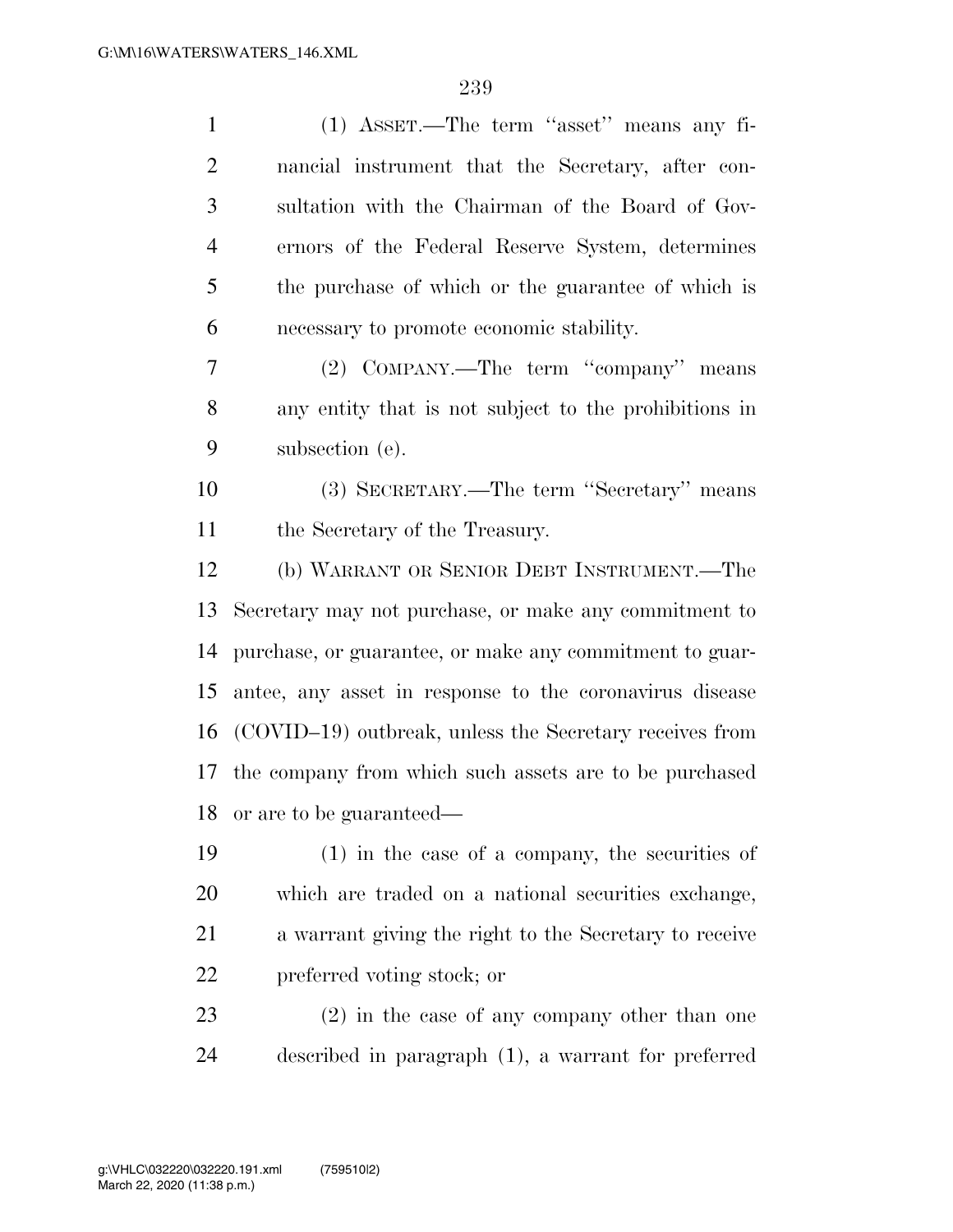| $\mathbf{1}$   | (1) ASSET.—The term "asset" means any fi-                 |
|----------------|-----------------------------------------------------------|
| $\overline{2}$ | nancial instrument that the Secretary, after con-         |
| 3              | sultation with the Chairman of the Board of Gov-          |
| 4              | ernors of the Federal Reserve System, determines          |
| 5              | the purchase of which or the guarantee of which is        |
| 6              | necessary to promote economic stability.                  |
| 7              | (2) COMPANY.—The term "company" means                     |
| 8              | any entity that is not subject to the prohibitions in     |
| 9              | subsection (e).                                           |
| 10             | (3) SECRETARY.—The term "Secretary" means                 |
| 11             | the Secretary of the Treasury.                            |
| 12             | (b) WARRANT OR SENIOR DEBT INSTRUMENT.—The                |
| 13             | Secretary may not purchase, or make any commitment to     |
|                |                                                           |
| 14             | purchase, or guarantee, or make any commitment to guar-   |
| 15             | antee, any asset in response to the coronavirus disease   |
| 16             | (COVID-19) outbreak, unless the Secretary receives from   |
|                | 17 the company from which such assets are to be purchased |
| 18             | or are to be guaranteed—                                  |
| 19             | $(1)$ in the case of a company, the securities of         |
| 20             | which are traded on a national securities exchange,       |
| 21             | a warrant giving the right to the Secretary to receive    |
| 22             | preferred voting stock; or                                |
| 23             | $(2)$ in the case of any company other than one           |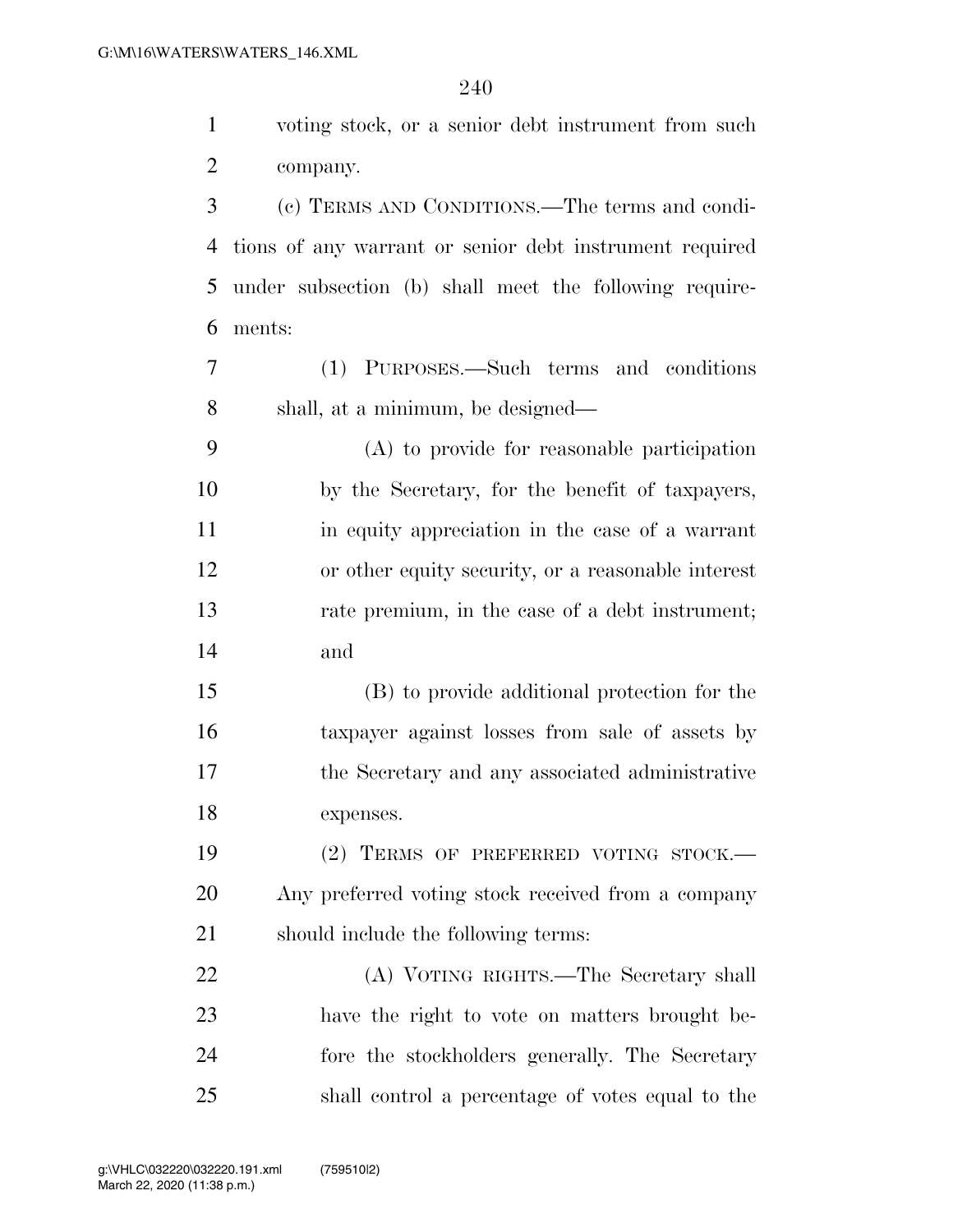| $\mathbf{1}$   | voting stock, or a senior debt instrument from such     |
|----------------|---------------------------------------------------------|
| $\overline{c}$ | company.                                                |
| 3              | (c) TERMS AND CONDITIONS.—The terms and condi-          |
| $\overline{4}$ | tions of any warrant or senior debt instrument required |
| 5              | under subsection (b) shall meet the following require-  |
| 6              | ments:                                                  |
| $\overline{7}$ | (1) PURPOSES.—Such terms and conditions                 |
| 8              | shall, at a minimum, be designed—                       |
| 9              | (A) to provide for reasonable participation             |
| 10             | by the Secretary, for the benefit of taxpayers,         |
| 11             | in equity appreciation in the case of a warrant         |
| 12             | or other equity security, or a reasonable interest      |
| 13             | rate premium, in the case of a debt instrument;         |
| 14             | and                                                     |
|                |                                                         |
| 15             | (B) to provide additional protection for the            |
| 16             | taxpayer against losses from sale of assets by          |
| 17             | the Secretary and any associated administrative         |
| 18             | expenses.                                               |
|                | (2) TERMS OF PREFERRED VOTING STOCK.-                   |
| 19<br>20       | Any preferred voting stock received from a company      |
|                | should include the following terms:                     |
| 21<br>22       | (A) VOTING RIGHTS.—The Secretary shall                  |
| 23             | have the right to vote on matters brought be-           |
| 24             | fore the stockholders generally. The Secretary          |
| 25             | shall control a percentage of votes equal to the        |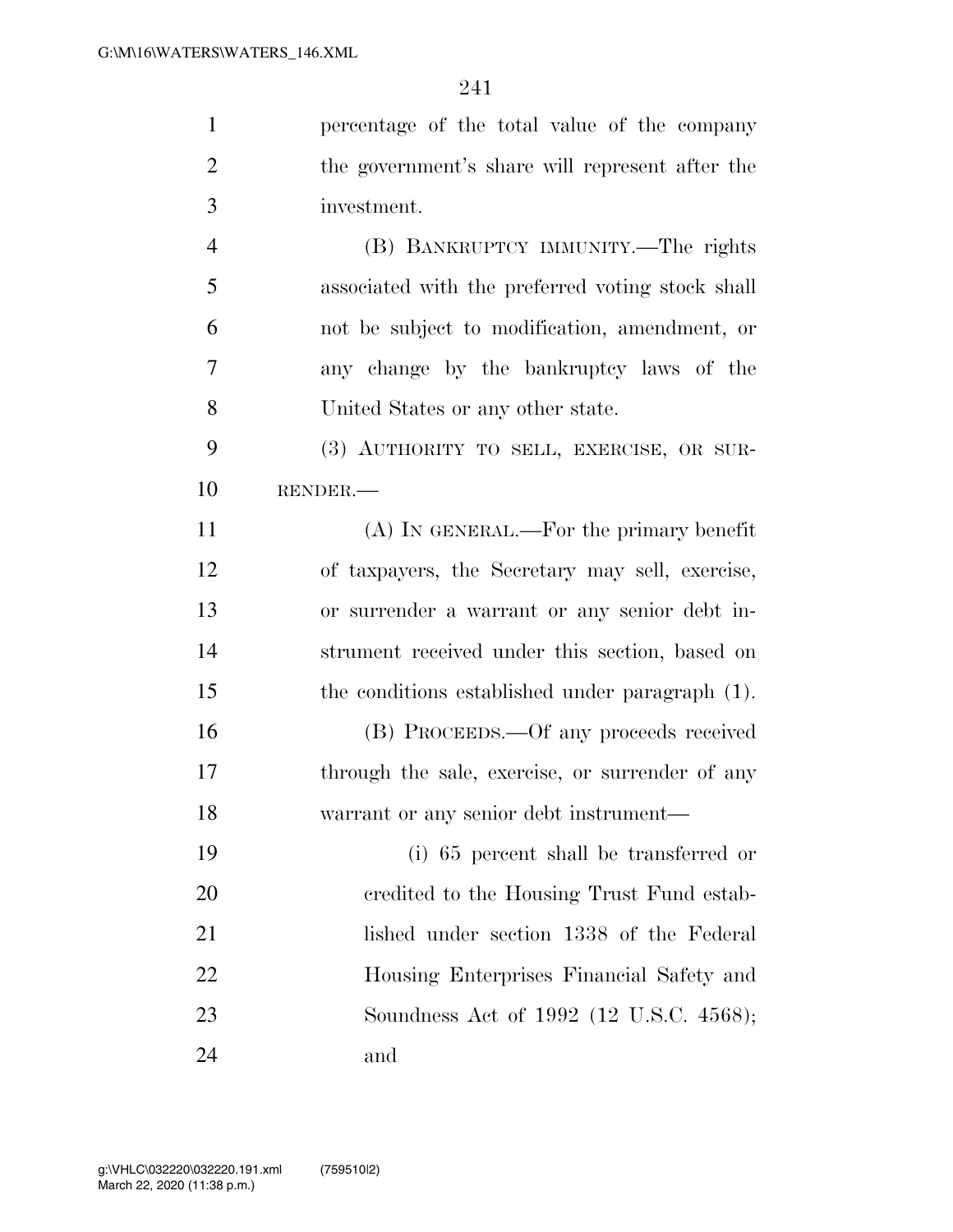| $\mathbf{1}$   | percentage of the total value of the company     |
|----------------|--------------------------------------------------|
| $\overline{2}$ | the government's share will represent after the  |
| 3              | investment.                                      |
| $\overline{4}$ | (B) BANKRUPTCY IMMUNITY.—The rights              |
| 5              | associated with the preferred voting stock shall |
| 6              | not be subject to modification, amendment, or    |
| 7              | any change by the bankruptcy laws of the         |
| 8              | United States or any other state.                |
| 9              | (3) AUTHORITY TO SELL, EXERCISE, OR SUR-         |
| 10             | RENDER.                                          |
| 11             | $(A)$ In GENERAL.—For the primary benefit        |
| 12             | of taxpayers, the Secretary may sell, exercise,  |
| 13             | or surrender a warrant or any senior debt in-    |
| 14             | strument received under this section, based on   |
| 15             | the conditions established under paragraph (1).  |
| 16             | (B) PROCEEDS.—Of any proceeds received           |
| 17             | through the sale, exercise, or surrender of any  |
| 18             | warrant or any senior debt instrument—           |
| 19             | (i) 65 percent shall be transferred or           |
| 20             | credited to the Housing Trust Fund estab-        |
| 21             | lished under section 1338 of the Federal         |
| 22             | Housing Enterprises Financial Safety and         |
| 23             | Soundness Act of 1992 (12 U.S.C. 4568);          |
| 24             | and                                              |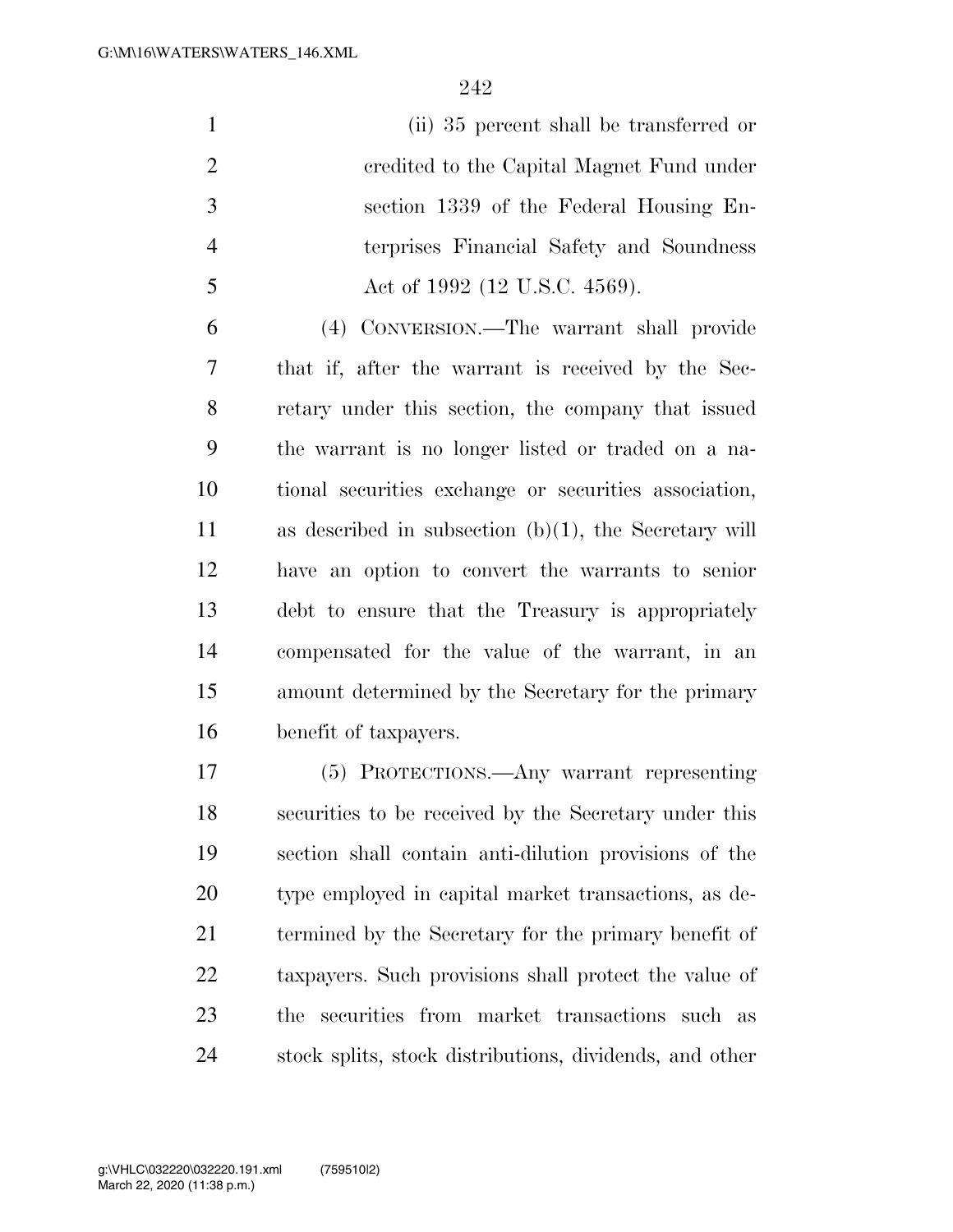(ii) 35 percent shall be transferred or credited to the Capital Magnet Fund under section 1339 of the Federal Housing En- terprises Financial Safety and Soundness 5 Act of 1992 (12 U.S.C. 4569).

 (4) CONVERSION.—The warrant shall provide that if, after the warrant is received by the Sec- retary under this section, the company that issued the warrant is no longer listed or traded on a na- tional securities exchange or securities association, as described in subsection (b)(1), the Secretary will have an option to convert the warrants to senior debt to ensure that the Treasury is appropriately compensated for the value of the warrant, in an amount determined by the Secretary for the primary benefit of taxpayers.

 (5) PROTECTIONS.—Any warrant representing securities to be received by the Secretary under this section shall contain anti-dilution provisions of the type employed in capital market transactions, as de- termined by the Secretary for the primary benefit of taxpayers. Such provisions shall protect the value of the securities from market transactions such as stock splits, stock distributions, dividends, and other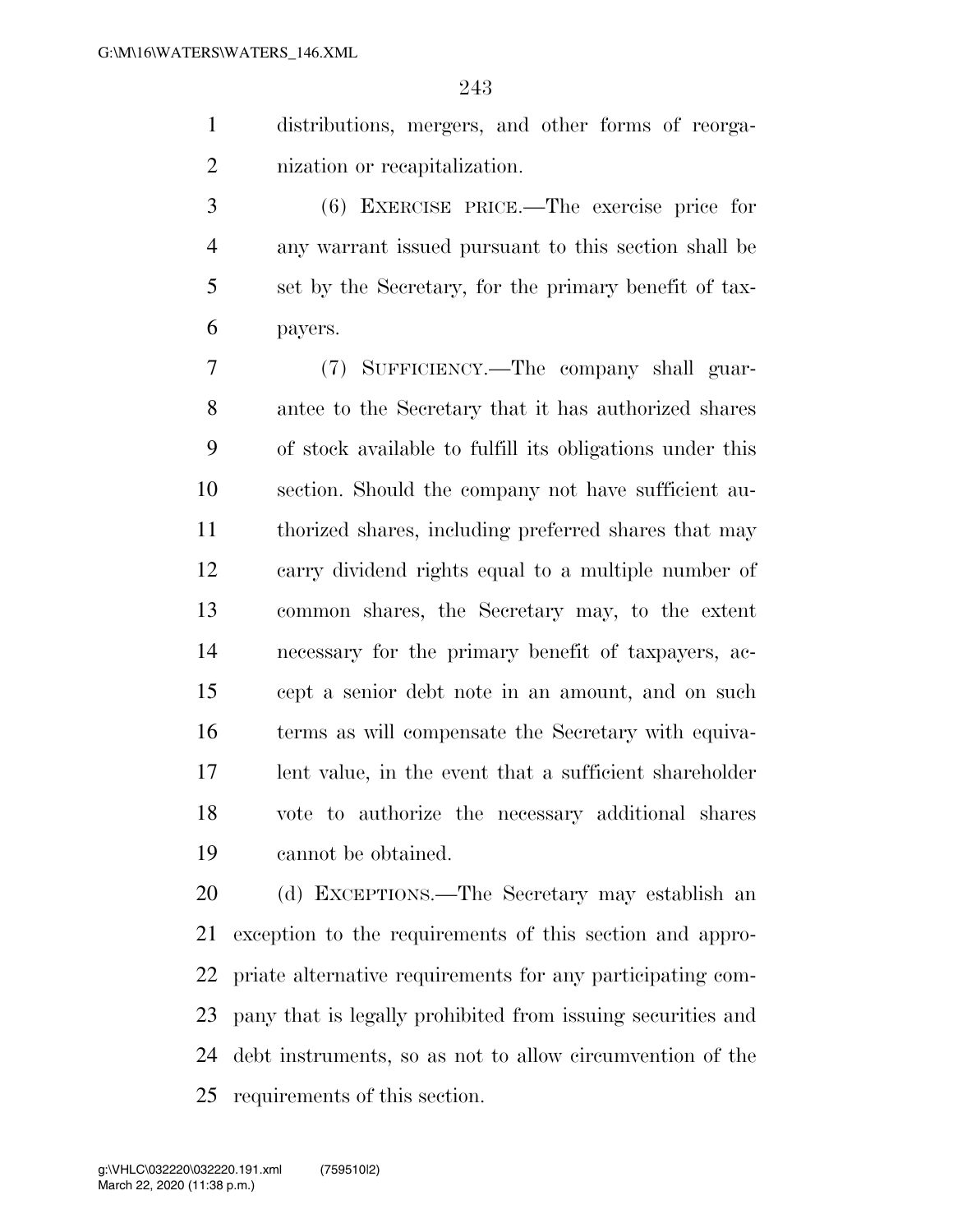distributions, mergers, and other forms of reorga-nization or recapitalization.

 (6) EXERCISE PRICE.—The exercise price for any warrant issued pursuant to this section shall be set by the Secretary, for the primary benefit of tax-payers.

 (7) SUFFICIENCY.—The company shall guar- antee to the Secretary that it has authorized shares of stock available to fulfill its obligations under this section. Should the company not have sufficient au- thorized shares, including preferred shares that may carry dividend rights equal to a multiple number of common shares, the Secretary may, to the extent necessary for the primary benefit of taxpayers, ac- cept a senior debt note in an amount, and on such terms as will compensate the Secretary with equiva- lent value, in the event that a sufficient shareholder vote to authorize the necessary additional shares cannot be obtained.

 (d) EXCEPTIONS.—The Secretary may establish an exception to the requirements of this section and appro- priate alternative requirements for any participating com- pany that is legally prohibited from issuing securities and debt instruments, so as not to allow circumvention of the requirements of this section.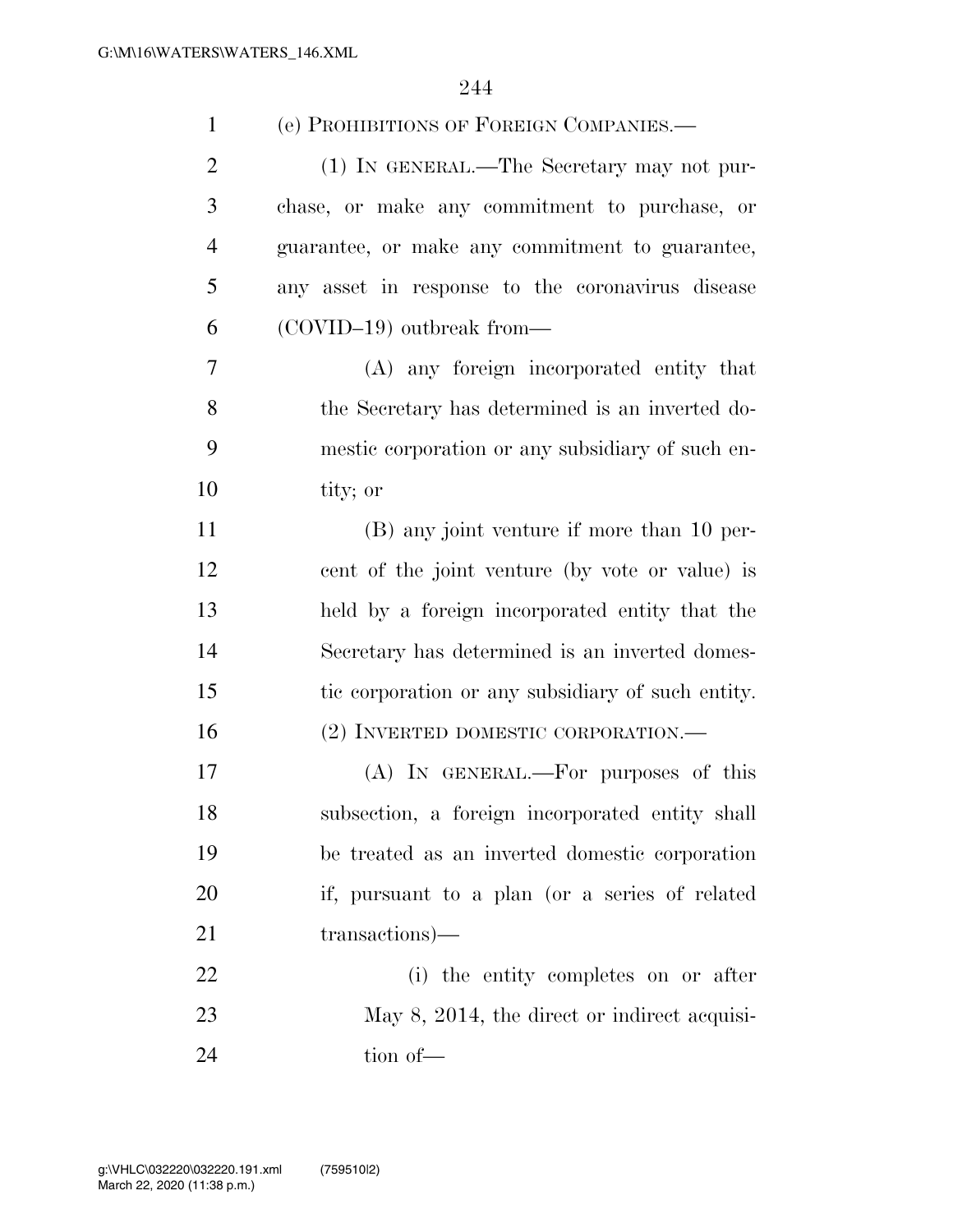| $\mathbf{1}$   | (e) PROHIBITIONS OF FOREIGN COMPANIES.—           |
|----------------|---------------------------------------------------|
| $\overline{2}$ | (1) IN GENERAL.—The Secretary may not pur-        |
| 3              | chase, or make any commitment to purchase, or     |
| $\overline{4}$ | guarantee, or make any commitment to guarantee,   |
| 5              | any asset in response to the coronavirus disease  |
| 6              | $(COVID-19)$ outbreak from—                       |
| $\overline{7}$ | (A) any foreign incorporated entity that          |
| 8              | the Secretary has determined is an inverted do-   |
| 9              | mestic corporation or any subsidiary of such en-  |
| 10             | tity; or                                          |
| 11             | (B) any joint venture if more than 10 per-        |
| 12             | cent of the joint venture (by vote or value) is   |
| 13             | held by a foreign incorporated entity that the    |
| 14             | Secretary has determined is an inverted domes-    |
| 15             | tic corporation or any subsidiary of such entity. |
| 16             | (2) INVERTED DOMESTIC CORPORATION.—               |
| 17             | (A) IN GENERAL.—For purposes of this              |
| 18             | subsection, a foreign incorporated entity shall   |
| 19             | be treated as an inverted domestic corporation    |
| 20             | if, pursuant to a plan (or a series of related    |
| 21             | transactions)—                                    |
| 22             | (i) the entity completes on or after              |
| 23             | May 8, 2014, the direct or indirect acquisi-      |
| 24             | tion of-                                          |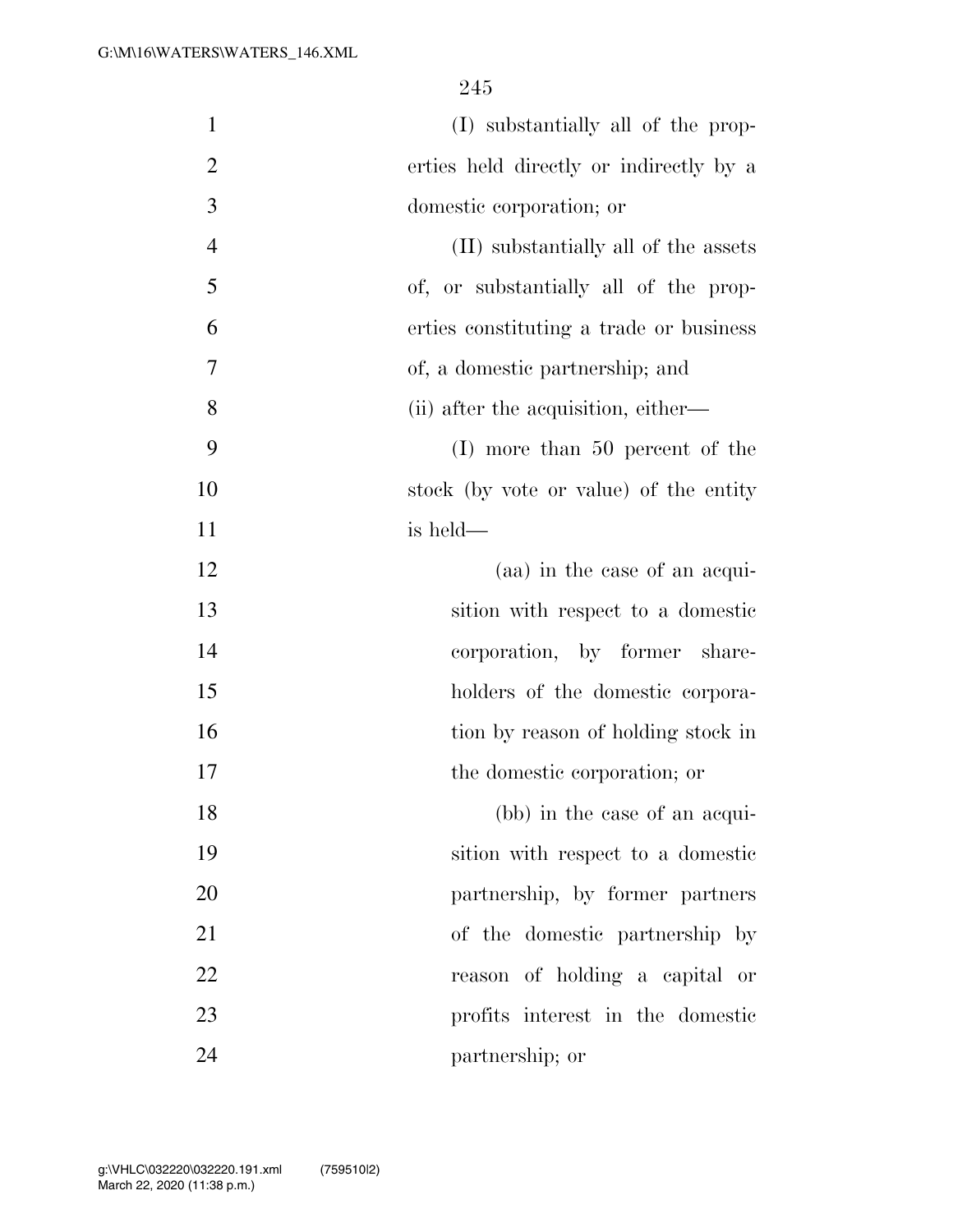| $\mathbf{1}$   | (I) substantially all of the prop-      |
|----------------|-----------------------------------------|
| $\overline{2}$ | erties held directly or indirectly by a |
| 3              | domestic corporation; or                |
| $\overline{4}$ | (II) substantially all of the assets    |
| 5              | of, or substantially all of the prop-   |
| 6              | erties constituting a trade or business |
| 7              | of, a domestic partnership; and         |
| 8              | (ii) after the acquisition, either—     |
| 9              | $(I)$ more than 50 percent of the       |
| 10             | stock (by vote or value) of the entity  |
| 11             | is held—                                |
| 12             | (aa) in the case of an acqui-           |
| 13             | sition with respect to a domestic       |
| 14             | corporation, by former share-           |
| 15             | holders of the domestic corpora-        |
| 16             | tion by reason of holding stock in      |
| 17             | the domestic corporation; or            |
| 18             | (bb) in the case of an acqui-           |
| 19             | sition with respect to a domestic       |
| 20             | partnership, by former partners         |
| 21             | of the domestic partnership by          |
| 22             | reason of holding a capital or          |
| 23             | profits interest in the domestic        |
| 24             | partnership; or                         |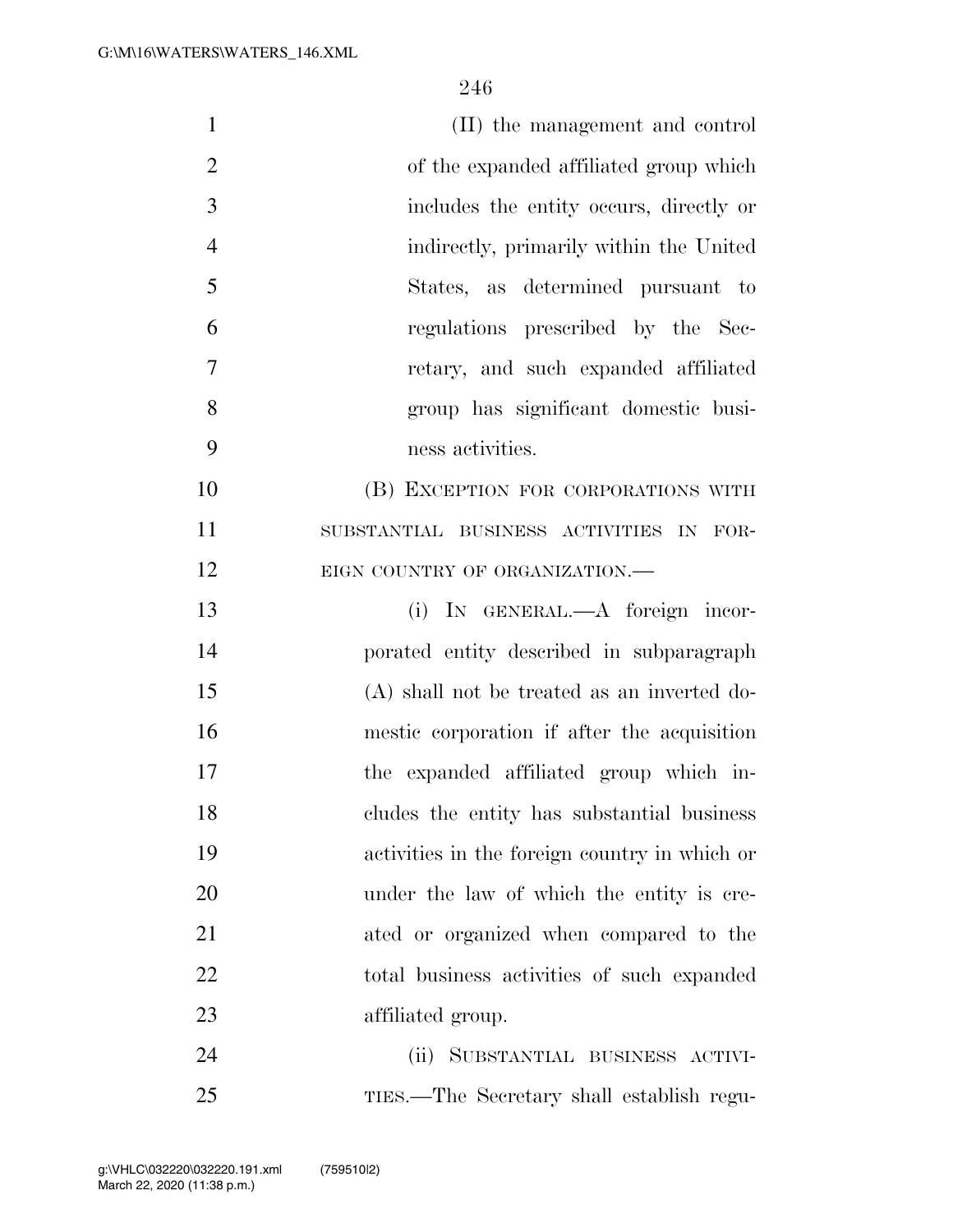| $\mathbf{1}$   | (II) the management and control               |
|----------------|-----------------------------------------------|
| $\overline{2}$ | of the expanded affiliated group which        |
| $\mathfrak{Z}$ | includes the entity occurs, directly or       |
| $\overline{4}$ | indirectly, primarily within the United       |
| 5              | States, as determined pursuant to             |
| 6              | regulations prescribed by the Sec-            |
| $\tau$         | retary, and such expanded affiliated          |
| 8              | group has significant domestic busi-          |
| 9              | ness activities.                              |
| 10             | (B) EXCEPTION FOR CORPORATIONS WITH           |
| 11             | SUBSTANTIAL BUSINESS ACTIVITIES IN FOR-       |
| 12             | EIGN COUNTRY OF ORGANIZATION.                 |
| 13             | (i) IN GENERAL.—A foreign incor-              |
| 14             | porated entity described in subparagraph      |
| 15             | $(A)$ shall not be treated as an inverted do- |
| 16             | mestic corporation if after the acquisition   |
| 17             | the expanded affiliated group which in-       |
| 18             | cludes the entity has substantial business    |
| 19             | activities in the foreign country in which or |
| 20             | under the law of which the entity is cre-     |
| 21             | ated or organized when compared to the        |
| 22             | total business activities of such expanded    |
| 23             | affiliated group.                             |
| 24             | (ii) SUBSTANTIAL BUSINESS ACTIVI-             |
| 25             | TIES.—The Secretary shall establish regu-     |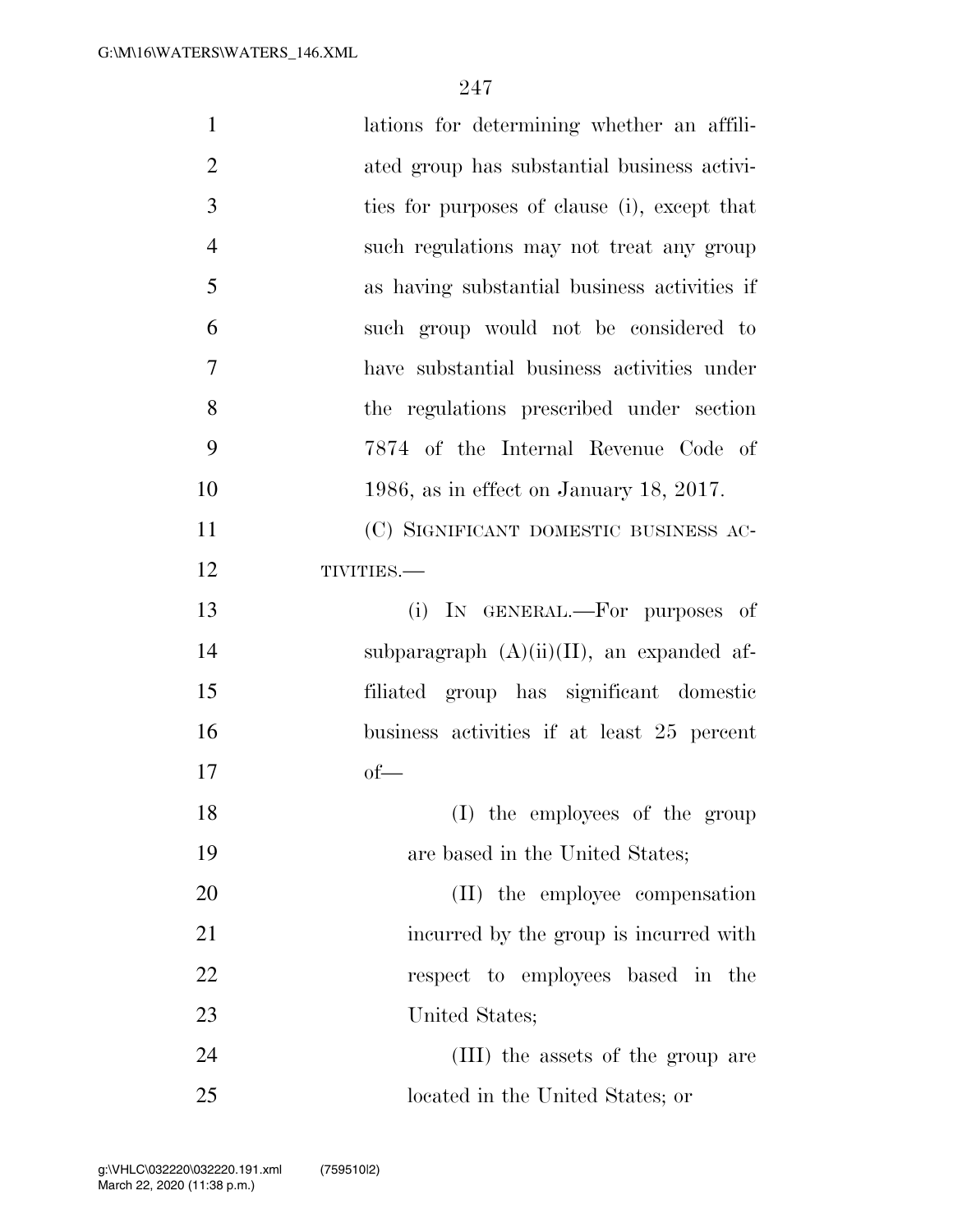| $\mathbf{1}$   | lations for determining whether an affili-   |
|----------------|----------------------------------------------|
| $\overline{2}$ | ated group has substantial business activi-  |
| 3              | ties for purposes of clause (i), except that |
| $\overline{4}$ | such regulations may not treat any group     |
| 5              | as having substantial business activities if |
| 6              | such group would not be considered to        |
| 7              | have substantial business activities under   |
| 8              | the regulations prescribed under section     |
| 9              | 7874 of the Internal Revenue Code of         |
| 10             | 1986, as in effect on January 18, 2017.      |
| 11             | (C) SIGNIFICANT DOMESTIC BUSINESS AC-        |
| 12             | TIVITIES.-                                   |
| 13             | (i) IN GENERAL.—For purposes of              |
| 14             | subparagraph $(A)(ii)(II)$ , an expanded af- |
| 15             | filiated group has significant domestic      |
| 16             | business activities if at least 25 percent   |
| 17             | of                                           |
| 18             | (I) the employees of the group               |
| 19             | are based in the United States;              |
| 20             | (II) the employee compensation               |
| 21             | incurred by the group is incurred with       |
| 22             | respect to employees based in the            |
| 23             | United States;                               |
| 24             | (III) the assets of the group are            |
| 25             | located in the United States; or             |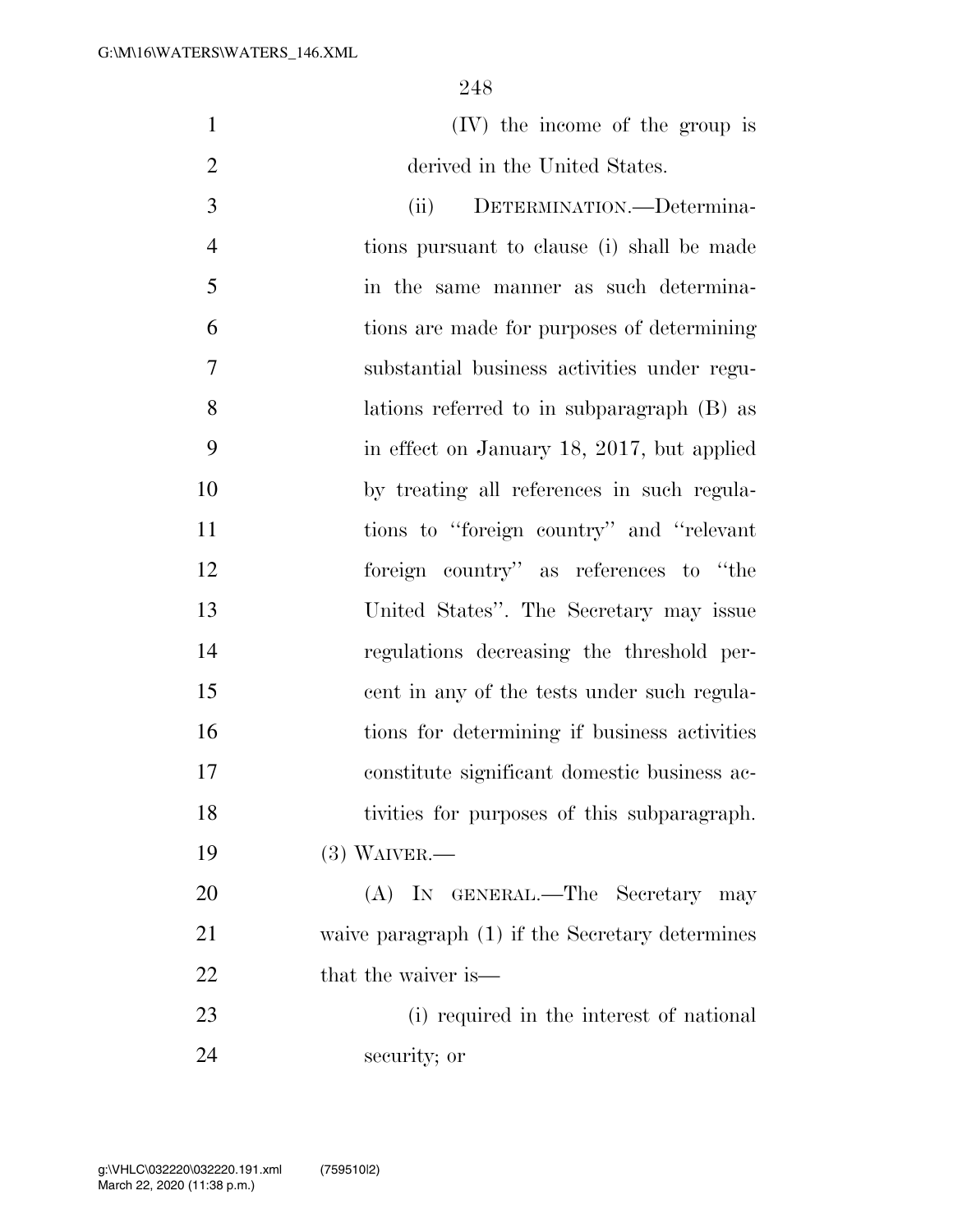| (IV) the income of the group is |  |  |
|---------------------------------|--|--|
| derived in the United States.   |  |  |

 (ii) DETERMINATION.—Determina- tions pursuant to clause (i) shall be made in the same manner as such determina- tions are made for purposes of determining substantial business activities under regu- lations referred to in subparagraph (B) as in effect on January 18, 2017, but applied by treating all references in such regula-11 tions to "foreign country" and "relevant foreign country'' as references to ''the United States''. The Secretary may issue regulations decreasing the threshold per- cent in any of the tests under such regula-16 tions for determining if business activities constitute significant domestic business ac- tivities for purposes of this subparagraph. (3) WAIVER.— 20 (A) In GENERAL.—The Secretary may

 waive paragraph (1) if the Secretary determines 22 that the waiver is—

 (i) required in the interest of national security; or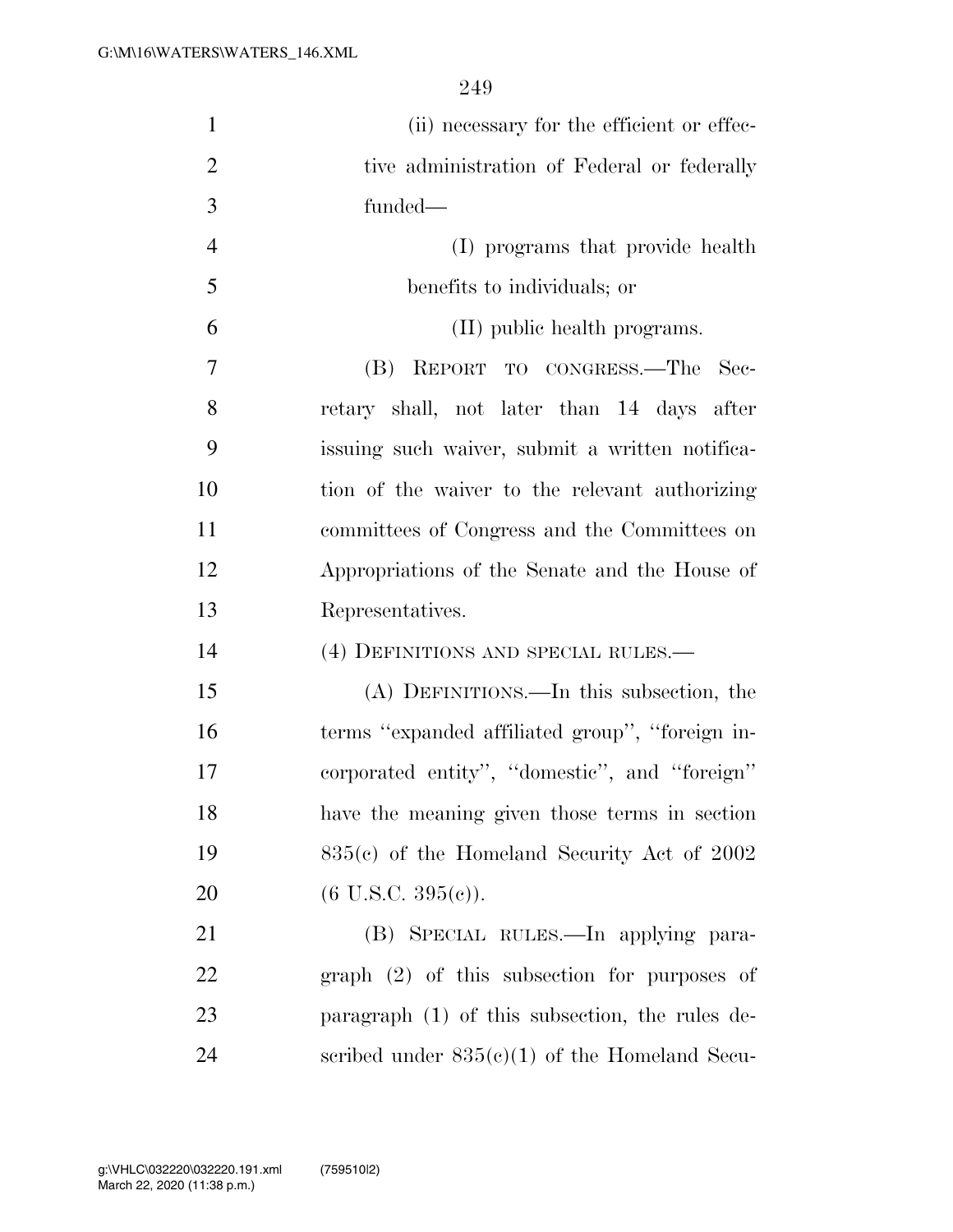| $\mathbf{1}$   | (ii) necessary for the efficient or effec-      |
|----------------|-------------------------------------------------|
| $\overline{2}$ | tive administration of Federal or federally     |
| 3              | funded-                                         |
| $\overline{4}$ | (I) programs that provide health                |
| 5              | benefits to individuals; or                     |
| 6              | (II) public health programs.                    |
| 7              | (B) REPORT TO CONGRESS.—The<br>- Sec-           |
| 8              | retary shall, not later than 14 days after      |
| 9              | issuing such waiver, submit a written notifica- |
| 10             | tion of the waiver to the relevant authorizing  |
| 11             | committees of Congress and the Committees on    |
| 12             | Appropriations of the Senate and the House of   |
| 13             | Representatives.                                |
| 14             | (4) DEFINITIONS AND SPECIAL RULES.—             |
| 15             | (A) DEFINITIONS.—In this subsection, the        |
| 16             | terms "expanded affiliated group", "foreign in- |
| 17             | corporated entity", "domestic", and "foreign"   |
| 18             | have the meaning given those terms in section   |
| 19             | $835(c)$ of the Homeland Security Act of 2002   |
| 20             | $(6$ U.S.C. $395(e)$ ).                         |
| 21             | (B) SPECIAL RULES.—In applying para-            |
| 22             | $graph$ (2) of this subsection for purposes of  |
| 23             | paragraph (1) of this subsection, the rules de- |
| 24             | scribed under $835(c)(1)$ of the Homeland Secu- |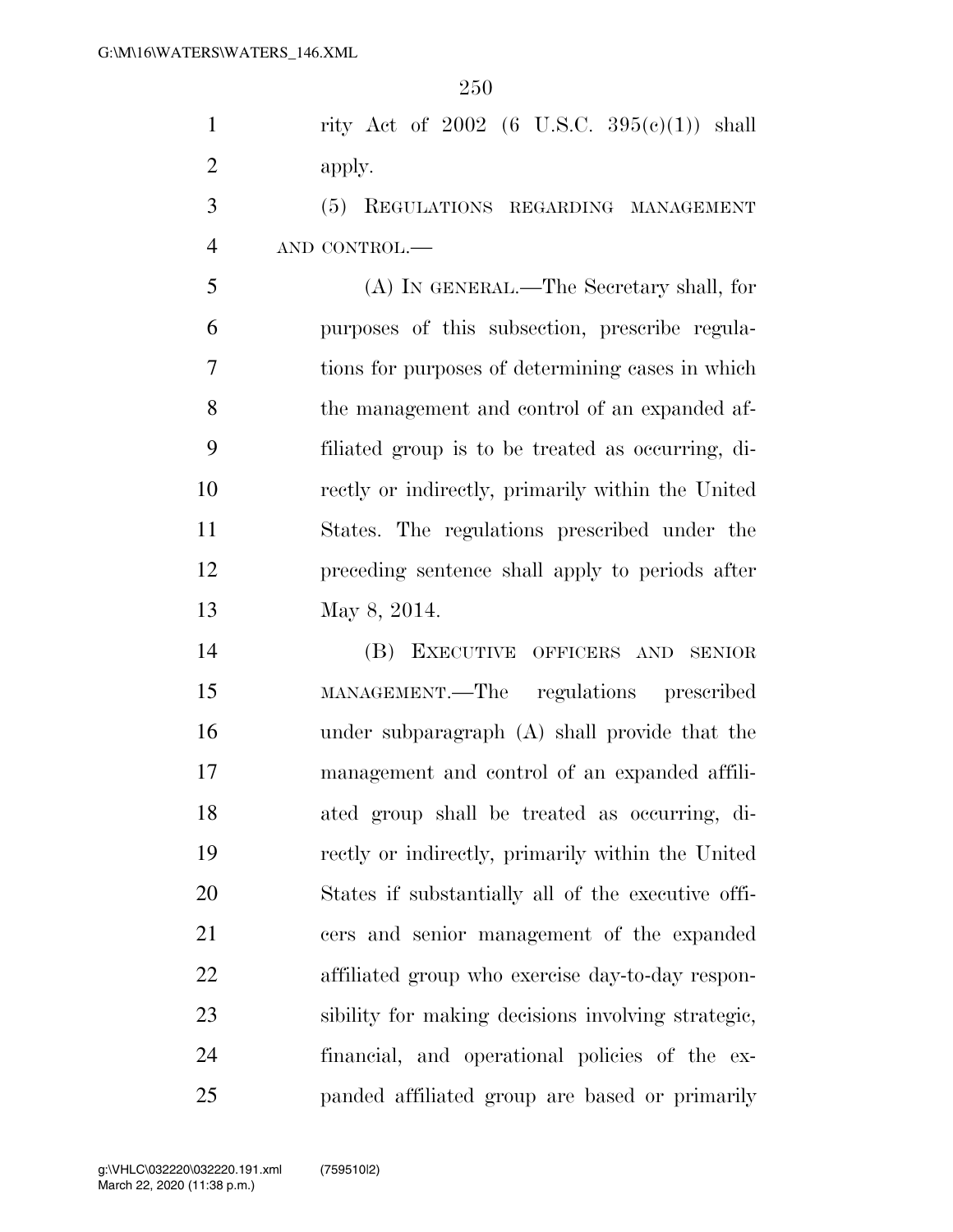1 rity Act of (6 U.S.C.  $395(e)(1)$ ) shall 2 apply.

 (5) REGULATIONS REGARDING MANAGEMENT AND CONTROL.—

 (A) IN GENERAL.—The Secretary shall, for purposes of this subsection, prescribe regula- tions for purposes of determining cases in which the management and control of an expanded af- filiated group is to be treated as occurring, di- rectly or indirectly, primarily within the United States. The regulations prescribed under the preceding sentence shall apply to periods after May 8, 2014.

 (B) EXECUTIVE OFFICERS AND SENIOR MANAGEMENT.—The regulations prescribed under subparagraph (A) shall provide that the management and control of an expanded affili- ated group shall be treated as occurring, di- rectly or indirectly, primarily within the United States if substantially all of the executive offi- cers and senior management of the expanded affiliated group who exercise day-to-day respon- sibility for making decisions involving strategic, financial, and operational policies of the ex-panded affiliated group are based or primarily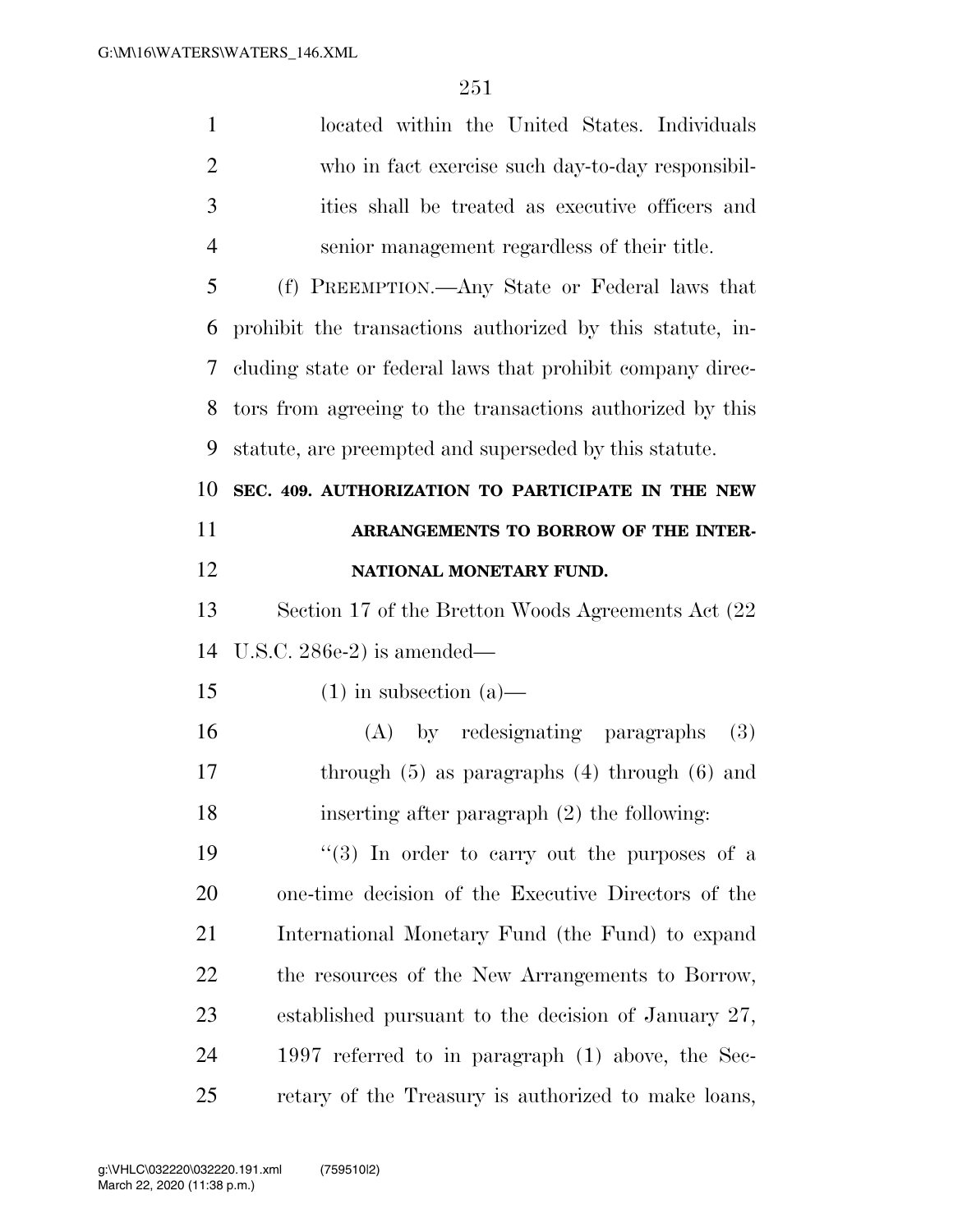| $\mathbf{1}$   | located within the United States. Individuals              |
|----------------|------------------------------------------------------------|
| $\overline{2}$ | who in fact exercise such day-to-day responsibil-          |
| 3              | ities shall be treated as executive officers and           |
| $\overline{4}$ | senior management regardless of their title.               |
| 5              | (f) PREEMPTION.—Any State or Federal laws that             |
| 6              | prohibit the transactions authorized by this statute, in-  |
| 7              | cluding state or federal laws that prohibit company direc- |
| 8              | tors from agreeing to the transactions authorized by this  |
| 9              | statute, are preempted and superseded by this statute.     |
| 10             | SEC. 409. AUTHORIZATION TO PARTICIPATE IN THE NEW          |
| 11             | ARRANGEMENTS TO BORROW OF THE INTER-                       |
| 12             | NATIONAL MONETARY FUND.                                    |
| 13             | Section 17 of the Bretton Woods Agreements Act (22)        |
| 14             | U.S.C. $286e-2$ ) is amended—                              |
| 15             | $(1)$ in subsection $(a)$ —                                |
| 16             | (A) by redesignating paragraphs<br>(3)                     |
| 17             | through $(5)$ as paragraphs $(4)$ through $(6)$ and        |
| 18             | inserting after paragraph $(2)$ the following:             |
| 19             | "(3) In order to carry out the purposes of a               |
| 20             | one-time decision of the Executive Directors of the        |
| 21             | International Monetary Fund (the Fund) to expand           |
| 22             | the resources of the New Arrangements to Borrow,           |
| 23             | established pursuant to the decision of January 27,        |
| 24             |                                                            |
|                | 1997 referred to in paragraph $(1)$ above, the Sec-        |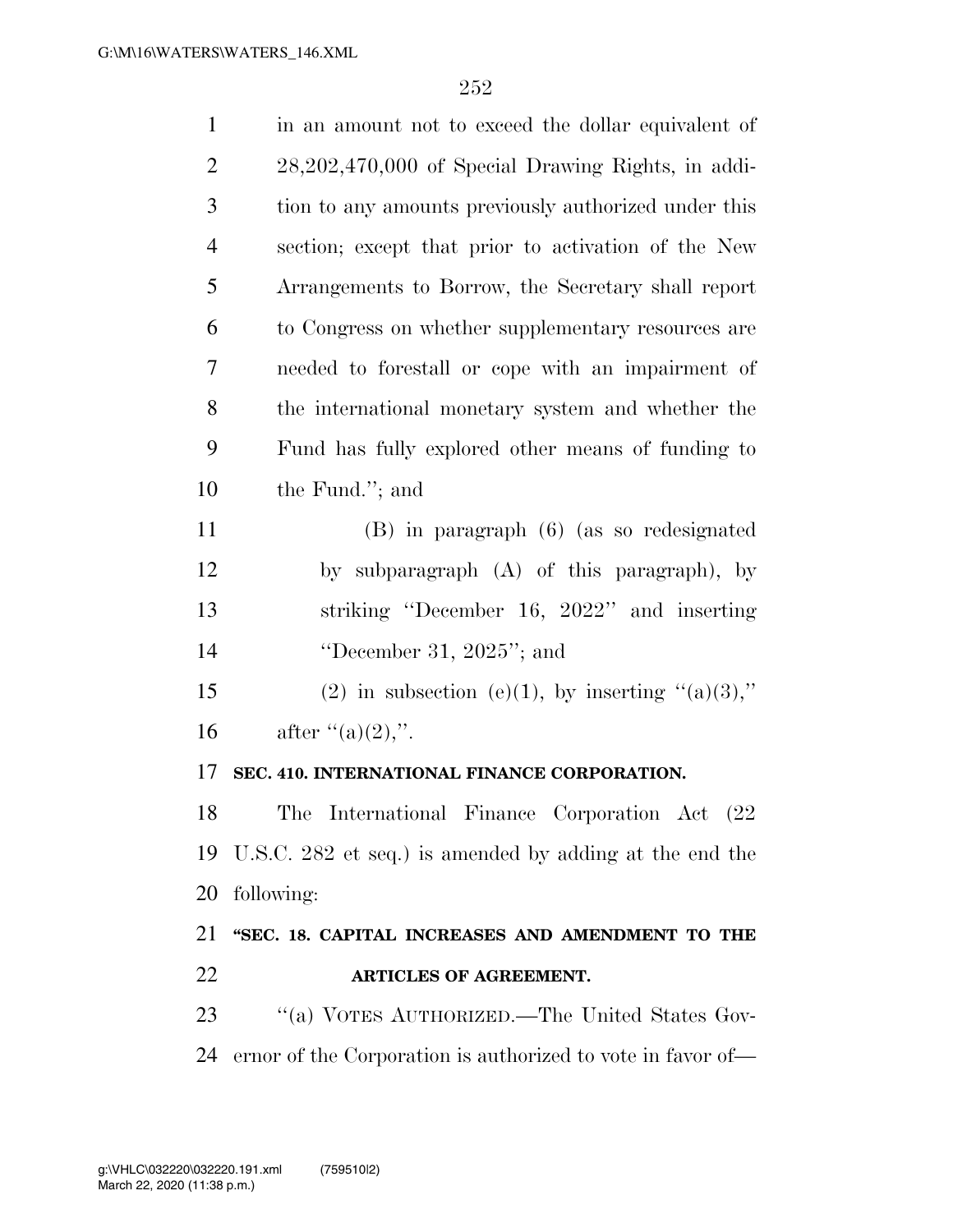| $\mathbf{1}$   | in an amount not to exceed the dollar equivalent of     |
|----------------|---------------------------------------------------------|
| $\overline{2}$ | 28,202,470,000 of Special Drawing Rights, in addi-      |
| 3              | tion to any amounts previously authorized under this    |
| $\overline{4}$ | section; except that prior to activation of the New     |
| 5              | Arrangements to Borrow, the Secretary shall report      |
| 6              | to Congress on whether supplementary resources are      |
| 7              | needed to forestall or cope with an impairment of       |
| 8              | the international monetary system and whether the       |
| 9              | Fund has fully explored other means of funding to       |
| 10             | the Fund."; and                                         |
| 11             | (B) in paragraph (6) (as so redesignated                |
| 12             | by subparagraph (A) of this paragraph), by              |
| 13             | striking "December 16, 2022" and inserting              |
| 14             | "December 31, $2025$ "; and                             |
| 15             | (2) in subsection (e)(1), by inserting " $(a)(3)$ ,"    |
| 16             | after "(a) $(2)$ ,".                                    |
| 17             | SEC. 410. INTERNATIONAL FINANCE CORPORATION.            |
| 18             | The International Finance Corporation Act (22           |
| 19             | U.S.C. 282 et seq.) is amended by adding at the end the |
| 20             |                                                         |
|                | following:                                              |
| 21             | "SEC. 18. CAPITAL INCREASES AND AMENDMENT TO THE        |
| 22             | <b>ARTICLES OF AGREEMENT.</b>                           |
| 23             | "(a) VOTES AUTHORIZED.—The United States Gov-           |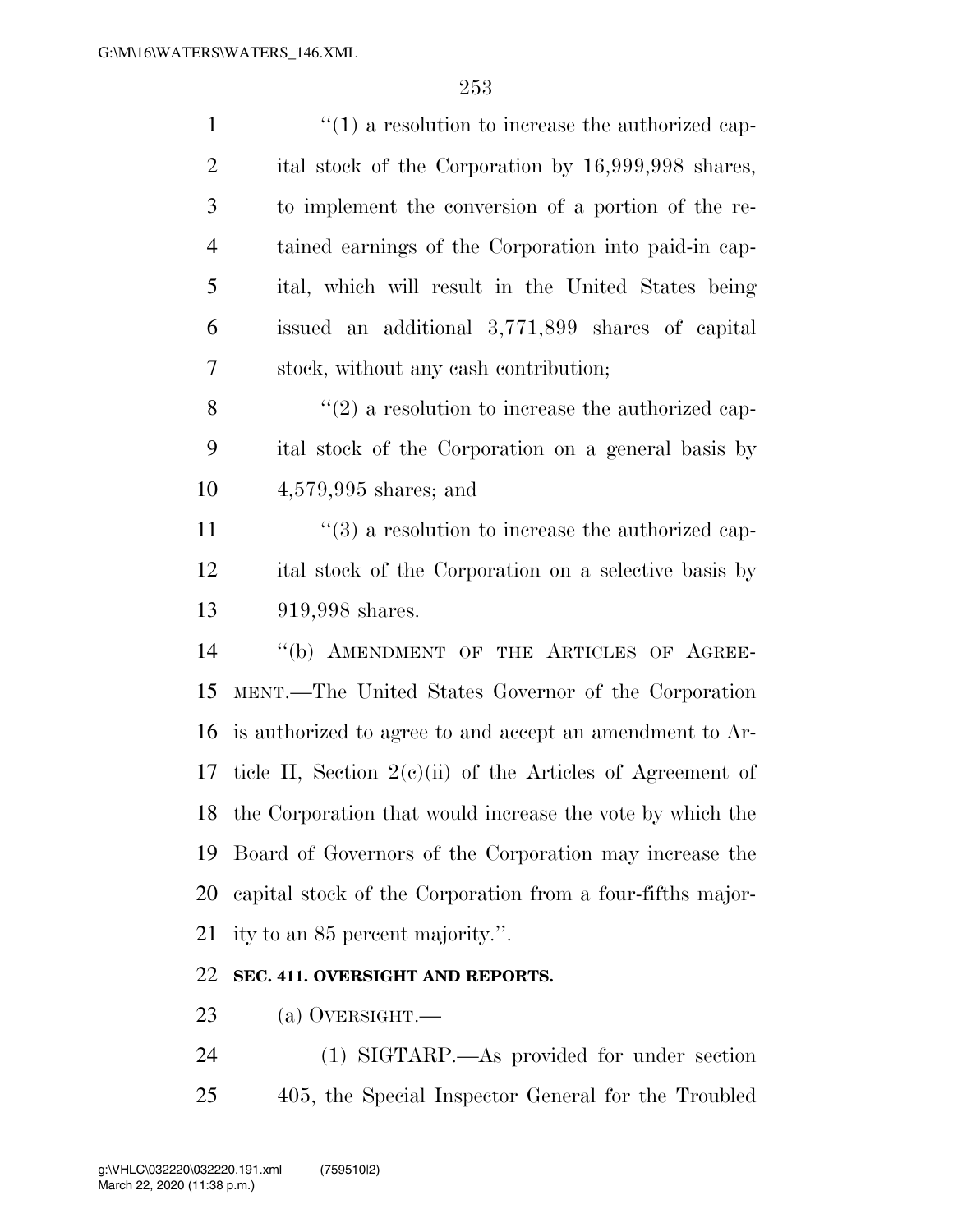| $\mathbf{1}$   | $\lq(1)$ a resolution to increase the authorized cap-             |
|----------------|-------------------------------------------------------------------|
| $\overline{2}$ | ital stock of the Corporation by 16,999,998 shares,               |
| 3              | to implement the conversion of a portion of the re-               |
| $\overline{4}$ | tained earnings of the Corporation into paid-in cap-              |
| 5              | ital, which will result in the United States being                |
| 6              | issued an additional 3,771,899 shares of capital                  |
| 7              | stock, without any eash contribution;                             |
| 8              | $\lq(2)$ a resolution to increase the authorized cap-             |
| 9              | ital stock of the Corporation on a general basis by               |
| 10             | $4,579,995$ shares; and                                           |
| 11             | $\cdot\cdot\cdot(3)$ a resolution to increase the authorized cap- |
| 12             | ital stock of the Corporation on a selective basis by             |
| 13             | 919,998 shares.                                                   |
| 14             | "(b) AMENDMENT OF THE ARTICLES OF AGREE-                          |
| 15             | MENT.—The United States Governor of the Corporation               |
| 16             | is authorized to agree to and accept an amendment to Ar-          |
| 17             | ticle II, Section $2(e)(ii)$ of the Articles of Agreement of      |
|                | 18 the Corporation that would increase the vote by which the      |
| 19             | Board of Governors of the Corporation may increase the            |
| 20             | capital stock of the Corporation from a four-fifths major-        |
| 21             | ity to an 85 percent majority.".                                  |
| 22             | SEC. 411. OVERSIGHT AND REPORTS.                                  |

- (a) OVERSIGHT.—
- (1) SIGTARP.—As provided for under section 405, the Special Inspector General for the Troubled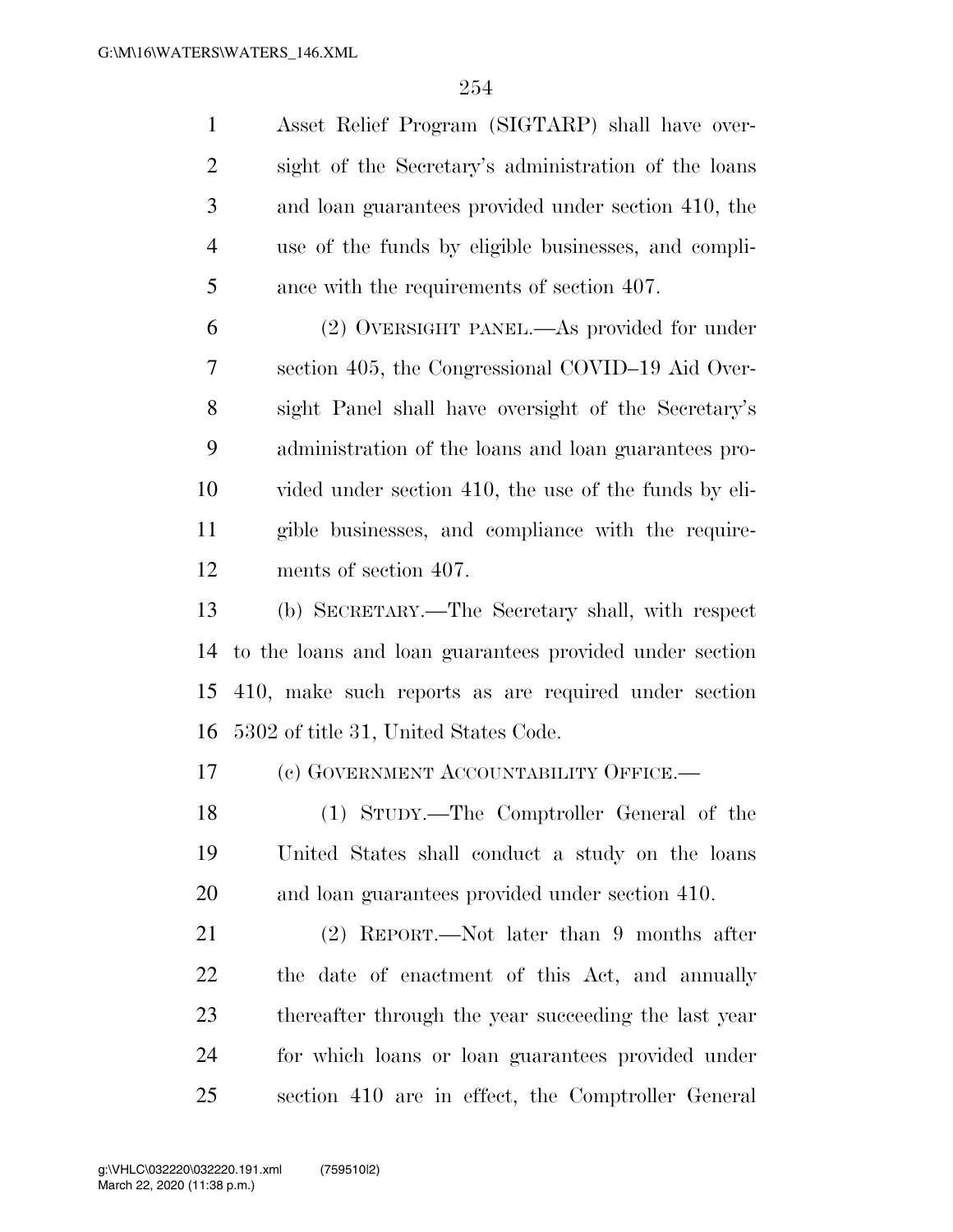| $\mathbf{1}$   | Asset Relief Program (SIGTARP) shall have over-         |
|----------------|---------------------------------------------------------|
| $\overline{2}$ | sight of the Secretary's administration of the loans    |
| 3              | and loan guarantees provided under section 410, the     |
| $\overline{4}$ | use of the funds by eligible businesses, and compli-    |
| 5              | ance with the requirements of section 407.              |
| 6              | (2) OVERSIGHT PANEL.—As provided for under              |
| 7              | section 405, the Congressional COVID-19 Aid Over-       |
| 8              | sight Panel shall have oversight of the Secretary's     |
| 9              | administration of the loans and loan guarantees pro-    |
| 10             | vided under section 410, the use of the funds by eli-   |
| 11             | gible businesses, and compliance with the require-      |
| 12             | ments of section 407.                                   |
| 13             | (b) SECRETARY.—The Secretary shall, with respect        |
| 14             | to the loans and loan guarantees provided under section |
| 15             | 410, make such reports as are required under section    |
| 16             | 5302 of title 31, United States Code.                   |
| 17             | (c) GOVERNMENT ACCOUNTABILITY OFFICE.-                  |
| 18             | (1) STUDY.—The Comptroller General of the               |
| 19             | United States shall conduct a study on the loans        |
| 20             | and loan guarantees provided under section 410.         |
| 21             | $(2)$ REPORT.—Not later than 9 months after             |
| 22             | the date of enactment of this Act, and annually         |
| 23             | thereafter through the year succeeding the last year    |
| 24             | for which loans or loan guarantees provided under       |
| 25             | section 410 are in effect, the Comptroller General      |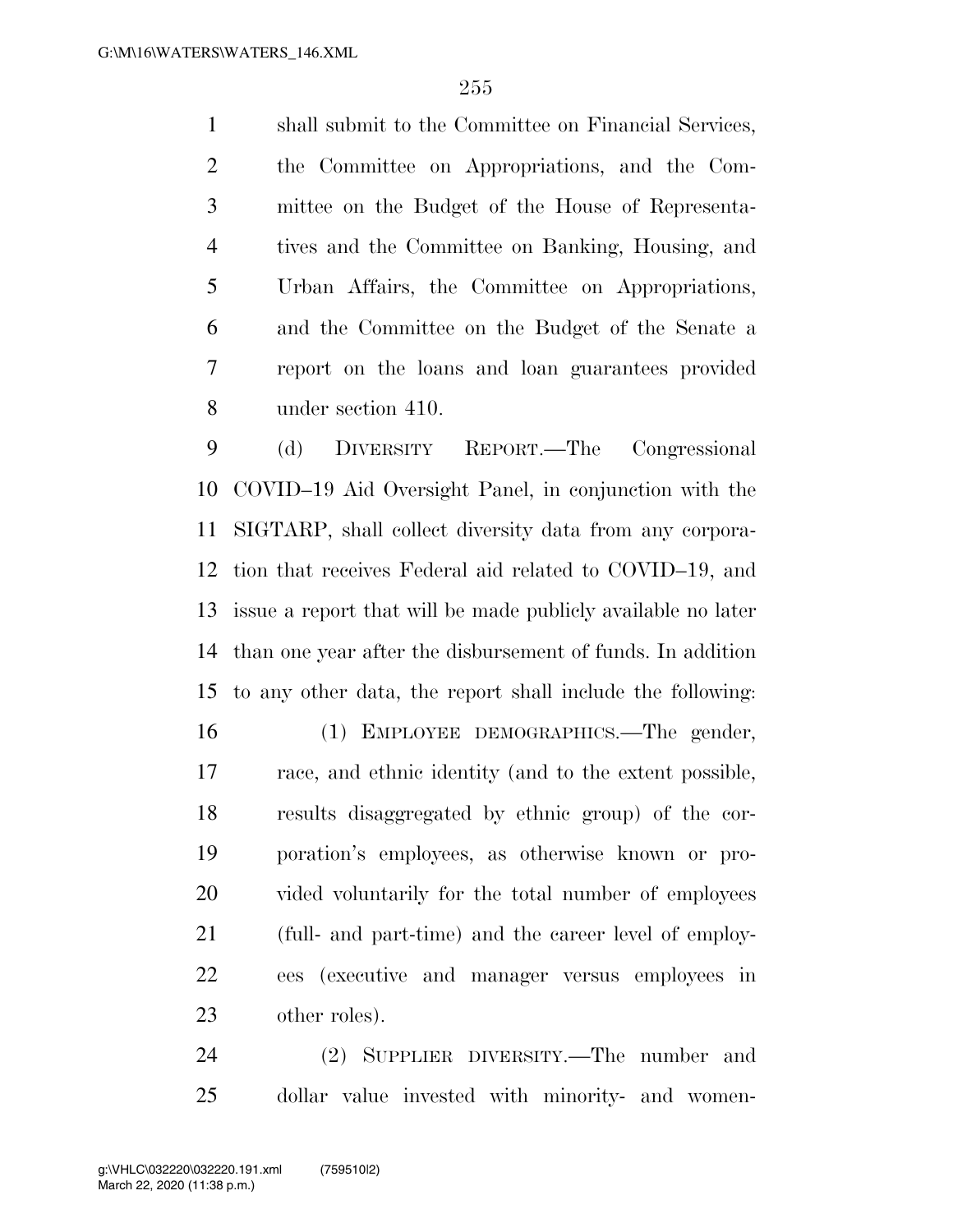shall submit to the Committee on Financial Services, the Committee on Appropriations, and the Com- mittee on the Budget of the House of Representa- tives and the Committee on Banking, Housing, and Urban Affairs, the Committee on Appropriations, and the Committee on the Budget of the Senate a report on the loans and loan guarantees provided under section 410.

 (d) DIVERSITY REPORT.—The Congressional COVID–19 Aid Oversight Panel, in conjunction with the SIGTARP, shall collect diversity data from any corpora- tion that receives Federal aid related to COVID–19, and issue a report that will be made publicly available no later than one year after the disbursement of funds. In addition to any other data, the report shall include the following:

 (1) EMPLOYEE DEMOGRAPHICS.—The gender, race, and ethnic identity (and to the extent possible, results disaggregated by ethnic group) of the cor- poration's employees, as otherwise known or pro- vided voluntarily for the total number of employees (full- and part-time) and the career level of employ- ees (executive and manager versus employees in other roles).

 (2) SUPPLIER DIVERSITY.—The number and dollar value invested with minority- and women-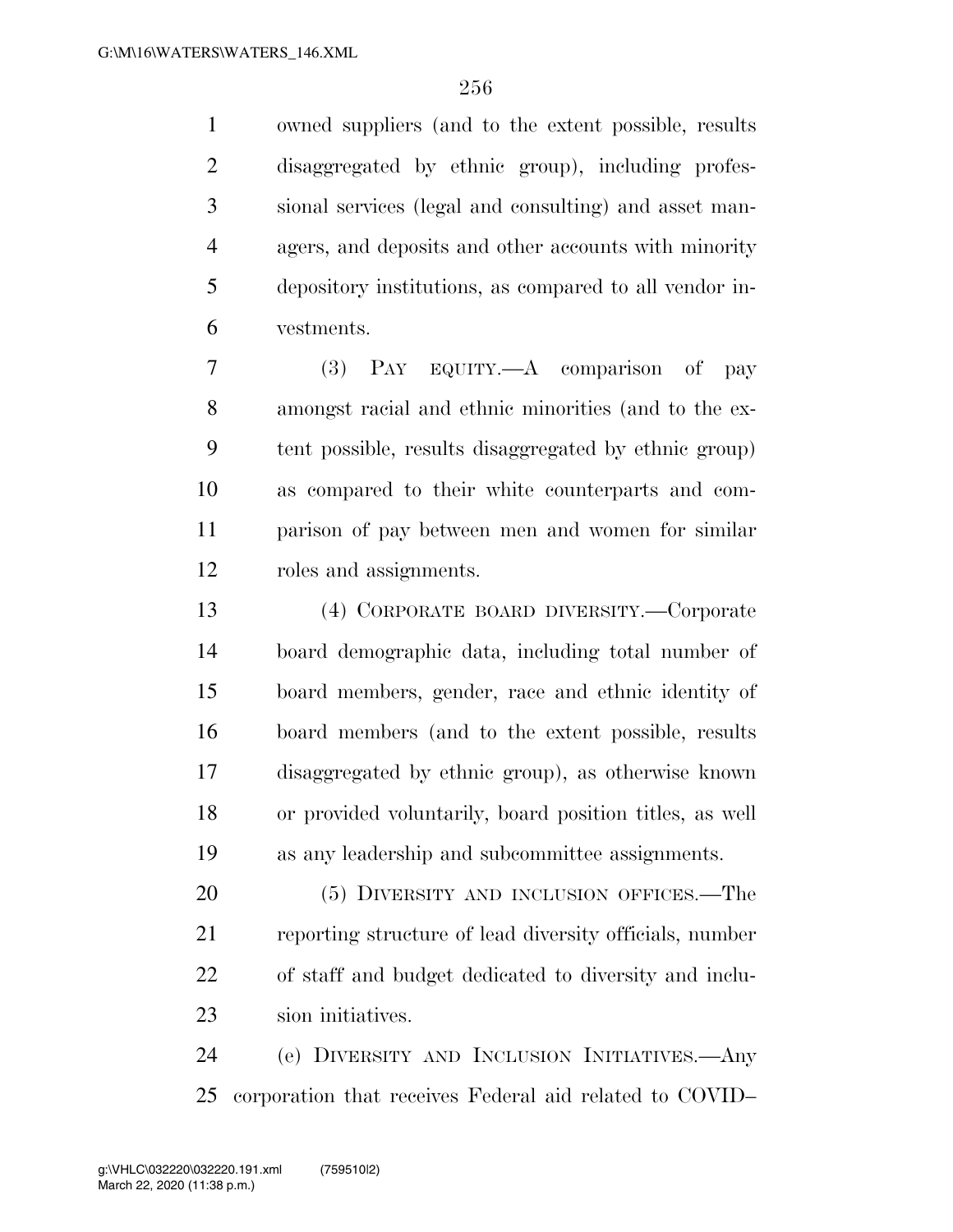owned suppliers (and to the extent possible, results disaggregated by ethnic group), including profes- sional services (legal and consulting) and asset man- agers, and deposits and other accounts with minority depository institutions, as compared to all vendor in-vestments.

 (3) PAY EQUITY.—A comparison of pay amongst racial and ethnic minorities (and to the ex- tent possible, results disaggregated by ethnic group) as compared to their white counterparts and com- parison of pay between men and women for similar roles and assignments.

 (4) CORPORATE BOARD DIVERSITY.—Corporate board demographic data, including total number of board members, gender, race and ethnic identity of board members (and to the extent possible, results disaggregated by ethnic group), as otherwise known or provided voluntarily, board position titles, as well as any leadership and subcommittee assignments.

20 (5) DIVERSITY AND INCLUSION OFFICES.—The reporting structure of lead diversity officials, number of staff and budget dedicated to diversity and inclu-sion initiatives.

 (e) DIVERSITY AND INCLUSION INITIATIVES.—Any corporation that receives Federal aid related to COVID–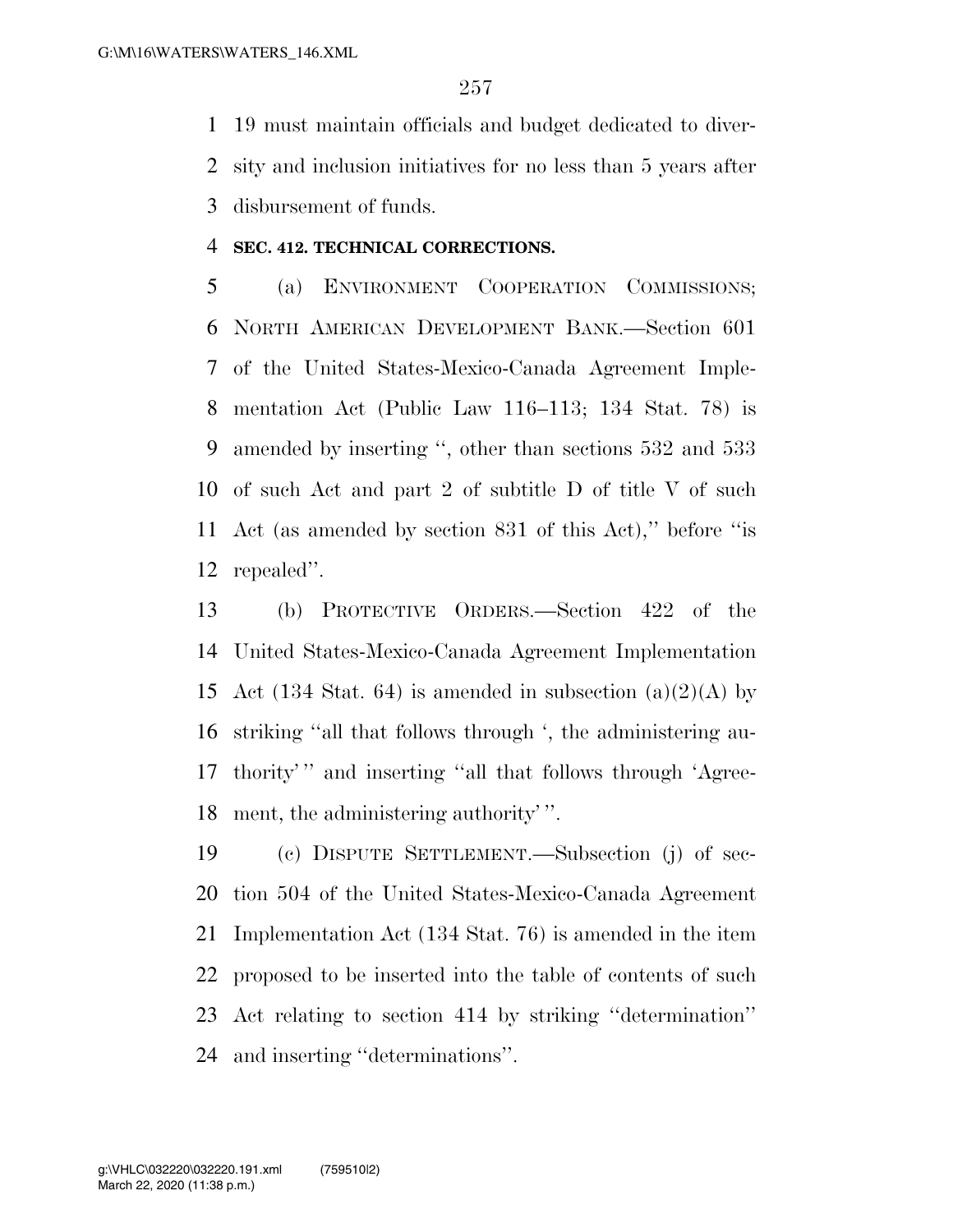19 must maintain officials and budget dedicated to diver- sity and inclusion initiatives for no less than 5 years after disbursement of funds.

#### **SEC. 412. TECHNICAL CORRECTIONS.**

 (a) ENVIRONMENT COOPERATION COMMISSIONS; NORTH AMERICAN DEVELOPMENT BANK.—Section 601 of the United States-Mexico-Canada Agreement Imple- mentation Act (Public Law 116–113; 134 Stat. 78) is amended by inserting '', other than sections 532 and 533 of such Act and part 2 of subtitle D of title V of such Act (as amended by section 831 of this Act),'' before ''is repealed''.

 (b) PROTECTIVE ORDERS.—Section 422 of the United States-Mexico-Canada Agreement Implementation 15 Act (134 Stat. 64) is amended in subsection (a)(2)(A) by striking ''all that follows through ', the administering au- thority' '' and inserting ''all that follows through 'Agree-ment, the administering authority' ''.

 (c) DISPUTE SETTLEMENT.—Subsection (j) of sec- tion 504 of the United States-Mexico-Canada Agreement Implementation Act (134 Stat. 76) is amended in the item proposed to be inserted into the table of contents of such Act relating to section 414 by striking ''determination'' and inserting ''determinations''.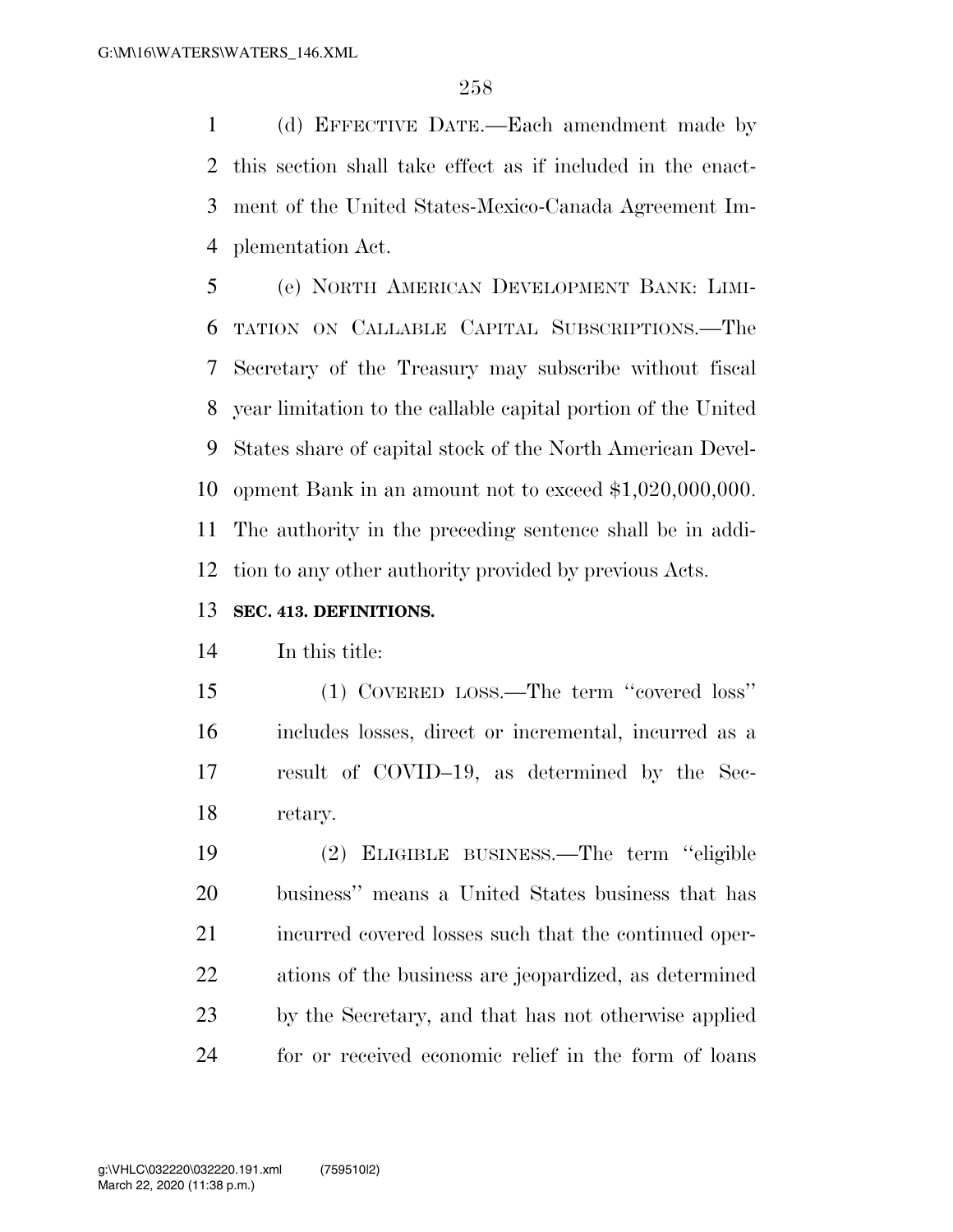(d) EFFECTIVE DATE.—Each amendment made by this section shall take effect as if included in the enact- ment of the United States-Mexico-Canada Agreement Im-plementation Act.

 (e) NORTH AMERICAN DEVELOPMENT BANK: LIMI- TATION ON CALLABLE CAPITAL SUBSCRIPTIONS.—The Secretary of the Treasury may subscribe without fiscal year limitation to the callable capital portion of the United States share of capital stock of the North American Devel- opment Bank in an amount not to exceed \$1,020,000,000. The authority in the preceding sentence shall be in addi-tion to any other authority provided by previous Acts.

### **SEC. 413. DEFINITIONS.**

In this title:

 (1) COVERED LOSS.—The term ''covered loss'' includes losses, direct or incremental, incurred as a result of COVID–19, as determined by the Sec-retary.

 (2) ELIGIBLE BUSINESS.—The term ''eligible business'' means a United States business that has 21 incurred covered losses such that the continued oper- ations of the business are jeopardized, as determined by the Secretary, and that has not otherwise applied for or received economic relief in the form of loans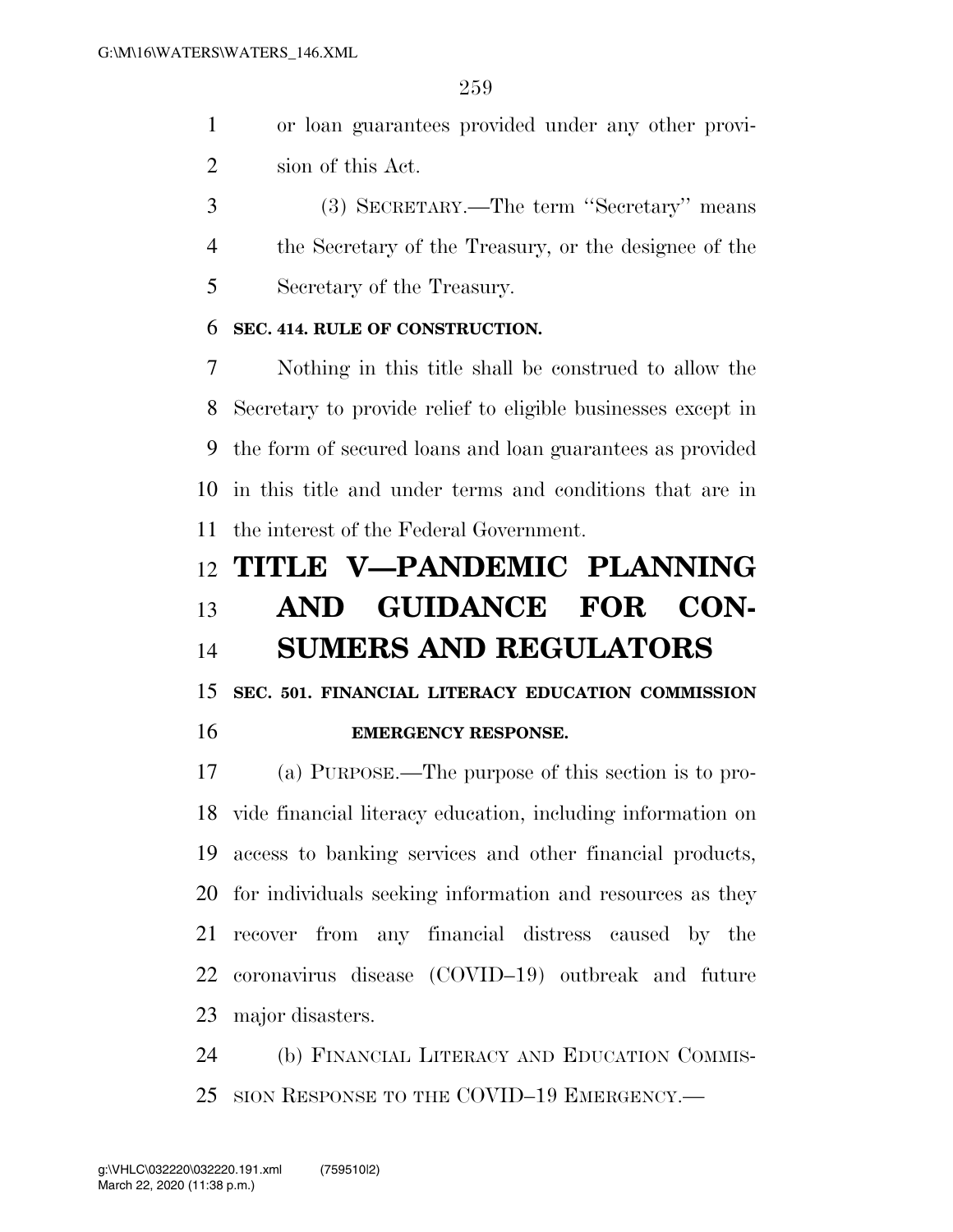- or loan guarantees provided under any other provi-sion of this Act.
- (3) SECRETARY.—The term ''Secretary'' means the Secretary of the Treasury, or the designee of the Secretary of the Treasury.

## **SEC. 414. RULE OF CONSTRUCTION.**

 Nothing in this title shall be construed to allow the Secretary to provide relief to eligible businesses except in the form of secured loans and loan guarantees as provided in this title and under terms and conditions that are in the interest of the Federal Government.

# **TITLE V—PANDEMIC PLANNING AND GUIDANCE FOR CON-SUMERS AND REGULATORS**

 **SEC. 501. FINANCIAL LITERACY EDUCATION COMMISSION EMERGENCY RESPONSE.** 

 (a) PURPOSE.—The purpose of this section is to pro- vide financial literacy education, including information on access to banking services and other financial products, for individuals seeking information and resources as they recover from any financial distress caused by the coronavirus disease (COVID–19) outbreak and future major disasters.

 (b) FINANCIAL LITERACY AND EDUCATION COMMIS-SION RESPONSE TO THE COVID–19 EMERGENCY.—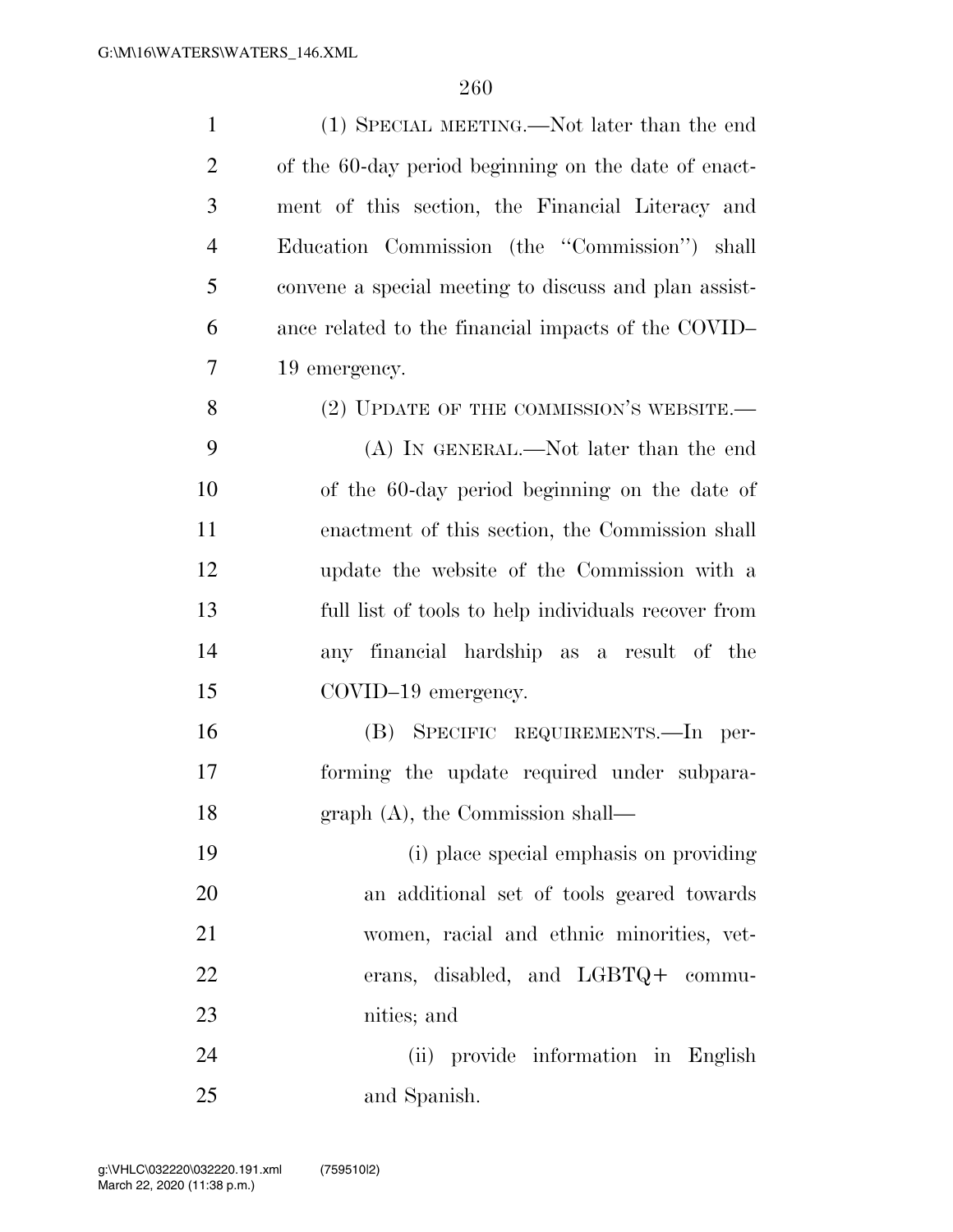| $\mathbf{1}$   | (1) SPECIAL MEETING.—Not later than the end           |
|----------------|-------------------------------------------------------|
| $\overline{2}$ | of the 60-day period beginning on the date of enact-  |
| 3              | ment of this section, the Financial Literacy and      |
| 4              | Education Commission (the "Commission") shall         |
| 5              | convene a special meeting to discuss and plan assist- |
| 6              | ance related to the financial impacts of the COVID-   |
| 7              | 19 emergency.                                         |
| 8              | (2) UPDATE OF THE COMMISSION'S WEBSITE.               |
| 9              | (A) IN GENERAL.—Not later than the end                |
| 10             | of the 60-day period beginning on the date of         |
| 11             | enactment of this section, the Commission shall       |
| 12             | update the website of the Commission with a           |
| 13             | full list of tools to help individuals recover from   |
| 14             | any financial hardship as a result of the             |
| 15             | COVID-19 emergency.                                   |
| 16             | (B) SPECIFIC REQUIREMENTS.-In per-                    |
| 17             | forming the update required under subpara-            |
| 18             | graph (A), the Commission shall-                      |
| 19             | (i) place special emphasis on providing               |
| 20             | an additional set of tools geared towards             |
| 21             | women, racial and ethnic minorities, vet-             |
| 22             | erans, disabled, and LGBTQ+ commu-                    |
| 23             | nities; and                                           |
| 24             | (ii) provide information in English                   |
| 25             | and Spanish.                                          |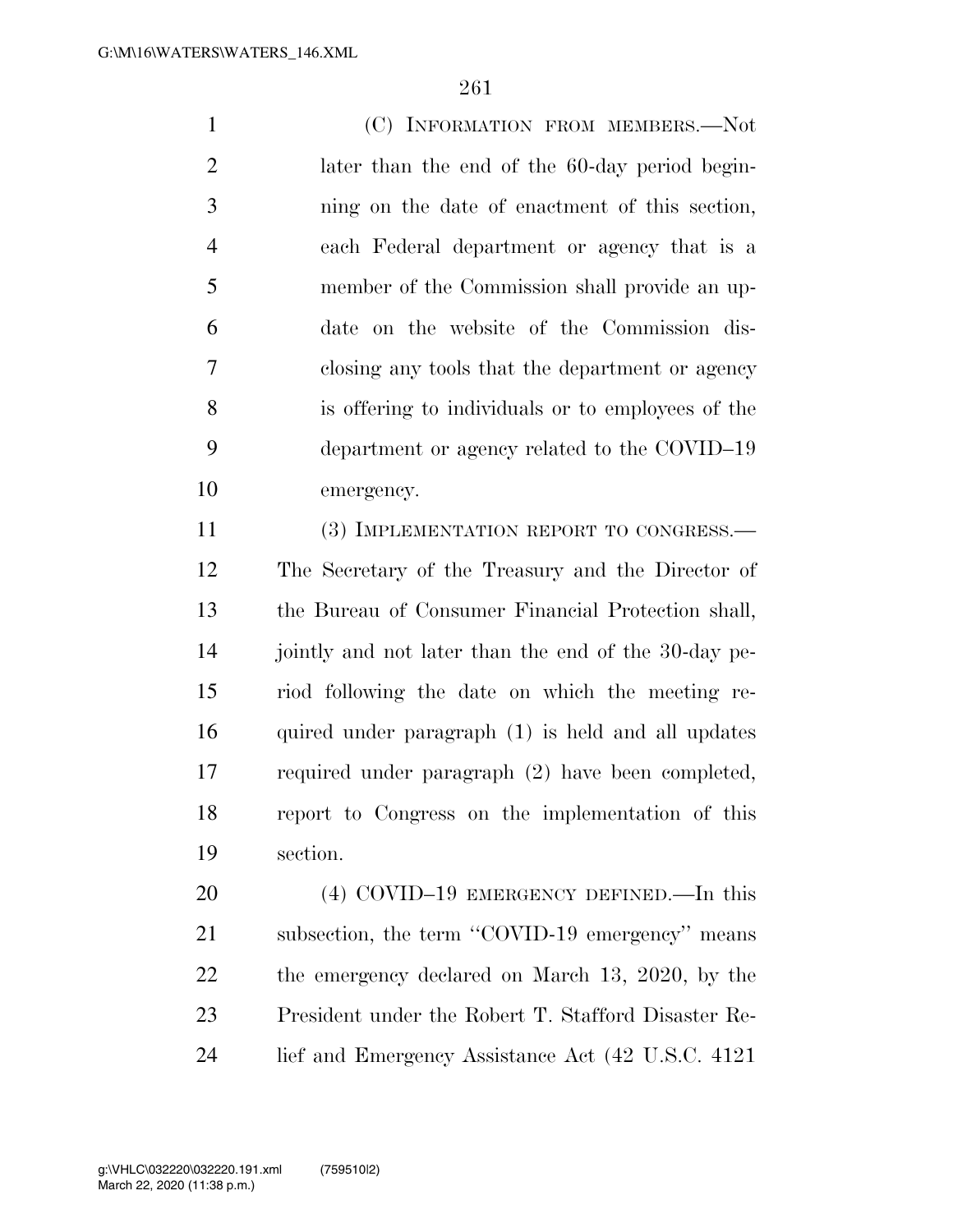(C) INFORMATION FROM MEMBERS.—Not later than the end of the 60-day period begin- ning on the date of enactment of this section, each Federal department or agency that is a member of the Commission shall provide an up- date on the website of the Commission dis- closing any tools that the department or agency is offering to individuals or to employees of the department or agency related to the COVID–19 emergency.

11 (3) IMPLEMENTATION REPORT TO CONGRESS.— The Secretary of the Treasury and the Director of the Bureau of Consumer Financial Protection shall, 14 jointly and not later than the end of the 30-day pe- riod following the date on which the meeting re- quired under paragraph (1) is held and all updates required under paragraph (2) have been completed, report to Congress on the implementation of this section.

 (4) COVID–19 EMERGENCY DEFINED.—In this 21 subsection, the term "COVID-19 emergency" means the emergency declared on March 13, 2020, by the President under the Robert T. Stafford Disaster Re-lief and Emergency Assistance Act (42 U.S.C. 4121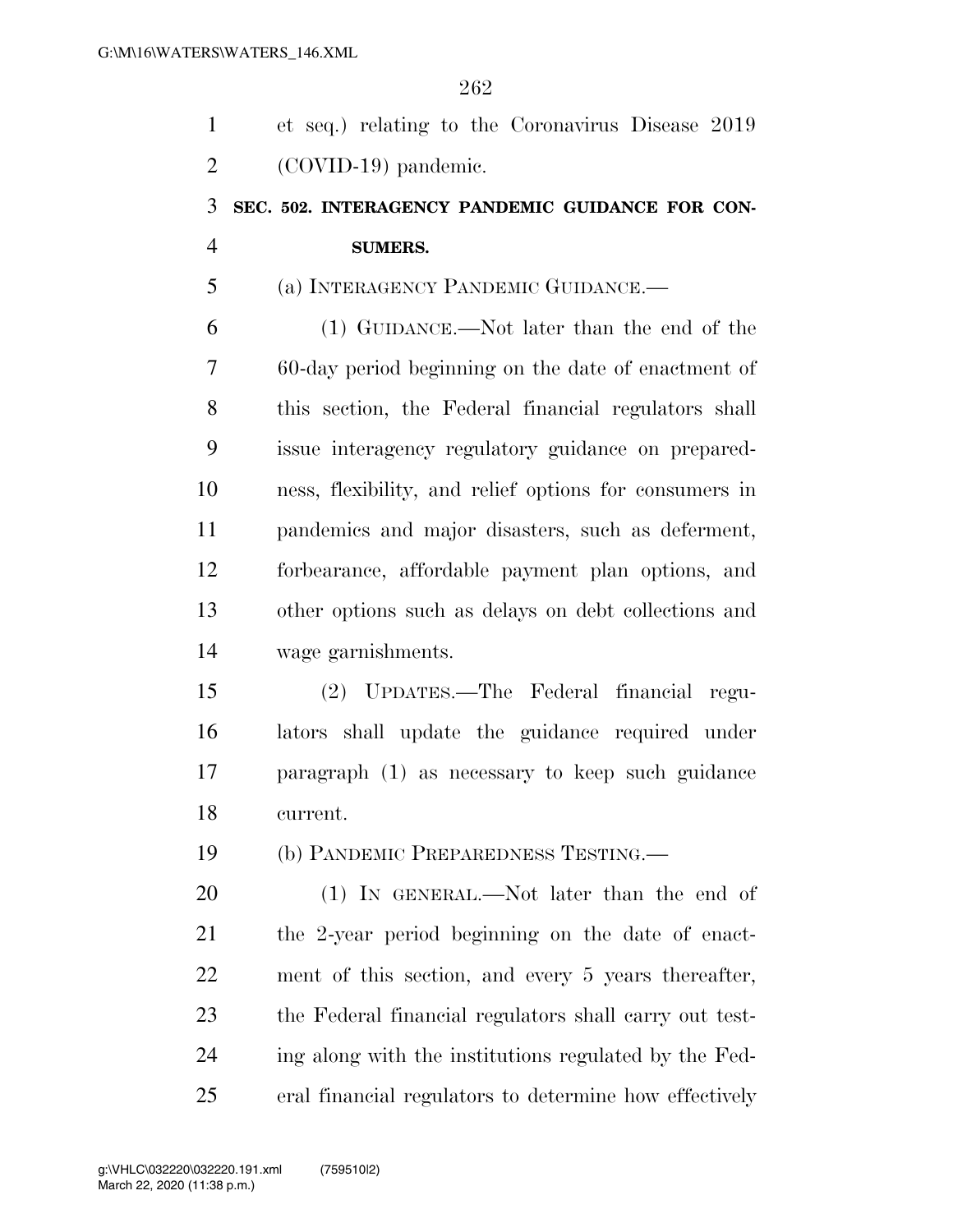| $\mathbf{1}$   | et seq.) relating to the Coronavirus Disease 2019      |
|----------------|--------------------------------------------------------|
| $\overline{2}$ | (COVID-19) pandemic.                                   |
| 3              | SEC. 502. INTERAGENCY PANDEMIC GUIDANCE FOR CON-       |
| $\overline{4}$ | <b>SUMERS.</b>                                         |
| 5              | (a) INTERAGENCY PANDEMIC GUIDANCE.—                    |
| 6              | (1) GUIDANCE.—Not later than the end of the            |
| 7              | 60-day period beginning on the date of enactment of    |
| 8              | this section, the Federal financial regulators shall   |
| 9              | issue interagency regulatory guidance on prepared-     |
| 10             | ness, flexibility, and relief options for consumers in |
| 11             | pandemics and major disasters, such as deferment,      |
| 12             | forbearance, affordable payment plan options, and      |
| 13             | other options such as delays on debt collections and   |
| 14             | wage garnishments.                                     |
| 15             | (2) UPDATES.—The Federal financial regu-               |
| 16             | lators shall update the guidance required under        |
| 17             | paragraph (1) as necessary to keep such guidance       |
| 18             | current.                                               |
| 19             | (b) PANDEMIC PREPAREDNESS TESTING.—                    |
| 20             | $(1)$ IN GENERAL.—Not later than the end of            |
| 21             | the 2-year period beginning on the date of enact-      |
| 22             | ment of this section, and every 5 years thereafter,    |
| 23             | the Federal financial regulators shall carry out test- |
| 24             | ing along with the institutions regulated by the Fed-  |
| 25             | eral financial regulators to determine how effectively |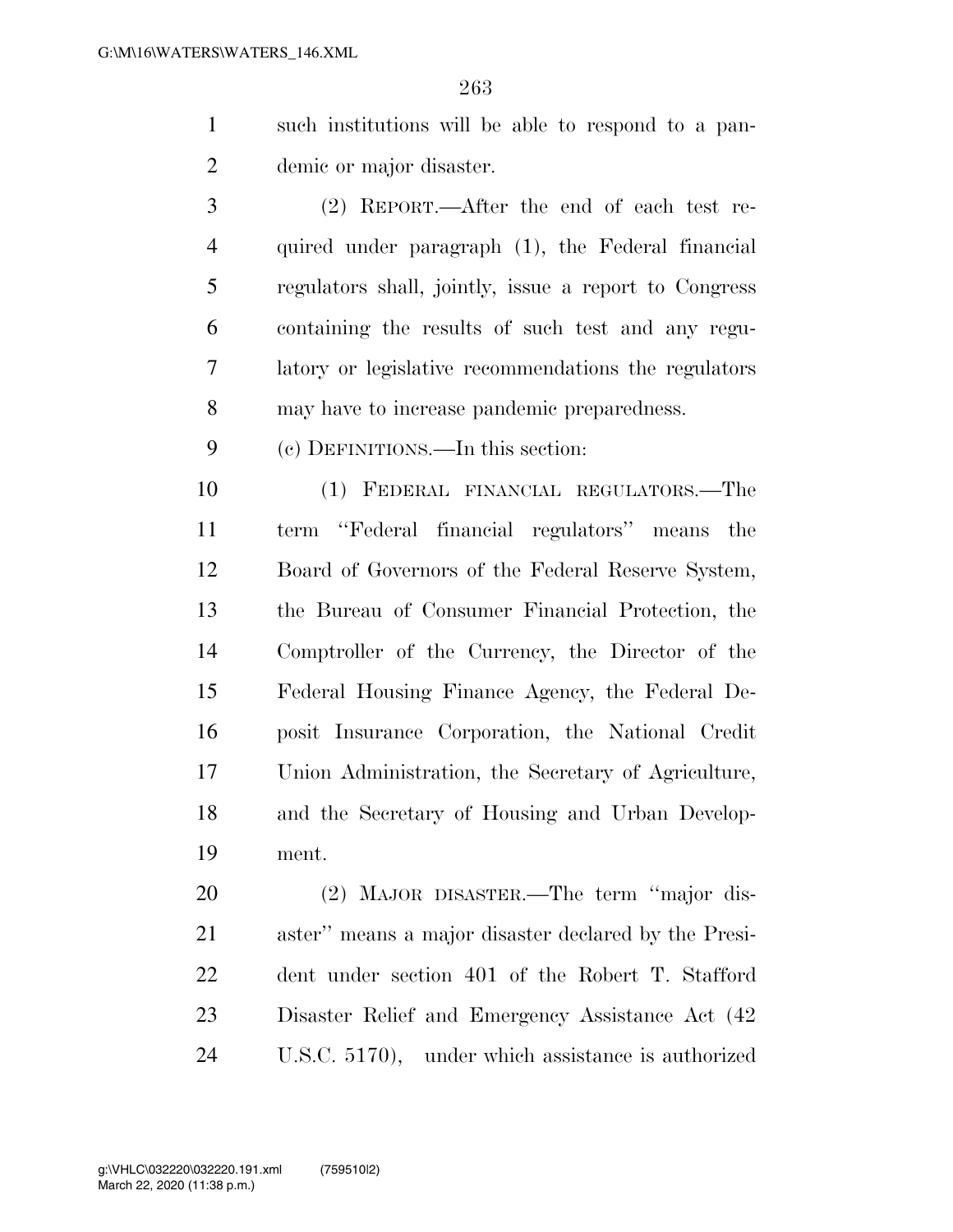- such institutions will be able to respond to a pan-demic or major disaster.
- (2) REPORT.—After the end of each test re- quired under paragraph (1), the Federal financial regulators shall, jointly, issue a report to Congress containing the results of such test and any regu- latory or legislative recommendations the regulators may have to increase pandemic preparedness.
- (c) DEFINITIONS.—In this section:

 (1) FEDERAL FINANCIAL REGULATORS.—The term ''Federal financial regulators'' means the Board of Governors of the Federal Reserve System, the Bureau of Consumer Financial Protection, the Comptroller of the Currency, the Director of the Federal Housing Finance Agency, the Federal De- posit Insurance Corporation, the National Credit Union Administration, the Secretary of Agriculture, and the Secretary of Housing and Urban Develop-ment.

 (2) MAJOR DISASTER.—The term ''major dis- aster'' means a major disaster declared by the Presi- dent under section 401 of the Robert T. Stafford Disaster Relief and Emergency Assistance Act (42 U.S.C. 5170), under which assistance is authorized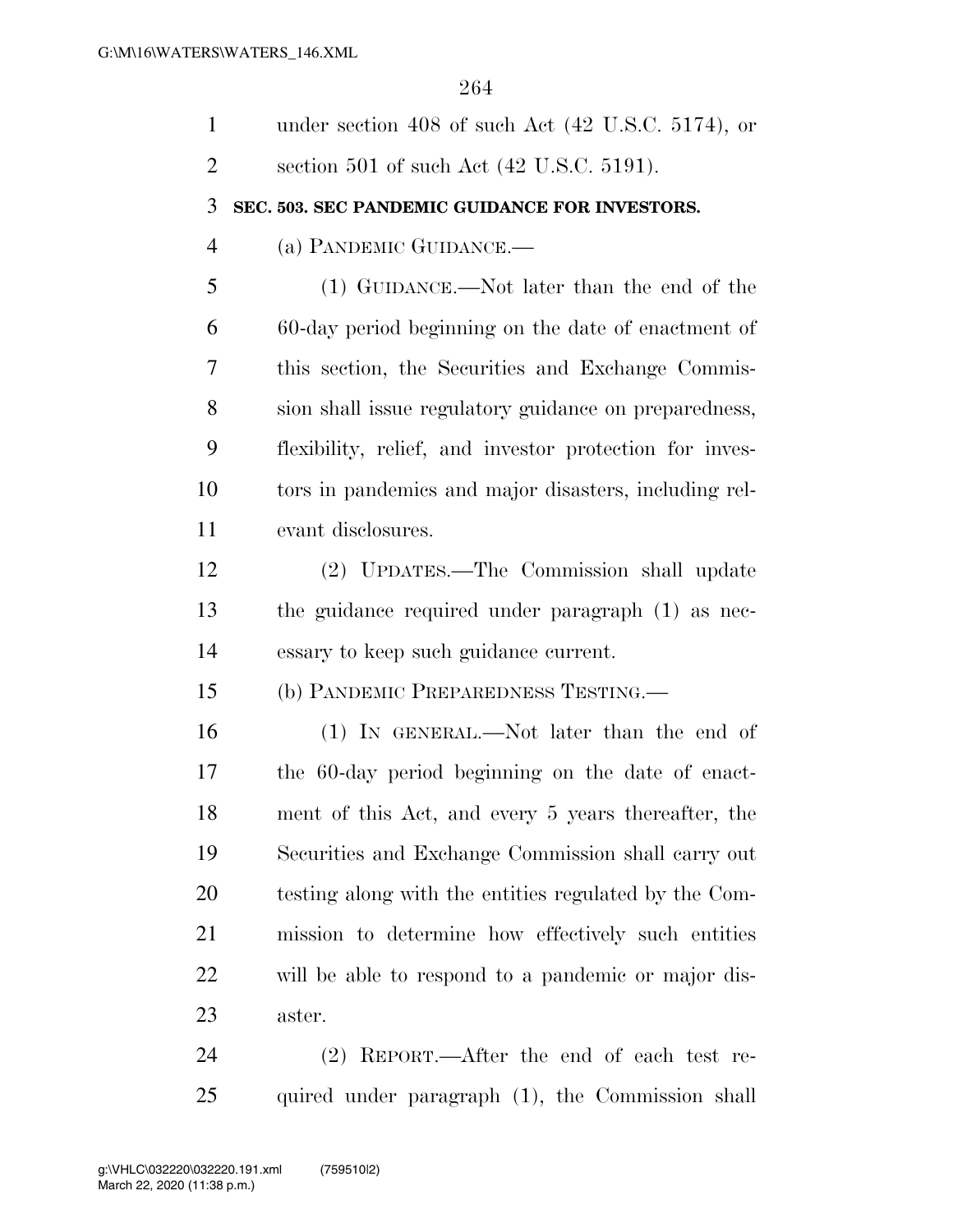| $\mathbf{1}$   | under section 408 of such Act $(42 \text{ U.S.C. } 5174)$ , or |
|----------------|----------------------------------------------------------------|
| $\overline{2}$ | section 501 of such Act $(42 \text{ U.S.C. } 5191)$ .          |
| 3              | SEC. 503. SEC PANDEMIC GUIDANCE FOR INVESTORS.                 |
| $\overline{4}$ | (a) PANDEMIC GUIDANCE.—                                        |
| 5              | (1) GUIDANCE.—Not later than the end of the                    |
| 6              | 60-day period beginning on the date of enactment of            |
| 7              | this section, the Securities and Exchange Commis-              |
| 8              | sion shall issue regulatory guidance on preparedness,          |
| 9              | flexibility, relief, and investor protection for inves-        |
| 10             | tors in pandemics and major disasters, including rel-          |
| 11             | evant disclosures.                                             |
| 12             | (2) UPDATES.—The Commission shall update                       |
| 13             | the guidance required under paragraph (1) as nec-              |
| 14             | essary to keep such guidance current.                          |
| 15             | (b) PANDEMIC PREPAREDNESS TESTING.                             |
| 16             | (1) IN GENERAL.—Not later than the end of                      |
| 17             | the 60-day period beginning on the date of enact-              |
| 18             | ment of this Act, and every 5 years thereafter, the            |
| 19             | Securities and Exchange Commission shall carry out             |
| 20             | testing along with the entities regulated by the Com-          |
| 21             | mission to determine how effectively such entities             |
| 22             | will be able to respond to a pandemic or major dis-            |
| 23             | aster.                                                         |
| 24             | $(2)$ REPORT.—After the end of each test re-                   |
| 25             | quired under paragraph (1), the Commission shall               |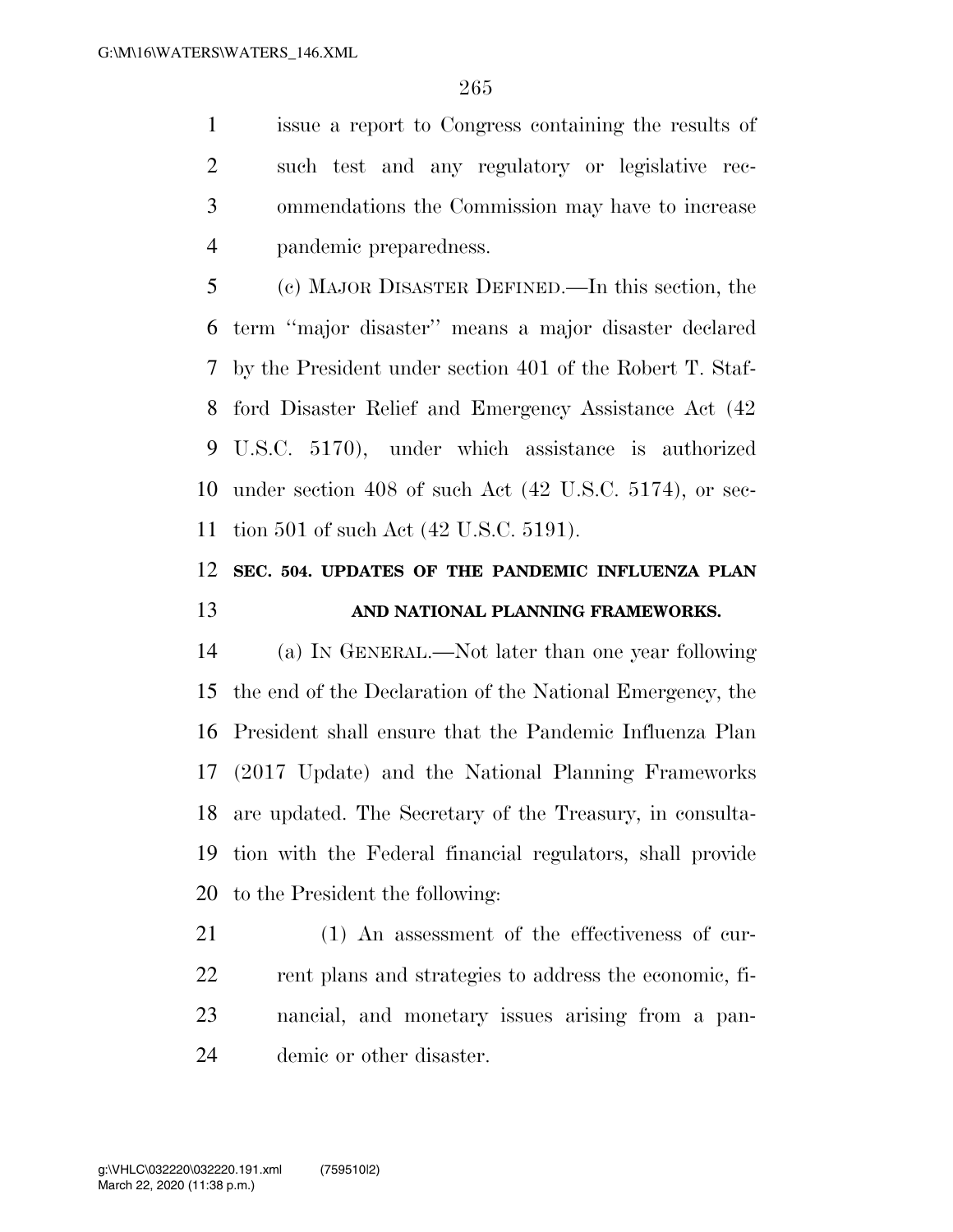issue a report to Congress containing the results of such test and any regulatory or legislative rec- ommendations the Commission may have to increase pandemic preparedness.

 (c) MAJOR DISASTER DEFINED.—In this section, the term ''major disaster'' means a major disaster declared by the President under section 401 of the Robert T. Staf- ford Disaster Relief and Emergency Assistance Act (42 U.S.C. 5170), under which assistance is authorized under section 408 of such Act (42 U.S.C. 5174), or sec-tion 501 of such Act (42 U.S.C. 5191).

# **SEC. 504. UPDATES OF THE PANDEMIC INFLUENZA PLAN AND NATIONAL PLANNING FRAMEWORKS.**

 (a) IN GENERAL.—Not later than one year following the end of the Declaration of the National Emergency, the President shall ensure that the Pandemic Influenza Plan (2017 Update) and the National Planning Frameworks are updated. The Secretary of the Treasury, in consulta- tion with the Federal financial regulators, shall provide to the President the following:

 (1) An assessment of the effectiveness of cur- rent plans and strategies to address the economic, fi- nancial, and monetary issues arising from a pan-demic or other disaster.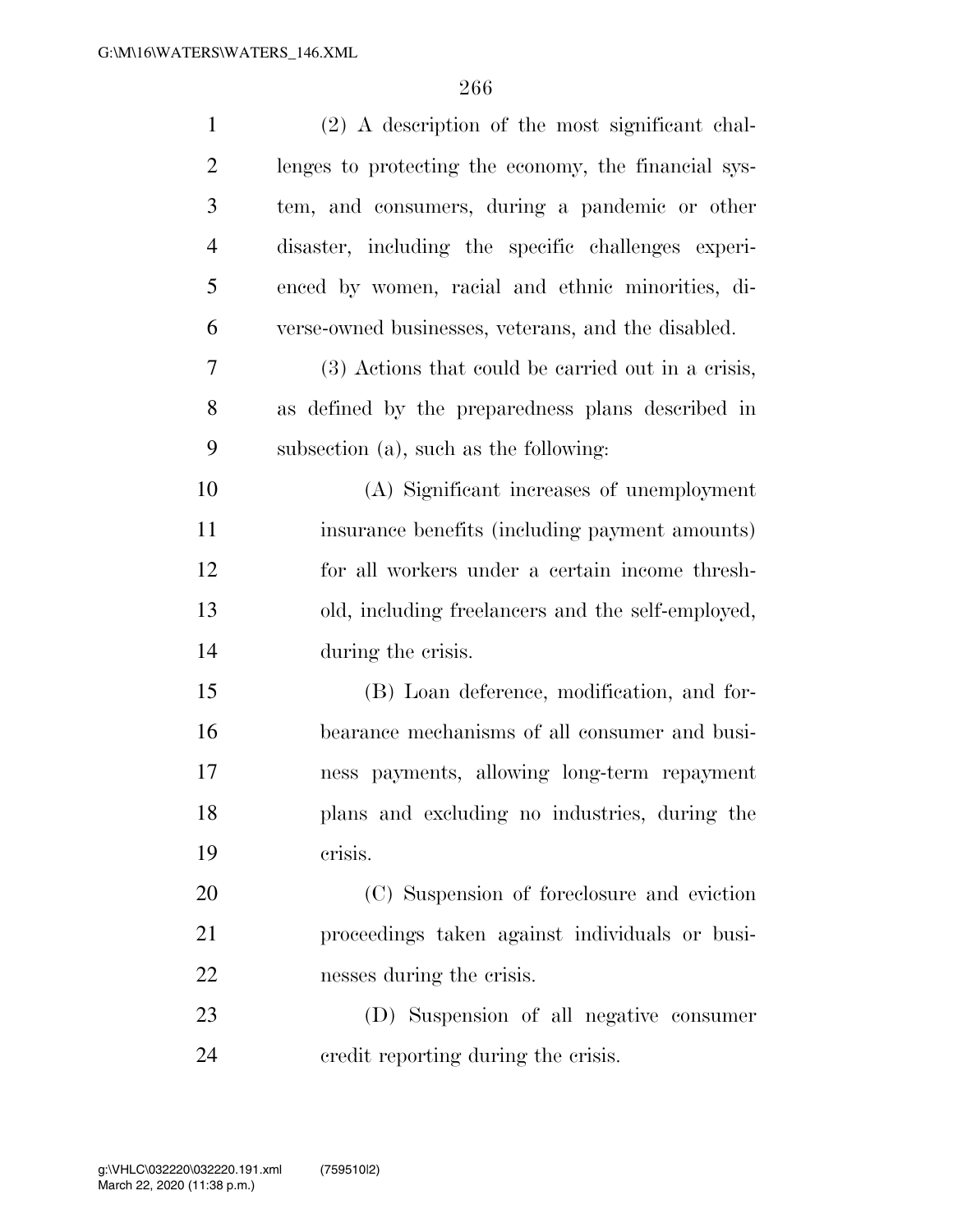| $\mathbf{1}$   | (2) A description of the most significant chal-      |
|----------------|------------------------------------------------------|
| $\overline{2}$ | lenges to protecting the economy, the financial sys- |
| 3              | tem, and consumers, during a pandemic or other       |
| $\overline{4}$ | disaster, including the specific challenges experi-  |
| 5              | enced by women, racial and ethnic minorities, di-    |
| 6              | verse-owned businesses, veterans, and the disabled.  |
| $\overline{7}$ | (3) Actions that could be carried out in a crisis,   |
| 8              | as defined by the preparedness plans described in    |
| 9              | subsection (a), such as the following:               |
| 10             | (A) Significant increases of unemployment            |
| 11             | insurance benefits (including payment amounts)       |
| 12             | for all workers under a certain income thresh-       |
| 13             | old, including freelancers and the self-employed,    |
| 14             | during the crisis.                                   |
| 15             | (B) Loan deference, modification, and for-           |
| 16             | bearance mechanisms of all consumer and busi-        |
| 17             | ness payments, allowing long-term repayment          |
| 18             | plans and excluding no industries, during the        |
| 19             | crisis.                                              |
| 20             | (C) Suspension of foreclosure and eviction           |
| 21             | proceedings taken against individuals or busi-       |
| 22             | nesses during the crisis.                            |
| 23             | (D) Suspension of all negative consumer              |
| 24             | credit reporting during the crisis.                  |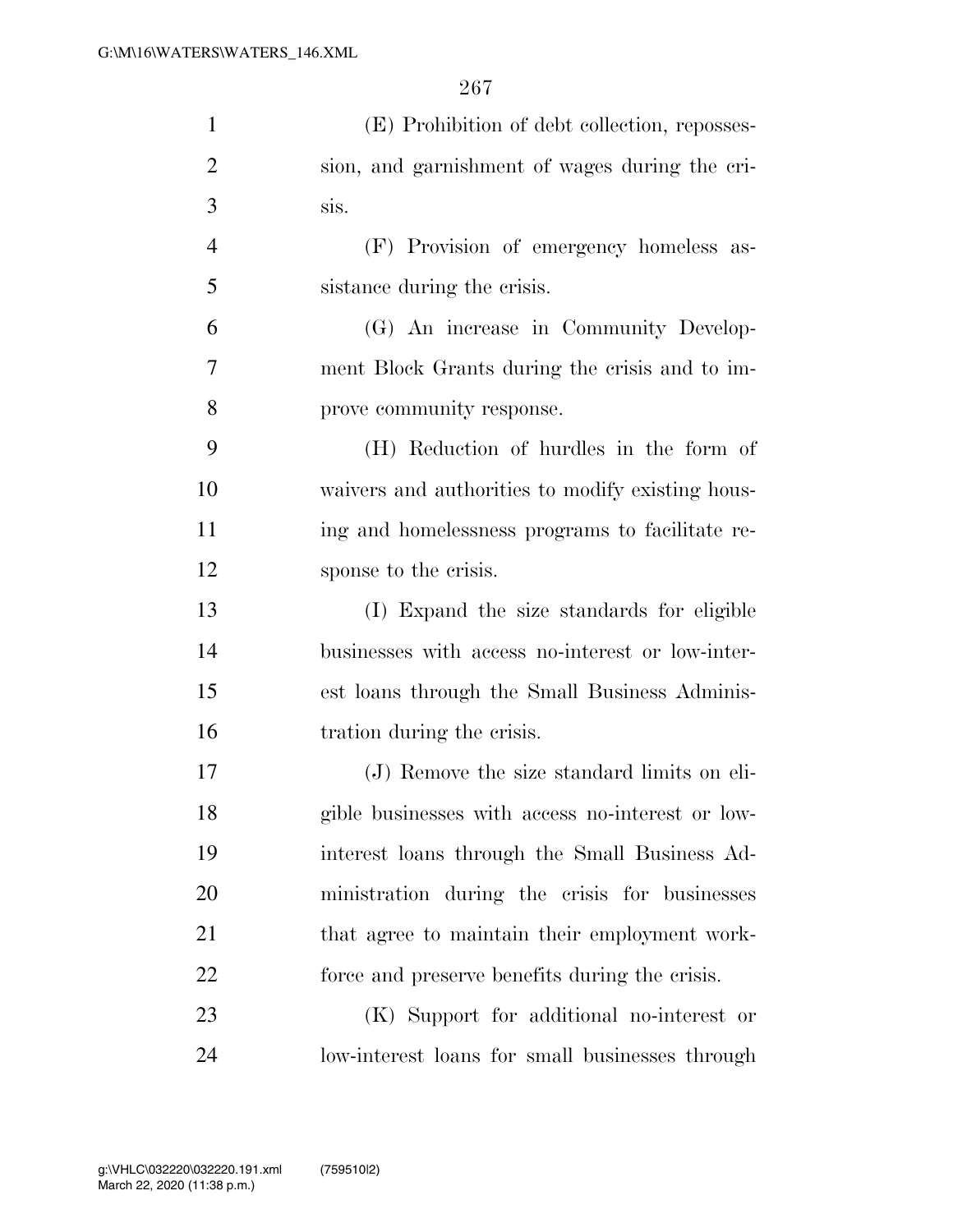| $\mathbf{1}$   | (E) Prohibition of debt collection, reposses-    |
|----------------|--------------------------------------------------|
| $\overline{2}$ | sion, and garnishment of wages during the cri-   |
| 3              | sis.                                             |
| $\overline{4}$ | (F) Provision of emergency homeless as-          |
| 5              | sistance during the crisis.                      |
| 6              | (G) An increase in Community Develop-            |
| 7              | ment Block Grants during the crisis and to im-   |
| 8              | prove community response.                        |
| 9              | (H) Reduction of hurdles in the form of          |
| 10             | waivers and authorities to modify existing hous- |
| 11             | ing and homelessness programs to facilitate re-  |
| 12             | sponse to the crisis.                            |
| 13             | (I) Expand the size standards for eligible       |
| 14             | businesses with access no-interest or low-inter- |
| 15             | est loans through the Small Business Adminis-    |
| 16             | tration during the crisis.                       |
| 17             | (J) Remove the size standard limits on eli-      |
| 18             | gible businesses with access no-interest or low- |
| 19             | interest loans through the Small Business Ad-    |
| 20             | ministration during the crisis for businesses    |
| 21             | that agree to maintain their employment work-    |
| 22             | force and preserve benefits during the crisis.   |
| 23             | (K) Support for additional no-interest or        |
| 24             | low-interest loans for small businesses through  |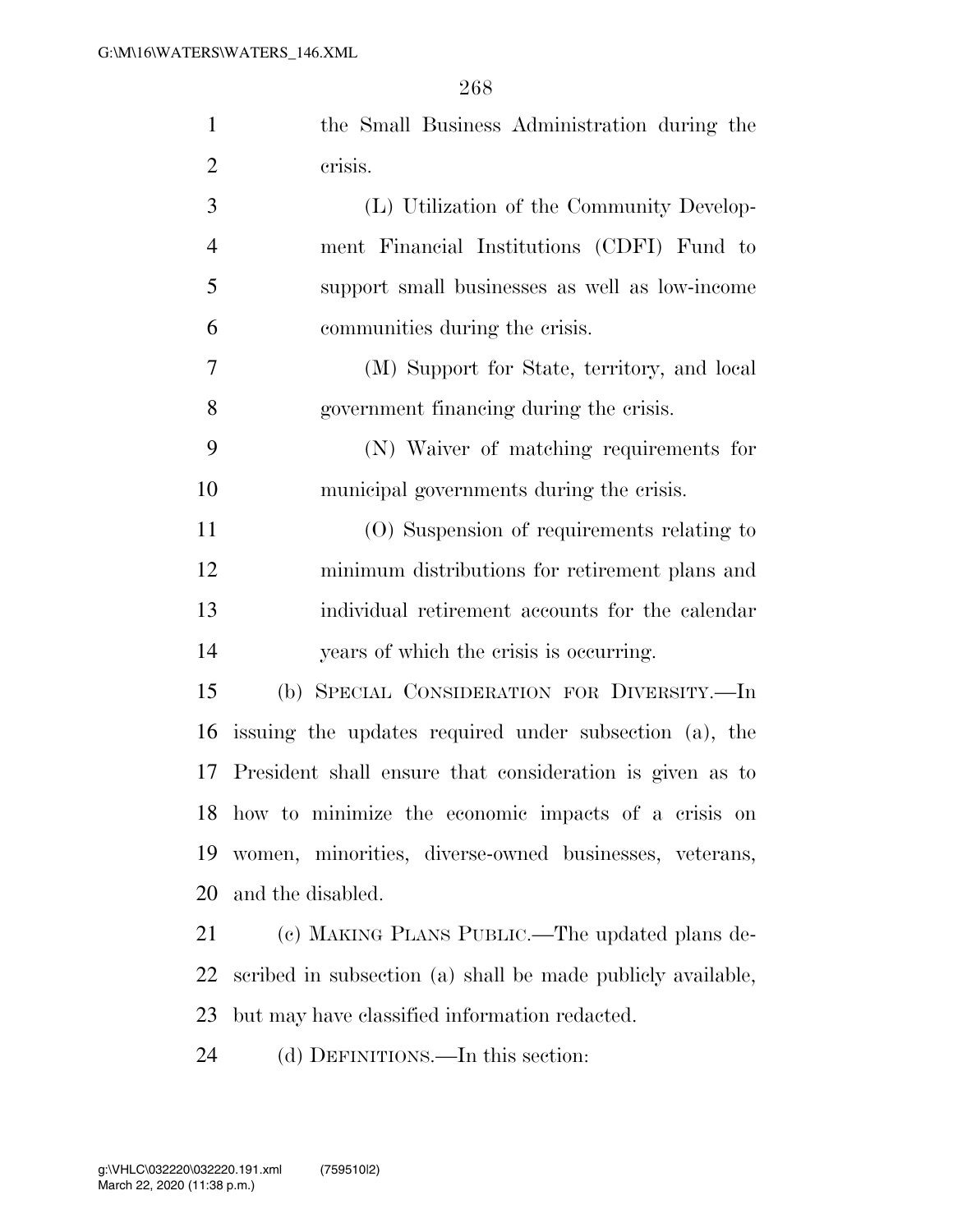| $\mathbf{1}$            | the Small Business Administration during the                |
|-------------------------|-------------------------------------------------------------|
| $\overline{2}$          | crisis.                                                     |
| 3                       | (L) Utilization of the Community Develop-                   |
| $\overline{4}$          | ment Financial Institutions (CDFI) Fund to                  |
| 5                       | support small businesses as well as low-income              |
| 6                       | communities during the crisis.                              |
| 7                       | (M) Support for State, territory, and local                 |
| 8                       | government financing during the crisis.                     |
| 9                       | (N) Waiver of matching requirements for                     |
| 10                      | municipal governments during the crisis.                    |
| 11                      | (O) Suspension of requirements relating to                  |
| 12                      | minimum distributions for retirement plans and              |
| 13                      | individual retirement accounts for the calendar             |
| 14                      | years of which the crisis is occurring.                     |
| 15                      | (b) SPECIAL CONSIDERATION FOR DIVERSITY.-In                 |
| 16                      | issuing the updates required under subsection (a), the      |
| 17                      | President shall ensure that consideration is given as to    |
|                         | 18 how to minimize the economic impacts of a crisis on      |
| 19                      | women, minorities, diverse-owned businesses, veterans,      |
| 20                      | and the disabled.                                           |
| 21                      | (c) MAKING PLANS PUBLIC.—The updated plans de-              |
| 22                      | scribed in subsection (a) shall be made publicly available, |
| 23                      | but may have classified information redacted.               |
| $\mathcal{D}$ $\Lambda$ | (d) DEEDITED To this soction.                               |